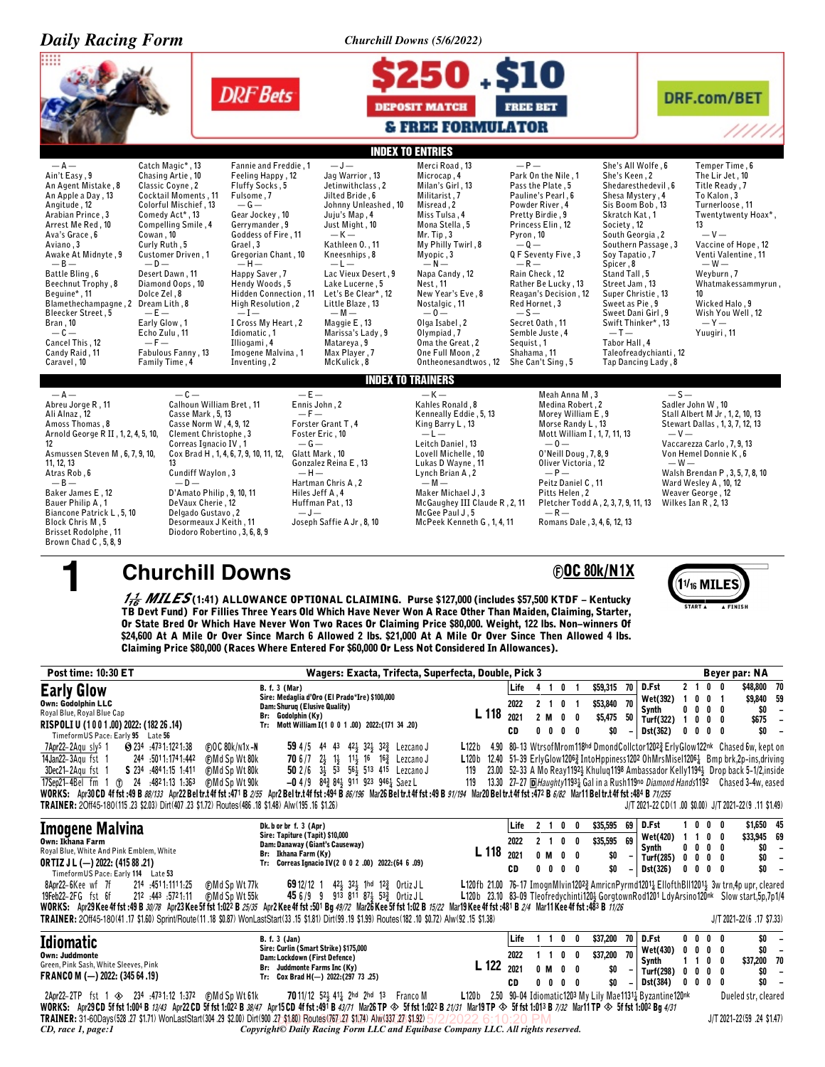| <b>Daily Racing Form</b>                                                                                                                                                                                                                                                                                                                                                                                                                                                                                                                                                                  |                                                                                                                                                                                                                                                                                                                                                                                                                                                                                                                                                                           | <b>Churchill Downs (5/6/2022)</b>                                                                                                                                                                                                                                                                                                                                                                                                                                                                                                                           |                                                                                                                                                                                                                                                                                                                                                                                                                                        |
|-------------------------------------------------------------------------------------------------------------------------------------------------------------------------------------------------------------------------------------------------------------------------------------------------------------------------------------------------------------------------------------------------------------------------------------------------------------------------------------------------------------------------------------------------------------------------------------------|---------------------------------------------------------------------------------------------------------------------------------------------------------------------------------------------------------------------------------------------------------------------------------------------------------------------------------------------------------------------------------------------------------------------------------------------------------------------------------------------------------------------------------------------------------------------------|-------------------------------------------------------------------------------------------------------------------------------------------------------------------------------------------------------------------------------------------------------------------------------------------------------------------------------------------------------------------------------------------------------------------------------------------------------------------------------------------------------------------------------------------------------------|----------------------------------------------------------------------------------------------------------------------------------------------------------------------------------------------------------------------------------------------------------------------------------------------------------------------------------------------------------------------------------------------------------------------------------------|
|                                                                                                                                                                                                                                                                                                                                                                                                                                                                                                                                                                                           | <b>DRF</b> Bets                                                                                                                                                                                                                                                                                                                                                                                                                                                                                                                                                           | 50.S10<br><b>FREE BET</b><br><b>DEPOSIT MATCH</b><br><b>&amp; FREE FORMULATOR</b>                                                                                                                                                                                                                                                                                                                                                                                                                                                                           | <b>DRF.com/BET</b><br>/////                                                                                                                                                                                                                                                                                                                                                                                                            |
|                                                                                                                                                                                                                                                                                                                                                                                                                                                                                                                                                                                           |                                                                                                                                                                                                                                                                                                                                                                                                                                                                                                                                                                           | <b>INDEX TO ENTRIES</b>                                                                                                                                                                                                                                                                                                                                                                                                                                                                                                                                     |                                                                                                                                                                                                                                                                                                                                                                                                                                        |
| $- A -$<br>Catch Magic*, 13<br>Ain't Easy, 9<br>Chasing Artie, 10<br>Classic Coyne, 2<br>An Agent Mistake, 8<br>Cocktail Moments, 11<br>An Apple a Day, 13<br>Colorful Mischief, 13<br>Angitude, 12<br>Arabian Prince, 3<br>Comedy Act*, 13<br>Arrest Me Red, 10<br>Compelling Smile, 4<br>Cowan, 10<br>Ava's Grace, 6<br>Curly Ruth, 5<br>Aviano, 3<br>Customer Driven, 1<br>Awake At Midnyte, 9<br>$-0-$<br>$-B-$<br>Battle Bling, 6<br>Desert Dawn, 11                                                                                                                                 | $-J-$<br>Fannie and Freddie, 1<br>Jag Warrior, 13<br>Feeling Happy, 12<br>Fluffy Socks, 5<br>Jetinwithclass, 2<br>Fulsome, 7<br>Jilted Bride, 6<br>$-G -$<br>Johnny Unleashed, 10<br>Gear Jockey, 10<br>Juju's Map, 4<br>Gerrymander, 9<br>Just Might, 10<br>$-K-$<br>Goddess of Fire, 11<br>Grael, 3<br>Kathleen 0., 11<br>Gregorian Chant, 10<br>Kneesnhips, 8<br>$-H-$<br>$-L-$<br>Happy Saver, 7<br>Lac Vieux Desert, 9                                                                                                                                               | $-P-$<br>Merci Road, 13<br>Microcap, 4<br>Park On the Nile, 1<br>Milan's Girl, 13<br>Pass the Plate, 5<br>Militarist, 7<br>Pauline's Pearl, 6<br>Misread, 2<br>Powder River, 4<br>Miss Tulsa, 4<br>Pretty Birdie, 9<br>Mona Stella, 5<br>Princess Elin, 12<br>Mr. Tip, 3<br>Pyron, 10<br>My Philly Twirl, 8<br>$-0-$<br>Myopic, 3<br>Q F Seventy Five, 3<br>$-N-$<br>$-R-$<br>Napa Candy, 12<br>Rain Check, 12                                                                                                                                              | Temper Time, 6<br>She's All Wolfe, 6<br>She's Keen, 2<br>The Lir Jet, 10<br>Shedaresthedevil, 6<br>Title Ready, 7<br>To Kalon. 3<br>Shesa Mystery, 4<br>Sis Boom Bob, 13<br>Turnerloose, 11<br>Twentytwenty Hoax*,<br>Skratch Kat, 1<br>Society, 12<br>13<br>South Georgia, 2<br>$-V -$<br>Southern Passage, 3<br>Vaccine of Hope, 12<br>Soy Tapatio, 7<br>Venti Valentine, 11<br>Spicer, 8<br>$-W-$<br>Stand Tall, 5<br>Weyburn, 7    |
| Beechnut Trophy, 8<br>Diamond Oops, 10<br>Dolce Zel, 8<br>Beguine*, 11<br>Blamethechampagne, 2 Dream Lith, 8<br>Bleecker Street, 5<br>$-E-$                                                                                                                                                                                                                                                                                                                                                                                                                                               | Hendy Woods, 5<br>Lake Lucerne, 5<br>Let's Be Clear*, 12<br>Hidden Connection, 11<br>High Resolution, 2<br>Little Blaze, 13<br>$-I-$<br>$-M -$                                                                                                                                                                                                                                                                                                                                                                                                                            | Nest, 11<br>Rather Be Lucky, 13<br>New Year's Eve, 8<br>Reagan's Decision, 12<br>Nostalgic, 11<br>Red Hornet, 3<br>$-0-$<br>$-5-$                                                                                                                                                                                                                                                                                                                                                                                                                           | Street Jam, 13<br>Whatmakessammyrun,<br>Super Christie, 13<br>10<br>Sweet as Pie, 9<br>Wicked Halo, 9<br>Wish You Well, 12<br>Sweet Dani Girl, 9                                                                                                                                                                                                                                                                                       |
| Bran, 10<br>Early Glow, 1<br>$-c-$<br>Echo Zulu, 11<br>$-F-$<br>Cancel This, 12<br>Candy Raid, 11<br>Fabulous Fanny, 13<br>Family Time, 4<br>Caravel, 10                                                                                                                                                                                                                                                                                                                                                                                                                                  | I Cross My Heart, 2<br>Maggie E, 13<br>Marissa's Lady, 9<br>Idiomatic, 1<br>Illiogami, 4<br>Matareva.9<br>Max Player, 7<br>Imogene Malvina, 1<br>McKulick, 8<br>Inventing, 2                                                                                                                                                                                                                                                                                                                                                                                              | Olga Isabel, 2<br>Secret Oath, 11<br>0lympiad, 7<br>Semble Juste, 4<br>Oma the Great, 2<br>Sequist, 1<br>One Full Moon, 2<br>Shahama, 11<br>Ontheonesandtwos, 12 She Can't Sing, 5                                                                                                                                                                                                                                                                                                                                                                          | $-Y -$<br>Swift Thinker*, 13<br>$-I -$<br>Yuugiri, 11<br>Tabor Hall, 4<br>Taleofreadychianti, 12<br>Tap Dancing Lady, 8                                                                                                                                                                                                                                                                                                                |
|                                                                                                                                                                                                                                                                                                                                                                                                                                                                                                                                                                                           |                                                                                                                                                                                                                                                                                                                                                                                                                                                                                                                                                                           | <b>INDEX TO TRAINERS</b>                                                                                                                                                                                                                                                                                                                                                                                                                                                                                                                                    |                                                                                                                                                                                                                                                                                                                                                                                                                                        |
| $-c-$<br>$-A-$<br>Abreu Jorge R, 11<br>Ali Alnaz, 12<br>Casse Mark, 5, 13<br>Amoss Thomas, 8<br>Casse Norm W, 4, 9, 12<br>Arnold George R II, 1, 2, 4, 5, 10,<br>Clement Christophe, 3<br>12<br>Correas Ignacio IV, 1<br>Asmussen Steven M, 6, 7, 9, 10,<br>11, 12, 13<br>13<br>Atras Rob, 6<br>Cundiff Waylon, 3<br>$-B-$<br>$-0-$<br>Baker James E, 12<br>D'Amato Philip, 9, 10, 11<br>DeVaux Cherie, 12<br>Bauer Philip A, 1<br>Biancone Patrick L, 5, 10<br>Delgado Gustavo, 2<br>Block Chris M, 5<br>Desormeaux J Keith, 11<br>Diodoro Robertino, 3, 6, 8, 9<br>Brisset Rodolphe, 11 | $-E-$<br>Calhoun William Bret, 11<br>Ennis John, 2<br>$-F-$<br>Forster Grant T, 4<br>Foster Eric, 10<br>$-G-$<br>Cox Brad H, 1, 4, 6, 7, 9, 10, 11, 12,<br>Glatt Mark, 10<br>Gonzalez Reina E, 13<br>$-H-$<br>Hartman Chris A, 2<br>Hiles Jeff A, 4<br>Huffman Pat, 13<br>$-J-$<br>Joseph Saffie A Jr, 8, 10                                                                                                                                                                                                                                                              | $-K-$<br>Meah Anna M, 3<br>Kahles Ronald, 8<br>Medina Robert, 2<br>Kenneally Eddie, 5, 13<br>Morey William E, 9<br>King Barry L, 13<br>Morse Randy L, 13<br>$-L-$<br>Mott William I, 1, 7, 11, 13<br>Leitch Daniel, 13<br>$-0-$<br>0'Neill Doug, 7, 8, 9<br>Lovell Michelle, 10<br>Oliver Victoria, 12<br>Lukas D Wayne, 11<br>$-P-$<br>Lynch Brian A, 2<br>$-M -$<br>Peitz Daniel C, 11<br>Maker Michael J, 3<br>Pitts Helen, 2<br>McGaughey III Claude R, 2, 11<br>McGee Paul J, 5<br>$-R-$<br>McPeek Kenneth G, 1, 4, 11<br>Romans Dale, 3, 4, 6, 12, 13 | $-S-$<br>Sadler John W, 10<br>Stall Albert M Jr, 1, 2, 10, 13<br>Stewart Dallas, 1, 3, 7, 12, 13<br>$-V-$<br>Vaccarezza Carlo, 7, 9, 13<br>Von Hemel Donnie K, 6<br>$-W -$<br>Walsh Brendan P, 3, 5, 7, 8, 10<br>Ward Wesley A, 10, 12<br>Weaver George, 12<br>Pletcher Todd A, 2, 3, 7, 9, 11, 13<br>Wilkes Ian R, 2, 13                                                                                                              |
| Brown Chad C, 5, 8, 9                                                                                                                                                                                                                                                                                                                                                                                                                                                                                                                                                                     |                                                                                                                                                                                                                                                                                                                                                                                                                                                                                                                                                                           |                                                                                                                                                                                                                                                                                                                                                                                                                                                                                                                                                             |                                                                                                                                                                                                                                                                                                                                                                                                                                        |
|                                                                                                                                                                                                                                                                                                                                                                                                                                                                                                                                                                                           |                                                                                                                                                                                                                                                                                                                                                                                                                                                                                                                                                                           | <b>FOC 80k/N1X</b>                                                                                                                                                                                                                                                                                                                                                                                                                                                                                                                                          |                                                                                                                                                                                                                                                                                                                                                                                                                                        |
| <b>Churchill Downs</b>                                                                                                                                                                                                                                                                                                                                                                                                                                                                                                                                                                    | $\frac{1}{16}$ MILES(1:41) ALLOWANCE OPTIONAL CLAIMING. Purse \$127,000 (includes \$57,500 KTDF – Kentucky<br>TB Devt Fund) For Fillies Three Years Old Which Have Never Won A Race Other Than Maiden, Claiming, Starter,<br>Or State Bred Or Which Have Never Won Two Races Or Claiming Price \$80,000. Weight, 122 lbs. Non-winners Of<br>\$24,600 At A Mile Or Over Since March 6 Allowed 2 lbs. \$21,000 At A Mile Or Over Since Then Allowed 4 lbs.<br>Claiming Price \$80,000 (Races Where Entered For \$60,000 Or Less Not Considered In Allowances).              |                                                                                                                                                                                                                                                                                                                                                                                                                                                                                                                                                             | $(1)_{16}$ MILES<br>START A<br>A FINISH                                                                                                                                                                                                                                                                                                                                                                                                |
| Post time: 10:30 ET                                                                                                                                                                                                                                                                                                                                                                                                                                                                                                                                                                       |                                                                                                                                                                                                                                                                                                                                                                                                                                                                                                                                                                           | Wagers: Exacta, Trifecta, Superfecta, Double, Pick 3                                                                                                                                                                                                                                                                                                                                                                                                                                                                                                        | <b>Beyer par: NA</b>                                                                                                                                                                                                                                                                                                                                                                                                                   |
| <b>Early Glow</b><br>Own: Godolphin LLC<br>Royal Blue, Royal Blue Cap<br>RISPOLI U (1001.00) 2022: (182 26 .14)                                                                                                                                                                                                                                                                                                                                                                                                                                                                           | <b>B.</b> f. 3 (Mar)<br>Sire: Medaglia d'Oro (El Prado*Ire) \$100,000<br>Dam: Shuruq (Elusive Quality)<br>Br: Godolphin (Ky)<br>Tr: Mott William I(1 0 0 1 .00) 2022: (171 34 .20)                                                                                                                                                                                                                                                                                                                                                                                        | Life<br>4 1 0 1<br>2 1 0 1<br>2022<br>L 118<br>2021<br>2 M<br>$0\quad 0$<br>$0\quad 0$<br>$0\quad 0$<br>CD                                                                                                                                                                                                                                                                                                                                                                                                                                                  | D.Fst<br>2 <sub>1</sub><br>0 <sub>0</sub><br>\$48,800 70<br>\$59,315 70<br>\$9,840 59<br>Wet(392)<br>$\overline{1}$<br>$0\quad 0$<br>$\overline{\mathbf{1}}$<br>\$53,840 70<br>$0\ 0\ 0$<br>\$0<br>Synth<br>0<br>$\overline{a}$<br>\$5,475 50<br>Turf(322) 1 0 0 0<br>\$675<br>$\overline{\phantom{a}}$<br>\$0<br>$0\quad 0\quad 0\quad$<br>\$0<br>$\overline{\phantom{a}}$<br>0                                                       |
| TimeformUS Pace: Early 95 Late 56<br>7Apr22-2Aqu sly <sup>s</sup> 1<br>● 234 4731:1221:38<br>14Jan22-3Agu fst 1<br>244 5011.1741.442<br>3Dec21-2Agu fst 1<br>S 234 4841.15 1.411<br>17Sep21-4Bel fm 1 (1) 24 :4821:13 1:363<br>TRAINER: 20ff45-180(115.23 \$2.03) Dirt(407.23 \$1.72) Routes(486.18 \$1.48) Alw(195.16 \$1.26)                                                                                                                                                                                                                                                            | <b>@OC80k/n1x-N</b><br>59 4/5 44 43 42 32 32 Lezcano J<br><b>CMd Sp Wt 80k</b><br><b>70</b> 6/7 $2\frac{1}{2}$ 1 <sup>1</sup> / <sub>2</sub> 1 <sup>1</sup> / <sub>2</sub> 1 <sup>6</sup> 1 <sup>6</sup> / <sub>4</sub> Lezcano J<br>50 2/6 33 53 563 513 415 Lezcano J<br><b>@MdSpWt80k</b><br>(F)Md Sp Wt 90k<br>$-0$ 4/9 843 841 911 923 9461 Saez L<br>WORKS: Apr30CD 4f fst:49 B 88/133 Apr22 Beltr.t 4f fst:471 B 2/55 Apr2 Beltr.t 4f fst:494 B 86/196 Mar26 Beltr.t 4f fst:49 B 97/194 Mar20 Beltr.t 4f fst:472 B 6/82 Mar11 Beltr.t 4f fst:484 B 71/255          | 119<br>119                                                                                                                                                                                                                                                                                                                                                                                                                                                                                                                                                  | Dst(362)<br>L122b 4.90 80-13 WtrsofMrom118hd DmondCollctor12023 ErlyGlow122nk Chased 6w, kept on<br>L120b 12.40 51-39 ErlyGlow12063 IntoHppiness1202 OhMrsMisel12063 Bmp brk,2p-ins,driving<br>23.00 52-33 A Mo Reay11923 Khuluq1198 Ambassador Kelly11943 Drop back 5-1/2, inside<br>13.30 27-27 D Haughty 1193 4 Gal in a Rush 119no Diamond Hands 1192 Chased 3-4w, eased<br>J/T 2021-22 CD(1 .00 \$0.00) J/T 2021-22(9 .11 \$1.49) |
|                                                                                                                                                                                                                                                                                                                                                                                                                                                                                                                                                                                           | Dk. b or br f. 3 (Apr)                                                                                                                                                                                                                                                                                                                                                                                                                                                                                                                                                    | Life<br>$2 \t1 \t0$<br>0                                                                                                                                                                                                                                                                                                                                                                                                                                                                                                                                    | D.Fst<br>100<br>0<br>\$1,650 45<br>\$35,595 69                                                                                                                                                                                                                                                                                                                                                                                         |
| <b>Imogene Malvina</b><br>Own: Ikhana Farm<br>Royal Blue, White And Pink Emblem, White<br><b>ORTIZ J L (-) 2022: (415 88 .21)</b>                                                                                                                                                                                                                                                                                                                                                                                                                                                         | Sire: Tapiture (Tapit) \$10,000<br>Dam: Danaway (Giant's Causeway)<br>Br: Ikhana Farm (Ky)<br>Tr: Correas Ignacio IV(2 0 0 2 .00) 2022: (64 6 .09)                                                                                                                                                                                                                                                                                                                                                                                                                        | 2 <sub>1</sub><br>2022<br>$0\quad 0$<br>L 118 2021<br>$0$ M<br>$0\quad 0$<br>$0\quad 0$<br>CD<br>$0\quad 0$                                                                                                                                                                                                                                                                                                                                                                                                                                                 | <b>Wet(420)</b><br>1 1 0<br>0<br>\$33,945 69<br>\$35,595 69<br>Synth<br>$0\,0\,0\,0$<br>\$0<br>$\overline{\phantom{a}}$<br>\$O<br>Turf(285) $0 \t 0 \t 0 \t 0$<br>\$0<br>$\overline{\phantom{a}}$<br>\$0<br><b>Dst(326)</b><br>$0\ 0\ 0\ 0$<br>\$0<br>$\overline{\phantom{a}}$                                                                                                                                                         |
| TimeformUS Pace: Early 114 Late 53<br>8Apr22-6Kee wf 7f<br>214 :4511:1111.25<br>19Feb22-2FG fst 6f<br>212 :443 :5721:11                                                                                                                                                                                                                                                                                                                                                                                                                                                                   | <b>CMd Sp Wt 77k</b><br><b>69</b> 12/12 1 42 <sup>1</sup> / <sub>3</sub> 32 <sup>1</sup> / <sub>4</sub> 1 <sup>hd</sup> 12 <sup>2</sup> / <sub>2</sub> 0rtiz JL<br>45 6/9 9 913 811 871 532 Ortiz JL<br>(F)Md Sp Wt 55k<br>WORKS: Apr29 Kee 4f fst :49 B 30/78 Apr23 Kee 5f fst 1:022 B 25/35 Apr2 Kee 4f fst :501 Bg 49/72 Mar26 Kee 5f fst 1:02 B 15/22 Mar19 Kee 4f fst :481 B 2/4 Mar11 Kee 4f fst :483 B 11/26<br>TRAINER: 2Off45-180(41.17 \$1.60) Sprint/Route(11.18 \$0.87) WonLastStart(33.15 \$1.81) Dirt(99.19 \$1.99) Routes(182.10 \$0.72) Alw(92.15 \$1.38) |                                                                                                                                                                                                                                                                                                                                                                                                                                                                                                                                                             | L120fb 21.00 76-17 ImognMlvin12023 AmricnPyrmd12011 EllofthBll12011 3w trn,4p upr, cleared<br>L120b 23.10 83-09 Tleofredychinti120} GorgtownRod1201 LdyArsino120nk Slow start, 5p, 7p1/4<br>$J/T 2021 - 22(6.17 S7.33)$                                                                                                                                                                                                                |
| Idiomatic<br><b>Own: Juddmonte</b><br>Green, Pink Sash, White Sleeves, Pink<br>FRANCO M (-) 2022: (345 64 .19)                                                                                                                                                                                                                                                                                                                                                                                                                                                                            | <b>B.</b> f. 3 (Jan)<br>Sire: Curlin (Smart Strike) \$175,000<br>Dam: Lockdown (First Defence)<br>Br: Juddmonte Farms Inc (Ky)<br>Tr: Cox Brad H(-) 2022:(297 73 .25)                                                                                                                                                                                                                                                                                                                                                                                                     | Life<br>$1\quad1$<br>0<br>0<br>2022<br>$1\quad1$<br>$0\quad 0$<br>L 122 2021<br>0 M<br>$0\quad 0$<br>$0\quad 0$<br>CD<br>$0\quad 0$                                                                                                                                                                                                                                                                                                                                                                                                                         | \$0<br>\$37,200 70<br>D.Fst<br>$0\quad 0\quad$<br>0<br>0<br>$\overline{\phantom{a}}$<br>$0\quad 0\quad 0$<br><b>Wet(430)</b><br>\$0<br>0<br>$\overline{\phantom{a}}$<br>\$37,200 70<br>\$37,200 70<br>Synth<br>$1\quad1$<br>0<br>0<br>\$0<br>Turf(298)<br>$0\ 0\ 0$<br>\$0<br>0<br>$\overline{\phantom{a}}$<br>$0\quad 0\quad 0\quad$<br>\$0<br>\$0<br>Dst(384)<br>0<br>$\overline{\phantom{a}}$                                       |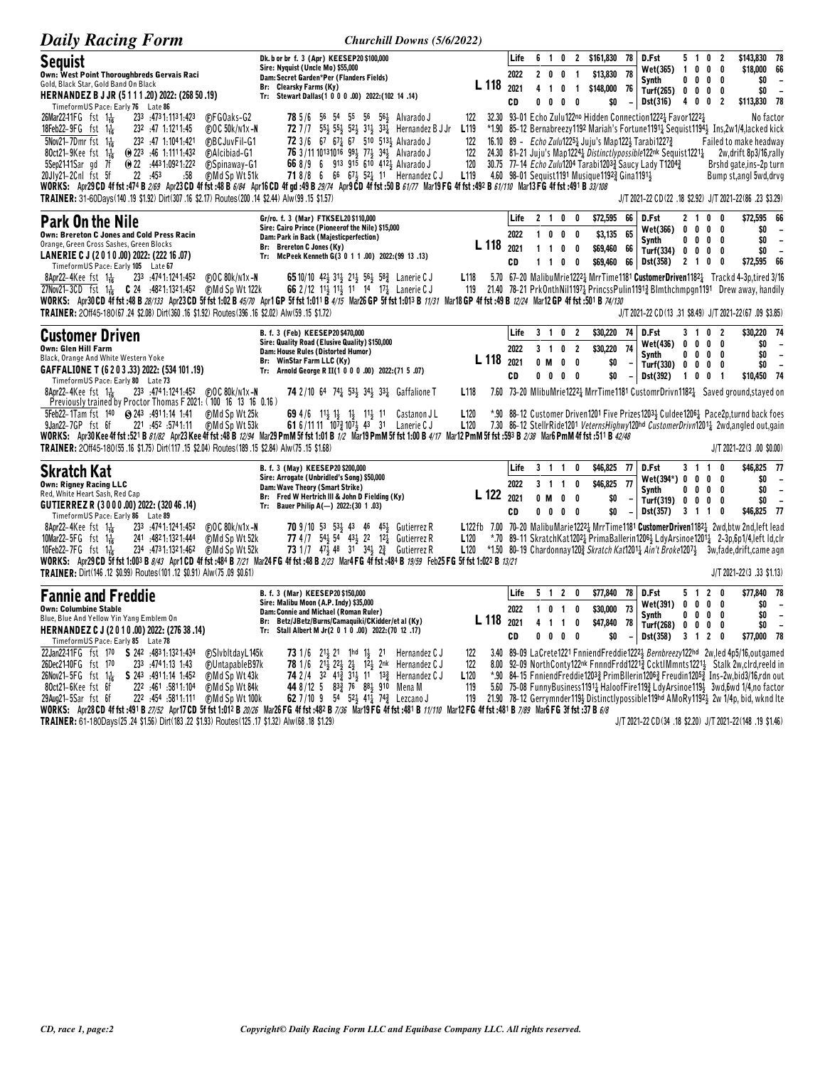| <b>Daily Racing Form</b>                                                                                                                                                                                                                                                                                                                                                                                                                                                                                                                                                                                                               | Churchill Downs (5/6/2022)                                                                                                                                                                                                                                                                                                                                                            |                                         |                            |                     |                                  |                                                                           |                                                                          |                                                            |                                                                                                                                                                                                |                                                    |                                               |                            |                                                                                                                                                                                                                                                                                                                                                                                                         |
|----------------------------------------------------------------------------------------------------------------------------------------------------------------------------------------------------------------------------------------------------------------------------------------------------------------------------------------------------------------------------------------------------------------------------------------------------------------------------------------------------------------------------------------------------------------------------------------------------------------------------------------|---------------------------------------------------------------------------------------------------------------------------------------------------------------------------------------------------------------------------------------------------------------------------------------------------------------------------------------------------------------------------------------|-----------------------------------------|----------------------------|---------------------|----------------------------------|---------------------------------------------------------------------------|--------------------------------------------------------------------------|------------------------------------------------------------|------------------------------------------------------------------------------------------------------------------------------------------------------------------------------------------------|----------------------------------------------------|-----------------------------------------------|----------------------------|---------------------------------------------------------------------------------------------------------------------------------------------------------------------------------------------------------------------------------------------------------------------------------------------------------------------------------------------------------------------------------------------------------|
| <b>Sequist</b><br>Own: West Point Thoroughbreds Gervais Raci<br>Gold, Black Star, Gold Band On Black<br>HERNANDEZ B J JR (5111.20) 2022: (268 50.19)<br>TimeformUS Pace: Early 76 Late 86<br>$26$ Mar22-11FG fst $1\frac{1}{16}$<br>233 4731.1131.423<br><b>C</b> FGOaks-G2<br>18Feb22-9FG fst $1\frac{1}{16}$<br>232 .47 1.1211.45<br>(F)OC 50k/n1x-N<br>$5$ Nov21-7Dmr fst 1 $\frac{1}{16}$<br>232 :47 1:1041:421<br><b>CBCJuvFil-G1</b>                                                                                                                                                                                             | Dk. b or br f. 3 (Apr) KEESEP20 \$100,000<br>Sire: Nyquist (Uncle Mo) \$55,000<br>Dam: Secret Garden*Per (Flanders Fields)<br>Br: Clearsky Farms (Ky)<br>Tr: Stewart Dallas(1 0 0 0 .00) 2022:(102 14 .14)<br>78 5/6 56 54 55 56 563 Alvarado J<br>72 7/7 553 553 523 313 333 Hernandez B J Jr<br>72 3/6 67 67 67 510 513 Alvarado J                                                  | L 118<br>122<br>L <sub>119</sub><br>122 | Life<br>2022<br>2021<br>CD | 2 <sub>0</sub><br>0 | 4 1 0<br>$\mathbf{0}$            | 0<br>0<br>- 0                                                             | 6 1 0 2 \$161,830<br>\$13,830<br>$\overline{1}$<br>1 \$148,000 76<br>\$0 | 78<br>78<br>$\overline{\phantom{a}}$                       | D.Fst<br>Wet(365)<br>Synth<br>Turf(265) $0 \t 0 \t 0 \t 0$<br>Dst(316)<br>32.30 93-01 Echo Zulu122no Hidden Connection12221 Favor12221<br>16.10 89 - Echo Zulu12251 Juju's Map1221 Tarabi12273 | 5 1 0 2<br>$\mathbf{1}$<br>0<br>4 0 0              | 0 <sub>0</sub><br>$0\quad 0$                  | 0<br>0<br>$\overline{2}$   | \$143,830 78<br>\$18,000 66<br>SO.<br>$\overline{\phantom{a}}$<br>\$0<br>$\sim$<br>\$113,830 78<br>No factor<br>*1.90 85–12 Bernabreezy1192 Mariah's Fortune1191 <sup>1</sup> Sequist1194 <sup>1</sup> Ins,2w1/4,lacked kick<br>Failed to make headway                                                                                                                                                  |
| 80ct21-9Kee fst $1\frac{1}{16}$<br>$\omega$ 223 :46 1:1111:432<br><b>CAlcibiad-G1</b><br>5Sep2141Sar gd 7f<br>$\omega$ 22 :4431:0921:222<br><b>C</b> Spinaway-G1<br>20Jlv21-2Cnl fst 5f<br>22 453<br>:58<br><b>CMd Sp Wt 51k</b><br>WORKS: Apr29 CD 4f fst :474 B 2/69 Apr23 CD 4f fst :48 B 6/84 Apr16 CD 4f qd :49 B 29/74 Apr9 CD 4f fst :50 B 61/77 Mar19 FG 4f fst :492 B 61/110 Mar13 FG 4f fst :491 B 33/108<br>TRAINER: 31-60Days(140.19 \$1.92) Dirt(307.16 \$2.17) Routes(200.14 \$2.44) Alw(99.15 \$1.57)                                                                                                                   | 76 3/11 10131016 991 771 341 Alvarado J<br>66 8/9 6 913 915 610 412} Alvarado J<br><b>71</b> 8/8 6 66 67 $\frac{1}{2}$ 52 $\frac{1}{4}$ 11 Hernandez C J                                                                                                                                                                                                                              | 122<br>120<br>L <sub>119</sub>          |                            |                     |                                  |                                                                           | 4.60 98-01 Sequist1191 Musique11923 Gina11911                            |                                                            | 30.75 77-14 Echo Zulu1204 Tarabi12033 Saucy Lady T12043                                                                                                                                        |                                                    |                                               |                            | 24.30 81-21 Juju's Map1224 <sup>1</sup> Distinctlypossible122nk Sequist1221 <sup>1</sup> 2w, drift 8p3/16, rally<br>Brshd gate, ins-2p turn<br>Bump st, angl 5wd, drvg<br>J/T 2021-22 CD (22 .18 \$2.92) J/T 2021-22 (86 .23 \$3.29)                                                                                                                                                                    |
| <b>Park On the Nile</b><br>Own: Brereton C Jones and Cold Press Racin<br>Orange, Green Cross Sashes, Green Blocks<br>LANERIE C J (2010.00) 2022: (222 16.07)<br>Timeform US Pace: Early 105 Late 67<br>233 474 1:124 1:452<br>8Apr22-4Kee fst $1\frac{1}{16}$<br>$F$ OC 80 $k$ /n1x-N<br>27Nov21-3CD fst 11 C 24 :4821:1321:452 (F)Md Sp Wt 122k<br>WORKS: Apr30CD 4f fst:48 B 28/133 Apr23CD 5f fst 1:02 B 45/70 Apr1 GP 5f fst 1:011 B 4/15 Mar26 GP 5f fst 1:013 B 11/31 Mar18 GP 4f fst :49 B 12/24 Mar12 GP 4f fst :501 B 74/130<br>TRAINER: 2Off45-180(67.24 \$2.08) Dirt(360.16 \$1.92) Routes(396.16 \$2.02) Alw(59.15 \$1.72) | Gr/ro. f. 3 (Mar) FTKSEL20 \$110,000<br>Sire: Cairo Prince (Pioneerof the Nile) \$15,000<br>Dam: Park in Back (Majesticperfection)<br>Br: Brereton C Jones (Ky)<br>Tr: McPeek Kenneth G(3 0 1 1 .00) 2022: (99 13 .13)<br><b>65</b> 10/10 42 $\frac{1}{2}$ 31 $\frac{1}{2}$ 21 $\frac{1}{2}$ 56 $\frac{1}{2}$ 58 $\frac{3}{4}$ Lanerie C J<br>66 2/12 113 113 11 14 17 14 Lanerie C J | L 118<br>L <sub>118</sub>               | Life<br>2022<br>2021<br>CD |                     | 100<br>110<br>$1\quad1\quad0$    | 2 1 0 0<br>0                                                              | \$72,595<br>\$3,135<br>\$69,460 66<br>0<br>\$69,460<br>0                 | 66<br>65<br>66                                             | D.Fst<br>Wet(366)<br>Synth<br>Turf(334) 0 0 0 0<br>Dst(358)                                                                                                                                    | 2 <sub>1</sub><br>0<br>$0\ 0\ 0\ 0$<br>$2 \t1 \t0$ | $0\quad 0$                                    | $0\quad 0$<br>- 0<br>0     | \$72,595 66<br>\$0<br>$\overline{\phantom{a}}$<br>\$0<br>$\overline{\phantom{a}}$<br>\$0<br>$\overline{\phantom{a}}$<br>\$72,595 66<br>5.70 67-20 Malibu Mrie1222 MrrTime1181 Customer Driven1182 Trackd 4-3p, tired 3/16<br>119 21.40 78-21 PrkOnthNil1197 <sub>4</sub> PrincssPulin1191 <sub>4</sub> Blmthchmpgn1191 Drew away, handily<br>J/T 2021-22 CD (13 .31 \$8.49) J/T 2021-22 (67 .09 \$3.85) |
| <b>Customer Driven</b><br><b>Own: Glen Hill Farm</b><br>Black, Orange And White Western Yoke<br>GAFFALIONE T (6 2 0 3 .33) 2022: (534 101 .19)<br>TimeformUS Pace: Early 80 Late 73<br>8Apr22-4Kee fst $1\frac{1}{16}$<br>Previously trained by Proctor Thomas F 2021: (100 16 13 16 0.16)                                                                                                                                                                                                                                                                                                                                             | B. f. 3 (Feb) KEESEP20 \$470,000<br>Sire: Quality Road (Elusive Quality) \$150,000<br>Dam: House Rules (Distorted Humor)<br>Br: WinStar Farm LLC (Ky)<br>Arnold George R II(1 0 0 0 .00) 2022:(71 5 .07)<br>Tr:<br><b>74</b> 2/10 64 74 <sup>2</sup> 53 <sup>1</sup> / <sub>3</sub> 34 <sup>2</sup> / <sub>3</sub> 34 <sup>2</sup> Gaffalione T                                       | L <sub>118</sub><br>L <sub>118</sub>    | Life<br>2022<br>2021<br>CD |                     | 3 1 0<br>0 M                     | 3 1 0 2<br>$\overline{2}$<br>$\mathbf 0$<br>0<br>$0\quad 0\quad 0\quad 0$ | \$30,220<br>\$30,220<br>\$0<br>\$0                                       | 74<br>74<br>-<br>$\overline{\phantom{a}}$                  | D.Fst<br>Wet(436)<br>Svnth<br>Turf(330)<br>Dst(392)                                                                                                                                            | 3 1 0 2<br>0<br>0<br>0<br>100                      | $0\quad 0$<br>$0\quad 0\quad 0$<br>$0\quad 0$ | - 0<br>0<br>$\overline{1}$ | \$30,220 74<br>\$0<br>$\overline{\phantom{a}}$<br>\$0<br>$\blacksquare$<br>\$0<br>$\overline{\phantom{a}}$<br>\$10,450 74<br>7.60 73-20 MlibuMrie12221 MrrTime1181 CustomrDrivn11821 Saved ground, stayed on                                                                                                                                                                                            |
| 5Feb22-1Tam fst 140 8 243 :4911:14 1:41<br>(F)Md Sp Wt 25k<br>9Jan22-7GP fst 6f<br>11:11 452 5741.11<br>(F)Md Sp Wt 53k<br>WORKS: Apr30 Kee 4f fst :521 B 81/82 Apr23 Kee 4f fst :48 B 12/94 Mar29 PmM 5f fst 1:01 B 1/2 Mar19 PmM 5f fst 1:00 B 4/17 Mar12 PmM 5f fst :593 B 2/38 Mar6 PmM 4f fst :511 B 42/48<br>TRAINER: 20ff45-180(55.16 \$1.75) Dirt(117.15 \$2.04) Routes(189.15 \$2.84) Alw(75.15 \$1.68)                                                                                                                                                                                                                       | <b>69</b> 4/6 11 <sup>1</sup> / <sub>3</sub> 1 <sup>1</sup> / <sub>3</sub> 1 <sup>1</sup> / <sub>3</sub> 1 <sup>1</sup><br>Castanon J L<br>61 6/11 11 107 407 43 31 Lanerie C J                                                                                                                                                                                                       | L <sub>120</sub><br>L120                |                            |                     |                                  |                                                                           |                                                                          |                                                            |                                                                                                                                                                                                |                                                    |                                               |                            | *.90 88–12 Customer Driven1201 Five Prizes12034 Culdee12064 Pace2p,turnd back foes<br>7.30 86-12 StellrRide1201 VeternsHighwy120hd CustomerDrivn12011 2wd.angled out.gain<br>J/T 2021-22(3.00 \$0.00)                                                                                                                                                                                                   |
| Skratch Kat<br><b>Own: Rigney Racing LLC</b><br>Red, White Heart Sash, Red Cap<br>GUTIERREZ R (3000.00) 2022: (320 46.14)<br>TimeformUS Pace: Early 86 Late 89                                                                                                                                                                                                                                                                                                                                                                                                                                                                         | B. f. 3 (May) KEESEP20 \$200,000<br>Sire: Arrogate (Unbridled's Song) \$50,000<br>Dam: Wave Theory (Smart Strike)<br>Br: Fred W Hertrich III & John D Fielding (Ky)<br>Tr: Bauer Philip A(-) 2022: (30 1.03)                                                                                                                                                                          | L 122 2021                              | Life<br>2022<br>CD         | 0 M                 | 3 1 1<br>3 1 1                   | 0<br>0<br>0<br>$0\ 0\ 0\ 0$                                               | \$46,825<br>0<br>\$46,825 77<br>\$0<br>\$0                               | 77<br>$\overline{\phantom{a}}$<br>$\overline{\phantom{a}}$ | D.Fst<br>$Wet(394*) 0 0 0 0$<br>Synth<br>Turf(319) 0 0 0 0<br>$Dist(357)$ 3 1 1 0                                                                                                              | 3 1 1 0<br>$0\quad 0\quad 0\quad 0$                |                                               |                            | \$46,825 77<br>\$0<br>$\overline{\phantom{a}}$<br>\$0<br>$\overline{\phantom{a}}$<br>\$0<br>$\overline{\phantom{a}}$<br>\$46,825 77                                                                                                                                                                                                                                                                     |
| 8Apr22-4Kee fst $1\frac{1}{16}$<br>233 .4741.1241.452<br>(F)OC 80k/n1x-N<br>10Mar22-5FG $fst = 1\frac{1}{16}$<br>241 :4821:1321:444<br>(F)Md Sp Wt 52k<br>234 473 1:132 1:462<br>Md Sp Wt 52k<br>10Feb22-7FG $5t$ 1.1<br>WORKS: Apr29 CD 5f fst 1:003 B 8/43 Apr1 CD 4f fst :484 B 7/21 Mar24 FG 4f fst :48 B 2/23 Mar4 FG 4f fst :484 B 19/59 Feb25 FG 5f fst 1:022 B 13/21<br>TRAINER: Dirt(146 .12 \$0.99) Routes(101 .12 \$0.91) Alw(75 .09 \$0.61)                                                                                                                                                                                | 70 9/10 53 533 43 46 453 Gutierrez R<br><b>77</b> 4/7 54 $\frac{1}{2}$ 54 43 $\frac{1}{2}$ 22 12 $\frac{1}{4}$ Gutierrez R<br>73 1/7 474 48 31 344 23 Gutierrez R                                                                                                                                                                                                                     | L <sub>120</sub><br>L120                |                            |                     |                                  |                                                                           |                                                                          |                                                            |                                                                                                                                                                                                |                                                    |                                               |                            | L122fb 7.00 70-20 Malibu Marie 1222 MrrTime 1181 Customer Driven 1182 2 2 wd, btw 2nd, left lead<br>*.70 89-11 SkratchKat12021 PrimaBallerin12061 LdyArsinoe12011 2-3p.6p1/4.left ld.clr<br>*1.50 80–19 Chardonnay1203 Skratch Kat12011 Ain't Broke12071 3w,fade,drift,came agn<br>J/T 2021-22(3.33 \$1.13)                                                                                             |
| <b>Fannie and Freddie</b><br><b>Own: Columbine Stable</b><br>Blue, Blue And Yellow Yin Yang Emblem On<br>HERNANDEZ C J (2010.00) 2022: (276 38 .14)<br>TimeformUS Pace: Early 85 Late 78                                                                                                                                                                                                                                                                                                                                                                                                                                               | B. f. 3 (Mar) KEESEP20 \$150,000<br>Sire: Malibu Moon (A.P. Indy) \$35,000<br>Dam: Connie and Michael (Roman Ruler)<br>Betz/JBetz/Burns/Camaquiki/CKidder/et al (Ky)<br>Br:<br>Tr: Stall Albert M Jr(2 0 1 0 .00) 2022: (70 12 .17)                                                                                                                                                   | L 118                                   | Life<br>2022<br>2021<br>CD | $1\quad 0$<br>0     | 5 1 2<br>4 1 1<br>0 <sub>0</sub> | 1 0                                                                       | \$77,840<br>0<br>\$30,000 73<br>\$47,840 78<br>0<br>0<br>\$0             | 78<br>$\sim$                                               | D.Fst<br>Wet(391)<br>Synth<br>Turf(268)<br>Dst(358)                                                                                                                                            | 5 1 2 0<br>$0\ 0\ 0\ 0$<br>0<br>0<br>3 1 2         | $0\quad 0\quad 0$<br>$0\quad 0$               | 0<br>0                     | \$77,840 78<br>\$0<br>$\overline{\phantom{0}}$<br>\$0<br>$\overline{\phantom{a}}$<br>\$0<br>$\overline{\phantom{a}}$<br>\$77,000 78                                                                                                                                                                                                                                                                     |
| 22Jan2241FG fst 170 S 242 :4831:1321:434<br><b>CSIvbitdayL145k</b><br>26Dec2140FG fst 170<br>233 :4741:13 1:43<br>(F)UntapableB97k<br>26Nov21-5FG fst $1\frac{1}{16}$<br>S 243 :4911:14 1:452<br><b>CMd Sp Wt 43k</b><br>222 .461 .5811.104<br>80ct21-6Kee fst 6f<br><b>FMd Sp Wt 84k</b>                                                                                                                                                                                                                                                                                                                                              | <b>73</b> 1/6 21 $\frac{1}{2}$ 21 1hd 1 $\frac{1}{2}$ 21<br>Hernandez C J<br>78 1/6 213 223 23 123 2nk Hernandez CJ<br>74 2/4 32 41 $\frac{3}{4}$ 3 <sup>1</sup> <sub>2</sub> 1 <sup>1</sup> 13 <sub>4</sub> Hernandez C J<br>44 8/12 5 833 76 884 910 Mena M                                                                                                                         | 122<br>122<br>L <sub>120</sub><br>119   |                            |                     |                                  |                                                                           |                                                                          |                                                            |                                                                                                                                                                                                |                                                    |                                               |                            | 3.40 89-09 LaCrete1221 FnniendFreddie12223 Bernbreezy122hd 2w, led 4p5/16, outgamed<br>8.00 92-09 NorthConty122nk FnnndFrdd1221} CcktlMmnts1221} Stalk 2w,clrd,reeld in<br>*.90 84-15 FnniendFreddie1203} PrimBllerin1206} Freudin1205} Ins-2w,bid3/16,rdn out<br>5.60 75-08 FunnyBusiness11914 HaloofFire1192 LdvArsinoe1194 3wd.6wd 1/4.no factor                                                     |

22 (464 1000 114, 10 1000 114, 10 1000 114, 10 1000 114, 10 1000 114, 10 1000 114, 10 1000 114, 10 1000 114, 10 1000 114, 10 1000 114, 10 1000 114, 10 1000 114, 10 1000 114, 10 1000 114, 10 1000 114, 10 1000 114, 10 1000 1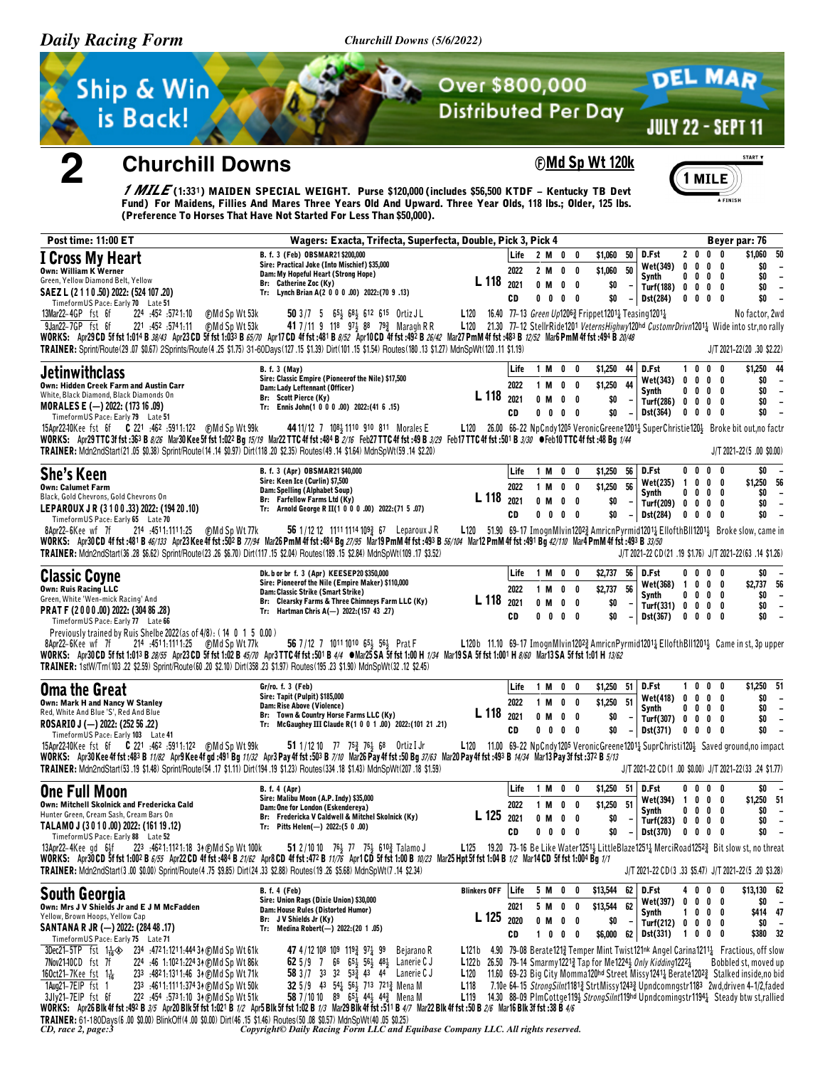Churchill Downs (5/6/2022)



# $\bf{2}$

## **Churchill Downs**

### **©Md Sp Wt 120k**



/ MILE(1:331) MAIDEN SPECIAL WEIGHT. Purse \$120,000 (includes \$56,500 KTDF - Kentucky TB Devt Fund) For Maidens, Fillies And Mares Three Years Old And Upward. Three Year Olds, 118 lbs.; Older, 125 lbs.<br>(Preference To Horses That Have Not Started For Less Than \$50,000).

| <b>Post time: 11:00 ET</b>                                                                                                                                                                                                                                                                                                                                                                                                                                                                                                                                                                                                                                                 | Wagers: Exacta, Trifecta, Superfecta, Double, Pick 3, Pick 4                                                                                                                                                                                                                                                            |                                                                                                                                                                                               |                            |                          |                                                     |                                           |                                                    |                                                                                      |                  |                                                                            |            | Beyer par: 76                                                                                                                                                                                                                                                                                                                                                                                                                                       |
|----------------------------------------------------------------------------------------------------------------------------------------------------------------------------------------------------------------------------------------------------------------------------------------------------------------------------------------------------------------------------------------------------------------------------------------------------------------------------------------------------------------------------------------------------------------------------------------------------------------------------------------------------------------------------|-------------------------------------------------------------------------------------------------------------------------------------------------------------------------------------------------------------------------------------------------------------------------------------------------------------------------|-----------------------------------------------------------------------------------------------------------------------------------------------------------------------------------------------|----------------------------|--------------------------|-----------------------------------------------------|-------------------------------------------|----------------------------------------------------|--------------------------------------------------------------------------------------|------------------|----------------------------------------------------------------------------|------------|-----------------------------------------------------------------------------------------------------------------------------------------------------------------------------------------------------------------------------------------------------------------------------------------------------------------------------------------------------------------------------------------------------------------------------------------------------|
| I Cross My Heart<br><b>Own: William K Werner</b><br>Green, Yellow Diamond Belt, Yellow<br>SAEZ L (2 1 1 0 .50) 2022: (524 107 .20)                                                                                                                                                                                                                                                                                                                                                                                                                                                                                                                                         | B. f. 3 (Feb) OBSMAR21 \$200,000<br>Sire: Practical Joke (Into Mischief) \$35,000<br>Dam: My Hopeful Heart (Strong Hope)<br>Br: Catherine Zoc (Ky)<br>Tr: Lynch Brian A(2 0 0 0 .00) 2022: (70 9 .13)                                                                                                                   | L 118 2021                                                                                                                                                                                    | Life<br>2022<br><b>CD</b>  | 2 M 0 0<br>$0$ M         | 2 M 0 0<br>$0\quad 0$                               | \$1,060<br>\$1,060<br>\$0                 | 50<br>50<br>$\overline{\phantom{a}}$               | D.Fst<br>Wet(349) 0<br>Synth<br>Turf(188) 0 0 0 0                                    | 0                | 2000<br>$0\quad 0\quad 0$<br>$0\quad 0\quad 0$<br>$0\quad 0\quad 0\quad 0$ |            | 50<br>\$1,060<br>\$0<br>$\overline{\phantom{a}}$<br>\$0<br>$\overline{\phantom{a}}$<br>\$0<br>$\overline{\phantom{a}}$<br>\$0<br>$\blacksquare$                                                                                                                                                                                                                                                                                                     |
| TimeformUS Pace: Early 70 Late 51<br>13Mar22-4GP fst 6f<br>224 :452 :5721:10<br>⊕Md Sp Wt 53k<br>9Jan22-7GP fst 6f<br>221 .452 .5741.11<br>(F)Md Sp Wt 53k<br>WORKS: Apr29 CD 5f fst 1:014 B 38/43 Apr23 CD 5f fst 1:033 B 65/70 Apr17 CD 4f fst :481 B 8/52 Apr10 CD 4f fst :492 B 26/42 Mar27 PmM 4f fst :483 B 12/52 Mar6 PmM 4f fst :494 B 20/48<br>TRAINER: Sprint/Route(29.07 \$0.67) 2Sprints/Route(4.25 \$1.75) 31-60Days(127.15 \$1.39) Dirt(101.15 \$1.54) Routes(180.13 \$1.27) MdnSpWt(120.11 \$1.19)                                                                                                                                                          | 50 3/7 5 653 683 612 615 Ortiz JL<br>41 7/11 9 118 $97\frac{1}{2}$ 88 79 $\frac{3}{4}$ Maragh R R                                                                                                                                                                                                                       | L120 16.40 77-13 Green Up12063 Frippet12011 Teasing 12011                                                                                                                                     |                            | $0\quad 0$               | $0\quad 0$                                          | \$0                                       |                                                    | Dst(284)                                                                             |                  |                                                                            |            | No factor, 2wd<br>L120 21.30 77-12 StellrRide1201 VeternsHighwy120hd CustomrDrivn12011 Wide into str, no rally<br>J/T 2021-22(20.30 \$2.22)                                                                                                                                                                                                                                                                                                         |
| <b>Jetinwithclass</b><br>Own: Hidden Creek Farm and Austin Carr<br>White, Black Diamond, Black Diamonds On<br>MORALES E (-) 2022: (173 16 .09)<br>TimeformUS Pace: Early 79 Late 51<br>WORKS: Apr29 TTC 3f fst :363 B 8/26 Mar30 Kee 5f fst 1:022 Bg 15/19 Mar22 TTC 4f fst :484 B 2/16 Feb27 TTC 4f fst :49 B 3/29 Feb17 TTC 4f fst :501 B 3/30 OFeb10 TTC 4f fst :48 Bg 1/44<br>TRAINER: Mdn2ndStart(21.05 \$0.38) Sprint/Route(14.14 \$0.97) Dirt(118.20 \$2.35) Routes(49.14 \$1.64) MdnSpWt(59.14 \$2.20)                                                                                                                                                             | <b>B.</b> f. 3 (May)<br>Sire: Classic Empire (Pioneerof the Nile) \$17,500<br>Dam: Lady Leftennant (Officer)<br>Br: Scott Pierce (Ky)<br>Tr: Ennis John(1 0 0 0 .00) 2022: (41 6 .15)<br>44 11/12 7 108 4 1110 910 811 Morales E                                                                                        | L 118                                                                                                                                                                                         | Life<br>2022<br>2021<br>CD | $0$ M<br>$0\quad 0$      | 1 M 0 0<br>1 M 0 0<br>$0\quad 0$<br>$0\quad 0$      | \$1,250 44<br>\$1,250<br>\$0<br>\$O       | 44                                                 | D.Fst<br>Wet(343) 0 0 0 0<br>Synth<br>Turf(286) $0 \t 0 \t 0 \t 0$<br>Dst(364)       |                  | 1000<br>$0\ 0\ 0\ 0$<br>$0\quad 0\quad 0\quad 0$                           |            | \$1,250 44<br>\$0<br>$\overline{\phantom{a}}$<br>\$0<br>$\overline{\phantom{a}}$<br>\$0<br>$\overline{\phantom{a}}$<br>\$0<br>L120 26.00 66-22 NpCndy1205 VeronicGreene12011 SuperChristie1201 Broke bit out, no factr<br>$J/T 2021 - 22(5.00$ \$0.00)                                                                                                                                                                                              |
| <b>She's Keen</b><br><b>Own: Calumet Farm</b><br>Black, Gold Chevrons, Gold Chevrons On<br>LEPAROUX JR (3100.33) 2022: (194 20.10)<br>TimeformUS Pace: Early 65 Late 70<br>214 :4511:1111:25 (F)Md Sp Wt 77k<br>8Apr22-6Kee wf 7f<br>WORKS: Apr30 CD 4f fst :481 B 46/133 Apr23 Kee 4f fst :502 B 77/94 Mar26 PmM 4f fst :484 Bg 27/95 Mar19 PmM 4f fst :493 B 56/104 Mar12 PmM 4f fst :491 Bg 42/110 Mar4 PmM 4f fst :493 B 37/50<br>TRAINER: Mdn2ndStart(36 .28 \$6.62) Sprint/Route (23 .26 \$6.70) Dirt(117 .15 \$2.04) Routes (189 .15 \$2.84) MdnSpWt (109 .17 \$3.52)                                                                                               | B. f. 3 (Apr) OBSMAR21 \$40,000<br>Sire: Keen Ice (Curlin) \$7,500<br>Dam: Spelling (Alphabet Soup)<br>Br: Farfellow Farms Ltd (Ky)<br>Tr: Arnold George R II(1 0 0 0 .00) 2022:(71 5 .07)<br>56 1/12 12 1111 1114 109 $\frac{3}{4}$ 67 Leparoux JR                                                                     | L 118 2021                                                                                                                                                                                    | Life<br>2022<br>CD         | 1 M<br>0 M<br>$0\quad 0$ | 1 M O O<br>$0\quad 0$<br>$0\quad 0$<br>$0\quad 0$   | $$1,250$ 56<br>\$1,250 56<br>\$0<br>\$0   |                                                    | D.Fst<br>$Wet(235)$ 1 0 0 0<br>Synth<br>Turf(209) 0<br>$-$ Dst(284)                  |                  | $0\,0\,0\,0$<br>$0\,$ 0 $\,$ 0 $\,$ 0<br>$0\quad 0\quad 0$<br>$0\ 0\ 0\ 0$ |            | \$0<br>\$1,250 56<br>\$0<br>$\overline{\phantom{a}}$<br>\$0<br>$\overline{\phantom{a}}$<br>\$0<br>$\overline{\phantom{a}}$<br>L120 51.90 69-17 ImognMlvin12023 AmricnPyrmid12011 EllofthBll12011 Broke slow, came in<br>J/T 2021-22 CD(21 .19 \$1.76) J/T 2021-22(63 .14 \$1.26)                                                                                                                                                                    |
| <b>Classic Coyne</b><br><b>Own: Ruis Racing LLC</b><br>Green, White 'Wen-mick Racing' And<br>PRAT F (2000.00) 2022: (304 86.28)<br>TimeformUS Pace: Early 77 Late 66<br>Previously trained by Ruis Shelbe 2022 (as of 4/8): (14 0 1 5 0.00)<br>8Apr22-6Kee wf 7f 214 .4511.111.25 @MdSpWt77k<br>WORKS: Apr30CD 5f fst 1:013 B 28/55 Apr23CD 5f fst 1:02 B 45/70 Apr3TTC 4f fst :501 B 4/4 @Mar25SA 5f fst 1:00 H 1/34 Mar19SA 5f fst 1:001 H 8/60 Mar13SA 5f fst 1:01 H 13/62<br>TRAINER: 1stW/Tm(103 .22 \$2.59) Sprint/Route(60 .20 \$2.10) Dirt(358 .23 \$1.97) Routes(195 .23 \$1.90) MdnSpWt(32 .12 \$2.45)                                                           | Dk. b or br f. 3 (Apr) KEESEP20 \$350,000<br>Sire: Pioneerof the Nile (Empire Maker) \$110,000<br>Dam: Classic Strike (Smart Strike)<br>Br: Clearsky Farms & Three Chimneys Farm LLC (Ky)<br>Tr: Hartman Chris A(-) 2022: (157 43 .27)<br>56 7/12 7 1011 1010 654 564 Prat F                                            | L 118 2021                                                                                                                                                                                    | Life<br>2022<br>CD         | 1 M 0 0<br>0 M           | 1 M 0 0<br>$0\quad 0$<br>$0\quad 0\quad 0\quad 0$   | $$2,737$ 56<br>\$2,737<br>\$0<br>\$O      | 56                                                 | D.Fst<br>Wet(368) 1 0 0 0<br>Synth<br>Turf(331) 0<br>Dist(367) 0 0 0 0               |                  | $0\,$ 0 $\,$ 0 $\,$ 0<br>$0\,$ 0 $\,$ 0 $\,$ 0<br>$0\quad 0\quad 0$        |            | \$0<br>\$2,737 56<br>\$0<br>$\overline{\phantom{a}}$<br>\$0<br>$\overline{\phantom{a}}$<br>\$0<br>$\overline{\phantom{a}}$<br>L120b 11.10 69-17 ImognMlvin1202 $\frac{3}{4}$ AmricnPyrmid1201 $\frac{1}{4}$ EllofthBll1201 $\frac{1}{2}$ Came in st, 3p upper                                                                                                                                                                                       |
| <b>Oma the Great</b><br><b>Own: Mark H and Nancy W Stanley</b><br>Red, White And Blue 'S', Red And Blue<br>ROSARIO J (-) 2022: (252 56 .22)<br>Timeform US Pace: Early 103 Late 41<br>WORKS: Apr30 Kee 4f fst :483 B 11/82 Apr9 Kee 4f gd :491 Bg 11/32 Apr3 Pay 4f fst :503 B 7/10 Mar26 Pay 4f fst :50 Bg 37/63 Mar20 Pay 4f fst :493 B 14/34 Mar13 Pay 3f fst :372 B 5/13<br>TRAINER: Mdn2ndStart(53.19 \$1.48) Sprint/Route (54.17 \$1.11) Dirt(194.19 \$1.23) Routes(334.18 \$1.43) MdnSpWt(207.18 \$1.59)                                                                                                                                                            | Gr/ro. f. 3 (Feb)<br>Sire: Tapit (Pulpit) \$185,000<br>Dam: Rise Above (Violence)<br>Br: Town & Country Horse Farms LLC (Ky)<br>Tr: McGaughey III Claude R(1 0 0 1 .00) 2022: (101 21 .21)<br>51 1/12 10 77 753 761 68 Ortiz I Jr                                                                                       | L 118 2021                                                                                                                                                                                    | Life<br>2022<br>CD         | 0 M                      | 1 M 0 0<br>1 M 0 0<br>$0\quad 0$<br>$0\ 0\ 0\ 0$    | $$1,250$ 51<br>\$1,250 51<br>\$0<br>\$0   | $-1$                                               | D.Fst<br><b>Wet(418)</b><br>Synth<br>Turf(307) $0 \t 0 \t 0 \t 0$<br><b>Dst(371)</b> | 1<br>$\mathbf 0$ | 0<br>$0\quad 0\quad 0$<br>$0\,0\,0\,0$<br>$0\quad 0\quad 0\quad 0$         | $0\quad 0$ | \$1,250 51<br>\$0<br>$\overline{\phantom{a}}$<br>\$0<br>$\overline{\phantom{a}}$<br>\$0<br>$\overline{\phantom{a}}$<br>\$0<br>$\sim$<br>L120 11.00 69-22 NpCndy1205 VeronicGreene12011 SuprChristi1201 Saved ground, no impact<br>J/T 2021-22 CD(1 .00 \$0.00) J/T 2021-22(33 .24 \$1.77)                                                                                                                                                           |
| <b>One Full Moon</b><br>Own: Mitchell Skolnick and Fredericka Cald<br>Hunter Green, Cream Sash, Cream Bars On<br>TALAMO J (3010.00) 2022: (161 19.12)<br>TimeformUS Pace: Early 88 Late 52<br>13Apr22-4Kee gd 6}f 223 :4621:1121:18 34 (F) Md Sp Wt 100k<br>WORKS: Apr30 CD 5f fst 1:002 B 6/55 Apr22 CD 4f fst :484 B 21/62 Apr8 CD 4f fst :472 B 11/76 Apr1 CD 5f fst 1:00 B 10/23 Mar25 Hpt 5f fst 1:04 B 1/2 Mar14 CD 5f fst 1:004 Bg 1/1<br>TRAINER: Mdn2ndStart(3.00 \$0.00) Sprint/Route (4.75 \$9.85) Dirt(24.33 \$2.88) Routes(19.26 \$5.68) MdnSpWt(7.14 \$2.34)                                                                                                 | <b>B.</b> f. 4 (Apr)<br>Sire: Malibu Moon (A.P. Indy) \$35,000<br>Dam: One for London (Eskendereya)<br>Br: Fredericka V Caldwell & Mitchel Skolnick (Ky)<br>Tr: Pitts Helen(-) 2022: (5 0.00)<br>51 2/10 10 76 77 75 610 Talamo J                                                                                       | <b>L</b> 125 $_{2021}$                                                                                                                                                                        | Life<br>2022<br>CD         | 1 M<br>$0$ M             | 1 M 0 0<br>$0\quad 0$<br>$0\quad 0$<br>$0\ 0\ 0\ 0$ | \$1,250 51 D.Fst<br>\$1,250<br>\$0<br>\$O | - 51<br>$\overline{\phantom{a}}$<br>$\overline{a}$ | Wet(394) 1<br><b>Synth</b><br>Turf(283) $0 \t 0 \t 0 \t 0$<br>Dist(370) 0 0 0 0      | 0                | $0\ 0\ 0\ 0$<br>0<br>$0\quad 0\quad 0$                                     | $0\quad 0$ | \$O<br>$\overline{\phantom{a}}$<br>\$1,250 51<br>\$0<br>$\overline{\phantom{a}}$<br>\$0<br>$\overline{\phantom{a}}$<br>\$0<br>$\blacksquare$<br>L125 19.20 73-16 Be Like Water1251 <sub>2</sub> LittleBlaze1251 <sub>2</sub> MerciRoad1252 <sub>3</sub> Bit slow st, no threat<br>J/T 2021-22 CD(3 .33 \$5.47) J/T 2021-22(5 .20 \$3.28)                                                                                                            |
| South Georgia<br>Own: Mrs J V Shields Jr and E J M McFadden<br>Yellow, Brown Hoops, Yellow Cap<br>SANTANA R JR (-) 2022: (284 48 .17)<br>TimeformUS Pace: Early 75 Late 71                                                                                                                                                                                                                                                                                                                                                                                                                                                                                                 | <b>B. f. 4 (Feb)</b><br>Sire: Union Rags (Dixie Union) \$30,000<br>Dam: House Rules (Distorted Humor)<br>Br: J V Shields Jr (Ky)<br>Tr: Medina Robert(-) 2022:(20 1.05)                                                                                                                                                 | <b>Blinkers OFF</b><br>L 125 2020                                                                                                                                                             | Life<br>2021<br>CD         | 5 M 0<br>0 M             | 0<br>5 M O O<br>$0\quad 0$<br>$1 0 0 0$             | \$13,544<br>\$13,544<br>\$O<br>\$6,000    | 62                                                 | 62 D.Fst<br>Wet(397)<br>Synth<br>Turf(212) 0 0 0 0<br>62 Dst(331)                    |                  | 4000<br>$0\,0\,0\,0$<br>1000<br>100                                        | 0          | \$13,130 62<br>\$O<br>\$414 47<br>\$0<br>$\overline{\phantom{a}}$<br>\$380 32                                                                                                                                                                                                                                                                                                                                                                       |
| 3Dec21-5TP fst $1\frac{1}{16}$<br>234 .472 1:121 1:444 3↑ DMd Sp Wt 61k<br>7Nov2140CD fst 7f<br>224 :46 1:1021:224 34 (DMd Sp Wt 86k<br>160ct21-7Kee fst $1\frac{1}{16}$<br>233 :4821:1311:46 34 (DMd Sp Wt 71k)<br>1Aug21-7EIP fst 1<br>233 :4611:1111:374 34 (DMd Sp Wt 50k<br>222 :454 :5731:10 34 (F) Md Sp Wt 51k<br>3Jly21-7EIP fst 6f<br>WORKS: Apr26 Blk 4f fst :492 B 3/5 Apr20 Blk 5f fst 1:021 B 1/2 Apr5 Blk 5f fst 1:02 B 1/3 Mar29 Blk 4f fst :511 B 4/7 Mar22 Blk 4f fst :50 B 2/6 Mar16 Blk 3f fst :38 B 4/6<br>TRAINER: 61-180Days(6.00 \$0.00) BlinkOff(4.00 \$0.00) Dirt(46.15 \$1.46) Routes(50.08 \$0.57) MdnSpWt(40.05 \$0.25)<br>CD, race 2, page:3 | 47 4/12 108 109 1193 971 99<br>Bejarano R<br>62 5/9 7 66 653 563 483 Lanerie CJ<br>58 3/7 33 32 533 43 44 Lanerie CJ<br>32 5/9 43 541 561 713 7213 Mena M<br>58 7/10 10 89 65 $\frac{1}{4}$ 44 $\frac{1}{2}$ 44 $\frac{3}{4}$ Mena M<br>Copyright© Daily Racing Form LLC and Equibase Company LLC. All rights reserved. | <b>L122b</b> 26.50 79-14 Smarmy 1221 <sup>3</sup> / <sub>4</sub> Tap for Me1224 <sup>1</sup> / <sub>2</sub> Only Kidding 1222 <sup>1</sup> / <sub>4</sub><br>L120<br>L <sub>118</sub><br>L119 |                            |                          |                                                     |                                           |                                                    |                                                                                      |                  |                                                                            |            | L121b 4.90 79-08 Berate1213 Temper Mint Twist121 <sup>nk</sup> Angel Carina1211 <sub>4</sub> Fractious, off slow<br>Bobbled st, moved up<br>11.60 69-23 Big City Momma120hd Street Missy1241 <sup>1</sup> Berate1202 <sup>3</sup> Stalked inside,no bid<br>7.10e 64-15 StrongSilnt11813 StrtMissy12433 Upndcomngstr1183 2wd, driven 4-1/2, faded<br>14.30 88-09 PlmCottge119} StrongSilnt119hd Upndcomingstr1194 <sub>4</sub> Steady btw st,rallied |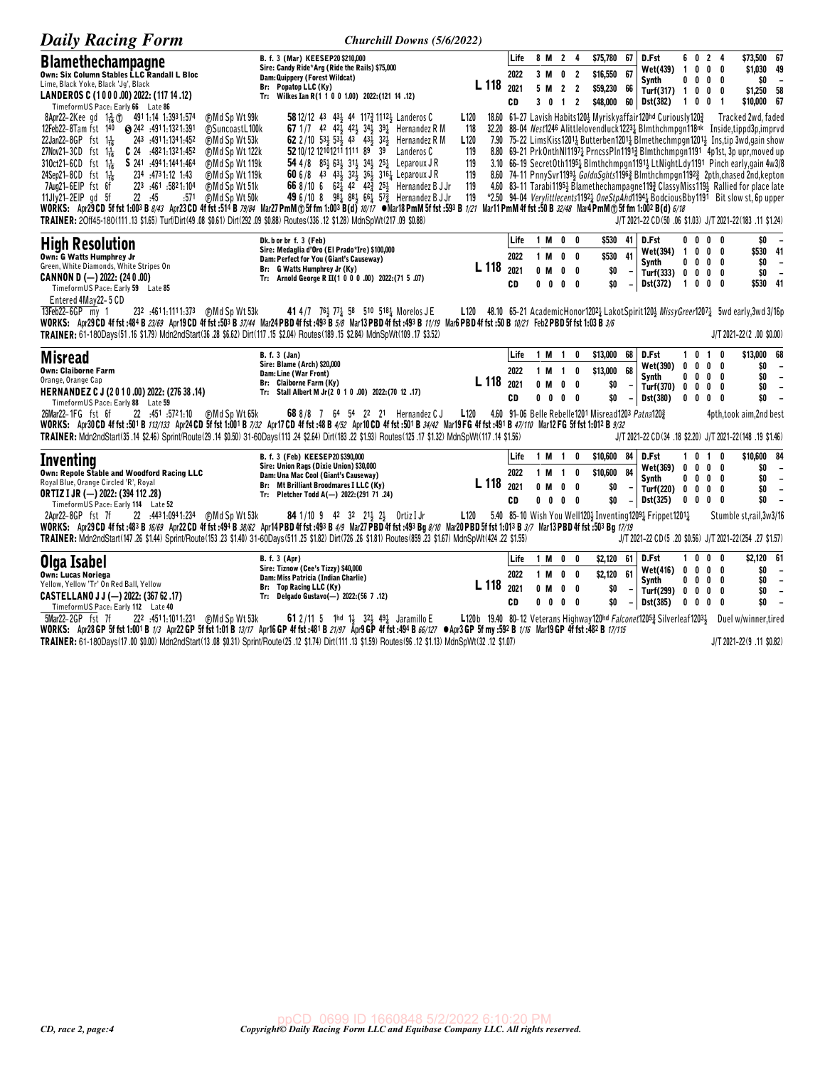| <b>Daily Racing Form</b>                                                                                                                                                               | Churchill Downs (5/6/2022)                                                                                                                                                                       |                  |                  |      |            |                                     |                                                    |                          |                                                                                                     |                          |                |                                        |                                                                                                                                                                       |                                    |
|----------------------------------------------------------------------------------------------------------------------------------------------------------------------------------------|--------------------------------------------------------------------------------------------------------------------------------------------------------------------------------------------------|------------------|------------------|------|------------|-------------------------------------|----------------------------------------------------|--------------------------|-----------------------------------------------------------------------------------------------------|--------------------------|----------------|----------------------------------------|-----------------------------------------------------------------------------------------------------------------------------------------------------------------------|------------------------------------|
| <b>Blamethechampagne</b>                                                                                                                                                               | B. f. 3 (Mar) KEESEP20 \$210,000                                                                                                                                                                 |                  |                  | Life |            | 8 M 2 4                             | \$75,780 67                                        |                          | D.Fst                                                                                               | 6 0 2 4                  |                |                                        | \$73,500 67                                                                                                                                                           |                                    |
| Own: Six Column Stables LLC Randall L Bloc                                                                                                                                             | Sire: Candy Ride*Arg (Ride the Rails) \$75,000<br>Dam: Quippery (Forest Wildcat)                                                                                                                 |                  |                  | 2022 |            | 3 M 0 2                             | \$16,550 67                                        |                          | Wet(439) 1 0 0 0                                                                                    |                          |                |                                        | \$1,030 49                                                                                                                                                            |                                    |
| Lime, Black Yoke, Black 'Jg', Black                                                                                                                                                    | Br: Popatop LLC (Ky)                                                                                                                                                                             |                  | L 118            | 2021 |            | 5 M 2 2                             | \$59,230 66                                        |                          | Synth                                                                                               | $0\quad 0\quad 0\quad$   |                | 0                                      | \$0<br>\$1,250 58                                                                                                                                                     | $\overline{\phantom{a}}$           |
| LANDEROS C (1000.00) 2022: (117 14.12)<br>TimeformUS Pace: Early 66 Late 86                                                                                                            | Tr: Wilkes Ian R(1 1 0 0 1.00) 2022: (121 14 .12)                                                                                                                                                |                  |                  | CD   |            | 3 0 1 2                             |                                                    |                          | Turf(317) $1 \t0 \t0$<br>\$48,000 60 Dst(382)                                                       | 1001                     |                | 0                                      | \$10,000 67                                                                                                                                                           |                                    |
| 8Apr22-2Kee gd 1-2 (1) 4911:14 1:3931:574<br>(F)Md Sp Wt 99k                                                                                                                           | 58 12/12 43 43 44 117 2112 Landeros C                                                                                                                                                            | L <sub>120</sub> |                  |      |            |                                     |                                                    |                          | 18.60 61-27 Lavish Habits 120 3 Myrisky affair 120hd Curiously 120 3                                |                          |                |                                        | Tracked 2wd, faded                                                                                                                                                    |                                    |
| <b>FSuncoastL100k</b><br>12Feb22-8Tam fst 140 @ 242 :4911:1321:391                                                                                                                     | 67 1/7 42 42 $\frac{1}{2}$ 42 $\frac{1}{2}$ 34 $\frac{1}{2}$ 39 $\frac{1}{4}$ Hernandez R M                                                                                                      | 118              | 32.20            |      |            |                                     |                                                    |                          |                                                                                                     |                          |                |                                        | 88-04 Nest1246 Alittlelovendluck12234 Blmthchmpgn118nk Inside,tippd3p,imprvd                                                                                          |                                    |
| 22Jan22-8GP fst $1\frac{1}{16}$<br>243 .4911.1341.452<br><b>CMd Sp Wt 53k</b>                                                                                                          | 62 2 / 10 $53\frac{1}{2}$ $53\frac{1}{2}$ $43$ $43\frac{1}{2}$ $32\frac{1}{2}$<br>Hernandez R M                                                                                                  | L <sub>120</sub> |                  |      |            |                                     |                                                    |                          |                                                                                                     |                          |                |                                        | 7.90 75-22 LimsKiss12014 Butterben12014 Blmethechmpgn12014 Instip 3wd.gain show                                                                                       |                                    |
| 27Nov21-3CD fst $1\frac{1}{16}$<br>$C$ 24 $.4821:1321:452$<br><b>@Md Sp Wt 122k</b><br>310ct21-6CD fst 1 <sup>1</sup> / <sub>16</sub><br>S 241 .4941.1441.464<br><b>CMd Sp Wt 119k</b> | 52 10/12 12101211 1111 89 39<br>Landeros C<br>54 4/8 $85\frac{1}{2}$ 63 $\frac{1}{2}$ 31 $\frac{1}{2}$ 34 $\frac{1}{2}$ 25 $\frac{1}{4}$ Leparoux JR                                             | 119<br>119       |                  |      |            |                                     |                                                    |                          |                                                                                                     |                          |                |                                        | 8.80 69-21 PrkOnthNI11974 PrncssPIn11914 Blmthchmpgn1191 4p1st, 3p upr, moved up<br>3.10 66-19 SecretOth11951 Blmthchmpgn11911 LtNightLdy1191 Pinch early, gain 4w3/8 |                                    |
| 24Sep21-8CD fst 1 <sup>1</sup> / <sub>16</sub><br>234 :4731:12 1:43<br>(F)Md Sp Wt 119k                                                                                                | 60 6/8 43 431 321 361 3161 Leparoux J R                                                                                                                                                          | 119              |                  |      |            |                                     |                                                    |                          |                                                                                                     |                          |                |                                        | 8.60 74-11 PnnySvr11994 GoldnSghts11963 Blmthchmpgn11923 2pth, chased 2nd, kepton                                                                                     |                                    |
| 223 :461 :5821:104<br>7Aug21-6EIP fst 6f<br>⊕Md Sp Wt 51k                                                                                                                              | 66 8/10 6 62 42 42 25 Hernandez B J Jr                                                                                                                                                           | 119              |                  |      |            |                                     |                                                    |                          |                                                                                                     |                          |                |                                        | 4.60 83-11 Tarabi11954 Blamethechampagne1193 ClassyMiss1194 Rallied for place late                                                                                    |                                    |
| $11$ J $ v21 - 2E P$ ad 5f<br>22 .45<br><b>CMd Sp Wt 50k</b><br>:571                                                                                                                   | 49 6/10 8 $98\frac{1}{4}$ 8 <sup>81</sup> / <sub>2</sub> 6 <sup>61</sup> / <sub>4</sub> 57 <sup>2</sup> / <sub>2</sub> Hernandez B J Jr                                                          | 119              |                  |      |            |                                     |                                                    |                          |                                                                                                     |                          |                |                                        | *2.50 94-04 Verylittlecents11921 OneStpAhd11941 BodciousBby1191 Bit slow st, 6p upper                                                                                 |                                    |
|                                                                                                                                                                                        | WORKS: Apr29 CD 5f fst 1:003 B 8/43 Apr23 CD 4f fst :514 B 79/84 Mar27 PmM @ 5f fm 1:003 B(d) 10/17 Whar 18 PmM 5f fst :593 B 1/21 Mar11 PmM 4f fst :50 B 32/48 Mar4 PmM @ 5f fm 1:002 B(d) 6/18 |                  |                  |      |            |                                     |                                                    |                          |                                                                                                     |                          |                |                                        |                                                                                                                                                                       |                                    |
| TRAINER: 20ff45-180(111.13 \$1.65) Turf/Dirt(49.08 \$0.61) Dirt(292.09 \$0.88) Routes(336.12 \$1.28) MdnSpWt(217.09 \$0.88)                                                            |                                                                                                                                                                                                  |                  |                  |      |            |                                     |                                                    |                          |                                                                                                     |                          |                |                                        | J/T 2021-22 CD(50 .06 \$1.03) J/T 2021-22(183 .11 \$1.24)                                                                                                             |                                    |
| <b>High Resolution</b>                                                                                                                                                                 | Dk. b or br f. 3 (Feb)<br>Sire: Medaglia d'Oro (El Prado*Ire) \$100,000                                                                                                                          |                  |                  | Life | 1 M        | $0\quad 0$                          | \$530                                              | 41                       | D.Fst                                                                                               | $0\ 0\ 0\ 0$             |                |                                        | \$0                                                                                                                                                                   | $\overline{\phantom{a}}$           |
| Own: G Watts Humphrey Jr                                                                                                                                                               | Dam: Perfect for You (Giant's Causeway)                                                                                                                                                          |                  |                  | 2022 | 1 M        | $0\quad 0$                          | \$530                                              | 41                       | Wet(394)<br>Synth                                                                                   | $\mathbf{1}$<br>0000     |                | $0\quad 0\quad 0$                      | \$530 41<br>\$0                                                                                                                                                       | $\overline{\phantom{a}}$           |
| Green, White Diamonds, White Stripes On<br>CANNON D (-) 2022: (240.00)                                                                                                                 | Br: G Watts Humphrey Jr (Ky)<br>Tr: Arnold George R II(1 0 0 0 .00) 2022:(71 5 .07)                                                                                                              |                  | L 118            | 2021 | $0$ M      | $0\quad 0$                          | \$0                                                |                          | Turf(333)                                                                                           | 0                        |                | $0\quad 0\quad 0$                      | \$0                                                                                                                                                                   | $\overline{\phantom{a}}$           |
| TimeformUS Pace: Early 59 Late 85                                                                                                                                                      |                                                                                                                                                                                                  |                  |                  | CD   |            | $0\quad 0\quad 0\quad 0$            | \$O                                                | $\overline{\phantom{a}}$ | Dst(372)                                                                                            | $\overline{1}$           | $0\quad 0$     | 0                                      | \$530 41                                                                                                                                                              |                                    |
| Entered 4May22-5 CD                                                                                                                                                                    |                                                                                                                                                                                                  |                  |                  |      |            |                                     |                                                    |                          |                                                                                                     |                          |                |                                        |                                                                                                                                                                       |                                    |
| 13Feb22-6GP my 1                                                                                                                                                                       | 41 4/7 76 3 77 4 58 510 518 4 Morelos J E                                                                                                                                                        |                  |                  |      |            |                                     |                                                    |                          |                                                                                                     |                          |                |                                        | L120 48.10 65-21 AcademicHonor1202 $\frac{1}{4}$ LakotSpirit120 $\frac{1}{2}$ MissyGreer1207 $\frac{1}{4}$ 5wd early, 3wd 3/16p                                       |                                    |
|                                                                                                                                                                                        | WORKS: Apr29 CD 4f fst :484 B 23/69 Apr19 CD 4f fst :503 B 37/44 Mar24 PBD 4f fst :493 B 5/8 Mar13 PBD 4f fst :493 B 11/19 Mar6 PBD 4f fst :50 B 10/21 Feb2 PBD 5f fst 1:03 B 3/6                |                  |                  |      |            |                                     |                                                    |                          |                                                                                                     |                          |                |                                        |                                                                                                                                                                       |                                    |
| TRAINER: 61-180Days(51.16 \$1.79) Mdn2ndStart(36.28 \$6.62) Dirt(117.15 \$2.04) Routes(189.15 \$2.84) MdnSpWt(109.17 \$3.52)                                                           |                                                                                                                                                                                                  |                  |                  |      |            |                                     |                                                    |                          |                                                                                                     |                          |                |                                        | $J/T 2021 - 22(2 .00 $0.00)$                                                                                                                                          |                                    |
|                                                                                                                                                                                        |                                                                                                                                                                                                  |                  |                  |      |            |                                     |                                                    |                          |                                                                                                     |                          |                |                                        |                                                                                                                                                                       |                                    |
|                                                                                                                                                                                        | <b>B.</b> f. 3 (Jan)                                                                                                                                                                             |                  |                  | Life | 1 M 1      | 0                                   | \$13,000                                           | 68                       | D.Fst                                                                                               | 0<br>1                   | $\overline{1}$ | 0                                      | \$13,000 68                                                                                                                                                           |                                    |
| <b>Misread</b>                                                                                                                                                                         | Sire: Blame (Arch) \$20,000                                                                                                                                                                      |                  |                  |      |            |                                     |                                                    |                          | Wet(390)                                                                                            | 0                        |                | $0\quad 0\quad 0$                      | \$0                                                                                                                                                                   | $\overline{\phantom{a}}$           |
| <b>Own: Claiborne Farm</b><br>Orange, Orange Cap                                                                                                                                       | Dam: Line (War Front)                                                                                                                                                                            |                  |                  | 2022 |            | 1 M 1 0                             | \$13,000                                           | 68                       | <b>Synth</b>                                                                                        | $0\ 0\ 0\ 0$             |                |                                        | \$0                                                                                                                                                                   | $\overline{\phantom{a}}$           |
| HERNANDEZ C J (2010.00) 2022: (276 38 .14)                                                                                                                                             | Br: Claiborne Farm (Ky)<br>Tr: Stall Albert M Jr(2 0 1 0 .00) 2022: (70 12 .17)                                                                                                                  |                  | L 118            | 2021 | 0 M        | $0\quad 0$                          | \$0                                                |                          | Turf(370)                                                                                           | $0\quad 0\quad 0\quad 0$ |                |                                        | \$0                                                                                                                                                                   | $\sim$                             |
| TimeformUS Pace: Early 88 Late 59                                                                                                                                                      |                                                                                                                                                                                                  |                  |                  | CD   |            | $0\quad 0\quad 0\quad 0$            | \$0                                                | $\overline{\phantom{a}}$ | Dst(380)                                                                                            | $0\quad 0\quad 0\quad$   |                | 0                                      | \$0                                                                                                                                                                   | $\overline{\phantom{a}}$           |
| 22.451.5721.10<br>(F)Md Sp Wt 65k<br>26Mar22-1FG fst 6f                                                                                                                                | 68 8/8 7 64 54 22 21 Hernandez CJ                                                                                                                                                                | L120             |                  |      |            |                                     | 4.60 91-06 Belle Rebelle1201 Misread1203 Patna1203 |                          |                                                                                                     |                          |                |                                        | 4pth,took aim,2nd best                                                                                                                                                |                                    |
|                                                                                                                                                                                        | WORKS: Apr30CD 4f fst :501 B 113/133 Apr24 CD 5f fst 1:001 B 7/32 Apr17 CD 4f fst :48 B 4/52 Apr10 CD 4f fst :501 B 34/42 Mar19 FG 4f fst :491 B 47/110 Mar12 FG 5f fst 1:012 B 9/32             |                  |                  |      |            |                                     |                                                    |                          |                                                                                                     |                          |                |                                        |                                                                                                                                                                       |                                    |
|                                                                                                                                                                                        | TRAINER: Mdn2ndStart(35.14 \$2.46) Sprint/Route(29.14 \$0.50) 31-60Days(113.24 \$2.64) Dirt(183.22 \$1.93) Routes(125.17 \$1.32) MdnSpWt(117.14 \$1.56)                                          |                  |                  |      |            |                                     |                                                    |                          |                                                                                                     |                          |                |                                        | J/T 2021-22 CD(34 .18 \$2.20) J/T 2021-22(148 .19 \$1.46)                                                                                                             |                                    |
| Inventing                                                                                                                                                                              | B. f. 3 (Feb) KEESEP20 \$390,000                                                                                                                                                                 |                  |                  | Life | 1 M        | -1<br>0                             | \$10,600                                           | 84                       | D.Fst                                                                                               | 101                      |                | 0                                      | \$10,600 84                                                                                                                                                           |                                    |
| Own: Repole Stable and Woodford Racing LLC                                                                                                                                             | Sire: Union Rags (Dixie Union) \$30,000<br>Dam: Una Mac Cool (Giant's Causeway)                                                                                                                  |                  |                  | 2022 |            | 1 M 1 0                             | \$10,600                                           | 84                       | Wet(369)                                                                                            | 0                        |                | $0\quad 0\quad 0$                      | \$0                                                                                                                                                                   | $\overline{\phantom{a}}$           |
| Royal Blue, Orange Circled 'R', Royal                                                                                                                                                  | Br: Mt Brilliant Broodmares I LLC (Ky)                                                                                                                                                           |                  | L 118            | 2021 | 0 M        | $0\quad 0$                          | \$0                                                |                          | <b>Synth</b><br>Turf(220) 0                                                                         | 0                        |                | $0\quad 0\quad 0$<br>$0\quad 0\quad 0$ | \$0<br>\$0                                                                                                                                                            | $\sim$<br>$\overline{\phantom{a}}$ |
| <b>ORTIZ I JR (-) 2022: (394 112 .28)</b>                                                                                                                                              | Tr: Pletcher Todd A(-) 2022:(291 71 .24)                                                                                                                                                         |                  |                  | CD   |            | $0\quad 0\quad 0\quad 0$            | \$0                                                | $\blacksquare$           | <b>Dst(325)</b>                                                                                     | $0\ 0\ 0\ 0$             |                |                                        | \$0                                                                                                                                                                   | $\sim$                             |
| TimeformUS Pace: Early 114 Late 52<br>2Apr22-8GP fst 7f<br>22 :443 1:094 1:234 (F) Md Sp Wt 53k                                                                                        | <b>84</b> 1/10 9 42 32 21 $\frac{1}{2}$ 2 0rtiz I Jr                                                                                                                                             |                  |                  |      |            |                                     |                                                    |                          |                                                                                                     |                          |                |                                        | Stumble st,rail, 3w3/16                                                                                                                                               |                                    |
|                                                                                                                                                                                        | WORKS: Apr29CD 4f fst :483 B 16/69 Apr22CD 4f fst :494 B 38/62 Apr14 PBD 4f fst :493 B 4/9 Mar27 PBD 4f fst :493 Bg 8/10 Mar20 PBD 5f fst 1:013 B 3/7 Mar13 PBD 4f fst :503 Bg 17/19             |                  |                  |      |            |                                     |                                                    |                          | L120 5.40 85-10 Wish You Well120 $\frac{1}{2}$ Inventing120 $\frac{91}{4}$ Frippet1201 <sup>1</sup> |                          |                |                                        |                                                                                                                                                                       |                                    |
|                                                                                                                                                                                        | TRAINER: Mdn2ndStart(147.26 \$1.44) Sprint/Route(153.23 \$1.40) 31-60Days(511.25 \$1.82) Dirt(726.26 \$1.81) Routes(859.23 \$1.67) MdnSpWt(424.22 \$1.55)                                        |                  |                  |      |            |                                     |                                                    |                          |                                                                                                     |                          |                |                                        | J/T 2021-22 CD (5 .20 \$0.56) J/T 2021-22 (254 .27 \$1.57)                                                                                                            |                                    |
|                                                                                                                                                                                        | <b>B. f. 3 (Apr)</b>                                                                                                                                                                             |                  |                  | Life | 1 M        | $0\quad 0$                          | \$2,120                                            | 61                       | D.Fst                                                                                               | $\mathbf{1}$             |                | $0\quad 0\quad 0$                      | \$2,120 61                                                                                                                                                            |                                    |
| Olga Isabel                                                                                                                                                                            | Sire: Tiznow (Cee's Tizzy) \$40,000                                                                                                                                                              |                  |                  |      |            |                                     |                                                    |                          | <b>Wet(416)</b>                                                                                     | 0                        |                | $0\quad 0\quad 0$                      | \$0                                                                                                                                                                   | $\overline{\phantom{0}}$           |
| <b>Own: Lucas Noriega</b><br>Yellow, Yellow 'Tr' On Red Ball, Yellow                                                                                                                   | Dam: Miss Patricia (Indian Charlie)                                                                                                                                                              |                  |                  | 2022 | 1 M        | $0\quad 0$                          | \$2,120 61                                         |                          | Synth                                                                                               | 0                        |                | $0\quad 0\quad 0$                      | \$0                                                                                                                                                                   | $\overline{\phantom{a}}$           |
| CASTELLANO J J (-) 2022: (367 62 .17)                                                                                                                                                  | Br: Top Racing LLC (Ky)<br>Tr: Delgado Gustavo(-) 2022: (56 7.12)                                                                                                                                |                  | L <sub>118</sub> | 2021 | 0 M        | $0\quad 0$                          | \$0                                                |                          | Turf(299) 0                                                                                         |                          |                | $0\quad 0\quad 0$                      | \$0                                                                                                                                                                   | $\overline{\phantom{a}}$           |
| TimeformUS Pace: Early 112 Late 40<br>5Mar22-2GP fst 7f<br>222 :4511:1011:231<br>⊕Md Sp Wt 53k                                                                                         | 61 2/11 5 1hd $1\frac{1}{2}$ 32 $\frac{1}{2}$ 49 $\frac{1}{4}$ Jaramillo E                                                                                                                       |                  |                  | CD   | $0\quad 0$ | $\begin{matrix} 0 & 0 \end{matrix}$ | \$0                                                | $\overline{\phantom{a}}$ | Dst(385)                                                                                            | 0                        | 0 <sub>0</sub> | 0                                      | \$0<br>L120b 19.40 80-12 Veterans Highway120hd Falconet12053 Silverleaf12033 Duel w/winner, tired                                                                     | $\sim$                             |

WORKS: Apr28 GP 5f fst 1:001 B 1/3 Apr22 GP 5f fst 1:01 B 13/17 Apr16 GP 4f fst :481 B 21/97 Apr9 GP 4f fst :494 B 66/127 OApr3 GP 5f my :592 B 1/16 Mar19 GP 4f fst :482 B 17/115 TRAINER: 61-180Days(17.00 \$0.00) Mdn2ndStar J/T 2021-22(9 .11 \$0.82)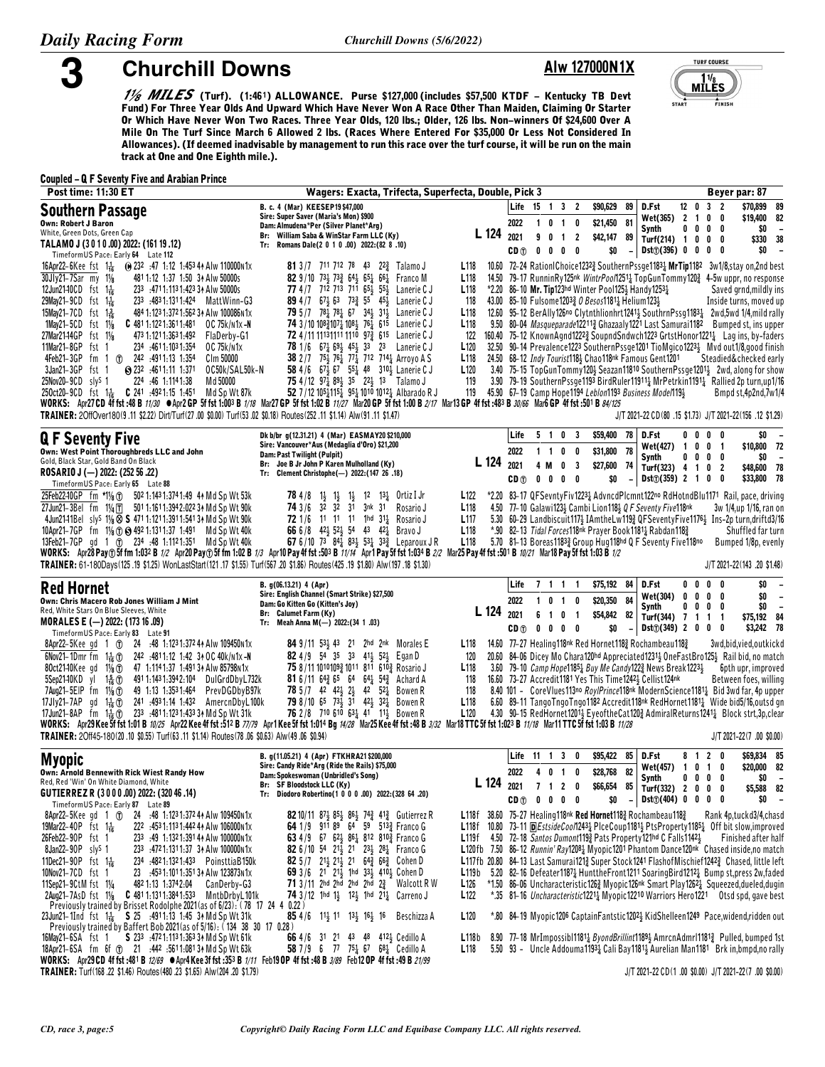5

## **Alw 127000N1X**



1/8 **MILES** (Turf). (1:461) ALLOWANCE. Purse \$127,000 (includes \$57,500 KTDF – Kentucky TB Devt<br>Fund) For Three Year Olds And Upward Which Have Never Won A Race Other Than Maiden, Claiming Or Starter Or Which Have Never Won Two Races. Three Year Olds, 120 lbs.; Older, 126 lbs. Non-winners Of \$24,600 Over A Mile On The Turf Since March 6 Allowed 2 lbs. (Races Where Entered For \$35,000 Or Less Not Considered In Allowances). (If deemed inadvisable by management to run this race over the turf course, it will be run on the main track at One and One Eighth mile.).

#### **Coupled - Q F Seventy Five and Arabian Prince**

**Churchill Downs** 

| <b>Post time: 11:30 ET</b>                                                                                                                                                                                                                                                                                                                                                                                                                                                                                                                                                                                                                                                                                                                                                                                                                                                                                                                                                                                                                                                                                                                                                                         | Wagers: Exacta, Trifecta, Superfecta, Double, Pick 3                                                                                                                                                                                                                                                                                                                                                                                                                                                                                                                                                                                                               |                                                                                                                                                                                                                  |                                 |                                                                                        |                               |                                                                                                                                   |                                                                                                                                                                                                                                         |             |                                              | Beyer par: 87                                                                                                                                                                                                                                                                                                                                                                                                                                                                                                                                                                                                                                                                                                                                                                                                                                                                                                             |
|----------------------------------------------------------------------------------------------------------------------------------------------------------------------------------------------------------------------------------------------------------------------------------------------------------------------------------------------------------------------------------------------------------------------------------------------------------------------------------------------------------------------------------------------------------------------------------------------------------------------------------------------------------------------------------------------------------------------------------------------------------------------------------------------------------------------------------------------------------------------------------------------------------------------------------------------------------------------------------------------------------------------------------------------------------------------------------------------------------------------------------------------------------------------------------------------------|--------------------------------------------------------------------------------------------------------------------------------------------------------------------------------------------------------------------------------------------------------------------------------------------------------------------------------------------------------------------------------------------------------------------------------------------------------------------------------------------------------------------------------------------------------------------------------------------------------------------------------------------------------------------|------------------------------------------------------------------------------------------------------------------------------------------------------------------------------------------------------------------|---------------------------------|----------------------------------------------------------------------------------------|-------------------------------|-----------------------------------------------------------------------------------------------------------------------------------|-----------------------------------------------------------------------------------------------------------------------------------------------------------------------------------------------------------------------------------------|-------------|----------------------------------------------|---------------------------------------------------------------------------------------------------------------------------------------------------------------------------------------------------------------------------------------------------------------------------------------------------------------------------------------------------------------------------------------------------------------------------------------------------------------------------------------------------------------------------------------------------------------------------------------------------------------------------------------------------------------------------------------------------------------------------------------------------------------------------------------------------------------------------------------------------------------------------------------------------------------------------|
| <b>Southern Passage</b><br><b>Own: Robert J Baron</b>                                                                                                                                                                                                                                                                                                                                                                                                                                                                                                                                                                                                                                                                                                                                                                                                                                                                                                                                                                                                                                                                                                                                              | B. c. 4 (Mar) KEESEP19 \$47,000<br>Sire: Super Saver (Maria's Mon) \$900<br>Dam: Almudena*Per (Silver Planet*Arg)                                                                                                                                                                                                                                                                                                                                                                                                                                                                                                                                                  |                                                                                                                                                                                                                  | 2022                            | Life 15 1 3 2<br>1 0 1 0                                                               |                               | \$90,629<br>89<br>81<br>\$21,450                                                                                                  | D.Fst<br>Wet(365) 2 1 0 0<br>Synth                                                                                                                                                                                                      | 0           | $12 \t0 \t3 \t2$<br>0 <sub>0</sub><br>0      | \$70,899<br>89<br>\$19,400<br>82<br>\$0<br>$\overline{\phantom{a}}$                                                                                                                                                                                                                                                                                                                                                                                                                                                                                                                                                                                                                                                                                                                                                                                                                                                       |
| White, Green Dots, Green Cap<br>TALAMO J (3010.00) 2022: (161 19.12)<br>TimeformUS Pace: Early 64 Late 112                                                                                                                                                                                                                                                                                                                                                                                                                                                                                                                                                                                                                                                                                                                                                                                                                                                                                                                                                                                                                                                                                         | Br: William Saba & WinStar Farm LLC (Ky)<br>Tr: Romans Dale(2 0 1 0 .00) 2022:(82 8 .10)                                                                                                                                                                                                                                                                                                                                                                                                                                                                                                                                                                           | L 124                                                                                                                                                                                                            | 2021<br>CD <sub>①</sub>         | 9<br>0<br>$\blacksquare$<br>$0\quad 0$                                                 | $\overline{2}$<br>$0\quad 0$  | \$42,147<br>89<br>\$0<br>$\overline{\phantom{a}}$                                                                                 | Turf(214) 1 0 0 0<br>Dist(7(396) 0 0 0 0                                                                                                                                                                                                |             |                                              | 38<br>\$330<br>\$0<br>$\overline{\phantom{a}}$                                                                                                                                                                                                                                                                                                                                                                                                                                                                                                                                                                                                                                                                                                                                                                                                                                                                            |
| 16Apr22-6Kee fst 1 <sup>1</sup> / <sub>16</sub> (a) 232 :47 1:12 1:453 4 Alw 110000 N1x<br>30Jly21-7Sar my 11/8<br>481 1:12 1:37 1:50 34 Alw 50000s<br>12Jun2140CD fst 1 <sup>1</sup> / <sub>16</sub><br>233 :4711:1131:423 34 Alw 50000s<br>29May21-9CD fst 1 <sup>1</sup> / <sub>16</sub><br>233 :4831:1311:424 MattWinn-G3<br>15May 21-7CD fst 13<br>484 1:123 1:372 1:562 34 Alw 100086N1x<br>1May21-5CD fst 11/8<br><b>C</b> 481 1:122 1:361 1:481 0C 75 $k/n1x - N$<br>27Mar21-14GP<br>fst $1\frac{1}{8}$<br>473 1:121 1:363 1:492    FlaDerby-G1<br>11Mar21-8GP fst 1<br>234 4611.1031.354<br>OC 75k/n1x<br>4Feb21-3GP fm 1 (f) 242 :4911:13 1:354<br>C1m 50000<br>3Jan21-3GP fst 1<br>$\bullet$ 232 :4611:11 1:371<br>OC50k/SAL50k-N<br>25Nov20-9CD sly <sup>S</sup> 1<br>224 :46 1:114 1:38<br>Md 50000<br>250ct20-9CD fst 1 $\frac{1}{16}$ C 241 :4921:15 1:451 Md Sp Wt 87k<br>WORKS: Apr27CD 4f fst :48 B 11/30 Apr2 GP 5f fst 1:003 B 1/18 Mar27 GP 5f fst 1:02 B 11/27 Mar20 GP 5f fst 1:00 B 2/17 Mar13 GP 4f fst :483 B 30/66 Mar6 GP 4f fst :501 B 84/125<br>TRAINER: 2OffOver180(9.11 \$2.22) Dirt/Turf(27.00 \$0.00) Turf(53.02 \$0.18) Routes(252.11 \$1.14) Alw(91.11 \$1.47) | <b>81</b> 3/7 711 712 78 43 22 <sup>3</sup> / <sub>2</sub> Talamo J<br>82 9/10 734 733 644 651 661 Franco M<br>77 4/7 712 713 711 65 <sup>1</sup> 55 <sup>1</sup> Lanerie C J<br>89 4/7 67 563 73 55 45 Lanerie C J<br><b>79</b> $5/7$ $78\frac{1}{4}$ $78\frac{1}{4}$ 67 $34\frac{1}{4}$ 31 Lanerie C J<br>74 3/10 108 $\frac{2}{4}$ 107 $\frac{1}{4}$ 108 $\frac{1}{4}$ 76 $\frac{1}{4}$ 615 Lanerie C J<br>72 4/11 11131111 1110 973 615 Lanerie CJ<br>78 1/6 67 5 69 45 53 23 Lanerie C J<br>38 2 / 7 75} 761 771 712 7141 Arroyo A S<br>58 4/6 67 567 55 48 310 Lanerie C J<br>75 4/12 97 89 35 22 13 Talamo J<br>52 7/12 1051151 951 1010 10121 Albarado R J | L <sub>118</sub><br>L <sub>118</sub><br>L <sub>118</sub><br>118<br>L <sub>118</sub><br>L <sub>118</sub><br>122<br>L <sub>120</sub><br>L <sub>118</sub><br>L <sub>120</sub><br>119                                |                                 |                                                                                        |                               | *2.20 86-10 Mr. Tip123hd Winter Pool125 $\frac{1}{2}$ Handy1253 $\frac{1}{4}$<br>43.00 85-10 Fulsome12033 0 Besos11811 Helium1231 | 24.50 68-12 Indy Tourist1182 Chao118nk Famous Gent1201<br>119 45.90 67-19 Camp Hope1194 Leblon1193 Business Model1193                                                                                                                   |             |                                              | 10.60 72-24 RationIChoice12323 SouthernPssge11831 MrTip1182 3w1/8, stay on, 2nd best<br>14.50 79-17 RunninRy125nk WintrPool12511 TopGunTommy1203 4-5w uppr, no response<br>Saved grnd, mildly ins<br>Inside turns, moved up<br>12.60 95-12 BerAlly126no Clytnthlionhrt1241 <sup>1</sup> / <sub>2</sub> SouthrnPssg118 <sup>31</sup> / <sub>4</sub> 2wd,5wd 1/4, mild rally<br>9.50 80-04 Masqueparade122113 Ghazaaly1221 Last Samurai1182 Bumped st, ins upper<br>160.40 75-12 KnownAgnd1222} SoupndSndwch1223 GrtstHonor12211 Lag ins, by-faders<br>32.50 90-14 Prevalence1223 SouthernPssge1201 TioMgico12231 Mvd out1/8,good finish<br>Steadied&checked early<br>3.40 75-15 TopGunTommy120} Seazan11810 SouthernPssge1201} 2wd, along for show<br>3.90 79-19 SouthernPssge1193 BirdRuler11911 MrPetrkin1191 Rallied 2p turn,up1/16<br>Bmpd st,4p2nd,7w1/4<br>J/T 2021-22 CD(80 .15 \$1.73) J/T 2021-22(156 .12 \$1.29) |
| <b>QF Seventy Five</b>                                                                                                                                                                                                                                                                                                                                                                                                                                                                                                                                                                                                                                                                                                                                                                                                                                                                                                                                                                                                                                                                                                                                                                             | Dk b/br g(12.31.21) 4 (Mar) EASMAY20 \$210,000<br>Sire: Vancouver*Aus (Medaglia d'Oro) \$21,200                                                                                                                                                                                                                                                                                                                                                                                                                                                                                                                                                                    |                                                                                                                                                                                                                  | Life                            | 5 <sub>1</sub>                                                                         | 0 <sub>3</sub>                | \$59,400<br>78                                                                                                                    | D.Fst<br>Wet(427) 1 0 0 1                                                                                                                                                                                                               |             | $0\,0\,0\,0$                                 | \$0<br>\$10,800 72                                                                                                                                                                                                                                                                                                                                                                                                                                                                                                                                                                                                                                                                                                                                                                                                                                                                                                        |
| Own: West Point Thoroughbreds LLC and John<br>Gold, Black Star, Gold Band On Black<br>ROSARIO J (-) 2022: (252 56 .22)                                                                                                                                                                                                                                                                                                                                                                                                                                                                                                                                                                                                                                                                                                                                                                                                                                                                                                                                                                                                                                                                             | Dam: Past Twilight (Pulpit)<br>Br: Joe B Jr John P Karen Mulholland (Ky)<br>Tr: Clement Christophe(-) 2022: (147 26 .18)                                                                                                                                                                                                                                                                                                                                                                                                                                                                                                                                           | L 124                                                                                                                                                                                                            | 2022<br>2021                    | $1 \t1 \t0$<br>4 M<br>0                                                                | 0<br>3                        | 78<br>\$31,800<br>\$27,600<br>74                                                                                                  | Synth<br>Turf(323) 4 1 0 2                                                                                                                                                                                                              | 0           | $0\quad 0\quad 0$                            | \$0<br>\$48,600 78                                                                                                                                                                                                                                                                                                                                                                                                                                                                                                                                                                                                                                                                                                                                                                                                                                                                                                        |
| TimeformUS Pace: Early 65 Late 88<br>25Feb22-10GP fm *11/ <sub>8</sub> (f) 502 1:143 1:374 1:49 4 Md Sp Wt 53k<br>27Jun21-3Bel fm 11/ <sub>4</sub> 〒 501 1:161 1:394 2:022 34 Md Sp Wt 90k<br>4Jun2141Bel sly <sup>s</sup> 11/ <sub>8</sub> $\otimes$ <b>S</b> 471 1:121 1:391 1:541 34 Md Sp Wt 90k<br>10Apr21-7GP fm 11/8 TO 3 492 1:131 1:37 1:491 Md Sp Wt 40k<br>13Feb21-7GP gd 1 (f) 234 :48 1:1121:351 Md Sp Wt 40k<br>WORKS: Apr28 Pay ① 5f fm 1:032 B 1/2 Apr20 Pay ① 5f fm 1:02 B 1/3 Apr10 Pay 4f fst :503 B 11/14 Apr1 Pay 5f fst 1:034 B 2/2 Mar25 Pay 4f fst :501 B 10/21 Mar18 Pay 5f fst 1:03 B 1/2<br>TRAINER: 61-180Days(125 .19 \$1.30) WonLastStart(121 .17 \$1.55) Turf(567 .20 \$1.86) Routes(425 .19 \$1.80) Alw(197 .18 \$1.30)                                                                                                                                                                                                                                                                                                                                                                                                                                            | <b>78</b> 4/8 1 <sup>1</sup> / <sub>2</sub> 1 <sup>1</sup> / <sub>2</sub> 1 <sup>2</sup> 1 <sup>2</sup> 1 <sup>3</sup> / <sub>4</sub> Ortiz I Jr<br>74 3/6 32 32 31 3nk 31<br>Rosario J<br><b>72</b> 1/6 11 11 11 1hd $31\frac{1}{4}$ Rosario J<br>66 6/8 42 <sup>1</sup> / <sub>2</sub> 52 <sup>1</sup> / <sub>2</sub> 54 43 42 <sup>1</sup> / <sub>4</sub> Bravo J<br>67 6/10 73 84 $\frac{1}{4}$ 83 $\frac{1}{2}$ 53 $\frac{1}{4}$ 33 $\frac{3}{4}$ Leparoux JR                                                                                                                                                                                                 | L <sub>122</sub><br>L <sub>118</sub><br>L <sub>117</sub><br>L <sub>118</sub><br>L118                                                                                                                             | CD <sub>1</sub>                 | 0<br>0                                                                                 | $0\quad 0$                    | \$0<br>$\overline{\phantom{a}}$                                                                                                   | $Dist(7)(359)$ 2 1 0 0<br>4.50 77-10 Galawi1231 Cambi Lion1181 Q F Seventy Five118nk<br>*.90 82-13 Tidal Forces118nk Prayer Book11811 Rabdan1183<br>5.70 81-13 Boreas11833 Group Hug118hd Q F Seventy Five118no                         |             |                                              | \$33,800<br>78<br>*2.20 83-17 QFSevntyFiv12234 AdvncdPlcmnt122no RdHotndBlu1171 Rail, pace, driving<br>3w 1/4,up 1/16, ran on<br>5.30 60-29 Landbiscuit117} IAmtheLw119} QFSeventyFive1176} Ins-2p turn,driftd3/16<br>Shuffled far turn<br>Bumped 1/8p, evenly<br>J/T 2021-22(143 .20 \$1.48)                                                                                                                                                                                                                                                                                                                                                                                                                                                                                                                                                                                                                             |
| <b>Red Hornet</b>                                                                                                                                                                                                                                                                                                                                                                                                                                                                                                                                                                                                                                                                                                                                                                                                                                                                                                                                                                                                                                                                                                                                                                                  | B. $g(06.13.21)$ 4 (Apr)<br>Sire: English Channel (Smart Strike) \$27,500                                                                                                                                                                                                                                                                                                                                                                                                                                                                                                                                                                                          |                                                                                                                                                                                                                  | Life                            | 7 1 1 1                                                                                |                               | \$75,192 84                                                                                                                       | D.Fst                                                                                                                                                                                                                                   |             | $0\,$ $0\,$ $0\,$ $0\,$<br>$0\quad 0\quad 0$ | \$0<br>\$0                                                                                                                                                                                                                                                                                                                                                                                                                                                                                                                                                                                                                                                                                                                                                                                                                                                                                                                |
| Own: Chris Macero Rob Jones William J Mint<br>Red, White Stars On Blue Sleeves, White<br>MORALES E (-) 2022: (173 16 .09)<br>TimeformUS Pace: Early 83 Late 91                                                                                                                                                                                                                                                                                                                                                                                                                                                                                                                                                                                                                                                                                                                                                                                                                                                                                                                                                                                                                                     | Dam: Go Kitten Go (Kitten's Joy)<br>Br: Calumet Farm (Ky)<br>Tr: Meah Anna M(-) 2022: (34 1.03)                                                                                                                                                                                                                                                                                                                                                                                                                                                                                                                                                                    | L 124                                                                                                                                                                                                            | 2022<br>2021<br>CD <sub>①</sub> | 0 <sub>1</sub><br>$\mathbf{1}$<br>6<br>0<br>$\overline{1}$<br>$0\quad 0\quad 0\quad 0$ | 0<br>$\overline{\phantom{0}}$ | \$20,350<br>84<br>\$54,842 82<br>\$0                                                                                              | Wet(304)<br>Synth<br>Turf(344) 7 1 1 1<br>$Dist()$ (349) 2 0 0<br>$\equiv$                                                                                                                                                              | 0<br>0<br>0 | $\mathbf 0$<br>0<br>0                        | $\overline{\phantom{a}}$<br>\$0<br>$\overline{\phantom{a}}$<br>\$75,192 84<br>\$3,242 78                                                                                                                                                                                                                                                                                                                                                                                                                                                                                                                                                                                                                                                                                                                                                                                                                                  |
| 8Apr22-5Kee gd 1 ① 24 :48 1:1231:372 4 Alw 109450 n1x<br>6Nov21-1Dmr fm $1\frac{1}{16}$ (i) 242 :4811:12 1:42 3 + 0 C 40k/n1x -N<br>80ct2140Kee gd 11/ <sub>8</sub> T 47 1:1141:37 1:491 34 Alw 85798 N1x<br>4911:1431:3942:104 DulGrdDbyL732k<br>5Sep21-10KD yl 1 $\frac{5}{16}$ ①<br>49 1:13 1:3531:464 PrevDGDbyB97k<br>7Aug21-5EIP fm $1\frac{1}{8}$ (r)<br>17Jly21-7AP gd 1 $\frac{1}{16}$ (1) 241 :4931:14 1:432 AmercnDbyL100k<br>17Jun21-8AP fm $1\frac{1}{16}$ (f) 233 :4811:1231:43334 Md Sp Wt 31k<br>WORKS: Apr29 Kee 5f fst 1:01 B 10/25 Apr22 Kee 4f fst :512 B 77/79 Apr1 Kee 5f fst 1:014 Bg 14/28 Mar25 Kee 4f fst :48 B 3/32 Mar18 TTC 5f fst 1:023 B 11/18 Mar11 TTC 5f fst 1:03 B 11/28<br>TRAINER: 20ff45-180(20.10 \$0.55) Turf(63.11 \$1.14) Routes(78.06 \$0.63) Alw(49.06 \$0.94)                                                                                                                                                                                                                                                                                                                                                                                         | <b>84</b> 9/11 53 $\frac{1}{2}$ 43 21 2hd 2nk Morales E<br>82 4/9 54 35 33 413 523 Egan D<br>75 8/11 10101093 1011 811 6103 Rosario J<br>81 6/11 64 $\frac{3}{4}$ 65 64 64 $\frac{1}{4}$ 54 $\frac{3}{4}$ Achard A<br><b>78</b> 5/7 42 42 32 42 52 Bowen R<br><b>79</b> 8/10 65 73 $\frac{1}{2}$ 3 <sup>1</sup> 42 $\frac{1}{2}$ 32 $\frac{1}{4}$ Bowen R<br><b>76</b> 2/8 710 610 63 <sup>1</sup> / <sub>2</sub> 41 11 <sup>1</sup> / <sub>3</sub> Bowen R                                                                                                                                                                                                        | L <sub>118</sub><br>120<br>L <sub>118</sub><br>118<br>118<br>L <sub>118</sub><br>L <sub>120</sub>                                                                                                                |                                 |                                                                                        |                               |                                                                                                                                   | 14.60 77-27 Healing 118nk Red Hornet 1183 Rochambeau 1183<br>3.60 79-10 <i>Camp Hope</i> 1185 <sub>4</sub> <i>Buy Me Candy</i> 122 <sub>4</sub> News Break1223 <sub>2</sub><br>16.60 73-27 Accredit1181 Yes This Time12423 Cellist124nk |             |                                              | 3wd,bid,vied,outkickc<br>20.60 84-06 Dicey Mo Chara120hd Appreciated1231 3 One Fast Bro125 3 Rail bid, no match<br>6pth upr, improved<br>Between foes, willing<br>8.40 101 - CoreViues 113no RoylPrince 118nk Modern Science 1181 & Bid 3wd far, 4p upper<br>6.60 89-11 Tango Tngo Tngo 1182 Accredit 118 <sup>nk</sup> Red Hornet 1181 <sup>1</sup> Wide bid5/16, outsd gn<br>4.30 90-15 RedHornet12014 EyeoftheCat1202 AdmiralReturns12412 Block strt,3p,clear<br>J/T 2021-22(7.00 \$0.00)                                                                                                                                                                                                                                                                                                                                                                                                                              |
| <b>Myopic</b>                                                                                                                                                                                                                                                                                                                                                                                                                                                                                                                                                                                                                                                                                                                                                                                                                                                                                                                                                                                                                                                                                                                                                                                      | B. q(11.05.21) 4 (Apr) FTKHRA21 \$200,000                                                                                                                                                                                                                                                                                                                                                                                                                                                                                                                                                                                                                          |                                                                                                                                                                                                                  |                                 | Life 11 1 3                                                                            | 0                             | \$95,422<br>85                                                                                                                    | D.Fst                                                                                                                                                                                                                                   |             | 8120                                         | \$69,834 85                                                                                                                                                                                                                                                                                                                                                                                                                                                                                                                                                                                                                                                                                                                                                                                                                                                                                                               |
| Own: Arnold Bennewith Rick Wiest Randy How<br>Red, Red 'Win' On White Diamond, White<br>GUTIERREZ R (3000.00) 2022: (320 46.14)<br>TimeformUS Pace: Early 87 Late 89                                                                                                                                                                                                                                                                                                                                                                                                                                                                                                                                                                                                                                                                                                                                                                                                                                                                                                                                                                                                                               | Sire: Candy Ride*Arg (Ride the Rails) \$75,000<br>Dam: Spokeswoman (Unbridled's Song)<br>Br: SF Bloodstock LLC (Ky)<br>Tr: Diodoro Robertino(1 0 0 0 .00) 2022:(328 64 .20)                                                                                                                                                                                                                                                                                                                                                                                                                                                                                        | L 124                                                                                                                                                                                                            | 2022<br>2021                    | 0 <sub>1</sub><br>4<br>7 1 2 0<br>$CD \oplus 0 0 0 0$                                  | 0                             | 82<br>\$28,768<br>\$66,654<br>85                                                                                                  | Wet(457) 1<br>Synth<br>Turf(332) 2 0 0<br>$$0 - \text{Dist}(404) 0 0 0 0$                                                                                                                                                               | $0\ 0\ 0$   | 0 1 0<br>0<br>0                              | \$20,000 82<br>\$0<br>\$5,588<br>-82<br>$$0 -$                                                                                                                                                                                                                                                                                                                                                                                                                                                                                                                                                                                                                                                                                                                                                                                                                                                                            |
| $8$ Apr22-5Keegd 1 $\sigma$<br>24 :48 1:123 1:372 41 Alw 109450 n 1x<br>19Mar22-40P fst $1\frac{1}{16}$<br>222 :4531:1131:442 44 Alw 106000 N1x<br>26Feb22-90P fst 1<br>233 :49 1:1321:391 44 Alw 100000 N1x<br>8Jan22-90P sly <sup>S</sup> 1<br>233 :4721:1311:37 34 Alw 100000 N1x<br>11Dec21-90P fst $1\frac{1}{16}$<br>234 :4821:1321:433 PoinsttiaB150k<br>10Nov21-7CD fst 1<br>$23$ :4531:1011:3513 Alw 123873 N1x<br>11Sep21-9CtM fst 11/4<br>482 1:13 1:374 2:04 Can Derby-G3<br>2Aug21-7AsD fst 11/8 C 4811:1311:3841:533 MntbDrbyL101k<br>Previously trained by Brisset Rodolphe 2021 (as of 6/23): (78 17 24 4 0.22)                                                                                                                                                                                                                                                                                                                                                                                                                                                                                                                                                                    | <b>82</b> 10/11 87 $\frac{1}{2}$ 85 $\frac{1}{2}$ 86 $\frac{1}{2}$ 74 $\frac{3}{4}$ 41 $\frac{3}{4}$ Gutierrez R<br>64 1/9 911 89 64 59 513 $\frac{3}{4}$ Franco G<br>63 4/9 67 62 86 812 810 Franco G<br>82 6/10 54 212 21 232 282 Franco G<br><b>82</b> 5/7 2 <sup>1</sup> / <sub>2</sub> 2 <sup>1</sup> / <sub>2</sub> 2 <sup>1</sup> 6 <sup>4</sup> / <sub>4</sub> 6 <sup>6</sup> / <sub>4</sub> Cohen D<br><b>69</b> 3/6 21 21 1hd 33 410 30 Cohen D<br>71 3/11 2hd 2hd 2hd 2hd 2 $\frac{3}{4}$ Walcott R W<br>74 3/12 1hd 1} 12} 1hd 211 Carreno J                                                                                                           | L118f 38.60 75-27 Healing118nk Red Hornet1183 Rochambeau1183<br>L119f 4.50 72–18 Santos Dumont 19 <sup>3</sup> Pats Property 121 <sup>hd</sup> C Falls 1142 <sup>1</sup> / <sub>3</sub><br>L119b<br>L126<br>L122 |                                 |                                                                                        |                               |                                                                                                                                   |                                                                                                                                                                                                                                         |             |                                              | Rank 4p,tuckd3/4,chasd<br>L118f 10.80 73-11 DEstsideCool12431 PlceCoup1181 + PtsProperty11851 Off bit slow, improved<br>Finished after half<br>L120fb 7.50 86-12 Runnin' Ray12081 Myopic1201 Phantom Dance120nk Chased inside, no match<br>L117fb 20.80 84-13 Last Samurai1213 Super Stock1241 Flashof Mischief12423 Chased, little left<br>5.20 82–16 Defeater1187 $_{2}^{1}$ HunttheFront1211 SoaringBird1212 $_{2}^{1}$ Bump st,press 2w,faded<br>*1.50 86-06 Uncharacteristic1263 Myopic126nk Smart Play12621 Squeezed, dueled, dugin<br>*.35 81-16 Uncharacteristic12211 Myopic12210 Warriors Hero1221 Otsd spd, gave best                                                                                                                                                                                                                                                                                           |
| 23 Jun 21 - 11nd fst 1 <sup>1</sup> <sub>16</sub> S 25 : 491 1:13 1:45 3 <sup>A</sup> Md Sp Wt 31k<br>Previously trained by Baffert Bob 2021(as of 5/16): (134 38 30 17 0.28)<br>16May21-6SA fst 1 S 233 :4721:1131:3633 + Md Sp Wt 61k                                                                                                                                                                                                                                                                                                                                                                                                                                                                                                                                                                                                                                                                                                                                                                                                                                                                                                                                                            | <b>85</b> 4/6 11 <sup>1</sup> / <sub>3</sub> 11 1 <sup>3</sup> / <sub>3</sub> 1 <sup>6</sup> / <sub>3</sub> 16 Beschizza A<br><b>66</b> 4/6 31 21 43 48 412 <sup>1</sup> / <sub>2</sub> Cedillo A                                                                                                                                                                                                                                                                                                                                                                                                                                                                  | L120<br>L118b                                                                                                                                                                                                    |                                 |                                                                                        |                               |                                                                                                                                   |                                                                                                                                                                                                                                         |             |                                              | *.80 84-19 Myopic1206 CaptainFantstic12023 KidShelleen1249 Pace,widend,ridden out<br>8.90 77-18 MrImpossibl11811 ByondBrillint11891 AmrcnAdmrl11813 Pulled, bumped 1st                                                                                                                                                                                                                                                                                                                                                                                                                                                                                                                                                                                                                                                                                                                                                    |
| 18Apr21-6SA fm 6f T 21 :442 :5611:0813 Md Sp Wt 63k<br>WORKS: Apr29 CD 4f fst :481 B 12/69 ●Apr4 Kee 3f fst :353 B 1/11 Feb19 OP 4f fst :48 B 3/89 Feb12 OP 4f fst :49 B 21/99<br>TRAINER: Turf(168.22 \$1.46) Routes(480.23 \$1.65) Alw(204.20 \$1.79)                                                                                                                                                                                                                                                                                                                                                                                                                                                                                                                                                                                                                                                                                                                                                                                                                                                                                                                                            | <b>58</b> 7/9 6 77 75 $\frac{1}{4}$ 67 68 $\frac{1}{4}$ Cedillo A                                                                                                                                                                                                                                                                                                                                                                                                                                                                                                                                                                                                  | L <sub>118</sub>                                                                                                                                                                                                 |                                 |                                                                                        |                               |                                                                                                                                   |                                                                                                                                                                                                                                         |             |                                              | 5.50 93 - Uncle Addouma11931 Cali Bay11811 Aurelian Man1181 Brk in, bmpd, no rally<br>J/T 2021-22 CD(1.00 \$0.00) J/T 2021-22(7.00 \$0.00)                                                                                                                                                                                                                                                                                                                                                                                                                                                                                                                                                                                                                                                                                                                                                                                |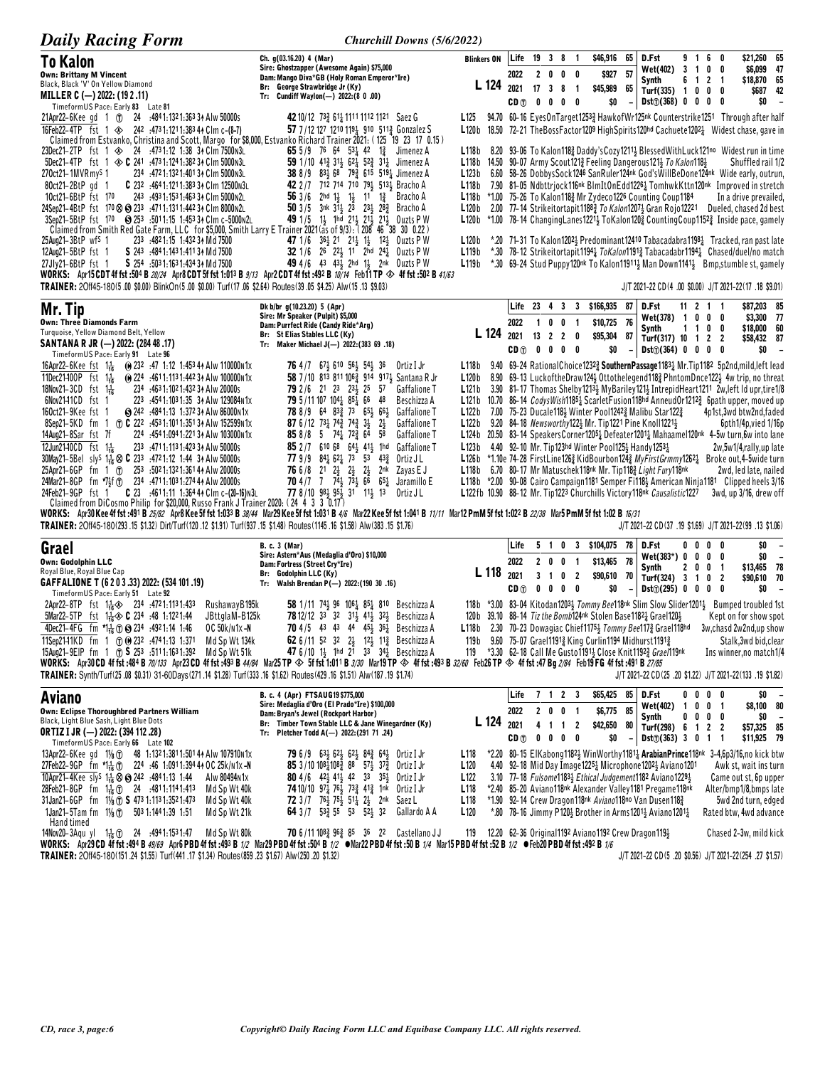| <b>Daily Racing Form</b>                                                                                                                                                                                                                                                                                                                                                                                         | Churchill Downs (5/6/2022)                                                                                                                                                                                               |                                                                                                                                                                                                        |                           |                |                                                                  |   |                                           |                         |                |                                                                                                                                                        |                |                                          |                                                                                                                                                                                                            |                            |
|------------------------------------------------------------------------------------------------------------------------------------------------------------------------------------------------------------------------------------------------------------------------------------------------------------------------------------------------------------------------------------------------------------------|--------------------------------------------------------------------------------------------------------------------------------------------------------------------------------------------------------------------------|--------------------------------------------------------------------------------------------------------------------------------------------------------------------------------------------------------|---------------------------|----------------|------------------------------------------------------------------|---|-------------------------------------------|-------------------------|----------------|--------------------------------------------------------------------------------------------------------------------------------------------------------|----------------|------------------------------------------|------------------------------------------------------------------------------------------------------------------------------------------------------------------------------------------------------------|----------------------------|
| To Kalon                                                                                                                                                                                                                                                                                                                                                                                                         | Ch. q(03.16.20) 4 (Mar)                                                                                                                                                                                                  | <b>Blinkers ON</b>                                                                                                                                                                                     | Life 19 3 8               |                |                                                                  |   | $\blacksquare$                            | \$46,916 65             |                | D.Fst                                                                                                                                                  | 916            | - 0                                      | \$21,260 65                                                                                                                                                                                                |                            |
| <b>Own: Brittany M Vincent</b><br>Black, Black 'V' On Yellow Diamond                                                                                                                                                                                                                                                                                                                                             | Sire: Ghostzapper (Awesome Again) \$75,000<br>Dam: Mango Diva*GB (Holy Roman Emperor*Ire)                                                                                                                                |                                                                                                                                                                                                        | 2022                      |                | 2000                                                             |   |                                           |                         | \$927 57       | <b>Wet(402)</b><br>Synth                                                                                                                               | 6 1 2          | 3 1 0 0<br>- 1                           | \$6,099 47<br>\$18,870 65                                                                                                                                                                                  |                            |
| MILLER C (-) 2022: (19 2.11)<br>TimeformUS Pace: Early 83 Late 81                                                                                                                                                                                                                                                                                                                                                | Br: George Strawbridge Jr (Ky)<br>Tr: Cundiff Waylon(-) 2022: (8 0 .00)                                                                                                                                                  | L 124                                                                                                                                                                                                  | 2021<br>$CD \cap 0 0 0 0$ | 17             | $\overline{\mathbf{3}}$                                          | 8 | $\overline{\phantom{a}}$                  | \$45,989 65<br>\$0      |                | Turf(335) $1 \t0 \t0 \t0$<br>$Dist()$ (368) 0 0 0 0                                                                                                    |                |                                          | \$0                                                                                                                                                                                                        | \$687 42<br>$\overline{a}$ |
| 21Apr22-6Kee gd 1 (1) 24 :4841:1321:3633 A Alw 50000s<br>16Feb22-4TP fst 1 $\otimes$ 242 :4731:1211:38344 Clm c-(8-7)<br>Claimed from Estvanko, Christina and Scott, Margo for \$8,000, Estvanko Richard Trainer 2021: (125 19 23 17 0.15)                                                                                                                                                                       | 42 10/12 733 611 1111 1112 1121 Saez G<br>57 7/12 127 1210 1191 910 5113 Gonzalez S                                                                                                                                      | L <sub>125</sub><br>L120b                                                                                                                                                                              |                           |                |                                                                  |   |                                           |                         |                |                                                                                                                                                        |                |                                          | 94.70 60-16 EyesOnTarget12533 HawkofWr125nk Counterstrike1251 Through after half<br>18.50 72-21 TheBossFactor1209 HighSpirits120hd Cachuete12021 Widest chase, gave in                                     |                            |
| 23Dec21-2TP fst 1 $\otimes$ 24 :4731:12 1:38 34 Clm 7500N3L<br>5Dec21-4TP fst 1 $\otimes$ C 241 :4731:1241:38234 Clm 5000N3L                                                                                                                                                                                                                                                                                     | <b>65</b> 5/9 76 64 53 <sup>1</sup> / <sub>2</sub> 42 1 <sup>3</sup> / <sub>2</sub> Jimenez A<br>59 1/10 41 $\frac{3}{4}$ 31 $\frac{1}{2}$ 62 $\frac{1}{4}$ 52 $\frac{3}{4}$ 31 $\frac{1}{4}$ Jimenez A                  | L118b<br><b>L118b</b> 14.50 90-07 Army Scout121 $\frac{3}{2}$ Feeling Dangerous121 $\frac{1}{2}$ To Kalon118 $\frac{1}{2}$                                                                             |                           |                |                                                                  |   |                                           |                         |                |                                                                                                                                                        |                |                                          | 8.20 93-06 To Kalon1182 Daddy's Cozy1211 Blessed With Luck 121 <sup>no</sup> Widest run in time<br>Shuffled rail 1/2                                                                                       |                            |
| 270ct21-1MVRmy <sup>S</sup> 1<br>234 :472 1:132 1:401 34 Clm 5000 N3L<br>C 232 :4641:1211:383 34 Clm 12500N3L<br>$80ct21-2BtP$ gd $1$                                                                                                                                                                                                                                                                            | 38 8/9 83 $\frac{1}{2}$ 68 79 $\frac{3}{4}$ 615 519 $\frac{1}{4}$ Jimenez A<br>42 2 / 7 712 714 710 791 5131 Bracho A                                                                                                    | L123b 6.60 58-26 DobbysSock1246 SanRuler124nk God'sWillBeDone124nk Wide early, outrun,<br>L118b                                                                                                        |                           |                |                                                                  |   |                                           |                         |                |                                                                                                                                                        |                |                                          | 7.90 81–05 Ndbttrjock116nk BlmItOnEdd12261 TomhwkKttn120nk Improved in stretch                                                                                                                             |                            |
| 10ct21-6BtP fst 170<br>243 :493 1:153 1:463 34 Clm 5000 N2L<br>24Sep21-4BtP fst 170 & 233 :4711:1311:442 34 Clm 8000 n2L<br>3Sep21-5BtP fst 170 <b>Sep21-5BtP</b> fst 170 <b>Sep21-5BtP</b> fst 170 <b>Sep21-5BtP</b> fst 170 <b>Sep21-5BtP</b> fst 170 <b>Sep21-5BtP</b> fst 170 <b>Sep21-5BtP</b> fst 170 <b>Sep21-5BtP</b> fst 170 <b>Sep21-5BtP</b> fst 170 <b>Sep21-5BtP</b> fst 170 <b>Se</b>              | 56 3/6 2hd $1\frac{1}{2}$ $1\frac{1}{2}$ 11 $1\frac{3}{4}$ Bracho A<br>50 3/5 3nk 313 23 233 283 Bracho A<br>49 1/5 1} 1hd 21} 21} 21} Ouzts P W                                                                         | <b>L118b</b> *1.00 75-26 To Kalon118 $\frac{3}{2}$ Mr Zydeco1226 Counting Coup1184<br>L120 <sub>b</sub><br>L120b $*1.00$ 78-14 Changing Lanes 1221 GKalon 120 Gunting Coup 1152 Inside pace, gamely    |                           |                |                                                                  |   |                                           |                         |                |                                                                                                                                                        |                |                                          | In a drive prevailed,<br>2.00 77-14 Strikeitortapit1188 <sub>4</sub> To Kalon1207 <sub>2</sub> Gran Rojo12221 Dueled, chased 2d best                                                                       |                            |
| Claimed from Smith Red Gate Farm, LLC for \$5,000, Smith Larry E Trainer 2021 (as of 9/3): (208 46 38 30 0.22)<br>25Aug21-3BtP wf <sup>s</sup> 1<br>233 :4821:15 1:432 34 Md 7500<br>12Aug21-5BtP fst 1<br>S 243 :4841:1431:4113 Md 7500                                                                                                                                                                         | 47 1/6 $36\frac{1}{2}$ 21 $21\frac{1}{2}$ 1 <sup>1</sup> / <sub>2</sub> 1 <sup>2</sup> / <sub>2</sub> 0uzts P W<br>32 1/6 26 221 11 2hd 241 0uzts P W                                                                    | L120b<br>L119 <sub>b</sub>                                                                                                                                                                             |                           |                |                                                                  |   |                                           |                         |                |                                                                                                                                                        |                |                                          | *.20 71-31 To Kalon12023 Predominant12410 Tabacadabra11981 Tracked, ran past late<br>*.30 78-12 Strikeitortapit1194 <sub>4</sub> ToKalon1191 <sub>4</sub> Tabacadabr1194 <sub>4</sub> Chased/duel/no match |                            |
| S 254 :503 1:163 1:434 34 Md 7500<br>27Jly21-6BtP fst 1<br>WORKS: Apr15 CDT 4f fst :504 B 20/24 Apr8 CDT 5f fst 1:013 B 9/13 Apr2 CDT 4f fst :492 B 10/14 Feb11 TP $\otimes$ 4f fst :502 B 41/63                                                                                                                                                                                                                 | 49 4/6 43 433 2hd 13 2nk Ouzts P W                                                                                                                                                                                       | L119b                                                                                                                                                                                                  |                           |                |                                                                  |   |                                           |                         |                |                                                                                                                                                        |                |                                          | *.30 69-24 Stud Puppy120nk To Kalon11911, Man Down1141, Bmp, stumble st, gamely                                                                                                                            |                            |
| TRAINER: 2Off45-180(5.00 \$0.00) BlinkOn(5.00 \$0.00) Turf(17.06 \$2.64) Routes(39.05 \$4.25) Alw(15.13 \$9.03)<br>Mr. Tip                                                                                                                                                                                                                                                                                       | Dk b/br g(10.23.20) 5 (Apr)                                                                                                                                                                                              |                                                                                                                                                                                                        | Life 23 4 3               |                |                                                                  |   | $\overline{\mathbf{3}}$                   | \$166,935 87            |                | D.Fst                                                                                                                                                  |                | $11 \t2 \t1 \t1$                         | J/T 2021-22 CD(4 .00 \$0.00) J/T 2021-22(17 .18 \$9.01)<br>\$87,203 85                                                                                                                                     |                            |
| <b>Own: Three Diamonds Farm</b>                                                                                                                                                                                                                                                                                                                                                                                  | Sire: Mr Speaker (Pulpit) \$5,000<br>Dam: Purrfect Ride (Candy Ride*Arg)                                                                                                                                                 |                                                                                                                                                                                                        | 2022                      | $\overline{1}$ | 0                                                                | 0 | $\overline{\mathbf{1}}$                   | \$10,725 76             |                | Wet(378) 1 0 0                                                                                                                                         |                | 0                                        | \$3,300 77                                                                                                                                                                                                 |                            |
| Turquoise, Yellow Diamond Belt, Yellow<br>SANTANA R JR (-) 2022: (284 48 .17)<br>TimeformUS Pace: Early 91 Late 96                                                                                                                                                                                                                                                                                               | Br: St Elias Stables LLC (Ky)<br>Tr: Maker Michael J(-) 2022: (383 69 .18)                                                                                                                                               | L 124                                                                                                                                                                                                  | 2021<br>CD <sub>①</sub>   | $\mathbf{0}$   | 13 <sub>2</sub>                                                  |   | $2\quad 0$<br>$0\quad 0\quad 0$           | \$95,304 87<br>\$0      |                | Synth<br>Turf(317) 10 1 2<br>$Dist()$ (364) 0 0 0                                                                                                      | $1\quad1$      | 0<br>0<br>-2<br>0                        | \$18,000 60<br>\$58,432 87<br>\$0                                                                                                                                                                          |                            |
| $\bullet$ 232 :47 1:12 1:453 4 $\star$ Alw 110000 N1x<br>16Apr22-6Kee fst $1\frac{1}{16}$<br>11Dec21-100P fst $1\frac{1}{16}$<br>(e) 224 .4611:1131:442 34 Alw 100000 N1x                                                                                                                                                                                                                                        | <b>76</b> 4/7 67 $\frac{1}{2}$ 610 56 $\frac{1}{2}$ 54 $\frac{1}{2}$ 36<br>Ortiz I Jr<br>58 7/10 813 811 1063 914 9171 Santana R Jr                                                                                      | L118b<br>L120b                                                                                                                                                                                         |                           |                |                                                                  |   |                                           |                         |                |                                                                                                                                                        |                |                                          | 9.40 69-24 RationalChoice12323 SouthernPassage11831 Mr.Tip1182 5p2nd,mild, left lead<br>8.90 69-13 LuckoftheDraw1244 Ottothelegend1183 PhntomDnce1224 4w trip, no threat                                   |                            |
| 18Nov21-3CD fst 116<br>234 :463 1:102 1:432 34 Alw 20000s<br>6Nov2141CD fst 1<br>223 :4541:1031:35 34 Alw 129084N1x                                                                                                                                                                                                                                                                                              | $23\frac{1}{2}$ 25<br><b>79</b> 2/6 21 23<br>57<br><b>Gaffalione T</b><br><b>79</b> 5/11 107 104 <sub>4</sub> 85 <sub>4</sub> 66 48<br>Beschizza A                                                                       | L121b 3.90 81-17 Thomas Shelby 1213 MyBariley 121 Intrepid Heart 1211 2w, left Id upr, tire 1/8<br>L121b 10.70 86-14 CodysWish11851 ScarletFusion118hd AnneudOr12122 6path upper, moved up             |                           |                |                                                                  |   |                                           |                         |                |                                                                                                                                                        |                |                                          |                                                                                                                                                                                                            |                            |
| 160ct21-9Kee fst 1<br>S 242 :4841:13 1:372 3↑ Alw 86000 N1x<br>8Sep21-5KD fm 1 (7) C 222 :4531:1011:3513 A Alw 152599 N 1x                                                                                                                                                                                                                                                                                       | 78 8/9 64 83 <sup>3</sup> / <sub>4</sub> 73 65 <sup>1</sup> / <sub>2</sub> 66 <sup>1</sup> / <sub>2</sub> Gaffalione T<br>87 6/12 731 742 742 31 21<br><b>Gaffalione T</b>                                               | L122b<br>L122 b                                                                                                                                                                                        |                           |                |                                                                  |   |                                           |                         |                | 7.00 75-23 Ducale118 $\frac{1}{2}$ Winter Pool1242 $\frac{3}{4}$ Malibu Star122 $\frac{3}{4}$<br>9.20 84–18 Newsworthy122} Mr. Tip1221 Pine Knoll1221} |                |                                          | 4p1st,3wd btw2nd,faded<br>6pth1/4p,vied 1/16p                                                                                                                                                              |                            |
| 14Aug21-8Sar fst 7f<br>224 :4541:0941:221 34 Alw 103000n1x<br>12Jun21-10CD $fst = 1\frac{1}{16}$<br>233 :4711:1131:423 34 Alw 50000s                                                                                                                                                                                                                                                                             | 85 8/8 5 74 $\frac{1}{4}$ 72 $\frac{3}{4}$ 64<br>58<br>Gaffalione T<br>85 2 / 7 610 68 64 41 41 1hd<br>Gaffalione T                                                                                                      | L124b 20.50 83-14 Speakers Corner 1205 + Defeater 1201 + Mahaamel 120 <sup>nk</sup> 4-5w turn, 6w into lane<br>L123 b                                                                                  |                           |                |                                                                  |   |                                           |                         |                | 4.40 92-10 Mr. Tip123hd Winter Pool125 $\frac{1}{2}$ Handy1253 $\frac{1}{4}$                                                                           |                |                                          | 2w,5w1/4,rally,up late                                                                                                                                                                                     |                            |
| 30May21-5Bel<br>sly <sup>s</sup> $1\frac{1}{16}$ $\otimes$ <b>C</b> 233 :4721:12 1:44 3 Alw 50000s<br>25Apr21-6GP fm 1 1 253 :5021:1321:3614 Alw 20000s                                                                                                                                                                                                                                                          | <b>77</b> 9/9 84 $\frac{1}{4}$ 62 $\frac{1}{4}$ 73 53<br>$43\frac{3}{7}$<br>Ortiz J L<br><b>76</b> 6/8 21 $2\frac{1}{2}$ $2\frac{1}{2}$ $2\frac{1}{2}$<br>2nk<br>Zayas E J                                               | L126b *1.10e 74-28 FirstLine1263 KidBourbon1243 MyFirstGrmmy12621 Broke out,4-5wide turn<br><b>L118b</b> 6.70 80–17 Mr Matuschek118 <sup>nk</sup> Mr. Tip118 $\frac{3}{2}$ Light Fury118 <sup>nk</sup> |                           |                |                                                                  |   |                                           |                         |                |                                                                                                                                                        |                |                                          | 2wd, led late, nailed                                                                                                                                                                                      |                            |
| 24Mar21-8GP fm *7}f (r) 234 :4711:1031:274 44 Alw 20000s<br>24Feb21-9GP fst 1 C 23 :4611:11 1:364 44 Clm c-(20-16) N3L                                                                                                                                                                                                                                                                                           | <b>70</b> 4 /7 7 74 73 66 $65\frac{1}{4}$<br>Jaramillo E<br>77 8/10 984 954 31 114 13<br>Ortiz J L                                                                                                                       | L118b *2.00 90-08 Cairo Campaign1181 Semper Fi1183 American Ninja1181 Clipped heels 3/16<br>L122fb 10.90 88-12 Mr. Tip1223 Churchills Victory118nk Causalistic1227                                     |                           |                |                                                                  |   |                                           |                         |                |                                                                                                                                                        |                |                                          | 3wd, up 3/16, drew off                                                                                                                                                                                     |                            |
| Claimed from DiCosmo Philip for \$20,000, Russo Frank J Trainer 2020: (24 4 3 3 0.17)<br>WORKS: Apr30 Kee 4f fst :491 B 25/82 Apr8 Kee 5f fst 1:033 B 38/44 Mar29 Kee 5f fst 1:031 B 4/6 Mar22 Kee 5f fst 1:041 B 11/11 Mar12 PmM 5f fst 1:022 B 22/38 Mar5 PmM 5f fst 1:02 B 12/37<br>TRAINER: 20ff45-180(293.15 \$1.32) Dirt/Turf(120.12 \$1.91) Turf(937.15 \$1.48) Routes(1145.16 \$1.58) Alw(383.15 \$1.76) |                                                                                                                                                                                                                          |                                                                                                                                                                                                        |                           |                |                                                                  |   |                                           |                         |                |                                                                                                                                                        |                |                                          | J/T 2021-22 CD(37 .19 \$1.69) J/T 2021-22(99 .13 \$1.06)                                                                                                                                                   |                            |
| Grael                                                                                                                                                                                                                                                                                                                                                                                                            | <b>B. c. 3 (Mar)</b><br>Sire: Astern*Aus (Medaglia d'Oro) \$10,000                                                                                                                                                       |                                                                                                                                                                                                        | Life                      |                | 510                                                              |   | $\mathbf{3}$                              | \$104,075 78 D.Fst      |                |                                                                                                                                                        | $0\quad 0$     | $\mathbf{0}$<br>0                        | \$0                                                                                                                                                                                                        | $\overline{\phantom{a}}$   |
| Own: Godolphin LLC<br>Royal Blue, Royal Blue Cap                                                                                                                                                                                                                                                                                                                                                                 | Dam: Fortress (Street Cry*Ire)<br>Br: Godolphin LLC (Ky)                                                                                                                                                                 | L 118                                                                                                                                                                                                  | 2022<br>2021              |                | 2 <sub>0</sub><br>3 <sub>1</sub>                                 | 0 | $\overline{\mathbf{1}}$<br>0 <sub>2</sub> | \$13,465 78<br>\$90,610 | 70             | Wet(383*) 0 0<br>Synth<br>Turf(324) 3 1                                                                                                                | 2 <sub>0</sub> | 0<br>0<br>0<br>-1<br>0<br>$\overline{2}$ | \$0<br>\$13,465 78<br>\$90,610 70                                                                                                                                                                          | $\overline{a}$             |
| GAFFALIONE T (6 2 0 3 .33) 2022: (534 101 .19)<br>TimeformUS Pace: Early 51 Late 92                                                                                                                                                                                                                                                                                                                              | Tr: Walsh Brendan P(-) 2022: (190 30 .16)<br><b>58</b> 1/11 744 96 1064 854 810 Beschizza A                                                                                                                              |                                                                                                                                                                                                        | CD <sub>①</sub>           |                | $0\quad 0$                                                       |   | $0\quad 0$                                | \$0                     | $\overline{a}$ | Dist() (295) 0 0 0                                                                                                                                     |                | 0                                        | \$0<br>118b *3.00 83-04 Kitodan12033 Tommy Bee118nk Slim Slow Slider12013 Bumped troubled 1st                                                                                                              | $\overline{\phantom{a}}$   |
| 2Apr22-8TP fst 1 4 234 :4721:1131:433<br>RushawayB195k<br>5Mar22-5TP fst 1 <sup>1</sup> / <sub>16</sub> $\diamond$ <b>C</b> 234 :48 1:1221:44<br>JBttglaM-B125k<br>4Dec21-4FG fm *14 0 8 234 :4921:14 1:46<br>OC 50k/n1x-N                                                                                                                                                                                       | <b>78</b> 12/12 33 32 31 <sup>1</sup> / <sub>2</sub> 41 <sup>1</sup> / <sub>2</sub> 32 <sup>1</sup> / <sub>2</sub> Beschizza A<br>70 4/5 43 43 44 451 361 Beschizza A                                                    | 120b 39.10 88-14 Tiz the Bomb124nk Stolen Base11821 Grael1201<br>L118b 2.30 70-23 Dowagiac Chief11754 Tommy Bee1173 Grael118hd                                                                         |                           |                |                                                                  |   |                                           |                         |                |                                                                                                                                                        |                |                                          | Kept on for show spot<br>3w, chasd 2w2nd, up show                                                                                                                                                          |                            |
| 11Sep2141KD fm 1 + 0 + 232 :4741:13 1:371 Md Sp Wt 134k<br>15Aug21-9EIP fm 1 (1) S 253 :5111:1631:392 Md Sp Wt 51k                                                                                                                                                                                                                                                                                               | 62 6/11 52 32 2 <sup>1</sup> / <sub>2</sub> 12 <sup>1</sup> / <sub>2</sub> 11 <sup>3</sup> / <sub>4</sub> Beschizza A<br>47 6/10 13 1hd 21 33 341 Beschizza A                                                            | 119 b<br>119 $*3.30$ 62–18 Call Me Gusto 1191 Glose Knit 1192 $\frac{2}{3}$ Grae number                                                                                                                |                           |                |                                                                  |   |                                           |                         |                | 9.60 75-07 Grael11913 King Curlin1194 Midhurst11913                                                                                                    |                |                                          | Stalk, 3wd bid, clear<br>Ins winner, no match 1/4                                                                                                                                                          |                            |
| WORKS: Apr30 CD 4f fst :484 B 70/133 Apr23 CD 4f fst :493 B 44/84 Mar25 TP $\otimes$ 5f fst 1:011 B 3/30 Mar19 TP $\otimes$ 4f fst :493 B 32/60 Feb26 TP $\otimes$ 4f fst :47 Bg 2/84 Feb19 FG 4f fst :491 B 27/85<br>TRAINER: Synth/Turf(25.08 \$0.31) 31-60Days(271.14 \$1.28) Turf(333.16 \$1.62) Routes(429.16 \$1.51) Alw(187.19 \$1.74)                                                                    |                                                                                                                                                                                                                          |                                                                                                                                                                                                        |                           |                |                                                                  |   |                                           |                         |                |                                                                                                                                                        |                |                                          | J/T 2021-22 CD(25 .20 \$1.22) J/T 2021-22(133 .19 \$1.82)                                                                                                                                                  |                            |
| <b>Aviano</b>                                                                                                                                                                                                                                                                                                                                                                                                    | B. c. 4 (Apr) FTSAUG19 \$775,000<br>Sire: Medaglia d'Oro (El Prado*Ire) \$100,000                                                                                                                                        |                                                                                                                                                                                                        | Life                      |                |                                                                  |   | 7 1 2 3                                   | \$65,425 85             |                | D.Fst                                                                                                                                                  | $0\quad 0$     | 0<br>0                                   | \$0                                                                                                                                                                                                        | $\overline{\phantom{a}}$   |
| <b>Own: Eclipse Thoroughbred Partners William</b><br>Black, Light Blue Sash, Light Blue Dots                                                                                                                                                                                                                                                                                                                     | Dam: Bryan's Jewel (Rockport Harbor)<br>Br: Timber Town Stable LLC & Jane Winegardner (Ky)                                                                                                                               | L 124                                                                                                                                                                                                  | 2022<br>2021              |                |                                                                  |   | 2 0 0 1<br>4 1 1 2                        | \$6,775<br>\$42,650 80  | 85             | Wet(402) 1 0 0 1<br>Synth<br>Turf(298) 6 1 2 2                                                                                                         |                | $0\ 0\ 0\ 0$                             | \$8,100 80<br>SO.<br>\$57,325 85                                                                                                                                                                           |                            |
| ORTIZ I JR (-) 2022: (394 112 .28)<br>TimeformUS Pace: Early 66 Late 102<br>13Apr22-6Kee gd 11/ <sub>8</sub> (f) 48 1:1321:3811:5014 Alw 107910 N1x                                                                                                                                                                                                                                                              | Tr: Pletcher Todd A(-) 2022:(291 71 .24)<br>79 6/9 63 <sup>1</sup> / <sub>2</sub> 62 <sup>1</sup> / <sub>2</sub> 62 <sup>1</sup> / <sub>2</sub> 84 <sup>2</sup> / <sub>3</sub> 64 <sup>1</sup> / <sub>2</sub> Ortiz I Jr | L <sub>118</sub>                                                                                                                                                                                       | CD <sub>①</sub>           |                | $\begin{array}{ccccccccccccccccc} 0 & 0 & 0 & 0 & 0 \end{array}$ |   |                                           | \$0                     |                | Dist(j(363) 3 0 1                                                                                                                                      |                | $\mathbf{1}$                             | \$11,925 79<br>*2.20 80-15 ElKabong11823 WinWorthy1181 ArabianPrince118nk 3-4,6p3/16,no kick btw                                                                                                           |                            |
| 27Feb22-9GP fm *1 + 0 224 :46 1:0911:394 4 + 0 C 25k/n1x - N<br>10Apr21-4Kee sly <sup>s</sup> 1 <sup>1</sup> / <sub>18</sub> $\otimes$ $\otimes$ 242 :4841:13 1:44<br>Alw 80494N1x                                                                                                                                                                                                                               | 85 3/10 108 4108 3 88 57 37 37 3 Ortiz I Jr<br>80 4/6 42 <sup>1</sup> / <sub>2</sub> 41 <sup>1</sup> / <sub>2</sub> 42 33 3 <sup>51</sup> / <sub>2</sub> Ortiz I Jr                                                      | L <sub>120</sub><br>L <sub>122</sub>                                                                                                                                                                   |                           |                |                                                                  |   |                                           |                         |                | 4.40 92–18 Mid Day Image $1225\frac{1}{4}$ Microphone $1202\frac{1}{2}$ Aviano $1201$<br>3.10 77-18 Fulsome11834 Ethical Judgement1182 Aviano12294     |                |                                          | Awk st, wait ins turn<br>Came out st, 6p upper                                                                                                                                                             |                            |
| 28Feb21-8GP fm 1-1 (1) 24 .4811.1141.413<br>Md Sp Wt 40k<br>$31$ Jan21-6GP fm $1\frac{1}{8}$ (i) S 473 1:113 1:352 1:473<br>Md Sp Wt 40k                                                                                                                                                                                                                                                                         | 74 10/10 971 761 733 413 1nk Ortiz I Jr<br>72 3/7 76 <sup>1</sup> / <sub>2</sub> 75 <sup>1</sup> / <sub>2</sub> 51 <sup>1</sup> / <sub>4</sub> 2 <sup>1</sup> / <sub>2</sub> 2 <sup>nk</sup> Saez L                      | L <sub>118</sub><br>L <sub>118</sub>                                                                                                                                                                   |                           |                |                                                                  |   |                                           |                         |                | *2.40 85-20 Aviano 118nk Alexander Valley 1181 Pregame 118nk<br>*1.90 92-14 Crew Dragon118nk Aviano118no Van Dusen1183                                 |                |                                          | Alter/bmp1/8,bmps late<br>5wd 2nd turn, edged                                                                                                                                                              |                            |
| 1Jan21-5Tam fm $1\frac{1}{8}$ (1) 503 1:144 1:39 1:51<br>Md Sp Wt 21k<br>Hand timed                                                                                                                                                                                                                                                                                                                              | 64 3 / 7 53 3 55 53 52 32 Gallardo A A                                                                                                                                                                                   | L <sub>120</sub>                                                                                                                                                                                       |                           |                |                                                                  |   |                                           |                         |                | *.80 78-16 Jimmy P1201 Brother in Arms12011 Aviano12011                                                                                                |                |                                          | Rated btw, 4wd advance                                                                                                                                                                                     |                            |
| 14Nov20-3Agu yl 14 (r) 24 :4941:1531:47<br>Md Sp Wt 80k<br>WORKS: Apr29 CD 4f fst :494 B 49/69 Apr6 PBD 4f fst :493 B 1/2 Mar29 PBD 4f fst :504 B 1/2 ●Mar22 PBD 4f fst :50 B 1/4 Mar15 PBD 4f fst :52 B 1/2 ●Feb20 PBD 4f fst :492 B 1/6<br>TRAINER: 20ff45-180(151.24 \$1.55) Turf(441.17 \$1.34) Routes(859.23 \$1.67) Alw(250.20 \$1.32)                                                                     | <b>70</b> 6/11 108 <sup>2</sup> / <sub>2</sub> 96 <sup>2</sup> / <sub>2</sub> 85 36 22 Castellano JJ                                                                                                                     | 119                                                                                                                                                                                                    |                           |                |                                                                  |   |                                           |                         |                | 12.20 62-36 Original1192 Aviano1192 Crew Dragon1194                                                                                                    |                |                                          | Chased 2-3w, mild kick<br>J/T 2021-22 CD (5 .20 \$0.56) J/T 2021-22 (254 .27 \$1.57)                                                                                                                       |                            |
|                                                                                                                                                                                                                                                                                                                                                                                                                  |                                                                                                                                                                                                                          |                                                                                                                                                                                                        |                           |                |                                                                  |   |                                           |                         |                |                                                                                                                                                        |                |                                          |                                                                                                                                                                                                            |                            |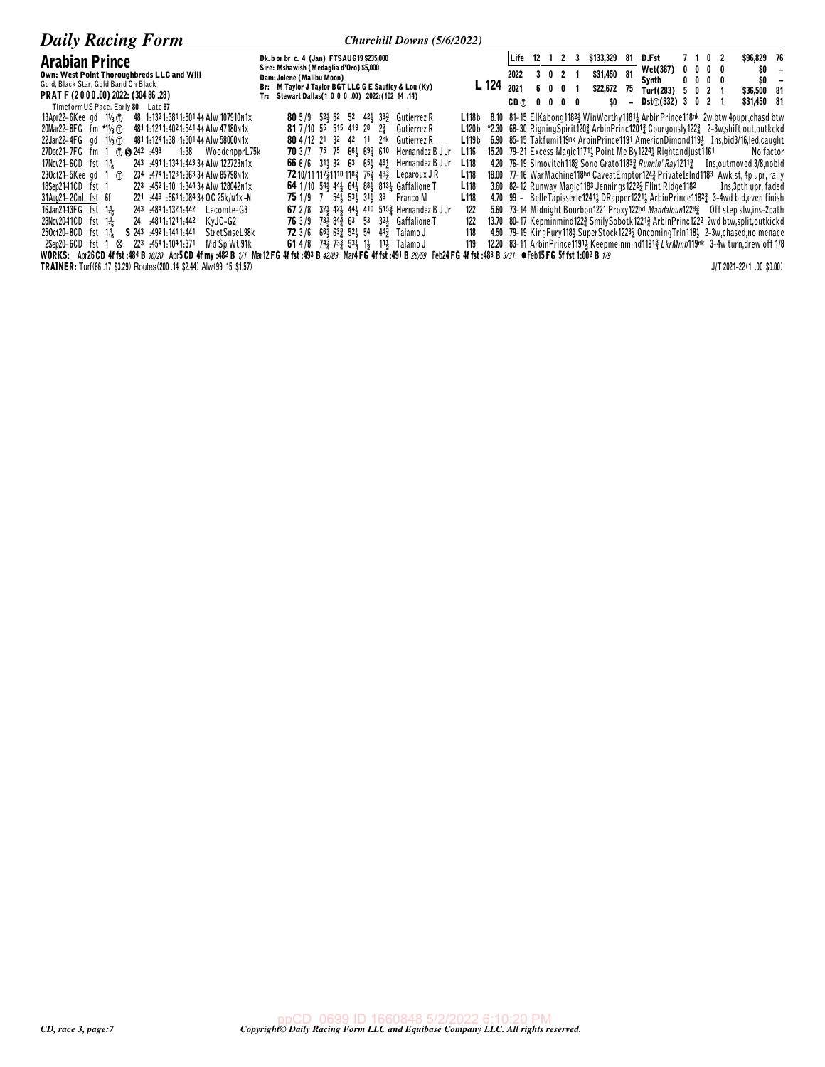| <b>Daily Racing Form</b>                                                        | Churchill Downs (5/6/2022)                                                                                                                                                     |       |      |                 |                |                                                                                              |                          |                     |                              |  |                        |  |
|---------------------------------------------------------------------------------|--------------------------------------------------------------------------------------------------------------------------------------------------------------------------------|-------|------|-----------------|----------------|----------------------------------------------------------------------------------------------|--------------------------|---------------------|------------------------------|--|------------------------|--|
| <b>Arabian Prince</b>                                                           | Dk. b or br c. 4 (Jan) FTSAUG19 \$235,000                                                                                                                                      |       |      | Life 12 1       | $\overline{2}$ | \$133,329                                                                                    | -81                      | D.Fst               | 7 1 0 2                      |  | \$96,829 76            |  |
| Own: West Point Thoroughbreds LLC and Will                                      | Sire: Mshawish (Medaglia d'Oro) \$5,000<br>Dam: Jolene (Malibu Moon)                                                                                                           |       | 2022 | 3 0 2           |                | \$31,450                                                                                     | -81                      | Wet(367)            | $0\,0\,0\,0$<br>$0\,0\,0\,0$ |  | \$O<br>\$0             |  |
| Gold, Black Star, Gold Band On Black                                            | Br: M Taylor J Taylor BGT LLC G E Saufley & Lou (Ky)                                                                                                                           | L 124 | 2021 | 60 N            |                | \$22,672                                                                                     | 75                       | Synth<br>Turf(283)  | 5 0 2 1                      |  | \$36,500 81            |  |
| PRAT F (2000.00) 2022: (304 86.28)                                              | Tr: Stewart Dallas(1 0 0 0 .00) 2022: (102 14 .14)                                                                                                                             |       |      | $CD(+)$ 0 0 0 0 |                | \$0                                                                                          | $\overline{\phantom{a}}$ | Dist(j(332) 3 0 2 1 |                              |  | \$31,450 81            |  |
| TimeformUS Pace: Early 80<br>Late 87                                            |                                                                                                                                                                                |       |      |                 |                |                                                                                              |                          |                     |                              |  |                        |  |
| 13Apr22-6Kee gd $1\frac{1}{8}$ T<br>48 1:1321:3811:50144 Alw 107910N1x          | <b>80</b> 5/9 52 52 52 42 33 Gutierrez R<br>L118b                                                                                                                              |       |      |                 |                | 8.10 81-15 EIKabong1182} WinWorthy1181} ArbinPrince118nk 2w btw,4pupr,chasd btw              |                          |                     |                              |  |                        |  |
| 481 1:121 1:402 1:541 44 Alw 47180 n 1x<br>20Mar22-8FG fm *11/ <sub>8</sub> (T) | 81 7/10 55 515 419 28 23<br>Gutierrez R<br>L120 b                                                                                                                              |       |      |                 |                | *2.30 68-30 RigningSpirit120} ArbinPrinc1201} Courgously122} 2-3w,shift out,outkckd          |                          |                     |                              |  |                        |  |
| 481 1:124 1:38 1:501 44 Alw 58000 N1x<br>22Jan22-4FG $qd = 1\%$ (T)             | 80 4/12 21 32 42 11 2nk<br>Gutierrez R<br>L119 <sub>b</sub>                                                                                                                    |       |      |                 |                | 6.90 85-15 Takfumi119nk ArbinPrince1191 AmericnDimond1193 Ins.bid3/16.led.caught             |                          |                     |                              |  |                        |  |
| 1.38<br>27Dec21-7FG fm 1 (7) (8) 242 :493<br>WoodchpprL75k                      | <b>70</b> 3/7 75 75 661 693 610<br>Hernandez B J Jr<br>L <sub>116</sub>                                                                                                        |       |      |                 |                | 15.20 79–21 Excess Magic 1171 $\frac{1}{2}$ Point Me By 1224 $\frac{1}{4}$ Rightandjust 1161 |                          |                     |                              |  | No factor              |  |
| $17$ Nov21-6CD fst 1 $\frac{1}{16}$<br>243 4911:1341:443 34 Alw 122723N1x       | 66 6/6 31 32 63 65 46 Hernandez B J Jr<br>L118                                                                                                                                 |       |      |                 |                | 4.20 76-19 Simovitch1183 Sono Grato11833 Runnin' Ray12113                                    |                          |                     |                              |  | Ins.outmoved 3/8.nobid |  |
| 230ct21-5Kee gd 1 $\pi$<br>234 :474 1:123 1:363 34 Alw 85798 n1x                | 72 10/11 11731110 118 76 43 Leparoux J R<br>L <sub>118</sub>                                                                                                                   |       |      |                 |                | 18.00 77-16 WarMachine118hd CaveatEmptor124} PrivateIsInd1183 Awk st, 4p upr, rally          |                          |                     |                              |  |                        |  |
| 223 :4521:10 1:344 34 Alw 128042N1x<br>18Sep2141CD fst 1                        | 64 1/10 54 44 64 88 813 6affalione T<br>L118                                                                                                                                   |       |      |                 |                | 3.60 82-12 Runway Magic 1183 Jennings 122 $2\frac{3}{4}$ Flint Ridge 1182                    |                          |                     |                              |  | Ins,3pth upr, faded    |  |
| 221 :443 :5611:084 34 OC 25k/n1x-N<br>31Aug21-2Cnl fst 6f                       | <b>75</b> 1/9 7 54 53 31 33 Franco M<br>L <sub>118</sub>                                                                                                                       |       |      |                 |                | 4.70 99 - Belle Tapisserie 1241 DRapper 1221 Arbin Prince 1182 3-4 wd bid, even finish       |                          |                     |                              |  |                        |  |
| 16Jan2143FG fst 1+<br>243 .4841.1321.442                                        |                                                                                                                                                                                |       |      |                 |                | 5.60 73-14 Midnight Bourbon1221 Proxy122hd Mandaloun12283                                    |                          |                     |                              |  |                        |  |
| Lecomte-G3                                                                      | 67 2/8 32 42 44 44 410 515 Hernandez B J Jr<br>122                                                                                                                             |       |      |                 |                |                                                                                              |                          |                     |                              |  | Off step slw.ins-2path |  |
| 28Nov2041CD fst 1 <sup>1</sup><br>KvJC-G2<br>24 .4811.1241.442                  | <b>76</b> 3/9 731 842 63 53 321 Gaffalione T<br>122                                                                                                                            |       |      |                 |                | 13.70 80-17 Kepminmind1223 SmilySobotk12213 ArbinPrinc1222 2wd btw.split.outkickd            |                          |                     |                              |  |                        |  |
| StretSnseL98k<br>250ct20-8CD fst 1<br>$S$ 243 :4921:1411:441                    | <b>72</b> 3/6 6 <sup>61</sup> / <sub>2</sub> 6 <sup>3</sup> / <sub>2</sub> 5 <sup>2</sup> / <sub>2</sub> 54 4 <sup>4</sup> / <sub>2</sub> Talamo J<br>118                      |       |      |                 |                | 4.50 79-19 KingFury118} SuperStock1223} OncomingTrin118} 2-3w, chased, no menace             |                          |                     |                              |  |                        |  |
| 223 4541.1041.371<br>Md Sp Wt 91k<br>$2$ Sep $20-6CD$ fst 1 $\otimes$           | 119<br>61 4/8 $74\frac{3}{4}$ 73 $\frac{3}{4}$ 53 1 1 1 1 Talamo J                                                                                                             |       |      |                 |                | 12.20 83-11 ArbinPrince11913 Keepmeinmind11913 LkrMmb119nk 3-4w turn, drew off 1/8           |                          |                     |                              |  |                        |  |
|                                                                                 | WORKS: Apr26 CD 4f fst :484 B 10/20 Apr5 CD 4f my :482 B 1/1 Mar12 FG 4f fst :493 B 42/89 Mar4 FG 4f fst :491 B 28/59 Feb24 FG 4f fst :483 B 3/31 OFeb15 FG 5f fst 1:002 B 1/9 |       |      |                 |                |                                                                                              |                          |                     |                              |  |                        |  |

**WURKS:** Apr2b CD 4T 15t :484 B 70/20 Apr3 CD 4T my :484 B 7/7 M<br>TRAINER: Turf(66.17 \$3.29) Routes(200.14 \$2.44) Alw(99.15 \$1.57)

J/T 2021-22(1.00 \$0.00)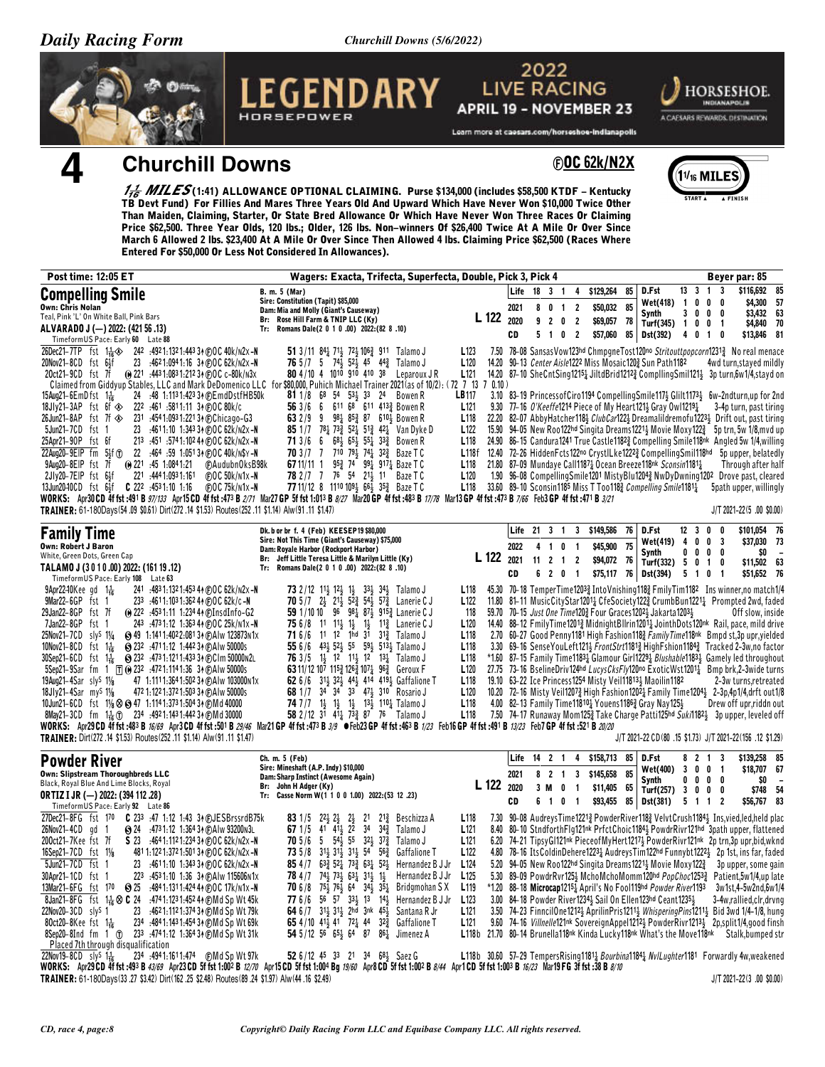Churchill Downs (5/6/2022)





## **Churchill Downs**

**@OC 62k/N2X** 



 $\frac{177}{16}$  MILES(1:41) ALLOWANCE OPTIONAL CLAIMING. Purse \$134,000 (includes \$58,500 KTDF – Kentucky<br>TB Devt Fund) For Fillies And Mares Three Years Old And Upward Which Have Never Won \$10,000 Twice Other Than Maiden, Claiming, Starter, Or State Bred Allowance Or Which Have Never Won Three Races Or Claiming Price \$62,500. Three Year Olds, 120 lbs.; Older, 126 lbs. Non-winners Of \$26,400 Twice At A Mile Or Over Since March 6 Allowed 2 lbs. \$23,400 At A Mile Or Over Since Then Allowed 4 lbs. Claiming Price \$62,500 (Races Where Entered For \$50,000 Or Less Not Considered In Allowances).

| <b>Post time: 12:05 ET</b>                                                                                                                                                                                                                                                                                                                                                                                                                                                                                                                                                                                                                                                                                                                                                                                                                                                                                                                                                                                                                                                                                                                                                                                                                                                                   | Wagers: Exacta, Trifecta, Superfecta, Double, Pick 3, Pick 4                                                                                                                                                                                                                                                                                                                                                                                                                                                                                                                                                                                                                                                                                                                                                                                                                |                                                                                                                                                                                                                                                |                            |                      |                                               |                                       |                                                     |          |                                                                                                                                                                                                                                                                                                                         |                                                          |                                                                               | Beyer par: 85                                                                                                                                                                                                                                                                                                                                                                                                                                                                                                                                                                                                                                                                                                                                                                                                                                                                                                                   |          |
|----------------------------------------------------------------------------------------------------------------------------------------------------------------------------------------------------------------------------------------------------------------------------------------------------------------------------------------------------------------------------------------------------------------------------------------------------------------------------------------------------------------------------------------------------------------------------------------------------------------------------------------------------------------------------------------------------------------------------------------------------------------------------------------------------------------------------------------------------------------------------------------------------------------------------------------------------------------------------------------------------------------------------------------------------------------------------------------------------------------------------------------------------------------------------------------------------------------------------------------------------------------------------------------------|-----------------------------------------------------------------------------------------------------------------------------------------------------------------------------------------------------------------------------------------------------------------------------------------------------------------------------------------------------------------------------------------------------------------------------------------------------------------------------------------------------------------------------------------------------------------------------------------------------------------------------------------------------------------------------------------------------------------------------------------------------------------------------------------------------------------------------------------------------------------------------|------------------------------------------------------------------------------------------------------------------------------------------------------------------------------------------------------------------------------------------------|----------------------------|----------------------|-----------------------------------------------|---------------------------------------|-----------------------------------------------------|----------|-------------------------------------------------------------------------------------------------------------------------------------------------------------------------------------------------------------------------------------------------------------------------------------------------------------------------|----------------------------------------------------------|-------------------------------------------------------------------------------|---------------------------------------------------------------------------------------------------------------------------------------------------------------------------------------------------------------------------------------------------------------------------------------------------------------------------------------------------------------------------------------------------------------------------------------------------------------------------------------------------------------------------------------------------------------------------------------------------------------------------------------------------------------------------------------------------------------------------------------------------------------------------------------------------------------------------------------------------------------------------------------------------------------------------------|----------|
| <b>Compelling Smile</b><br><b>Own: Chris Nolan</b><br>Teal, Pink 'L' On White Ball, Pink Bars<br>ALVARADO J (-) 2022: (421 56 .13)<br>TimeformUS Pace: Early 60 Late 88                                                                                                                                                                                                                                                                                                                                                                                                                                                                                                                                                                                                                                                                                                                                                                                                                                                                                                                                                                                                                                                                                                                      | B. m. 5 (Mar)<br>Sire: Constitution (Tapit) \$85,000<br>Dam: Mia and Molly (Giant's Causeway)<br>Br: Rose Hill Farm & TNIP LLC (Ky)<br>Tr: Romans Dale(2 0 1 0 .00) 2022:(82 8 .10)                                                                                                                                                                                                                                                                                                                                                                                                                                                                                                                                                                                                                                                                                         | L 122                                                                                                                                                                                                                                          | Life<br>2021<br>2020<br>CD | 18 <sup>3</sup><br>5 | $\overline{1}$<br>801<br>9 2 0 2<br>$1\quad0$ | 4<br>$\overline{2}$<br>$\overline{2}$ | \$129,264<br>\$50.032<br>\$69,057 78<br>\$57,060 85 | 85<br>85 | D.Fst<br>Wet(418)<br>Synth<br>Turf(345) $1 \t0 \t0 \t1$<br><b>Dst(392)</b>                                                                                                                                                                                                                                              | 13 <sup>3</sup><br>$\overline{1}$<br>0<br>3 <sub>0</sub> | $\overline{\mathbf{3}}$<br>$\overline{1}$<br>$0\quad 0$<br>$0\quad 0$<br>4010 | \$116,692 8<br>\$4,300<br>\$3,432 63<br>\$4,840 70<br>$$13,846$ 8                                                                                                                                                                                                                                                                                                                                                                                                                                                                                                                                                                                                                                                                                                                                                                                                                                                               | -5       |
| 26Dec21-7TP fst 1 $\frac{1}{16}$<br>242 .4921:1321:44334 (F)OC 40k/n2x-N<br>20Nov21-8CD fst 64f<br>23 :4621:0941:16 34 (F)OC 62k/n2x-N<br>(ii) 221 :443 1:083 1:212 34 (F) O C c-80k/n3x<br>20ct21-9CD fst 7f<br>Claimed from Giddyup Stables, LLC and Mark DeDomenico LLC for \$80,000, Puhich Michael Trainer 2021(as of 10/2): (72 7 13 7 0.10)<br>24 :48 1:113 1:423 34 (DEmdDstfHB50k)<br>$15$ Aug21-6EmDfst $1\frac{1}{16}$<br>18Jly21-3AP fst 6f $\otimes$<br>222 :461 :5811:11 34 (F) O C 80k/c<br>26Jun21-8AP fst 7f $\otimes$ 231 :4541:0931:22134 (DChicago-G3<br>23 :4611:10 1:343 34 @OC 62k/N2x-N<br>5Jun21-7CD fst 1<br>25Apr21-90P fst 6f<br>213 :451 :5741:102 44 (DOC 62k/N2x-N<br>22Aug20-9EIP fm 5#f (T)<br>22 :464 :59 1:051 34 (F) O C 40k/ N\$ Y - N<br>9Aug20-8EIP fst 7f<br>(i) 221 :45 1:0841:21<br>F)AudubnOksB98k<br>2Jly20-7EIP fst 6号f<br>221 :444 1:093 1:161<br>$F$ <sub>D</sub> OC 50 $k$ /n1x-N<br>$C$ 222 $:4531:10$ 1.16<br>13Jun2040CD fst 64f<br>(F)OC 75k/n1x-N<br>WORKS: Apr30 CD 4f fst :491 B 97/133 Apr15 CD 4f fst :473 B 2/71 Mar27 GP 5f fst 1:013 B 8/27 Mar20 GP 4f fst :483 B 17/78 Mar13 GP 4f fst :473 B 7/66 Feb3 GP 4f fst :471 B 3/21<br>TRAINER: 61-180Days(54.09 \$0.61) Dirt(272.14 \$1.53) Routes(252.11 \$1.14) Alw(91.11 \$1.47) | 51 3/11 $84\frac{1}{4}$ 7 <sup>1</sup> 72 10 <sup>6</sup> 911 Talamo J<br><b>76</b> $5/7$ 5 $74\frac{1}{2}$ 52 $\frac{1}{2}$ 45 $44\frac{3}{4}$ Talamo J<br>80 4/10 4 1010 910 410 38<br>Leparoux J R<br>81 1/8 68 54 53 33 24 Bowen R<br>56 3/6<br>6 611 68 611 4133 Bowen R<br>632/9<br>9 981 853 87 6103 Bowen R<br>683 653 553 333 Bowen R<br>71 3/6<br>6<br>70 3/7 7 710 791 741 323 Baze T C<br>67 11/11 1 953 74 991 9171 Baze T C<br><b>78</b> 2/7 7 76 54 21 <sup>1</sup> / <sub>3</sub> 11 Baze T C<br>77 11/12 8 1110 109 4 66 4 35 & Baze T C                                                                                                                                                                                                                                                                                                                   | L <sub>123</sub><br>L <sub>120</sub><br>L <sub>121</sub><br><b>LB117</b><br>L121<br>L118<br>L122<br>L <sub>118</sub><br>L118f<br>L118<br>L <sub>120</sub><br>L118                                                                              |                            |                      |                                               |                                       |                                                     |          | 14.20 90-13 Center Aisle1222 Miss Mosaic1202 Sun Path1182<br>9.30 77-16 O'Keeffe1214 Piece of My Heart1211 Gray Owl12191<br>15.90 94-05 New Roo122hd Singita Dreams12213 Movie Moxy1223<br>21.80 87-09 Mundaye Call11871 Ocean Breeze118nk Sconsin11811<br>33.60 89-10 Sconsin1185 Miss T Too1183 Compelling Smile11811 |                                                          |                                                                               | 7.50 78-08 Sansas Vow123hd ChmpgneTost120no Stritouttpopcorn12313 No real menac<br>4wd turn, stayed mildl<br>14.20 87-10 SheCntSing12151 JiltdBrid12123 CompllingSmil1211 3p turn,6w1/4,stayd or<br>3.10 83-19 PrincessofCiro1194 CompellingSmile117} Glilt1173} 6w-2ndturn,up for 2n<br>3-4p turn, past tirin<br>22.20 82-07 Abby Hatcher 118} ClubCar122} Dreamalildremofu1223} Drift out, past tirin<br>5p trn, 5w 1/8, mvd u<br>24.90 86-15 Candura1241 True Castle1182 & Compelling Smile118nk Angled 5w 1/4, willing<br>12.40 72-26 HiddenFcts122no CrystlLke12223 CompellingSmil118hd 5p upper, belatedl<br>Through after hal<br>1.90 96-08 Compelling Smile 1201 Misty Blu1204 2 NwDy Dwning 1202 Drove past, cleare<br>5path upper, willingly<br>J/T 2021-22(5 .00 \$0.00                                                                                                                                              |          |
| <b>Family Time</b>                                                                                                                                                                                                                                                                                                                                                                                                                                                                                                                                                                                                                                                                                                                                                                                                                                                                                                                                                                                                                                                                                                                                                                                                                                                                           | Dk. b or br f. 4 (Feb) KEESEP19 \$80,000                                                                                                                                                                                                                                                                                                                                                                                                                                                                                                                                                                                                                                                                                                                                                                                                                                    |                                                                                                                                                                                                                                                | Life                       | 21 3 1               |                                               |                                       | 3 \$149,586 76                                      |          | D.Fst                                                                                                                                                                                                                                                                                                                   |                                                          | $12$ 3 0 0                                                                    | \$101,054 7                                                                                                                                                                                                                                                                                                                                                                                                                                                                                                                                                                                                                                                                                                                                                                                                                                                                                                                     |          |
| <b>Own: Robert J Baron</b><br>White, Green Dots, Green Cap                                                                                                                                                                                                                                                                                                                                                                                                                                                                                                                                                                                                                                                                                                                                                                                                                                                                                                                                                                                                                                                                                                                                                                                                                                   | Sire: Not This Time (Giant's Causeway) \$75,000<br>Dam: Royale Harbor (Rockport Harbor)                                                                                                                                                                                                                                                                                                                                                                                                                                                                                                                                                                                                                                                                                                                                                                                     | L 122                                                                                                                                                                                                                                          | 2022                       |                      | 4 1 0                                         | $\overline{1}$                        | \$45,900                                            | 75       | Wet(419)<br><b>Synth</b>                                                                                                                                                                                                                                                                                                | 0<br>0                                                   | 4 0 0 3<br>$0\quad 0$                                                         | \$37,030 73<br>\$0                                                                                                                                                                                                                                                                                                                                                                                                                                                                                                                                                                                                                                                                                                                                                                                                                                                                                                              |          |
| TALAMO J (3010.00) 2022: (161 19.12)                                                                                                                                                                                                                                                                                                                                                                                                                                                                                                                                                                                                                                                                                                                                                                                                                                                                                                                                                                                                                                                                                                                                                                                                                                                         | Br: Jeff Little Teresa Little & Marilyn Little (Ky)<br>Tr: Romans Dale(2 0 1 0 .00) 2022:(82 8 .10)                                                                                                                                                                                                                                                                                                                                                                                                                                                                                                                                                                                                                                                                                                                                                                         |                                                                                                                                                                                                                                                | 2021<br>CD                 | 11<br>6              | 2 <sub>1</sub><br>2 0 1                       | $\overline{2}$                        | \$94,072<br>\$75,117 76                             | - 76     | Turf(332) 5 0 1 0<br><b>Dst(394)</b>                                                                                                                                                                                                                                                                                    |                                                          | 5 1 0 1                                                                       | \$11,502 63<br>\$51,652 76                                                                                                                                                                                                                                                                                                                                                                                                                                                                                                                                                                                                                                                                                                                                                                                                                                                                                                      |          |
| TimeformUS Pace: Early 108<br>Late 63<br>$9$ Apr22-10Kee gd $1\frac{1}{16}$<br>241 :483 1:132 1:453 44 (F) O C 62k/n2x -N<br>9Mar22-6GP fst 1<br>233 :4611:1031:36244 @OC 62k/c-N<br>29Jan22-8GP fst 7f<br>(e) 222 :4531:11 1:234 44 (f) InsdInfo-G2<br>7Jan22-8GP fst 1<br>243 :4731:12 1:363 44 (F) O C 25k/ N1x -N<br>25Nov21-7CD sly <sup>S</sup> 11/4<br><b>6 49 1:1411:4022:08134 6 Alw 123873N1x</b><br>10Nov21-8CD fst $1\frac{1}{16}$<br><b>8 232 :4711:12 1:442 34 (F) A Iw 50000s</b><br>$30$ Sep21-6CD fst 1 $\frac{1}{16}$<br>S 232 :4731:1211:433 3↑ DCIm 50000n2L<br>5Sep21-9Sar fm 1 $\pi$ ( $\theta$ 232 :4721:1141:36 34 ( $\pi$ )Alw 50000s<br>47 1:1111:3641:502 34 @AIw 103000n1x<br>19Aug21-4Sar slys 11/8<br>18Jly21-4Sar my <sup>S</sup> 11/8<br>472 1:122 1:372 1:503 34 (F) A Iw 50000s<br>10Jun21-6CD fst 11/8 $\otimes$ (3) 47 1:1141:3731:5043 + (F) Md 40000<br>8May21-3CD fm $1\frac{1}{16}$ (f) 234 :4921:1431:4423 + CM d 30000<br>WORKS: Apr29CD 4f fst:483 B 16/69 Apr3CD 4f fst:501 B 29/46 Mar21 GP 4f fst:473 B 3/9 OFeb23 GP 4f fst:463 B 1/23 Feb16 GP 4f fst:491 B 13/23 Feb7 GP 4f fst :521 B 20/20<br>TRAINER: Dirt(272.14 \$1.53) Routes(252.11 \$1.14) Alw(91.11 \$1.47)                                                                        | 334 344 Talamo J<br><b>73</b> 2/12 1 <sup>1</sup> / <sub>3</sub> 1 <sup>2</sup> / <sub>3</sub> 1 <sup>1</sup> / <sub>3</sub><br>$705/7$ $2\frac{1}{2}$ $21\frac{1}{2}$<br>52} 54} 57} Lanerie C J<br>59 1/10 10 96 981 871 9152 Lanerie CJ<br><b>75</b> 6/8 11 11 <sup>1</sup> / <sub>3</sub> 1 <sup>1</sup> / <sub>3</sub> 1 <sup>1</sup> / <sub>2</sub> Lanerie C J<br>11 12 1hd 31 31 $\frac{3}{4}$ Talamo J<br>716/6<br>55 6/6 431 521 55 591 5131 Talamo J<br><b>76</b> 3/5 $1\frac{1}{2}$ 1 <sup>2</sup> 1 <sup>1</sup> / <sub>2</sub> 1 <sup>2</sup> 1 <sup>3</sup> / <sub>4</sub> Talamo J<br>63 11/12 107 1153 1263 1071 963 Geroux F<br>62 6/6 314 324 444 414 4194 Gaffalione T<br>68 1/7 34 34 33 473 310 Rosario J<br>74 7/7 14 14 14 134 1104 Talamo J<br>58 2/12 31 411 73 87 76 Talamo J                                                                    | L <sub>118</sub><br>L122<br>118<br>L <sub>120</sub><br>L <sub>118</sub><br>L <sub>118</sub><br>L <sub>118</sub><br>L <sub>120</sub><br>L118<br>L <sub>120</sub><br>L <sub>118</sub><br>L <sub>118</sub>                                        |                            |                      |                                               |                                       |                                                     |          | 59.70 70-15 Just One Time1203 Four Graces 12023 Jakarta 12033<br>19.10 63-22 Ice Princess 1254 Misty Veil118134 Maoilin 1182<br>4.00 82-13 Family Time118101 Youens11863 Gray Nay1251                                                                                                                                   |                                                          |                                                                               | 45.30 70-18 TemperTime1203} IntoVnishing118} FmilyTim1182 Ins winner, no match1/<br>11.80 81-11 MusicCityStar12011 CfeSociety1223 CrumbBun12211 Prompted 2wd, fade<br>Off slow, inside<br>14.40 88-12 FmilyTime12013 MidnightBllrin12013 JointhDots120nk Rail, pace, mild driv<br>2.70 60-27 Good Penny1181 High Fashion1183 Family Time118nk Bmpd st,3p upr, yielde<br>3.30 69-16 SenseYouLeft1213 FrontStrt11813 HighFshion11843 Tracked 2-3w,no facto<br>*1.60 87-15 Family Time11831 Glamour Girl12291 Blushable11831 Gamely led throughou<br>27.75 73-16 BselineDriv124hd LucysCksFly120no ExoticWst12011 Bmp brk, 2-3 wide turn<br>2-3w turns, retreate<br>10.20 72-16 Misty Veil12073 High Fashion12021 Family Time12043 2-3p,4p1/4,drft out1/<br>Drew off upr,riddn ou<br>7.50 74-17 Runaway Mom1253 Take Charge Patti125hd Suki11823 3p upper, leveled of<br>J/T 2021-22 CD(80 .15 \$1.73) J/T 2021-22(156 .12 \$1.29) |          |
| <b>Powder River</b>                                                                                                                                                                                                                                                                                                                                                                                                                                                                                                                                                                                                                                                                                                                                                                                                                                                                                                                                                                                                                                                                                                                                                                                                                                                                          | Ch. m. 5 (Feb)<br>Sire: Mineshaft (A.P. Indy) \$10,000                                                                                                                                                                                                                                                                                                                                                                                                                                                                                                                                                                                                                                                                                                                                                                                                                      |                                                                                                                                                                                                                                                | Life                       | $14$ 2 1             |                                               | $\overline{4}$                        | \$158,713                                           | 85       | D.Fst<br>Wet(400)                                                                                                                                                                                                                                                                                                       |                                                          | 8 2 1 3<br>3 0 0 1                                                            | \$139,258 8<br>\$18,707 6                                                                                                                                                                                                                                                                                                                                                                                                                                                                                                                                                                                                                                                                                                                                                                                                                                                                                                       |          |
| Own: Slipstream Thoroughbreds LLC<br>Black, Royal Blue And Lime Blocks, Royal<br><b>ORTIZ I JR (-) 2022: (394 112 .28)</b><br>TimeformUS Pace: Early 92 Late 86                                                                                                                                                                                                                                                                                                                                                                                                                                                                                                                                                                                                                                                                                                                                                                                                                                                                                                                                                                                                                                                                                                                              | Dam: Sharp Instinct (Awesome Again)<br>Br: John H Adger (Ky)<br>Tr: Casse Norm W(1 1 0 0 1.00) 2022: (53 12 .23)                                                                                                                                                                                                                                                                                                                                                                                                                                                                                                                                                                                                                                                                                                                                                            | L 122 2020                                                                                                                                                                                                                                     | 2021<br>CD                 | 3 M                  | $8$ 2 1<br>0<br>6 1 0 1                       | 3<br>$\overline{1}$                   | \$145,658<br>\$11,405 65<br>\$93,455                | 85<br>85 | Synth<br>Turf(257) $3 \t0 \t0 \t0$<br><b>Dst(381)</b>                                                                                                                                                                                                                                                                   | 0 <sub>0</sub>                                           | $0\quad 0$<br>5 1 1 2                                                         | \$O<br>\$56,767 83                                                                                                                                                                                                                                                                                                                                                                                                                                                                                                                                                                                                                                                                                                                                                                                                                                                                                                              | \$748 54 |
| 27Dec21-8FG fst 170<br>C 233 :47 1:12 1:43 34 (F) JESBrssrdB75k<br>26Nov21-4CD gd 1<br><b>S</b> 24 :473 1:12 1:364 34 (F) A Iw 93200 N 3L<br>200ct21-7Kee fst 7f<br>S 23 :4641:1121:234 34 @OC 62k/n2x-N<br>16Sep21-7CD fst 11/8<br>481 1:122 1:372 1:501 34 (F) 0 C 62k/n2x -N<br>5Jun21-7CD fst 1<br>:4611:10 1:343 34 (F) OC 62k/n2x-N<br>23<br>30Apr21-1CD fst 1<br>223 :4531:10 1:36 34 (F) A lw 115606 N 1x<br>13Mar21-6FG fst 170<br><b>8 25 :4841:1311:424 4 FOC 17 k/n1 x -N</b><br>8Jan21-8FG fst 1 $\frac{1}{16}$ $\otimes$ C 24 :4741:1231:4524 (DMd Sp Wt 45k)<br>22Nov20-3CD sly <sup>S</sup> 1<br>23 :4621:1121:37434 @Md Sp Wt 79k<br>80ct20-8Kee fst $1\frac{1}{16}$<br>234 :4841:1431:45434 (DMd Sp Wt 69k)<br>8Sep20-8Ind fm 1 ① 233 :4741:12 1:364 34 © Md Sp Wt 31k<br>Placed 7th through disqualification                                                                                                                                                                                                                                                                                                                                                                                                                                                              | 83 1/5<br>$22\frac{1}{2}$ $2\frac{1}{2}$<br>$2\frac{1}{2}$<br>21<br>21 <sup>3</sup> Beschizza A<br>2 <sup>2</sup><br>41 41 }<br>$34 \quad 34\frac{3}{4}$<br>67 1/5<br>Talamo J<br>5 $54\frac{1}{2}$ 55 $32\frac{1}{2}$ $37\frac{3}{4}$ Talamo J<br>70 5/6<br>31} 31} 31} 54 56}<br>73 5/8<br>Gaffalione T<br>85 4/7 63 $\frac{3}{2}$ 52 $\frac{1}{4}$ 73 $\frac{3}{4}$ 63 $\frac{1}{4}$ 52 $\frac{1}{2}$ Hernandez B J Jr<br>74} 73} 631 313 13<br>78 4/7<br>Hernandez B J Jr<br>753 763 64 343 353 Bridgmohan SX<br>706/8<br>77 6/6<br>56 57 334 13 144 Hernandez B J Jr<br>64 6 /7 $31\frac{1}{2}$ $31\frac{1}{2}$ $2h\bar{d}$ $3nk$ $45\frac{1}{2}$<br>Santana R Jr<br>65 4/10 41 <sup>1</sup> / <sub>4</sub> 41 72 <sup>1</sup> / <sub>4</sub> 44 32 <sup>3</sup> / <sub>4</sub><br><b>Gaffalione T</b><br>54 5/12 56 65 $\frac{1}{2}$ 64 87 86 $\frac{1}{4}$ Jimenez A | L <sub>118</sub><br>L121<br>L <sub>121</sub><br>L <sub>122</sub><br>L <sub>124</sub><br>L125<br>L <sub>119</sub><br>L123<br>L <sub>121</sub><br>L121<br>L118b 21.70 80-14 Brunella118nk Kinda Lucky118nk What's the Move118nk Stalk, bumped st |                            |                      |                                               |                                       |                                                     |          | 5.20 94-05 New Roo122hd Singita Dreams1221 3 Movie Moxy122 3<br>5.30 89-09 PowdrRvr1252 MchoMchoMomm120hd PopChoc12533<br>*1.20 88-18 Microcap12154 April's No Fool119hd Powder River1193<br>3.00 84-18 Powder River1234 <sub>2</sub> Sail On Ellen123hd Ceant1235 <sub>2</sub>                                         |                                                          |                                                                               | 7.30 90-08 AudreysTime12213 PowderRiver1183 VelvtCrush11843 Ins, vied, led, held pla<br>8.40 80-10 StndforthFlg121nk PrfctChoic11844 PowdrRivr121hd 3path upper, flattene<br>6.20 74-21 TipsyGI121 <sup>nk</sup> PieceofMyHert12174 PowderRivr121 <sup>nk</sup> 2ptrn,3pupr,bid,wkn<br>4.80 78-16 ItsColdinDehere12234 AudreysTim122hd Funnybt12224 2p 1st, ins far, fade<br>3p upper, some gai<br>Patient, 5w1/4, up lat<br>3w1st, 4-5w2nd, 6w1/<br>3-4w,rallied,clr,drvn<br>3.50 74-23 FinncilOne1212 <sup>1</sup> / <sub>2</sub> AprilinPris1211 <sup>1</sup> / <sub>2</sub> WhisperingPins1211 <sup>1</sup> / <sub>2</sub> Bid 3wd 1/4-1/8, hun<br>9.60 74-16 Villnelle121nk SovereignAppel12123 PowderRivr12133 2p,split1/4,good fins                                                                                                                                                                                      |          |

 $22Nov19 - 8CD$  sly<sup>S</sup>  $1\frac{1}{16}$ 52 6/12 45 33 21 34 68<sup>1</sup>/<sub>2</sub> Saez G L118b 30.60 57-29 Tempers Rising 1181<sub>4</sub> Bourbina 1184<sub>4</sub> Nv/Lughter 1181 Forwardly 4w, weakened WORKS: Apr29 CD 4f fst:493 B 43/69 Apr23 CD 5f fst 1:002 B 12/70 Apr15 CD 5f fst 1:004 Bg 19/60 Apr8 CD 5f fst 1:002 B 8/44 Apr1 CD 5f fst 1:003 B 16/23 Mar19 FG 3f fst :38 B 8/10 TRAINER: 61-180Days(33.27 \$3.42) Dirt(162.25 \$2.48) Routes(89.24 \$1.97) Alw(44.16 \$2.49) J/T 2021-22(3 .00 \$0.00)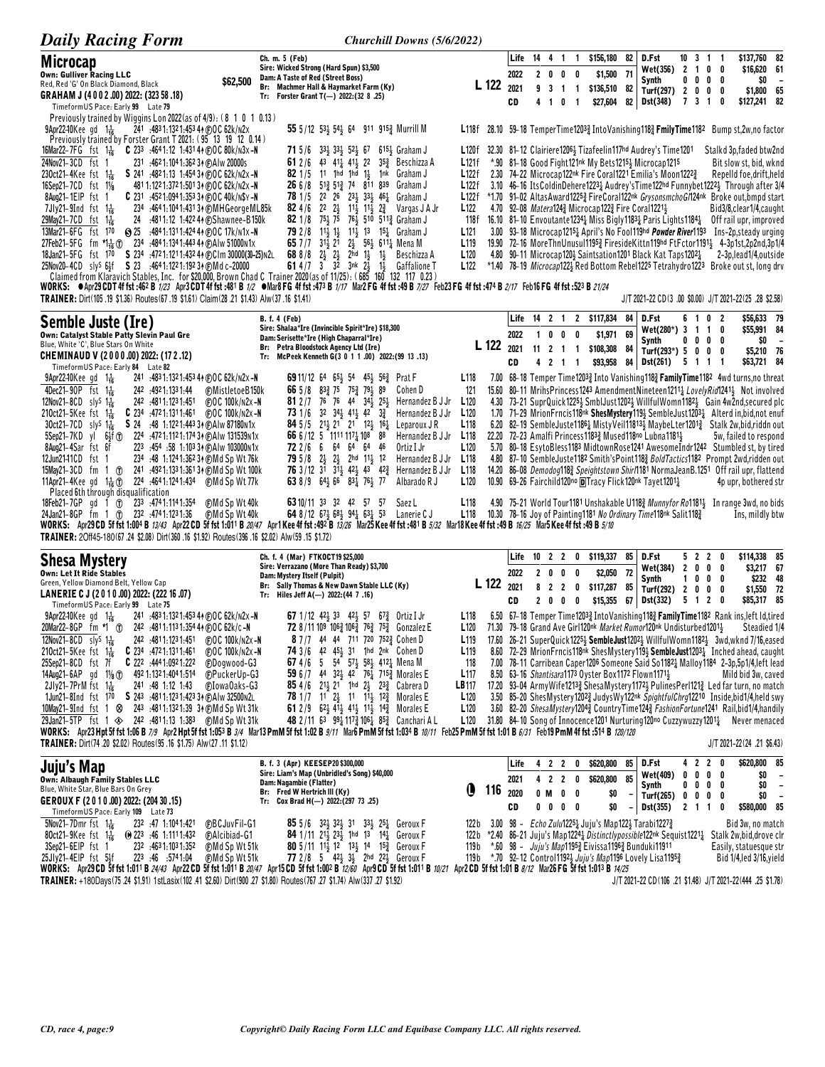| <b>Daily Racing Form</b>                                                                                                                                                                                                  | Churchill Downs (5/6/2022)                                                                                                                                                                                                                                             |                                      |            |              |                                       |                            |                          |                                                                                                               |          |                                                                                                                                                 |                      |            |                              |                                                                                                                                                                                                                                                       |                                                      |
|---------------------------------------------------------------------------------------------------------------------------------------------------------------------------------------------------------------------------|------------------------------------------------------------------------------------------------------------------------------------------------------------------------------------------------------------------------------------------------------------------------|--------------------------------------|------------|--------------|---------------------------------------|----------------------------|--------------------------|---------------------------------------------------------------------------------------------------------------|----------|-------------------------------------------------------------------------------------------------------------------------------------------------|----------------------|------------|------------------------------|-------------------------------------------------------------------------------------------------------------------------------------------------------------------------------------------------------------------------------------------------------|------------------------------------------------------|
| <b>Microcap</b>                                                                                                                                                                                                           | Ch. m. 5 (Feb)<br>Sire: Wicked Strong (Hard Spun) \$3,500                                                                                                                                                                                                              |                                      |            | Life<br>2022 | 14  4  1                              |                            | $\overline{\mathbf{1}}$  | \$156,180                                                                                                     | 82       | D.Fst<br>Wet(356) 2 1 0                                                                                                                         |                      |            | $10 \t3 \t1 \t1$<br>0        | \$137,760 82<br>\$16,620 61                                                                                                                                                                                                                           |                                                      |
| <b>Own: Gulliver Racing LLC</b><br>Red, Red 'G' On Black Diamond, Black                                                                                                                                                   | Dam: A Taste of Red (Street Boss)<br>\$62,500<br>Br: Machmer Hall & Haymarket Farm (Ky)                                                                                                                                                                                |                                      | L 122 2021 |              | 2 <sub>0</sub><br>9 <sub>3</sub>      | 0                          | 0<br>1 1                 | \$1,500<br>\$136,510 82                                                                                       | 71       | Synth<br>Turf(297) 2 0 0 0                                                                                                                      |                      | $0\ 0\ 0$  | 0                            | \$0<br>\$1,800 65                                                                                                                                                                                                                                     | $\overline{\phantom{a}}$                             |
| GRAHAM J (4002.00) 2022: (323 58.18)<br>TimeformUS Pace: Early 99 Late 79                                                                                                                                                 | Tr: Forster Grant $T(-)$ 2022:(32 8 .25)                                                                                                                                                                                                                               |                                      |            | CD           | 41                                    | 0                          | $\overline{1}$           | \$27,604                                                                                                      | 82       | Dst(348)                                                                                                                                        |                      | 7 3 1      | 0                            | \$127,241 82                                                                                                                                                                                                                                          |                                                      |
| Previously trained by Wiggins Lon 2022 (as of $4/9$ ): (8 1 0 1 0.13)<br>241 :483 1:132 1:453 44 @OC 62k/n2x<br><b>9Apr22-10</b> Kee gd $1\frac{1}{16}$<br>Previously trained by Forster Grant T 2021: (95 13 19 12 0.14) | 55 5/12 53 $\frac{1}{2}$ 54 $\frac{1}{2}$ 64 911 915 $\frac{3}{2}$ Murrill M                                                                                                                                                                                           |                                      |            |              |                                       |                            |                          |                                                                                                               |          |                                                                                                                                                 |                      |            |                              | L118f 28.10 59-18 TemperTime12033 Into Vanishing1183 FmilyTime1182 Bump st, 2w, no factor                                                                                                                                                             |                                                      |
| <b>C</b> 233 :4641:12 1:431 44 (F)OC 80k/n3x -N<br>16Mar22-7FG fst 1 $\frac{1}{16}$<br>24Nov21-3CD fst 1<br>231 :4621:1041:36234 @Alw 20000s                                                                              | <b>71</b> 5/6 33 $\frac{1}{2}$ 33 $\frac{1}{2}$ 52 $\frac{1}{2}$ 67<br>$615\frac{1}{2}$ Graham J<br>43 41 <sup>1</sup> 41 <sup>1</sup> 22<br>61 2/6<br>353 Beschizza A                                                                                                 | L120†<br>L121f                       |            |              |                                       |                            |                          |                                                                                                               |          | 32.30 81-12 Clairiere1206 <sup>1</sup> / <sub>3</sub> Tizafeelin117hd Audrey's Time1201<br>*.90 81-18 Good Fight121nk My Bets12154 Microcap1215 |                      |            |                              | Stalkd 3p, faded btw2nd<br>Bit slow st, bid, wknd                                                                                                                                                                                                     |                                                      |
| $230$ ct21–4Kee fst 1 $\frac{1}{16}$<br>S 241 :4821:13 1:454 34 (DOC 62k/N2x-N<br>16Sep21-7CD fst 11/8<br>481 1:122 1:372 1:501 34 @OC 62k/n2x -N                                                                         | $1\frac{1}{2}$<br>$821/5$ 11 1hd 1hd<br>1nk<br>Graham J<br><b>26</b> 6/8 51 <sup>2</sup> / <sub>2</sub> 51 <sup>2</sup> / <sub>2</sub> 74 811 839<br>Graham J                                                                                                          | L122f<br>L122f                       |            |              |                                       |                            |                          |                                                                                                               |          | 2.30 74-22 Microcap122nk Fire Coral1221 Emilia's Moon12223                                                                                      |                      |            |                              | Repelld foe, drift, held<br>3.10 46-16 ItsColdinDehere12231 Audrey's Time122hd Funnybet12221 Through after 3/4                                                                                                                                        |                                                      |
| 8Aug21-1EIP fst 1<br>C $231$ :4521:0941:35334 (F)OC 40k/N\$Y-N                                                                                                                                                            | <b>78</b> 1/5 22 26 23 33 46 <sup>1</sup> / <sub>2</sub> Graham J                                                                                                                                                                                                      | L122f                                |            |              |                                       |                            |                          |                                                                                                               |          |                                                                                                                                                 |                      |            |                              | *1.70 91-02 AltasAward1225 <sup>3</sup> FireCoral122nk GrysonsmchoGn24nk Broke out, bmpd start                                                                                                                                                        |                                                      |
| 7Jly21-9Ind fst $1\frac{1}{16}$<br>234 .4641:1041:43134 @MHGeorgeML85k<br>29May21-7CD fst 1 <sup>1</sup> <sub>16</sub><br>24 :4811:12 1:422 44 @Shawnee-B150k                                                             | <b>82</b> 4/6 22 2 <sup>1</sup> / <sub>3</sub> 11 <sup>1</sup> / <sub>3</sub> 2 <sup>2</sup> / <sub>1</sub><br>Vargas J A Jr<br>82 1/8 75 375 76 510 511 3Graham J                                                                                                     | L <sub>122</sub><br>118f             |            |              |                                       |                            |                          | 4.70 92-08 <i>Matera</i> 124 <sup>3</sup> Microcap122 <sup>3</sup> Fire Coral1221 <sup>1</sup> / <sub>3</sub> |          | 16.10 81-10 Envoutante12344 Miss Bigly11834 Paris Lights11844                                                                                   |                      |            |                              | Bid3/8.clear1/4.caught<br>Off rail upr, improved                                                                                                                                                                                                      |                                                      |
| 13Mar21-6FG<br>S 25 :484 1:131 1:424 44 ⊕ 0 C 17k/n 1x -N<br>fst 170<br>27Feb21-5FG fm *146 1 234 :4841:1341:443 44 @AIw 51000n1x                                                                                         | <b>79</b> 2/8 11 <sup>1</sup> / <sub>2</sub> 1 <sup>1</sup> / <sub>2</sub> 1 <sup>1</sup> / <sub>2</sub> 1 <sup>5</sup> <sup>1</sup> / <sub>2</sub> Graham J<br>65 7 / 7 $31\frac{1}{2}$ 2 <sup>1</sup><br>$2\frac{1}{2}$ 56 $\frac{1}{2}$<br>6111 Mena M              | L <sub>121</sub><br>L <sub>119</sub> |            |              |                                       |                            |                          |                                                                                                               |          |                                                                                                                                                 |                      |            |                              | 3.00 93-18 Microcap1215 <sup>1</sup> April's No Fool119hd <i>Powder River</i> 1193 Ins-2p, steady urging<br>19.90 72-16 MoreThnUnusul11953 FiresideKittn119hd FtFctor11913 4-3p1st,2p2nd,3p1/4                                                        |                                                      |
| 18Jan21-5FG fst 170<br>S 234 :472 1:121 1:432 44 CCIm 30000 (30-25) N2L<br>25Nov20-4CD sly <sup>s</sup> 6}f <b>S</b> 23 :4641:1221:1923 A (E)Md c-20000                                                                   | 688/8<br>$2\frac{1}{2}$ $2\frac{1}{2}$<br>$2hd \frac{11}{2}$<br>$1\frac{1}{2}$<br>Beschizza A<br>61 4 /7 $3^{\frac{1}{2}}$ 3 <sup>2</sup> 3nk $2\frac{1}{2}$<br>$1\frac{1}{2}$<br><b>Gaffalione T</b>                                                                  | L <sub>120</sub><br>L <sub>122</sub> |            |              |                                       |                            |                          |                                                                                                               |          | 4.80 90-11 Microcap1203 Saintsation1201 Black Kat Taps12021                                                                                     |                      |            |                              | 2-3p, lead 1/4, outside<br>*1.40 78-19 Microcap1223 Red Bottom Rebel1225 Tetrahydro1223 Broke out st, long drv                                                                                                                                        |                                                      |
|                                                                                                                                                                                                                           | Claimed from Klaravich Stables, Inc. for \$20,000, Brown Chad C Trainer 2020 (as of 11/25): (685 160 132 117 0.23)<br>WORKS: @Apr29CDT4ffst:462B 1/23 Apr3CDT4ffst:481B 1/2 @Mar8FG4ffst:473B 1/17 Mar2FG4ffst:49B 7/27 Feb23FG4ffst:474B 2/17 Feb16FG4ffst:523B 21/24 |                                      |            |              |                                       |                            |                          |                                                                                                               |          |                                                                                                                                                 |                      |            |                              |                                                                                                                                                                                                                                                       |                                                      |
| TRAINER: Dirt(105.19 \$1.36) Routes(67.19 \$1.61) Claim(28.21 \$1.43) Alw(37.16 \$1.41)                                                                                                                                   |                                                                                                                                                                                                                                                                        |                                      |            |              |                                       |                            |                          |                                                                                                               |          |                                                                                                                                                 |                      |            |                              | J/T 2021-22 CD(3 .00 \$0.00) J/T 2021-22(25 .28 \$2.58)                                                                                                                                                                                               |                                                      |
| Semble Juste (Ire)                                                                                                                                                                                                        | <b>B. f. 4 (Feb)</b><br>Sire: Shalaa*Ire (Invincible Spirit*Ire) \$18,300                                                                                                                                                                                              |                                      |            |              |                                       |                            |                          | Life 14 2 1 2 \$117,834                                                                                       | 84       | D.Fst<br>Wet(280*) 3 1 1                                                                                                                        | 6                    | -1         | 0<br>2<br>0                  | \$56,633 79<br>\$55,991 84                                                                                                                                                                                                                            |                                                      |
| Own: Catalyst Stable Patty Slevin Paul Gre<br>Blue, White 'C', Blue Stars On White                                                                                                                                        | Dam: Serisette*Ire (High Chaparral*Ire)<br>Petra Bloodstock Agency Ltd (Ire)<br>Br:                                                                                                                                                                                    |                                      | L 122 2021 | 2022         | $11$ 2 1 1                            | 1000                       |                          | \$1,971<br>\$108,308                                                                                          | 69<br>84 | Synth<br>Turf(293*) 5 0 0                                                                                                                       |                      |            | $0\ 0\ 0\ 0$<br>0            | \$0<br>\$5,210 76                                                                                                                                                                                                                                     | $\overline{a}$                                       |
| CHEMINAUD V (2000.00) 2022: (172.12)<br>TimeformUS Pace: Early 84 Late 82                                                                                                                                                 | Tr: McPeek Kenneth G(3 0 1 1 .00) 2022: (99 13 .13)                                                                                                                                                                                                                    |                                      |            | CD           |                                       | 4 2 1 1                    |                          | \$93,958                                                                                                      |          | 84 Dst(261) 5 1 1 1                                                                                                                             |                      |            |                              | \$63,721 84                                                                                                                                                                                                                                           |                                                      |
| $9$ Apr22–10Kee gd $1\frac{1}{16}$<br>241 :483 1:132 1:453 44 @OC 62k/N2x-N<br>4Dec21-90P fst $1\frac{1}{16}$<br>242 4921.1331.44                                                                                         | <b>69</b> 11/12 64 65 54 45 56 Prat F<br>66 5/8 83 $\frac{3}{4}$ 75 75 $\frac{3}{4}$ 79 $\frac{1}{2}$ 89<br>Cohen D<br>(F)MistletoeB150k                                                                                                                               | L <sub>118</sub><br>121              |            |              |                                       |                            |                          |                                                                                                               |          |                                                                                                                                                 |                      |            |                              | 7.00 68-18 Temper Time12033 Into Vanishing1183 FamilyTime1182 4wd turns, no threat<br>15.60 80-11 MrihsPrincess1243 AmendmentNineteen1211 <sup>1</sup> LovelyRid1241 <sup>1</sup> Not involved                                                        |                                                      |
| 12Nov21-8CD sly <sup>S</sup> 1 <sup>1</sup> / <sub>16</sub><br>242 .4811.1231.451<br><b>C</b> 234 :4721:1311:461 (FOC 100k/N2x-N<br>210ct21-5Kee fst $1\frac{1}{16}$                                                      | <b>81</b> 2 / 7 76 76 44 34 $\frac{1}{2}$<br>$25\frac{1}{2}$<br>(F) O C 100k/n2x-N<br>Hernandez B J Jr<br>$3^2$ $3^{41}$ $4^{11}$ $4^{2}$ $3^{3}$<br>73 1/6<br>Hernandez B J Jr                                                                                        | L <sub>120</sub><br>L <sub>120</sub> |            |              |                                       |                            |                          |                                                                                                               |          |                                                                                                                                                 |                      |            |                              | 4.30 73-21 SuprQuick12252 SmblJust12022 WillfulWomn11822 Gain 4w2nd, secured plc<br>1.70 71-29 MrionFrncis118nk ShesMystery119} SembleJust12031 Alterd in, bid, not enuf                                                                              |                                                      |
| S 24 :48 1:1221:443 34 @ Alw 87180n1x<br>30ct21-7CD sly <sup>S</sup> 1 <sup>1</sup> / <sub>16</sub><br>5Sep21-7KD<br>yl 6 <sup>1</sup> <sub>2</sub> f (1) 224 :4721:1121:17434 (DAIw 131539n1x                            | 84 5 / 5 2 1 3 21 21 1 2 1 1 2 1 $\frac{1}{4}$<br>Leparoux JR<br>66 6/12 5 1111 117 108 88<br>Hernandez B J Jr                                                                                                                                                         | L <sub>118</sub><br>L118             |            |              |                                       |                            |                          |                                                                                                               |          | 22.20 72-23 Amalfi Princess11833 Mused118no Lubna11813                                                                                          |                      |            |                              | 6.20 82-19 SembleJuste11861 MistyVeil118131 MaybeLter12011 Stalk 2w, bid, riddn out<br>5w, failed to respond                                                                                                                                          |                                                      |
| 8Aug21-4Sar fst 6f<br>223 :454 :58 1:103 34 @ Alw 103000 n1x<br>12Jun2141CD fst 1<br>234 :48 1:1241:362 34 (DMd Sp Wt 76k)                                                                                                | 72 2 / 6 6 64 64 64 46<br>Ortiz I Jr<br><b>79</b> 5/8 2} 2} 2hd 11} 12<br>Hernandez B J Jr                                                                                                                                                                             | L <sub>120</sub><br>L <sub>118</sub> |            |              |                                       |                            |                          |                                                                                                               |          |                                                                                                                                                 |                      |            |                              | 5.70 80-18 EsytoBless1183 MidtownRose1241 AwesomeIndr1242 Stumbled st, by tired<br>4.80 87-10 SembleJuste1182 Smith'sPoint1183 BoldTactics1182 Prompt 2wd,ridden out                                                                                  |                                                      |
| 15May21-3CD fm 1 ① 241 :4921:1331:361 3 A C Md Sp Wt 100k<br>11Apr21-4Kee gd $1\frac{1}{16}$ ①<br>224 .464 1:124 1:434                                                                                                    | 76 3/12 31 31 42 43 42 3<br>Hernandez B J Jr<br>⊕Md Sp Wt 77k<br>63 8/9 64 66 83 76 77<br>Albarado R J                                                                                                                                                                 | L <sub>118</sub><br>L <sub>120</sub> |            |              |                                       |                            |                          |                                                                                                               |          | 10.90 69-26 Fairchild120no DTracy Flick120nk Tayet12011                                                                                         |                      |            |                              | 14.20 86-08 Demodog1183 Speightstown Shir/1181 NormaJeanB.1251 Off rail upr, flattend<br>4p upr, bothered str                                                                                                                                         |                                                      |
| Placed 6th through disqualification<br>233 : 474 1:114 1:354<br>18Feb21-7GP gd 1 (T)                                                                                                                                      | <b>63</b> 10/11 33 32 42 57 57<br><b>CMd Sp Wt 40k</b><br>Saez L                                                                                                                                                                                                       | L <sub>118</sub>                     |            |              |                                       |                            |                          |                                                                                                               |          |                                                                                                                                                 |                      |            |                              | 4.90 75-21 World Tour1181 Unshakable U1183 Munnyfor Ro11814 In range 3wd, no bids                                                                                                                                                                     |                                                      |
| 24Jan21-8GP fm 1 (1) 232 :4741:1231:36                                                                                                                                                                                    | 64 8/12 673 683 942 632 53 Lanerie CJ<br>(F)Md Sp Wt 40k<br>WORKS: Apr29 CD 5f fst 1:004 B 13/43 Apr22 CD 5f fst 1:011 B 20/47 Apr1 Kee 4f fst :492 B 13/26 Mar25 Kee 4f fst :49 B 5/32 Mar18 Kee 4f fst :49 B 16/25 Mar5 Kee 4f fst :49 B 5/10                        | L118                                 |            |              |                                       |                            |                          |                                                                                                               |          | 10.30 78-16 Joy of Painting 1181 No Ordinary Time 118nk Salit 1183                                                                              |                      |            |                              | Ins, mildly btw                                                                                                                                                                                                                                       |                                                      |
| TRAINER: 20ff45-180(67.24 \$2.08) Dirt(360.16 \$1.92) Routes (396.16 \$2.02) Alw (59.15 \$1.72)                                                                                                                           |                                                                                                                                                                                                                                                                        |                                      |            |              |                                       |                            |                          |                                                                                                               |          |                                                                                                                                                 |                      |            |                              |                                                                                                                                                                                                                                                       |                                                      |
| <b>Shesa Mystery</b>                                                                                                                                                                                                      | Ch. f. 4 (Mar) FTKOCT19 \$25,000<br>Sire: Verrazano (More Than Ready) \$3,700                                                                                                                                                                                          |                                      |            | Life         | $10 \t2 \t2$                          |                            | $\mathbf{0}$             | \$119,337                                                                                                     | 85       | D.Fst<br>Wet(384) 2 0 0 0                                                                                                                       |                      | 522        | 0                            | \$114,338 85<br>\$3,217 67                                                                                                                                                                                                                            |                                                      |
| <b>Own: Let It Ride Stables</b><br>Green, Yellow Diamond Belt, Yellow Cap                                                                                                                                                 | Dam: Mystery Itself (Pulpit)<br>Br: Sally Thomas & New Dawn Stable LLC (Ky)                                                                                                                                                                                            |                                      | L 122 2021 | 2022         | 2 <sub>0</sub><br>8<br>$\overline{2}$ | 0<br>$\overline{2}$        | 0<br>0                   | \$2,050<br>\$117,287                                                                                          | 72<br>85 | Synth<br>Turf(292)                                                                                                                              | 10<br>$\overline{2}$ | $0\quad 0$ | $\mathbf{0}$<br>0<br>0       | \$232 48<br>\$1,550                                                                                                                                                                                                                                   | 72                                                   |
| LANERIE C J (2010.00) 2022: (222 16.07)<br>TimeformUS Pace: Early 99 Late 75                                                                                                                                              | Tr: Hiles Jeff A(-) 2022: (44 7 .16)                                                                                                                                                                                                                                   |                                      |            | CD           | 2 <sub>0</sub>                        | 0                          | $\overline{\phantom{a}}$ | \$15,355                                                                                                      |          | 67 Dst(332)                                                                                                                                     |                      | 5 1 2      | 0                            | \$85,317 85                                                                                                                                                                                                                                           |                                                      |
| 241 :483 1:132 1:453 44 (DOC 62k/N2x -N<br><b>9Apr22-10</b> Kee gd $1\frac{1}{16}$                                                                                                                                        | <b>67</b> 1/12 42 <sup>1</sup> / <sub>3</sub> 33 42 <sup>1</sup> / <sub>3</sub> 57 6 <sup>7</sup> / <sub>2</sub> 0rtiz I Jr<br>72 8/11 109 1063 1063 763 753 Gonzalez E                                                                                                | L <sub>118</sub><br>L120             |            |              |                                       |                            |                          |                                                                                                               |          | 71.30 79-18 Grand Ave Girl120nk Market Rumor120nk Undisturbed12013                                                                              |                      |            |                              | 6.50 67-18 Temper Time12033 Into Vanishing1183 Family Time1182 Rank ins, left ld, tired<br>Steadied 1/4                                                                                                                                               |                                                      |
| 242 4811.1231.451<br>12Nov21-8CD sly <sup>s</sup> 1 <sup>1</sup> / <sub>16</sub><br>210ct21-5Kee fst $1\frac{1}{16}$<br>$C$ 234 $.4721.1311.461$                                                                          | $\bigoplus$ OC 100 $k/N2x - N$<br>8 7/7 44 44 711 720 752 <sup>3</sup> Cohen D<br>(F)OC 100k/n2x-N<br><b>74</b> $3/6$ 42 $45\frac{1}{2}$ 31 1hd 2nk Cohen D                                                                                                            | L <sub>119</sub><br>L <sub>119</sub> |            |              |                                       |                            |                          |                                                                                                               |          |                                                                                                                                                 |                      |            |                              | 17.60 26-21 SuperQuick1225 <sup>1</sup> / <sub>2</sub> SembleJust1202 <sup>1</sup> / <sub>2</sub> WillfulWomn1182 <sup>1</sup> / <sub>2</sub> 3wd,wknd 7/16,eased<br>8.60 72-29 MrionFrncis118nk ShesMystery119} SembleJust1203} Inched ahead, caught |                                                      |
| 25Sep21-8CD fst 7f<br>$C$ 222 $.4441.0921.222$<br>14Aug21-6AP gd 11/8 T 492 1:132 1:404 1:514                                                                                                                             | 67 4/6 5 54 57 $\frac{1}{2}$ 58 $\frac{1}{2}$ 412 $\frac{1}{4}$ Mena M<br>CDogwood-G3<br><b>CPuckerUp-G3</b><br>59 6 /7 44 32 42 76 715 Morales E                                                                                                                      | 118<br>L <sub>117</sub>              |            |              |                                       |                            |                          |                                                                                                               |          | 8.50 63-16 Shantisara1173 Oyster Box1172 Flown11711                                                                                             |                      |            |                              | 7.00 78-11 Carribean Caper1206 Someone Said So1182 } Malloy1184 2-3p, 5p1/4, left lead<br>Mild bid 3w, caved                                                                                                                                          |                                                      |
| 2Jly21-7PrM fst 116<br>241 :48 1:12 1:43<br>1Jun21-8Ind fst 170 S 243 4811:1231:42334 @AIw 32500N2L                                                                                                                       | GIowaOaks-G3<br><b>85</b> 4/6 21 <sup>1</sup> / <sub>2</sub> 21 1 hd 2 <sup>1</sup> / <sub>2</sub> 23 <sup>2</sup> / <sub>2</sub> Cabrera D<br><b>78</b> 1/7 11 2 <sup>1</sup> / <sub>2</sub> 11 1 <sup>1</sup> / <sub>2</sub> 1 <sup>2</sup> / <sub>4</sub> Morales E | LB117<br>L <sub>120</sub>            |            |              |                                       |                            |                          |                                                                                                               |          |                                                                                                                                                 |                      |            |                              | 17.20 93-04 ArmyWife12133 ShesaMystery11723 PulinesPerl1213 Led far turn, no match<br>3.50 85-20 ShesMystery12023 JudysWy122nk SpightfulChrg12210 Inside, bid1/4, held swy                                                                            |                                                      |
| 10May21-9Ind fst 1 $\otimes$ 243 :4811:1321:39 34 @Md Sp Wt 31k<br>29Jan21-5TP fst 1 $\otimes$ 242 :4811:13 1:383 $\oplus$ Md Sp Wt 31k                                                                                   | 61 2/9 62 41 41 41 11 42 Morales E<br>48 2/11 63 991 1173 1061 853 Canchari AL                                                                                                                                                                                         | L <sub>120</sub><br>L <sub>120</sub> |            |              |                                       |                            |                          |                                                                                                               |          |                                                                                                                                                 |                      |            |                              | 3.60 82-20 ShesaMystery12043 CountryTime1243 FashionFortune1241 Rail,bid1/4,handily<br>31.80 84-10 Song of Innocence1201 Nurturing120no Cuzzywuzzy12011 Never menaced                                                                                 |                                                      |
|                                                                                                                                                                                                                           | WORKS: Apr23 Hpt 5f fst 1:06 B 7/9 Apr2 Hpt 5f fst 1:053 B 3/4 Mar13 PmM 5f fst 1:02 B 9/11 Mar6 PmM 5f fst 1:034 B 10/11 Feb25 PmM 5f fst 1:01 B 6/31 Feb19 PmM 4f fst :514 B 120/120                                                                                 |                                      |            |              |                                       |                            |                          |                                                                                                               |          |                                                                                                                                                 |                      |            |                              |                                                                                                                                                                                                                                                       |                                                      |
| TRAINER: Dirt(74.20 \$2.02) Routes(95.16 \$1.75) Alw(27.11 \$1.12)                                                                                                                                                        | B. f. 3 (Apr) KEESEP20 \$300,000                                                                                                                                                                                                                                       |                                      |            | Life         |                                       | 4 2 2                      | 0                        | \$620,800                                                                                                     | 85       | D.Fst                                                                                                                                           |                      | 422        | 0                            | J/T 2021-22(24 .21 \$6.43)<br>\$620,800 85                                                                                                                                                                                                            |                                                      |
| Juju's Map<br><b>Own: Albaugh Family Stables LLC</b>                                                                                                                                                                      | Sire: Liam's Map (Unbridled's Song) \$40,000<br>Dam: Nagambie (Flatter)                                                                                                                                                                                                |                                      |            | 2021         |                                       | 4 2 2 0                    |                          | \$620,800                                                                                                     | 85       | Wet(409)<br>Synth                                                                                                                               |                      |            | $0\ 0\ 0\ 0$<br>$0\ 0\ 0\ 0$ | \$0<br>\$0                                                                                                                                                                                                                                            | $\overline{\phantom{a}}$<br>$\overline{\phantom{a}}$ |
| Blue, White Star, Blue Bars On Grey<br>GEROUX F (2010.00) 2022: (204 30 .15)                                                                                                                                              | Br: Fred W Hertrich III (Ky)<br>Tr: Cox Brad H(-) 2022: (297 73 .25)                                                                                                                                                                                                   | $\mathbf 0$                          | 116 2020   | CD           | 0 M                                   | $0\quad 0$<br>$0\ 0\ 0\ 0$ |                          | \$0<br>\$0                                                                                                    |          | Turf(265) $0 \t 0 \t 0 \t 0$<br>Dst(355)                                                                                                        |                      |            | 2 1 1 0                      | \$0<br>\$580,000 85                                                                                                                                                                                                                                   | $\overline{\phantom{a}}$                             |
| TimeformUS Pace: Early 109 Late 73<br>$5$ Nov21-7Dmr fst 1 $\frac{1}{16}$<br>232 47 1:104 1:421                                                                                                                           | @BCJuvFil-G1<br><b>85</b> 5/6 32 <sup>1</sup> / <sub>2</sub> 32 <sup>1</sup> / <sub>2</sub> 31 33 <sup>1</sup> / <sub>2</sub> 25 <sup>1</sup> / <sub>4</sub> Geroux F                                                                                                  | 122 b                                |            |              |                                       |                            |                          |                                                                                                               |          | 3.00 98 - Echo Zulu1225 $\frac{1}{4}$ Juju's Map122 $\frac{1}{2}$ Tarabi1227 $\frac{3}{4}$                                                      |                      |            |                              | Bid 3w, no match                                                                                                                                                                                                                                      |                                                      |
| 80ct21-9Kee fst $1\frac{1}{16}$<br>$\omega$ 223 :46 1:1111:432<br>3Sep21-6EIP fst 1<br>232 :4631:1031:352                                                                                                                 | <b>84</b> 1/11 21 <sub>3</sub> 23 <sub>3</sub> 1hd 13 14 <sub>4</sub> Geroux F<br><b>CAlcibiad-G1</b><br><b>CMd Sp Wt 51k</b><br><b>80</b> 5/11 11 12 13 14 15 Geroux F                                                                                                | 122 b<br>119 b                       |            |              |                                       |                            |                          |                                                                                                               |          | *.60 98 - <i>Juju's Map</i> 1195 <sub>2</sub> Eivissa1196 <sub>2</sub> Bunduki11911                                                             |                      |            |                              | *2.40 86-21 Juju's Map12244 Distinctlypossible122nk Sequist12214 Stalk 2w,bid,drove clr<br>Easily, statuesque str                                                                                                                                     |                                                      |
| 223 :46 :5741:04<br>25Jly21-4EIP fst 5}f                                                                                                                                                                                  | 77 2/8 5 423 33 2hd 223 Geroux F<br>(F)Md Sp Wt 51k<br>WORKS: Apr29CD 5f fst 1:011 B 24/43 Apr22CD 5f fst 1:011 B 20/47 Apr15CD 5f fst 1:002 B 12/60 Apr9CD 5f fst 1:01 B 10/21 Apr2CD 5f fst 1:01 B 8/12 Mar26 FG 5f fst 1:013 B 14/25                                | 119 b                                |            |              |                                       |                            |                          |                                                                                                               |          | *.70 92-12 Control11923 Juju's Map1196 Lovely Lisa11953                                                                                         |                      |            |                              | Bid 1/4, led 3/16, yield                                                                                                                                                                                                                              |                                                      |
|                                                                                                                                                                                                                           | TRAINER: +180Days(75.24 \$1.91) 1stl asix(102.41 \$2.60) Dirt(900.27 \$1.80) Routes(767.27 \$1.74) Alw(337.27 \$1.92)                                                                                                                                                  |                                      |            |              |                                       |                            |                          |                                                                                                               |          |                                                                                                                                                 |                      |            |                              | J/T 2021-22 CD(106, 21 \$1.48), J/T 2021-22(444, 25 \$1.78).                                                                                                                                                                                          |                                                      |

WURKS: RUIZOU 31 ISL 1:00 - B 24/43 RUIZZUD 31 ISL 1:00 - B 20/47 RUI 130 LD 31 ISL 1:00 - B 12/60 RUI3UD 31 ISL<br>TRAINER: +180Days(75.24 \$1.91) 1stLasix(102.41 \$2.60) Dirt(900.27 \$1.80) Routes(767.27 \$1.74) Alw(337.27 \$1.9 ושו رس ہے<br>- J/T 2021–22 CD(106 .21 \$1.48) J/T 2021–22(444 .25 \$1.78)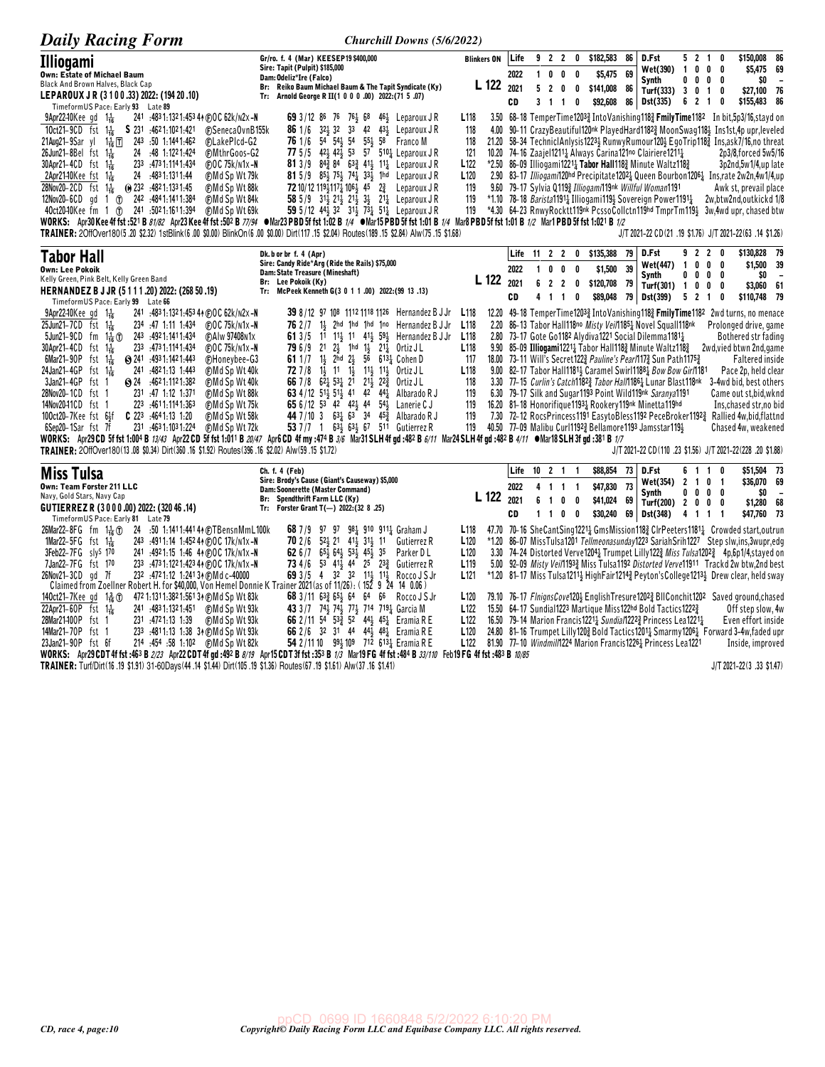| <b>Daily Racing Form</b>                                                                                                                                                                                                                                                                                                                                                                                                                                                                                                                                                                                                                                                                                                                                                                                                                                                                                                                                                                                                                                                                                                                                            | Churchill Downs (5/6/2022)                                                                                                                                                                                                                                                                                                                                                                                                                                                                                                                                                                                                                                                 |                                                                                                                                            |                                   |                                                                            |                               |                              |                                                                       |                                                                                                                                                                                                                                                                                                                                                                                                                                                                                                                                                                                                                                                                                                                                                                                                                                                                                        |                                |                                                                  |               |                                                                                                                                                                                                                               |                                              |
|---------------------------------------------------------------------------------------------------------------------------------------------------------------------------------------------------------------------------------------------------------------------------------------------------------------------------------------------------------------------------------------------------------------------------------------------------------------------------------------------------------------------------------------------------------------------------------------------------------------------------------------------------------------------------------------------------------------------------------------------------------------------------------------------------------------------------------------------------------------------------------------------------------------------------------------------------------------------------------------------------------------------------------------------------------------------------------------------------------------------------------------------------------------------|----------------------------------------------------------------------------------------------------------------------------------------------------------------------------------------------------------------------------------------------------------------------------------------------------------------------------------------------------------------------------------------------------------------------------------------------------------------------------------------------------------------------------------------------------------------------------------------------------------------------------------------------------------------------------|--------------------------------------------------------------------------------------------------------------------------------------------|-----------------------------------|----------------------------------------------------------------------------|-------------------------------|------------------------------|-----------------------------------------------------------------------|----------------------------------------------------------------------------------------------------------------------------------------------------------------------------------------------------------------------------------------------------------------------------------------------------------------------------------------------------------------------------------------------------------------------------------------------------------------------------------------------------------------------------------------------------------------------------------------------------------------------------------------------------------------------------------------------------------------------------------------------------------------------------------------------------------------------------------------------------------------------------------------|--------------------------------|------------------------------------------------------------------|---------------|-------------------------------------------------------------------------------------------------------------------------------------------------------------------------------------------------------------------------------|----------------------------------------------|
| Illiogami<br><b>Own: Estate of Michael Baum</b><br><b>Black And Brown Halves, Black Cap</b><br>LEPAROUX JR (3100.33) 2022: (194 20.10)<br>TimeformUS Pace: Early 93 Late 89                                                                                                                                                                                                                                                                                                                                                                                                                                                                                                                                                                                                                                                                                                                                                                                                                                                                                                                                                                                         | Gr/ro. f. 4 (Mar) KEESEP19 \$400,000<br>Sire: Tapit (Pulpit) \$185,000<br>Dam: Odeliz*Ire (Falco)<br>Br: Reiko Baum Michael Baum & The Tapit Syndicate (Ky)<br>Tr: Arnold George R II(1 0 0 0 .00) 2022:(71 5 .07)                                                                                                                                                                                                                                                                                                                                                                                                                                                         | <b>Blinkers ON</b><br>L 122 2021                                                                                                           | Life<br>2022<br>CD                | 92<br>0<br>1<br>5<br>$\overline{2}$<br>$3 \t1 \t1$                         | 2<br>0<br>0                   | 0<br>$\mathbf{0}$<br>0<br>0  | \$182,583<br>86<br>69<br>\$5,475<br>\$141,008<br>86<br>\$92,608<br>86 | D.Fst<br>Wet(390)<br>Synth<br>Turf(333)<br>Dst(335)                                                                                                                                                                                                                                                                                                                                                                                                                                                                                                                                                                                                                                                                                                                                                                                                                                    | 100<br>$0\ 0\ 0$<br>3010       | 5 2 1 0<br>6 2 1 0                                               | 0<br>0        | \$150,008<br>\$5,475 69<br>\$0<br>\$27,100<br>\$155,483                                                                                                                                                                       | 86<br>$\overline{\phantom{a}}$<br>- 76<br>86 |
| $9$ Apr22–10Kee gd $1\frac{1}{16}$<br>241 :4831:1321:4534 + DOC 62k/n2x-N<br>\$231 :4621:1021:421<br>10ct21-9CD fst $1\frac{1}{16}$<br><b>@SenecaOvnB155k</b><br>21Aug21-9Sar yl 14 17 243 50 1:1441:462<br><b>CLakePIcd-G2</b><br>26Jun21-8Bel fst 116<br>24 .48 1:1221:424<br><b>@MthrGoos-G2</b><br>30Apr21-4CD fst 1 <sup>1</sup> / <sub>16</sub><br>233 .4731.1141.434<br>$FOC$ 75 $k/N1x - N$<br>24 :4831:1311:44<br>⊕Md Sp Wt 79k<br>2Apr21-10 $Kee$ fst 1 $\frac{1}{16}$<br>28Nov20-2CD fst 1 <sup>1</sup> / <sub>16</sub> (0) 232 :4821:1331:45<br>(F) Md Sp Wt 88k<br>12Nov20-6CD gd 1 T 242 :4841:1411:384<br><b>⊕Md Sp Wt 84k</b><br>40ct2040Kee fm 1 (r) 241 :5021:1611:394<br><b>CMd Sp Wt 69k</b><br>WORKS: Apr30Kee 4f fst :521 B <i>81/82</i> Apr23Kee 4f fst :502 B 77/94 •Mar23 PBD 5f fst 1:02 B 1/4 •Mar15 PBD 5f fst 1:01 B 1/4 Mar8 PBD 5f fst 1:01 B 1/2 Mar1 PBD 5f fst 1:021 B 1/2<br>TRAINER: 2OffOver180(5.20 \$2.32) 1stBlink(6.00 \$0.00) BlinkOn(6.00 \$0.00) Dirt(117.15 \$2.04) Routes(189.15 \$2.84) Alw(75.15 \$1.68)                                                                                                            | 69 3/12 86 76 76 68 46 Leparoux JR<br>32 <sup>1</sup> / <sub>3</sub> 32 33 42 43 <sup>1</sup> / <sub>2</sub> Leparoux J R<br>861/6<br>76 1/6 54 54 54 55 54<br>58 Franco M<br>77 5/5 42 42 53 57 510 Leparoux JR<br>81 3/9 84 $^{3}_{2}$ 84 63 $^{3}_{2}$ 41 $^{1}_{3}$ 11 $^{1}_{4}$ Leparoux JR<br>81 5/9 $85\frac{1}{2}$ 75 $\frac{1}{2}$ 74 $\frac{1}{4}$ 33 $\frac{1}{2}$ 1hd Leparoux JR<br>72 10/12 11941174 1064 45 23<br>Leparoux J R<br>58 5/9 3 <sup>1</sup> / <sub>2</sub> 2 <sup>1</sup> / <sub>2</sub> 2 <sup>1</sup> / <sub>2</sub> 3 <sup>1</sup> / <sub>2</sub> 2 <sup>1</sup> / <sub>4</sub> Leparoux J R<br>59 5/12 44} 32 31} 731 511 Leparoux JR      | L <sub>118</sub><br>118<br>118<br>121<br>L <sub>122</sub><br>L <sub>120</sub><br>119<br>119<br>119                                         |                                   |                                                                            |                               |                              |                                                                       | 3.50 68-18 TemperTime12033 IntoVanishing1183 FmilyTime1182 In bit,5p3/16,stayd on<br>4.00 90-11 CrazyBeautiful120nk PlayedHard11823 MoonSwag1181 Ins1st,4p upr,leveled<br>21.20 58-34 TechniclAnlysis1223} RunwyRumour120} EgoTrip118} Ins,ask7/16,no threat<br>10.20 74-16 Zaajel12111 Always Carina121no Clairiere12111<br>*2.50 86-09 Illiogami1221 <sub>4</sub> Tabor Hall118 <sub>4</sub> Minute Waltz118 <sub>4</sub><br>2.90 83-17 Illiogami120hd Precipitate12024 Queen Bourbon12064 Ins,rate 2w2n,4w1/4,up<br>9.60 79-17 Sylvia Q1193 Illiogami119nk Willful Woman1191<br>*1.10 78–18 Barista1191 <sup>1</sup> Illiogami119 <sup>1</sup> / <sub>2</sub> Sovereign Power1191 <sup>1</sup> / <sub>4</sub><br>*4.30 64-23 RnwyRocktt119nk PcssoCollctn119hd TmprTm1194 3w.4wd upr, chased btw<br>J/T 2021-22 CD (21 .19 \$1.76) J/T 2021-22 (63 .14 \$1.26)                      |                                |                                                                  |               | 2p3/8, forced 5w5/16<br>3p2nd,5w1/4,up late<br>Awk st, prevail place<br>2w,btw2nd,outkickd 1/8                                                                                                                                |                                              |
| <b>Tabor Hall</b><br><b>Own: Lee Pokoik</b><br>Kelly Green, Pink Belt, Kelly Green Band<br>HERNANDEZ B J JR (5111.20) 2022: (268 50.19)<br>TimeformUS Pace: Early 99 Late 66                                                                                                                                                                                                                                                                                                                                                                                                                                                                                                                                                                                                                                                                                                                                                                                                                                                                                                                                                                                        | Dk. b or br f. 4 (Apr)<br>Sire: Candy Ride*Arg (Ride the Rails) \$75,000<br>Dam: State Treasure (Mineshaft)<br>Br: Lee Pokoik (Ky)<br>Tr: McPeek Kenneth G(3 0 1 1 .00) 2022: (99 13 .13)                                                                                                                                                                                                                                                                                                                                                                                                                                                                                  | L 122                                                                                                                                      | 2022<br>2021<br>CD                | Life 11 2 2<br>0<br>$\mathbf{1}$<br>622<br>4                               | 0<br>$1\quad1$                | 0 \$135,388<br>0<br>0<br>0   | 79<br>\$1,500<br>39<br>\$120,708<br>79<br>\$89,048<br>79              | D.Fst<br><b>Wet(447)</b><br>Synth<br>Turf(301) $1 \t0 \t0$<br>Dst(399)                                                                                                                                                                                                                                                                                                                                                                                                                                                                                                                                                                                                                                                                                                                                                                                                                 | 92<br>$\overline{1}$<br>0      | $\overline{2}$<br>0 <sub>0</sub><br>$0\quad 0\quad 0$<br>5 2 1 0 | - 0<br>0<br>0 | \$130,828 79<br>\$1,500<br>\$0<br>\$3,060 61<br>\$110,748 79                                                                                                                                                                  | 39<br>$\overline{\phantom{a}}$               |
| <b>9Apr22-10Kee gd</b> $1\frac{1}{16}$<br>241 :483 1:132 1:453 44 (F) O C 62k/n2x -N<br>$25$ Jun21-7CD fst 1 $\frac{1}{16}$<br>$FOC$ 75 $k/N1x - N$<br>234 47 1.11 1.434<br>5Jun21-9CD fm $1\frac{1}{16}$ (i)<br>(F)Alw 97408N1x<br>243 .4921.1411.434<br>30Apr21-4CD fst 1 <sup>1</sup> / <sub>16</sub><br>233 .4731.1141.434<br>$FOC$ 75 $k/N1x - N$<br>6Mar21-90P fst $1\frac{1}{16}$<br>$\bigotimes$ 241 $.4931:1421:443$<br>(F)Honeybee-G3<br>24Jan21-4GP fst $1\frac{1}{16}$<br>241 :4821:13 1:443<br><b>@Md Sp Wt 40k</b><br>3Jan21-4GP fst 1<br>$\odot$ 24 $\ddot{4}621:1121:382$<br>(F)Md Sp Wt 40k<br>28Nov20-1CD fst 1<br>231 :47 1:12 1:371<br><b>CMd Sp Wt 88k</b><br>14Nov2041CD fst 1<br>223 :4611:1141:363<br>⊕Md Sp Wt 75k<br>100ct20-7Kee fst 6}f<br>$C$ 223 :4641:13 1:20<br><b>CMd Sp Wt 58k</b><br>231 :4631:1031:224<br>(F)Md Sp Wt 72k<br>6Sep20-1Sar fst 7f<br>WORKS: Apr29CD 5f fst 1:004 B 13/43 Apr22CD 5f fst 1:011 B 20/47 Apr6CD 4f my :474 B 3/6 Mar31SLH 4f qd :482 B 6/11 Mar24SLH 4f qd :482 B 4/11 • Mar18SLH 3f qd :381 B 1/7<br>TRAINER: 20ffOver180(13.08 \$0.34) Dirt(360.16 \$1.92) Routes(396.16 \$2.02) Alw(59.15 \$1.72) | 39 8/12 97 108 1112 1118 1126 Hernandez B J Jr<br>$762/7$ 14 2hd 1hd 1hd 1no Hernandez B J Jr<br><b>61</b> 3/5 11 1 <sup>1</sup> , 1 <sup>1</sup> 4 <sup>1</sup> , 59 <sup>1</sup><br>Hernandez B J Jr<br><b>79</b> 6/9 21 $2\frac{1}{2}$<br>1hd $1\frac{1}{2}$ $21\frac{1}{4}$ Ortiz J L<br>61 $1/7$ 1<br>2hd $2\frac{1}{2}$ 56 6131 Cohen D<br><b>72</b> 7/8 $1\frac{1}{2}$ 11 $1\frac{1}{2}$ 11 $1\frac{1}{2}$ 11 <sup><math>\frac{1}{2}</math></sup> 0rtiz JL<br>66 7/8 62 53 21 21 22 Ortiz JL<br>63 4/12 514 514 41 42 444<br>Albarado R J<br>65 6/12 53 42 42 44 54<br>Lanerie C J<br>44 7/10 3 631 63 34 453 Albarado R J<br>53 7 / 7 1 63 4 63 67 511 Gutierrez R | L <sub>118</sub><br>L <sub>118</sub><br>L <sub>118</sub><br>L <sub>118</sub><br>117<br>L <sub>118</sub><br>118<br>119<br>119<br>119<br>119 |                                   |                                                                            |                               |                              |                                                                       | 12.20 49-18 TemperTime12033 Into Vanishing 118 Fmily Time1182 2 wd turns, no menace<br>2.20 86-13 Tabor Hall118no Misty Veil1851 Novel Squall118nk<br>2.80 73-17 Gote Go1182 Alydiva1221 Social Dilemma11811<br>9.90 85-09 Illiogami12214 Tabor Hall1183 Minute Waltz1183<br>18.00 73-11 Will's Secret1223 Pauline's Pear/1173 Sun Path11753<br>9.00 82–17 Tabor Hall1181 <sup>1</sup> Caramel Swirl1188 <sup>1</sup> Bow Bow Girl181<br>3.30 77-15 Curlin's Catch1182 <sup>3</sup> Tabor Hall1186 <sup>1</sup> Lunar Blast118nk<br>6.30 79-17 Silk and Sugar 1193 Point Wild119nk Saranya1191<br>16.20 81-18 Honorifique 11931 Rookery 119nk Minetta 119hd<br>7.30 72-12 RocsPrincess1191 EasytoBless1192 PeceBroker1192 <sub>2</sub> Rallied 4w,bid,flattnd<br>40.50 77-09 Malibu Curl11923 Bellamore1193 Jamsstar1193<br>J/T 2021-22 CD(110 .23 \$1.56) J/T 2021-22(228 .20 \$1.88) |                                |                                                                  |               | Prolonged drive, game<br>Bothered str fading<br>2wd, vied btwn 2nd, game<br><b>Faltered inside</b><br>Pace 2p, held clear<br>3-4wd bid, best others<br>Came out st,bid,wkno<br>Ins, chased str, no bio<br>Chased 4w, weakened |                                              |
| <b>Miss Tulsa</b><br>Own: Team Forster 211 LLC<br>Navy, Gold Stars, Navy Cap<br>GUTIERREZ R (3000.00) 2022: (32046.14)<br>TimeformUS Pace: Early 81 Late 79                                                                                                                                                                                                                                                                                                                                                                                                                                                                                                                                                                                                                                                                                                                                                                                                                                                                                                                                                                                                         | Ch. f. 4 (Feb)<br>Sire: Brody's Cause (Giant's Causeway) \$5,000<br>Dam: Soonerette (Master Command)<br>Br: Spendthrift Farm LLC (Ky)<br>Forster Grant T(-) 2022: $(32 8 .25)$<br>Tr:                                                                                                                                                                                                                                                                                                                                                                                                                                                                                      | L 122                                                                                                                                      | Life<br>2022<br>2021<br><b>CD</b> | $10 \t2 \t1$<br>4<br>6<br>$\overline{1}$<br>$\mathbf{1}$<br>$\overline{1}$ | $1\quad1$<br>$\mathbf 0$<br>0 | -1<br>$\mathbf{1}$<br>0<br>0 | \$88,854<br>73<br>\$47,830<br>73<br>\$41,024<br>69<br>\$30,240<br>69  | D.Fst<br>Wet(354)<br>Synth<br>Turf(200) 2 0 0 0<br>Dst(348)                                                                                                                                                                                                                                                                                                                                                                                                                                                                                                                                                                                                                                                                                                                                                                                                                            | 6<br>$\overline{2}$<br>4 1 1 1 | 110<br>1 0 1<br>$0\ 0\ 0\ 0$                                     |               | \$51,504 73<br>\$36,070 69<br>\$0<br>\$1,280<br>\$47,760 73                                                                                                                                                                   | $\overline{\phantom{a}}$<br>- 68             |
| 26Mar22-8FG fm $1\frac{1}{16}$ (f)<br>24 :50 1:1411:441 44 @TBensnMmL100k<br>1Mar22-5FG $f$ st $1\frac{1}{16}$<br>243 :4911:14 1:452 44 (DOC 17k/n1x-N<br>3Feb22-7FG slys 170<br>241 :4921:15 1:46 44 @OC 17k/n1x-N<br>7Jan22-7FG fst 170<br>233 :473 1:122 1:423 44 (F) O C 17k/n 1x -N<br>26Nov21-3CD gd 7f<br>232 :4721:12 1:241 34 (F) Md c-40000                                                                                                                                                                                                                                                                                                                                                                                                                                                                                                                                                                                                                                                                                                                                                                                                               | 68 7/9 97 97 98 910 911 Graham J<br><b>70</b> 2/6 $52\frac{1}{2}$ 21 $41\frac{1}{2}$ 31 $\frac{1}{2}$ 11<br>Gutierrez R<br>62 $6/7$<br>65} 64} 53} 45}<br>35<br>Parker DL<br>73 4/6 53 413 44 25 233 Gutierrez R<br>69 3/5 4 32 32 11 4 11 4<br>Rocco J S Jr                                                                                                                                                                                                                                                                                                                                                                                                               | L <sub>118</sub><br>L <sub>120</sub><br>L <sub>120</sub><br>L <sub>119</sub><br>L121                                                       |                                   |                                                                            |                               |                              |                                                                       | 47.70 70-16 SheCantSing12214 GmsMission1183 ClrPeeters11814 Crowded start, outrun<br>*1.20 86-07 MissTulsa1201 Tellmeonasunday1223 SariahSrih1227 Step slw,ins,3wupr,edg<br>3.30 74-24 Distorted Verve1204 <sup>1</sup> Trumpet Lilly122 <sup>3</sup> Miss Tulsa1202 <sup>3</sup> 4p,6p1/4,stayed on<br>5.00 92-09 Misty Vei/11933 Miss Tulsa1192 Distorted Verve11911 Trackd 2w btw,2nd best<br>*1.20 81-17 Miss Tulsa1211} HighFair1214} Peyton's College1213} Drew clear, held sway                                                                                                                                                                                                                                                                                                                                                                                                 |                                |                                                                  |               |                                                                                                                                                                                                                               |                                              |
| Claimed from Zoellner Robert H. for \$40,000, Von Hemel Donnie K Trainer 2021(as of 11/26): (152 9<br>140ct21-7Kee gd 1 <sup>3</sup> <sub>16</sub> ①<br>472 1:1311:3821:56134 (DMd Sp Wt 83k)<br>22Apr21-60P fst $1\frac{1}{16}$<br>241 :4831:1321:451 (F) Md Sp Wt 93k<br>28Mar21400P fst 1<br>231 :4721:13 1:39<br><b>CMd Sp Wt 93k</b><br>14Mar21-70P fst 1<br>233 :4811:13 1:38 34 @Md Sp Wt 93k<br>23Jan21-90P fst 6f                                                                                                                                                                                                                                                                                                                                                                                                                                                                                                                                                                                                                                                                                                                                          | 24 14 0.06 )<br>68 $3/11$ 63 $\frac{3}{4}$ 65 $\frac{1}{2}$ 64 64 66 Rocco J S Jr<br>43 3/7 74 74 77 77 714 719 1 Garcia M<br>66 2/11 54 533 52 443 453 Eramia R E<br>66 2/6 32 31 44 44 44 48 Eramia R E<br>54 2/11 10 994 109 712 6134 Eramia R E                                                                                                                                                                                                                                                                                                                                                                                                                        | L <sub>120</sub><br>L <sub>122</sub><br>L122<br>L <sub>120</sub><br>L122                                                                   |                                   |                                                                            |                               |                              |                                                                       | 79.10 76-17 FlnignsCove120} EnglishTresure1202} BIIConchit1202 Saved ground, chased<br>15.50 64-17 Sundial1223 Martique Miss122hd Bold Tactics1222 <sup>3</sup><br>16.50 79-14 Marion Francis 12211 Sundia/1222 <sup>3</sup> Princess Lea12211<br>24.80 81-16 Trumpet Lilly 120 & Bold Tactics 1201 $\frac{1}{4}$ Smarmy 1206 $\frac{1}{4}$ Forward 3-4w, faded upr<br>81.90 77-10 Windmil/1224 Marion Francis12261 Princess Lea1221                                                                                                                                                                                                                                                                                                                                                                                                                                                   |                                |                                                                  |               | Off step slow, 4w<br>Even effort inside<br>Inside, improved                                                                                                                                                                   |                                              |
| WORKS: Apr29 CDT 4f fst :463 B 2/23 Apr22 CDT 4f gd :492 B 8/19 Apr15 CDT 3f fst :353 B 1/3 Mar19 FG 4f fst :484 B 33/110 Feb19 FG 4f fst :483 B 10/85<br>TRAINER: Turf/Dirt(16 .19 \$1.91) 31-60Days(44 .14 \$1.44) Dirt(105 .19 \$1.36) Routes(67 .19 \$1.61) Alw(37 .16 \$1.41)                                                                                                                                                                                                                                                                                                                                                                                                                                                                                                                                                                                                                                                                                                                                                                                                                                                                                  |                                                                                                                                                                                                                                                                                                                                                                                                                                                                                                                                                                                                                                                                            |                                                                                                                                            |                                   |                                                                            |                               |                              |                                                                       |                                                                                                                                                                                                                                                                                                                                                                                                                                                                                                                                                                                                                                                                                                                                                                                                                                                                                        |                                |                                                                  |               | J/T 2021-22(3,33 \$1.47)                                                                                                                                                                                                      |                                              |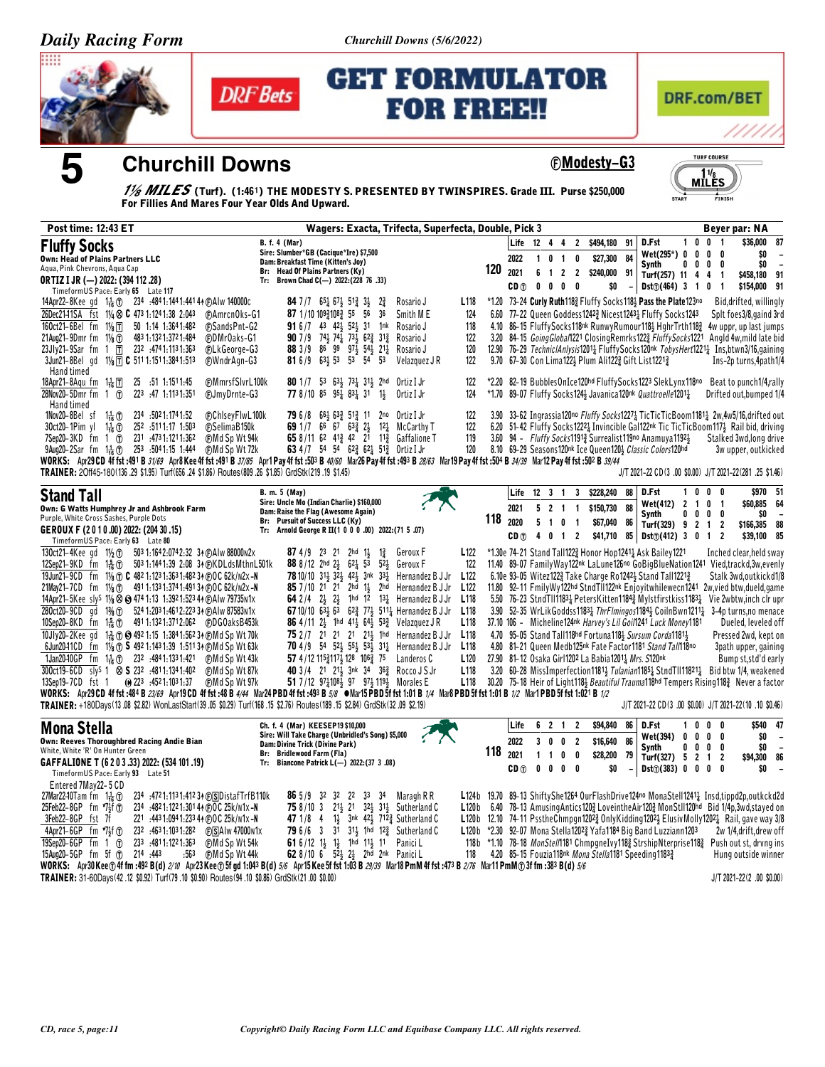Churchill Downs (5/6/2022)



5



**Churchill Downs** 

# **GET FORMULATOR FOR FREE!!**



**©Modesty-G3** 



1/8 MILES (Turf). (1:461) THE MODESTY S. PRESENTED BY TWINSPIRES. Grade III. Purse \$250,000 For Fillies And Mares Four Year Olds And Upward.

| Post time: 12:43 ET                                                                                                                                                                                                                                                                                                                                                                                                                                                                                                                                                                                                                                                                         | Wagers: Exacta, Trifecta, Superfecta, Double, Pick 3                                                                                                                                                                                                                                                                                                                                                                                                                                                                                                                                                     | Beyer par: NA                                                                                                                                                                                                                                                                                                                                                                                                                                                                                                                                                                                                                                                                                                                                                                                                                                                                                                                                                                                                               |
|---------------------------------------------------------------------------------------------------------------------------------------------------------------------------------------------------------------------------------------------------------------------------------------------------------------------------------------------------------------------------------------------------------------------------------------------------------------------------------------------------------------------------------------------------------------------------------------------------------------------------------------------------------------------------------------------|----------------------------------------------------------------------------------------------------------------------------------------------------------------------------------------------------------------------------------------------------------------------------------------------------------------------------------------------------------------------------------------------------------------------------------------------------------------------------------------------------------------------------------------------------------------------------------------------------------|-----------------------------------------------------------------------------------------------------------------------------------------------------------------------------------------------------------------------------------------------------------------------------------------------------------------------------------------------------------------------------------------------------------------------------------------------------------------------------------------------------------------------------------------------------------------------------------------------------------------------------------------------------------------------------------------------------------------------------------------------------------------------------------------------------------------------------------------------------------------------------------------------------------------------------------------------------------------------------------------------------------------------------|
| <b>Fluffy Socks</b><br><b>Own: Head of Plains Partners LLC</b><br>Aqua, Pink Chevrons, Aqua Cap<br><b>ORTIZ I JR (-) 2022: (394 112 .28)</b>                                                                                                                                                                                                                                                                                                                                                                                                                                                                                                                                                | <b>B.</b> f. 4 (Mar)<br>Sire: Slumber*GB (Cacique*Ire) \$7,500<br>Dam: Breakfast Time (Kitten's Joy)<br>Br: Head Of Plains Partners (Ky)<br>Tr: Brown Chad C(-) 2022: (228 76 .33)                                                                                                                                                                                                                                                                                                                                                                                                                       | 100<br>\$36,000<br>87<br>Life 12 4 4<br>$\overline{2}$<br>\$494,180<br>D.Fst<br>91<br>$\overline{\mathbf{1}}$<br>\$0<br>$Wet(295^*) 0 0 0$<br>0<br>2022<br>\$27,300 84<br>$0 \quad 1 \quad 0$<br>$\mathbf{1}$<br>\$0<br>0<br>0<br><b>Synth</b><br>$0\quad 0\quad$<br>$\overline{\phantom{a}}$<br>120<br>2021<br>6<br>$1 2 2$<br>\$240,000 91<br>\$458,180 91<br>Turf(257) 11 4<br>4<br>$\mathbf{1}$<br>$0\quad 0\quad 0\quad 0$<br>\$154,000 91<br>CD <sub>1</sub><br>\$0<br>Dist() (464) 3 1<br>0<br>$\mathbf{1}$                                                                                                                                                                                                                                                                                                                                                                                                                                                                                                          |
| TimeformUS Pace: Early 65 Late 117<br>14Apr22–8Kee gd 1 $\frac{1}{16}$ (1) 234 :4841:1441:441 44 (F)Alw 140000c<br>26Dec2141SA fst 11/4 $\otimes$ C 473 1:1241:38 2:043<br>160ct21-6Bel fm 11/8 TT<br>50 1:14 1:364 1:482<br>483 1:132 1:372 1:484<br>21Aug21-9Dmrfm 11/ <sub>8</sub><br>23Jly21-9Sar fm 1 $\Pi$<br>232 474 1:113 1:363<br>3Jun21-8Bel gd 11/8 1 C 511 1:151 1:384 1:513                                                                                                                                                                                                                                                                                                    | <b>84</b> 7 / 7 6 $5\frac{1}{4}$ 6 $7\frac{1}{5}$ 5 1 $\frac{3}{4}$ 3 $\frac{1}{5}$<br>$2\frac{3}{4}$<br>Rosario J<br>87 1/10 10931083 55 56<br>36<br>Smith ME<br><b>CAmrcnOks-G1</b><br><b>FSandsPnt-G2</b><br>91 6 /7 43 42 52 31 1nk<br>Rosario J<br>90 7 / 9 7 4 7 7 4 7 3 6 2 3 1 3 1 3<br><b>FDMrOaks-G1</b><br>Rosario J<br>88 3/9 86 99 973 543 211 Rosario J<br><b>@LkGeorge-G3</b><br>81 6/9 63 <sup>1</sup> / <sub>2</sub> 53 53 54 53<br><b>FWndrAgn-G3</b><br>Velazquez J R                                                                                                                 | L <sub>118</sub><br>*1.20 73-24 Curly Ruth118} Fluffy Socks118} Pass the Plate123no<br>Bid, drifted, willingly<br>6.60 77-22 Queen Goddess12423 Nicest12431 Fluffy Socks1243<br>124<br>Splt foes3/8, gaind 3rd<br>118<br>4.10 86-15 FluffySocks118 <sup>nk</sup> RunwyRumour118} HghrTrth118} 4w uppr, up last jumps<br>3.20 84-15 GoingGlobal1221 ClosingRemrks1223 FluffySocks1221<br>122<br>Angld 4w, mild late bid<br>120<br>12.90 76-29 TechniclAnlysis12011 FluffySocks120nk TobysHert12211 Ins, btwn3/16, gaining<br>122<br>9.70 67-30 Con Lima1223 Plum Ali1223 Gift List12213<br>Ins-2p turns, 4path 1/4                                                                                                                                                                                                                                                                                                                                                                                                           |
| Hand timed<br>25 :51 1:151 1:45<br>18Apr21-8Aqu fm 1品団<br>28Nov20-5Dmr fm 1 1<br>223 :47 1:1131:351<br>Hand timed                                                                                                                                                                                                                                                                                                                                                                                                                                                                                                                                                                           | <b>CMmrsfSlvrL100k</b><br>80 1/7 53 63 73 31 31 2hd<br>0rtiz I Jr<br>FJmyDrnte-G3<br>77 8/10 85 951 831 31<br>Ortiz I Jr<br>$1\frac{1}{2}$                                                                                                                                                                                                                                                                                                                                                                                                                                                               | *2.20 82-19 BubblesOnIce120hd FluffySocks1223 SlekLynx118no Beat to punch1/4,rally<br>122<br>*1.70 89-07 Fluffy Socks124} Javanica120nk Quattroelle12011<br>124<br>Drifted out, bumped 1/4                                                                                                                                                                                                                                                                                                                                                                                                                                                                                                                                                                                                                                                                                                                                                                                                                                  |
| 1Nov20-8Bel sf<br>234 .5021:1741.52<br>$1\frac{1}{16}$ $\circ$<br>30ct20-1Pim yl $1\frac{1}{16}$ ①<br>252 .5111.17 1.503<br>231 473 1:121 1:362<br>$7$ Sep20-3KD fm 1 $0$<br>9Aug20-2Sar fm 1 <sup>1</sup> <sub>16</sub> (f) 253 :5041:15 1:444<br>TRAINER: 20ff45-180(136,29 \$1.95) Turf(656,24 \$1.86) Routes(809,26 \$1.85) GrdStk(219,19 \$1.45)                                                                                                                                                                                                                                                                                                                                       | @ChlseyFlwL100k<br>79 6 / 8 664 633 513 11<br>2no<br>Ortiz I Jr<br>69 1/7 6 <sup>6</sup> 67 63 $\frac{3}{4}$ 2 <sup>1</sup> / <sub>2</sub><br><b>FSelimaB150k</b><br>$12\frac{1}{4}$ McCarthy T<br>65 8/11 62 413 42 21 113 Gaffalione T<br>(F)Md Sp Wt 94k<br>63 4 /7 54 54 62 $\frac{3}{4}$ 62 $\frac{1}{4}$ 51 $\frac{3}{4}$ Ortiz I Jr<br><b>CMd Sp Wt 72k</b><br>WORKS: Apr29 CD 4f fst :491 B 31/69 Apr8 Kee 4f fst :491 B 37/85 Apr1 Pay 4f fst :503 B 40/60 Mar26 Pay 4f fst :493 B 28/63 Mar19 Pay 4f fst :504 B 34/39 Mar12 Pay 4f fst :502 B 39/44                                            | 122<br>3.90 33-62 Ingrassia120no Fluffy Socks12274 TicTicTicBoom11814 2w,4w5/16,drifted out<br>122<br>6.20 51-42 Fluffy Socks1222 Invincible Gal122nk Tic TicTicBoom117 Rail bid, driving<br>119<br>3.60 94 - Fluffy Socks11913 Surrealist119no Anamuya11923<br>Stalked 3wd, long drive<br>120<br>8.10 69-29 Seasons120nk Ice Queen120} Classic Colors120hd<br>3w upper, outkicked<br>J/T 2021-22 CD(3 .00 \$0.00) J/T 2021-22(281 .25 \$1.46)                                                                                                                                                                                                                                                                                                                                                                                                                                                                                                                                                                              |
| <b>Stand Tall</b><br>Own: G Watts Humphrey Jr and Ashbrook Farm<br>Purple, White Cross Sashes, Purple Dots<br>GEROUX F (2010.00) 2022: (204 30.15)<br>TimeformUS Pace: Early 63 Late 80                                                                                                                                                                                                                                                                                                                                                                                                                                                                                                     | B. m. 5 (May)<br>Sire: Uncle Mo (Indian Charlie) \$160,000<br>Dam: Raise the Flag (Awesome Again)<br>Br: Pursuit of Success LLC (Ky)<br>Tr: Arnold George R II(1 0 0 0 .00) 2022:(71 5 .07)                                                                                                                                                                                                                                                                                                                                                                                                              | $12$ 3 1 3<br>\$228,240<br>88<br>D.Fst<br>\$970 51<br>Life<br>0 <sub>0</sub><br>0<br>1.<br>\$60,885 64<br>Wet(412)<br>2 <sub>1</sub><br>0<br>$\overline{1}$<br>2021<br>\$150,730<br>5 2 1<br>88<br>-1<br>0<br>0<br>\$0<br><b>Synth</b><br>0<br>0<br>118<br>2020<br>5<br>\$67,040 86<br>$\overline{1}$<br>0<br>$\overline{1}$<br>\$166,385 88<br>Turf(329) 9 2<br>$\mathbf{1}$<br>$\overline{2}$<br>\$39,100 85<br>CD <sub>①</sub><br>$$41,710$ 85 Dst $@(412)$ 3 0 1<br>$\overline{2}$<br>4<br>$0 \t1 \t2$                                                                                                                                                                                                                                                                                                                                                                                                                                                                                                                  |
| 130ct21-4Kee gd 11/2 (f) 503 1:1642:0742:32 34 (F)Alw 88000n2x<br>12Sep21-9KD fm 1-2 (D 503 1:144 1:39 2:08 3 A @ KD L ds Mthn L 501 k<br>19Jun21-9CD fm 11/8 (f) C 482 1:123 1:363 1:482 34 (F) OC 62k/N2x -N<br>21May21-7CD fm 11/8 (f) 491 1:133 1:374 1:491 34 (F) OC 62k/N2x -N<br>14Apr21-5Kee sly <sup>s</sup> 11/ <sub>8</sub> $\otimes$ (3 474 1:13 1:392 1:523 44 (E)Alw 79735N1x<br>280ct20-9CD<br>13% m 524 1:203 1:461 2:223 34 (F) A I w 87583 N 1 x<br>ad<br>10Sep20-8KD fm 1 km 91 1:1321:3712:062  CDGOaksB453k<br>10Jlv20-2Kee ad<br>13 (n) 3 492 1:15 1:384 1:562 34 (F) Md Sp Wt 70 k<br>6Jun2041CD fm<br>$1\frac{1}{8}$ (f) S 492 1:143 1:39 1:511 34 (f) Md Sp Wt 63k | 87 4/9 23 21 2hd 1<br>Geroux F<br>$1\frac{3}{4}$<br>88 8/12 2hd $2\frac{1}{2}$ 62 $\frac{1}{4}$ 53<br>$52\frac{1}{2}$<br>Geroux F<br>78 10/10 313 323 423 3nk 333<br>Hernandez B J Jr<br>85 7/10 21 21 2hd 1}<br>2hd<br>Hernandez B J Jr<br>64 2/4 $2\frac{1}{2}$ $2\frac{1}{2}$ 1hd $1\frac{1}{2}$ 13 <sup>1</sup> Hernandez B J Jr<br>67 10/10 63 4 63 62 77 511 Hernandez B J Jr<br>86 4/11 2} 1hd 41} 64} 53} Velazquez J R<br>75 2/7 21 21 21 21 1hd Hernandez B J Jr<br><b>70</b> 4/9 54 52 55 55 53 31 Hernandez B J Jr                                                                           | *1.30e 74-21 Stand Tall1223 Honor Hop12411 Ask Bailey 1221<br>L <sub>122</sub><br>Inched clear, held sway<br>122<br>11.40 89-07 Family Way 122nk LaLune 126no GoBigBlue Nation 1241 Vied, trackd, 3w, evenly<br>L <sub>122</sub><br>6.10e 93-05 Witez1223 Take Charge Ro12423 Stand Tall12213<br>Stalk 3wd, outkickd1/8<br>L <sub>122</sub><br>11.80 92-11 FmilyWy122hd StndTII122nk Enjoyitwhilewecn1241 2w, vied btw, dueld, game<br>L <sub>118</sub><br>5.50 76–23 StndTll1183 <sup>1</sup> PetersKitten1184 <sup>3</sup> Mylstfirstkiss1183 <sup>1</sup> Vie 2wbtw,inch clr upr<br>L <sub>118</sub><br>3.90 52-35 WrLikGoddss11834 ThrFlmingos11844 CoilnBwn12114 3-4p turns, no menace<br>37.10 106 - Micheline124nk Harvey's Lil Goil1241 Luck Money1181<br>L <sub>118</sub><br>Dueled, leveled off<br>L <sub>118</sub><br>4.70 95-05 Stand Tall118hd Fortuna1181 Sursum Corda11811<br>Pressed 2wd, kept on<br>4.80 81-21 Queen Medb125nk Fate Factor1181 Stand Tall118no<br>L <sub>118</sub><br>3path upper, gaining |
| 1Jan2040GP fm $1\frac{1}{16}$ (1) 232 :4841:1331:421<br>300ct19-6CD sly <sup>s</sup> 1 $\otimes$ <b>S</b> 232 :4811:1341:402<br>$\bullet$ 223 :4521:1031:37<br>13Sep19-7CD fst 1                                                                                                                                                                                                                                                                                                                                                                                                                                                                                                            | 57 4/12 11521173 128 1062 75<br>⊕Md Sp Wt 43k<br>Landeros C<br>40 3/4 21 21 3nk 34 36 3 Rocco J S Jr<br>(F)Md Sp Wt 87k<br>51 7/12 9711081 97 971 1191 Morales E<br>(F)Md Sp Wt 97k<br>WORKS: Apr29 CD 4f fst :484 B 23/69 Apr19 CD 4f fst :48 B 4/44 Mar24 PBD 4f fst :493 B 5/8 • Mar15 PBD 5f fst 1:01 B 1/4 Mar8 PBD 5f fst 1:01 B 1/2 Mar1 PBD 5f fst 1:021 B 1/2<br>TRAINER: +180Days(13.08 \$2.82) WonLastStart(39.05 \$0.29) Turf(168.15 \$2.76) Routes(189.15 \$2.84) GrdStk(32.09 \$2.19)                                                                                                      | L120<br>27.90 81-12 Osaka Girl1202 La Babia12011 Mrs. S120nk<br>Bump st, std'd early<br>3.20 60-28 MissImperfection11813 Tulanian11851 StndTll118211 Bid btw 1/4, weakened<br>L <sub>118</sub><br>L118<br>30.20 75-18 Heir of Light118} Beautiful Trauma118hd Tempers Rising118} Never a factor<br>$J/T$ 2021–22 CD(3 .00 \$0.00) J/T 2021–22(10 .10 \$0.46)                                                                                                                                                                                                                                                                                                                                                                                                                                                                                                                                                                                                                                                                |
| <b>Mona Stella</b><br><b>Own: Reeves Thoroughbred Racing Andie Bian</b><br>White, White 'R' On Hunter Green<br>GAFFALIONE T (6 2 0 3 .33) 2022: (534 101 .19)<br>TimeformUS Pace: Early 93 Late 51                                                                                                                                                                                                                                                                                                                                                                                                                                                                                          | Ch. f. 4 (Mar) KEESEP19 \$10,000<br>Sire: Will Take Charge (Unbridled's Song) \$5,000<br>Dam: Divine Trick (Divine Park)<br>Br: Bridlewood Farm (Fla)<br>Tr: Biancone Patrick L(-) 2022: (37 3 .08)                                                                                                                                                                                                                                                                                                                                                                                                      | \$94,840<br>\$540 47<br>Life<br>2 1<br>$\overline{2}$<br>86<br>D.Fst<br>6<br>$0\quad 0$<br>0<br>1<br>\$0<br>Wet(394)<br>0<br>$\mathbf{0}$<br>$\mathbf 0$<br>0<br>\$16,640<br>86<br>2022<br>3<br>0 <sub>2</sub><br>0<br>\$0<br>Synth<br>0<br>$\mathbf 0$<br>0<br>0<br>$\overline{\phantom{a}}$<br>118<br>2021<br>\$28,200<br>$\mathbf{1}$<br>$\overline{\mathbf{1}}$<br>$0\quad 0$<br>- 79<br>\$94,300 86<br>5 2 1<br>Turf(327)<br>$\overline{2}$<br>Dist(j(383) 0 0 0<br>\$0<br>CD <sub>①</sub><br>0<br>0<br>$0\quad 0$<br>\$0<br>0<br>$\overline{\phantom{a}}$                                                                                                                                                                                                                                                                                                                                                                                                                                                             |
| Entered 7May22-5 CD<br>27Mar22-10Tam fm $1\frac{1}{16}$ T<br>25Feb22-8GP fm *7}f (T)<br>234 :4821:1221:3014 (F) OC 25k/n1x-N<br>3Feb22-8GP fst 7f<br>221 :443 1:094 1:233 44 (DOC 25k/N1x -N<br>4Apr21-6GP fm *7}f (T)<br>232 :4631:1031:282<br>1 $0$<br>233 :4811:1221:363<br>19Sep20-6GP fm<br>15Aug20-5GP fm 5f (T) 214 :443<br>:563                                                                                                                                                                                                                                                                                                                                                     | 86 5/9 32 32 22 33 34<br>234 .4721:1131:412 34 (F) SDistafTrfB110k<br>Maragh R R<br>213 21 323 313 Sutherland C<br>75 8/10 3<br>1} $3nk$ 42} 712 $\frac{3}{4}$ Sutherland C<br>47 1/8 4<br>(F) SA Iw 47000 n 1x<br>796/63<br>31<br>$31\frac{1}{2}$ 1hd $12\frac{3}{4}$ Sutherland C<br><b>FMd Sp Wt 54k</b><br>61 6/12 1 <sup>3</sup><br>$1\frac{1}{2}$<br>1hd 11½ 11<br>Panici L<br>62 8/10 6 52 23 2hd 2nk PaniciL<br>(F)Md Sp Wt 44k<br>WORKS: Apr30Kee @4f fm :492 B(d) 2/10 Apr23Kee @5f gd 1:043 B(d) 5/6 Apr15Kee 5f fst 1:03 B 29/39 Mar18 PmM 4f fst :473 B 2/76 Mar11 PmM @3f fm :383 B(d) 5/6 | L124b 19.70 89-13 ShiftyShe1264 OurFlashDrive124no MonaStell1241 <sub>2</sub> Insd.tippd2p.outkckd2d<br>6.40 78-13 Amusing Antics 1203 Love in the Air 1203 Mon Still 120hd Bid 1/4p, 3wd, stayed on<br>L120b<br>12.10 74-11 Pssthe Chmpgn12023 Only Kidding 12023 Elusiv Molly 12023 Rail, gave way 3/8<br>L120 b<br>L120b *2.30 92-07 Mona Stella1202 Yafa1184 Big Band Luzziann1203<br>2w 1/4.drift.drew off<br>118b *1.10 78-18 MonStel/1181 ChmpgneIvy1183 StrshipNterprise1183 Push out st, dryng ins<br>118<br>4.20 85-15 Fouzia118 <sup>nk</sup> Mona Stella1181 Speeding11833<br>Hung outside winner                                                                                                                                                                                                                                                                                                                                                                                                               |
| TRAINER: 31-60Days(42.12 \$0.92) Turf(79.10 \$0.90) Routes(94.10 \$0.86) GrdStk(21.00 \$0.00)                                                                                                                                                                                                                                                                                                                                                                                                                                                                                                                                                                                               |                                                                                                                                                                                                                                                                                                                                                                                                                                                                                                                                                                                                          | J/T 2021-22(2 .00 \$0.00)                                                                                                                                                                                                                                                                                                                                                                                                                                                                                                                                                                                                                                                                                                                                                                                                                                                                                                                                                                                                   |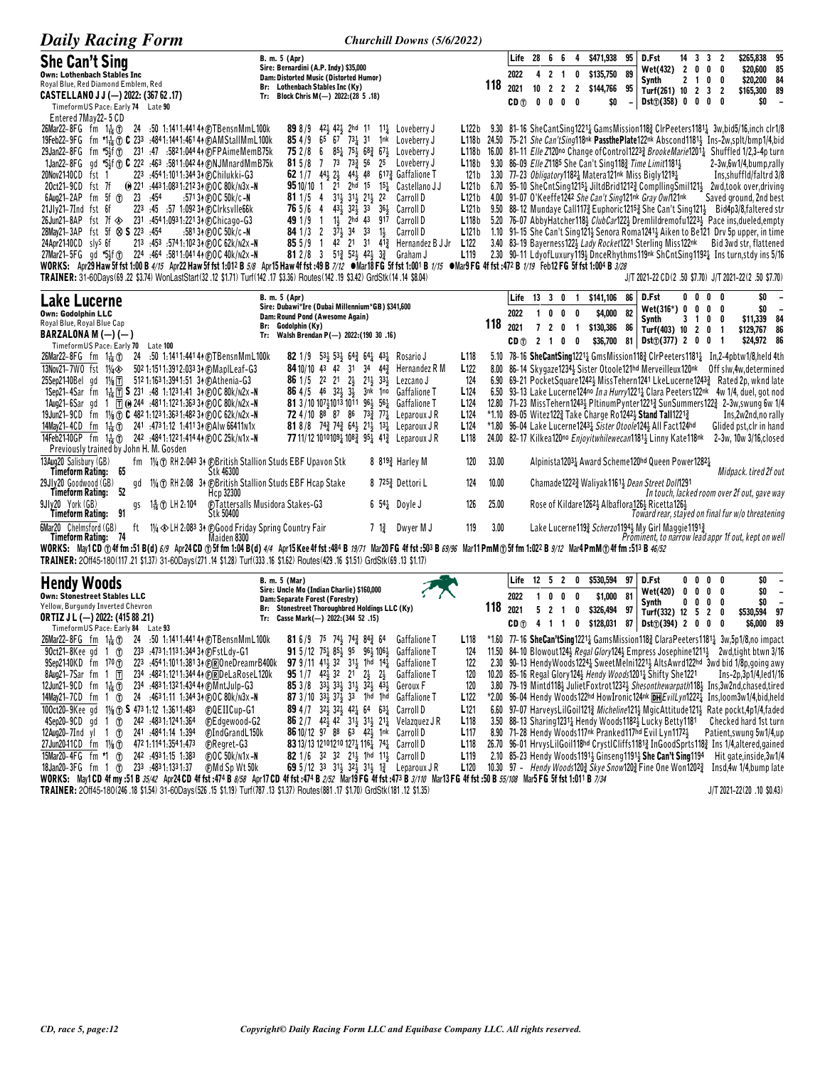| <b>Daily Racing Form</b>                                                                                                                                                                                                                                                                                                                                                           | Churchill Downs (5/6/2022)                                                                                                                                                                                                                                                                |                                                |       |                      |                 |                     |                                         |                          |                                     |                |                                                                                                                                 |                         |                     |                     |                                |                                                                                                                                                                                                                                                                   |                                                      |
|------------------------------------------------------------------------------------------------------------------------------------------------------------------------------------------------------------------------------------------------------------------------------------------------------------------------------------------------------------------------------------|-------------------------------------------------------------------------------------------------------------------------------------------------------------------------------------------------------------------------------------------------------------------------------------------|------------------------------------------------|-------|----------------------|-----------------|---------------------|-----------------------------------------|--------------------------|-------------------------------------|----------------|---------------------------------------------------------------------------------------------------------------------------------|-------------------------|---------------------|---------------------|--------------------------------|-------------------------------------------------------------------------------------------------------------------------------------------------------------------------------------------------------------------------------------------------------------------|------------------------------------------------------|
| <b>She Can't Sing</b><br><b>Own: Lothenbach Stables Inc</b><br>Royal Blue, Red Diamond Emblem, Red<br>CASTELLANO J J (-) 2022: (367 62 .17)                                                                                                                                                                                                                                        | B. m. 5 (Apr)<br>Sire: Bernardini (A.P. Indy) \$35,000<br>Dam: Distorted Music (Distorted Humor)<br>Br: Lothenbach Stables Inc (Ky)<br>Tr: Block Chris M(-) 2022: (28 5.18)                                                                                                               |                                                | 118   | Life<br>2022<br>2021 | 28 6<br>4<br>10 | 2<br>$\overline{2}$ | - 6<br>$\overline{1}$<br>$\overline{2}$ | 4<br>0<br>$\overline{2}$ | \$471,938<br>\$135,750<br>\$144,766 | 95<br>89<br>95 | D.Fst<br>Wet(432)<br>Synth<br>Turf(261) 10 2 3 2                                                                                | $\overline{\mathbf{2}}$ | 14 3 3 2<br>2 1 0 0 | $0\quad 0$          | 0                              | \$265,838 95<br>\$20,600<br>\$20,200 84<br>\$165,300 89                                                                                                                                                                                                           | 85                                                   |
| TimeformUS Pace: Early 74 Late 90<br>Entered 7May22-5 CD<br>26Mar22-8FG fm $1\frac{1}{16}$ (1)<br>.50 1:1411:441 44 @TBensnMmL100k                                                                                                                                                                                                                                                 | $42\frac{1}{2}$ $42\frac{1}{2}$ 2hd 11 $11\frac{1}{4}$ Loveberry J<br>898/9                                                                                                                                                                                                               | L122b                                          |       | CD <sub>1</sub>      | 0               | 0                   | 0                                       | 0                        | \$0                                 |                | Dist(f)(358) 0 0 0                                                                                                              |                         |                     |                     | 0                              | \$0<br>9.30 81-16 SheCantSing12214 GamsMission118 ClrPeeters11814 3w,bid5/16,inch clr1/8                                                                                                                                                                          |                                                      |
| 19Feb22-9FG fm *1 <sup>1</sup> <sub>16</sub> T C 233 :4841:1441:4614 EAMStallMmL100k<br>29Jan22-8FG fm *5}f (1) 231 .47 .5821.04444 (F)FPAimeMemB75k<br>1Jan22-8FG gd *5}f @ C 222 :463 :5811:042 44 @NJMnardMmB75k                                                                                                                                                                | 854/965<br>$67$ $73\frac{1}{4}$ $31$<br>1 <sup>nk</sup> Loveberry J<br>851 751 682 671 Loveberry J<br>752/86<br>73 733 56<br>25 Loveberry J<br>815/8 7                                                                                                                                    | L118b                                          |       |                      |                 |                     |                                         |                          |                                     |                | 9.30 86-09 Elle Z1185 She Can't Sing1183 Time Limit118113                                                                       |                         |                     |                     |                                | L118b 24.50 75-21 She Can't Sing118nk Passthe Plate122nk Abscond 1181 Ins-2w, splt/bmp1/4, bid<br>L118b 16.00 81-11 Elle Z120no Change of Control12233 BrookeMarie12011 Shuffled 1/2,3-4p turn<br>2-3w,6w1/4,bump,rally                                           |                                                      |
| 20Nov2140CD<br>223 :4541:1011:34434 (DChilukki-G3<br>fst 1<br>(e) 221 :443 1:083 1:212 34 @OC 80k/n3x -N<br>20ct21-9CD<br>fst 7f<br>23<br>6Aug21-2AP<br>fm 5f $1$<br>: 454<br>:571 34 (F)OC 50k/c -N<br>223 :45 :57 1:092 34 (F)Clrksvlle66k<br>21Jly21-7Ind fst 6f                                                                                                                | 62 1/7 44 $\frac{1}{2}$ 2 $\frac{1}{2}$ 44 $\frac{1}{2}$ 48 617 $\frac{3}{4}$ Gaffalione T<br><b>95</b> 10/10 1 21 2hd 15 15 $\frac{1}{4}$ Castellano JJ<br>31} 31} 21} 22<br>$811/5$ 4<br>Carroll D<br>$43\frac{1}{2}$ $32\frac{1}{2}$ $33$ $36\frac{1}{2}$ Carroll D<br>765/64          | 121 b<br>L121b<br>L121b<br>L121 b              |       |                      |                 |                     |                                         |                          |                                     |                | 3.30 77-23 Obligatory11821 Matera121nk Miss Bigly12191<br>4.00 91-07 O'Keeffe1242 She Can't Sing121nk Gray Ow/121nk             |                         |                     |                     |                                | Ins, shuffld/faltrd 3/8<br>6.70 95-10 SheCntSing12151 JiltdBrid12122 CompllingSmil1211 2wd,took over, driving<br>Saved ground, 2nd best<br>9.50 88-12 Mundaye Call117 <sub>2</sub> Euphoric1215 <sub>2</sub> She Can't Sing121 <sub>3</sub> Bid4p3/8,faltered str |                                                      |
| 26Jun21-8AP fst 7f $\otimes$ 231 :4541:0931:22134 @Chicago-G3<br>28May21-3AP fst 5f $\otimes$ S 223 :454<br>$.5813$ + (F) O C $50$ k/c -N<br>24Apr2140CD slys 6f<br>213 :453 :5741:102 34 (DOC 62k/N2x -N                                                                                                                                                                          | 11 <sub>3</sub> 2hd 43 917<br>49 1/9 1<br>Carroll D<br><b>84</b> 1/3 2 $3^{7}\frac{1}{2}$ 34 33<br>$1\frac{1}{2}$<br>Carroll D<br>42 21 31 41 <sup>3</sup> Hernandez B J Jr<br>$855/9$ 1                                                                                                  | L118 <sub>b</sub><br>L121b<br>L <sub>122</sub> |       |                      |                 |                     |                                         |                          |                                     |                | 3.40 83-19 Bayerness1223 Lady Rocket1221 Sterling Miss122nk                                                                     |                         |                     |                     |                                | 5.20 76-07 AbbyHatcher118} ClubCar122} Dremlildremofu1223} Pace ins,dueled,empty<br>1.10 91-15 She Can't Sing121} Senora Roma1241} Aiken to Be121 Drv 5p upper, in time<br>Bid 3wd str, flattened                                                                 |                                                      |
| 27Mar21-5FG gd *5}f @ 224 :464 :5811:041 44 @ OC 40k/n2x -N<br>WORKS: Apr29 Haw 5f fst 1:00 B 4/15 Apr22 Haw 5f fst 1:012 B 5/8 Apr15 Haw 4f fst :49 B 7/12 . Mar18 FG 5f fst 1:001 B 1/15 . Mar9 FG 4f fst :472 B 1/19 Feb12 FG 5f fst 1:004 B 3/28<br>TRAINER: 31-60Days(69.22 \$3.74) WonLastStart(32.12 \$1.71) Turf(142.17 \$3.36) Routes(142.19 \$3.42) GrdStk(14.14 \$8.04) | 81 2/8 3 513 523 423 33 Graham J                                                                                                                                                                                                                                                          | L <sub>119</sub>                               |       |                      |                 |                     |                                         |                          |                                     |                |                                                                                                                                 |                         |                     |                     |                                | 2.30 90-11 LdyofLuxury1194 DnceRhythms119nk ShCntSing11921 Insturn, stdy ins 5/16<br>J/T 2021-22 CD(2 .50 \$7.70) J/T 2021-22(2 .50 \$7.70)                                                                                                                       |                                                      |
| Lake Lucerne                                                                                                                                                                                                                                                                                                                                                                       | B. m. 5 (Apr)<br>Sire: Dubawi*Ire (Dubai Millennium*GB) \$341,600                                                                                                                                                                                                                         |                                                |       | Life 13 3 0          |                 |                     |                                         | $\overline{\mathbf{1}}$  | \$141,106                           | 86             | D.Fst                                                                                                                           |                         | 0000                |                     |                                | \$0                                                                                                                                                                                                                                                               | $\overline{\phantom{a}}$                             |
| Own: Godolphin LLC<br>Royal Blue, Royal Blue Cap                                                                                                                                                                                                                                                                                                                                   | Dam: Round Pond (Awesome Again)<br>Br: Godolphin (Ky)                                                                                                                                                                                                                                     |                                                | 118   | 2022<br>2021         |                 | 10<br>72            | $0\quad 0$<br>0                         | $\overline{1}$           | \$4,000<br>\$130,386                | 82<br>86       | Wet(316*) 0<br>Synth                                                                                                            |                         | 0<br>3<br>- 1       | 0<br>0              | 0<br>0                         | \$0<br>\$11,339 84                                                                                                                                                                                                                                                | $\overline{\phantom{a}}$                             |
| BARZALONA M $(-)$ $(-)$<br>TimeformUS Pace: Early 70 Late 100                                                                                                                                                                                                                                                                                                                      | Walsh Brendan P(-) 2022: (190 30 .16)<br>Tr:                                                                                                                                                                                                                                              |                                                |       | CD <sub>①</sub>      | 2 1             |                     | 0                                       | 0                        | \$36,700                            |                | Turf(403) 10 2 0<br>81 Dst $\textcircled{1}(377)$ 2 0 0                                                                         |                         |                     |                     | -1<br>$\overline{\phantom{a}}$ | \$129,767 86<br>\$24,972 86                                                                                                                                                                                                                                       |                                                      |
| 26Mar22-8FG fm 1 + 0 24 :50 1:1411:441 4 + @TBensnMmL100k<br>13Nov21-7W0 fst 11/4<br>502 1:151 1:391 2:033 34 @ MapILeaf-G3<br>25Sep21-10Bel gd 11/ <sub>8</sub> $\overline{T}$<br>512 1:163 1:394 1:51 34 (F)Athenia–G3                                                                                                                                                           | <b>82</b> 1/9 53 $\frac{1}{2}$ 53 $\frac{1}{2}$ 64 $\frac{3}{4}$ 64 $\frac{1}{4}$ 43 $\frac{1}{4}$ Rosario J<br>84 10/10 43 42 31 34 443<br>Hernandez R M<br><b>86</b> 1/5 22 21 2 <sup>1</sup> / <sub>3</sub> 21 <sup>1</sup> / <sub>3</sub> 33 <sup>1</sup> / <sub>3</sub><br>Lezcano J | L <sub>118</sub><br>L <sub>122</sub><br>124    | 6.90  |                      |                 |                     |                                         |                          |                                     |                |                                                                                                                                 |                         |                     |                     |                                | 5.10 78-16 SheCantSing12214 GmsMission1182 ClrPeeters11814 In,2-4pbtw1/8,held 4th<br>8.00 86-14 Skygaze1234 Sister Otoole121hd Merveilleux120nk Off slw, 4w, determined<br>69-21 PocketSquare12423 MissTehern1241 LkeLucerne12433 Rated 2p, wknd late             |                                                      |
| 1Sep21-4Sar fm 1 <sup>1</sup> / <sub>6</sub> <u>T</u> S 231 :48 1:1231:41 34 @OC 80k/n2x-N<br>1Aug21-6Sar gd 1 $\overline{1}$ (0 244 :4811:1221:363 34 @ OC 80k/n2x -N                                                                                                                                                                                                             | 86 4/5 46 32 <sup>1</sup> / <sub>2</sub> 3 <sup>1</sup> / <sub>2</sub><br>3nk 1no<br><b>Gaffalione T</b><br>81 3/10 10741013 1011 964 564<br>Gaffalione T                                                                                                                                 | L <sub>124</sub><br>L <sub>124</sub>           |       |                      |                 |                     |                                         |                          |                                     |                |                                                                                                                                 |                         |                     |                     |                                | 6.50 93-13 Lake Lucerne124no In a Hurry12211 Clara Peeters122nk 4w 1/4, duel, got nod<br>12.80 71-23 MissTehern12433 PltinumPynter12213 SunSummers1223 2-3w, swung 6w 1/4                                                                                         |                                                      |
| 19Jun21-9CD fm $1\frac{1}{8}$ (f) C 482 1:123 1:363 1:482 34 (f) OC 62k/n2x -N                                                                                                                                                                                                                                                                                                     | 72 4/10 88 87 86 73 <sub>4</sub> 77 <sub>4</sub> Leparoux JR                                                                                                                                                                                                                              | L <sub>124</sub>                               |       |                      |                 |                     |                                         |                          |                                     |                | *1.10 89–05 Witez1223 Take Charge Ro12423 Stand Tall12213                                                                       |                         |                     |                     |                                | Ins,2w2nd,no rally                                                                                                                                                                                                                                                |                                                      |
| 14May21-4CD fm 1 <sup>1</sup> / <sub>16</sub> (1) 241 :4731:12 1:411 34 (E) A lw 66411 n 1 x<br>14Feb2140GP fm 1 <sup>1</sup> <sub>16</sub> (f) 242 :4841:1221:414 44 (f)OC 25k/n1x -N<br>Previously trained by John H. M. Gosden                                                                                                                                                  | <b>81</b> 8/8 74 <sup>3</sup> / <sub>2</sub> 74 <sup>3</sup> / <sub>4</sub> 64 <sup>1</sup> / <sub>2</sub> 1 <sup>3</sup> / <sub>4</sub> Leparoux J R<br>77 11/12 10101091 1083 951 413 Leparoux JR                                                                                       | L <sub>124</sub><br>L <sub>118</sub>           |       |                      |                 |                     |                                         |                          |                                     |                | *1.80 96-04 Lake Lucerne12431 Sister Otoole1243 All Fact124hd<br>24.00 82-17 Kilkea120no Enjoyitwhilewecan11813 Linny Kate118nk |                         |                     |                     |                                | Glided pst, clr in hand<br>2-3w, 10w 3/16, closed                                                                                                                                                                                                                 |                                                      |
| 13Aug20 Salisbury (GB)<br>fm 1¼ 1 RH 2:043 34 (BBritish Stallion Studs EBF Upavon Stk<br>Timeform Rating:<br>-65<br>Stk 46300                                                                                                                                                                                                                                                      | 8 8 <sup>19</sup> <sub>2</sub> Harley M                                                                                                                                                                                                                                                   | 120                                            | 33.00 |                      |                 |                     |                                         |                          |                                     |                | Alpinista12031 Award Scheme120hd Queen Power12821                                                                               |                         |                     |                     |                                | Midpack. tired 2f out                                                                                                                                                                                                                                             |                                                      |
| 29Jly20 Goodwood (GB)<br>1¼ ① RH 2:08 34 $\oplus$ British Stallion Studs EBF Hcap Stake<br>gd<br>52<br>Timeform Rating:<br>Hcp 32300                                                                                                                                                                                                                                               | 8 7253 Dettori L                                                                                                                                                                                                                                                                          | 124                                            | 10.00 |                      |                 |                     |                                         |                          |                                     |                | Chamade 12223 Waliyak 1161 <sub>3</sub> Dean Street Doll1291                                                                    |                         |                     |                     |                                | In touch, lacked room over 2f out, gave way                                                                                                                                                                                                                       |                                                      |
| 9JIv20 York (GB)<br>1% 104<br>gs<br>91<br>Stk 50400<br>Timeform Rating:                                                                                                                                                                                                                                                                                                            | <b>C</b> Tattersalls Musidora Stakes-G3<br>$6\,54\frac{1}{4}$ Doyle J                                                                                                                                                                                                                     | 126                                            | 25.00 |                      |                 |                     |                                         |                          |                                     |                | Rose of Kildare12621 Albaflora1261 Ricetta1261                                                                                  |                         |                     |                     |                                | Toward rear, stayed on final fur w/o threatening                                                                                                                                                                                                                  |                                                      |
| 11/4 $\otimes$ LH 2:083 34 (E) Good Friday Spring Country Fair<br><b>6Mar20</b> Chelmsford (GB)<br>ft<br><b>Timeform Rating: 74</b><br>Maiden 8300                                                                                                                                                                                                                                 | $7 \frac{13}{4}$<br>Dwyer M J                                                                                                                                                                                                                                                             | 119                                            | 3.00  |                      |                 |                     |                                         |                          |                                     |                | Lake Lucerne1193 Scherzo11943 My Girl Maggie11913                                                                               |                         |                     |                     |                                | Prominent, to narrow lead appr 1f out, kept on well                                                                                                                                                                                                               |                                                      |
| WORKS: May1CD ①4ffm:51B(d) 6/9 Apr24CD ①5ffm 1:04B(d) 4/4 Apr15Kee4ffst:484B 19/71 Mar20FG 4ffst:503B 69/96 Mar11PmM①5ffm 1:022B 9/12 Mar4PmM①4ffm:513B 46/52<br>TRAINER: 20ff45-180(117.21 \$1.37) 31-60Days(271.14 \$1.28) Turf(333.16 \$1.62) Routes(429.16 \$1.51) GrdStk(69.13 \$1.17)                                                                                        |                                                                                                                                                                                                                                                                                           |                                                |       |                      |                 |                     |                                         |                          |                                     |                |                                                                                                                                 |                         |                     |                     |                                |                                                                                                                                                                                                                                                                   |                                                      |
| <b>Hendy Woods</b>                                                                                                                                                                                                                                                                                                                                                                 | B. m. 5 (Mar)<br>Sire: Uncle Mo (Indian Charlie) \$160,000                                                                                                                                                                                                                                |                                                |       | Life                 |                 | $12 \quad 5$        | $\overline{2}$                          | 0                        | \$530,594                           | 97             | D.Fst<br>Wet(420)                                                                                                               | 0                       | 00<br>0             | $\mathbf{0}$<br>0   | 0<br>0                         | \$0<br>\$0                                                                                                                                                                                                                                                        | $\overline{\phantom{a}}$<br>$\overline{\phantom{a}}$ |
| <b>Own: Stonestreet Stables LLC</b><br>Yellow, Burgundy Inverted Chevron                                                                                                                                                                                                                                                                                                           | Dam: Separate Forest (Forestry)<br>Br: Stonestreet Thoroughbred Holdings LLC (Ky)                                                                                                                                                                                                         |                                                | 118   | 2022<br>2021         | 5               | 0<br>$\overline{2}$ | 0<br>$\overline{1}$                     | 0                        | \$1,000<br>\$326,494                | 81<br>97       | Synth<br>Turf(332) 12 5                                                                                                         |                         | 0<br>0              | 0<br>$\overline{2}$ | 0<br>0                         | \$0<br>\$530,594                                                                                                                                                                                                                                                  | $\overline{\phantom{a}}$<br>97                       |
| <b>ORTIZ J L (-) 2022: (415 88 .21)</b><br>TimeformUS Pace: Early 84 Late 93                                                                                                                                                                                                                                                                                                       | Tr: Casse Mark(-) 2022: (344 52 .15)                                                                                                                                                                                                                                                      |                                                |       | CD (f)               |                 | 4 1                 | $\overline{1}$                          | 0                        | \$128,031                           | 87             | $Dist()$ (394) 2 0 0                                                                                                            |                         |                     |                     | 0                              | \$6,000                                                                                                                                                                                                                                                           | 89                                                   |
| 26Mar22-8FG fm $1\frac{1}{16}$ T<br>24 :50 1:1411:441 4 + @TBensnMmL100k<br>90ct21-8Kee ad<br>233 :4731:1131:34434 (P)FstLdv-G1<br>$\mathbf{1}$<br>(f)                                                                                                                                                                                                                             | <b>81</b> 6/9 75 74 $\frac{1}{2}$ 74 $\frac{3}{4}$ 84 $\frac{3}{4}$ 64<br><b>Gaffalione T</b><br>91 5/12 751 851 95 961 1061<br><b>Gaffalione T</b>                                                                                                                                       | L <sub>118</sub><br>124                        |       |                      |                 |                     |                                         |                          |                                     |                |                                                                                                                                 |                         |                     |                     |                                | *1.60 77-16 SheCan'tSing1221 <sub>4</sub> GamsMission118 <sub>4</sub> ClaraPeeters1181 <sub>4</sub> 3w,5p1/8,no impact<br>11.50 84-10 Blowout124} Regal Glory124} Empress Josephine1211} 2wd.tight btwn 3/16                                                      |                                                      |
| $9$ Sep2140KD fm $1^{70}$ T<br>223 .4541:1011:38134 CROneDreamrB400k<br>8Aug21-7Sar fm $1$ T<br>234 .4821:1211:344 4 (DRDeLaRoseL120k                                                                                                                                                                                                                                              | <b>97</b> 9/11 41 <sub>2</sub> 32 31 <sub>2</sub> 1hd 14 <sub>4</sub><br>Gaffalione T<br><b>95</b> 1/7 $42\frac{1}{2}$ 32 21 $2\frac{1}{2}$ $2\frac{1}{2}$<br><b>Gaffalione T</b>                                                                                                         | 122<br>120                                     |       |                      |                 |                     |                                         |                          |                                     |                | 10.20 85-16 Regal Glory 1243 Hendy Woods 12013 Shifty She 1221                                                                  |                         |                     |                     |                                | 2.30 90-13 Hendy Woods1224 & Sweet Melni1221 & Alts Awrd122hd 3wd bid 1/8p, going awy<br>$Ins-2p, 3p1/4, led1/16$                                                                                                                                                 |                                                      |
| 234 :483 1:132 1:434 44 @MntJulp-G3<br>12Jun21-9CD fm $1\frac{1}{16}$ ①<br>24 :4631:11 1:344 34 @OC 80k/n3x-N<br>14May21-7CD fm 1 $1$                                                                                                                                                                                                                                              | 85 3/8 33 33 31 31 32 43<br>Geroux F<br>87 $3/10$ $33\frac{1}{2}$ $37\frac{1}{2}$ $33$ 1hd 1hd<br><b>Gaffalione T</b>                                                                                                                                                                     | 120<br>L122                                    |       |                      |                 |                     |                                         |                          |                                     |                |                                                                                                                                 |                         |                     |                     |                                | 3.80 79-19 Mintd1184 JulietFoxtrot12324 Shesonthewarpath1184 Ins.3w2nd.chased.tired<br>*2.00 96-04 Hendy Woods122hd HowIronic124nk DHEvilLyn12224 Ins, loom3w1/4, bid, held                                                                                       |                                                      |
| 100ct20-9Kee gd 11/8 (f) <b>S</b> 473 1:12 1:361 1:483<br>COEIICup-G1                                                                                                                                                                                                                                                                                                              | 89 4 /7 32 32 42 42 54 63<br>Carroll D                                                                                                                                                                                                                                                    | L121                                           |       |                      |                 |                     |                                         |                          |                                     |                |                                                                                                                                 |                         |                     |                     |                                | 6.60 97-07 HarveysLilGoil121} Micheline121} MgicAttitude121} Rate pockt.4p1/4.faded                                                                                                                                                                               |                                                      |
| $4$ Sep20-9CD gd 1 $1$<br>242 .4831.1241.364<br>(F)Edgewood-G2<br>12Aug20-7Ind yl 1 1<br>241 .4841.14 1.394<br>(F)IndGrandL150k                                                                                                                                                                                                                                                    | 86 2/7 42 <sup>1</sup> / <sub>2</sub> 42 3 <sup>1</sup> / <sub>2</sub> 3 <sup>1</sup> / <sub>2</sub> 2 <sup>1</sup> / <sub>4</sub> Velazquez J R<br>86 10/12 97 88 63 42 <sup>1</sup> / <sub>2</sub> 1nk Carroll D                                                                        | L <sub>118</sub><br>L117                       |       |                      |                 |                     |                                         |                          |                                     |                | 3.50 88-13 Sharing12311 Hendy Woods11821 Lucky Betty1181<br>8.90 71-28 Hendy Woods117nk Pranked117hd Evil Lyn11724              |                         |                     |                     |                                | Checked hard 1st turn<br>Patient, swung 5w1/4, up                                                                                                                                                                                                                 |                                                      |
| 472 1:114 1:354 1:473<br><b>C</b> Regret-G3<br>27Jun20-11CD fm $1\frac{1}{8}$ ①<br>15Mar20-4FG fm *1 1<br>242 :4931:15 1:383<br>$F$ OC 50 $k/N$ 1x-N                                                                                                                                                                                                                               | 83 13/13 12101210 1274 1164 744 Carroll D<br>82 1/6 32 32 21 <sup>1</sup> / <sub>2</sub> 1hd 11 <sup>1</sup> / <sub>2</sub> Carroll D                                                                                                                                                     | L <sub>118</sub><br>L <sub>119</sub>           |       |                      |                 |                     |                                         |                          |                                     |                | 2.10 85-23 Hendy Woods11911 Ginseng11911 She Can't Sing1194                                                                     |                         |                     |                     |                                | 26.70 96-01 HrvysLilGoil118hd CrystlCliffs11813 InGoodSprts1183 Ins 1/4, altered, gained<br>Hit gate, inside, 3w1/4                                                                                                                                               |                                                      |
| 18Jan20-3FG fm 1 ① 233 :4831:1331:37<br><b>@MdSpWt50k</b><br>WORKS: May1CD 4f my :51 B 35/42 Apr24CD 4f fst :474 B 8/58 Apr17CD 4f fst :474 B 2/52 Mar19 FG 4f fst :473 B 3/10 Mar13 FG 4f fst :50 B 55/108 Mar5 FG 5f fst 1:011 B 7/34                                                                                                                                            | 69 5/12 33 314 324 314 12 Leparoux JR                                                                                                                                                                                                                                                     | L <sub>120</sub>                               |       |                      |                 |                     |                                         |                          |                                     |                |                                                                                                                                 |                         |                     |                     |                                | 10.30 97 - Hendy Woods1203 Skye Snow1203 Fine One Won12023 Insd,4w 1/4,bump late                                                                                                                                                                                  |                                                      |
| TRAINER: 20ff45-180(246 .18 \$1.54) 31-60Days (526 .15 \$1.19) Turf(787 .13 \$1.37) Routes (881 .17 \$1.70) GrdStk(181 .12 \$1.35)                                                                                                                                                                                                                                                 |                                                                                                                                                                                                                                                                                           |                                                |       |                      |                 |                     |                                         |                          |                                     |                |                                                                                                                                 |                         |                     |                     |                                | $J/T 2021 - 22(20.10 S0.43)$                                                                                                                                                                                                                                      |                                                      |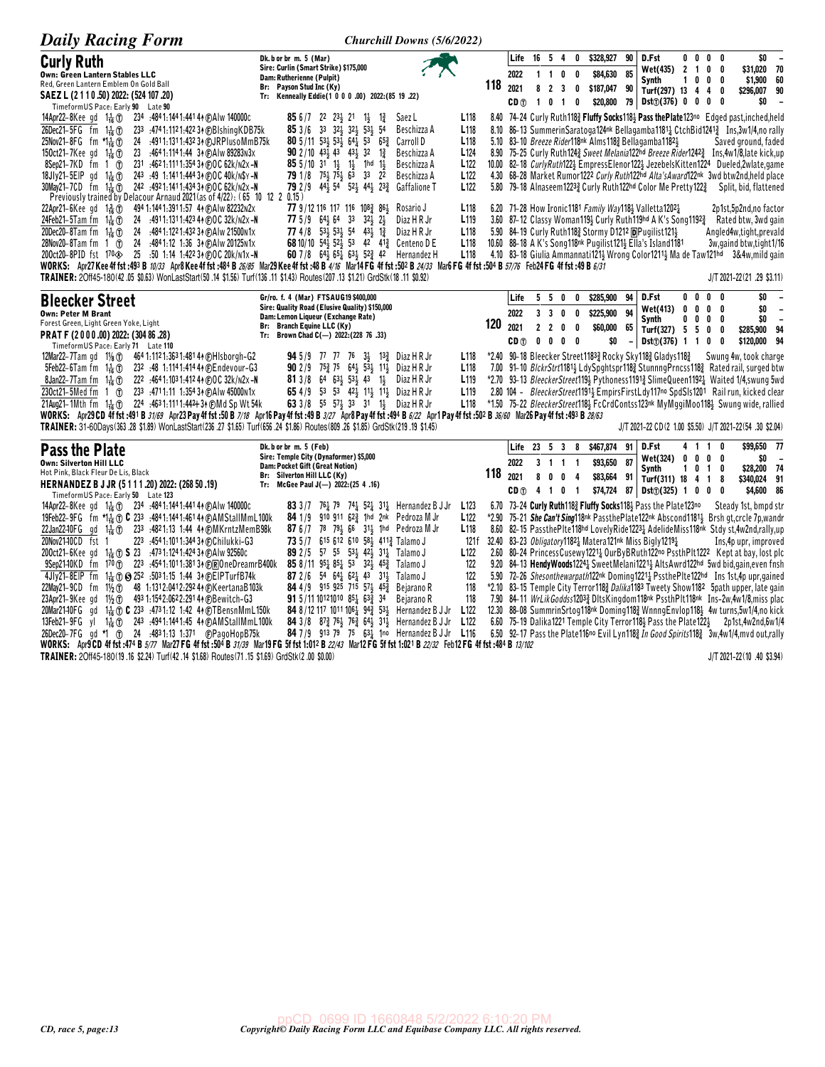| <b>Daily Racing Form</b>                                                                                                                                                                                                                                                                                                                                                                                                                                                                                                                                                                                                                                                                                                                                                                                                                                                                                                                                                                                                                                                                                                                         |                                                                                                                                                                                                                                                                                                                                                                                                                                                                                                                                                                                                                                                                                                                                               | Churchill Downs (5/6/2022)                                                                                                                                                                                                                  |                                                              |                                         |                                            |                                  |                                                                             |                                                |                                  |                                                                                                                                                                                                                                                            |                                    |                                |                                |                                                                                                                                                                                                                                                                                                                                                                                                                                                                                                                                                                                                                                                                                                                                                                                                                                                                                                                                                                                                                                                                                                                                                      |
|--------------------------------------------------------------------------------------------------------------------------------------------------------------------------------------------------------------------------------------------------------------------------------------------------------------------------------------------------------------------------------------------------------------------------------------------------------------------------------------------------------------------------------------------------------------------------------------------------------------------------------------------------------------------------------------------------------------------------------------------------------------------------------------------------------------------------------------------------------------------------------------------------------------------------------------------------------------------------------------------------------------------------------------------------------------------------------------------------------------------------------------------------|-----------------------------------------------------------------------------------------------------------------------------------------------------------------------------------------------------------------------------------------------------------------------------------------------------------------------------------------------------------------------------------------------------------------------------------------------------------------------------------------------------------------------------------------------------------------------------------------------------------------------------------------------------------------------------------------------------------------------------------------------|---------------------------------------------------------------------------------------------------------------------------------------------------------------------------------------------------------------------------------------------|--------------------------------------------------------------|-----------------------------------------|--------------------------------------------|----------------------------------|-----------------------------------------------------------------------------|------------------------------------------------|----------------------------------|------------------------------------------------------------------------------------------------------------------------------------------------------------------------------------------------------------------------------------------------------------|------------------------------------|--------------------------------|--------------------------------|------------------------------------------------------------------------------------------------------------------------------------------------------------------------------------------------------------------------------------------------------------------------------------------------------------------------------------------------------------------------------------------------------------------------------------------------------------------------------------------------------------------------------------------------------------------------------------------------------------------------------------------------------------------------------------------------------------------------------------------------------------------------------------------------------------------------------------------------------------------------------------------------------------------------------------------------------------------------------------------------------------------------------------------------------------------------------------------------------------------------------------------------------|
| <b>Curly Ruth</b><br>Own: Green Lantern Stables LLC<br>Red, Green Lantern Emblem On Gold Ball<br>SAEZ L (2 1 1 0 .50) 2022: (524 107 .20)<br>TimeformUS Pace: Early 90 Late 90                                                                                                                                                                                                                                                                                                                                                                                                                                                                                                                                                                                                                                                                                                                                                                                                                                                                                                                                                                   | Dk. b or br m. 5 (Mar)<br>Sire: Curlin (Smart Strike) \$175,000<br>Dam: Rutherienne (Pulpit)<br>Br: Payson Stud Inc (Ky)<br>Tr: Kenneally Eddie(1 0 0 0 .00) 2022: (85 19 .22)                                                                                                                                                                                                                                                                                                                                                                                                                                                                                                                                                                |                                                                                                                                                                                                                                             | 118                                                          | Life<br>2022<br>2021<br>CD <sub>1</sub> | 16 5 4<br>$1\quad1$<br>8<br>$\overline{1}$ | $\overline{2}$<br>0 <sub>1</sub> | 0<br>$0\quad 0$<br>$\overline{\mathbf{3}}$<br>- 0<br>0                      | \$328,927<br>\$84,630<br>\$187,047<br>\$20,800 | 90<br>85<br>90                   | D.Fst<br>Wet(435)<br>Synth<br>Turf(297) 13 4<br>79 Dst <sub>①</sub> (376) 0 0                                                                                                                                                                              | $0\quad 0$<br>2 <sub>1</sub><br>10 | 0<br>0<br>$\overline{4}$<br>0  | $0\quad 0$<br>0<br>0<br>0<br>0 | \$0<br>\$31,020 70<br>\$1,900 60<br>\$296,007 90<br>\$0<br>$\overline{\phantom{a}}$                                                                                                                                                                                                                                                                                                                                                                                                                                                                                                                                                                                                                                                                                                                                                                                                                                                                                                                                                                                                                                                                  |
| 234 .4841:1441.44144 (F) A I w 140000 c<br>14Apr22-8Keegd 1 $\frac{1}{16}$<br>26Dec21-5FG fm<br>233 :4741:1121:42234 (F)Blshing KDB75k<br>$1\frac{1}{16}$ (f)<br>25Nov21-8FG fm *1 4 ①<br>24 :4911:1311:432 34 (F) JRP luso Mm B 75 k<br>150ct21-7Kee gd $1\frac{1}{16}$ (T)<br>23 :4641:1141:44 34 (DAIw 89283N3x<br>8Sep21-7KD fm 1 (T)<br>231 :4621:1111:354 34 (F) O C 62k/n2x -N<br>243 :49 1:1411:444 34 @OC 40k/N\$Y-N<br>18Jly21-5EIP gd 1 $\frac{1}{16}$ ①<br>242 :4921:1411:434 34 (F) O C 62k/n2x -N<br>30May21-7CD fm 1 $\frac{1}{16}$ (1)<br>Previously trained by Delacour Arnaud 2021 (as of 4/22): (65 10 12 2 0.15)                                                                                                                                                                                                                                                                                                                                                                                                                                                                                                             | <b>85</b> 6 /7 22 23 21 1 $\frac{1}{2}$<br>$1\frac{3}{4}$<br>321 321 531<br>$853/6$ 33<br>54<br><b>80</b> 5/11 53 $\frac{1}{2}$ 53 $\frac{1}{2}$ 64 $\frac{1}{4}$ 53<br>$65\frac{3}{4}$<br><b>90</b> 2/10 43 $\frac{1}{2}$ 43 43 32<br>$1\frac{3}{4}$<br>85 5/10 31 13 13 1hd 13<br>79 1/8 75 4 75 4 63 33 22<br>79 2 / 9 44 54 52 44 23 23                                                                                                                                                                                                                                                                                                                                                                                                   | Saez L<br>L <sub>118</sub><br>L <sub>118</sub><br>Beschizza A<br>L <sub>118</sub><br>Carroll D<br>Beschizza A<br>L <sub>124</sub><br>Beschizza A<br>L <sub>122</sub><br>Beschizza A<br>L <sub>122</sub><br>L <sub>122</sub><br>Gaffalione T |                                                              |                                         |                                            |                                  |                                                                             |                                                |                                  | 5.10 83–10 <i>Breeze Rider</i> 118 <sup>nk</sup> Alms 118 $\frac{3}{2}$ Bellagamba 1182 $\frac{1}{2}$<br>5.80 79-18 Alnaseem12233 Curly Ruth122hd Color Me Pretty1223                                                                                      |                                    |                                |                                | 8.40 74-24 Curly Ruth 118 <sup>3</sup> Fluffy Socks 118 <sup>1</sup> Pass the Plate 123 <sup>no</sup> Edged past, inched, held<br>8.10 86-13 SummerinSaratoga124nk Bellagamba1181 2CtchBid1241 3 Ins.3w1/4.no rally<br>Saved ground, faded<br>8.90 75-25 Curly Ruth 124 & Sweet Melania 122hd Breeze Rider 1242 Ins, 4w1/8, late kick, up<br>10.00 82-18 CurlyRuth122} EmpressElenor122} JezebelsKitten1224 Dueled,2wlate,game<br>4.30 68-28 Market Rumor1222 Curly Ruth122hd Alta's Award122nk 3wd btw2nd, held place<br>Split, bid, flattened                                                                                                                                                                                                                                                                                                                                                                                                                                                                                                                                                                                                      |
| 22Apr21-6Kee gd $1\frac{3}{16}$ ①<br>494 1:144 1:391 1:57 4 FAIw 82232 N 2x<br>24Feb21-5Tam fm<br>24 :4911:1311:423 44 (DOC 32k/N2x -N<br>$1\frac{1}{16}$ $\circledR$<br>20Dec20-8Tam fm $1\frac{1}{16}$ (T)<br>24 :484 1:122 1:432 34 (F) A Iw 21500 N 1x<br>$28$ Nov $20 - 8$ Tam fm 1 $\odot$<br>24 .4841.12 1.36 34 CAIw 20125N1x<br>200ct20-8PID fst 170 3 25 :50 1:14 1:422 34 (F) OC 20 k/n1x - N<br>WORKS: Apr27 Kee 4f fst :493 B 10/33 Apr8 Kee 4f fst :484 B 26/85 Mar29 Kee 4f fst :48 B 4/16 Mar14 FG 4f fst :502 B 24/33 Mar6 FG 4f fst :504 B 57/76 Feb24 FG 4f fst :49 B 6/31<br>TRAINER: 20ff45-180(42.05 \$0.63) WonLastStart(50.14 \$1.56) Turf(136.11 \$1.43) Routes(207.13 \$1.21) GrdStk(18.11 \$0.92)                                                                                                                                                                                                                                                                                                                                                                                                                     | 77 9/12 116 117 116 108 3 86 3 Rosario J<br><b>77</b> 5/9 64 64 64 33<br>$3^{2}\frac{1}{2}$ $2^{1}\frac{1}{2}$<br>77 4/8 53 53 53 54 43 13<br><b>68</b> 10/10 $54\frac{1}{2}$ 52 $\frac{1}{2}$ 53 42 41 $\frac{3}{4}$ Centeno D E<br>60 7/8 64 65 65 63 52 42 Hernandez H                                                                                                                                                                                                                                                                                                                                                                                                                                                                     | L <sub>118</sub><br>Diaz H R Jr<br>L <sub>119</sub><br>Diaz H R Jr<br>L <sub>118</sub>                                                                                                                                                      | L <sub>118</sub><br>L <sub>118</sub>                         |                                         |                                            |                                  |                                                                             |                                                |                                  | 6.20 71-28 How Ironic 1181 Family Way 118 3Valletta 1202 $\frac{1}{4}$<br>3.60 87-12 Classy Woman1194 Curly Ruth119hd A K's Song11923<br>5.90 84-19 Curly Ruth1183 Stormy D1212 DPugilist1213<br>10.60 88-18 A K's Song118nk Pugilist121 Ella's Island1181 |                                    |                                |                                | 2p1st,5p2nd,no factor<br>Rated btw, 3wd gain<br>Angled4w,tight,prevald<br>3w, gaind btw, tight 1/16<br>4.10 83-18 Giulia Ammannati121 Wrong Color1211 Ma de Taw121hd 3&4w, mild gain<br>J/T 2021-22(21 .29 \$3.11)                                                                                                                                                                                                                                                                                                                                                                                                                                                                                                                                                                                                                                                                                                                                                                                                                                                                                                                                   |
| <b>Bleecker Street</b><br><b>Own: Peter M Brant</b><br>Forest Green, Light Green Yoke, Light<br>PRAT F (2000.00) 2022: (304 86.28)<br>TimeformUS Pace: Early 71 Late 110                                                                                                                                                                                                                                                                                                                                                                                                                                                                                                                                                                                                                                                                                                                                                                                                                                                                                                                                                                         | Gr/ro. f. 4 (Mar) FTSAUG19 \$400,000<br>Sire: Quality Road (Elusive Quality) \$150,000<br>Dam: Lemon Liqueur (Exchange Rate)<br>Br: Branch Equine LLC (Ky)<br>Tr: Brown Chad C(-) 2022: (228 76 .33)                                                                                                                                                                                                                                                                                                                                                                                                                                                                                                                                          |                                                                                                                                                                                                                                             | 120                                                          | Life<br>2022<br>2021<br>CD <sub>①</sub> | 2 <sub>2</sub><br>$\mathbf 0$              | 550<br>3 3 0<br>$\mathbf{0}$     | 0<br>0<br>$\mathbf 0$<br>0<br>$0\quad 0$                                    | \$285,900<br>\$225,900<br>\$60,000<br>\$0      | 94<br>94<br>65<br>$\overline{a}$ | D.Fst<br>Wet(413)<br>Svnth<br>Turf(327) 5 5<br>Dist (376) 1 1 0                                                                                                                                                                                            | $0\quad 0$<br>0<br>0<br>$0\quad 0$ | 0<br>0<br>0                    | $0\quad 0$<br>0<br>0<br>0<br>0 | \$O<br>$\overline{\phantom{a}}$<br>\$0<br>$\overline{\phantom{a}}$<br>\$0<br>$\sim$<br>\$285,900 94<br>\$120,000 94                                                                                                                                                                                                                                                                                                                                                                                                                                                                                                                                                                                                                                                                                                                                                                                                                                                                                                                                                                                                                                  |
| 12Mar22-7Tam gd $1\frac{1}{8}$ ①<br>464 1:112 1:363 1:481 44 (F)HIsborgh-G2<br>5Feb22-6Tam fm $1\frac{1}{16}$ ①<br>232 :48 1:1141:414 4 (DEndevour-G3<br>222 :4641:1031:41244 (F)OC 32k/n2x-N<br>8Jan22–7Tam fm $1\frac{1}{16}$ T<br>233 :4711:11 1:354 34 (F) A Iw 45000 N 1x<br>230ct21-5Med fm $1$ (i)<br>21Aug21-1Mth fm 1 <sup>1</sup> 6 ① 224 :4631:1111:442+34 @Md Sp Wt 54k<br>WORKS: Apr29CD 4f fst :491 B 31/69 Apr23 Pay 4f fst :50 B 7/18 Apr16 Pay 4f fst :49 B 3/27 Apr8 Pay 4f fst :494 B 6/22 Apr1 Pay 4f fst :502 B 36/60 Mar26 Pay 4f fst :493 B 28/63<br>TRAINER: 31-60Days(363.28 \$1.89) WonLastStart(236.27 \$1.65) Turf(656.24 \$1.86) Routes(809.26 \$1.85) GrdStk(219.19 \$1.45)                                                                                                                                                                                                                                                                                                                                                                                                                                        | <b>94</b> 5/9 77 77 76 3 <sup>1</sup> / <sub>3</sub> 13 <sup>2</sup> / <sub>3</sub> Diaz H R Jr<br>90 2/9 75 $\frac{3}{4}$ 75 64 $\frac{1}{2}$ 5 $\frac{51}{2}$ 11 $\frac{1}{2}$ Diaz H R Jr<br>81 3/8 64 631 531 43 11 Diaz H R Jr<br>65 4/9 53 53 42 11 11 11 Diaz H R Jr<br>63 3/8 55 574 33 31 14 Diaz H R Jr                                                                                                                                                                                                                                                                                                                                                                                                                             | L <sub>118</sub><br>L <sub>118</sub><br>L <sub>119</sub>                                                                                                                                                                                    | L <sub>119</sub><br>L <sub>118</sub>                         |                                         |                                            |                                  |                                                                             |                                                |                                  | *2.40 90-18 Bleecker Street11833 Rocky Sky1183 Gladys1183                                                                                                                                                                                                  |                                    |                                |                                | Swung 4w, took charge<br>7.00 91-10 BlckrStrt11814 LdySpghtspr118 3Stunnng Prncss118 &Rated rail, surged btw<br>*2.70 93-13 BleeckerStreet119} Pythoness11913 SlimeQueen1192 } Waited 1/4, swung 5wd<br>2.80 104 - BleeckerStreet1191 <sup>1</sup> EmpirsFirstLdy117no SpdSIs1201 Rail run, kicked clear<br>*1.50 75-22 BleeckerStreet118} FcCrdContss123nk MyMggiMoo118} Swung wide, rallied<br>J/T 2021-22 CD(2 1.00 \$5.50) J/T 2021-22(54 .30 \$2.04)                                                                                                                                                                                                                                                                                                                                                                                                                                                                                                                                                                                                                                                                                            |
| <b>Pass the Plate</b><br><b>Own: Silverton Hill LLC</b><br>Hot Pink, Black Fleur De Lis, Black<br>HERNANDEZ B J JR (5 1 1 1 .20) 2022: (268 50 .19)<br>TimeformUS Pace: Early 50 Late 123                                                                                                                                                                                                                                                                                                                                                                                                                                                                                                                                                                                                                                                                                                                                                                                                                                                                                                                                                        | Dk. b or br m. 5 (Feb)<br>Sire: Temple City (Dynaformer) \$5,000<br>Dam: Pocket Gift (Great Notion)<br>Br: Silverton Hill LLC (Ky)<br>Tr: McGee Paul J(-) 2022: (25 4.16)                                                                                                                                                                                                                                                                                                                                                                                                                                                                                                                                                                     |                                                                                                                                                                                                                                             | 118                                                          | 2022<br>2021<br>CD (f)                  | 8                                          | $\mathbf{0}$<br>410              | Life 23 5 3 8<br>3 1 1 1<br>$\mathbf 0$<br>$\overline{4}$<br>$\overline{1}$ | \$467,874 91 D.Fst<br>\$93,650<br>\$83,664     | 87<br>91                         | Wet(324)<br>Svnth<br>Turf(311) 18 4<br>$$74,724$ 87 Dst $\textcircled{1}(325)$ 1 0 0                                                                                                                                                                       | 4 1 1 0<br>0<br>0<br>10            | $\mathbf{1}$<br>$\overline{1}$ | $0\quad 0$<br>0<br>8<br>0      | \$99,650 77<br>\$0<br>$\overline{\phantom{a}}$<br>\$28,200 74<br>\$340,024 91<br>\$4,600 86                                                                                                                                                                                                                                                                                                                                                                                                                                                                                                                                                                                                                                                                                                                                                                                                                                                                                                                                                                                                                                                          |
| 14Apr22–8Kee gd 1 $\frac{1}{16}$ (i) 234 .4841.1441.4414 (ii) Alw 140000 c<br>19Feb22-9FG fm *1 $\frac{1}{16}$ T C 233 :4841:1441:4614 $\frac{1}{16}$ AMStallMmL100k<br>22Jan2240FG gd 1 <sup>1</sup> / <sub>16</sub> (1) 233 :4821:13 1:44 4 (E)MKrntzMemB98k<br>223 :4541:1011:34434 (F)Chilukki-G3<br>20Nov2140CD fst 1<br>200ct21-6Kee gd 1 <sup>1</sup> <sub>16</sub> T 5 23 :4731:1241:424 34 CAIw 92560c<br>170 ① 223 :4541:1011:381 34 CROneDreamrB400k<br>9Sep21–10KD fm<br>4Jlv21-8EIP fm<br>1 <sup>1</sup> / <sub>16</sub> (f) $\otimes$ 25 <sup>2</sup> :50 <sup>3</sup> 1:15 1:44 3 + (f) EIP Turf B74 k<br>22May21-9CD fm<br>11/ <sub>2</sub> (f) 48 1:1312:0412:292 44 (F) Keertana B103k<br>23Apr21-9Kee gd<br>11/2 (f) 493 1:154 2:06 2 2:291 4 + (F) Bewitch-G3<br>20Mar2140FG gd 11 (1) C 233 :4731:12 1:42 4 (Densim MmL150 k<br>13Feb21-9FG yl 1 <sup>1</sup> 6 1 243 :4941:1441:45 44 @AMStallMmL100k<br>26Dec20-7FG gd *1 (f) 24 :4831:13 1:371 (F)PagoHopB75k<br>WORKS: Apr9CD 4f fst :474 B 5/77 Mar27 FG 4f fst :504 B 31/39 Mar19 FG 5f fst 1:012 B 22/43 Mar12 FG 5f fst 1:021 B 22/32 Feb12 FG 4f fst :484 B 13/102 | <b>83</b> 3/7 76 $\frac{1}{4}$ 79 74 $\frac{1}{4}$ 52 $\frac{1}{4}$ 31 $\frac{1}{4}$ Hernandez B J Jr<br>84 1/9 910 911 623 1hd<br>2nk<br>87 6/7 78 791 66 311 1hd Pedroza M Jr<br>73 5/7 615 612 610 581 4113 Talamo J<br><b>89</b> 2/5 57 55 534 424 314 Talamo J<br>85 8/11 95 $\frac{1}{4}$ 85 $\frac{1}{4}$ 53 32 $\frac{1}{2}$ 45 $\frac{3}{4}$ Talamo J<br><b>87</b> 2/6 54 64 62 43 31<br>84 4 / 9 915 925 715 571 453<br>91 5/11 10121010 851 633 34<br>84 8 / 12 117 1011 1061 943 531<br>84 3/8 87 <sup>3</sup> / <sub>4</sub> 76 <sup>1</sup> / <sub>2</sub> 76 <sup>3</sup> / <sub>4</sub> 64 <sup>1</sup> / <sub>2</sub> 31 <sup>1</sup> / <sub>2</sub> Hernandez B J Jr L122<br>84 7/9 913 79 75 631 1no Hernandez B J Jr L116 | L123<br>Pedroza M Jr<br>L <sub>118</sub><br>L <sub>122</sub><br>Talamo J<br>Bejarano R<br>Bejarano R<br>Hernandez B J Jr<br>L <sub>122</sub>                                                                                                | L <sub>122</sub><br>121f<br>122<br>9.20<br>122<br>118<br>118 |                                         |                                            |                                  |                                                                             |                                                |                                  | 32.40 83-23 Obligatory11821 Matera121nk Miss Bigly12191                                                                                                                                                                                                    |                                    |                                |                                | 6.70 73-24 Curly Ruth118 <sup>3</sup> Fluffy Socks118 <sup>1</sup> Pass the Plate123no Steady 1st, bmpd str<br>*2.90 75-21 She Can't Sing118 <sup>nk</sup> PassthePlate122nk Abscond1181 <sub>3</sub> Brsh gt, crcle 7p, wandr<br>8.60 82-15 PassthePlte118hd LovelyRide12231 AdelideMiss118nk Stdy st.4w2nd.rally.up<br>Ins, 4p upr, improved<br>2.60 80-24 PrincessCusewy12211 OurByBRuth122no PssthPlt1222 Kept at bay, lost plc<br>84-13 Hendy Woods1224 <sup>1</sup> Sweet Melani1221 <sup>1</sup> Alts Awrd122hd 5wd bid, gain, even fnsh<br>5.90 72-26 Shesonthewarpath122nk Doming12211 PssthePlte122hd Ins 1st.4p upr.gained<br>*2.10 83-15 Temple City Terror118 <sub>4</sub> Dalika1183 Tweety Show1182 5path upper, late gain<br>7.90 84-11 WrLikGoddss12033 DltsKingdom118nk PssthPlt118nk Ins-2w.4w1/8.miss plac<br>12.30 88–08 SummrinSrtog118nk Doming118½ WnnngEnvlop118½ 4w turns,5w1/4,no kick<br>6.60 75-19 Dalika1221 Temple City Terror118 <sup>1</sup> Pass the Plate122 <sup>1</sup> 2p1st.4w2nd.6w1/4<br>6.50 92-17 Pass the Plate116no Evil Lyn118 <sup>3</sup> In Good Spirits 118 <sup>3</sup> 3w, 4w1/4, myd out, rally |

TRAINER: 20ff45-180(19.16 \$2.24) Turf(42.14 \$1.68) Routes(71.15 \$1.69) GrdStk(2.00 \$0.00)

J/T 2021-22(10 .40 \$3.94)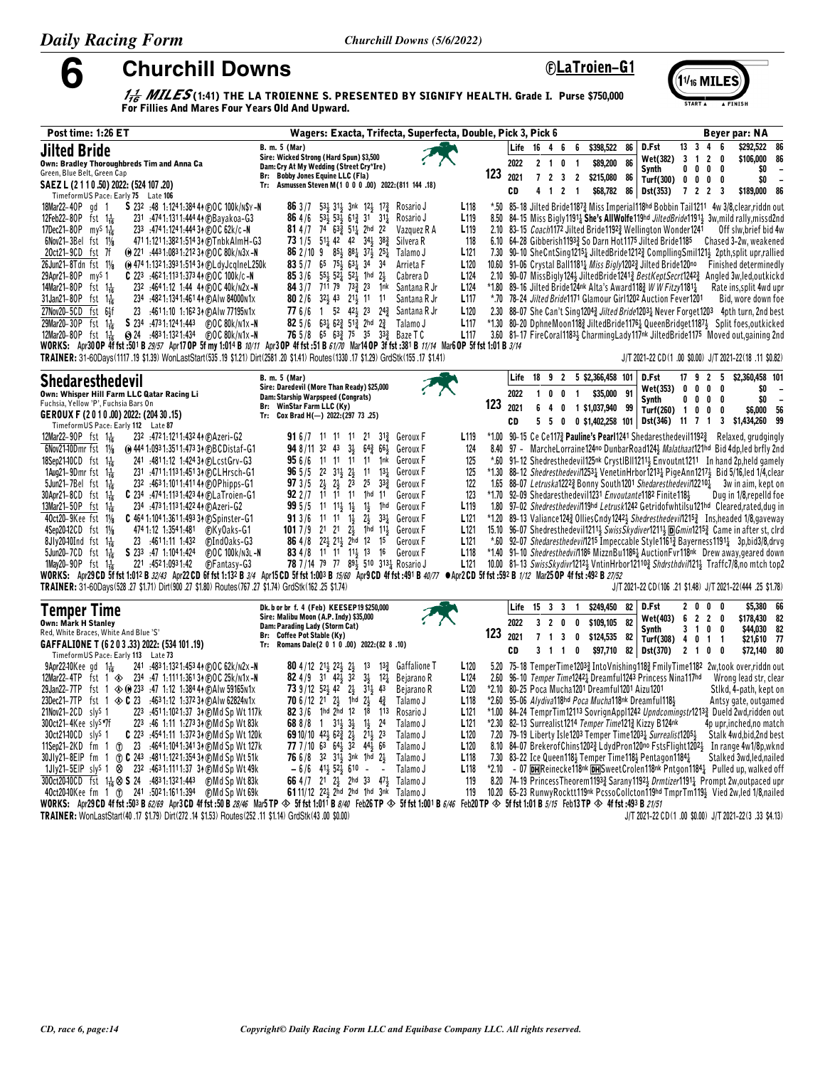**Churchill Downs** 

6

### *<u>©LaTroien-G1</u>*

 $(11)_{16}$  MILES

 $\frac{1}{16}$  MILES (1:41) THE LA TROIENNE S. PRESENTED BY SIGNIFY HEALTH. Grade I. Purse \$750,000 For Fillies And Mares Four Years Old And Upward.

| Post time: 1:26 ET                                                                                                                                                                                                                                                                                                                                                                                                                                                                                                                                                                                                                                                                                                                                                                                                                                                                                                                                                                                                                                                                                                                                                                                                                                                             | Wagers: Exacta, Trifecta, Superfecta, Double, Pick 3, Pick 6                                                                                                                                                                                                                                                                                                                                                                                                                                                                                                                                                                                                                                                                                                                                                                                                    |                                                                                                                                                                                                         |                                         |                            |                              |                                                         |                                                                           |                                                     |                                                                                                                                                                                                                                                                                                                                                                                                                                                                                                                                                                                                                                                                                                                                                                                                                                                                                                                                                                                                                                                                                                                                                                           |                                              |                                   | Beyer par: NA                                                                                                                                         |                                                                         |
|--------------------------------------------------------------------------------------------------------------------------------------------------------------------------------------------------------------------------------------------------------------------------------------------------------------------------------------------------------------------------------------------------------------------------------------------------------------------------------------------------------------------------------------------------------------------------------------------------------------------------------------------------------------------------------------------------------------------------------------------------------------------------------------------------------------------------------------------------------------------------------------------------------------------------------------------------------------------------------------------------------------------------------------------------------------------------------------------------------------------------------------------------------------------------------------------------------------------------------------------------------------------------------|-----------------------------------------------------------------------------------------------------------------------------------------------------------------------------------------------------------------------------------------------------------------------------------------------------------------------------------------------------------------------------------------------------------------------------------------------------------------------------------------------------------------------------------------------------------------------------------------------------------------------------------------------------------------------------------------------------------------------------------------------------------------------------------------------------------------------------------------------------------------|---------------------------------------------------------------------------------------------------------------------------------------------------------------------------------------------------------|-----------------------------------------|----------------------------|------------------------------|---------------------------------------------------------|---------------------------------------------------------------------------|-----------------------------------------------------|---------------------------------------------------------------------------------------------------------------------------------------------------------------------------------------------------------------------------------------------------------------------------------------------------------------------------------------------------------------------------------------------------------------------------------------------------------------------------------------------------------------------------------------------------------------------------------------------------------------------------------------------------------------------------------------------------------------------------------------------------------------------------------------------------------------------------------------------------------------------------------------------------------------------------------------------------------------------------------------------------------------------------------------------------------------------------------------------------------------------------------------------------------------------------|----------------------------------------------|-----------------------------------|-------------------------------------------------------------------------------------------------------------------------------------------------------|-------------------------------------------------------------------------|
| <b>Jilted Bride</b><br>Own: Bradley Thoroughbreds Tim and Anna Ca<br>Green, Blue Belt, Green Cap<br>SAEZ L (2 1 1 0 .50) 2022: (524 107 .20)<br>TimeformUS Pace: Early 75 Late 106                                                                                                                                                                                                                                                                                                                                                                                                                                                                                                                                                                                                                                                                                                                                                                                                                                                                                                                                                                                                                                                                                             | B. m. 5 (Mar)<br>Sire: Wicked Strong (Hard Spun) \$3,500<br>Dam: Cry At My Wedding (Street Cry*Ire)<br><b>Bobby Jones Equine LLC (Fla)</b><br>Br:<br>Asmussen Steven M(1 0 0 0 .00) 2022: (811 144 .18)<br>Tr:                                                                                                                                                                                                                                                                                                                                                                                                                                                                                                                                                                                                                                                  |                                                                                                                                                                                                         | 123                                     | Life<br>2022<br>2021<br>CD | $16 \t 4 \t 6$<br>4          | $2 \quad 1 \quad 0$<br>7 2 3 2<br>$1 \quad 2 \quad 1$   | 6<br>\$398,522<br>$\overline{\mathbf{1}}$                                 | 86<br>86<br>\$89,200<br>\$215,080 86<br>\$68,782 86 | D.Fst<br>Wet(382)<br>Synth<br>Turf(300) $0 \t 0 \t 0 \t 0$<br><b>Dst(353)</b>                                                                                                                                                                                                                                                                                                                                                                                                                                                                                                                                                                                                                                                                                                                                                                                                                                                                                                                                                                                                                                                                                             | 13 <sup>3</sup><br>3 1<br>$0\quad 0$<br>7223 | 4<br>$\overline{2}$<br>$0\quad 0$ | \$292,522<br>\$106,000<br>0                                                                                                                           | 8<br>8<br>\$0<br>\$0<br>\$189,000 80                                    |
| 18Mar22-40P gd 1<br>S 232 :48 1:1241:384 44 (F) OC 100k/N\$Y-N<br>12Feb22-80P fst $1\frac{1}{16}$<br>231 :4741:1311:444 44 (F)Bayakoa-G3<br>17Dec21-80P my <sup>S</sup> 1 <sup>1</sup> / <sub>16</sub><br>233 :4741:1241:44434 (F) OC 62k/c-N<br>6Nov21-3Bel fst 11/8<br>471 1:121 1:382 1:514 34 (F) Tnbk Alm H-G3<br>20ct21-9CD fst 7f<br>(e) $221$ : 443 1:083 1:212 34 (e) 0 C 80 k/n 3x - N<br>26Jun21-8Tdn fst 11/8<br>(e) 474 1:132 1:393 1:514 34 (F) L dy J c q I n e L 250 k<br>29Apr21-80P my <sup>s</sup> 1<br><b>C</b> 223 :4621:1131:373 44 ( $\bigcirc$ OC 100k/c -N<br>14Mar21-80P<br>232 :4641:12 1:44 44 (F) OC 40k/N2x-N<br>fst $1\frac{1}{16}$<br>31 Jan 21 - 80 P fst $1\frac{1}{16}$<br>234 :4821:1341:4614 (F) A Iw 84000 n 1x<br>27Nov20-5CD fst 6}f<br>23 :4611:10 1:162 34 (DAIw 77195N1x<br>29Mar20-30P fst $1\frac{1}{16}$<br>S 234 :4731:1241:443 (F)OC 80k/n1x-N<br><b>@ 24 :4831:1321:434 @ OC 80k/n1x-N</b><br>12Mar20-80P fst $1\frac{1}{16}$<br>WORKS: Apr30 OP 4f fst :501 B 29/57 Apr17 OP 5f my 1:014 B 10/11 Apr3 OP 4f fst :51 B 61/70 Mar14 OP 3f fst :381 B 11/14 Mar6 OP 5f fst 1:01 B 3/14<br>TRAINER: 31-60Days(1117 .19 \$1.39) WonLastStart(535 .19 \$1.21) Dirt(2581 .20 \$1.41) Routes(1330 .17 \$1.29) GrdStk(155 .17 \$1.41) | <b>86</b> $3/7$ 53 $31$ $31$ $31$ $12$ $12$ $17$ Rosario J<br>864/6<br>531, 531, 612, 31<br>$31\frac{1}{4}$<br>Rosario J<br>81 4/7 74 633 511 2hd 22<br>Vazquez R A<br>73 1/5 51 42 42 34 38<br>Silvera R<br>86 2/10 9 85 38 37 37 25 2<br>Talamo J<br>83 5 /7 65 754 634 34<br>34<br>Arrieta F<br>85 3/6 553 523 523 1hd 23<br>Cabrera D<br>84 3 /7 711 79 733 23 1nk<br>Santana R Jr<br>80 2 / 6 32 43 21 41 11<br>Santana R Jr<br>77 6/6 1 52 42 23 24 5antana R Jr<br>82 5/6 631 623 513 2hd 23<br>Talamo J<br><b>76</b> 5/8 65 63 <sup>3</sup> / <sub>2</sub> 75 35 33 <sup>3</sup> / <sub>2</sub> Baze T C                                                                                                                                                                                                                                                | L118<br>L <sub>119</sub><br>L <sub>119</sub><br>118<br>L <sub>121</sub><br>L120<br>L <sub>124</sub><br>L <sub>124</sub><br>L <sub>117</sub><br>L <sub>120</sub><br>L <sub>117</sub><br>L <sub>117</sub> | 8.50<br>10.60                           |                            |                              |                                                         |                                                                           |                                                     | *.50 85-18 Jilted Bride11873 Miss Imperial118hd Bobbin Tail1211 4w 3/8 clear riddn ou<br>84–15 Miss Bigly1191 <sub>4</sub> She's AllWolfe119hd <i>JiltedBride</i> 1191 <sub>3</sub> 3w, mild rally, missd2n<br>2.10 83-15 <i>Coach</i> 1172 Jilted Bride1192 <sup>3</sup> Wellington Wonder1241<br>6.10 64-28 Gibberish11933 So Darn Hot1175 Jilted Bride1185<br>7.30 90-10 SheCntSing12154 JiltedBride1212 <sup>3</sup> CompllingSmil1214 2pth,split upr,rallie<br>91-06 Crystal Ball1181 <sub>4</sub> Miss Bigly1202 <sub>3</sub> Jilted Bride120no<br>2.10 90-07 MissBigly124} JiltedBride12413 BestKeptSecrt12423 Angled 3w, led, outkick<br>*1.80 89-16 Jilted Bride124nk Alta's Award118} W W Fitzy1181}<br>*.70 78-24 Jilted Bride1171 Glamour Girl1202 Auction Fever1201<br>2.30 88-07 She Can't Sing12043 Jilted Bride12031 Never Forget1203 4pth turn, 2nd bes<br>*1.30 80-20 DphneMoon118} JiltedBride11761 QueenBridget11871 Split foes, outkicke<br>3.60 81-17 FireCoral11834 CharmingLady117nk JiltedBride1175 Moved out, gaining 2no<br>J/T 2021-22 CD(1 .00 \$0.00) J/T 2021-22(18 .11 \$0.82                                                             |                                              |                                   | Off slw, brief bid 4v<br>Chased 3-2w, weakene<br>Finished determinedl<br>Rate ins, split 4wd up<br>Bid, wore down fo                                  |                                                                         |
| <b>Shedaresthedevil</b><br>Own: Whisper Hill Farm LLC Qatar Racing Li<br>Fuchsia, Yellow 'P', Fuchsia Bars On<br>GEROUX F (2010.00) 2022: (204 30.15)<br>TimeformUS Pace: Early 112 Late 87                                                                                                                                                                                                                                                                                                                                                                                                                                                                                                                                                                                                                                                                                                                                                                                                                                                                                                                                                                                                                                                                                    | B. m. 5 (Mar)<br>Sire: Daredevil (More Than Ready) \$25,000<br>Dam: Starship Warpspeed (Congrats)<br>Br: WinStar Farm LLC (Ky)<br>Tr: Cox Brad H(-) 2022: (297 73 .25)                                                                                                                                                                                                                                                                                                                                                                                                                                                                                                                                                                                                                                                                                          |                                                                                                                                                                                                         | 123                                     | Life<br>2022<br>2021<br>CD | $18$ $9$ $2$<br>$\mathbf{1}$ | $\mathbf 0$<br>0<br>550                                 | 5 \$2,366,458 101<br>\$35,000<br>$\overline{1}$<br>6 4 0 1 \$1,037,940 99 | 91                                                  | D.Fst<br>Wet(353)<br>Synth<br>Turf(260) 1<br>0 \$1,402,258 101   Dst(346) 11 7 1                                                                                                                                                                                                                                                                                                                                                                                                                                                                                                                                                                                                                                                                                                                                                                                                                                                                                                                                                                                                                                                                                          | 17<br>9<br>0<br>0<br>0<br>0<br>0             | 2 5<br>0<br>0<br>0<br>0<br>0      | \$2,360,458 10<br>0<br>3 \$1,434,260 99                                                                                                               | \$0<br>\$0<br>\$6,000<br>5                                              |
| 12Mar22-90P fst $1\frac{1}{16}$<br>232 :4721:1211:432 44 (F) Azeri-G2<br>6Nov2140Dmr fst 11/8<br>(e) 444 1:093 1:351 1:473 34 (F)BCDistaf-G1<br>18Sep21-10CD fst $1\frac{1}{16}$<br>241 :4811:12 1:424 34 (F) Lcst Grv-G3<br>1Aug21-9Dmr fst $1\frac{1}{16}$<br>231 :4711:1131:45134 (F)CLHrsch-G1<br>$5$ Jun21-7Bel fst 1 $\frac{1}{16}$<br>232 :4631:1011:41144 @OPhipps-G1<br>$30$ Apr21-8CD fst 1 $\frac{1}{16}$<br><b>C</b> 234 :4741:1131:423 44 (BLaTroien-G1<br>13Mar21-50P fst $1\frac{1}{16}$<br>234 .473 1:113 1:422 44 @Azeri-G2<br>40ct20-9Kee fst 11/8<br>C 464 1:104 1:361 1:493 34 (F) Spinster-G1<br>4Sep20-12CD fst 11/8<br>$8Jly2040Ind$ fst $1\frac{1}{16}$<br>23 :4611:11 1:432<br>CIndOaks-G3<br>$5$ Jun20-7CD fst $1\frac{1}{16}$<br>S 233 :47 1:1041:424<br>(F)OC 100k/n3l-N<br>1May20-90P fst $1\frac{1}{16}$<br>221 :4521:0931:42<br><b>C</b> Fantasy-G3<br>WORKS: Apr29CD 5f fst 1:012 B 32/43 Apr22CD 6f fst 1:132 B 3/4 Apr15CD 5f fst 1:003 B 15/60 Apr9CD 4f fst :491 B 40/77 $\bullet$ Apr2CD 5f fst :592 B 1/12 Mar25 OP 4f fst :492 B 27/52<br>TRAINER: 31-60Days(528 .27 \$1.71) Dirt(900 .27 \$1.80) Routes(767 .27 \$1.74) GrdStk(162 .25 \$1.74)                                                                                         | 91 6/7 11 11 11 21 31 <sup>3</sup> Geroux F<br>$3\frac{1}{2}$<br>948/113243<br>$64\frac{3}{4}$ $66\frac{1}{2}$<br>Geroux F<br>95 6/6 11 11 11 11 1nk<br>Geroux F<br><b>96</b> $5/5$ 2 <sup>2</sup> $31\frac{1}{2}$ 2<br>$11 \t 13\frac{1}{4}$<br>Geroux F<br>23<br>$25 \t33\frac{3}{4}$<br>973/5<br>$2\frac{1}{2}$<br>$2\frac{1}{2}$<br>Geroux F<br>92 2 /7 11 11 11 1hd 11<br>Geroux F<br>$995/5$ 11 11 $\frac{11}{5}$ 1<br>$1\frac{1}{2}$<br>1hd<br>Geroux F<br><b>91</b> 3/6 11 11 $1\frac{1}{2}$<br>$2\frac{1}{2}$<br>$33\frac{1}{4}$<br>Geroux F<br>1017/9<br>21 21 23 1hd 113<br>Geroux F<br>86 4/8 223 213 2hd 12 15<br>Geroux F<br>83 4/8 11 11 11 13 16<br>Geroux F<br>78 7/14 79 77 891 510 3131 Rosario J                                                                                                                                            | L <sub>119</sub><br>124<br>125<br>125<br>122<br>123<br>L <sub>119</sub><br>L <sub>121</sub><br>L <sub>121</sub><br>L <sub>121</sub><br>L <sub>118</sub><br>L121                                         | 8.40<br>*.60<br>*1.70<br>*1.20<br>15.10 |                            |                              |                                                         |                                                                           |                                                     | *1.00 90-15 Ce Ce117 <sup>3</sup> Pauline's Pearl1241 Shedaresthedevil1192 <sup>3</sup> Relaxed, grudgingl<br>97 - MarcheLorraine124no DunbarRoad1243 Malathaat121hd Bid 4dp, led brfly 2no<br>91-12 Shedresthedevil125 <sup>nk</sup> CrystIBII1211 <sub>3</sub> Envoutnt1211 In hand 2p, held gamel<br>*1.30 88–12 Shedresthedevil12531 VenetinHrbor12131 PigeAnn12171 Bid 5/16, led 1/4, clea<br>1.65 88-07 Letruska1222 $\frac{3}{2}$ Bonny South1201 Shedaresthedevil12210 $\frac{1}{4}$ 3w in aim, kept of<br>92-09 Shedaresthedevil1231 Envoutante1182 Finite1184<br>1.80 97-02 Shedresthedevil119hd Letrusk1242 Getridofwhtilsu121hd Cleared,rated,dug in<br>89–13 Valiance1243 Ollies Cndy 12423 Shedresthedevil 12153 Instheaded 1/8, gave wa<br>96-07 Shedresthedevil12113 SwissSkydiver12113 DGmin12153 Came in after st, clri<br>*.60 92-07 Shedaresthedevil1215 Impeccable Style11613 Bayerness11911 3p,bid3/8,drv<br>*1.40 91-10 Shedresthedvil1186 MizznBu1186 Auction Fvr118nk Drew away, geared dow<br>10.00 81-13 SwissSkydivr12123 VntinHrbor121103 Shdrsthdvil1213 Traffc7/8,no mtch top<br>J/T 2021-22 CD(106 .21 \$1.48) J/T 2021-22(444 .25 \$1.78 |                                              |                                   | Dug in 1/8, repelld fo                                                                                                                                |                                                                         |
| <b>Temper Time</b><br>Own: Mark H Stanley<br>Red, White Braces, White And Blue 'S'<br>GAFFALIONE T (6 2 0 3 .33) 2022: (534 101 .19)<br>TimeformUS Pace: Early 113 Late 73                                                                                                                                                                                                                                                                                                                                                                                                                                                                                                                                                                                                                                                                                                                                                                                                                                                                                                                                                                                                                                                                                                     | Dk. b or br f. 4 (Feb) KEESEP19 \$250,000<br>Sire: Malibu Moon (A.P. Indy) \$35,000<br>Dam: Parading Lady (Storm Cat)<br>Br: Coffee Pot Stable (Ky)<br>Tr: Romans Dale(2 0 1 0 .00) 2022:(82 8 .10)                                                                                                                                                                                                                                                                                                                                                                                                                                                                                                                                                                                                                                                             |                                                                                                                                                                                                         | 123                                     | Life<br>2022<br>2021<br>CD | 15                           | 3 <sup>3</sup><br>320<br>$7 \quad 1 \quad 3$<br>3 1 1 0 | \$249,450<br>$\mathbf{1}$<br>\$109,105<br>0<br>\$124,535<br>0             | 82<br>82<br>82                                      | D.Fst<br>Wet(403)<br><b>Synth</b><br>Turf(308) 4 0 1 1<br>\$97,710 82 Dst(370) 2 1 0 0                                                                                                                                                                                                                                                                                                                                                                                                                                                                                                                                                                                                                                                                                                                                                                                                                                                                                                                                                                                                                                                                                    | 2 <sub>0</sub><br>6 <sub>2</sub><br>3 1      | 0<br>0<br>20<br>0<br>- 0          |                                                                                                                                                       | \$5,380 60<br>\$178,430 82<br>\$44,030 82<br>$$21,610$ 7<br>\$72,140 80 |
| 241 :483 1:132 1:453 44 (F) O C 62k/n2x -N<br>$9$ Apr22–10 $K$ ee gd $1\frac{1}{16}$<br>12Mar22-4TP fst 1 $\otimes$ 234 :47 1:1111:361 34 @OC 25k/n1x-N<br>29 Jan 22 - 7 TP fst 1 $\otimes$ 0 233 : 47 1:12 1:384 4 $\oplus$ Alw 59165 N1x<br>23Dec21-7TP fst 1 $\otimes$ C 23 :4631:12 1:37234 (E)Alw 62824N1x<br>21Nov21-2CD sly <sup>s</sup> 1<br>223 :4511:1021:37 34 (DMd Sp Wt 117k<br>300ct21-4Kee slys*7f<br>223 :46 1:11 1:273 34 CMd Sp Wt 83k<br>30ct2140CD sly <sup>s</sup> 1<br><b>C</b> 223 :4541:11 1:372 34 (DMd Sp Wt 120k)<br>11Sep21-2KD fm 1 (r) 23 :4641:1041:34134 (F) Md Sp Wt 127k<br>30Jly21-8EIP fm 1 ① C 243 :4811:1221:354 34 © Md Sp Wt 51k<br>1Jly21-5EIP sly <sup>s</sup> 1 $\otimes$ 232 :4631:1111:37 34 (EMd Sp Wt 49k)<br>300ct2040CD fst $1\frac{1}{16}$ $\otimes$ <b>S</b> 24 :4831:1321:443<br>(F)Md Sp Wt 83k<br>40ct2040Kee fm 1 (f) 241 :5021:1611:394 (F)Md Sp Wt 69k<br>WORKS: Apr29CD 4f fst :503 B 62/69 Apr3CD 4f fst :50 B 28/46 Mar5TP $\otimes$ 5f fst 1:011 B 8/40 Feb26TP $\otimes$ 5f fst 1:001 B 6/46 Feb20TP $\otimes$ 5f fst 1:01 B 5/15 Feb13TP $\otimes$ 4f fst :493 B 21/51                                                                                                                                          | Gaffalione T<br><b>80</b> 4/12 21 <sup>1</sup> / <sub>22</sub> 2 <sup>1</sup> / <sub>2</sub> 2 <sup>1</sup> / <sub>2</sub><br>13<br>$13\frac{3}{4}$<br>82 4/9 31 42 $\frac{5}{2}$ 32<br>$3\frac{1}{2}$<br>$12\frac{1}{4}$<br>Bejarano R<br><b>73</b> 9/12 52 42 2<br>313 43<br>Bejarano R<br><b>70</b> 6/12 2 <sup>1</sup> 2 <sup>1</sup><br>1hd $2\frac{1}{2}$ $4\frac{3}{4}$<br>Talamo J<br>82 3/6 1hd 2hd 12<br>18<br>113<br>Rosario J<br>688/8 1<br>$31\frac{1}{2}$ $3\frac{1}{2}$<br>$1\frac{1}{2}$<br>24<br>Talamo J<br>69 10/10 $42\frac{1}{2}$ 62 $\frac{3}{4}$ 2 $\frac{1}{2}$<br>$21\frac{1}{2}$ 23<br>Talamo J<br>77 7 / 10 63 641 32 441 66<br>Talamo J<br>76 6/8 32 313 3nk 1hd 23<br>Talamo J<br>$-6/6$ 41 $\frac{1}{2}$ 52 $\frac{1}{2}$ 610 -<br>Talamo J<br>$\sim$<br>66 4/7 21 2 2hd 33 47 3 Talamo J<br>6111/12 221 2hd 2hd 1hd 3nk Talamo J | L <sub>120</sub><br>L <sub>124</sub><br>L <sub>120</sub><br>L <sub>118</sub><br>L <sub>121</sub><br>L121<br>L <sub>120</sub><br>L120<br>L <sub>118</sub><br>L <sub>118</sub><br>119<br>119              | 5.20<br>2.60<br>*2.10<br>$*2.60$        |                            |                              |                                                         | 80–25 Poca Mucha1201 Dreamful1201 Aizu1201                                |                                                     | 75–18 TemperTime12033 IntoVnishing1183 FmilyTime1182 2w,took over,riddn ou<br>96-10 Temper Time12421 Dreamful1243 Princess Nina117hd<br>95-06 Alydiva118hd Poca Mucha118nk Dreamful1183<br>*1.00 84-24 TemprTim12113 SovrignAppl1242 Upndcomingstr1213 <sub>4</sub> Dueld 2wd,ridden ou<br>*2.30 82-13 Surrealist1214 Temper Time1213 Kizzy B124nk<br>7.20 79-19 Liberty Isle1203 Temper Time1203 $\frac{1}{4}$ Surrealist1205 $\frac{1}{2}$<br>8.10 84-07 Brekerof Chins 12023 Ldyd Pron 120no Fsts Flight 12023 In range 4w1/8p, wkn<br>7.30 83-22 Ice Queen118} Temper Time118} Pentagon1184}<br>*2.10 - 07 <b>DH</b> Reinecke 118 <sup>nk</sup> DH Sweet Crolen 118 <sup>nk</sup> Pntgon 1184 <sup>1</sup> Pulled up, walked of<br>8.20 74-19 PrincessTheorem11933 Sarany11923 Drmtizer1191 Prompt 2w, outpaced up<br>10.20 65-23 RunwyRocktt119nk PcssoCollcton119hd TmprTm119} Vied 2w, led 1/8, nailer                                                                                                                                                                                                                                                             |                                              |                                   | Wrong lead str, clea<br>Stlkd, 4-path, kept of<br>Antsy gate, outgame<br>4p upr, inched, no matcl<br>Stalk 4wd,bid,2nd bes<br>Stalked 3wd, led, naile |                                                                         |

TRAINER: WonLastStart(40 .17 \$1.79) Dirt(272 .14 \$1.53) Routes(252 .11 \$1.14) GrdStk(43 .00 \$0.00)

J/T 2021-22 CD(1 .00 \$0.00) J/T 2021-22(3 .33 \$4.13)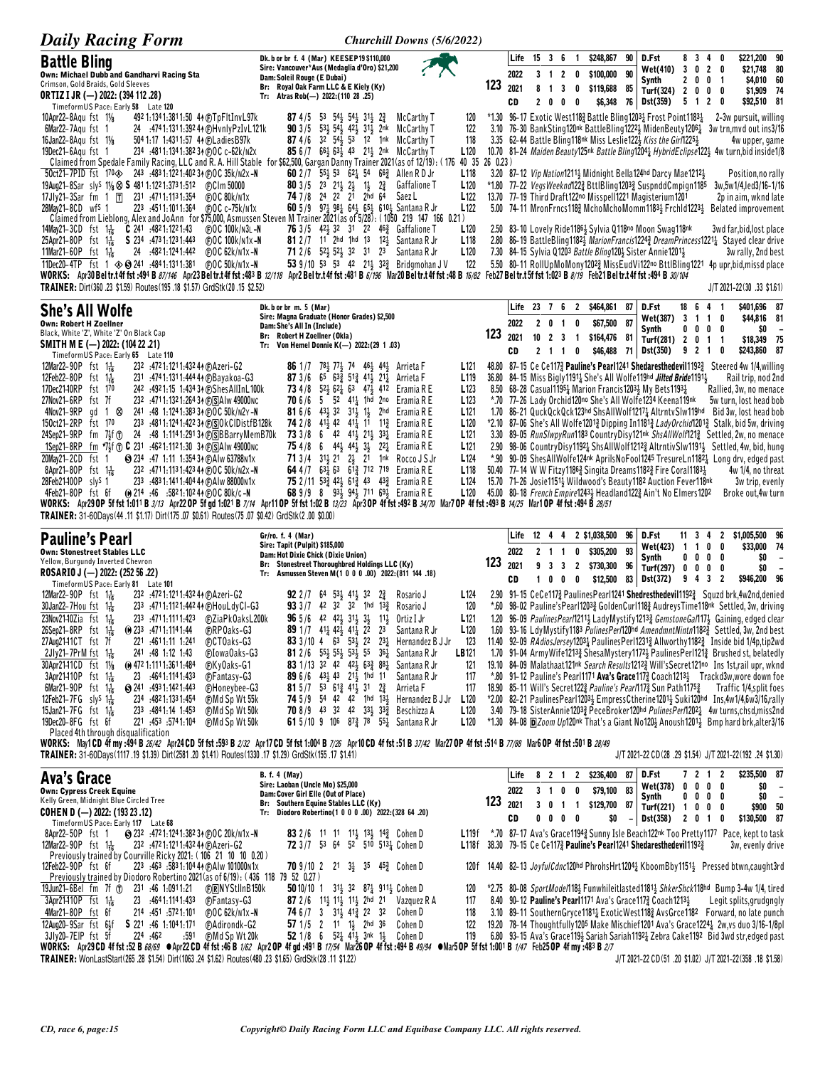| <b>Daily Racing Form</b>                                                                                                                                                                                                                                                                                                                                                                                                                                                                                                                                                                                                                                                                                                                                                                                                                                                                                                                                               | <b>Churchill Downs (5/6/2022)</b>                                                                                                                                                                                                                                                                                                                                                                                                                                                                                                                                                                                                                                                                                                                                                                                                                                                                                                                                                                                                                                                                                                                                                                                                                                                                                                                                                             |                                                                                                                                                                                                                                                                                                                                                                                                                                                                                                                                                                                                                                                                                                                                                                                                                                                                                                                                                                                                                                                                                                                                                                                                                  |
|------------------------------------------------------------------------------------------------------------------------------------------------------------------------------------------------------------------------------------------------------------------------------------------------------------------------------------------------------------------------------------------------------------------------------------------------------------------------------------------------------------------------------------------------------------------------------------------------------------------------------------------------------------------------------------------------------------------------------------------------------------------------------------------------------------------------------------------------------------------------------------------------------------------------------------------------------------------------|-----------------------------------------------------------------------------------------------------------------------------------------------------------------------------------------------------------------------------------------------------------------------------------------------------------------------------------------------------------------------------------------------------------------------------------------------------------------------------------------------------------------------------------------------------------------------------------------------------------------------------------------------------------------------------------------------------------------------------------------------------------------------------------------------------------------------------------------------------------------------------------------------------------------------------------------------------------------------------------------------------------------------------------------------------------------------------------------------------------------------------------------------------------------------------------------------------------------------------------------------------------------------------------------------------------------------------------------------------------------------------------------------|------------------------------------------------------------------------------------------------------------------------------------------------------------------------------------------------------------------------------------------------------------------------------------------------------------------------------------------------------------------------------------------------------------------------------------------------------------------------------------------------------------------------------------------------------------------------------------------------------------------------------------------------------------------------------------------------------------------------------------------------------------------------------------------------------------------------------------------------------------------------------------------------------------------------------------------------------------------------------------------------------------------------------------------------------------------------------------------------------------------------------------------------------------------------------------------------------------------|
| <b>Battle Bling</b><br>Own: Michael Dubb and Gandharvi Racing Sta<br>Crimson, Gold Braids, Gold Sleeves<br><b>ORTIZ I JR (-) 2022: (394 112 .28)</b><br>TimeformUS Pace: Early 58 Late 120                                                                                                                                                                                                                                                                                                                                                                                                                                                                                                                                                                                                                                                                                                                                                                             | Dk. b or br f. 4 (Mar) KEESEP19 \$110,000<br>Sire: Vancouver*Aus (Medaglia d'Oro) \$21,200<br>Dam: Soleil Rouge (E Dubai)<br>Br: Royal Oak Farm LLC & E Kiely (Ky)<br>Tr: Atras Rob(-) 2022: (110 28 .25)                                                                                                                                                                                                                                                                                                                                                                                                                                                                                                                                                                                                                                                                                                                                                                                                                                                                                                                                                                                                                                                                                                                                                                                     | $15 \t3 \t6$<br>\$221,200 90<br>Life<br>\$248,867<br>90<br>D.Fst<br>8 3 4 0<br>$\mathbf{1}$<br>3 0 2 0<br>\$21,748 80<br><b>Wet(410)</b><br>90<br>2022<br>3 <sub>1</sub><br>$\overline{2}$<br>\$100,000<br>0<br>2 0 0 1<br>\$4,010 60<br>Synth<br>123<br>2021<br>8 1 3 0<br>\$119,688<br>85<br>Turf(324) 2 0 0 0<br>\$1,909 74<br>\$6,348<br>76 Dst(359)<br>2 <sub>0</sub><br>$0\quad 0$<br>5 1 2 0<br>\$92,510 81<br>CD                                                                                                                                                                                                                                                                                                                                                                                                                                                                                                                                                                                                                                                                                                                                                                                         |
| 492 1:134 1:381 1:50 4 + (F) T p F It Inv L 97k<br>10Apr22-8Aqu fst 11/ <sub>8</sub><br>24 :4741:1311:392 44 @HvnlyPzIvL121k<br>6Mar22-7Aqu fst 1<br>16Jan22-8Aqu fst 11/8<br>504 1:17 1:4311:57 44 (F) Ladies B97k<br>19Dec21-6Aqu fst 1<br>234 :4811:1341:382 34 @OC c-62k/N2x<br>50ct21-7PID fst 170x2> 243 :4831:1221:40234 @DC 35k/n2x-N                                                                                                                                                                                                                                                                                                                                                                                                                                                                                                                                                                                                                          | <b>87</b> 4/5 53 544 544 314 23<br>McCarthy T<br>120<br><b>90</b> $3/5$ 53, 54, 42, 31, 2nk<br>122<br>McCarthy T<br>87 4/6 32 54 53 12 1nk McCarthy T<br>118<br>85 6/7 663 633 43 213 2nk McCarthy T<br>L120<br>Claimed from Spedale Family Racing, LLC and R. A. Hill Stable for \$62,500, Gargan Danny Trainer 2021 (as of 12/19): (176 40 35 26 0.23)<br>60 2 / 7 55 4 53 62 54 66 4 54 Allen R D Jr<br>L118                                                                                                                                                                                                                                                                                                                                                                                                                                                                                                                                                                                                                                                                                                                                                                                                                                                                                                                                                                               | *1.30 96-17 Exotic West1183 Battle Bling12031 Frost Point11831<br>2-3w pursuit, willing<br>3.10 76-30 BankSting120nk BattleBling12223 MidenBeuty12061 3w trn, mvd out ins3/16<br>3.35 62-44 Battle Bling118nk Miss Leslie122} Kiss the Girl1225}<br>4w upper, game<br>10.70 81-24 Maiden Beauty125nk Battle Bling12041 HybridEclipse1221 4w turn, bid inside1/8<br>3.20 87-12 Vip Nation1211 Midnight Bella124hd Darcy Mae1212 3<br>Position, no rally                                                                                                                                                                                                                                                                                                                                                                                                                                                                                                                                                                                                                                                                                                                                                           |
| 17 Jly 21 – 3 Sar fm 1 $\Pi$<br>231 .4711.1131.354<br>COC 80k/n1x<br>223 .4511.1011.364<br>28May21-8CD wf <sup>S</sup> 1<br>(F) 0 C c-75k/n1x                                                                                                                                                                                                                                                                                                                                                                                                                                                                                                                                                                                                                                                                                                                                                                                                                          | <b>80</b> 3/5 2 <sup>3</sup> 2 <sup>1</sup> / <sub>2</sub> 2 <sup>1</sup> / <sub>2</sub> <sup>1</sup> / <sub>2</sub> 2 <sup>3</sup> / <sub>4</sub><br><b>Gaffalione T</b><br>L <sub>120</sub><br>74 7 / 8 24 22 21 2hd 64<br>Saez L<br>L <sub>122</sub><br>L <sub>122</sub><br>60 5/9 971 981 641 651 6101 Santana R Jr<br>Claimed from Lieblong, Alex and JoAnn for \$75,000, Asmussen Steven M Trainer 2021(as of 5/28): (1050 219 147 166 0.21)<br><b>76</b> 3/5 42 32 31 22 46 <sup>3</sup> / <sub>2</sub> Gaffalione T<br>L <sub>120</sub>                                                                                                                                                                                                                                                                                                                                                                                                                                                                                                                                                                                                                                                                                                                                                                                                                                               | *1.80 77-22 VegsWeeknd1223 BttlBling12033 SuspnddCmpign1185 3w,5w1/4,led3/16-1/16<br>13.70 77–19 Third Draft122no Misspell1221 Magisterium1201<br>2p in aim, wknd late<br>5.00 74-11 MronFrncs1183 MchoMchoMomm11831 Frchld12231 Belated improvement                                                                                                                                                                                                                                                                                                                                                                                                                                                                                                                                                                                                                                                                                                                                                                                                                                                                                                                                                             |
| 14May21-3CD fst 1 <sup>1</sup> <sub>16</sub> C 241 :4821:1221:43<br>(F)OC 100k/n3l -N<br>25Apr21-80P fst 1 <sup>1</sup> / <sub>16</sub> S 234 :4731:1231:443<br>(F)OC 100k/n1x-N<br>24 :4821:1241:442<br>11Mar21-60P fst 1 <sup>1</sup> / <sub>16</sub><br>(F)OC 62k/n1x-N<br>11Dec20-4TP fst 1 $\otimes$ 3241 :4841:1311:381<br>$F$ <sub>D</sub> OC 50k/n1x-N<br>TRAINER: Dirt(360 .23 \$1.59) Routes(195 .18 \$1.57) GrdStk(20 .15 \$2.52)                                                                                                                                                                                                                                                                                                                                                                                                                                                                                                                           | 81 2/7 11 2hd 1hd 13 12} Santana R Jr<br>L <sub>118</sub><br>71 2/6 52 52 52 32 31 23 Santana R Jr<br>L <sub>120</sub><br>53 9/10 53 53 42 213 32 $\frac{3}{4}$ Bridgmohan J V<br>122<br>WORKS: Apr30Beltr.t4f fst:494B87/146 Apr23Beltr.t4f fst:483B12/118 Apr2Beltr.t4f fst:481B6/196 Mar20Beltr.t4f fst:48B16/82 Feb27Beltr.t5f fst 1:023B8/19 Feb21Beltr.t4f fst:494B30/104                                                                                                                                                                                                                                                                                                                                                                                                                                                                                                                                                                                                                                                                                                                                                                                                                                                                                                                                                                                                               | 2.50 83-10 Lovely Ride1186 <sup>1</sup> Sylvia Q118no Moon Swag118nk<br>3wd far, bid, lost place<br>2.80 86-19 BattleBling11823 MarionFrancis1224 DreamPrincess1221 Stayed clear drive<br>7.30 84-15 Sylvia Q1203 Battle Bling120} Sister Annie1201}<br>3w rally, 2nd best<br>5.50 80-11 RollUpMoMony12023 MissEudVi122no BttlBling1221 4p upr, bid, missd place<br>$J/T 2021 - 22(30.33$ \$1.61)                                                                                                                                                                                                                                                                                                                                                                                                                                                                                                                                                                                                                                                                                                                                                                                                                |
| <b>She's All Wolfe</b><br>Own: Robert H Zoellner<br>Black, White 'Z', White 'Z' On Black Cap<br>SMITH M E (-) 2022: (104 22 .21)<br>TimeformUS Pace: Early 65 Late 110                                                                                                                                                                                                                                                                                                                                                                                                                                                                                                                                                                                                                                                                                                                                                                                                 | Dk. b or br m. 5 (Mar)<br>Sire: Magna Graduate (Honor Grades) \$2,500<br>Dam: She's All In (Include)<br>Br: Robert H Zoeliner (Okla)<br>Tr: Von Hemel Donnie $K(-)$ 2022:(29 1.03)                                                                                                                                                                                                                                                                                                                                                                                                                                                                                                                                                                                                                                                                                                                                                                                                                                                                                                                                                                                                                                                                                                                                                                                                            | D.Fst<br>18 6 4 1<br>\$401,696 87<br>Life 23 7 6<br>\$464,861<br>87<br>$\overline{\mathbf{2}}$<br>\$44,816 81<br>Wet(387)<br>3 1 1<br>0<br>\$67,500<br>87<br>2022<br>2 0 1<br>0<br>Synth<br>$0\quad 0$<br>$0\quad 0$<br>\$O<br>123<br>2021<br>10<br>$\overline{2}$<br>$\overline{\mathbf{3}}$<br>\$164,476<br>$\overline{1}$<br>81<br>Turf(281) 2 0 1 1<br>\$18,349 75<br>\$46,488<br>\$243,860 87<br>CD<br>2 1 1<br>0<br>71 Dst(350)<br>9210                                                                                                                                                                                                                                                                                                                                                                                                                                                                                                                                                                                                                                                                                                                                                                    |
| 12Mar22-90P fst 1 <sup>1</sup> <sub>16</sub><br>232 :4721:1211:432 44 (DAzeri-G2<br>12Feb22-80P fst $1\frac{1}{16}$<br>231 :4741:1311:444 4 (DBayakoa-G3<br>17Dec2140RP fst 170<br>242 .4921.15 1.434 34 @ShesAllInL100k<br>27Nov21-6RP fst 7f<br>232 :4711:1321:264 34 (F)SAIw 49000NC<br>4Nov21-9RP<br>241 :48 1:1241:383 34 @OC 50k/n2y-N<br>gd 1 ⊗<br>150ct21-2RP<br>fst 170<br>233 .4811:1241:42234 OSOkCIDistfB128k<br>24Sep21-9RP<br>fm 7∯f⊕<br>24 :48 1:1141:291 34 OSBB Barry MemB 70k<br>1Sep21-8RP fm *7 <sup>3</sup> f T C 231 :4621:1121:30 34 CSAIw 49000NC<br>20May21-2CD fst<br>S 234 :47 1:11 1:354 3↑ (F) A Iw 63788 N 1x<br>-1<br>8Apr21-80P fst $1\frac{1}{16}$<br>232 :4711:1131:423 44 (DOC 50k/n2x -N<br>28Feb21-100P sly <sup>s</sup> 1<br>233 :4831:1411:404 44 (F) A Iw 88000 N 1x<br>4Feb21-80P fst 6f (a) 214 :46 :5821:1024 + @OC80k/c-N<br>TRAINER: 31-60Days(44.11 \$1.17) Dirt(175.07 \$0.61) Routes(75.07 \$0.42) GrdStk(2.00 \$0.00) | L <sub>121</sub><br><b>86</b> 1/7 7 <sup>8</sup> 7 <sup>7</sup> 7 <sup>4</sup> 4 <sup>6</sup> 4 <sup>4</sup> 4 <sup>4</sup> Arrieta F<br>L <sub>119</sub><br><b>87</b> 3/6 65 63 $\frac{3}{2}$ 51 $\frac{3}{2}$ 41 $\frac{1}{2}$ 21 $\frac{1}{4}$ Arrieta F<br>734/8<br>$52\frac{1}{2}$ 62 $\frac{1}{4}$ 63 47 $\frac{1}{2}$ 412 Eramia R E<br>L <sub>123</sub><br>70 6/6 5 52 411 1hd 2no Eramia R E<br>L123<br>81 6/6 43 <sup>1</sup> / <sub>2</sub> 32 31 <sup>1</sup> / <sub>2</sub> 1 <sup>1</sup> / <sub>2</sub> 2hd Eramia R E<br>L <sub>121</sub><br>74 2/8 413 42 412 11 113 Eramia R E<br>L <sub>120</sub><br>733/86<br>42 41 <sup>1</sup> / <sub>2</sub> 21 <sup>1</sup> / <sub>2</sub> 33 <sup>1</sup> / <sub>4</sub> Eramia R E<br>L <sub>121</sub><br>44 <sub>2</sub> 44 <sub>2</sub> 3 <sub>2</sub> 22 <sub>4</sub> Eramia R E<br>L <sub>121</sub><br>754/86<br>71 3/4 313 21 23 21 1nk Rocco J S Jr<br>L <sub>124</sub><br>64 4/7 631 63 613 712 719 Eramia R E<br>L <sub>118</sub><br>75 2/11 53 <sup>3</sup> 42 <sup>1</sup> / <sub>2</sub> 61 <sup>3</sup> 43 43 <sup>3</sup> / <sub>4</sub> Eramia R E<br>L <sub>124</sub><br>68 9/9 8 933 943 711 693 Eramia R E<br>L <sub>120</sub><br>WORKS: Apr29 OP 5f fst 1:011 B 3/13 Apr22 OP 5f gd 1:021 B 7/14 Apr11 OP 5f fst 1:02 B 13/23 Apr3 OP 4f fst :492 B 34/70 Mar7 OP 4f fst :493 B 14/25 Mar1 OP 4f fst :494 B 28/51 | 48.80 87-15 Ce Ce1172 Pauline's Pearl1241 Shedaresthedevil11922 Steered 4w 1/4, willing<br>36.80 84-15 Miss Bigly1191 <sup>1</sup> / <sub>4</sub> She's All Wolfe119hd <i>Jilted Bride</i> 1191 <sup>1</sup> / <sub>3</sub><br>Rail trip, nod 2nd<br>8.50 68-28 Casual 1195 Marion Francis 1203 My Bets 1193 https://<br>Rallied, 3w, no menace<br>*.70 77-26 Lady Orchid120no She's All Wolfe1234 Keena119nk<br>5w turn, lost head bob<br>1.70 86-21 QuckQckQck123hd ShsAllWolf12171 AltrntvSlw119hd Bid 3w, lost head bob<br>*2.10 87-06 She's All Wolfe1201 <sup>3</sup> Dipping In1181 <sup>3</sup> LadyOrchid1201 <sup>3</sup> Stalk, bid 5w, driving<br>3.30 89–05 RunSlwpyRun1183 CountryDisy121nk ShsAllWolf121 <sup>3</sup> Settled, 2w, no menace<br>2.90 98-06 CountryDisy11921 ShsAllWolf12122 AltrntivSlw11911 Settled, 4w, bid, hung<br>*.90 90-09 ShesAllWolfe124nk AprilsNoFool1245 TresureLn11821 Long drv, edged past<br>50.40 77–14 W W Fitzy11863 Singita Dreams 11823 Fire Coral 11831<br>4w 1/4, no threat<br>15.70 71-26 Josie1151 Wildwood's Beauty 1182 Auction Fever 118nk<br>3w trip, evenly<br>45.00 80-18 French Empire12433 Headland1223 Ain't No Elmers1202<br>Broke out, 4w turn |
| <b>Pauline's Pearl</b><br><b>Own: Stonestreet Stables LLC</b><br>Yellow, Burgundy Inverted Chevron<br>ROSARIO J (-) 2022: (252 56 .22)                                                                                                                                                                                                                                                                                                                                                                                                                                                                                                                                                                                                                                                                                                                                                                                                                                 | Gr/ro. f. 4 (Mar)<br>Sire: Tapit (Pulpit) \$185,000<br>Dam: Hot Dixie Chick (Dixie Union)<br>Br: Stonestreet Thoroughbred Holdings LLC (Ky)<br>Tr: Asmussen Steven M(1 0 0 0 .00) 2022: (811 144 .18)                                                                                                                                                                                                                                                                                                                                                                                                                                                                                                                                                                                                                                                                                                                                                                                                                                                                                                                                                                                                                                                                                                                                                                                         | 2 \$1,038,500<br>96<br>$11 \t3 \t4 \t2$<br>\$1,005,500 96<br>Life<br>$12 \t 4 \t 4$<br>D.Fst<br>\$33,000 74<br>0<br>0<br>Wet(423)<br>$\overline{\mathbf{1}}$<br>1.<br>\$305,200<br>93<br>2022<br>2 <sub>1</sub><br>0<br>$\overline{1}$<br>$0\ 0\ 0\ 0$<br>\$O<br>Synth<br>$\overline{\phantom{a}}$<br>123<br>2021<br>$9$ 3 3 2<br>\$730,300<br>96<br>Turf(297) 0 0 0 0<br>\$0<br>$\overline{\phantom{a}}$<br>\$946,200 96<br>0<br>9 4 3 2                                                                                                                                                                                                                                                                                                                                                                                                                                                                                                                                                                                                                                                                                                                                                                        |
| TimeformUS Pace: Early 81 Late 101<br>12Mar22-90P fst $1\frac{1}{16}$<br>232 :4721:1211:432 44 @Azeri-G2<br>30Jan22-7Hou fst $1\frac{1}{16}$<br>233 :4711:1121:442 4 (DHouLdyCl-G3<br>23Nov21-10Zia fst $1\frac{1}{16}$<br>26Sep21-8RP fst 11 (0) 233 :4711:1141:44<br><b>CRPOaks-G3</b><br>27Aug2141CT fst 7f<br>221 .4611.11 1.241<br>CCTOaks-G3<br>2Jly21-7PrM fst $1\frac{1}{16}$<br>241 .48 1.12 1.43<br>GIowaOaks-G3<br>30Apr21-11CD fst 11/8<br>$\omega$ 472 1:111 1:361 1:484<br>CKy0aks-G1<br>3Apr21-110P fst 1 <sup>1</sup> / <sub>6</sub><br>23 .464 1:114 1:433<br><b>C</b> Fantasy-G3<br>6Mar21-90P fst $1\frac{1}{16}$<br>6 241 493 1:142 1:443<br>(F)Honeybee-G3<br>12Feb21-7FG slys 1 $\frac{1}{16}$<br>234 :4821:1331:454<br><b>CMd Sp Wt 55k</b><br>15Jan21-7FG $f$ st 1 $\frac{1}{16}$<br>233 :4841:14 1:453<br><b>@MdSpWt50k</b><br>19Dec20-8FG fst 6f<br>104.104. 453. 221<br><b>CMd Sp Wt 50k</b><br>Placed 4th through disqualification         | L <sub>124</sub><br>92 2 / 7<br>64<br>53} 41} 32<br>$2\frac{3}{4}$<br>Rosario J<br>93 3/7 42 32 32 1hd 133 Rosario J<br>120<br>96 5/6 42 42 31 31 34 11 Ortiz I Jr<br>L <sub>121</sub><br>89 1/7 $41\frac{1}{4}$ 42 $41\frac{1}{4}$ 22 23 Santana R Jr<br>L <sub>120</sub><br><b>83</b> 3/10 4 6 <sup>3</sup> 5 <sup>3</sup> $\frac{1}{2}$ 2 <sup>2</sup> 2 <sup>3</sup> $\frac{1}{4}$ Hernandez B J Jr<br>123<br>81 2/6 $55\frac{1}{2}$ 5 <sup>5</sup> 5 <sup>3</sup> 5 <sup>3</sup> 5 <sup>5</sup> 3 <sup>6</sup> 5 <sup>4</sup> Santana R Jr<br>LB121<br>83 1/13 32 42 42 63 88 Santana R Jr<br>121<br>89 6/6 433 43 213 1hd 11<br>Santana R Jr<br>117<br>81 5/7 53 61 <sup>3</sup> 41 <sup>1</sup> / <sub>3</sub> 31 2 <sup>3</sup> / <sub>4</sub><br>Arrieta F<br>117<br><b>74</b> 5/9 54 42 42 1hd $13\frac{1}{2}$ Hernandez B J Jr<br>L <sub>120</sub><br>70 8/9 43 32 42 333 333 Beschizza A<br>L <sub>120</sub><br>61 5/10 9 106 87 $\frac{3}{4}$ 78 55 $\frac{1}{4}$ Santana R Jr<br>L <sub>120</sub>                                                                                                                                                                                                                                                                                                                                                                               | \$12,500<br>83 Dst(372)<br>CD<br>$1\quad 0$<br>$\mathbf{0}$<br>2.90 91-15 CeCe1172 Paulines Pearl1241 Shedresthedevil11922 Squzd brk,4w2nd,denied<br>*.60 98-02 Pauline's Pearl12033 Golden Curl1183 Audreys Time 118nk Settled, 3w, driving<br>1.20 96-09 Paulines Pearl12114 Lady Mystify 12133 Gemstone Gal1174 Gaining, edged clear<br>1.60 93-16 LdyMystify1183 PulinesPerl120hd AmendmntNintn11823 Settled, 3w, 2nd best<br>11.40 92-09 RAdiosJersey12034 PaulinesPerl12313 Allworthy11823 Inside bid 1/4p,tip2wd<br>1.70 91-04 Army Wife12133 Shesa Mystery 11723 Paulines Perl1213 Brushed st, belatedly<br>19.10 84-09 Malathaat121nk Search Results12123 Will's Secret121no Ins 1st, rail upr, wknd<br>*.80 91-12 Pauline's Pearl1171 Ava's Grace117} Coach12131 Trackd3w, wore down foe<br>18.90 85-11 Will's Secret 122 & Pauline's Pearl 17 & Sun Path 1175 &<br>Traffic 1/4, split foes<br>*2.00 82-21 Paulines Pearl12033 Empress Ctherine 12013 Suki120hd Ins, 4w1/4, 6w3/16, rally<br>3.40 79-18 SisterAnnie12033 PeceBroker120hd PulinesPerl12021 4w turns.chsd.miss2nd<br>*1.30 84-08 D Zoom Up120nk That's a Giant No120} Anoush1201} Bmp hard brk, alter 3/16                               |
| TRAINER: 31-60Days(1117 .19 \$1.39) Dirt(2581 .20 \$1.41) Routes(1330 .17 \$1.29) GrdStk(155 .17 \$1.41)                                                                                                                                                                                                                                                                                                                                                                                                                                                                                                                                                                                                                                                                                                                                                                                                                                                               | WORKS: May1CD 4f my:494 B 26/42 Apr24CD 5f fst:593 B 2/32 Apr17CD 5f fst 1:004 B 7/26 Apr10CD 4f fst:51 B 37/42 Mar270P 4f fst:514 B 77/88 Mar60P 4f fst:501 B 28/49                                                                                                                                                                                                                                                                                                                                                                                                                                                                                                                                                                                                                                                                                                                                                                                                                                                                                                                                                                                                                                                                                                                                                                                                                          | J/T 2021-22 CD(28 .29 \$1.54) J/T 2021-22(192 .24 \$1.30)                                                                                                                                                                                                                                                                                                                                                                                                                                                                                                                                                                                                                                                                                                                                                                                                                                                                                                                                                                                                                                                                                                                                                        |
| <b>Ava's Grace</b><br><b>Own: Cypress Creek Equine</b><br>Kelly Green, Midnight Blue Circled Tree<br>COHEN D (-) 2022: (193 23 .12)<br>TimeformUS Pace: Early 117 Late 68                                                                                                                                                                                                                                                                                                                                                                                                                                                                                                                                                                                                                                                                                                                                                                                              | <b>B.</b> f. 4 (May)<br>Sire: Laoban (Uncle Mo) \$25,000<br>Dam: Cover Girl Elle (Out of Place)<br>Br: Southern Equine Stables LLC (Ky)<br>Tr: Diodoro Robertino(1 0 0 0 .00) 2022:(328 64 .20)                                                                                                                                                                                                                                                                                                                                                                                                                                                                                                                                                                                                                                                                                                                                                                                                                                                                                                                                                                                                                                                                                                                                                                                               | Life<br>8 2 1<br>$\overline{2}$<br>\$236,400<br>87 D.Fst<br>\$235,500 87<br>7212<br>$0\ 0\ 0\ 0$<br>Wet(378)<br>\$0<br>$\overline{a}$<br>83<br>2022<br>3 1 0<br>0<br>\$79,100<br>\$0<br>Synth<br>$0\ 0\ 0\ 0$<br>$\overline{\phantom{a}}$<br>$123_{2021}$<br>30<br>1 1 \$129,700 87 Turf(221) 1 0 0 0<br>\$900 50<br>$0\quad 0$<br>$0\quad 0$<br>$-$ Dst(358)<br>2 0 1<br>\$130,500 87<br>CD<br>\$0<br>0                                                                                                                                                                                                                                                                                                                                                                                                                                                                                                                                                                                                                                                                                                                                                                                                         |
| S 232 :472 1:124 1:382 34 ⊕ O C 20k/n 1x -N<br>8Apr22-50P fst 1<br>12Mar22-90P fst 1 $\frac{1}{16}$<br>232 .4721:1211:432 44 (F) Azeri-G2<br>Previously trained by Courville Ricky 2021: (106 21 10 10 0.20)                                                                                                                                                                                                                                                                                                                                                                                                                                                                                                                                                                                                                                                                                                                                                           | <b>83</b> 2/6 11 11 11 <sup>1</sup> / <sub>2</sub> 13 <sup>1</sup> / <sub>2</sub> 14 <sup>2</sup> / <sub>4</sub> Cohen D<br><b>72</b> 3/7 53 64 52 510 5134 Cohen D                                                                                                                                                                                                                                                                                                                                                                                                                                                                                                                                                                                                                                                                                                                                                                                                                                                                                                                                                                                                                                                                                                                                                                                                                           | L119f *.70 87-17 Ava's Grace11944 Sunny Isle Beach122nk Too Pretty1177 Pace, kept to task<br>L118f 38.30 79-15 Ce Ce117 $\frac{3}{4}$ Pauline's Pearl1241 Shedaresthedevil1192 $\frac{3}{4}$<br>3w, evenly drive                                                                                                                                                                                                                                                                                                                                                                                                                                                                                                                                                                                                                                                                                                                                                                                                                                                                                                                                                                                                 |
| 223 :463 :5831:104 44 CAIw 101000n1x<br>12Feb22-90P fst 6f<br>Previously trained by Diodoro Robertino 2021 (as of 6/19): (436 118 79 52 0.27)<br>19Jun21-6Bel fm 7f 1 231 :46 1:0911:21                                                                                                                                                                                                                                                                                                                                                                                                                                                                                                                                                                                                                                                                                                                                                                                | <b>70</b> 9/10 2 21 3 <sup>1</sup> 3 <sup>5</sup> 4 <sup>52</sup> Cohen D<br>120 f                                                                                                                                                                                                                                                                                                                                                                                                                                                                                                                                                                                                                                                                                                                                                                                                                                                                                                                                                                                                                                                                                                                                                                                                                                                                                                            | 14.40 82-13 JoyfulCdnc120hd PhrohsHrt12041 KboomBby11511 Pressed btwn,caught3rd                                                                                                                                                                                                                                                                                                                                                                                                                                                                                                                                                                                                                                                                                                                                                                                                                                                                                                                                                                                                                                                                                                                                  |
| <b>CRNYStllnB150k</b><br>3Apr21410P fst 1 <sup>1</sup> / <sub>16</sub><br>23 :4641:1141:433<br><b>C</b> Fantasy-G3<br>4Mar21-80P fst 6f<br>101.101.5721.101. 214<br>(F) O C 62k/n1x -N<br>S 221 :46 1:1041:171<br>12Aug20-9Sar fst 6}f<br><b>CAdirondk-G2</b><br>462.462<br>(F)Md Sp Wt 20k<br>3Jly20-7EIP fst 5f<br>:591<br>TRAINER: WonLastStart(265 .28 \$1.54) Dirt(1063 .24 \$1.62) Routes(480 .23 \$1.65) GrdStk(28 .11 \$1.22)                                                                                                                                                                                                                                                                                                                                                                                                                                                                                                                                  | <b>50</b> 10/10 1 31 32 87 $\frac{1}{4}$ 911 Gohen D<br>120<br>87 2/6 11 <sup>1</sup> / <sub>2</sub> 11 <sup>1</sup> / <sub>2</sub> 2hd 21 Vazquez R A<br>117<br><b>74</b> 6 / 7 3 31 41 $\frac{3}{4}$ 22 32<br>Cohen D<br>118<br>57 1/5 2 11 1 $\frac{1}{2}$ 2hd 36 Cohen D<br>122<br>52 1/8 6 $52\frac{1}{4}$ 41 $\frac{1}{3}$ 3nk 1 $\frac{1}{5}$ Cohen D<br>119<br>WORKS: Apr29CD 4f fst:52 B 68/69 Apr22CD 4f fst:46 B 1/62 Apr2OP 4f gd:491 B 17/54 Mar26OP 4f fst:494 B 49/94 War5OP 5f fst 1:001 B 1/47 Feb25OP 4f my:483 B 2/7                                                                                                                                                                                                                                                                                                                                                                                                                                                                                                                                                                                                                                                                                                                                                                                                                                                       | *2.75 80-08 SportModel1184 Funwhileitlasted11814 ShkerShck118hd Bump 3-4w 1/4, tired<br>8.40 90-12 Pauline's Pearl1171 Ava's Grace1172 Coach12131<br>Legit splits, grudgngly<br>3.10 89-11 Southern Gryce 1181 <sup>1</sup> Exotic West 118 <sup>3</sup> Avs Gree 1182 Forward, no late punch<br>19.20 78-14 Thoughtfully 1205 Make Mischief 1201 Ava's Grace 1224 2w, vs duo 3/16-1/8pl<br>6.80 93-15 Ava's Grace 193 Sariah Sariah 1192 Zebra Cake 1192 Bid 3wd str, edged past<br>J/T 2021-22 CD(51 .20 \$1.02) J/T 2021-22(358 .18 \$1.58)                                                                                                                                                                                                                                                                                                                                                                                                                                                                                                                                                                                                                                                                   |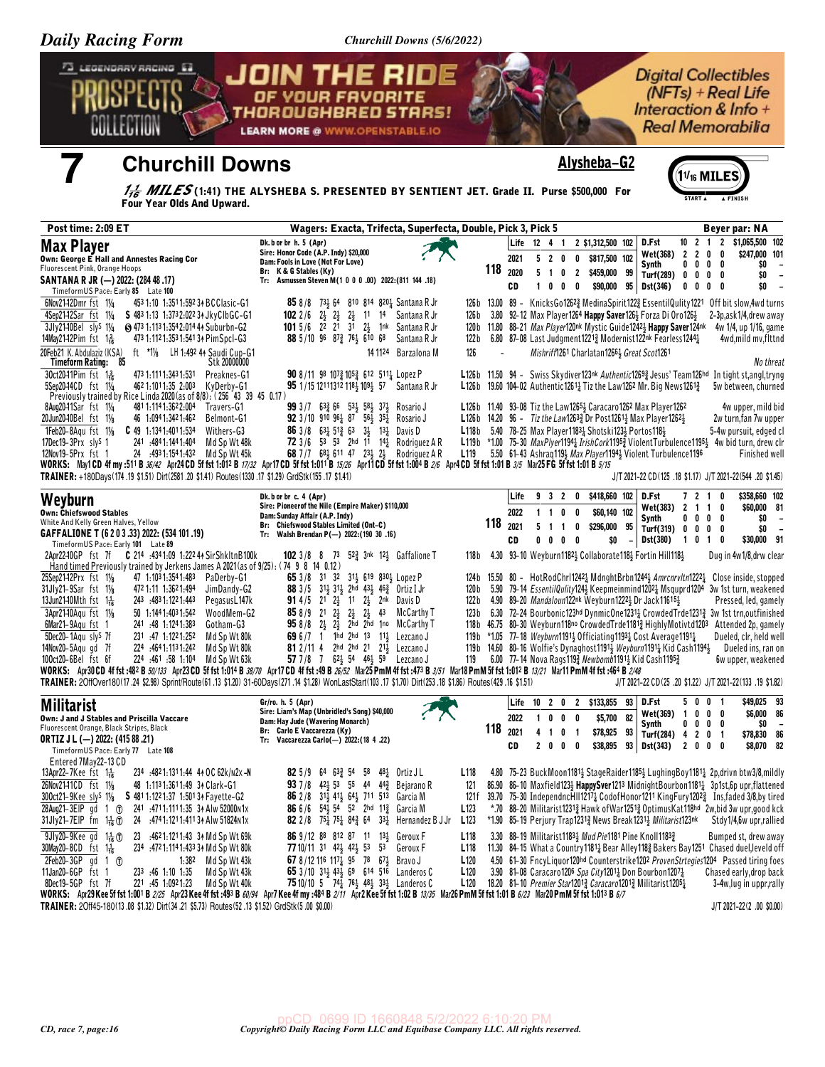Churchill Downs (5/6/2022)

| Daily Kacing Form                                                                                                                                                                                                                      | Churchill Downs $(5/0/2022)$                                                                                                                                |                          |                |                |                          |                                                                                                                                                                                                |                           |                |                                 |                                                                                                        |
|----------------------------------------------------------------------------------------------------------------------------------------------------------------------------------------------------------------------------------------|-------------------------------------------------------------------------------------------------------------------------------------------------------------|--------------------------|----------------|----------------|--------------------------|------------------------------------------------------------------------------------------------------------------------------------------------------------------------------------------------|---------------------------|----------------|---------------------------------|--------------------------------------------------------------------------------------------------------|
| 73 LEGENDARY RACING E3                                                                                                                                                                                                                 | <b>JOIN THE RIDE</b><br>OF YOUR FAVORITE<br>THOROUGHBRED STARS!<br><b>LEARN MORE @ WWW.OPENSTABLE.IO</b>                                                    |                          |                |                |                          |                                                                                                                                                                                                |                           |                |                                 | <b>Digital Collectibles</b><br>$(NFTs) + Real Life$<br>Interaction & Info +<br><b>Real Memorabilia</b> |
| <b>Churchill Downs</b>                                                                                                                                                                                                                 |                                                                                                                                                             |                          |                |                |                          | Alysheba-G2                                                                                                                                                                                    |                           |                | $11_{16}$ MILE                  |                                                                                                        |
| Four Year Olds And Upward.                                                                                                                                                                                                             | $\frac{17}{16}$ MILES(1:41) THE ALYSHEBA S. PRESENTED BY SENTIENT JET. Grade II. Purse \$500,000 For                                                        |                          |                |                |                          |                                                                                                                                                                                                |                           | START A        |                                 |                                                                                                        |
| Post time: 2:09 ET                                                                                                                                                                                                                     | Wagers: Exacta, Trifecta, Superfecta, Double, Pick 3, Pick 5                                                                                                |                          |                |                |                          |                                                                                                                                                                                                |                           |                |                                 | Beyer par: NA                                                                                          |
|                                                                                                                                                                                                                                        | Dk. b or br h. 5 (Apr)                                                                                                                                      |                          |                | Life 12 4 1    |                          | 2 \$1,312,500 102                                                                                                                                                                              | D.Fst                     | $10 \t2 \t1$   | $\mathbf{2}$                    | \$1,065,500 102                                                                                        |
| <b>Max Player</b><br>Own: George E Hall and Annestes Racing Cor                                                                                                                                                                        | Sire: Honor Code (A.P. Indy) \$20,000<br>Dam: Fools in Love (Not For Love)                                                                                  |                          | 2021           |                | 5 2 0                    | $\mathbf{0}$<br>\$817,500 102                                                                                                                                                                  | Wet(368)                  | $\overline{2}$ | 2 0 0                           | \$247,000 101                                                                                          |
| Fluorescent Pink, Orange Hoops                                                                                                                                                                                                         | Br: K & G Stables (Ky)                                                                                                                                      | 118                      | 2020           | 5 <sub>1</sub> | 0 <sub>2</sub>           | \$459,000 99                                                                                                                                                                                   | Synth<br>Turf(289) 0      | $0\quad 0$     | $0\quad 0$<br>$0\quad 0\quad 0$ | \$0<br>\$0<br>$\overline{\phantom{a}}$                                                                 |
| SANTANA R JR (-) 2022: (284 48 .17)<br>TimeformUS Pace: Early 85 Late 100                                                                                                                                                              | Tr: Asmussen Steven M(1 0 0 0 .00) 2022: (811 144 .18)                                                                                                      |                          | CD             |                | 1 0 0 0                  | \$90,000                                                                                                                                                                                       | Dst(346)<br>95            |                | $0\ 0\ 0\ 0$                    | \$0                                                                                                    |
| 6Nov2142Dmr fst 11/4<br>453 1:10 1:351 1:592 34 BCClasic-G1                                                                                                                                                                            | <b>85</b> 8/8 73 64 810 814 820 1 Santana R Jr                                                                                                              |                          |                |                |                          | 126b 13.00 89 - KnicksGo12623 MedinaSpirit1223 EssentilQulity1221 Off bit slow, 4wd turns                                                                                                      |                           |                |                                 |                                                                                                        |
| 4Sep2142Sar fst 11/4<br>S 483 1:13 1:373 2:022 34 Jky Clb GC-G1                                                                                                                                                                        | 102 2/6 2 23 23 11 14 Santana R Jr                                                                                                                          | 126 b                    |                |                |                          | 3.80 92-12 Max Player1264 Happy Saver126 <sup>1</sup> Forza Di Oro126 <sup>1</sup>                                                                                                             |                           |                |                                 | 2-3p, ask 1/4, drew away                                                                               |
| 3Jly2140Bel sly <sup>S</sup> 11/ <sub>4</sub><br>S 473 1:113 1:354 2:014 44 Suburbn-G2<br>14May21-12Pim fst 1 - 1<br>473 1:112 1:353 1:541 34 PimSpcI-G3                                                                               | 101 5/6 22 21 31 24 1nk Santana R Jr<br>88 5/10 96 873 761 610 68<br>Santana R Jr                                                                           | 122 b                    |                |                |                          | 120b 11.80 88-21 Max Player120nk Mystic Guide12423 Happy Saver124nk<br>6.80 87-08 Last Judgment 1221 $\frac{3}{4}$ Modernist 122nk Fearless 1244 $\frac{1}{4}$                                 |                           |                |                                 | 4w 1/4, up 1/16, game<br>4wd,mild mv,flttnd                                                            |
| ft $*1\frac{1}{8}$<br>LH 1:492 44 Saudi Cup-G1<br>20Feb21 K. Abdulaziz (KSA)                                                                                                                                                           | 14 1124 Barzalona M                                                                                                                                         | 126                      | $\overline{a}$ |                |                          | Mishriff1261 Charlatan12661 Great Scot1261                                                                                                                                                     |                           |                |                                 |                                                                                                        |
| Timeform Rating: 85<br>Stk 20000000                                                                                                                                                                                                    |                                                                                                                                                             |                          |                |                |                          |                                                                                                                                                                                                |                           |                |                                 | No threat                                                                                              |
| 30ct20-11Pim fst 136<br>473 1:111 1:343 1:531<br>Preaknes-G1<br>5Sep2044CD fst 11/4<br>462 1:1011:35 2:003 KyDerby-G1                                                                                                                  | 90 8/11 98 107 $\frac{3}{4}$ 105 $\frac{3}{4}$ 612 511 $\frac{1}{4}$ Lopez P<br>95 1/15 12111312 1184 1094 57 Santana R Jr                                  |                          |                |                |                          | L126b 11.50 94 - Swiss Skydiver123nk Authentic12693 Jesus' Team126hd In tight st, angl, tryng<br>L126b 19.60 104-02 Authentic1261 $\frac{1}{4}$ Tiz the Law1262 Mr. Big News1261 $\frac{3}{4}$ |                           |                |                                 | 5w between, churned                                                                                    |
| Previously trained by Rice Linda 2020 (as of 8/8): (256 43 39 45 0.17)                                                                                                                                                                 |                                                                                                                                                             |                          |                |                |                          |                                                                                                                                                                                                |                           |                |                                 |                                                                                                        |
| 8Aug2041Sar fst 11/4<br>4811:1141:3622:004 Travers-G1<br>20Jun20-10Bel fst 11/8<br>46 1:094 1:342 1:462<br>Belmont-G1                                                                                                                  | 99 3 / 7 63 2 66 53 4 58 4 37 4<br>Rosario J<br><b>92</b> 3/10 910 96 $\frac{1}{4}$ 8 <sup>7</sup> 56 $\frac{1}{2}$ 35 $\frac{1}{4}$ Rosario J              |                          |                |                |                          | L126b 11.40 93-08 Tiz the Law 1265 3 Caracaro 1262 Max Player 1262<br><b>L126b</b> 14.20 96 - Tiz the Law1263 $\frac{3}{2}$ Dr Post1261 $\frac{1}{2}$ Max Player1262 $\frac{1}{2}$             |                           |                |                                 | 4w upper, mild bid<br>2w turn, fan 7w upper                                                            |
| $1$ Feb20-8Agu fst $1\frac{1}{8}$<br>$C$ 49 1:1341:4011:534<br>Withers-G3                                                                                                                                                              | 86 3/8 634 513 63 34 134 Davis D                                                                                                                            |                          |                |                |                          | L118b 5.40 78-25 Max Player11831 Shotski1231 Portos1181                                                                                                                                        |                           |                |                                 | 5-4w pursuit, edged cl                                                                                 |
| 17Dec19-3Prx sly <sup>s</sup> 1<br>241 4841.1441.404<br>Md Sp Wt 48k                                                                                                                                                                   | 72 3/6 53 53 2hd 1 <sup>1</sup> 14 <sup>1</sup> Rodriguez A R                                                                                               |                          |                |                |                          | L119b *1.00 75-30 $MaxPlyer1194\frac{1}{4} Irish Cork1195\frac{3}{4} Violent Turbulence1195\frac{1}{4} 4w bid turn, drew chr$                                                                  |                           |                |                                 |                                                                                                        |
| 12Nov19-5Prx fst 1<br>24 :4931:1541:432 Md Sp Wt 45k<br>WORKS: May1CD 4f my :511 B 36/42 Apr24 CD 5f fst 1:012 B 17/32 Apr17 CD 5f fst 1:011 B 15/26 Apr11 CD 5f fst 1:004 B 2/6 Apr4 CD 5f fst 1:01 B 3/5 Mar25 FG 5f fst 1:01 B 5/15 | 68 7 / 7 $68\frac{1}{2}$ 611 47 $23\frac{1}{2}$ $2\frac{1}{2}$ Rodriguez A R                                                                                | L <sub>119</sub>         |                |                |                          | 5.50 61-43 Ashraq1193 Max Player11943 Violent Turbulence1196                                                                                                                                   |                           |                |                                 | <b>Finished well</b>                                                                                   |
| TRAINER: +180Days(174.19 \$1.51) Dirt(2581.20 \$1.41) Routes(1330.17 \$1.29) GrdStk(155.17 \$1.41)                                                                                                                                     |                                                                                                                                                             |                          |                |                |                          |                                                                                                                                                                                                |                           |                |                                 | J/T 2021-22 CD(125 .18 \$1.17) J/T 2021-22(544 .20 \$1.45)                                             |
| Weyburn                                                                                                                                                                                                                                | Dk. b or br c. 4 (Apr)                                                                                                                                      |                          | Life           | 9 3 2          |                          | 0 \$418,660 102                                                                                                                                                                                | D.Fst                     |                | 7 2 1 0                         | \$358,660 102                                                                                          |
| <b>Own: Chiefswood Stables</b>                                                                                                                                                                                                         | Sire: Pioneerof the Nile (Empire Maker) \$110,000<br>Dam: Sunday Affair (A.P. Indy)                                                                         |                          | 2022           | $1 \t1 \t0$    |                          | \$60,140 102<br>0                                                                                                                                                                              | Wet(383)<br>Synth         | 2 1 1 0        | $0\ 0\ 0\ 0$                    | \$60,000 81<br>\$0                                                                                     |
| White And Kelly Green Halves, Yellow<br>GAFFALIONE T (6 2 0 3 .33) 2022: (534 101 .19)                                                                                                                                                 | Br: Chiefswood Stables Limited (Ont-C)<br>Tr: Walsh Brendan P(-) 2022: (190 30 .16)                                                                         | 118                      | 2021           | 5 <sub>1</sub> |                          | 0<br>\$296,000<br>95                                                                                                                                                                           | Turf(319) 0 0 0 0         |                |                                 | \$0<br>$\overline{\phantom{a}}$                                                                        |
| TimeformUS Pace: Early 101 Late 89                                                                                                                                                                                                     |                                                                                                                                                             |                          | CD             |                | $0\quad 0\quad 0\quad 0$ | \$0                                                                                                                                                                                            | Dst(380)                  | 1010           |                                 | \$30,000 91                                                                                            |
| C 214 :4341:09 1:222 44 SirShkltnB100k<br>2Apr2240GP fst 7f<br>Hand timed Previously trained by Jerkens James A 2021 (as of 9/25): (74 9 8 14 0.12)                                                                                    | $52\frac{3}{4}$ 3nk $12\frac{1}{2}$ Gaffalione T<br>1023/88<br>73                                                                                           | 118 b                    |                |                |                          | 4.30 93-10 Weyburn1182 <sup>1</sup> / <sub>2</sub> Collaborate118 <sup>1</sup> / <sub>2</sub> Fortin Hill118 <sup>1</sup> / <sub>2</sub>                                                       |                           |                |                                 | Dug in 4w1/8, drw clear                                                                                |
| 25Sep21-12Prx fst 11/8<br>47 1:1031:3541:483<br>PaDerby-G1                                                                                                                                                                             | 65 3/8 31 32 31 4 619 830 4 Lopez P                                                                                                                         |                          |                |                |                          | 124b 15.50 80 - HotRodChrl1242 <sub>2</sub> MdnghtBrbn1244 <sub>3</sub> Amrcnrvltn1222 <sub>2</sub> Close inside, stopped                                                                      |                           |                |                                 |                                                                                                        |
| 31Jly21-9Sar fst 11/8<br>472 1:11 1:362 1:494<br>JimDandy-G2                                                                                                                                                                           | 88 3/5 313 313 2hd 433 463 Ortiz I Jr                                                                                                                       | 120 b                    |                |                |                          | 5.90 79-14 EssentilQulity124} Keepmeinmind1202} Msquprd1204 3w 1st turn, weakened                                                                                                              |                           |                |                                 |                                                                                                        |
| 13Jun2140Mth fst $1\frac{1}{16}$<br>243 .4831:1221:443<br>PegasusL147k<br>3Apr2140Aqu fst 11/8<br>50 1:144 1:403 1:542<br>WoodMem-G2                                                                                                   | <b>91</b> 4/5 21 $2\frac{1}{2}$ 11 $2\frac{1}{2}$ 2nk Davis D<br>$2\frac{1}{2}$ $2\frac{1}{2}$ 43 McCarthy T<br>$858/9$ 21 $2\frac{1}{2}$                   | 122 b<br>123 b           |                |                |                          | 4.90 89-20 Mandaloun122nk Weyburn12223 Dr Jack116153<br>6.30 72-24 Bourbonic123hd DynmicOne12311 CrowdedTrde12313 3w 1st trn, outfinished                                                      |                           |                |                                 | Pressed, led, gamely                                                                                   |
| 6Mar21-9Aqu fst 1<br>241 :48 1:1241:383<br>Gotham-G3                                                                                                                                                                                   | $958/8$ $2\frac{1}{2}$ $2\frac{1}{2}$<br>2hd 2hd 1no McCarthy T                                                                                             |                          |                |                |                          | 118b 46.75 80-30 Weyburn118no CrowdedTrde1181 <sup>3</sup> HighlyMotivtd1203                                                                                                                   |                           |                |                                 | Attended 2p, gamely                                                                                    |
| 5Dec20-1Agu sly <sup>s</sup> 7f<br>231 .47 1:1221:252<br>Md Sp Wt 80k                                                                                                                                                                  | 69 6/7 1 1hd 2hd 13 113 Lezcano J                                                                                                                           |                          |                |                |                          | 119b *1.05 77-18 Weyburn11911 Officiating 11931 Cost Average 11911                                                                                                                             |                           |                |                                 | Dueled, clr, held well                                                                                 |
| 14Nov20-5Agugd 7f<br>224 :4641:1131:242 Md Sp Wt 80k<br>100ct20-6Bel fst 6f<br>224 :461 :58 1:104 Md Sp Wt 63k                                                                                                                         | <b>81</b> 2/11 4 2hd 2hd 21 21 21 Lezcano J<br>57 7 / 8 7 62 54 46 59 Lezcano J                                                                             | 119                      |                |                |                          | 119b 14.60 80-16 Wolfie's Dynaghost 1191, Weyburn 1191, Kid Cash 1194,<br>6.00 77-14 Nova Rags1193 Newbomb11913 Kid Cash11953                                                                  |                           |                |                                 | Dueled ins, ran on<br>6w upper, weakened                                                               |
| WORKS: Apr30 CD 4f fst :482 B 50/133 Apr23 CD 5f fst 1:014 B 38/70 Apr17 CD 4f fst :49 B 26/52 Mar25 PmM 4f fst :473 B 3/51 Mar18 PmM 5f fst 1:012 B 13/21 Mar11 PmM 4f fst :464 B 2/48                                                |                                                                                                                                                             |                          |                |                |                          |                                                                                                                                                                                                |                           |                |                                 |                                                                                                        |
| TRAINER: 20ffOver180(17.24 \$2.98) Sprint/Route (61.13 \$1.20) 31-60Days(271.14 \$1.28) WonLastStart(103.17 \$1.70) Dirt(253.18 \$1.86) Routes (429.16 \$1.51)                                                                         |                                                                                                                                                             |                          |                |                |                          |                                                                                                                                                                                                |                           |                |                                 | J/T 2021-22 CD(25 .20 \$1.22) J/T 2021-22(133 .19 \$1.82)                                              |
| <b>Militarist</b>                                                                                                                                                                                                                      | Gr/ro. h. 5 (Apr)                                                                                                                                           |                          | Life           |                |                          | 10 2 0 2 \$133,855 93                                                                                                                                                                          | D.Fst                     |                | 5001                            | \$49,025 93                                                                                            |
| Own: J and J Stables and Priscilla Vaccare                                                                                                                                                                                             | Sire: Liam's Map (Unbridled's Song) \$40,000<br>Dam: Hay Jude (Wavering Monarch)                                                                            |                          | 2022           |                | 1000                     | 82<br>\$5,700                                                                                                                                                                                  | Wet(369) 1 0 0 0<br>Synth |                | $0\ 0\ 0\ 0$                    | \$6,000 86<br>SO.                                                                                      |
| Fluorescent Orange, Black Stripes, Black<br><b>ORTIZ J L (-) 2022: (415 88 .21)</b>                                                                                                                                                    | Br: Carlo E Vaccarezza (Ky)<br>Tr: Vaccarezza Carlo(-) 2022: (18 4 .22)                                                                                     |                          | 118 2021       |                | 4 1 0 1                  | \$78,925<br>93                                                                                                                                                                                 | Turf(284) 4 2 0 1         |                |                                 | \$78,830 86                                                                                            |
| TimeformUS Pace: Early 77 Late 108                                                                                                                                                                                                     |                                                                                                                                                             |                          | CD             |                | 2 0 0 0                  | \$38,895                                                                                                                                                                                       | 93 Dst(343)               | 2000           |                                 | \$8,070 82                                                                                             |
| Entered 7May22-13 CD<br>234 :4821:1311:44 41 OC 62k/N2x -N<br>13Apr22–7Kee fst $1\frac{1}{16}$                                                                                                                                         | <b>82</b> 5/9 64 63 54 58 48 to Ortiz JL                                                                                                                    | L <sub>118</sub>         |                |                |                          | 4.80 75-23 BuckMoon1181 <sup>1</sup> / <sub>2</sub> StageRaider1185 <sup>1</sup> / <sub>2</sub> LughingBoy1181 <sup>1</sup> / <sub>4</sub> 2p, drivn btw3/8, mildly                            |                           |                |                                 |                                                                                                        |
| 26Nov2141CD fst 11/8<br>48 1:1131:3611:49 34 Clark-G1                                                                                                                                                                                  | <b>93</b> 7/8 42 53 55 44 44 H <sub>2</sub> Bejarano R                                                                                                      | 121                      |                |                |                          | 86.90 86-10 Maxfield123} HappySver1213 MidnightBourbon11811 3p1st, 6p upr, flattened                                                                                                           |                           |                |                                 |                                                                                                        |
| 300ct21-9Kee sly <sup>S</sup> 11/8<br>S 481 1:122 1:37 1:501 34 Fayette-G2                                                                                                                                                             | 86 2/8 31 <sup>1</sup> / <sub>2</sub> 41 <sup>1</sup> / <sub>2</sub> 64 <sup>1</sup> / <sub>2</sub> 711 513 Garcia M                                        | 121 f                    |                |                |                          | 39.70 75-30 Independnc $\overline{H}$ II1217 $\frac{1}{4}$ CodofHonor1211 KingFury1202 $\frac{3}{4}$ Instaded 3/8 by tired                                                                     |                           |                |                                 |                                                                                                        |
| 28Aug21-3EIP gd 1 (T)<br>241 :4711:1111:35 34 Alw 52000 N1x<br>31Jly21-7EIP fm $1\frac{1}{16}$ ①<br>24 :474 1:121 1:411 34 Alw 51824 N1x                                                                                               | <b>86</b> 6/6 54 54 52 2hd 11 <sup>3</sup> Garcia M<br><b>82</b> 2/8 $75\frac{1}{4}$ 75 $\frac{1}{4}$ 84 $\frac{3}{4}$ 64 33 $\frac{1}{4}$ Hernandez B J Jr | L123<br>L <sub>123</sub> |                |                |                          | *.70 88-20 Militarist12313 Hawk of War12513 Optimus Kat118hd 2w, bid 3w upr, good kck<br>*1.90 85-19 Perjury Trap12313 News Break12313 Militarist123nk                                         |                           |                |                                 | Stdy1/4,6w upr,rallied                                                                                 |
| 9Jly20-9Kee gd 1 <sup>1</sup> <sub>16</sub> 1<br>23 :4621:1211:43 34 Md Sp Wt 69k                                                                                                                                                      | 86 9/12 88 812 87 11 131 Geroux F                                                                                                                           | L <sub>118</sub>         |                |                |                          | 3.30 88-19 Militarist11833 Mud Pie1181 Pine Knoll11833                                                                                                                                         |                           |                |                                 | Bumped st, drew away                                                                                   |
| 30May20-8CD fst 1 <sup>1</sup> <sub>16</sub><br>234 :4721:1141:433 34 Md Sp Wt 80k                                                                                                                                                     | 77 10/11 31 42 42 53 53 Geroux F                                                                                                                            | L <sub>118</sub>         |                |                |                          | 11.30 84-15 What a Country 1181 <sub>4</sub> Bear Alley 118 <sub>4</sub> Bakers Bay 1251 Chased duel, leveld off                                                                               |                           |                |                                 |                                                                                                        |
| $2Feb20-3GP$ qd 1 $(f)$<br>1:38 <sup>2</sup> Md Sp Wt 43k                                                                                                                                                                              | 67 8/12 116 1174 95 78 674 Bravo J                                                                                                                          | L <sub>120</sub>         |                |                |                          | 4.50 61-30 FncyLiquor120hd Counterstrike1202 ProvenStrtegies1204 Passed tiring foes                                                                                                            |                           |                |                                 |                                                                                                        |
| 11Jan20-6GP fst 1<br>233 :46 1:10 1:35<br>Md Sp Wt 43k<br>8Dec19-5GP fst 7f<br>Md Sp Wt 40k<br>221 .45 1.0921.23                                                                                                                       | 65 3/10 31 <sup>1</sup> / <sub>2</sub> 43 <sup>1</sup> / <sub>2</sub> 69 614 516 Landeros C<br>75 10/10 5 741 761 481 331 Landeros C                        | L <sub>120</sub><br>L120 |                |                |                          | 3.90 81-08 Caracaro1206 Spa City12011 Don Bourbon12071<br>18.20 81-10 <i>Premier Star</i> 1201 <sup>3</sup> Caracaro1201 <sup>3</sup> Militarist1205 <sup>1</sup> / <sub>4</sub>               |                           |                |                                 | Chased early, drop back<br>3-4w, lug in uppr, rally                                                    |
| WORKS: Apr29 Kee 5f fst 1:001 B 2/25 Apr23 Kee 4f fst :493 B 60/94 Apr7 Kee 4f my :484 B 2/11 Apr2 Kee 5f fst 1:02 B 13/35 Mar26 PmM 5f fst 1:01 B 6/23 Mar20 PmM 5f fst 1:013 B 6/7                                                   |                                                                                                                                                             |                          |                |                |                          |                                                                                                                                                                                                |                           |                |                                 |                                                                                                        |
| TRAINER: 20ff45-180(13.08 \$1.32) Dirt(34.21 \$5.73) Routes(52.13 \$1.52) GrdStk(5.00 \$0.00)                                                                                                                                          |                                                                                                                                                             |                          |                |                |                          |                                                                                                                                                                                                |                           |                |                                 | J/T 2021-22(2 .00 \$0.00)                                                                              |
|                                                                                                                                                                                                                                        |                                                                                                                                                             |                          |                |                |                          |                                                                                                                                                                                                |                           |                |                                 |                                                                                                        |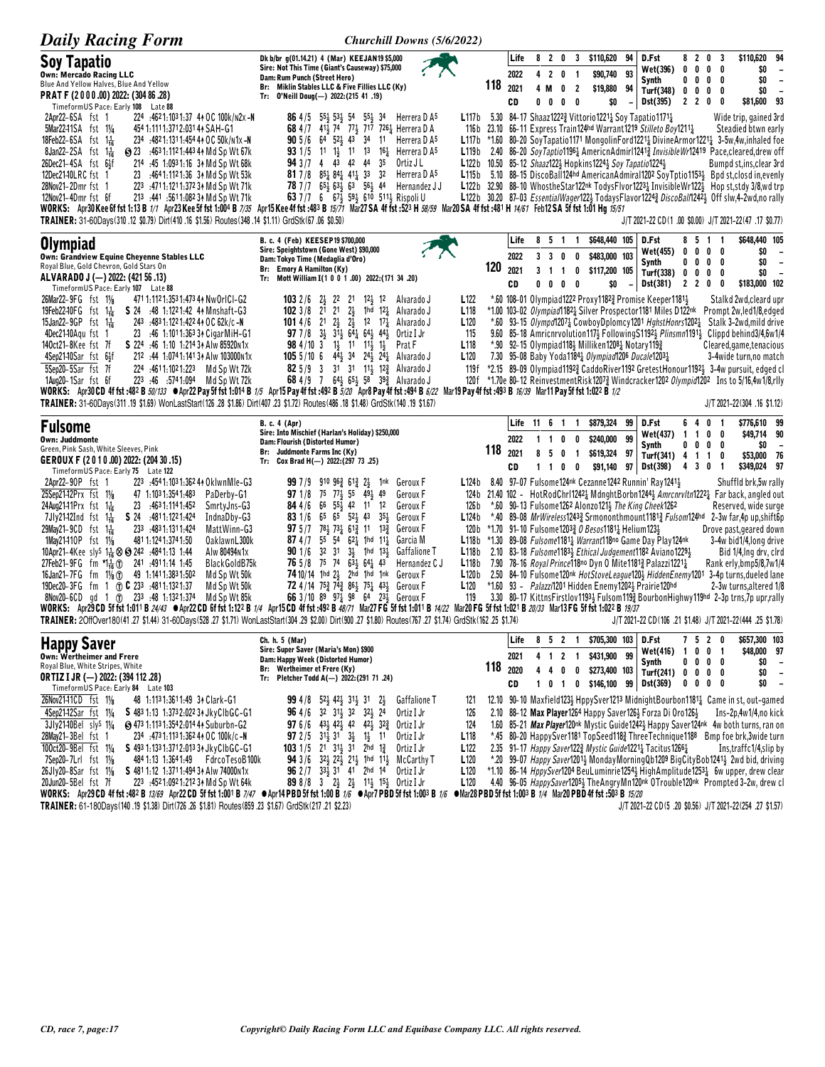| <b>Daily Racing Form</b>                                                                                                                                                                                                                                                                                                                                                                                                                                                                                                                                                                                                                                                  | Churchill Downs (5/6/2022)                                                                                                                                                                                                                                                                                                                                                                                                                                                                                                                                                                                                                                                                                                                                                                                                                                        |     |                            |                                                       |                                    |                               |                                                                                                        |    |                                                                                                                                                                                                                                                                                                                          |                            |                                      |                                                                 |                                                                                                                                                                                                                                                                                                                                                                                                                                                                                                                                                                                                                                               |
|---------------------------------------------------------------------------------------------------------------------------------------------------------------------------------------------------------------------------------------------------------------------------------------------------------------------------------------------------------------------------------------------------------------------------------------------------------------------------------------------------------------------------------------------------------------------------------------------------------------------------------------------------------------------------|-------------------------------------------------------------------------------------------------------------------------------------------------------------------------------------------------------------------------------------------------------------------------------------------------------------------------------------------------------------------------------------------------------------------------------------------------------------------------------------------------------------------------------------------------------------------------------------------------------------------------------------------------------------------------------------------------------------------------------------------------------------------------------------------------------------------------------------------------------------------|-----|----------------------------|-------------------------------------------------------|------------------------------------|-------------------------------|--------------------------------------------------------------------------------------------------------|----|--------------------------------------------------------------------------------------------------------------------------------------------------------------------------------------------------------------------------------------------------------------------------------------------------------------------------|----------------------------|--------------------------------------|-----------------------------------------------------------------|-----------------------------------------------------------------------------------------------------------------------------------------------------------------------------------------------------------------------------------------------------------------------------------------------------------------------------------------------------------------------------------------------------------------------------------------------------------------------------------------------------------------------------------------------------------------------------------------------------------------------------------------------|
| <b>Soy Tapatio</b><br><b>Own: Mercado Racing LLC</b><br>Blue And Yellow Halves, Blue And Yellow<br>PRAT F (2000.00) 2022: (304 86.28)<br>TimeformUS Pace: Early 108 Late 88                                                                                                                                                                                                                                                                                                                                                                                                                                                                                               | Dk b/br g(01.14.21) 4 (Mar) KEEJAN19 \$5,000<br>Sire: Not This Time (Giant's Causeway) \$75,000<br>Dam: Rum Punch (Street Hero)<br>Br: Miklin Stables LLC & Five Fillies LLC (Ky)<br>Tr: 0'Neill Doug(-) 2022: (215 41 .19)                                                                                                                                                                                                                                                                                                                                                                                                                                                                                                                                                                                                                                       | 118 | Life<br>2022<br>2021<br>CD | 8<br>4<br>$\overline{2}$<br>4 M<br>$0\quad 0$         | 20<br>$\pmb{0}$<br>0<br>$0\quad 0$ | -1<br>$\overline{2}$          | 3 \$110,620 94<br>\$90,740 93<br>\$19,880 94<br>\$0                                                    |    | D.Fst<br>Wet(396)<br>Synth<br>Turf(348) 0<br>Dst(395)                                                                                                                                                                                                                                                                    | 0<br>0                     | 8 <sub>2</sub><br>0<br>0<br>0<br>220 | 0<br>-3<br>$0\quad 0$<br>0<br>0<br>0<br>0<br>0                  | 94<br>\$110,620<br>\$0<br>$\overline{\phantom{a}}$<br>\$0<br>$\overline{\phantom{a}}$<br>\$0<br>$\overline{\phantom{a}}$<br>\$81,600 93                                                                                                                                                                                                                                                                                                                                                                                                                                                                                                       |
| 224 :4621:1031:37 44 OC 100k/n2x-N<br>2Apr22-6SA fst 1<br>5Mar2241SA fst 11/4<br>454 1:111 1:371 2:031 44 SAH-G1<br>18Feb22-6SA fst $1\frac{1}{16}$<br>234 :4821:1311:454 44 OC 50k/n1x -N<br>8Jan22-2SA $fst = 1\frac{1}{16}$<br>S 23 :4631:1121:4434 Md Sp Wt 67k<br>$26Dec21-4SA$ fst $6\frac{1}{2}f$<br>214 :45 1:0931:16 3 Md Sp Wt 68k<br>12Dec2140LRC fst 1<br>23 :4641:1121:36 31 Md Sp Wt 53k<br>28Nov21-2Dmr fst 1<br>223 .4711:1211:372 34 Md Sp Wt 71k<br>12Nov21-4Dmr fst 6f<br>213 :441 :5611:082 34 Md Sp Wt 71k<br>TRAINER: 31-60Days(310.12 \$0.79) Dirt(410.16 \$1.56) Routes(348.14 \$1.11) GrdStk(67.06 \$0.50)                                       | 86 4/5 55 55 53 54 55 34<br>Herrera D A5<br>68 4/7 41 <sup>1</sup> / <sub>2</sub> 74 77 <sup>1</sup> / <sub>2</sub> 717 726 <sup>1</sup> / <sub>4</sub> Herrera D A<br><b>90</b> 5/6 64 52 $\frac{1}{2}$ 43 34 11 Herrera D A <sup>5</sup><br>11 13<br><b>93</b> 1/5 11 $1\frac{1}{2}$<br>16 $\frac{1}{4}$ Herrera D A <sup>5</sup><br>L119b<br>94 3 /7 4 43 42 44<br>35<br>Ortiz J L<br>81 7/8 $85\frac{1}{4}$ 84 $41\frac{1}{4}$ 33 32<br>Herrera D A5<br>78 7 / 7 6 5 4 6 3 6 3 5 6 4 4<br>Hernandez J J<br>63 7/7 6 673 593 610 5113 Rispoli U<br>WORKS: Apr30Kee 6f fst 1:13 B 1/1 Apr23Kee 5f fst 1:004 B 7/35 Apr15Kee 4f fst :483 B 15/71 Mar27SA 4f fst :523 H 58/59 Mar20SA 4f fst :481 H 14/61 Feb12SA 5f fst 1:01 Hg 15/51                                                                                                                            |     |                            |                                                       |                                    |                               | L122b 10.50 85-12 Shaaz1221 Hopkins12241 Soy Tapatio12241                                              |    | L117b 5.30 84-17 Shaaz1222 $\frac{3}{4}$ Vittorio 1221 $\frac{1}{4}$ Soy Tapatio 1171 $\frac{1}{4}$<br>116b 23.10 66-11 Express Train124hd Warrant1219 Stilleto Boy1211}                                                                                                                                                 |                            |                                      |                                                                 | Wide trip, gained 3rd<br>Steadied btwn early<br>L117b *1.60 80-20 SoyTapatio1171 MongolinFord12214 DivineArmor12214 3-5w,4w,inhaled foe<br>2.40 86-20 SoyTaptio1196 <sub>4</sub> AmericnAdmirl1241 <sub>4</sub> Invisible Wr12419 Pace, cleared, drew off<br>Bumpd st,ins, clear 3rd<br>L115b 5.10 88-15 DiscoBall124hd AmericanAdmiral1202 SoyTptio11531 Bpd st, closd in, evenly<br>L122b 32.90 88-10 Whosthe Star122nk Todys Flvor12231 Invisible Wr1221 Hop st, stdy 3/8, wd trp<br>L122b 30.20 87-03 EssentialWager1221 TodaysFlavor12243 DiscoBall12421 Off slw,4-2wd,no rally<br>J/T 2021-22 CD(1.00 \$0.00) J/T 2021-22(47.17 \$0.77) |
| <b>Olympiad</b><br><b>Own: Grandview Equine Cheyenne Stables LLC</b><br>Royal Blue, Gold Chevron, Gold Stars On<br>ALVARADO J (-) 2022: (421 56 .13)<br>TimeformUS Pace: Early 107 Late 88                                                                                                                                                                                                                                                                                                                                                                                                                                                                                | B. c. 4 (Feb) KEESEP19 \$700,000<br>Sire: Speightstown (Gone West) \$90,000<br>Dam: Tokyo Time (Medaglia d'Oro)<br>Br: Emory A Hamilton (Ky)<br>Tr: Mott William I(1 0 0 1 .00) 2022: (171 34 .20)                                                                                                                                                                                                                                                                                                                                                                                                                                                                                                                                                                                                                                                                | 120 | Life<br>2022<br>2021<br>CD | 8 5 1<br>$3 \quad 3 \quad 0$<br>$3 \quad 1$<br>0<br>0 | -1<br>0                            | $\mathbf{1}$<br>0<br>0<br>- 0 | \$648,440 105<br>\$483,000 103<br>\$117,200 105<br>\$0                                                 |    | D.Fst<br>Wet(455)<br>Synth<br>Turf(338)<br>Dst(381)                                                                                                                                                                                                                                                                      | 85<br>0<br>0<br>$0\quad 0$ | 0<br>0<br>2 2 0                      | $\overline{1}$<br>-1<br>$0\quad 0$<br>$0\quad 0$<br>0<br>0<br>0 | \$648,440 105<br>\$0<br>$\overline{\phantom{a}}$<br>\$0<br>$\overline{\phantom{m}}$<br>\$O<br>$\overline{\phantom{a}}$<br>\$183,000 102                                                                                                                                                                                                                                                                                                                                                                                                                                                                                                       |
| 26Mar22-9FG fst 11/8<br>471 1:112 1:353 1:473 44 Nw OrlCl-G2<br>19Feb22-10FG fst $1\frac{1}{16}$<br>S 24 :48 1:1221:42 4 Mnshaft-G3<br>15Jan22-9GP $f$ st $1\frac{1}{16}$<br>243 483 1:122 1:422 44 OC 62k/c-N<br>4Dec21–10Aqu fst<br>23 :46 1:1011:363 34 Cigar MiH-G1<br>-1<br>140ct21-8Kee fst 7f<br>S 224 :46 1:10 1:214 34 Alw 85920 N1x<br>4Sep2140Sar fst 6 <sup>1</sup><br>212 :44 1:0741:141 34 Alw 103000 N1x<br>5Sep20-5Sar fst 7f<br>224 :4611:1021:223 Md Sp Wt 72k<br>1Aug20-1Sar fst 6f<br>223 :46 :5741:094 Md Sp Wt 72k<br>TRAINER: 31-60Days(311.19 \$1.69) WonLastStart(126.28 \$1.86) Dirt(407.23 \$1.72) Routes(486.18 \$1.48) GrdStk(140.19 \$1.67) | L <sub>122</sub><br><b>103</b> 2/6 $2\frac{1}{2}$ 22<br>21<br>12} 12 Alvarado J<br>21<br>$2\frac{1}{2}$<br>1hd 121 Alvarado J<br>L <sub>118</sub><br>1023/821<br>$2\frac{1}{2}$<br>$2\frac{1}{2}$<br>12 $17\frac{1}{4}$ Alvarado J<br><b>101</b> 4/6 21<br>L <sub>120</sub><br><b>97</b> 7/8 $3\frac{1}{2}$ $31\frac{1}{2}$ $64\frac{1}{4}$ $64\frac{1}{2}$ $44\frac{1}{2}$<br>115<br>Ortiz I Jr<br>$1\frac{1}{2}$ 11 $11\frac{1}{2}$ $1\frac{1}{2}$<br>L <sub>118</sub><br>984/103<br>Prat F<br>441 34 241 241 Alvarado J<br>1055/106<br>L <sub>120</sub><br><b>82</b> $5/9$ 3 31 31 11 $\frac{12}{3}$ Alvarado J<br>119f<br>68 4/9 7 64 65 58 39 Alvarado J<br>120 f<br>WORKS: Apr30 CD 4f fst :482 B 50/133 • Apr22 Pay 5f fst 1:014 B 1/5 Apr15 Pay 4f fst :492 B 5/20 Apr8 Pay 4f fst :494 B 6/22 Mar19 Pay 4f fst :493 B 16/39 Mar11 Pay 5f fst 1:022 B 1/2 |     |                            |                                                       |                                    |                               | *.90 92-15 Olympiad1181 Milliken12081 Notary1193<br>7.30 95-08 Baby Yoda11841 Olympiad1206 Ducale12031 |    | *.60 108-01 Olympiad1222 Proxy11823 Promise Keeper11811<br>*.60 93–15 $Olympd1207\frac{1}{4}$ Cowboy Dplomcy 1201 Hghst Honrs 1202 $\frac{1}{4}$                                                                                                                                                                         |                            |                                      |                                                                 | Stalkd 2wd, cleard upr<br>*1.00 103-02 Olympiad1182 5 Silver Prospector1181 Miles D122nk Prompt 2w, led1/8, edged<br>Stalk 3-2wd.mild drive<br>9.60 85-18 Amricnrvolution117 <sup>1</sup> Following S1192 <sup>1</sup> Plinsmn1191 <sup>1</sup> Clippd behind3/4,6w1/4<br>Cleared, game, tenacious<br>3-4wide turn.no match<br>*2.15 89-09 Olympiad11923 CaddoRiver1192 GretestHonour11923 3-4w pursuit, edged cl<br>*1.70e 80-12 ReinvestmentRisk12073 Windcracker1202 Olympid1202 Ins to 5/16,4w1/8,rlly<br>J/T 2021-22(304 .16 \$1.12)                                                                                                     |
| <b>Fulsome</b>                                                                                                                                                                                                                                                                                                                                                                                                                                                                                                                                                                                                                                                            | <b>B. c. 4 (Apr)</b>                                                                                                                                                                                                                                                                                                                                                                                                                                                                                                                                                                                                                                                                                                                                                                                                                                              |     | Life                       | 11<br>6                                               | - 1                                | 1                             | \$879,324                                                                                              |    | 99 D.Fst                                                                                                                                                                                                                                                                                                                 |                            | 64                                   | 0                                                               | \$776,610 99                                                                                                                                                                                                                                                                                                                                                                                                                                                                                                                                                                                                                                  |
| Own: Juddmonte<br>Green, Pink Sash, White Sleeves, Pink<br>GEROUX F (2010.00) 2022: (204 30 .15)<br>TimeformUS Pace: Early 75 Late 122                                                                                                                                                                                                                                                                                                                                                                                                                                                                                                                                    | Sire: Into Mischief (Harlan's Holiday) \$250,000<br>Dam: Flourish (Distorted Humor)<br>Juddmonte Farms Inc (Ky)<br>Br:<br>Tr: Cox Brad H(-) 2022:(297 73 .25)                                                                                                                                                                                                                                                                                                                                                                                                                                                                                                                                                                                                                                                                                                     | 118 | 2022<br>2021<br>CD         | $1\quad1$<br>8<br>5<br>$1\quad1\quad0$                | 0<br>0                             | 0<br>-1<br>0                  | \$240,000<br>\$619,324 97                                                                              | 99 | Wet(437)<br>Synth<br>Turf(341) 4 1 1<br>\$91,140 97 Dst(398)                                                                                                                                                                                                                                                             |                            | $0\quad 0$<br>4 3 0                  | 1 1 0 0<br>0<br>- 0<br>0<br>-1                                  | \$49,714 90<br>\$0<br>$\overline{\phantom{a}}$<br>\$53,000 76<br>\$349,024 97                                                                                                                                                                                                                                                                                                                                                                                                                                                                                                                                                                 |
| 2Apr22-90P fst 1<br>223 :4541:1031:36244 OklwnMle-G3<br>25Sep21-12Prx fst 11/8<br>47 1:1031:3541:483<br>PaDerby-G1<br>24Aug21–11Prx fst<br>23 :4631:1141:452<br>SmrtyJns-G3<br>$1\frac{1}{16}$<br>7Jly2142Ind fst<br>\$24 .4811:1221:424<br>IndnaDby-G3<br>$1\frac{1}{16}$<br>29May21-9CD fst 1 <sup>1</sup> <sub>16</sub><br>233 :4831:1311:424<br>MattWinn-G3<br>1May21410P fst 11/8<br>481 1:124 1:374 1:50<br>OaklawnL300k                                                                                                                                                                                                                                            | <b>99</b> 7/9 910 96 $\frac{3}{4}$ 61 $\frac{3}{4}$ 2 $\frac{1}{2}$<br>1nk<br>Geroux F<br>$77\frac{1}{2}$<br>55<br>491<br>49<br>97 1/8<br>75<br>Geroux F<br>$55\frac{1}{2}$ 42 11<br>84 4/6<br>66<br>12<br>Geroux F<br>126 b<br>83 1/6 65 65 52 43<br>$35\frac{1}{2}$<br>Geroux F<br>L124b<br><b>97</b> 5/7 78 373 61 31 13 13<br>Geroux F<br>55 54<br>874/7<br>$62\frac{1}{4}$ 1hd 11 <sup>1</sup> / <sub>4</sub> Garcia M<br>L118b                                                                                                                                                                                                                                                                                                                                                                                                                              |     |                            |                                                       |                                    |                               | 120b *1.70 91-10 Fulsome12033 0 Besos11811 Helium 1231                                                 |    | L124b 8.40 97-07 Fulsome124nk Cezanne1242 Runnin' Ray12413<br>*.60 90-13 Fulsome1262 Alonzo1213 The King Cheek1262                                                                                                                                                                                                       |                            |                                      |                                                                 | Shuffld brk, 5w rally<br>124b 21.40 102 - HotRodChrl12421 MdnghtBorbn12441 Amrcnrvltn12221 Far back, angled out<br>Reserved, wide surge<br>*.40 89-08 MrWireless12433 Srmononthmount11813 Fulsom124hd 2-3w far,4p up,shift6p<br>Drove past, geared down                                                                                                                                                                                                                                                                                                                                                                                       |
| 10Apr21-4Kee sly <sup>S</sup> 1 <sup>1</sup> 6 & 3242 :4841:13 1:44<br>Alw 80494N1x<br>27Feb21-9FG fm *1-6 ① 241 :4911:14 1:45<br>BlackGoldB75k<br>16Jan21-7FG fm 11/8 1 49 1:1411:3831:502<br>Md Sp Wt 50k<br>19Dec20-3FG fm 1 (f) C 233 :4811:1321:37<br>Md Sp Wt 50k<br>8Nov20-6CD gd 1 (f) 233 :48 1:1321:374<br>Md Sp Wt 85k                                                                                                                                                                                                                                                                                                                                         | $3\frac{1}{2}$ 1hd $13\frac{1}{2}$<br><b>90</b> 1/6 32 31<br>L118 <sub>b</sub><br><b>Gaffalione T</b><br><b>76</b> 5/8 75 74<br>$63\frac{1}{2}$ $64\frac{1}{4}$ 43<br>Hernandez C J<br>L118b<br>74 10/14 1hd 2} 2hd 1hd 1nk<br>Geroux F<br>L120 b<br>72 4/14 753 743 861 751 431<br>L120<br>Geroux F<br>66 3/10 89 971 98 64 231 Geroux F<br>119<br>WORKS: Apr29CD 5f fst 1:011 B 24/43 @Apr22CD 6f fst 1:122 B 1/4 Apr15CD 4f fst :492 B 48/71 Mar27 FG 5f fst 1:011 B 14/22 Mar20 FG 5f fst 1:021 B 20/33 Mar13 FG 5f fst 1:022 B 19/37<br>TRAINER: 20ffOver180(41.27 \$1.44) 31-60Days(528.27 \$1.71) WonLastStart(304.29 \$2.00) Dirt(900.27 \$1.80) Routes(767.27 \$1.74) GrdStk(162.25 \$1.74)                                                                                                                                                              |     |                            |                                                       |                                    |                               |                                                                                                        |    | *1.30 89–08 <i>Fulsome</i> 1181 <sup>1</sup> <i>Warrant</i> 118no Game Day Play 124nk<br>2.10 83-18 $Fulsome1183\frac{1}{2} Ethical Judgement1182 Aviano1229\frac{1}{2}$<br>7.90 78–16 Royal Prince 18no Dyn O Mite 1181 <sup>3</sup> Palazzi 1221 <sup>1</sup><br>*1.60 93 - Palazzi1201 Hidden Enemy12023 Prairie120hd |                            |                                      |                                                                 | 3-4w bid1/4,long drive<br>Bid 1/4,Ing drv, cIrd<br>Rank erly, bmp5/8, 7w1/4<br>2.50 84-10 Fulsome120nk HotStoveLeague120} HiddenEnemy1201 3-4p turns, dueled lane<br>2-3w turns, altered 1/8<br>3.30 80-17 KittnsFirstlov1193 <sub>2</sub> Fulsom119 <sub>4</sub> BourbonHighwy119hd 2-3p trns,7p upr,rally<br>J/T 2021-22 CD(106 .21 \$1.48) J/T 2021-22(444 .25 \$1.78)                                                                                                                                                                                                                                                                     |
| <b>Happy Saver</b><br><b>Own: Wertheimer and Frere</b><br>Royal Blue, White Stripes, White<br>ORTIZ I JR (—) 2022: (394 112 .28)<br>TimeformUS Pace: Early 84 Late 103                                                                                                                                                                                                                                                                                                                                                                                                                                                                                                    | Ch. h. 5 (Mar)<br>Sire: Super Saver (Maria's Mon) \$900<br>Dam: Happy Week (Distorted Humor)<br>Br: Wertheimer et Frere (Ky)<br>Tr: Pletcher Todd A(-) 2022:(291 71 .24)                                                                                                                                                                                                                                                                                                                                                                                                                                                                                                                                                                                                                                                                                          | 118 | Life<br>2021<br>2020<br>CD | 4<br>4                                                | 4 1 2 1<br>0                       | 0                             | 8 5 2 1 \$705,300 103 D.Fst<br>\$431,900 99<br>\$273,400 103                                           |    | Wet(416) 1 0 0 1<br>Synth<br>Turf(241) 0 0 0 0<br>1 0 1 0 \$146,100 99 Dst(369)                                                                                                                                                                                                                                          | $\overline{7}$             | 5                                    | $\mathbf{z}$<br>$0\,$ 0 $\,$ 0 $\,$ 0<br>$0\ 0\ 0\ 0$           | \$657,300 103<br>\$48,000 97<br>\$O<br>$\overline{\phantom{a}}$<br>\$0<br>$\overline{\phantom{a}}$<br>\$0<br>$\overline{\phantom{a}}$                                                                                                                                                                                                                                                                                                                                                                                                                                                                                                         |

TRAINER: 61-180Days(140.19 \$1.38) Dirt(726.26 \$1.81) Routes(859.23 \$1.67) GrdStk(217.21 \$2.23)

J/T 2021-22 CD (5 .20 \$0.56) J/T 2021-22 (254 .27 \$1.57)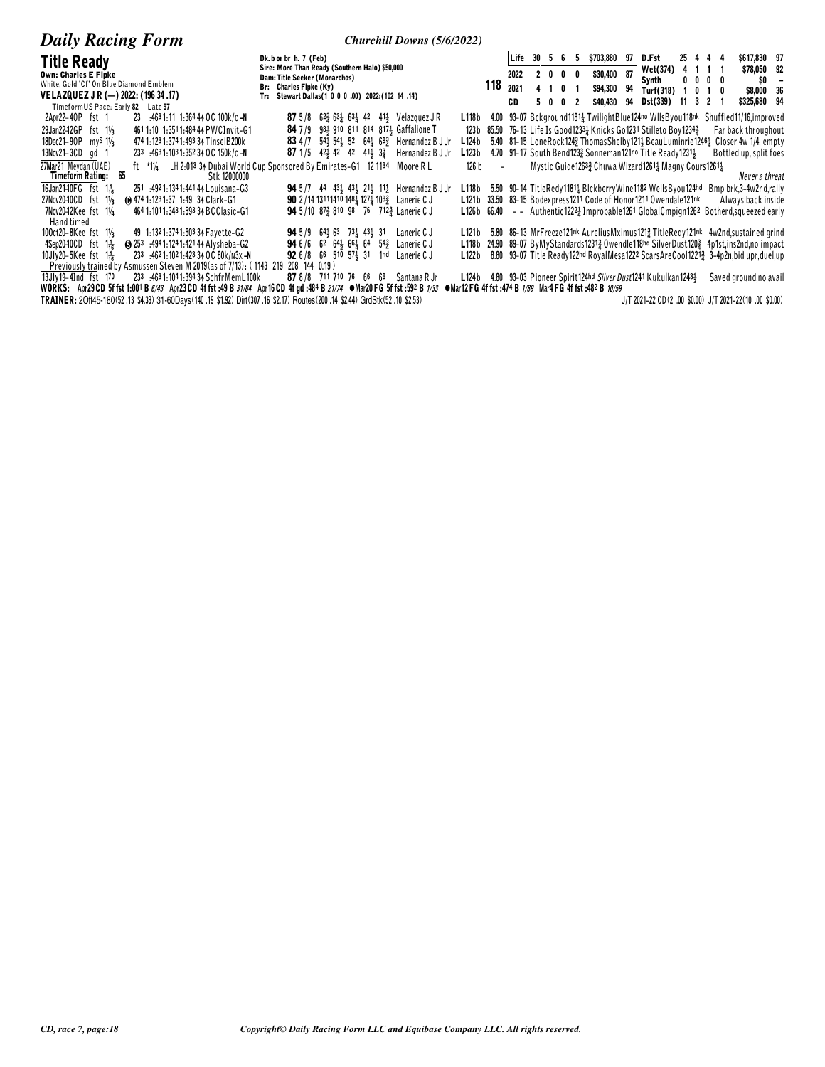| <b>Daily Racing Form</b>                                                                                                          | Churchill Downs (5/6/2022)                                                                                                     |                   |                          |             |     |      |                                                                        |      |                    |              |         |              |                                                                                                |
|-----------------------------------------------------------------------------------------------------------------------------------|--------------------------------------------------------------------------------------------------------------------------------|-------------------|--------------------------|-------------|-----|------|------------------------------------------------------------------------|------|--------------------|--------------|---------|--------------|------------------------------------------------------------------------------------------------|
| <b>Title Ready</b>                                                                                                                | Dk. b or br h. 7 (Feb)                                                                                                         |                   |                          | Life 30 5 6 |     |      | \$703,880<br>5                                                         | 97   | D.Fst              |              |         | 25 4 4 4     | \$617,830 97                                                                                   |
| <b>Own: Charles E Fipke</b>                                                                                                       | Sire: More Than Ready (Southern Halo) \$50,000<br>Dam: Title Seeker (Monarchos)                                                |                   |                          | 2022        |     | 2000 | \$30,400                                                               | - 87 | Wet(374)           |              | 4 1 1 1 |              | \$78,050 92                                                                                    |
| White, Gold 'Cf' On Blue Diamond Emblem                                                                                           | Br: Charles Fipke (Ky)                                                                                                         |                   | 118                      | 2021        |     |      | \$94,300                                                               | 94   | Synth<br>Turf(318) |              |         | $0\,0\,0\,0$ | SO.                                                                                            |
| VELAZQUEZ J R (-) 2022: (196 34 .17)                                                                                              | Tr: Stewart Dallas(1 0 0 0 .00) 2022: (102 14 .14)                                                                             |                   | CD                       |             | 500 | -2   |                                                                        |      | Dst(339)           | $11 \t3 \t2$ |         | 1010         | \$8,000 36<br>\$325,680 94                                                                     |
| TimeformUS Pace: Early 82<br>Late 97                                                                                              |                                                                                                                                |                   |                          |             |     |      | \$40,430                                                               | 94 I |                    |              |         |              |                                                                                                |
| 2Apr22-40P fst 1<br>23 :4631:11 1:364 44 OC 100k/c-N                                                                              | <b>87</b> 5/8 62 $\frac{3}{2}$ 63 $\frac{1}{4}$ 63 $\frac{1}{4}$ 42 41 $\frac{1}{2}$ Velazquez JR                              |                   |                          |             |     |      | L118b 4.00 93–07 Bckground11811 TwilightBlue124no WllsByou118nk        |      |                    |              |         |              | Shuffled11/16, improved                                                                        |
| 4611:10 1:3511:484 44 PWCInvit-G1<br>29Jan2242GP fst 11/8                                                                         | 84 7/9 981 910 811 814 8171 Gaffalione T                                                                                       | 123 b             |                          |             |     |      | 85.50 76-13 Life Is Good12331 Knicks Go1231 Stilleto Boy12343          |      |                    |              |         |              | Far back throughout                                                                            |
| 18Dec21-90P my <sup>S</sup> 11/ <sub>8</sub><br>474 1:123 1:374 1:493 34 TinselB200k                                              | <b>83</b> 4/7 54 54 54 52 64 69 Hernandez B J Jr                                                                               | L124b             |                          |             |     |      | 5.40 81-15 LoneRock1243 Thomas Shelby 121 3 Beau Luminrie 1246 1       |      |                    |              |         |              | Closer 4w 1/4, empty                                                                           |
| 13Nov21-3CD gd 1<br>233 :463 1:103 1:352 34 OC 150k/c-N                                                                           | <b>87</b> 1/5 42 42 42 41 $\frac{1}{2}$ 3<br>Hernandez B J Jr                                                                  | L123 b            |                          |             |     |      | 4.70 91-17 South Bend123} Sonneman121no Title Ready1231}               |      |                    |              |         |              | Bottled up, split foes                                                                         |
| 27Mar21 Mevdan (UAE)<br>Timeform Rating: 65<br>Stk 12000000                                                                       | ft *11/4 LH 2:013 34 Dubai World Cup Sponsored By Emirates-G1 12 1134<br>Moore R L                                             | 126 b             | $\overline{\phantom{a}}$ |             |     |      | Mystic Guide12633 Chuwa Wizard12611 Magny Cours12611                   |      |                    |              |         |              | Never a threat                                                                                 |
| 16Jan2140FG fst 1 <sup>1</sup> / <sub>16</sub><br>251 :4921:1341:441 44 Louisana-G3                                               | <b>94</b> 5/7 44 43 <sup>1</sup> / <sub>2</sub> 43 <sup>1</sup> / <sub>2</sub> 11 <sup>1</sup> / <sub>4</sub> Hernandez B J Jr |                   |                          |             |     |      | L118b 5.50 90-14 TitleRedy11814 BlckberryWine1182 WellsByou124hd       |      |                    |              |         |              | Bmp brk, 3-4 w2nd, rally                                                                       |
| (e) 474 1:123 1:37 1:49 34 Clark-G1<br>27Nov2040CD fst 11/8                                                                       | <b>90</b> 2/14 13111410 1481 1271 108 <sub>2</sub> Lanerie C J                                                                 | L121b             |                          |             |     |      | 33.50 83-15 Bodexpress1211 Code of Honor1211 Owendale121 <sup>nk</sup> |      |                    |              |         |              | Always back inside                                                                             |
| 464 1:1011:343 1:593 34 BCClasic-G1<br>7Nov20–12Kee fst 1¼                                                                        | <b>94</b> 5/10 87 $\frac{3}{4}$ 810 98 76 712 $\frac{3}{4}$ Lanerie C J                                                        | L126 b            |                          |             |     |      |                                                                        |      |                    |              |         |              | $66.40 - -$ Authentic 1222 Improbable 1261 Global Cmpign 1262 Botherd, squeezed early          |
| Hand timed                                                                                                                        |                                                                                                                                |                   |                          |             |     |      |                                                                        |      |                    |              |         |              |                                                                                                |
| 49 1:1321:3741:503 34 Fayette-G2<br>100ct20-8Kee fst 11/ <sub>8</sub>                                                             | <b>94</b> 5/9 64 563 73 43 51<br>Lanerie C J                                                                                   | L121b             |                          |             |     |      |                                                                        |      |                    |              |         |              | 5.80 86–13 MrFreeze121nk AureliusMximus121\% TitleRedy121nk 4w2nd, sustained grind             |
| S 253 :4941:1241:4214 Alysheba-G2<br>$4$ Sep20-10CD fst $1\frac{1}{16}$                                                           | <b>94</b> 6/6 62 64 56 66 64<br>$5^{43}$<br>Lanerie C J                                                                        | L118 <sub>b</sub> |                          |             |     |      |                                                                        |      |                    |              |         |              | 24.90 89-07 ByMyStandards12313 Owendle118hd SilverDust1203 4p1st.ins2nd.no impact              |
| 233 4621:1021:42334 OC 80k/n3x-N<br>10Jlv20-5Kee fst $1\frac{1}{2}$                                                               | <b>92</b> 6/8 66 510 574 31<br>1 <sup>hd</sup> Lanerie C J                                                                     | L122b             |                          |             |     |      |                                                                        |      |                    |              |         |              | 8.80 93-07 Title Ready122hd RoyalMesa1222 ScarsAreCool1221 <sup>3</sup> 3-4p2n,bid upr,duel,up |
| Previously trained by Asmussen Steven M 2019 (as of 7/13): (1143 219 208 144 0.19)                                                |                                                                                                                                |                   |                          |             |     |      |                                                                        |      |                    |              |         |              |                                                                                                |
| 233 .4631:1041:39434 Schfr Mem L100k<br>13Jlv19-4Ind fst 170                                                                      | 87 8/8 711 710 76 66 66<br>Santana R Jr                                                                                        |                   |                          |             |     |      | L124b 4.80 93-03 Pioneer Spirit124hd Silver Dust1241 Kukulkan12434     |      |                    |              |         |              | Saved ground, no avail                                                                         |
| WORKS: Apr29 CD 5f fst 1:001 B 6/43 Apr23 CD 4f fst :49 B 31/84 Apr16 CD 4f gd :484 B 21/74 $\bullet$ Mar20 FG 5f fst :592 B 1/33 |                                                                                                                                |                   |                          |             |     |      | • Mar12 FG 4f fst :474 B 1/89 Mar4 FG 4f fst :482 B 10/59              |      |                    |              |         |              |                                                                                                |
| TRAINER: 20ff45-180(52.13 \$4.38) 31-60Days(140.19 \$1.92) Dirt(307.16 \$2.17) Routes(200.14 \$2.44) GrdStk(52.10 \$2.53)         |                                                                                                                                |                   |                          |             |     |      |                                                                        |      |                    |              |         |              | J/T 2021-22 CD(2 .00 \$0.00) J/T 2021-22(10 .00 \$0.00)                                        |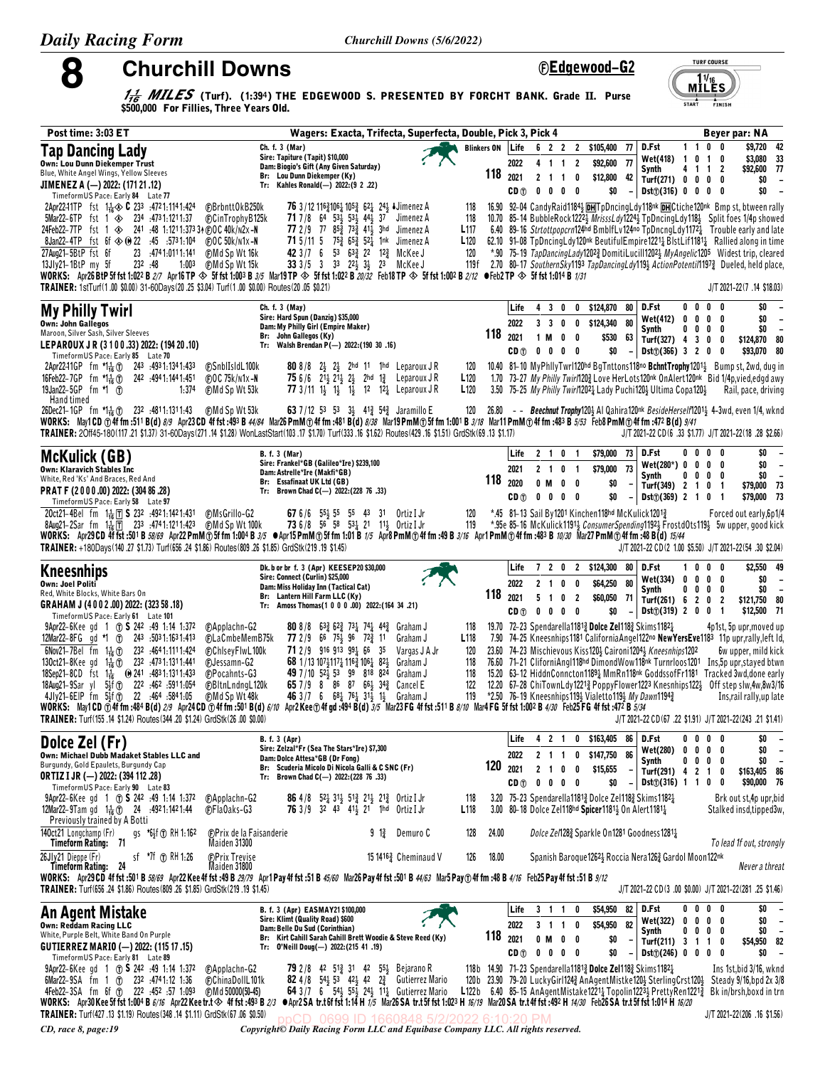8

**Churchill Downs** 

©Edgewood-G2  $M^{11/16}_{\text{LES}}$ 

**TURF COURSE** 

**START** FINISH

 $\frac{1}{16}$  MILES (Turf). (1:394) THE EDGEWOOD S. PRESENTED BY FORCHT BANK. Grade II. Purse \$500,000 For Fillies, Three Years Old.

| Post time: 3:03 ET                                                                                                                                                                                                                                                                                                         |                                                                                            | Wagers: Exacta, Trifecta, Superfecta, Double, Pick 3, Pick 4                                                                                                                           |                                      |                             |                                                  |                                                                                                                                                                          |                                                                   |                                       | Beyer par: NA                                                                                                                                                                                                                                |
|----------------------------------------------------------------------------------------------------------------------------------------------------------------------------------------------------------------------------------------------------------------------------------------------------------------------------|--------------------------------------------------------------------------------------------|----------------------------------------------------------------------------------------------------------------------------------------------------------------------------------------|--------------------------------------|-----------------------------|--------------------------------------------------|--------------------------------------------------------------------------------------------------------------------------------------------------------------------------|-------------------------------------------------------------------|---------------------------------------|----------------------------------------------------------------------------------------------------------------------------------------------------------------------------------------------------------------------------------------------|
| Tap Dancing Lady                                                                                                                                                                                                                                                                                                           | Ch. f. 3 (Mar)<br>Sire: Tapiture (Tapit) \$10,000                                          |                                                                                                                                                                                        | <b>Blinkers ON</b>                   | Life                        |                                                  | 6 2 2 2 \$105,400                                                                                                                                                        | D.Fst<br>77<br>Wet(418) 1                                         | $1\quad1$<br>0<br>$\overline{1}$      | 0 <sub>0</sub><br>\$9,720 42<br>\$3,080 33<br>0                                                                                                                                                                                              |
| <b>Own: Lou Dunn Diekemper Trust</b><br>Blue, White Angel Wings, Yellow Sleeves                                                                                                                                                                                                                                            | Dam: Biogio's Gift (Any Given Saturday)<br>Br: Lou Dunn Diekemper (Ky)                     |                                                                                                                                                                                        |                                      | 2022<br>$118$ $_{2021}$     | 4 1 1 2<br>2 1 1 0                               | 77<br>\$92,600<br>\$12,800                                                                                                                                               | Synth<br>42<br>Turf(271) 0                                        | 41<br>$0\quad 0$                      | \$92,600 77<br>$1\quad 2$<br>0<br>\$0<br>$\overline{\phantom{a}}$                                                                                                                                                                            |
| JIMENEZ A (-) 2022: (171 21 .12)<br>TimeformUS Pace: Early 84 Late 77                                                                                                                                                                                                                                                      | Tr: Kahles Ronald(-) 2022: (9 2 .22)                                                       |                                                                                                                                                                                        |                                      | CD <sub>①</sub>             | $0\quad 0$                                       | \$0<br>$0\quad 0$                                                                                                                                                        | $Dist(\hat{v})$ (316) 0 0 0 0                                     |                                       | \$0<br>$\overline{\phantom{a}}$                                                                                                                                                                                                              |
| 2Apr2241TP fst 11. 30 C 233 : 4721:1141:424<br><b>@BrbnttOkB250k</b><br>$5$ Mar22-6TP fst 1 $\otimes$ 234 :4731:1211:37<br><b>CinTrophyB125k</b>                                                                                                                                                                           | <b>71</b> 7/8 64 534 534 444 37                                                            | 76 3/12 11631061 1053 621 243 ↓ Jimenez A<br>Jimenez A                                                                                                                                 | 118<br>118                           |                             |                                                  |                                                                                                                                                                          |                                                                   |                                       | 16.90 92-04 Candy Raid 11843 DH TpDncing Ldy 118nk DH Ctiche 120nk Bmpst, btween rally<br>10.70 85–14 BubbleRock1222} MrisssLdy1224} TpDncingLdy118} Split foes 1/4p showed                                                                  |
| 24Feb22-7TP fst 1 $\otimes$ 241 :48 1:1211:37334 @OC 40k/n2x-N                                                                                                                                                                                                                                                             | 77 2/9 77 853 733 411 3hd                                                                  | Jimenez A                                                                                                                                                                              | L <sub>117</sub>                     |                             |                                                  |                                                                                                                                                                          |                                                                   |                                       | 6.40 89-16 Strtottpopcrn124hd BmblfLv124no TpDncngLdy1172 <sup>1</sup> Trouble early and late                                                                                                                                                |
| 8Jan22-4TP fst 6f $\textcircled{*}$ 0 22 :45 :5731:104<br><b>@OC50k/n1x-N</b><br>27Aug21-5BtP fst 6f<br>23 :4741:0111:141<br><b>CMd Sp Wt 16k</b>                                                                                                                                                                          | 71 5/11 5 753 653 521 1nk                                                                  | Jimenez A<br>42 3/7 6 53 633 22 123 McKee J                                                                                                                                            | L <sub>120</sub><br>120              |                             |                                                  |                                                                                                                                                                          |                                                                   |                                       | 62.10 91-08 TpDncingLdy120 <sup>nk</sup> BeutifulEmpire1221 <sup>1</sup> / <sub>2</sub> BlstLif1181 <sup>1</sup> / <sub>2</sub> Rallied along in time<br>*.90 75-19 TapDancingLady12023 DomitiLucill12023 MyAngelic1205 Widest trip, cleared |
| 13Jlv21-1BtP my 5f<br>232 .48<br>1:003<br>(F)Md Sp Wt 15k<br>WORKS: Apr26 BtP 5f fst 1:022 B 2/7 Apr16 TP $\circledast$ 5f fst 1:003 B 3/5 Mar19 TP $\circledast$ 5f fst 1:022 B 20/32 Feb18 TP $\circledast$ 5f fst 1:002 B 2/12 ● Feb2 TP $\circledast$ 5f fst 1:014 B 1/31                                              |                                                                                            | 33 3/5 3 33 224 34 23 McKee J                                                                                                                                                          | 119f                                 |                             |                                                  |                                                                                                                                                                          |                                                                   |                                       | 2.70 80-17 SouthernSky1193 TapDancingLdy1193 ActionPotentil11973 Dueled, held place,                                                                                                                                                         |
| TRAINER: 1stTurf(1.00 \$0.00) 31-60Days(20.25 \$3.04) Turf(1.00 \$0.00) Routes(20.05 \$0.21)                                                                                                                                                                                                                               |                                                                                            |                                                                                                                                                                                        |                                      |                             |                                                  |                                                                                                                                                                          |                                                                   |                                       | J/T 2021-22(7 .14 \$18.03)                                                                                                                                                                                                                   |
| <b>My Philly Twirl</b>                                                                                                                                                                                                                                                                                                     | Ch. f. 3 (May)<br>Sire: Hard Spun (Danzig) \$35,000                                        |                                                                                                                                                                                        |                                      | Life                        | $\mathbf{3}$<br>4<br>0                           | \$124,870<br>0                                                                                                                                                           | D.Fst<br>80                                                       | $0\ 0\ 0$                             | \$0<br>0<br>\$0                                                                                                                                                                                                                              |
| <b>Own: John Gallegos</b><br>Maroon, Silver Sash, Silver Sleeves                                                                                                                                                                                                                                                           | Dam: My Philly Girl (Empire Maker)<br>Br: John Gallegos (Ky)                               |                                                                                                                                                                                        |                                      | 2022<br>$118$ $_{2021}$     | 3 <sub>3</sub><br>0<br>$\mathbf{0}$<br>1 M       | \$124,340<br>80<br>0<br>\$530<br>0                                                                                                                                       | <b>Wet(412)</b><br>Synth<br>63                                    | 0<br>$\mathbf{0}$<br>0<br>0<br>0<br>0 | - 0<br>$\overline{a}$<br>\$0<br>0<br>$\overline{\phantom{a}}$                                                                                                                                                                                |
| LEPAROUX JR (3 1 0 0 .33) 2022: (194 20 .10)<br>TimeformUS Pace: Early 85 Late 70                                                                                                                                                                                                                                          | Tr: Walsh Brendan P(-) 2022: (190 30 .16)                                                  |                                                                                                                                                                                        |                                      | CD <sub>①</sub>             | 0 <sub>0</sub>                                   | \$0<br>$0\quad 0$                                                                                                                                                        | Turf(327) 4 3<br>$Dist()$ (366) 3 2 0<br>$\overline{\phantom{a}}$ | 0                                     | \$124,870 80<br>0<br>\$93,070 80<br>0                                                                                                                                                                                                        |
| 2Apr22-11GP fm $\uparrow 1/2$ (1) 243 :4931:1341:433<br><b>C</b> SnblIsIdL100k<br>16Feb22-7GP fm *1+6 1                                                                                                                                                                                                                    | <b>80</b> 8/8 2 $\frac{1}{2}$ 2 $\frac{1}{2}$                                              | 2hd 11 1hd LeparouxJR                                                                                                                                                                  | 120                                  |                             |                                                  |                                                                                                                                                                          |                                                                   |                                       | 10.40 81-10 MyPhilyTwrl120hd BgTnttons118no BchntTrophy12011 Bumpst, 2wd, dug in                                                                                                                                                             |
| 242 494 1:144 1:451<br>$CDC$ 75 $k/N1x - N$<br>19 Jan 22 - 5 GP fm *1 1<br><b>⊕Md Sp Wt 53k</b><br>1:374                                                                                                                                                                                                                   |                                                                                            | 75 6/6 $2^{11}_{2}$ $2^{11}_{2}$ $2^{1}_{2}$ $2^{1}_{2}$ 2hd $1^{3}_{4}$ Leparoux JR<br>77 3/11 1} 1} 1} 12 12 Leparoux JR                                                             | L <sub>120</sub><br>L <sub>120</sub> |                             |                                                  | 3.50 75-25 My Philly Twirl12021 Lady Puchi1201 Ultima Copa1201                                                                                                           |                                                                   |                                       | 1.70 73-27 My Philly TwirM202 Love HerLots120nk OnAlert120nk Bid 1/4p, vied, edgd awy<br>Rail, pace, driving                                                                                                                                 |
| Hand timed<br>26Dec21-1GP fm *1 $\frac{1}{16}$ (f) 232 :4811:1311:43<br>(F)Md Sp Wt 53k                                                                                                                                                                                                                                    |                                                                                            | 63 7/12 53 53 34 413 543 Jaramillo E                                                                                                                                                   | 120                                  |                             |                                                  |                                                                                                                                                                          |                                                                   |                                       | 26.80 - - Beechnut Trophy120} Al Qahira120nk BesideHerself1201} 4-3wd, even 1/4, wknd                                                                                                                                                        |
| WORKS: May1CD ①4ffm:511B(d) 8/9 Apr23CD 4ffst:493 B 44/84 Mar26PmM①4ffm:481B(d) 8/38 Mar19PmM①5ffm 1:001B 3/18 Mar11PmM①4ffm:483B 5/53 Feb8PmM①4ffm:472B(d) 9/41<br>TRAINER: 20ff45-180(117.21 \$1.37) 31-60Days(271.14 \$1.28) WonLastStart(103.17 \$1.70) Turf(333.16 \$1.62) Routes(429.16 \$1.51) GrdStk(69.13 \$1.17) |                                                                                            |                                                                                                                                                                                        |                                      |                             |                                                  |                                                                                                                                                                          |                                                                   |                                       | J/T 2021-22 CD(6 .33 \$1.77) J/T 2021-22(18 .28 \$2.66)                                                                                                                                                                                      |
| <b>McKulick (GB)</b>                                                                                                                                                                                                                                                                                                       | <b>B.</b> f. 3 (Mar)                                                                       |                                                                                                                                                                                        |                                      | Life                        | 2 1 0 1                                          | \$79,000                                                                                                                                                                 | 73<br>D.Fst                                                       | 000                                   | \$0<br>0                                                                                                                                                                                                                                     |
| Own: Klaravich Stables Inc                                                                                                                                                                                                                                                                                                 | Sire: Frankel*GB (Galileo*Ire) \$239,100<br>Dam: Astrelle*Ire (Makfi*GB)                   |                                                                                                                                                                                        |                                      | 2021                        | 2 1 0 1                                          | \$79,000                                                                                                                                                                 | $Wet(280*)$ 0<br>73<br>Synth                                      | 0<br>0<br>0<br>0<br>0                 | \$0<br>$\overline{\phantom{a}}$<br>0<br>\$0<br>0<br>$\overline{\phantom{a}}$                                                                                                                                                                 |
| White, Red 'Ks' And Braces, Red And<br>PRAT F (2000.00) 2022: (304 86.28)                                                                                                                                                                                                                                                  | Br: Essafinaat UK Ltd (GB)<br>Tr: Brown Chad C(-) 2022: (228 76 .33)                       |                                                                                                                                                                                        |                                      | 118 2020<br>CD <sub>①</sub> | 0 M<br>$0\quad 0$                                | $0\quad 0$<br>\$0<br>\$0<br>$0\quad 0$                                                                                                                                   | Turf(349) 2<br>$Dist()$ (369) 2 1 0<br>$-1$                       | $\overline{1}$<br>0                   | \$79,000 73<br>-1<br>\$79,000 73<br>$\overline{\mathbf{1}}$                                                                                                                                                                                  |
| TimeformUS Pace: Early 58 Late 97<br>20ct21-4Bel fm 1 1 5 232 :4921:1421:431<br>@MsGrillo-G2                                                                                                                                                                                                                               |                                                                                            | 67 6/6 55 55 55 43 31 Ortiz I Jr                                                                                                                                                       | 120                                  |                             |                                                  | *.45 81-13 Sail By1201 Kinchen118hd McKulick12013                                                                                                                        |                                                                   |                                       | Forced out early, 6p1/4                                                                                                                                                                                                                      |
| (F)Md Sp Wt 100k<br>8Aug21-2Sar fm 1 $\frac{1}{16}$   7 233 :4741:1211:423<br>WORKS: Apr29CD 4f fst:501B 58/69 Apr22 PmM ①5f fm 1:004 B 3/5 ●Apr15 PmM ①5f fm 1:01 B 1/5 Apr8 PmM ①4f fm :49 B 3/16 Apr1 PmM ①4f fm :483 B 10/30 Mar27 PmM ①4f fm :48 B (d) 15/44                                                          |                                                                                            | 73 6/8 56 58 531 21 111 Ortiz I Jr                                                                                                                                                     | 119                                  |                             |                                                  |                                                                                                                                                                          |                                                                   |                                       | *.95e 85-16 McKulick1191 <sub>2</sub> ConsumerSpending1192 <sub>2</sub> FrostdOts119 <sub>2</sub> 5w upper, good kick                                                                                                                        |
| TRAINER: +180Days(140.27 \$1.73) Turf(656.24 \$1.86) Routes(809.26 \$1.85) GrdStk(219.19 \$1.45)                                                                                                                                                                                                                           |                                                                                            |                                                                                                                                                                                        |                                      |                             |                                                  |                                                                                                                                                                          |                                                                   |                                       | J/T 2021-22 CD(2 1.00 \$5.50) J/T 2021-22(54 .30 \$2.04)                                                                                                                                                                                     |
| <b>Kneesnhips</b>                                                                                                                                                                                                                                                                                                          | Dk. b or br f. 3 (Apr) KEESEP20 \$30,000<br>Sire: Connect (Curlin) \$25,000                |                                                                                                                                                                                        |                                      | Life                        |                                                  | 7 2 0 2 \$124,300                                                                                                                                                        | D.Fst<br>80<br>Wet(334)<br>0                                      | 1000<br>$0\quad 0$                    | \$2,550 49<br>\$0<br>0<br>$\overline{\phantom{a}}$                                                                                                                                                                                           |
| Own: Joel Politi<br>Red, White Blocks, White Bars On                                                                                                                                                                                                                                                                       | Dam: Miss Holiday Inn (Tactical Cat)<br>Br: Lantern Hill Farm LLC (Ky)                     |                                                                                                                                                                                        |                                      | 2022<br>$118$ $_{2021}$     | 2 <sub>1</sub><br>$\mathbf{0}$<br>5 <sub>1</sub> | \$64,250<br>0<br>\$60,050<br>0 <sub>2</sub><br>- 71                                                                                                                      | 80<br>Synth<br>Turf $(261)$ 6 2 0                                 | 0<br>0<br>0                           | \$0<br>0<br>$\overline{\phantom{0}}$<br>$\overline{2}$<br>\$121,750 80                                                                                                                                                                       |
| GRAHAM J (4002.00) 2022: (323 58.18)<br>TimeformUS Pace: Early 61 Late 101                                                                                                                                                                                                                                                 | Tr: Amoss Thomas(1 0 0 0 .00) 2022: (164 34 .21)                                           |                                                                                                                                                                                        |                                      | CD <sub>1</sub>             | $0\quad 0$                                       | $0\quad 0$<br>\$0                                                                                                                                                        | $Dist()$ (319) 2 0 0                                              |                                       | \$12,500 71<br>-1                                                                                                                                                                                                                            |
| $9$ Apr22–6Kee gd 1 (7) <b>S</b> 242 :49 1:14 1:372<br><b>CApplachn-G2</b><br>12Mar22-8FG gd *1 1 243 :5031:1631:413<br>©LaCmbeMemB75k                                                                                                                                                                                     | <b>77</b> 2/9 66 75 96 72 21                                                               | <b>80</b> 8/8 63 $\frac{3}{4}$ 62 $\frac{3}{4}$ 73 $\frac{1}{4}$ 74 $\frac{1}{4}$ 44 $\frac{3}{4}$ Graham J<br>Graham J                                                                | 118<br>L <sub>118</sub>              |                             |                                                  | 19.70 72-23 Spendarella11813 Dolce Zel1183 Skims11821                                                                                                                    |                                                                   |                                       | 4p1st, 5p upr, moved up<br>7.90 74-25 Kneesnhips1181 CaliforniaAngel122no NewYersEve1183 11p upr,rally, left ld,                                                                                                                             |
| 6Nov21-7Bel fm $1\frac{1}{16}$ (f) 232 :4641:1111:424<br><b>ChiseyFiwL100k</b>                                                                                                                                                                                                                                             | 71 2 / 9 916 913 991 66 35                                                                 | Vargas J A Jr                                                                                                                                                                          | 120                                  |                             |                                                  | 23.60 74-23 Mischievous Kiss1204 Caironi12044 Kneesnhips1202                                                                                                             |                                                                   |                                       | 6w upper, mild kick                                                                                                                                                                                                                          |
| 130ct21-8Kee gd 1 $\frac{1}{16}$ (1) 232 :4731:1311:441<br><b>C</b> Jessamn-G2<br>18Sep21-8CD fst 1 <sup>1</sup> / <sub>16</sub> (0) 241 :4831:1311:433<br><b>C</b> Pocahnts-G3                                                                                                                                            | 68 1/13 10741174 1163 1064 824<br>49 7 / 10 52 45 53 99 818 824                            | Graham J<br>Graham J                                                                                                                                                                   | 118<br>118                           |                             |                                                  |                                                                                                                                                                          |                                                                   |                                       | 76.60 71-21 CliforniAng1118hd DimondWow118nk Turnrloos1201 Ins, 5p upr, stayed btwn<br>15.20 63-12 HiddnConncton11891 MmRn118 <sup>nk</sup> GoddssofFr1181 Tracked 3wd.done early                                                            |
| 18Aug21-9Sar yl 5 <sup>1</sup> <sup>1</sup> (1) 222 :462 :5911:054<br><b>@BltnLndngL120k</b><br>4Jly21-6EIP fm 5}f (r) 22 :464 :5841:05<br><b>CMd Sp Wt 48k</b>                                                                                                                                                            | 65 7 / 9 8 86 87 66 4 34 2                                                                 | Cancel E<br>46 3 / 7 6 $68\frac{1}{4}$ 76 $\frac{1}{4}$ 31 $\frac{1}{2}$ 1 $\frac{1}{2}$ Graham J                                                                                      | 122<br>119                           |                             |                                                  | *2.50 76-19 Kneesnhips1193 Vialetto1193 My Dawn11943                                                                                                                     |                                                                   |                                       | 12.20 67-28 ChiTownLdy12213 PoppyFlower1223 Knesnhips1223 Off step slw.4w.8w3/16<br>Ins, rail rally, up late                                                                                                                                 |
| WORKS: May1CD @4f fm :484 B(d) 2/9 Apr24CD @4f fm :501 B(d) 6/10 Apr2Kee @4f gd :494 B(d) 3/5 Mar23FG 4f fst :511 B 8/10 Mar4FG 5f fst 1:002 B 4/30 Feb25FG 4f fst :472 B 5/34<br>TRAINER: Turf(155.14 \$1.24) Routes(344.20 \$1.24) GrdStk(26.00 \$0.00)                                                                  |                                                                                            |                                                                                                                                                                                        |                                      |                             |                                                  |                                                                                                                                                                          |                                                                   |                                       | J/T 2021-22 CD(67 .22 \$1.91) J/T 2021-22 (243 .21 \$1.41)                                                                                                                                                                                   |
|                                                                                                                                                                                                                                                                                                                            | <b>B.</b> f. 3 (Apr)                                                                       |                                                                                                                                                                                        |                                      | Life                        | 4 2 1                                            | 0<br>\$163,405                                                                                                                                                           | 86<br>D.Fst                                                       | $0\quad 0$<br>0                       | \$0<br>0                                                                                                                                                                                                                                     |
| Dolce Zel (Fr)<br>Own: Michael Dubb Madaket Stables LLC and                                                                                                                                                                                                                                                                | Sire: Zelzal*Fr (Sea The Stars*Ire) \$7,300<br>Dam: Dolce Attesa*GB (Dr Fong)              |                                                                                                                                                                                        |                                      | 2022                        | 2 1 1                                            | \$147,750<br>86<br>0                                                                                                                                                     | Wet(280)<br>0                                                     | 0<br>0<br>$0\quad 0\quad 0$<br>0      | \$0<br>0<br>\$0<br>$\overline{\phantom{a}}$                                                                                                                                                                                                  |
| Burgundy, Gold Epaulets, Burgundy Cap<br><b>ORTIZ I JR (-) 2022: (394 112 .28)</b>                                                                                                                                                                                                                                         | Br: Scuderia Micolo Di Nicola Galli & C SNC (Fr)<br>Tr: Brown Chad C(-) 2022: (228 76 .33) |                                                                                                                                                                                        | 120                                  | 2021                        | 2 <sub>1</sub><br>0                              | \$15,655<br>0                                                                                                                                                            | Synth<br>Turf(291) 4 2 1 0                                        |                                       | \$163,405 86                                                                                                                                                                                                                                 |
| TimeformUS Pace: Early 90 Late 83<br>$9$ Apr22–6Kee gd 1 (7) <b>S</b> 242 :49 1:14 1:372<br><b>CApplachn-G2</b>                                                                                                                                                                                                            |                                                                                            | 86 4/8 52 31 51 21 21 21 3 0rtiz I Jr                                                                                                                                                  | 118                                  | CD <sub>①</sub>             | 0<br>0<br>0                                      | \$0<br>$\overline{\phantom{a}}$<br>3.20 75-23 Spendarella1181 <sup>3</sup> / <sub>4</sub> Dolce Zel118 <sup>3</sup> / <sub>2</sub> Skims1182 <sup>1</sup> / <sub>4</sub> | $Dist(7)(316)$ 1 1 0                                              |                                       | \$90,000 76<br>0<br>Brk out st, 4p upr, bid                                                                                                                                                                                                  |
| <b>C</b> Fla0aks-G3<br>12Mar22–9Tam gd 1 $\frac{1}{16}$ (1) 24 :4921:1421:44                                                                                                                                                                                                                                               |                                                                                            | <b>76</b> 3/9 32 43 41 <sub>3</sub> 21 1hd Ortiz IJr                                                                                                                                   | L <sub>118</sub>                     |                             |                                                  | 3.00 80-18 Dolce Zel118hd Spicer1181 $\frac{1}{2}$ On Alert1181 $\frac{1}{4}$                                                                                            |                                                                   |                                       | Stalked insd, tipped 3w,                                                                                                                                                                                                                     |
| Previously trained by A Botti<br>140ct21 Longchamp (Fr)<br>gs $*6\frac{1}{2}$ f <b>the RH</b> 1.162<br><b><i>CPrix de la Faisanderie</i></b>                                                                                                                                                                               |                                                                                            | 9 $1\frac{3}{4}$ Demuro C                                                                                                                                                              | 128<br>24.00                         |                             |                                                  | Dolce Zel1283 Sparkle On1281 Goodness12813                                                                                                                               |                                                                   |                                       |                                                                                                                                                                                                                                              |
| Maiden 31300<br><b>Timeform Rating: 71</b><br>26Jly21 Dieppe (Fr)<br>sf $*7f$ <sub>1:26</sub><br><b><i><u>CPrix Trevise</u></i></b>                                                                                                                                                                                        |                                                                                            | 15 1416 $\frac{3}{4}$ Cheminaud V                                                                                                                                                      | 126<br>18.00                         |                             |                                                  | Spanish Baroque1262} Roccia Nera126} Gardol Moon122nk                                                                                                                    |                                                                   |                                       | To lead 1f out, strongly                                                                                                                                                                                                                     |
| <b>Timeform Rating: 24</b><br>Maiden 31800<br>WORKS: Apr29CD 4f fst :501 B 58/69 Apr22 Kee 4f fst :49 B 29/79 Apr1 Pay 4f fst :51 B 45/60 Mar26 Pay 4f fst :501 B 44/63 Mar5 Pay①4f fm :48 B 4/16 Feb25 Pay 4f fst :51 B 9/12                                                                                              |                                                                                            |                                                                                                                                                                                        |                                      |                             |                                                  |                                                                                                                                                                          |                                                                   |                                       | Never a threat                                                                                                                                                                                                                               |
| TRAINER: Turf (656 .24 \$1.86) Routes (809 .26 \$1.85) GrdStk (219 .19 \$1.45)                                                                                                                                                                                                                                             |                                                                                            |                                                                                                                                                                                        |                                      |                             |                                                  |                                                                                                                                                                          |                                                                   |                                       | J/T 2021-22 CD(3 .00 \$0.00) J/T 2021-22(281 .25 \$1.46)                                                                                                                                                                                     |
| An Agent Mistake                                                                                                                                                                                                                                                                                                           | B. f. 3 (Apr) EASMAY21 \$100,000<br>Sire: Klimt (Quality Road) \$600                       |                                                                                                                                                                                        |                                      | Life                        | 3 1 1                                            | \$54,950<br>0                                                                                                                                                            | 82<br>D.Fst<br><b>Wet(322)</b><br>0                               | 00<br>0<br>0                          | \$0<br>0<br>$\overline{\phantom{a}}$<br>\$0<br>$0\quad 0$<br>$\overline{\phantom{a}}$                                                                                                                                                        |
| Own: Reddam Racing LLC<br>White, Purple Belt, White Band On Purple                                                                                                                                                                                                                                                         | Dam: Belle Du Sud (Corinthian)                                                             | Br: Kirt Cahill Sarah Cahill Brett Woodie & Steve Reed (Ky)                                                                                                                            | 118                                  | 2022<br>2021                | 3 1 1<br>0 M                                     | \$54,950<br>0<br>$0\quad 0$<br>\$0                                                                                                                                       | 82<br>Synth<br>Turf(211) $3 \t1 \t1 \t0$                          | $0\quad 0\quad 0$<br>0                | \$0<br>$\overline{\phantom{a}}$<br>\$54,950 82                                                                                                                                                                                               |
| GUTIERREZ MARIO (-) 2022: (115 17 .15)<br>TimeformUS Pace: Early 81 Late 89                                                                                                                                                                                                                                                | Tr: 0'Neill Doug(-) 2022: (215 41 .19)                                                     |                                                                                                                                                                                        |                                      | CD <sub>①</sub>             | 0<br>0                                           | \$0<br>$0\quad 0$                                                                                                                                                        | Dist() (246) 0 0 0                                                |                                       | \$0<br>0                                                                                                                                                                                                                                     |
| $9$ Apr22–6Kee gd 1 (7) <b>S</b> 242 :49 1:14 1:372<br><b>CApplachn-G2</b><br>6Mar22-9SA fm 1 $\circled{r}$ 232 :4741:12 1:36<br><b>ChinaDollL101k</b>                                                                                                                                                                     | <b>79</b> 2/8 42 51 <sup>3</sup> 31 42 55 <sup>1</sup> / <sub>3</sub>                      | Bejarano R<br><b>82</b> 4/8 54 <sup>1</sup> / <sub>2</sub> 53 42 <sup>1</sup> / <sub>2</sub> 42 2 <sup>3</sup> / <sub>4</sub> Gutierrez Mario                                          |                                      |                             |                                                  | 118b 14.90 71-23 Spendarella 1181 <sup>3</sup> Dolce Zel118 <sup>3</sup> Skims 1182 <sup>1</sup>                                                                         |                                                                   |                                       | Ins 1st, bid 3/16, wknd<br>120b 23.90 79-20 LuckyGirl1243 AnAgentMistke1203 SterlingCrst1203 Steady 9/16,bpd 2x 3/8                                                                                                                          |
| 4Feb22-3SA fm 6f ① 222 :452 :57 1:093<br>$\bigoplus$ Md 50000(50-45)<br><b>WORKS:</b> Apr30 Kee 5f fst 1:004 B $6/16$ Apr22 Kee tr.t $\circledast$ 4f fst :493 B $2/3$                                                                                                                                                     |                                                                                            | <b>64</b> 3/7 6 54 55 24 11 Gutierrez Mario<br>● Apr2SA tr.t 6f fst 1:14 H 1/5 Mar26 SA tr.t 5f fst 1:023 H 16/19 Mar20 SA tr.t 4f fst :492 H 14/30 Feb26 SA tr.t 5f fst 1:014 H 16/20 |                                      |                             |                                                  |                                                                                                                                                                          |                                                                   |                                       | L122b 6.40 85-15 AnAgentMistake1221 $\frac{1}{4}$ Topolin1223 $\frac{1}{2}$ PrettyRen1221 $\frac{3}{4}$ Bk in/brsh, boxd in trn                                                                                                              |
| TRAINER: Turf(427.13 \$1.19) Routes(348.14 \$1.11) GrdStk(67.06 \$0.50)                                                                                                                                                                                                                                                    |                                                                                            | 0699 ID 1660848 5/2/2022 6:10:20 PM                                                                                                                                                    |                                      |                             |                                                  |                                                                                                                                                                          |                                                                   |                                       | $J/T 2021 - 22(206 .16 $1.56)$                                                                                                                                                                                                               |

Copyright<sup>©</sup> Daily Racing Form LLC and Equibase Company LLC. All rights reserved.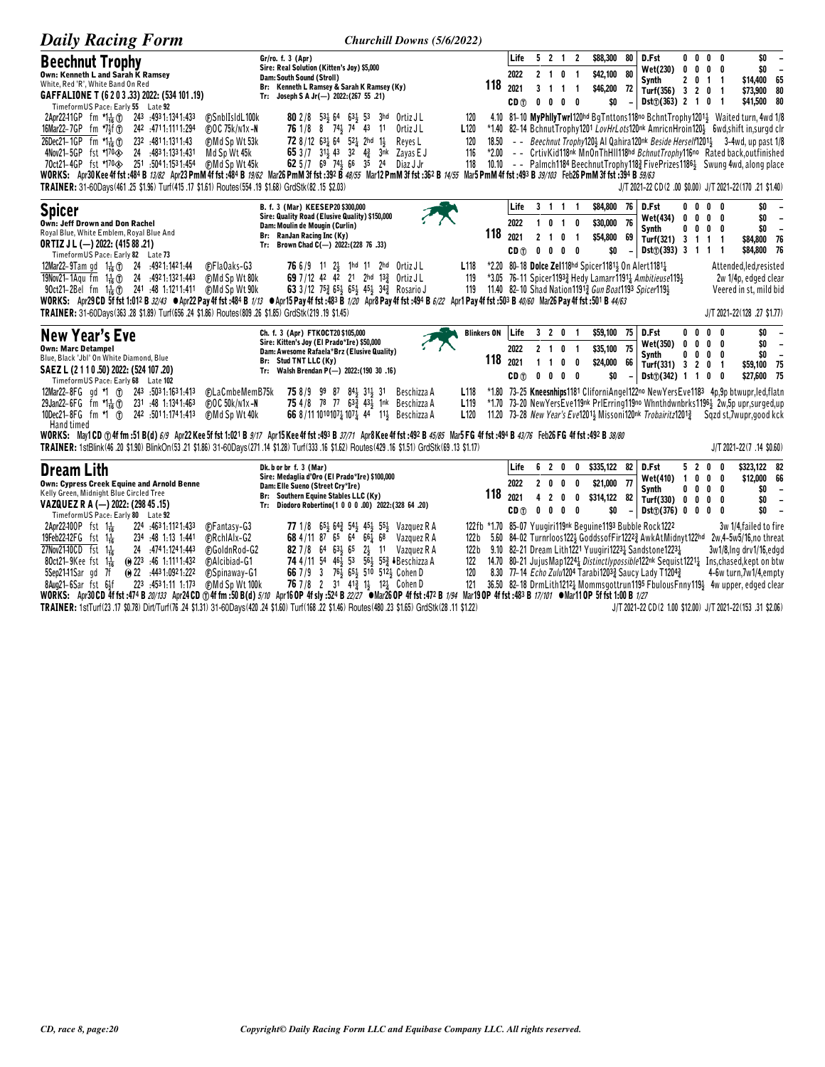| <b>Daily Racing Form</b>                                                                                                                                                                                                                                                                                                                                                                                                                                | Churchill Downs (5/6/2022)                                                                                                                                                                                                                                                                                       |                                                          |                                         |                                |                                   |                                                     |                                                                                                                             |                                |                                                                                                                                                                                                                                                                           |                          |                          |                                                                            |                                                                                                                                                                                                                                                                                                                                                                                                                                                                                                                         |
|---------------------------------------------------------------------------------------------------------------------------------------------------------------------------------------------------------------------------------------------------------------------------------------------------------------------------------------------------------------------------------------------------------------------------------------------------------|------------------------------------------------------------------------------------------------------------------------------------------------------------------------------------------------------------------------------------------------------------------------------------------------------------------|----------------------------------------------------------|-----------------------------------------|--------------------------------|-----------------------------------|-----------------------------------------------------|-----------------------------------------------------------------------------------------------------------------------------|--------------------------------|---------------------------------------------------------------------------------------------------------------------------------------------------------------------------------------------------------------------------------------------------------------------------|--------------------------|--------------------------|----------------------------------------------------------------------------|-------------------------------------------------------------------------------------------------------------------------------------------------------------------------------------------------------------------------------------------------------------------------------------------------------------------------------------------------------------------------------------------------------------------------------------------------------------------------------------------------------------------------|
| <b>Beechnut Trophy</b><br>Own: Kenneth L and Sarah K Ramsev<br>White, Red 'R', White Band On Red<br>GAFFALIONE T (6 2 0 3 .33) 2022: (534 101 .19)<br>TimeformUS Pace: Early 55 Late 92                                                                                                                                                                                                                                                                 | Gr/ro. f. 3 (Apr)<br>Sire: Real Solution (Kitten's Joy) \$5,000<br>Dam: South Sound (Stroll)<br>Br: Kenneth L Ramsey & Sarah K Ramsey (Ky)<br>Tr: Joseph S A Jr(-) $2022:(267 55 .21)$                                                                                                                           | 118                                                      | Life<br>2022<br>2021<br>CD (T)          | 5 2 1 2                        |                                   | 2 1 0 1<br>3 1 1 1<br>$0\quad 0\quad 0\quad 0$      | \$88,300 80<br>\$42,100 80<br>\$46,200<br>\$O                                                                               | 72                             | D.Fst<br>Wet(230)<br>Synth<br>Turf(356) 3 2 0 1<br>$Dist(\hat{v})$ (363) 2 1 0 1                                                                                                                                                                                          | $0\ 0\ 0\ 0$             |                          | $0\,$ 0 $\,$ 0 $\,$ 0<br>2 0 1 1                                           | \$0<br>$\overline{\phantom{a}}$<br>\$0<br>$\overline{\phantom{a}}$<br>\$14,400 65<br>\$73,900 80<br>\$41,500 80                                                                                                                                                                                                                                                                                                                                                                                                         |
| FSnblIsIdL100k<br>2Apr2241GP fm 치た①<br>243 .4931.1341.433<br>242 .4711.1111.294<br>16Mar22-7GP fm $*7\frac{1}{2}$ f (r)<br><b>@OC 75k/n1x-N</b><br>26Dec21-1GP fm $\sum_{i=0}^{n}$<br>Md Sp Wt 53k<br>232 4811.1311.43<br>4Nov21-5GP fst *170<br>0><br>24 :4831:1331:431<br>Md Sp Wt 45k<br>                                                                                                                                                            | 80 2/8 531 64 631 53 3hd Ortiz JL<br>76 1/8 8 74 3 74 43 11<br>Ortiz J L<br>72 8/12 631 64 521 2hd 11<br>Reves L<br>65 3/7 31 43 32 4 3nk Zayas E J<br>62 5/7 69 74 66 35 24 Diaz J Jr                                                                                                                           | 120<br>L <sub>120</sub><br>18.50<br>120<br>116<br>118    |                                         |                                |                                   |                                                     |                                                                                                                             |                                |                                                                                                                                                                                                                                                                           |                          |                          |                                                                            | 4.10 81-10 MyPhilyTwrl120hd BgTnttons118no BchntTrophy12014 Waited turn, 4wd 1/8<br>*1.40 82-14 BchnutTrophy1201 LovHrLots120nk AmricnHroin120} 6wd, shift in, surgd clr<br>- - Beechnut Trophy120} Al Qahira120nk Beside Herself1201} 3-4wd, up past 1/8<br>*2.00 - - CrtivKid118nk MnOnThHII118hd BchnutTrophy116no Rated back.outfinished<br>10.10 - - Palmch1184 Beechnut Trophy118 $\frac{3}{4}$ Five Prizes 1186 $\frac{1}{2}$ Swung 4wd, along place<br>J/T 2021-22 CD(2 .00 \$0.00) J/T 2021-22(170 .21 \$1.40) |
| <b>Spicer</b><br>Own: Jeff Drown and Don Rachel<br>Royal Blue, White Emblem, Royal Blue And<br><b>ORTIZ J L (-) 2022: (415 88 .21)</b><br>TimeformUS Pace: Early 82 Late 73                                                                                                                                                                                                                                                                             | B. f. 3 (Mar) KEESEP20 \$300,000<br>Sire: Quality Road (Elusive Quality) \$150,000<br>Dam: Moulin de Mougin (Curlin)<br>Br: RanJan Racing Inc (Ky)<br>Tr: Brown Chad C(-) 2022: (228 76 .33)                                                                                                                     | 118                                                      | Life<br>2022<br>2021<br>CD <sub>1</sub> | 3 1 1 1<br>2 <sub>1</sub><br>0 | 0                                 | 1 0 1 0<br>$\overline{1}$<br>$0\quad 0\quad 0$      | \$84,800<br>\$30,000 76<br>\$54,800<br>\$0                                                                                  | - 76<br>69<br>$\blacksquare$   | D.Fst<br><b>Wet(434)</b><br><b>Synth</b><br>Turf(321) 3 1<br>$Dist(7)(393)$ 3 1 1                                                                                                                                                                                         |                          |                          | $0\,$ $0\,$ $0\,$ $0\,$<br>$0 \t0 \t0 \t0$<br>$0\,$ 0 $\,$ 0 $\,$ 0<br>1 1 | \$0<br>$\overline{\phantom{a}}$<br>\$0<br>$\overline{\phantom{a}}$<br>\$0<br>$\overline{\phantom{a}}$<br>\$84,800 76<br>\$84,800 76                                                                                                                                                                                                                                                                                                                                                                                     |
| 12Mar22-9Tam gd $1\frac{1}{16}$ (f) 24 :4921:1421:44<br><b>C</b> Fla0aks-G3<br>19Nov21-1Agu fm $1\frac{1}{16}$ (1) 24 :4921:1321:443<br>(F)Md Sp Wt 80k<br>WORKS: Apr29 CD 5f fst 1:012 B 32/43 ●Apr22 Pay 4f fst :484 B 1/13 ●Apr15 Pay 4f fst :483 B 1/20 Apr8 Pay 4f fst :494 B 6/22 Apr1 Pay 4f fst :503 B 40/60 Mar26 Pay 4f fst :501 B 44/63<br>TRAINER: 31-60Days(363.28 \$1.89) Turf(656.24 \$1.86) Routes(809.26 \$1.85) GrdStk(219.19 \$1.45) | <b>76</b> 6/9 11 24 1hd 11 2hd OrtizJL<br>69 7/12 42 42 21 2hd 133 Ortiz JL<br>63 3/12 75 $\frac{3}{4}$ 65 $\frac{1}{3}$ 65 $\frac{1}{3}$ 45 $\frac{1}{3}$ 34 $\frac{3}{4}$ Rosario J                                                                                                                            | L <sub>118</sub><br>119<br>119                           |                                         |                                |                                   |                                                     | *2.20 80-18 Dolce Zel118hd Spicer11811 On Alert11811<br>11.40 82-10 Shad Nation 1191 <sup>3</sup> Gun Boat 1193 Spicer 1194 |                                | *3.05 76-11 Spicer11933 Hedy Lamarr11911 Ambitieuse1191                                                                                                                                                                                                                   |                          |                          |                                                                            | Attended, led, resisted<br>2w 1/4p, edged clear<br>Veered in st, mild bid<br>J/T 2021-22(128 .27 \$1.77)                                                                                                                                                                                                                                                                                                                                                                                                                |
| New Year's Eve<br><b>Own: Marc Detampel</b><br>Blue, Black 'Jbl' On White Diamond, Blue<br>SAEZ L (2 1 1 0 .50) 2022: (524 107 .20)<br>TimeformUS Pace: Early 68 Late 102                                                                                                                                                                                                                                                                               | Ch. f. 3 (Apr) FTKOCT20 \$105,000<br>Sire: Kitten's Joy (El Prado*Ire) \$50,000<br>Dam: Awesome Rafaela*Brz (Elusive Quality)<br>Br: Stud TNT LLC (Ky)<br>Tr: Walsh Brendan P(-) 2022: (190 30 .16)                                                                                                              | <b>Blinkers ON</b><br>118                                | Life<br>2022<br>2021<br>CD (T)          | $1\quad1$                      | 0                                 | 3 2 0 1<br>2 1 0 1<br>0<br>$0\quad 0\quad 0\quad 0$ | \$59,100 75 D.Fst<br>\$35,100 75<br>\$24,000<br>\$0                                                                         | 66<br>$\overline{\phantom{a}}$ | Wet(350)<br>Synth<br>Turf(331) 3 2 0 1<br>Dist([342) 1 1 0 0                                                                                                                                                                                                              | $0\quad 0\quad 0\quad 0$ |                          | $0\ 0\ 0\ 0$<br>$0\ 0\ 0\ 0$                                               | \$0<br>\$0<br>$\overline{\phantom{a}}$<br>\$0<br>$\overline{\phantom{a}}$<br>\$59,100 75<br>\$27,600 75                                                                                                                                                                                                                                                                                                                                                                                                                 |
| 12Mar22-8FG gd *1 (1) 243 :5031:1631:413<br>(F)LaCmbeMemB75k<br>29Jan22-6FG fm 치た①<br>231 :48 1:1341:463<br>(F) O C 50k/n1x-N<br>10Dec21-8FG fm *1 (T)<br>242 :5011:1741:413<br>(F)Md Sp Wt 40k<br>Hand timed                                                                                                                                                                                                                                           | <b>75</b> 8/9 99 87 84 31 31 Beschizza A<br>75 4/8 78 77 633 431 1nk Beschizza A<br>66 8/11 10101074 1074 44 114 Beschizza A                                                                                                                                                                                     | L <sub>118</sub><br>L <sub>119</sub><br>L <sub>120</sub> |                                         |                                |                                   |                                                     |                                                                                                                             |                                |                                                                                                                                                                                                                                                                           |                          |                          |                                                                            | *1.80 73-25 Kneesnhips1181 CliforniAngel122no NewYersEve1183 4p,9p btwupr,led,flatn<br>*1.70 73-20 New Yers Eve119nk PrlErring 119no Whnthdwnbrks 1196 3 2w, 5p upr, surged, up<br>11.20 73-28 New Year's Eve12011 Missoni120nk Trobairitz12013 Sqzd st, 7wupr, good kck                                                                                                                                                                                                                                                |
| WORKS: May1CD ①4ffm:51B(d)6/9 Apr22Kee 5f fst 1:021B 9/17 Apr15Kee 4f fst :493B 37/71 Apr8Kee 4f fst :492B 45/85 Mar5FG 4f fst :494B 43/76 Feb26FG 4f fst :492B 38/80<br>TRAINER: 1stBlink(46 .20 \$1.90) BlinkOn(53 .21 \$1.86) 31-60Days(271 .14 \$1.28) Turf(333 .16 \$1.62) Routes(429 .16 \$1.51) GrdStk(69 .13 \$1.17)                                                                                                                            |                                                                                                                                                                                                                                                                                                                  |                                                          |                                         |                                |                                   |                                                     |                                                                                                                             |                                |                                                                                                                                                                                                                                                                           |                          |                          |                                                                            | J/T 2021-22(7 .14 \$0.60)                                                                                                                                                                                                                                                                                                                                                                                                                                                                                               |
| <b>Dream Lith</b><br><b>Own: Cypress Creek Equine and Arnold Benne</b><br>Kelly Green, Midnight Blue Circled Tree<br>VAZQUEZ R A (-) 2022: (298 45 .15)<br>TimeformUS Pace: Early 80 Late 92                                                                                                                                                                                                                                                            | Dk. b or br f. 3 (Mar)<br>Sire: Medaglia d'Oro (El Prado*Ire) \$100,000<br>Dam: Elle Sueno (Street Cry*Ire)<br>Br: Southern Equine Stables LLC (Ky)<br>Tr: Diodoro Robertino(1 0 0 0 .00) 2022:(328 64 .20)                                                                                                      | 118                                                      | Life<br>2022<br>2021<br>CD (T)          | $0\quad 0\quad 0\quad$         | 620<br>200<br>$\overline{2}$<br>0 | 0<br>0<br>0                                         | $0$ \$335,122 82<br>\$21,000 77<br>\$314,122 82<br>\$0                                                                      |                                | D.Fst<br>Wet(410) 1<br>Synth<br>Turf(330) 0<br>Dist(j(376) 0 0 0 0                                                                                                                                                                                                        | 520                      | $0\quad 0$<br>$0\quad 0$ | 0<br>0<br>$0\ 0\ 0\ 0$<br>0                                                | \$323,122 82<br>\$12,000 66<br>\$0<br>$\overline{\phantom{a}}$<br>\$0<br>$\overline{\phantom{a}}$<br>\$0<br>$\overline{\phantom{a}}$                                                                                                                                                                                                                                                                                                                                                                                    |
| 2Apr22-100P fst 1 <sup>1</sup> <sub>16</sub><br>224 4631.1121.433<br><b>C</b> Fantasy-G3<br>19Feb22-12FG fst 1 <sup>1</sup> <sub>16</sub><br>234 :48 1:13 1:441<br>(F)RchlAlx-G2<br>27Nov21-10CD fst 1+<br>24 .4741:1241:443<br>FGoldnRod-G2<br>$80ct21-9$ Kee fst 1 $\frac{1}{16}$<br>$\omega$ 223 :46 1:1111:432<br><b>FAIcibiad-G1</b><br>$@22$ :4431:0921:222<br>5Sep2141Sar gd 7f<br><b>FSpinaway-G1</b><br>$1.1 - 1.1$<br>כמה<br>AE24 44 4 472    | 77 1/8 653 643 543 453 553 Vazquez R A<br>68 4/11 87 65 64 661 68<br>Vazquez R A<br>82 7/8 64 63 65 2 11 Vazquez R A<br>74 4/11 54 46 53 56 55 Beschizza A<br>66 7/9 3 76 <sup>1</sup> / <sub>2</sub> 65 <sup>1</sup> / <sub>2</sub> 510 512 <sup>1</sup> / <sub>2</sub> Cohen D<br>70 710 0 91 113 11 191 0.L.L | 122 b<br>122 <sub>b</sub><br>122<br>120<br>101           |                                         |                                |                                   |                                                     |                                                                                                                             |                                | 122fb *1.70 85-07 Yuugiri119nk Beguine1193 Bubble Rock1222<br>9.10 82-21 Dream Lith1221 Yuugiri1223 $\frac{1}{4}$ Sandstone1223 $\frac{1}{4}$<br>8.30 77-14 Echo Zulu1204 Tarabi12033 Saucy Lady T12043<br>30 E0  09.40 Donal Sti-49491 Missouri exited 440E Flods of Fax |                          |                          |                                                                            | 3w 1/4, failed to fire<br>5.60 84-02 Turnrloos122} GoddssofFir1222} AwkAtMidnyt122hd 2w,4-5w5/16,no threat<br>3w1/8, Ing drv1/16, edgd<br>14.70 80-21 JujusMap12241 Distinctlypossible122nk Sequist12211 Ins, chased, kept on btw<br>4-6w turn, 7w1/4, empty<br>$401 - 4$                                                                                                                                                                                                                                               |

8Aug21-6Sar fst 6if 223 .4531.11 1:173 ©Md Sp Wt 100k 76 7/8 2 31 413 124 Cohen D 121 36.50 82-18 DrmLith12124 Mommsgottrun1195 Fbulous Finy1191 4w upper, edged clear<br>WORKS: Apr30CD 4ffst :474 B 20/133 Apr24 CD ①4ffm :50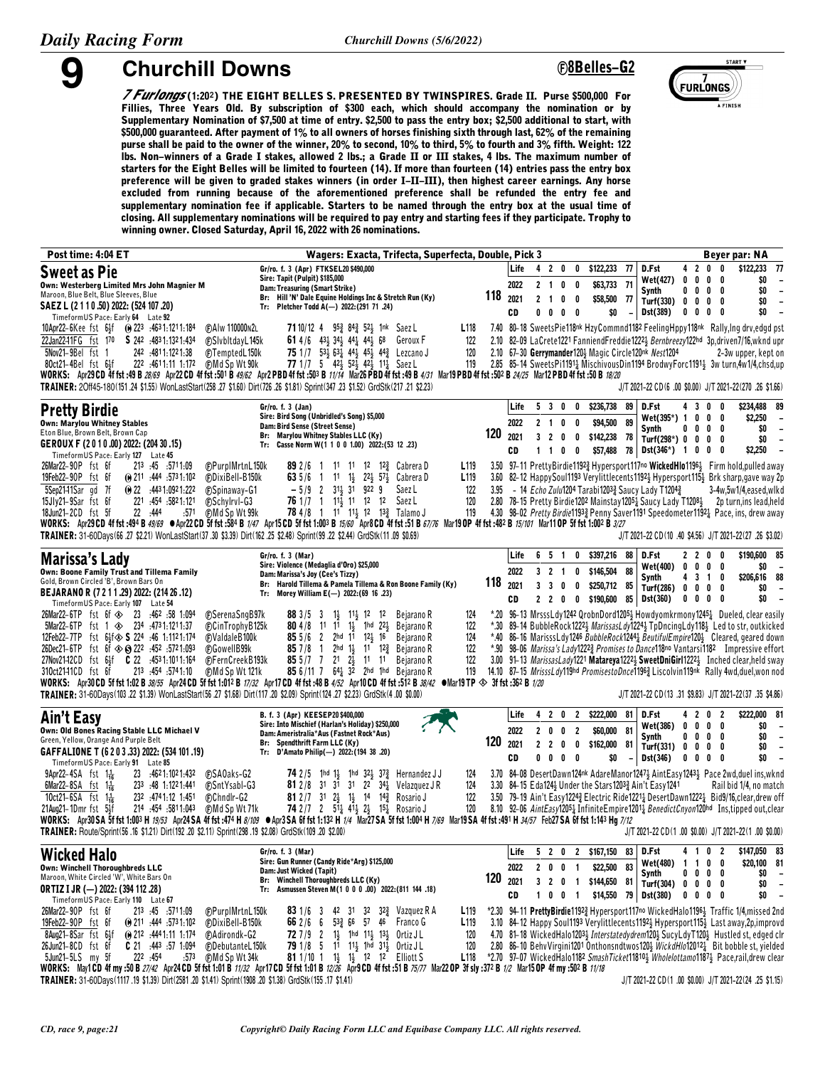#### **9 Churchill Downs <sup>ç</sup>8Belles-G2**



*7 Furlongs* **(1:20§) THE EIGHT BELLES S. PRESENTED BY TWINSPIRES. Grade II. Purse \$500,000 For Fillies, Three Years Old. By subscription of \$300 each, which should accompany the nomination or by Supplementary Nomination of \$7,500 at time of entry. \$2,500 to pass the entry box; \$2,500 additional to start, with \$500,000 guaranteed. After payment of 1% to all owners of horses finishing sixth through last, 62% of the remaining purse shall be paid to the owner of the winner, 20% to second, 10% to third, 5% to fourth and 3% fifth. Weight: 122 lbs. Non-winners of a Grade I stakes, allowed 2 lbs.; a Grade II or III stakes, 4 lbs. The maximum number of starters for the Eight Belles will be limited to fourteen (14). If more than fourteen (14) entries pass the entry box preference will be given to graded stakes winners (in order I-II-III), then highest career earnings. Any horse excluded from running because of the aforementioned preference shall be refunded the entry fee and supplementary nomination fee if applicable. Starters to be named through the entry box at the usual time of closing. All supplementary nominations will be required to pay entry and starting fees if they participate. Trophy to winning owner. Closed Saturday, April 16, 2022 with 26 nominations.**

| Post time: 4:04 ET                                                                                                                                                                                                                                                                                                                                                                                                                                                                                                                                                                                                                                                                                                 | Wagers: Exacta, Trifecta, Superfecta, Double, Pick 3                                                                                                                                                                                                                                                                                                                    |                                                                   |                            |                                                     |                                           |                                                                                         |                                                                     |                                                              |                                                                          | Beyer par: NA                                                                                                                                                                                                                                                                                                                                                                                                                                                                                                                                                                                                                                                       |
|--------------------------------------------------------------------------------------------------------------------------------------------------------------------------------------------------------------------------------------------------------------------------------------------------------------------------------------------------------------------------------------------------------------------------------------------------------------------------------------------------------------------------------------------------------------------------------------------------------------------------------------------------------------------------------------------------------------------|-------------------------------------------------------------------------------------------------------------------------------------------------------------------------------------------------------------------------------------------------------------------------------------------------------------------------------------------------------------------------|-------------------------------------------------------------------|----------------------------|-----------------------------------------------------|-------------------------------------------|-----------------------------------------------------------------------------------------|---------------------------------------------------------------------|--------------------------------------------------------------|--------------------------------------------------------------------------|---------------------------------------------------------------------------------------------------------------------------------------------------------------------------------------------------------------------------------------------------------------------------------------------------------------------------------------------------------------------------------------------------------------------------------------------------------------------------------------------------------------------------------------------------------------------------------------------------------------------------------------------------------------------|
| <b>Sweet as Pie</b><br>Own: Westerberg Limited Mrs John Magnier M<br>Maroon, Blue Belt, Blue Sleeves, Blue<br>SAEZ L (2 1 1 0 .50) 2022: (524 107 .20)<br>TimeformUS Pace: Early 64 Late 92                                                                                                                                                                                                                                                                                                                                                                                                                                                                                                                        | Gr/ro. f. 3 (Apr) FTKSEL20 \$490,000<br>Sire: Tapit (Pulpit) \$185,000<br>Dam: Treasuring (Smart Strike)<br>Br: Hill 'N' Dale Equine Holdings Inc & Stretch Run (Ky)<br>Tr: Pletcher Todd A(-) 2022:(291 71 .24)                                                                                                                                                        | 118                                                               | Life<br>2022<br>2021<br>CD | 4 2 0<br>2 <sub>1</sub><br>2 <sub>1</sub><br>0<br>0 | $\mathbf 0$<br>0<br>0<br>0<br>0<br>0<br>0 | \$122,233 77<br>\$63,733 71<br>\$58,500 77<br>\$0<br>$\overline{\phantom{m}}$           | D.Fst<br><b>Wet(427)</b><br>Synth<br>Turf(330)<br>Dst(389)          | 0<br>0<br>0<br>0<br>$\mathbf 0$<br>0<br>0                    | 4200<br>$0\quad 0$<br>0<br>0<br>0<br>$0\quad 0$<br>0<br>0                | \$122,233<br>-77<br>\$0<br>$\overline{\phantom{a}}$<br>\$0<br>$\overline{\phantom{a}}$<br>\$0<br>$\overline{\phantom{a}}$<br>\$0<br>$\sim$                                                                                                                                                                                                                                                                                                                                                                                                                                                                                                                          |
| <b>@AIw 110000N2L</b><br>10Apr22-6Kee fst 6 <sup>1</sup> 5f (0) 223 :4631:1211:184<br>22Jan2241FG fst 170 <b>S</b> 242 :4831:1321:434<br><b>FSIvbItdayL145k</b><br>5Nov21-9Bel fst 1<br>242 :4811:1221:38<br>(F)TemptedL150k<br>222 :4611:11 1:172<br>(F)Md Sp Wt 90k<br>80ct21-4Bel fst 6}f<br>WORKS: Apr29CD 4f fst :49 B 28/69 Apr22CD 4f fst :501 B 49/62 Apr2 PBD 4f fst :503 B 11/14 Mar26 PBD 4f fst :49 B 4/31 Mar19 PBD 4f fst :502 B 24/25 Mar12 PBD 4f fst :508 18/20<br>TRAINER: 20ff45-180(151 .24 \$1.55) WonLastStart(258 .27 \$1.60) Dirt(726 .26 \$1.81) Sprint(347 .23 \$1.52) GrdStk(217 .21 \$2.23)                                                                                            | 7110/12 4 953 843 523 1nk Saez L<br>61 4/6 43 34 44 44 44 68<br>Geroux F<br>75 1/7 $53\frac{1}{2}$ $63\frac{1}{4}$ $44\frac{1}{2}$ $45\frac{1}{2}$ $44\frac{3}{4}$ Lezcano J<br>77 1/7 5 42 52 42 11 Saez L                                                                                                                                                             | L <sub>118</sub><br>122<br>120<br>119                             |                            |                                                     |                                           | 2.10 67-30 Gerrymander120} Magic Circle120nk Nest1204                                   |                                                                     |                                                              |                                                                          | 7.40 80-18 SweetsPie118nk HzyCommnd1182 FeelingHppy118nk Rally, Ing drv, edgd pst<br>2.10 82-09 LaCrete1221 FanniendFreddie12223 Bernbreezy122hd 3p.driven7/16, wknd upr<br>2-3w upper, kept on<br>2.85 85-14 SweetsPi11914 MischivousDin1194 BrodwyForc11914 3w turn,4w1/4,chsd,up<br>J/T 2021-22 CD (6 .00 \$0.00) J/T 2021-22 (270 .26 \$1.66)                                                                                                                                                                                                                                                                                                                   |
| <b>Pretty Birdie</b><br><b>Own: Marylou Whitney Stables</b><br>Eton Blue, Brown Belt, Brown Cap<br>GEROUX F (2010.00) 2022: (204 30.15)                                                                                                                                                                                                                                                                                                                                                                                                                                                                                                                                                                            | Gr/ro. f. 3 (Jan)<br>Sire: Bird Song (Unbridled's Song) \$5,000<br>Dam: Bird Sense (Street Sense)<br>Br: Marylou Whitney Stables LLC (Ky)<br>Tr: Casse Norm W(1 1 0 0 1.00) 2022: (53 12 .23)                                                                                                                                                                           | 120                                                               | Life<br>2022<br>2021<br>CD | 5 3 0<br>2 1 0 0<br>320<br>$1\quad1$                | 0<br>0<br>$0\quad 0$                      | \$236,738<br>89<br>\$94,500<br>89<br>\$142,238<br>- 78<br>\$57,488 78                   | D.Fst<br>Wet(395*) 1<br>Synth<br>Turf(298*) 0<br><b>Dst(346*)</b> 1 | 0<br>$0\quad 0$<br>$\mathbf{0}$                              | 4300<br>$0\quad 0\quad$<br>0<br>0<br>$0\quad 0$<br>0<br>0<br>0           | \$234,488 89<br>\$2,250<br>$\overline{\phantom{a}}$<br>\$0<br>$\overline{\phantom{a}}$<br>\$0<br>$\overline{\phantom{a}}$<br>\$2,250<br>$\overline{\phantom{a}}$                                                                                                                                                                                                                                                                                                                                                                                                                                                                                                    |
| TimeformUS Pace: Early 127 Late 45<br>26Mar22-90P fst 6f<br>213 45 5711.09<br>(F)PurpIMrtnL150k<br><b>@DixiBell-B150k</b><br>19Feb22-90P fst 6f<br>$\omega$ 211 :444 :5731:102<br>5Sep2141Sar gd 7f<br>(a) $22 \div 4431:0921:222$<br><b><i>CSpinaway-G1</i></b><br>15Jly21-9Sar fst 6f<br>221 :454 :5821:121<br>FSchylrvl-G3<br>22 .444<br>:571<br><b>OMd Sp Wt 99k</b><br>18Jun21-2CD fst 5f<br>WORKS: Apr29CD 4f fst :494 B 49/69 CApr22CD 5f fst :584 B 1/47 Apr15CD 5f fst 1:003 B 15/60 Apr8CD 4f fst :51 B 67/76 Mar19OP 4f fst :482 B 15/101 Mar11OP 5f fst 1:002 B 3/27<br>TRAINER: 31-60Days(66 .27 \$2.21) WonLastStart(37 .30 \$3.39) Dirt(162 .25 \$2.48) Sprint(99 .22 \$2.44) GrdStk(11 .09 \$0.69) | <b>89</b> 2/6 1 1 <sup>1</sup> 1 <sup>1</sup> 1 <sup>2</sup> 1 <sup>2</sup> / <sub>4</sub> Cabrera D<br>11 1} 22} 57} Cabrera D<br>63 $5/6$ 1<br>$-5/9$ 2 31 31 922 9<br>Saez L<br><b>76</b> 1/7 1 1 <sup>1</sup> / <sub>3</sub> 11 12 12<br>Saez L<br><b>78</b> 4/8 1 1 <sup>1</sup> 1 <sup>1</sup> 1 <sup>2</sup> 1 <sup>2</sup> 1 <sup>3</sup> <sup>2</sup> Talamo J | L <sub>119</sub><br>L <sub>119</sub><br>122<br>3.95<br>120<br>119 |                            |                                                     |                                           | - 14 Echo Zulu1204 Tarabi12033 Saucy Lady T12043                                        |                                                                     |                                                              |                                                                          | 3.50 97-11 PrettyBirdie11923 Hypersport117no WickedHIo11963 Firm hold, pulled away<br>3.60 82-12 HappySoul1193 Verylittlecents1192 Hypersport115 Brk sharp, gave way 2p<br>3-4w,5w1/4,eased,wlkd<br>2.80 78-15 Pretty Birdie1202 Mainstay12051 Saucy Lady T12081 2p turn, ins lead, held<br>4.30 98-02 Pretty Birdie11933 Penny Saver1191 Speedometer11921 Pace, ins, drew away<br>J/T 2021-22 CD(10 .40 \$4.56) J/T 2021-22(27 .26 \$3.02)                                                                                                                                                                                                                         |
| <b>Marissa's Lady</b><br>Own: Boone Family Trust and Tillema Family<br>Gold, Brown Circled 'B', Brown Bars On<br>BEJARANO R (7 2 1 1 .29) 2022: (214 26 .12)<br>TimeformUS Pace: Early 107 Late 54                                                                                                                                                                                                                                                                                                                                                                                                                                                                                                                 | Gr/ro. f. 3 (Mar)<br>Sire: Violence (Medaglia d'Oro) \$25,000<br>Dam: Marissa's Joy (Cee's Tizzy)<br>Br: Harold Tillema & Pamela Tillema & Ron Boone Family (Ky)<br>Morey William E(-) 2022: (69 16 .23)<br>Tr:                                                                                                                                                         | 118                                                               | Life<br>2022<br>2021<br>CD | 6 5 1<br>3 2 1<br>3<br>$\mathbf{3}$<br>220          | $\mathbf{0}$<br>0<br>0<br>0<br>0          | \$397,216<br>88<br>88<br>\$146,504<br>\$250,712 85<br>\$190,600<br>85                   | D.Fst<br>Wet(400)<br>Synth<br>Turf(286)<br>Dst(360)                 | 2 2 0<br>0<br>4 3 1<br>0<br>0                                | 0<br>$0\quad 0$<br>0<br>0<br>$0\quad 0$<br>0<br>$0\quad 0$<br>0          | \$190,600 85<br>\$0<br>$\overline{\phantom{a}}$<br>\$206,616 88<br>\$0<br>$\overline{\phantom{a}}$<br>\$0                                                                                                                                                                                                                                                                                                                                                                                                                                                                                                                                                           |
| <b>@SerenaSngB97k</b><br>$5$ Mar22-6TP fst 1 $\otimes$ 234 :4731:1211:37<br>(F)CinTrophyB125k<br>12Feb22-7TP fst 64f $\otimes$ <b>S</b> 224 :46 1:1121:174<br>(F) Valdale B100k<br>26Dec21-6TP fst 6f $\textcircled{*}$ 8 222 :452 :5721:093<br>FGowellB99k<br>27Nov2142CD fst 64f   C 22   .4531:1011:164<br>(F)Fern Creek B193k<br>213 :454 :5741:10<br><b>@Md Sp Wt 121k</b><br>310ct2141CD fst 6f<br>WORKS: Apr30 CD 5f fst 1:02 B 38/55 Apr24 CD 5f fst 1:012 B 17/32 Apr17 CD 4f fst :48 B 4/52 Apr10 CD 4f fst :512 B 38/42 OMar19 TP $\otimes$ 3f fst :362 B 1/20<br>TRAINER: 31-60Days(103.22 \$1.39) WonLastStart(56.27 \$1.68) Dirt(117.20 \$2.09) Sprint(124.27 \$2.23) GrdStk(4.00 \$0.00)            | 1} 11} 12 12<br>Bejarano R<br>883/53<br><b>80</b> 4/8 11 11 1 <sup>1</sup> 1 <sup>1</sup> 1 <sup>1</sup> 1 <sup>1</sup> 1 <sup>1</sup> 1 <sup>2</sup> Bejarano R<br>85 $5/6$ 2 $2$ hd $11$ $12\frac{1}{2}$ 16 Bejarano R<br>$857/8$ 1<br>2hd 1} 11 12 $\frac{3}{4}$ Bejarano R<br>85 5/7 7 21 23 11 11 Bejarano R<br>85 6/11 7 641 32 2hd 1hd Bejarano R                | 124<br>122<br>124<br>122<br>122<br>119                            |                            |                                                     |                                           |                                                                                         |                                                                     |                                                              |                                                                          | *.20 96-13 MrsssLdy1242 QrobnDord12053 Howdyomkrmony12454 Dueled, clear easily<br>*.30 89-14 BubbleRock12223 MarissasLdy12243 TpDncingLdy1183 Led to str, outkicked<br>*.40 86-16 MarisssLdy1246 BubbleRock12441 BeutifulEmpire120} Cleared, geared down<br>*.90 98-06 <i>Marissa's Lady</i> 1222 <sup>3</sup> Promises to Dance118no Vantarsi1182 Impressive effort<br>3.00 91-13 <i>MarissasLady</i> 1221 <b>Matareya</b> 1222 <sup>1</sup> <b>SweetDniGirl</b> 1222 <sup>1</sup> Inched clear, held sway<br>14.10 87-15 MrisssLdy119hd PromisestoDnce11963 Liscolvin119nk Rally 4wd, duel, won nod<br>J/T 2021-22 CD (13 .31 \$9.83) J/T 2021-22 (37 .35 \$4.86) |
| Ain't Easy<br>Own: Old Bones Racing Stable LLC Michael V<br>Green, Yellow, Orange And Purple Belt<br>GAFFALIONE T (6 2 0 3 .33) 2022: (534 101 .19)<br>Timeform US Pace: Early 91 Late 85                                                                                                                                                                                                                                                                                                                                                                                                                                                                                                                          | B. f. 3 (Apr) KEESEP20 \$400,000<br>Sire: Into Mischief (Harlan's Holiday) \$250,000<br>Dam: Ameristralia*Aus (Fastnet Rock*Aus)<br>Br: Spendthrift Farm LLC (Ky)<br>Tr: D'Amato Philip(-) 2022: (194 38 .20)                                                                                                                                                           | 120                                                               | Life<br>2022<br>2021<br>CD | 4 2 0<br>2 0 0 2<br>$\mathbf{2}$<br>2<br>0<br>0     | $\overline{2}$<br>0<br>0<br>$0\quad 0$    | \$222,000<br>- 81<br>\$60,000 81<br>\$162,000<br>-81<br>\$0<br>$\overline{\phantom{a}}$ | D.Fst<br>Wet(386)<br>Synth<br><b>Turf(331)</b><br>Dst(346)          | 420<br>0<br>$\mathbf 0$<br>0<br>0<br>0                       | 2<br>$\mathbf 0$<br>0<br>$0\quad 0$<br>0<br>$0\ 0\ 0$<br>$0\quad 0$<br>0 | \$222,000 81<br>\$0<br>$\overline{\phantom{a}}$<br>\$0<br>$\overline{\phantom{a}}$<br>\$0<br>$\overline{\phantom{a}}$<br>\$0<br>$\overline{\phantom{a}}$                                                                                                                                                                                                                                                                                                                                                                                                                                                                                                            |
| 9Apr22-4SA fst 1 <sup>1</sup> / <sub>16</sub><br><b>C</b> SAOaks-G2<br>23 4621.1021.432<br>6Mar22-8SA fst $1\frac{1}{16}$<br>233 .48 1.1221.441<br><b>C</b> SntYsabl-G3<br>$\overline{10ct21-65A}$ fst $1\frac{1}{16}$<br>232 :4741:12 1:451<br>(F)Chndlr-G2<br>214 .454 .5811.043<br><b>CMd Sp Wt 71k</b><br>21Aug21-1Dmr fst 5 <sup>1</sup><br>WORKS: Apr30SA 5f fst 1:003 H 19/53 Apr24SA 4f fst :474 H 8/109 ● Apr3SA 6f fst 1:132 H 1/4 Mar27SA 5f fst 1:004 H 7/69 Mar19SA 4f fst :491 H 34/57 Feb27SA 6f fst 1:143 Hg 7/12<br>TRAINER: Route/Sprint(56 .16 \$1.21) Dirt(192 .20 \$2.11) Sprint(298 .19 \$2.08) GrdStk(109 .20 \$2.00)                                                                       | <b>74</b> 2/5 1hd 1 <sup>1</sup> / <sub>3</sub> 1hd 32 <sup>1</sup> / <sub>3</sub> 37 <sup>2</sup> / <sub>4</sub> Hernandez JJ<br><b>81</b> 2/8 31 31 31 22 34 <sup>1</sup> / <sub>2</sub> Velazquez JR<br>81 2/7 31 23 13 14 14 Rosario J<br>74 2 / 7 2 $51\frac{1}{4}$ 41 $\frac{1}{2}$ 2 $\frac{1}{2}$ 15 $\frac{1}{4}$ Rosario J                                    | 124<br>124<br>122<br>120                                          |                            |                                                     |                                           | 3.30 84-15 Eda1243 Under the Stars12033 Ain't Easy1241                                  |                                                                     |                                                              |                                                                          | 3.70 84-08 DesertDawn124nk AdareManor12471 AintEasy12431 Pace 2wd, duel ins, wknd<br>Rail bid 1/4, no match<br>3.50 79-19 Ain't Easy12243 Electric Ride12211 DesertDawn12221 Bid9/16, clear, drew off<br>8.10 92-06 AintEasy12054 InfiniteEmpire12014 BenedictCnyon120hd Ins,tipped out,clear<br>J/T 2021-22 CD(1.00 \$0.00) J/T 2021-22(1.00 \$0.00)                                                                                                                                                                                                                                                                                                               |
| Wicked Halo<br><b>Own: Winchell Thoroughbreds LLC</b><br>Maroon, White Circled 'W', White Bars On<br><b>ORTIZ I JR (-) 2022: (394 112 .28)</b><br>TimeformUS Pace: Early 110 Late 67                                                                                                                                                                                                                                                                                                                                                                                                                                                                                                                               | Gr/ro. f. 3 (Mar)<br>Sire: Gun Runner (Candy Ride*Arg) \$125,000<br>Dam: Just Wicked (Tapit)<br>Br: Winchell Thoroughbreds LLC (Ky)<br>Asmussen Steven M(1 0 0 0 .00) 2022: (811 144 .18)<br>Tr:                                                                                                                                                                        | 120                                                               | Life<br>2022<br>2021<br>CD | 2 0 0 1                                             | 3 2 0 1<br>1 0 0 1                        | 5 2 0 2 \$167,150 83 D.Fst<br>\$22,500 83<br>\$144,650 81<br>\$14,550 79 Dst(380)       | Wet(480)<br>Synth<br>Turf(304)                                      | 1 1 0<br>$0\,$ 0 $\,$ 0 $\,$<br>$0\ 0\ 0\ 0$<br>$0\ 0\ 0\ 0$ | 4 1 0 2<br>0<br>0                                                        | \$147,050 83<br>\$20,100 81<br>\$0<br>$\overline{\phantom{a}}$<br>\$0<br>$\overline{\phantom{a}}$<br>\$0<br>$\overline{\phantom{a}}$                                                                                                                                                                                                                                                                                                                                                                                                                                                                                                                                |
| 26Mar22-90P fst 6f<br>213 45 5711.09<br>(F)PurpIMrtnL150k<br>19Feb22-90P fst 6f<br>$@211$ :444 :5731:102<br>©DixiBell-B150k<br>8Aug21-8Sar fst 6}f<br>$\omega$ 212 :4441:11 1:174<br>(F)Adirondk-G2<br>26Jun21-8CD fst 6f<br>C 21 :443 :57 1:094<br>(F)DebutanteL150k<br>5Jun21-5LS my 5f<br>222 .454<br>:573<br><b>CMd Sp Wt 34k</b><br>WORKS: May1CD 4fmy:50 B 27/42 Apr24CD 5f fst 1:01 B 11/32 Apr17CD 5f fst 1:01 B 12/26 Apr9CD 4f fst :51 B 75/77 Mar22 OP 3f sly:372 B 1/2 Mar15 OP 4fmy:502 B 11/18<br>TRAINER: 31-60Days(1117 .19 \$1.39) Dirt(2581 .20 \$1.41) Sprint(1908 .20 \$1.38) GrdStk(155 .17 \$1.41)                                                                                           | 42 31 32 32 <sup>3</sup> / <sub>4</sub> Vazquez R A<br>831/63<br>533 66 57 46 Franco G<br>66 $2/6$ 6<br>727/92<br>1} 1hd 11} 13} OrtizJL<br>79 1/8 5 11 114 1hd 314 Ortiz JL<br>81 1/10 1 1 <sup>1</sup> / <sub>2</sub> 1 <sup>1</sup> / <sub>2</sub> 1 <sup>2</sup> 1 <sup>2</sup> Elliott S                                                                           | L119<br>L <sub>119</sub><br>120<br>120<br>L <sub>118</sub>        |                            |                                                     |                                           |                                                                                         |                                                                     |                                                              |                                                                          | *2.30 94-11 PrettyBirdie11923 Hypersport117no WickedHalo11964 Traffic 1/4, missed 2nd<br>3.10 84-12 Happy Soul1193 Verylittlecents 1192 Hypersport 115 Last away, 2p, improvd<br>4.70 81-18 WickedHalo12033 Interstatedydrem120 3SucyLdyT120 3Hustled st, edged clr<br>2.80 86-10 BehvVirgini1201 Onthonsndtwos1204 WickdHlo120124 Bit bobble st, vielded<br>*2.70 97-07 WickedHalo1182 SmashTicket11810} Wholelottamo11873 Pace,rail,drew clear<br>J/T 2021-22 CD(1.00 \$0.00) J/T 2021-22(24.25 \$1.15)                                                                                                                                                           |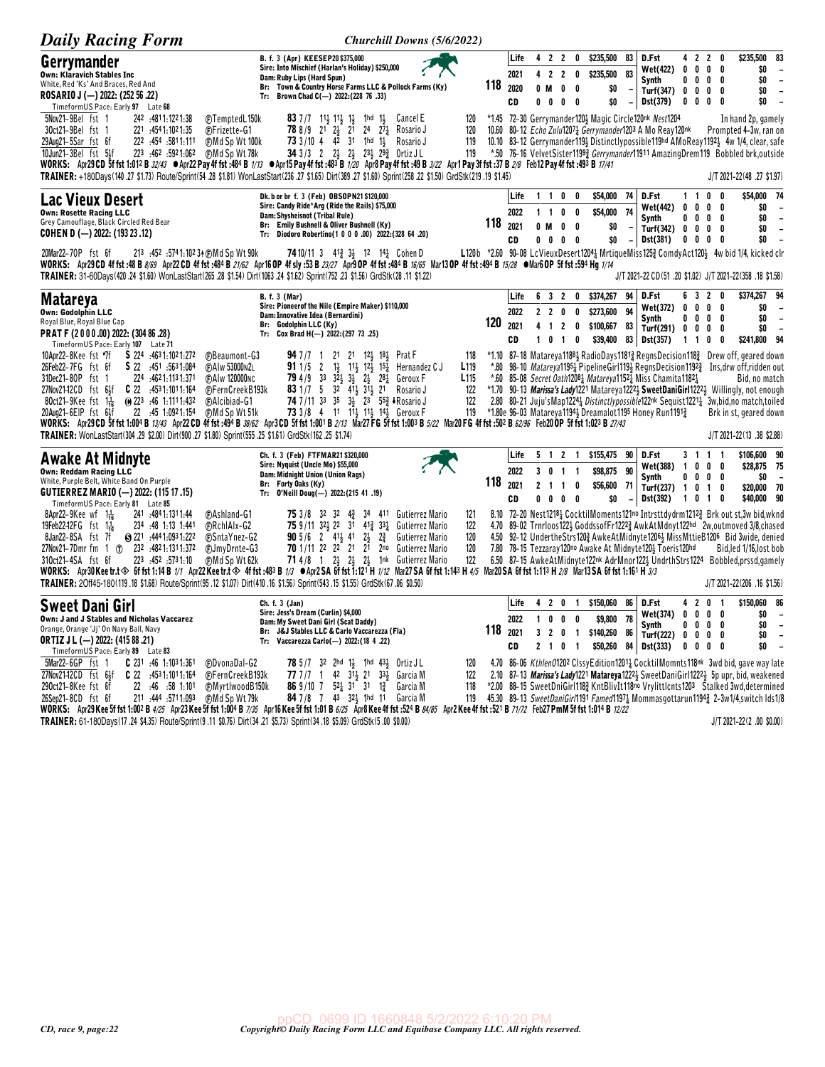| <b>Daily Racing Form</b>                                                                                                                                                                                                                                                                                                                                                                                                                                                                                                                                          | Churchill Downs (5/6/2022)                                                                                                                                                                                                                                                                                                                                                                                                                                                                                                                                                                                                                                                                                                                                                                                                                                                                                                                                                                    |                                                                  |               |                            |                                                                                               |                                                |                                                                                                       |                                |                                                                                                                                                                                    |                                                                                |        |                                                                                         |                                                                                                                                                                                                                                                                                                                                                                                                                                                                                                                                                                                              |
|-------------------------------------------------------------------------------------------------------------------------------------------------------------------------------------------------------------------------------------------------------------------------------------------------------------------------------------------------------------------------------------------------------------------------------------------------------------------------------------------------------------------------------------------------------------------|-----------------------------------------------------------------------------------------------------------------------------------------------------------------------------------------------------------------------------------------------------------------------------------------------------------------------------------------------------------------------------------------------------------------------------------------------------------------------------------------------------------------------------------------------------------------------------------------------------------------------------------------------------------------------------------------------------------------------------------------------------------------------------------------------------------------------------------------------------------------------------------------------------------------------------------------------------------------------------------------------|------------------------------------------------------------------|---------------|----------------------------|-----------------------------------------------------------------------------------------------|------------------------------------------------|-------------------------------------------------------------------------------------------------------|--------------------------------|------------------------------------------------------------------------------------------------------------------------------------------------------------------------------------|--------------------------------------------------------------------------------|--------|-----------------------------------------------------------------------------------------|----------------------------------------------------------------------------------------------------------------------------------------------------------------------------------------------------------------------------------------------------------------------------------------------------------------------------------------------------------------------------------------------------------------------------------------------------------------------------------------------------------------------------------------------------------------------------------------------|
| Gerrymander<br><b>Own: Klaravich Stables Inc</b><br>White, Red 'Ks' And Braces, Red And<br>ROSARIO J (-) 2022: (252 56 .22)<br>TimeformUS Pace: Early 97 Late 68<br>5Nov21-9Bel fst 1<br>242 :4811:1221:38<br>30ct21-9Bel fst 1<br>221 :454 1:102 1:35<br>29Aug21-5Sar fst 6f<br>11:111.581.122 .454<br>10Jun21-3Bel fst 5}f<br>223 462 5921.062                                                                                                                                                                                                                  | B. f. 3 (Apr) KEESEP20 \$375,000<br>Sire: Into Mischief (Harlan's Holiday) \$250,000<br>Dam: Ruby Lips (Hard Spun)<br>Br: Town & Country Horse Farms LLC & Pollock Farms (Ky)<br>Tr: Brown Chad C(-) 2022: (228 76 .33)<br>FTemptedL150k<br><b>83</b> 7 / 7 1 1 $\frac{1}{2}$ 1 $\frac{1}{2}$ 1 $\frac{1}{2}$<br>1hd $1\frac{1}{2}$<br>Cancel E<br>(F)Frizette-G1<br>78 8/9 21 23 21<br>$24$ $27\frac{1}{4}$<br>Rosario J<br>73 3/10 4 42 31 1hd 1 <sub>2</sub><br>⊕Md Sp Wt 100k<br>Rosario J<br>(F)Md Sp Wt 78k<br>34 3/3 2 2 3 2 2 $2\frac{1}{2}$ $2\frac{3}{2}$ $2\frac{93}{2}$ Ortiz JL<br>WORKS: Apr29CD 5f fst 1:012 B <i>32/43</i> •Apr22 Pay 4f fst :484 B <i>1/13</i> •Apr15 Pay 4f fst :483 B <i>1/20</i> Apr8 Pay 4f fst :49 B <i>3/22</i> Apr1 Pay 3f fst :37 B <i>2/8</i> Feb12 Pay 4f fst :493 B <i>17/41</i><br>TRAINER: +180Days(140 .27 \$1.73) Route/Sprint(54 .28 \$1.81) WonLastStart(236 .27 \$1.65) Dirt(389 .27 \$1.60) Sprint(258 .22 \$1.50) GrdStk(219 .19 \$1.45) | 120<br>120<br>119<br>119                                         | 118           | Life<br>2021<br>2020<br>CD | 4 2 2<br>42<br>0 M<br>0<br>0                                                                  | $\overline{2}$<br>0<br>0                       | \$235,500<br>0<br>0<br>\$235,500<br>$\overline{\phantom{a}}$<br>- 0                                   | 83<br>83<br>\$0<br>\$0         | D.Fst<br>Wet(422)<br>Synth<br>Turf(347) 0 0 0 0<br>Dst(379)<br>*1.45 72-30 Gerrymander120} Magic Circle120nk Nest1204<br>10.60 80-12 Echo Zulu12071 Gerrymander1203 A Mo Reay120nk | 0<br>$0\quad 0$                                                                | 0      | 4 2 2 0<br>$0\ 0\ 0\ 0$<br>0<br>0<br>0<br>0                                             | \$235,500<br>83<br>\$0<br>$\overline{\phantom{a}}$<br>\$0<br>$\overline{\phantom{a}}$<br>\$0<br>$\overline{\phantom{a}}$<br>\$0<br>In hand 2p, gamely<br>Prompted 4-3w, ran on<br>10.10 83-12 Gerrymander119} Distinctlypossible119hd AMoReay1192} 4w 1/4, clear, safe<br>*.50 76-16 VelvetSister1199 <sub>2</sub> Gerrymander11911 AmazingDrem119 Bobbled brk, outside<br>J/T 2021-22(48 .27 \$1.97)                                                                                                                                                                                        |
| Lac Vieux Desert<br><b>Own: Rosette Racing LLC</b><br>Grey Camouflage, Black Circled Red Bear<br><b>COHEN D (-) 2022: (193 23 .12)</b><br>20Mar22-70P fst 6f<br>213 :452 :5741:102 34 (F) Md Sp Wt 90k                                                                                                                                                                                                                                                                                                                                                            | Dk. b or br f. 3 (Feb) OBSOPN21 \$120,000<br>Sire: Candy Ride*Arg (Ride the Rails) \$75,000<br>Dam: Shysheisnot (Tribal Rule)<br>Br: Emily Bushnell & Oliver Bushnell (Ky)<br>Tr: Diodoro Robertino(1 0 0 0 .00) 2022: (328 64 .20)<br><b>74</b> 10/11 3 41 <sup>3</sup> 3 <sup>1</sup> 12 14 <sup>1</sup> / <sub>2</sub> Cohen D<br>WORKS: Apr29CD 4f fst:48 B 8/69 Apr22CD 4f fst:484 B 2/62 Apr16 OP 4f sly:53 B 23/27 Apr3 OP 4f fst:484 B 16/65 Mar13 OP 4f fst:494 B 15/28 .Mar6 OP 5f fst:594 Hg 1/14<br>TRAINER: 31-60Days(420.24 \$1.60) WonLastStart(265.28 \$1.54) Dirt(1063.24 \$1.62) Sprint(752.23 \$1.56) GrdStk(28.11 \$1.22)                                                                                                                                                                                                                                                                                                                                                 |                                                                  | 118           | Life<br>2022<br>2021<br>CD | $1\quad1$<br>$1\quad1$<br>0 M<br>0<br>0                                                       | 0<br>0<br>0<br>0<br>- 0                        | \$54,000<br>0<br>0<br>\$54,000<br>0                                                                   | 74<br>74<br>\$0<br>\$0         | D.Fst<br>Wet(442)<br>Synth<br>Turf $(342) 0 0$<br><b>Dst(381)</b>                                                                                                                  | 0                                                                              | 0      | 1 1 0 0<br>$0\quad 0\quad 0\quad 0$<br>0<br>0<br>$0\quad 0$<br>$0\ 0\ 0\ 0$             | \$54,000 74<br>\$0<br>$\overline{\phantom{a}}$<br>\$0<br>$\overline{\phantom{a}}$<br>\$0<br>$\overline{\phantom{a}}$<br>\$0<br>L120b *2.60 90-08 LcVieuxDesert1204 <sup>1</sup> / <sub>4</sub> MrtiqueMiss125 <sup>2</sup> /2 ComdyAct1204 4w bid 1/4, kicked clr<br>J/T 2021-22 CD(51 .20 \$1.02) J/T 2021-22(358 .18 \$1.58)                                                                                                                                                                                                                                                               |
| <b>Matareya</b><br>Own: Godolphin LLC<br>Royal Blue, Royal Blue Cap<br>PRAT F (2000.00) 2022: (304 86.28)<br>TimeformUS Pace: Early 107 Late 71<br>10Apr22-8Kee fst *7f<br>S 224 4631.1021.272<br>26Feb22-7FG fst 6f<br>S 22 :451 :5631:084<br>31Dec21-80P fst 1<br>224 :4621:1131:371<br>$C$ 22 :4531:1011:164<br>27Nov2142CD fst 64f<br>80ct21-9Kee fst $1\frac{1}{16}$<br>$\omega$ 223 :46 1:1111:432<br>22 :45 1:0921:154<br>20Aug21-6EIP fst 6}f<br>TRAINER: WonLastStart(304 .29 \$2.00) Dirt(900 .27 \$1.80) Sprint(555 .25 \$1.61) GrdStk(162 .25 \$1.74) | <b>B.</b> f. 3 (Mar)<br>Sire: Pioneerof the Nile (Empire Maker) \$110,000<br>Dam: Innovative Idea (Bernardini)<br>Br: Godolphin LLC (Ky)<br>Tr: Cox Brad H(-) 2022:(297 73 .25)<br>21 21 12 18 Prat F<br><b>C</b> Beaumont-G3<br>947/771<br>$1\frac{1}{2}$<br>$11\frac{1}{2}$ $12\frac{1}{2}$ $15\frac{1}{4}$<br>(F)AIw 53000N2L<br><b>91</b> 1/5 2<br>Hernandez C J<br>$3^2\frac{1}{2}$ $3^1\frac{1}{2}$ $2^1\frac{1}{2}$<br><b>FAIw 120000NC</b><br>$794/9$ 33<br>$28\frac{1}{4}$<br>Geroux F<br>83 1/7 5 32 414 314 21<br><b>C</b> FernCreekB193k<br>Rosario J<br>74 7/11 33 35 34 23 553 IRosario J<br><b>CAlcibiad-G1</b><br><b>CMd Sp Wt 51k</b><br>73 3/8 4 11 113 113 143 Geroux F<br>WORKS: Apr29 CD 5f fst 1:004 B <i>13/43</i> Apr22 CD 4f fst :494 B <i>38/62</i> Apr3 CD 5f fst 1:001 B <i>2/13</i> Mar27 FG 5f fst 1:003 B 5/22 Mar20 FG 4f fst :502 B 62/96 Feb20 OP 5f fst 1:023 B 27/43                                                                                      | 118<br>L <sub>119</sub><br>L <sub>115</sub><br>122<br>122<br>119 | 120<br>$^*80$ | Life<br>2022<br>2021<br>CD | 6 3 2<br>$\mathbf{2}$<br>$\overline{2}$<br>4<br>$\overline{1}$<br>$\mathbf 0$<br>$\mathbf{1}$ | 0<br>$\overline{2}$<br>$\mathbf{1}$            | \$374,267<br>0<br>\$273,600<br>0<br>0<br>0<br>\$39,400                                                | 94<br>94<br>\$100,667 83<br>83 | D.Fst<br>Wet(372)<br>Synth<br>Turf(291)<br>Dst(357)<br>*.60 85-08 Secret Oath12081 Matareya11521 Miss Chamita11821<br>*1.80e 96-03 Matareya11943 Dreamalot1195 Honey Run11913      | 63<br>0<br>$0\quad 0$<br>$1\quad1$                                             | 0      | $\mathbf{2}$<br>0<br>0<br>0<br>$0\,0\,0\,0$<br>0<br>0<br>0<br>0                         | \$374,267 94<br>\$0<br>\$0<br>$\overline{\phantom{a}}$<br>\$0<br>\$241,800 94<br>*1.10 87-18 Matareya11884 RadioDays11813 RegnsDecision1183 Drew off, geared down<br>98-10 <i>Matareya</i> 1195 <sub>4</sub> PipelineGirl119 <sub>3</sub> RegnsDecision1192 <sub>4</sub> Ins, drw off, ridden out<br>Bid, no match<br>*1.70 90-13 Marissa's Lady1221 Matareya1222 <sup>1</sup> SweetDaniGirl1222 <sup>1</sup> Willingly, not enough<br>2.80 80-21 Juju's Map12241 Distinctly possible 122nk Sequist 12211 3w, bid, no match, toiled<br>Brk in st, geared down<br>J/T 2021-22 (13 .38 \$2.88) |
| Awake At Midnyte<br><b>Own: Reddam Racing LLC</b><br>White, Purple Belt, White Band On Purple<br>GUTIERREZ MARIO (-) 2022: (115 17 .15)<br>TimeformUS Pace: Early 81 Late 85<br>8Apr22–9Kee wf $1\frac{1}{16}$<br>241 .4841.1311.44<br>19Feb22-12FG $f$ st 1 $\frac{1}{16}$<br>234 :48 1:13 1:441<br>8Jan22-8SA fst 7f<br>● 221 :4441:0931:222<br>27Nov21-7Dmr fm 1 (p) 232 :4821:1311:372<br>223 :452 :5731:10<br>310ct21-4SA fst 6f                                                                                                                             | Ch. f. 3 (Feb) FTFMAR21 \$320,000<br>Sire: Nyquist (Uncle Mo) \$55,000<br>Dam: Midnight Union (Union Rags)<br>Br: Forty Oaks (Ky)<br>Tr: 0'Neill Doug(-) 2022: (215 41 .19)<br><b>75</b> 3/8 32 32 4 <sup>3</sup> 34 411 Gutierrez Mario<br><b>CAshland-G1</b><br><b>FRchIAIx-G2</b><br>75 9/11 323 22 31 413 331<br>Gutierrez Mario<br><b>90</b> 5/6 2 41 <sup>1</sup> / <sub>2</sub> 41 2 <sup>1</sup> / <sub>2</sub> 2 <sup>3</sup> / <sub>4</sub><br><b>FSntaYnez-G2</b><br>Gutierrez Mario<br><b>70</b> 1/11 22 22 21 21<br><b>CJmyDrnte-G3</b><br>2 <sup>no</sup> Gutierrez Mario<br><b>FMd Sp Wt 62k</b><br><b>71</b> 4/8 1 2 23 2 24 1nk Gutierrez Mario<br>WORKS: Apr30Keetr.t� 6ffst 1:14 B 1/1 Apr22Keetr.t� 4ffst :483 B 1/3 ●Apr2SA 6ffst 1:12「H 1/12 Mar27SA 6ffst 1:143 H 4/5 Mar2OSA 6ffst 1:113 H 2/8 Mar13SA 6ffst 1:161 H 3/3<br>TRAINER: 20ff45-180(119.18 \$1.68) Route/Sprint(95.12 \$1.07) Dirt(410.16 \$1.56) Sprint(543.15 \$1.55) GrdStk(67.06 \$0.50)              | 121<br>122<br>120<br>120<br>122                                  | 118           | Life<br>2022<br>2021<br>CD | 5 1 2<br>3 <sub>0</sub><br>$\mathbf{2}$<br>$\overline{\mathbf{1}}$<br>$0\quad 0$              | $\overline{1}$<br>$\overline{1}$<br>$0\quad 0$ | \$155,475<br>$\overline{1}$<br>\$98,875<br>\$56,600<br>0                                              | 90<br>90<br>71<br>\$0          | D.Fst<br>Wet(388)<br>Synth<br>Turf(237) 1 0 1<br>Dst(392)<br>7.80 78-15 Tezzaray120no Awake At Midnyte120} Toeris120hd                                                             | $\overline{1}$<br>$0\quad 0$<br>1 0 1                                          |        | 3 1 1 1<br>$0\quad 0\quad 0$<br>$0\quad 0$<br>0<br>0                                    | \$106,600 90<br>\$28,875 75<br>\$0<br>. —<br>\$20,000 70<br>\$40,000 90<br>8.10 72-20 Nest12181 CocktilMoments121no Intrsttdydrm12123 Brk out st,3w bid,wknd<br>4.70 89-02 Trnrloos1223 GoddssofFr12223 AwkAtMdnyt122hd 2w,outmoved 3/8, chased<br>4.50 92-12 Underthe Strs1202 Awke At Midnyte 12063 Miss Mttie B1206 Bid 3 wide, denied<br>Bid, led 1/16, lost bob<br>6.50 87-15 AwkeAtMidnyte122nk AdrMnor1223 UndrthStrs1224 Bobbled, prssd, gamely<br>J/T 2021-22(206 .16 \$1.56)                                                                                                       |
| Sweet Dani Girl<br>Own: J and J Stables and Nicholas Vaccarez<br>Orange, Orange 'Jj' On Navy Ball, Navy<br><b>ORTIZ J L (-) 2022: (415 88 .21)</b><br>TimeformUS Pace: Early 89 Late 83<br>5Mar22-6GP fst 1<br>$C$ 231 :46 1:1031:361<br>$C$ 22 :4531:1011:164<br>27Nov21–12CD fst 6½<br>22 :46 :58 1:101<br>290ct21-8Kee fst 6f<br>26Sep21-8CD fst 6f<br>211 :444 :5711:093                                                                                                                                                                                      | Ch. f. 3 (Jan)<br>Sire: Jess's Dream (Curlin) \$4,000<br>Dam: My Sweet Dani Girl (Scat Daddy)<br>Br: J&J Stables LLC & Carlo Vaccarezza (Fla)<br>Vaccarezza Carlo(-) 2022: (18 4 .22)<br>Tr:<br>©DvonaDal-G2<br><b>78</b> $5/7$ 32 2hd 1 <sup>1</sup> / <sub>3</sub> 1hd 43 <sup>1</sup> / <sub>3</sub> Ortiz JL<br>42 31 21<br><b>C</b> FernCreekB193k<br>77 7/7 1<br>3 <sup>3</sup> Garcia M<br>86 9/10 7 $52\frac{1}{4}$ 31 31<br><b><i>@MyrtlwoodB150k</i></b><br>$1\frac{3}{4}$<br>Garcia M<br>84 7/8 7 43 324 1hd 11 Garcia M<br>⊕Md Sp Wt 79k<br>WORKS: Apr29 Kee 5f fst 1:002 B 4/25 Apr23 Kee 5f fst 1:004 B 7/35 Apr16 Kee 5f fst 1:01 B 6/25 Apr8 Kee 4f fst :524 B 84/85 Apr2 Kee 4f fst :521 B 71/72 Feb27 PmM 5f fst 1:014 B 12/22                                                                                                                                                                                                                                              | 120<br>122<br>118<br>119                                         | 118           | Life<br>2022<br>2021<br>CD | 4 2 0<br>$\mathbf{1}$<br>0<br>3 <sub>2</sub><br>$2 \quad 1 \quad 0$                           | 0<br>$\mathbf 0$                               | \$150,060<br>$\mathbf{1}$<br>0<br>\$140,260<br>$\overline{1}$<br>\$50,260<br>$\overline{\phantom{a}}$ | 86<br>78<br>\$9,800<br>86      | D.Fst<br>Wet(374)<br>Synth<br>Turf(222)<br>84 Dst(333)                                                                                                                             | 4 <sub>2</sub><br>$\mathbf{0}$<br>$0\quad 0$<br>$\mathbf{0}$<br>0 <sub>0</sub> | 0<br>0 | $\mathbf 0$<br>- 1<br>$0\quad 0$<br>$0\quad 0$<br>$\mathbf 0$<br>0<br>$\mathbf{0}$<br>0 | \$150,060 86<br>\$0<br>$\overline{\phantom{0}}$<br>\$0<br>$\overline{\phantom{a}}$<br>\$0<br>$\blacksquare$<br>\$0<br>4.70 86-06 Kthlen01202 ClssyEdition12014 CocktilMomnts118nk 3wd bid, gave way late<br>2.10 87-13 Marissa's Lady1221 Matareya1222 <sup>1</sup> SweetDaniGirl1222 <sup>1</sup> 5p upr, bid, weakened<br>*2.00 88-15 SweetDniGirl118} KntBlivIt118no Vrylittlcnts1203 Stalked 3wd, determined<br>45.30 89-13 SweetDaniGirl1191 Famed11974 Mommasgottarun1194 2-3w1/4,switch lds1/8                                                                                        |

TRAINER: 61-180Days(17.24 \$4.35) Route/Sprint(9.11 \$0.76) Dirt(34.21 \$5.73) Sprint(34.18 \$5.09) GrdStk(5.00 \$0.00)

J/T 2021-22(2 .00 \$0.00)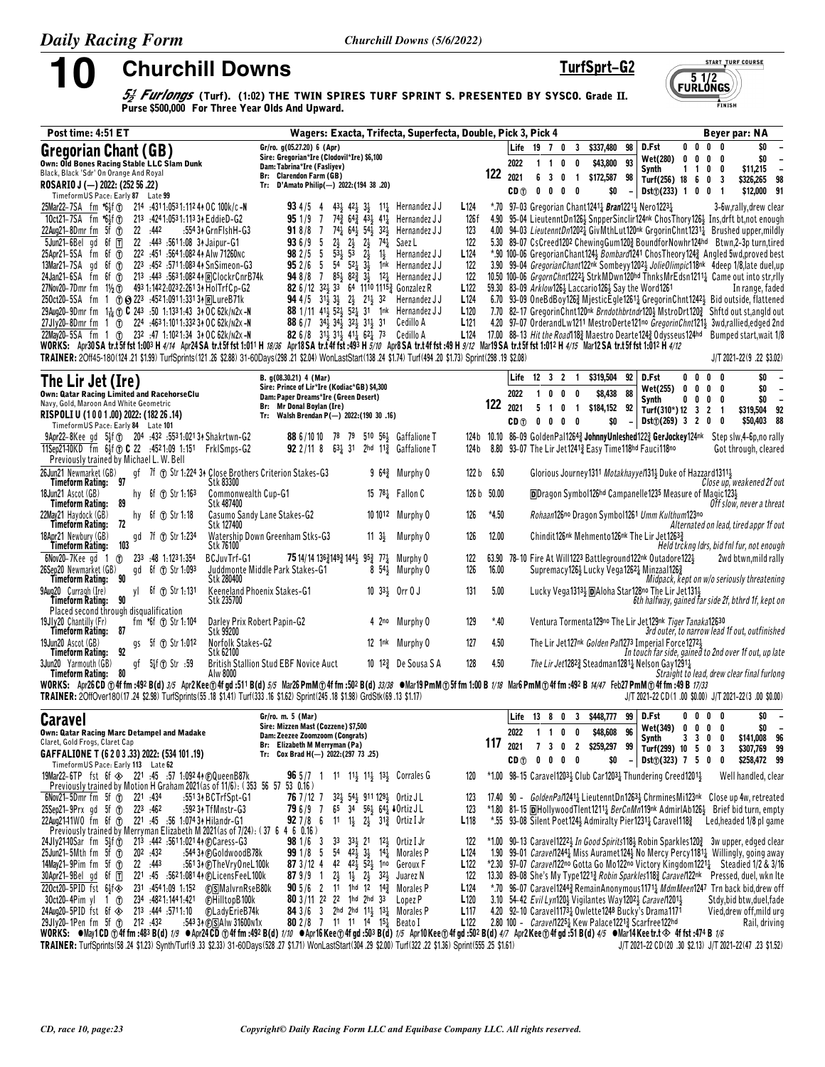10

**Churchill Downs** 

TurfSprt-G2

**START TURF COURSE** 

FINISH

 $51/2$ <br>FURLONGS

 $\frac{f_2}{f_2}$  Furlongs (Turf). (1:02) THE TWIN SPIRES TURF SPRINT S. PRESENTED BY SYSCO. Grade II.<br>Purse \$500,000 For Three Year Olds And Upward.

| Post time: 4:51 ET                                                                                                                                                                                                                                                                                                                                      |                                                                                                                                                                              | Wagers: Exacta, Trifecta, Superfecta, Double, Pick 3, Pick 4                                                                                               |                          |               |                 |                                                                             |                                                                                                                   |                          |                                                 |                     |                                          | Beyer par: NA                                                                                                                                                                      |
|---------------------------------------------------------------------------------------------------------------------------------------------------------------------------------------------------------------------------------------------------------------------------------------------------------------------------------------------------------|------------------------------------------------------------------------------------------------------------------------------------------------------------------------------|------------------------------------------------------------------------------------------------------------------------------------------------------------|--------------------------|---------------|-----------------|-----------------------------------------------------------------------------|-------------------------------------------------------------------------------------------------------------------|--------------------------|-------------------------------------------------|---------------------|------------------------------------------|------------------------------------------------------------------------------------------------------------------------------------------------------------------------------------|
| Gregorian Chant (GB)                                                                                                                                                                                                                                                                                                                                    | Gr/ro. g(05.27.20) 6 (Apr)<br>Sire: Gregorian*Ire (Clodovil*Ire) \$6,100                                                                                                     |                                                                                                                                                            |                          |               |                 | Life 19 7 0                                                                 | $\overline{\mathbf{3}}$<br>\$337,480                                                                              | 98                       | D.Fst                                           | $0\quad 0$          | 0<br>0                                   | \$0                                                                                                                                                                                |
| Own: Old Bones Racing Stable LLC Slam Dunk                                                                                                                                                                                                                                                                                                              | Dam: Tabrina*Ire (Fasliyev)                                                                                                                                                  |                                                                                                                                                            |                          |               | 2022            | $1\quad1\quad0$                                                             | \$43,800<br>0                                                                                                     | 93                       | Wet(280) 0<br><b>Synth</b>                      | 0<br>$1\quad1$      | 0<br>0<br>0<br>0                         | \$0<br>\$11,215                                                                                                                                                                    |
| Black, Black 'Sdr' On Orange And Royal<br>ROSARIO J (-) 2022: (252 56 .22)                                                                                                                                                                                                                                                                              | Br: Clarendon Farm (GB)<br>Tr: D'Amato Philip(-) 2022: (194 38 .20)                                                                                                          |                                                                                                                                                            |                          | 122           | 2021            | 6 3 0 1                                                                     | \$172,587 98                                                                                                      |                          | Turf(256) 18 6                                  |                     | 0<br>3                                   | \$326,265<br>98                                                                                                                                                                    |
| TimeformUS Pace: Early 87 Late 99                                                                                                                                                                                                                                                                                                                       |                                                                                                                                                                              |                                                                                                                                                            |                          |               | CD <sub>①</sub> | 0 <sub>0</sub><br>$0\quad 0$                                                | \$0                                                                                                               |                          | Dist() (233) 1 0 0                              |                     | - 1                                      | \$12,000<br>91                                                                                                                                                                     |
| 25Mar22-7SA fm *63f (1) 214 :4311:0531:1124 AOC 100k/c-N                                                                                                                                                                                                                                                                                                | 934/54                                                                                                                                                                       | $43\frac{1}{2}$ $42\frac{1}{2}$ $3\frac{1}{2}$ $11\frac{1}{4}$ Hernandez JJ                                                                                | L124                     |               |                 |                                                                             | *.70 97-03 Gregorian Chant12411 Bran12211 Nero12231                                                               |                          |                                                 |                     |                                          | 3-6w,rally, drew clear                                                                                                                                                             |
| 10ct21-7SA fm *6}f (T)<br>213 : 424 1:053 1:113 34 EddieD-G2<br>22Aug21-8Dmr fm $5f$ $\circled$<br>22 .442<br>:554 34 GrnFlshH-G3                                                                                                                                                                                                                       | 951/97<br>$74\frac{1}{4}$ 64 $\frac{1}{2}$ 54 $\frac{1}{2}$<br>918/8 7                                                                                                       | 74 <sub>2</sub> 64 <sub>2</sub> 43 <sub>2</sub> 41 <sub>2</sub> Hernandez JJ<br>32 <sup>1</sup> / <sub>2</sub> Hernandez J J                               | 126f<br>123              |               |                 |                                                                             |                                                                                                                   |                          |                                                 |                     |                                          | 4.90 95-04 LieutenntDn126} SnpperSinclir124nk ChosThory126} Ins, drft bt, not enough<br>4.00 94-03 LieutenntDn12021 GivMthLut120nk GrgorinChnt12311 Brushed upper, mildly          |
| $5$ Jun21-6Bel gd 6f $\overline{\mathsf{T}}$<br>22 :443 :5611:08 34 Jaipur-G1                                                                                                                                                                                                                                                                           | $2\frac{1}{2}$<br>936/95                                                                                                                                                     | $2\frac{1}{2}$ $2\frac{1}{2}$ $74\frac{1}{4}$<br>Saez L                                                                                                    | 122                      |               |                 |                                                                             |                                                                                                                   |                          |                                                 |                     |                                          | 5.30 89-07 CsCreed1202 ChewingGum1202 BoundforNowhr124hd Btwn,2-3p turn,tired                                                                                                      |
| 222 :451 :564 1:082 44 Alw 71260NC<br>$25$ Apr21-5SA fm 6f $1$                                                                                                                                                                                                                                                                                          | $53\frac{1}{2}$<br>982/55                                                                                                                                                    | $53 \t2\frac{1}{2}$<br>$1\frac{1}{2}$<br>Hernandez J J                                                                                                     | L <sub>124</sub>         |               |                 |                                                                             |                                                                                                                   |                          |                                                 |                     |                                          | *.90 100-06 Gregorian Chant124} Bombard1241 Chos Theory 1243 Angled 5wd, proved best                                                                                               |
| 13Mar21-7SA gd 6f $\overline{0}$ 223 :452 :5711:083 44 SnSimeon-G3                                                                                                                                                                                                                                                                                      | <b>95</b> 2/6 5 54 52 $\frac{1}{4}$ 3 $\frac{1}{2}$                                                                                                                          | 1 <sup>nk</sup> Hernandez J J                                                                                                                              | 122                      |               |                 |                                                                             |                                                                                                                   |                          |                                                 |                     |                                          | 3.90 99-04 Gregorian Chant122nk Sombeyy 1202 3 Jolie Olimpic 118nk 4deep 1/8, late duel, up                                                                                        |
| 24Jan21-6SA fm 6f 1 213 :443 :5631:082 44 RClockrCnrB74k<br>27Nov20-7Dmr fm 11/2 (f) 493 1:142 2:023 2:261 34 HolTrfCp-G2                                                                                                                                                                                                                               |                                                                                                                                                                              | 94 8/8 7 85 $\frac{1}{2}$ 82 $\frac{3}{4}$ 3 $\frac{1}{2}$ 12 $\frac{1}{4}$ Hernandez JJ<br>82 6/12 324 33 64 1110 11153 Gonzalez R                        | 122<br>L <sub>122</sub>  |               |                 |                                                                             | 59.30 83-09 Arklow1264 Laccario1264 Say the Word1261                                                              |                          |                                                 |                     |                                          | 10.50 100-06 GrgornChnt1222} StrkMDwn120hd ThnksMrEdsn1211} Came out into str.rlly<br>In range, faded                                                                              |
| 250ct20-5SA fm 1 (f) @ 223 :4521:0911:33134 RLureB71k                                                                                                                                                                                                                                                                                                   |                                                                                                                                                                              | 94 4/5 313 33 23 213 32 Hernandez JJ                                                                                                                       | L <sub>124</sub>         |               |                 |                                                                             |                                                                                                                   |                          |                                                 |                     |                                          | 6.70 93-09 OneBdBoy1263 MjesticEgle1261 Gregorin Chnt1242 Bid outside, flattened                                                                                                   |
| 29Aug20-9Dmr fm 1 <sup>1</sup> <sub>16</sub> TO C 243 :50 1:1331:43 34 OC 62k/n2x -N                                                                                                                                                                                                                                                                    |                                                                                                                                                                              | 88 1/11 41 <sup>1</sup> / <sub>2</sub> 5 <sup>2</sup> <sup>1</sup> / <sub>2</sub> 5 <sup>2</sup> <sup>1</sup> / <sub>31</sub> 1 <sup>nk</sup> Hernandez JJ | L <sub>120</sub>         |               |                 |                                                                             |                                                                                                                   |                          |                                                 |                     |                                          | 7.70 82-17 Gregorin Chnt120nk Brndothbrtndr120} MstroDrt120} Shftd out st,angld out                                                                                                |
| 27JIy20-8Dmr fm 1 (f) 224 :4631:1011:33234 OC 62k/n2x-N<br>22May20-5SA fm 1 (f) 232 :47 1:1021:34 34 OC 62k/n2x-N                                                                                                                                                                                                                                       | 88 6 /7 34 34 34 32 31 31<br>82 6/8 31 <sup>1</sup> / <sub>2</sub> 31 <sup>1</sup> / <sub>2</sub> 41 <sup>1</sup> / <sub>4</sub> 62 <sup>1</sup> / <sub>4</sub> 73 Cedillo A | Cedillo A                                                                                                                                                  | L121<br>L124             |               |                 |                                                                             |                                                                                                                   |                          |                                                 |                     |                                          | 4.20 97-07 OrderandLw1211 MestroDerte121no GregorinChnt121} 3wd,rallied,edged 2nd<br>17.00 88-13 Hit the Road1183 Maestro Dearte1243 Odysseus124hd Bumped start, wait 1/8          |
| WORKS: Apr30SA tr.t5f fst 1:003 H 4/14 Apr24SA tr.t5f fst 1:011 H 18/36 Apr18SA tr.t4f fst :493 H 5/10 Apr8SA tr.t4f fst :498 H 9/12 Mar19SA tr.t5f fst 1:012 H 4/15 Mar12SA tr.t5f fst 1:012 H 4/12                                                                                                                                                    |                                                                                                                                                                              |                                                                                                                                                            |                          |               |                 |                                                                             |                                                                                                                   |                          |                                                 |                     |                                          |                                                                                                                                                                                    |
| TRAINER: 20ff45-180(124 .21 \$1.99) TurfSprints(121 .26 \$2.88) 31-60Days(298 .21 \$2.04) WonLastStart(138 .24 \$1.74) Turf(494 .20 \$1.73) Sprint(298 .19 \$2.08)                                                                                                                                                                                      |                                                                                                                                                                              |                                                                                                                                                            |                          |               |                 |                                                                             |                                                                                                                   |                          |                                                 |                     |                                          | J/T 2021-22(9 .22 \$3.02)                                                                                                                                                          |
| The Lir Jet (Ire)                                                                                                                                                                                                                                                                                                                                       | B. g(08.30.21) 4 (Mar)                                                                                                                                                       |                                                                                                                                                            |                          |               |                 | Life 12 3 2 1                                                               | \$319,504                                                                                                         | 92                       | D.Fst                                           |                     | $0\,0\,0\,0$                             | \$0                                                                                                                                                                                |
| <b>Own: Qatar Racing Limited and RacehorseClu</b>                                                                                                                                                                                                                                                                                                       | Sire: Prince of Lir*Ire (Kodiac*GB) \$4,300<br>Dam: Paper Dreams*Ire (Green Desert)                                                                                          |                                                                                                                                                            |                          |               | 2022            | 1000                                                                        | \$8,438                                                                                                           | 88                       | Wet(255)<br>Synth                               | 0<br>0<br>0<br>0    | $0\quad 0$<br>0<br>0                     | \$0<br>$\overline{\phantom{a}}$<br>\$0<br>$\overline{\phantom{a}}$                                                                                                                 |
| Navy, Gold, Maroon And White Geometric<br>RISPOLI U (1001.00) 2022: (182 26 .14)                                                                                                                                                                                                                                                                        | Br: Mr Donal Boylan (Ire)<br>Tr: Walsh Brendan $P(-)$ 2022:(190 30 .16)                                                                                                      |                                                                                                                                                            |                          | 122 $_{2021}$ |                 | 5 <sub>1</sub><br>0 <sub>1</sub>                                            | \$184,152                                                                                                         | 92                       | Turf(310*) 12 3                                 |                     | $\mathbf{2}$<br>$\overline{\phantom{a}}$ | \$319,504 92                                                                                                                                                                       |
| TimeformUS Pace: Early 84 Late 101                                                                                                                                                                                                                                                                                                                      |                                                                                                                                                                              |                                                                                                                                                            |                          |               | CD <sub>1</sub> | 0 <sub>0</sub><br>$0\quad 0$                                                | \$0                                                                                                               | $\overline{\phantom{a}}$ | Dist() (269) 3 2 0                              |                     | 0                                        | \$50,403 88                                                                                                                                                                        |
| 9Apr22-8Kee gd 5 <sup>1</sup> 5f (7) 204 :432 :5531:02134 Shakrtwn-G2                                                                                                                                                                                                                                                                                   |                                                                                                                                                                              | 88 6/10 10 78 79 510 564 Gaffalione T                                                                                                                      |                          |               |                 |                                                                             |                                                                                                                   |                          |                                                 |                     |                                          | 124b 10.10 86-09 GoldenPal12643 JohnnyUnleshed1223 GerJockey124nk Step slw,4-6p,no rally                                                                                           |
| 11Sep2140KD fm 6}f TO C 22 :4521:09 1:151 FrkISmps-G2<br>Previously trained by Michael L. W. Bell                                                                                                                                                                                                                                                       |                                                                                                                                                                              | 92 2/11 8 631 31 2hd 113 Gaffalione T                                                                                                                      | 124 b                    |               |                 |                                                                             | 8.80 93-07 The Lir Jet12413 Easy Time118hd Fauci118ho                                                             |                          |                                                 |                     |                                          | Got through, cleared                                                                                                                                                               |
| 26Jun21 Newmarket (GB)<br>gf 7f T Str 1:224 34 Close Brothers Criterion Stakes-G3                                                                                                                                                                                                                                                                       |                                                                                                                                                                              | $9.6423$ Murphy 0                                                                                                                                          | 122 b                    | 6.50          |                 |                                                                             | Glorious Journey 1311 Motakhayye/131½ Duke of Hazzard 1311½                                                       |                          |                                                 |                     |                                          |                                                                                                                                                                                    |
| <b>Timeform Rating: 97</b><br>Stk 83300<br>Commonwealth Cup-G1<br>18Jun21 Ascot (GB)<br>6f $\oplus$ Str 1:163<br>hy                                                                                                                                                                                                                                     |                                                                                                                                                                              | 15 $78\frac{1}{4}$ Fallon C                                                                                                                                | 126 <sub>b</sub>         | 50.00         |                 |                                                                             | <b>DD</b> ragon Symbol126hd Campanelle1235 Measure of Magic1234                                                   |                          |                                                 |                     |                                          | Close up, weakened 2f out                                                                                                                                                          |
| <b>Timeform Rating:</b><br>89<br>Stk 487400                                                                                                                                                                                                                                                                                                             |                                                                                                                                                                              |                                                                                                                                                            |                          |               |                 |                                                                             |                                                                                                                   |                          |                                                 |                     |                                          | Off slow, never a threat                                                                                                                                                           |
| 22May21 Haydock (GB)<br>6f ① Str 1:18<br>hy<br>72<br><b>Timeform Rating:</b><br>Stk 127400                                                                                                                                                                                                                                                              | Casumo Sandy Lane Stakes-G2                                                                                                                                                  | 10 1012 Murphy 0                                                                                                                                           | 126                      | *4.50         |                 |                                                                             | Rohaan126no Dragon Symbol1261 Umm Kulthum123no                                                                    |                          |                                                 |                     |                                          | Alternated on lead, tired appr 1f out                                                                                                                                              |
| 18Apr21 Newbury (GB)<br>7f ① Str 1:234<br>gd<br>Stk 76100<br>103<br>Timeform Rating:                                                                                                                                                                                                                                                                    | Watership Down Greenham Stks-G3                                                                                                                                              | $11 \frac{31}{2}$<br>Murphy 0                                                                                                                              | 126                      | 12.00         |                 |                                                                             | Chindit126nk Mehmento126nk The Lir Jet12633                                                                       |                          |                                                 |                     |                                          | Held trckng ldrs, bid fnl fur, not enough                                                                                                                                          |
| 233 :48 1:1231:354<br>6Nov20-7Keegd 1<br>$^{\circ}$<br>BCJuvTrf-G1                                                                                                                                                                                                                                                                                      | 75 14/14 13631493 1443 953 771 Murphy 0                                                                                                                                      |                                                                                                                                                            | 122                      |               |                 |                                                                             | 63.90 78-10 Fire At Will1223 Battleground122nk Outadore1221                                                       |                          |                                                 |                     |                                          | 2wd btwn, mild rally                                                                                                                                                               |
| 26Sep20 Newmarket (GB)<br>6f ① Str 1:093<br>gd                                                                                                                                                                                                                                                                                                          | Juddmonte Middle Park Stakes-G1                                                                                                                                              | $8\,54\frac{1}{2}$<br>Murphy 0                                                                                                                             | 126                      | 16.00         |                 |                                                                             | Supremacy 126} Lucky Vega 1262} Minzaal 126}                                                                      |                          |                                                 |                     |                                          |                                                                                                                                                                                    |
| 90<br>Timeform Rating:<br>Stk 280400<br>9Aug20 Curragh (Ire)<br>6f ① Str 1:131<br>yl                                                                                                                                                                                                                                                                    | Keeneland Phoenix Stakes-G1                                                                                                                                                  | 10 $33\frac{1}{2}$ Orr 0 J                                                                                                                                 | 131                      | 5.00          |                 |                                                                             | Lucky Vega13131 [D]Aloha Star128no The Lir Jet1311                                                                |                          |                                                 |                     |                                          | Midpack, kept on w/o seriously threatening                                                                                                                                         |
| 90<br>Timeform Rating:<br>Stk 235700                                                                                                                                                                                                                                                                                                                    |                                                                                                                                                                              |                                                                                                                                                            |                          |               |                 |                                                                             |                                                                                                                   |                          |                                                 |                     |                                          | 6th halfway, gained far side 2f, bthrd 1f, kept on                                                                                                                                 |
| Placed second through disqualification<br>19Jly20 Chantilly (Fr)<br>fm *6f $\circled{r}$ Str 1:104                                                                                                                                                                                                                                                      | Darley Prix Robert Papin-G2                                                                                                                                                  | 4 2no Murphy 0                                                                                                                                             | 129                      | $*40$         |                 |                                                                             | Ventura Tormenta129no The Lir Jet129nk Tiger Tanaka12630                                                          |                          |                                                 |                     |                                          |                                                                                                                                                                                    |
| Timeform Rating:<br>87<br>Stk 99200                                                                                                                                                                                                                                                                                                                     |                                                                                                                                                                              |                                                                                                                                                            |                          |               |                 |                                                                             |                                                                                                                   |                          |                                                 |                     |                                          | 3rd outer, to narrow lead 1f out, outfinished                                                                                                                                      |
| 19Jun20 Ascot (GB)<br>5f ① Str 1:012<br>Norfolk Stakes-G2<br>gs<br>92<br><b>Timeform Rating:</b><br>Stk 62100                                                                                                                                                                                                                                           |                                                                                                                                                                              | 12 1 <sup>nk</sup> Murphy 0                                                                                                                                | 127                      | 4.50          |                 |                                                                             | The Lir Jet127nk Golden Pa/1273 Imperial Force12723                                                               |                          |                                                 |                     |                                          | In touch far side, gained to 2nd over 1f out, up late                                                                                                                              |
| 3Jun20 Yarmouth (GB)<br>5½ f ① Str :59<br>gf<br>- 80<br>Alw 8000<br>Timeform Rating:                                                                                                                                                                                                                                                                    | <b>British Stallion Stud EBF Novice Auct</b>                                                                                                                                 | 10 12 <sup>3</sup> De Sousa S A                                                                                                                            | 128                      | 4.50          |                 |                                                                             | The Lir Jet12823 Steadman12811 Nelson Gay12911                                                                    |                          |                                                 |                     |                                          | Straight to lead, drew clear final furlong                                                                                                                                         |
| WORKS: Apr26 CD ① 4f fm :492 B(d) 3/5 Apr2Kee① 4f gd :511 B(d) 5/5 Mar26 PmM① 4f fm :502 B(d) 33/38 ●Mar19 PmM① 5f fm 1:00 B 1/18 Mar6 PmM① 4f fm :492 B 14/47 Feb27 PmM① 4f fm :498 17/33                                                                                                                                                              |                                                                                                                                                                              |                                                                                                                                                            |                          |               |                 |                                                                             |                                                                                                                   |                          |                                                 |                     |                                          |                                                                                                                                                                                    |
| TRAINER: 2OffOver180(17.24 \$2.98) TurfSprints(55.18 \$1.41) Turf(333.16 \$1.62) Sprint(245.18 \$1.98) GrdStk(69.13 \$1.17)                                                                                                                                                                                                                             |                                                                                                                                                                              |                                                                                                                                                            |                          |               |                 |                                                                             |                                                                                                                   |                          |                                                 |                     |                                          | J/T 2021-22 CD(1.00 \$0.00) J/T 2021-22(3.00 \$0.00)                                                                                                                               |
| <b>Caravel</b>                                                                                                                                                                                                                                                                                                                                          | Gr/ro. m. 5 (Mar)<br>Sire: Mizzen Mast (Cozzene) \$7,500                                                                                                                     |                                                                                                                                                            |                          |               |                 |                                                                             | Life 13 8 0 3 \$448,777 99 D.Fst                                                                                  |                          |                                                 |                     | $0\ 0\ 0\ 0$                             | \$0                                                                                                                                                                                |
| Own: Qatar Racing Marc Detampel and Madake<br>Claret, Gold Frogs, Claret Cap                                                                                                                                                                                                                                                                            | Dam: Zeezee Zoomzoom (Congrats)                                                                                                                                              |                                                                                                                                                            |                          |               | 2022            | 1 1 0                                                                       | 0<br>\$48,608                                                                                                     | 96                       | Wet(349) 0 0 0 0<br>Synth                       | $3 \quad 3 \quad 0$ | 0                                        | \$0<br>\$141,008 96                                                                                                                                                                |
| GAFFALIONE T (6 2 0 3 .33) 2022: (534 101 .19)                                                                                                                                                                                                                                                                                                          | Br: Elizabeth M Merryman (Pa)<br>Tr: Cox Brad H(-) 2022: (297 73 .25)                                                                                                        |                                                                                                                                                            |                          | 117 $_{2021}$ | CD <sub>1</sub> | 7 3 0 2<br>$\begin{array}{ccccccccccccccccc} 0 & 0 & 0 & 0 & 0 \end{array}$ | \$259,297<br>\$0                                                                                                  | 99                       | Turf(299) 10 5 0<br>$-$ Dst $\odot$ (323) 7 5 0 |                     | 3                                        | \$307,769 99<br>\$258,472 99                                                                                                                                                       |
| TimeformUS Pace: Early 113 Late 62<br>19Mar22-6TP fst 6f $\otimes$ 221 :45 :57 1:092 44 (F)QueenB87k                                                                                                                                                                                                                                                    |                                                                                                                                                                              |                                                                                                                                                            | 120                      |               |                 |                                                                             | *1.00 98-15 Caravel12031 Club Car12031 Thundering Creed12011                                                      |                          |                                                 |                     | 0                                        |                                                                                                                                                                                    |
| Previously trained by Motion H Graham 2021 (as of 11/6): (353 56 57 53 0.16)                                                                                                                                                                                                                                                                            |                                                                                                                                                                              | 96 5/7 1 11 11} 11} 13} Corrales G                                                                                                                         |                          |               |                 |                                                                             |                                                                                                                   |                          |                                                 |                     |                                          | Well handled, clear                                                                                                                                                                |
| 6Nov21-5Dmr fm 5f (n) 221 :434<br>:551 34 BCTrfSpt-G1                                                                                                                                                                                                                                                                                                   | 76 7/12 7 32 <sup>1</sup> / <sub>2</sub> 54 <sup>1</sup> / <sub>2</sub> 911 129 <sup>1</sup> / <sub>2</sub> Ortiz JL                                                         |                                                                                                                                                            | 123                      |               |                 |                                                                             |                                                                                                                   |                          |                                                 |                     |                                          | 17.40 90 - $GoldenPa/1241\frac{1}{4}$ Lieutennt Dn 1263 Ehrmines Mi123 <sup>nk</sup> Close up 4w, retreated                                                                        |
| 25Sep21-9Prx gd 5f 1 223 :462<br>:592 34 Tf Mnstr-G3<br>22Aug2141W0 fm 6f (r) 221 :45 :56 1:074 34 Hilandr-G1                                                                                                                                                                                                                                           | <b>79</b> 6/9 7 65 34 561 642 Crtiz JL<br>92 7/8 6 11 13 23 31 $\frac{3}{4}$ Ortiz I Jr                                                                                      |                                                                                                                                                            | 123<br>L <sub>118</sub>  |               |                 |                                                                             | *.55 93-08 Silent Poet124} Admiralty Pier1231 <sub>4</sub> Caravel118 <sub>4</sub>                                |                          |                                                 |                     |                                          | *1.80 81–15 pHollywoodTlent12111 <i>BerCnMn</i> 119nk AdmirlAb1261 Brief bid turn, empty<br>Led, headed 1/8 pl game                                                                |
| Previously trained by Merryman Elizabeth M 2021(as of 7/24): (37 6 4 6 0.16)                                                                                                                                                                                                                                                                            |                                                                                                                                                                              |                                                                                                                                                            |                          |               |                 |                                                                             |                                                                                                                   |                          |                                                 |                     |                                          |                                                                                                                                                                                    |
| 24Jly2140Sar fm 5}f (j) 213 :442 :5611:02144 (j)Caress-G3                                                                                                                                                                                                                                                                                               | 981/63<br>33                                                                                                                                                                 | $33\frac{1}{2}$ 21<br>12} Ortiz I Jr                                                                                                                       | 122                      | *1.00         |                 |                                                                             |                                                                                                                   |                          |                                                 |                     |                                          | 90–13 Caravel1222 <i>In Good Spirits</i> 118 Robin Sparkles 120 3w upper, edged clear<br>1.90 99-01 <i>Caravel</i> 1244 Miss Auramet 124 No Mercy Percy 1181 Willingly, going away |
| 25Jun21-5Mth fm $5f$ $\circled$<br>202 432<br>:544 34 @GoldwoodB78k<br>14May21-9Pim fm 5f $0$<br>22 :443<br>:561 34 @The Vry One L100k                                                                                                                                                                                                                  | $991/8$ 5<br>87 3/12 4 42 42 52 1no Geroux F                                                                                                                                 | 54 $42\frac{1}{2}$ $3\frac{1}{2}$ $14\frac{1}{4}$ Morales P                                                                                                | L <sub>124</sub><br>L122 |               |                 |                                                                             |                                                                                                                   |                          |                                                 |                     |                                          | *2.30 97-07 <i>Caravel</i> 122no Gotta Go Mo122no Victory Kingdom1221 <sup>1</sup> Steadied 1/2 & 3/16                                                                             |
| $30$ Apr21-9Belgd 6f $\Box$<br>221 :45 :5621:08144 (F) Licens Fee L100k                                                                                                                                                                                                                                                                                 | $879//9$ 1<br>$2\frac{1}{2}$ $1\frac{1}{2}$ $2\frac{1}{2}$                                                                                                                   | 32 <sup>1</sup> Juarez N                                                                                                                                   | 122                      |               |                 |                                                                             |                                                                                                                   |                          |                                                 |                     |                                          | 13.30 89-08 She's My Type12213 Robin Sparkles1183 Caravel122nk Pressed, duel, wkn Ite                                                                                              |
| 220ct20-5PID fst 6}f $\otimes$ 231 :4541:09 1:152<br><b>C</b> SMalvrnRseB80k                                                                                                                                                                                                                                                                            | 90 5/6 2 11 1hd 12 14 <sup>3</sup> / <sub>4</sub> Morales P                                                                                                                  |                                                                                                                                                            | L <sub>124</sub>         |               |                 |                                                                             |                                                                                                                   |                          |                                                 |                     |                                          | *.70 96-07 Caravel12443 RemainAnonymous11711 MdmMeen1247 Trn back bid, drew off                                                                                                    |
| 30ct20-4Pim yl 1 $\circ$<br>234 .4821.1441.421<br>(F)HilltopB100k<br>24Aug20-5PID fst 6f $\otimes$ 213 :444 :5711:10<br><b>CLadyErieB74k</b>                                                                                                                                                                                                            | 80 $3/11$ 22 22 1hd 2hd 33<br>84 3/6 3 2hd 2hd 113 131 Morales P                                                                                                             | Lopez P                                                                                                                                                    | L <sub>120</sub><br>L117 |               |                 |                                                                             | 3.10 54-42 Evil Lyn120} Vigilantes Way1202} Carave/1201}<br>4.20 92-10 Caravel11731 Owlette1248 Bucky's Drama1171 |                          |                                                 |                     |                                          | Stdy.bid btw.duel.fade<br>Vied,drew off,mild urg                                                                                                                                   |
| 29Jly20-1Pen fm 5f (r) 212 :432<br>:543 34 (F) SA Iw 31600 n 1 x                                                                                                                                                                                                                                                                                        | <b>80</b> 2/8 7 11 11 14 15 <sup>1</sup> Beato I                                                                                                                             |                                                                                                                                                            | L122                     |               |                 |                                                                             | 2.80 100 - <i>Caravel</i> 1225 <sup>1</sup> Kew Palace 1221 <sup>3</sup> Scarfree 122hd                           |                          |                                                 |                     |                                          | Rail, driving                                                                                                                                                                      |
| WORKS: ●May1CD ①4f fm :483 B(d) 1/9 ●Apr24CD ①4f fm :492 B(d) 1/10 ●Apr16Kee①4f gd :503 B(d) 1/5 Apr10Kee①4f gd :502 B(d) 4/7 Apr2Kee①4f gd :51 B(d) 4/5 ●Mar14Keetr.t ◇ 4f fst :474 B 1/6<br>TRAINER: TurfSprints(58.24 \$1.23) Synth/Turf(9.33 \$2.33) 31-60Days(528.27 \$1.71) WonLastStart(304.29 \$2.00) Turf(322.22 \$1.36) Sprint(555.25 \$1.61) |                                                                                                                                                                              |                                                                                                                                                            |                          |               |                 |                                                                             |                                                                                                                   |                          |                                                 |                     |                                          |                                                                                                                                                                                    |
|                                                                                                                                                                                                                                                                                                                                                         |                                                                                                                                                                              |                                                                                                                                                            |                          |               |                 |                                                                             |                                                                                                                   |                          |                                                 |                     |                                          | J/T 2021-22 CD (20 .30 \$2.13) J/T 2021-22 (47 .23 \$1.52)                                                                                                                         |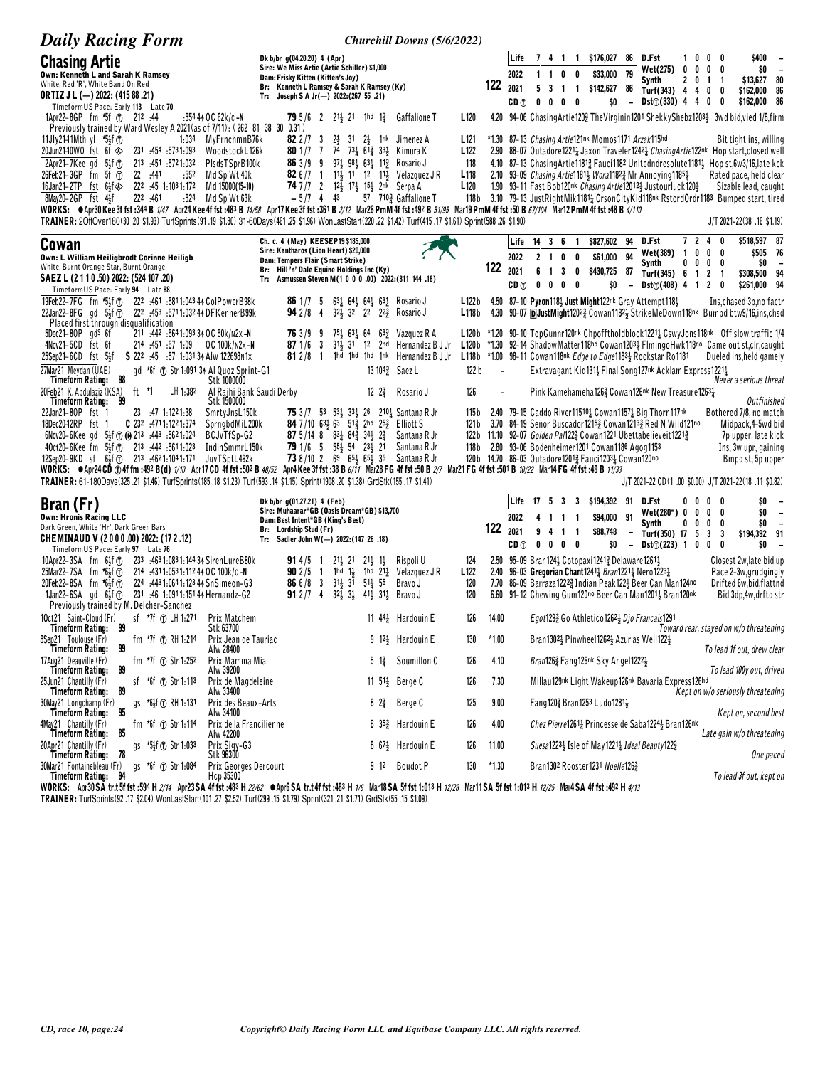| <b>Daily Racing Form</b>                                                                                                                                                                                                                                                                                               |                                                                                                      | Churchill Downs (5/6/2022)                                                                                              |                         |                          |                                                                                    |                                                                                                                                                         |                                                                          |                                                                                                                                                                                                                                                            |
|------------------------------------------------------------------------------------------------------------------------------------------------------------------------------------------------------------------------------------------------------------------------------------------------------------------------|------------------------------------------------------------------------------------------------------|-------------------------------------------------------------------------------------------------------------------------|-------------------------|--------------------------|------------------------------------------------------------------------------------|---------------------------------------------------------------------------------------------------------------------------------------------------------|--------------------------------------------------------------------------|------------------------------------------------------------------------------------------------------------------------------------------------------------------------------------------------------------------------------------------------------------|
| <b>Chasing Artie</b>                                                                                                                                                                                                                                                                                                   | Dk b/br g(04.20.20) 4 (Apr)                                                                          |                                                                                                                         |                         | Life                     |                                                                                    | 7 4 1 1 \$176,027 86                                                                                                                                    | D.Fst                                                                    | \$400<br>1000                                                                                                                                                                                                                                              |
| Own: Kenneth L and Sarah K Ramsey                                                                                                                                                                                                                                                                                      | Sire: We Miss Artie (Artie Schiller) \$1,000<br>Dam: Frisky Kitten (Kitten's Joy)                    |                                                                                                                         |                         | 2022                     | $1\quad1$<br>$0\quad 0$                                                            | \$33,000 79                                                                                                                                             | Wet(275) 0 0 0 0<br>Synth                                                | \$0<br>$\sim$<br>\$13,627 80<br>2 0 1 1                                                                                                                                                                                                                    |
| White, Red 'R', White Band On Red<br><b>ORTIZ J L (-) 2022: (415 88 .21)</b>                                                                                                                                                                                                                                           | Br: Kenneth L Ramsey & Sarah K Ramsey (Ky)<br>Tr: Joseph S A Jr(-) 2022:(267 55 .21)                 |                                                                                                                         | 122                     | 2021                     | 5<br>$\overline{\mathbf{3}}$<br>$1\quad1$                                          | \$142,627 86                                                                                                                                            | Turf(343) $4 \t 4 \t 0$                                                  | \$162,000 86<br>0                                                                                                                                                                                                                                          |
| TimeformUS Pace: Early 113 Late 70                                                                                                                                                                                                                                                                                     |                                                                                                      |                                                                                                                         |                         | CD (T)                   | $0\quad 0\quad 0\quad 0$                                                           | \$0                                                                                                                                                     | $Dist_D(330)$ 4 4 0                                                      | \$162,000 86<br>0                                                                                                                                                                                                                                          |
| 1Apr22-8GP fm *5f (T) 212 :44<br>:554 44 OC 62k/c -N<br>Previously trained by Ward Wesley A 2021(as of 7/11): (262 81 38 30 0.31)                                                                                                                                                                                      | 79 5/6 2 213 21 1hd 13                                                                               | <b>Gaffalione T</b>                                                                                                     | L <sub>120</sub>        |                          |                                                                                    |                                                                                                                                                         |                                                                          | 4.20 94-06 Chasing Artie 120 The Virginin 1201 Shekky Shebz1203 3 3wd bid, vied 1/8, firm                                                                                                                                                                  |
| 11 Jly 21-11 Mth yl *5 $\frac{1}{3}$ (1)<br>1:034<br>MyFrnchmnB76k                                                                                                                                                                                                                                                     | 82 $2/7$ 3                                                                                           | $2\frac{1}{2}$ 31 $2\frac{1}{2}$ 1 nk<br>Jimenez A                                                                      | L <sub>121</sub>        |                          |                                                                                    | *1.30 87–13 Chasing Artie121nk Momos1171 Arzak115hd                                                                                                     |                                                                          | Bit tight ins, willing                                                                                                                                                                                                                                     |
| 20Jun21-10WO fst 6f $\diamondsuit$<br>1.093. 454. 231. 231<br>WoodstockL126k<br>2Apr21-7Kee gd $5\frac{1}{2}$ f $\textcircled{1}$<br>213 :451 :5721:032<br>PIsdsTSprB100k                                                                                                                                              | <b>80</b> 1/7 7<br>863/99                                                                            | 74 731 613 331 Kimura K<br>$97\frac{1}{3}$ $98\frac{1}{3}$ $63\frac{1}{4}$ 11 <sup>3</sup> / <sub>2</sub> Rosario J     | L <sub>122</sub><br>118 |                          |                                                                                    |                                                                                                                                                         |                                                                          | 2.90 88-07 Outadore1221 <sub>4</sub> Jaxon Traveler1242 <sub>4</sub> <i>ChasingArtie</i> 122nk Hop start, closed well<br>4.10 87-13 Chasing Artie 1181 <sup>3</sup> Fauci 1182 United ndresolute 1181 <sup>1</sup> / <sub>2</sub> Hop st, 6w3/16, late kck |
| 26Feb21-3GP fm 5f (T)<br>22 :441<br>Md Sp Wt 40k<br>:552                                                                                                                                                                                                                                                               |                                                                                                      | 82 6/7 1 11} 11 12 11} Velazquez JR                                                                                     | L <sub>118</sub>        |                          |                                                                                    | 2.10 93-09 <i>Chasing Artie</i> 1181 <sub>3</sub> <i>Wora</i> 1182 <sup>3</sup> Mr Annoying 1185 <sup>1</sup> / <sub>2</sub>                            |                                                                          | Rated pace, held clear                                                                                                                                                                                                                                     |
| 222 :45 1:1031:172<br>16Jan21-2TP $fst$ 64 $f$<br>Md 15000(15-10)                                                                                                                                                                                                                                                      | $-5/7$ 4                                                                                             | 74 7/7 2 $12\frac{1}{2}$ 17 $\frac{1}{2}$ 15 $\frac{1}{2}$ 2nk Serpa A                                                  | L120                    |                          |                                                                                    |                                                                                                                                                         | 1.90 93-11 Fast Bob120nk Chasing Artie120123 Justourluck12012            | Sizable lead, caught<br>118b 3.10 79-13 JustRightMik11811 CrsonCityKid118nk RstordOrdr1183 Bumped start, tired                                                                                                                                             |
| 8May20-2GP fst 4}f<br>222 .461<br>:524<br>Md Sp Wt 63k<br>WORKS: @Apr30Kee 3f fst :344 B 1/47 Apr24Kee 4f fst :483 B 14/58 Apr17Kee 3f fst :361 B 2/12 Mar26 PmM 4f fst :492 B 51/95 Mar19 PmM 4f fst :50 B 67/104 Mar12 PmM 4f fst :48 B 4/110                                                                        | 43                                                                                                   | 57 7103 Gaffalione T                                                                                                    |                         |                          |                                                                                    |                                                                                                                                                         |                                                                          |                                                                                                                                                                                                                                                            |
| TRAINER: 2OffOver180(30 .20 \$1.93) TurfSprints(91 .19 \$1.80) 31-60Days(461 .25 \$1.96) WonLastStart(220 .22 \$1.42) Turf(415 .17 \$1.61) Sprint(588 .26 \$1.90)                                                                                                                                                      |                                                                                                      |                                                                                                                         |                         |                          |                                                                                    |                                                                                                                                                         |                                                                          | J/T 2021-22(38 .16 \$1.19)                                                                                                                                                                                                                                 |
| Cowan                                                                                                                                                                                                                                                                                                                  | Ch. c. 4 (May) KEESEP19 \$185,000<br>Sire: Kantharos (Lion Heart) \$20,000                           |                                                                                                                         |                         |                          | Life 14 3 6                                                                        | \$827,602<br>94<br>$\overline{1}$                                                                                                                       | D.Fst                                                                    | 7240<br>\$518,597 87                                                                                                                                                                                                                                       |
| Own: L William Heiligbrodt Corinne Heiligb<br>White, Burnt Orange Star, Burnt Orange                                                                                                                                                                                                                                   | Dam: Tempers Flair (Smart Strike)                                                                    |                                                                                                                         |                         | 2022                     | 2 <sub>1</sub><br>0                                                                | \$61,000<br>94<br>0                                                                                                                                     | Wet(389) 1 0 0<br>Synth<br>$0\quad 0$                                    | \$505 76<br>0<br>\$0<br>$0\quad 0$<br>$\overline{\phantom{a}}$                                                                                                                                                                                             |
| SAEZ L (2 1 1 0 .50) 2022: (524 107 .20)                                                                                                                                                                                                                                                                               | Br: Hill 'n' Dale Equine Holdings Inc (Ky)<br>Tr: Asmussen Steven M(1 0 0 0 .00) 2022: (811 144 .18) |                                                                                                                         | 122                     | 2021<br>CD <sub>1</sub>  | 6<br>$\overline{1}$<br>3 <sub>0</sub><br>$\mathbf 0$<br>$\mathbf{0}$<br>$0\quad 0$ | \$430,725 87<br>\$0                                                                                                                                     | Turf(345) 6 1 2 1<br>Dist() (408) 4 1 2                                  | \$308,500 94<br>\$261,000 94<br>0                                                                                                                                                                                                                          |
| TimeformUS Pace: Early 94 Late 88<br>19Feb22-7FG fm *5}f (r) 222 :461 :5811:043 41 ColPowerB98k                                                                                                                                                                                                                        | 861/75                                                                                               | $63\frac{1}{4}$ $64\frac{1}{2}$ $64\frac{1}{4}$ $63\frac{1}{4}$ Rosario J                                               | L122b                   |                          |                                                                                    | 4.50 87-10 Pyron1181 Just Might122nk Gray Attempt1181                                                                                                   |                                                                          | Ins, chased 3p, no factr                                                                                                                                                                                                                                   |
| 22Jan22-8FG gd 5 <sup>1</sup> <sub>2</sub> f <sup>o</sup> 222 :453 :5711:032 44 DFK enner B99k                                                                                                                                                                                                                         | 942/84                                                                                               | 32 <sup>1</sup> / <sub>2</sub> 32 22 22 <sup>3</sup> / <sub>4</sub> Rosario J                                           | L118b                   |                          |                                                                                    |                                                                                                                                                         |                                                                          | 4.30 90-07 <b>DJustMight12023</b> Cowan11823 StrikeMeDown118nk Bumpd btw9/16,ins,chsd                                                                                                                                                                      |
| Placed first through disqualification<br>$5Dec21-80P$ gd <sup>s</sup> 6f<br>211 :442 :5641:093 34 OC 50k/n2x -N                                                                                                                                                                                                        | 763/99                                                                                               | $75\frac{1}{2}$ 631 64<br>63 <sup>3</sup> Vazquez R A                                                                   | L120 b                  |                          |                                                                                    |                                                                                                                                                         |                                                                          | *1.20 90-10 TopGunnr120nk Chpofftholdblock1221} CswyJons118nk Off slow, traffic 1/4                                                                                                                                                                        |
| 4Nov21-5CD fst 6f<br>214 :451 :57 1:09 OC 100k/n2x-N                                                                                                                                                                                                                                                                   | 871/63                                                                                               | $31\frac{1}{2}$ 31 12 2hd Hernandez B J Jr                                                                              | L120 b                  |                          |                                                                                    |                                                                                                                                                         |                                                                          | *1.30 92–14 ShadowMatter118hd Cowan1203 <sub>4</sub> FlmingoHwk118no Came out st,clr,caught                                                                                                                                                                |
| 25Sep21-6CD fst 5}f<br>S 222 :45 :57 1:031 34 Alw 122698 N1x<br>27Mar21 Meydan (UAE)                                                                                                                                                                                                                                   | $812/8$ 1                                                                                            | 1hd 1hd 1hd 1nk Hernandez B J Jr                                                                                        |                         |                          |                                                                                    | L118b *1.00 98-11 Cowan118nk Edge to Edge11834 Rockstar Ro1181                                                                                          | Extravagant Kid1314 Final Song127nk Acklam Express12214                  | Dueled ins, held gamely                                                                                                                                                                                                                                    |
| gd *6f (T) Str 1:091 34 Al Quoz Sprint-G1<br>Timeform Rating:<br>Stk 1000000                                                                                                                                                                                                                                           |                                                                                                      | 13 104 <sup>3</sup> Saez L                                                                                              | 122 b                   | $\overline{\phantom{a}}$ |                                                                                    |                                                                                                                                                         |                                                                          | Never a serious threat                                                                                                                                                                                                                                     |
| 20Feb21 K. Abdulaziz (KSA)<br>ft *1<br>LH 1:382<br>Stk 1500000<br>Timeform Rating:<br>99                                                                                                                                                                                                                               | Al Rajhi Bank Saudi Derby                                                                            | $12 \t2\frac{3}{4}$<br>Rosario J                                                                                        | 126                     |                          |                                                                                    |                                                                                                                                                         | Pink Kamehameha1263 Cowan126 <sup>nk</sup> New Treasure1263 <sub>4</sub> | <b>Outfinished</b>                                                                                                                                                                                                                                         |
| 22Jan21-80P fst 1<br>23 :47 1:1221:38<br>SmrtyJnsL150k                                                                                                                                                                                                                                                                 |                                                                                                      | <b>75</b> 3/7 53 534 334 26 2104 Santana R Jr                                                                           | 115 b                   |                          |                                                                                    | 2.40 79-15 Caddo River11510 <sub>4</sub> Cowan1157 <sub>4</sub> Big Thorn117 <sup>nk</sup>                                                              |                                                                          | Bothered 7/8, no match                                                                                                                                                                                                                                     |
| 18Dec20-12RP fst 1<br><b>C</b> $23^2$ :4711:1221:374<br>SprngbdMiL200k<br>6Nov20-6Kee gd 5 <sup>1</sup> / <sub>5</sub> f (r) (e) 21 <sup>3</sup> :44 <sup>3</sup> :56 <sup>2</sup> 1:024<br>BCJvTfSp-G2                                                                                                                | 87 5/14 8 $83\frac{1}{4}$ $84\frac{3}{4}$ $34\frac{1}{2}$ $2\frac{3}{4}$                             | 84 7/10 634 63 512 2hd 252 Elliott S<br>Santana R Jr                                                                    | 121 b<br>122 b          |                          |                                                                                    | 11.10 92–07 <i>Golden Pal</i> 122 $\frac{3}{2}$ Cowan 122 <sup>1</sup> Ubettabelieveit 1221 $\frac{3}{2}$                                               | 3.70 84-19 Senor Buscador12153 Cowan12133 Red N Wild121no                | Midpack, 4-5wd bid<br>7p upper, late kick                                                                                                                                                                                                                  |
| 40ct20-6Kee fm 5}f (f) 213 :442 :5611:023<br>IndinSmmrL150k                                                                                                                                                                                                                                                            | 79 1/6 5 554 54 234 21                                                                               | Santana R Jr                                                                                                            | 118b                    |                          |                                                                                    | 2.80 93-06 Bodenheimer1201 Cowan1186 Agog1153                                                                                                           |                                                                          | Ins, 3w upr, gaining                                                                                                                                                                                                                                       |
| 12Sep20-9KD sf 6 <sup>1</sup> / <sub>2</sub> f <sup>o</sup> 21 <sup>3</sup> :46 <sup>2</sup> 1:10 <sup>4</sup> 1:171<br>JuvTSptL492k<br>WORKS: ●Apr24CD ①4f fm :492 B(d) 7/10 Apr17CD 4f fst :502 B 48/52 Apr4Kee 3f fst :38 B 6/71 Mar28 FG 4f fst :50 B 2/7 Mar21 FG 4f fst :501 B 10/22 Mar14 FG 4f fst :49 B 17/33 |                                                                                                      | <b>73</b> 8/10 2 6 <sup>9</sup> 6 <sup>5</sup> / <sub>2</sub> 6 <sup>5</sup> / <sub>2</sub> 3 <sup>5</sup> Santana R Jr |                         |                          |                                                                                    | 120b 14.70 86-03 Outadore12013 Fauci12031 Cowan120no                                                                                                    |                                                                          | Bmpd st, 5p upper                                                                                                                                                                                                                                          |
| TRAINER: 61-180Days(325 .21 \$1.46) TurfSprints(185 .18 \$1.23) Turf(593 .14 \$1.15) Sprint(1908 .20 \$1.38) GrdStk(155 .17 \$1.41)                                                                                                                                                                                    |                                                                                                      |                                                                                                                         |                         |                          |                                                                                    |                                                                                                                                                         |                                                                          | J/T 2021-22 CD(1.00 \$0.00) J/T 2021-22(18.11 \$0.82)                                                                                                                                                                                                      |
| Bran (Fr)                                                                                                                                                                                                                                                                                                              | Dk b/br g(01.27.21) 4 (Feb)                                                                          |                                                                                                                         |                         |                          | Life 17 5 3 3                                                                      | \$194,392 91                                                                                                                                            | D.Fst<br>0<br>0                                                          | \$0<br>0<br>0                                                                                                                                                                                                                                              |
| <b>Own: Hronis Racing LLC</b>                                                                                                                                                                                                                                                                                          | Sire: Muhaarar*GB (Oasis Dream*GB) \$13,700<br>Dam: Best Intent*GB (King's Best)                     |                                                                                                                         |                         | 2022                     | 4 1 1 1                                                                            | \$94,000<br>91                                                                                                                                          | Wet(280*) 0<br>0<br>Synth<br>$0\quad 0$                                  | 0<br>\$0<br>0<br>$\overline{\phantom{a}}$<br>0<br>0<br>\$0<br>$\overline{\phantom{a}}$                                                                                                                                                                     |
| Dark Green, White 'Hr', Dark Green Bars<br>CHEMINAUD V (2000.00) 2022: (17 2 .12)                                                                                                                                                                                                                                      | Br: Lordship Stud (Fr)<br>Tr: Sadler John W(-) 2022: (147 26 .18)                                    |                                                                                                                         | 122                     | 2021                     | 9 <sub>4</sub><br>-1                                                               | \$88,748<br>$\overline{1}$                                                                                                                              | Turf(350) 17 5 3                                                         | \$194,392 91<br>-3                                                                                                                                                                                                                                         |
| TimeformUS Pace: Early 97 Late 76                                                                                                                                                                                                                                                                                      |                                                                                                      |                                                                                                                         |                         | CD <sub>①</sub>          | 0 <sub>0</sub><br>$0\quad 0$                                                       | \$0                                                                                                                                                     | Dist() (223) 1 0 0                                                       | \$O<br>0                                                                                                                                                                                                                                                   |
| 10Apr22-3SA fm 6}f①<br>233 :4631:0831:14434 SirenLureB80k<br>25Mar22-7SA fm *6}f(T)<br>214 .4311:0531:112 44 OC 100k/c -N                                                                                                                                                                                              | $21\frac{1}{2}$ 21<br>$914/5$ 1<br>$902/5$ 1                                                         | $21\frac{1}{2}$ $1\frac{1}{2}$<br>Rispoli U<br>1hd 14 1hd 214 Velazquez JR                                              | 124<br>L122             |                          |                                                                                    | 2.50 95-09 Bran1244 Cotopaxi1241 $\frac{3}{4}$ Delaware12614<br>2.40 96-03 Gregorian Chant1241 <sub>4</sub> Bran1221 <sub>4</sub> Nero1223 <sub>4</sub> |                                                                          | Closest 2w, late bid, up<br>Pace 2-3w, grudgingly                                                                                                                                                                                                          |
| 20Feb22-8SA fm *6}f①<br>224 .443 1:064 1:123 44 SnSimeon-G3                                                                                                                                                                                                                                                            | <b>86</b> 6/8 3                                                                                      | $31\frac{1}{2}$ $31$ $51\frac{1}{4}$ $55$<br>Bravo J                                                                    | 120                     |                          |                                                                                    |                                                                                                                                                         | 7.70 86-09 Barraza12223 Indian Peak1223 Beer Can Man124no                | Drifted 6w, bid, flattnd                                                                                                                                                                                                                                   |
| 1Jan22-6SA gd 6 <sup>1</sup> / <sub>2</sub> f <sup>o</sup> 231 :46 1:0911:1514 + Hernandz-G2<br>Previously trained by M. Delcher-Sanchez                                                                                                                                                                               | 912/74                                                                                               | $32\frac{1}{2}$ $3\frac{1}{2}$ $41\frac{1}{2}$ $31\frac{1}{2}$ Bravo J                                                  | 120                     |                          |                                                                                    |                                                                                                                                                         | 6.60 91-12 Chewing Gum120no Beer Can Man12013 Bran120nk                  | Bid 3dp, 4w, drftd str                                                                                                                                                                                                                                     |
| sf *7f ① LH 1:271<br>10ct21 Saint-Cloud (Fr)<br>Timeform Rating: 99<br>Prix Matchem                                                                                                                                                                                                                                    |                                                                                                      | 11 $44\frac{1}{4}$ Hardouin E                                                                                           | 126<br>14.00            |                          |                                                                                    | Egot1293 Go Athletico12623 Djo Francais1291                                                                                                             |                                                                          | Toward rear, stayed on w/o threatening                                                                                                                                                                                                                     |
| Stk 63700<br>fm *7f ® RH 1:214 Prix Jean de Tauriac<br>8Sep21 Toulouse (Fr)                                                                                                                                                                                                                                            |                                                                                                      | 9 $12\frac{1}{2}$ Hardouin E                                                                                            | 130<br>$*1.00$          |                          |                                                                                    | Bran13021 Pinwheel12621 Azur as Well1221                                                                                                                |                                                                          |                                                                                                                                                                                                                                                            |
| 99<br>Timeform Rating:<br>Alw 28400<br>17Aug21 Deauville (Fr)<br>fm $*7f$ (f) Str 1.252<br>Prix Mamma Mia                                                                                                                                                                                                              |                                                                                                      | $5\frac{13}{4}$ Soumillon C                                                                                             | 4.10<br>126             |                          |                                                                                    | <i>Bran</i> 126 <sup>3</sup> Fang126 <sup>nk</sup> Sky Angel1222 <sup>1</sup> / <sub>5</sub>                                                            |                                                                          | To lead 1f out, drew clear                                                                                                                                                                                                                                 |
| Timeform Rating:<br>99<br>Alw 39200                                                                                                                                                                                                                                                                                    |                                                                                                      |                                                                                                                         |                         |                          |                                                                                    |                                                                                                                                                         | Millau129nk Light Wakeup126nk Bavaria Express126hd                       | To lead 100y out, driven                                                                                                                                                                                                                                   |
| sf *6f $\circled{r}$ Str 1:113<br>Prix de Magdeleine<br>25Jun21 Chantilly (Fr)<br>Timeform Rating:<br>89<br>Alw 33400                                                                                                                                                                                                  |                                                                                                      | 11 5 <sup>1</sup> <sup>3</sup> Berge C                                                                                  | 126<br>7.30             |                          |                                                                                    |                                                                                                                                                         |                                                                          | Kept on w/o seriously threatening                                                                                                                                                                                                                          |
| 30May21 Longchamp (Fr)<br>gs *61f T RH 1:131<br>Timeform Rating:<br>95<br>Alw 34100                                                                                                                                                                                                                                    | Prix des Beaux-Arts                                                                                  | $8^{23}$<br>Berge C                                                                                                     | 9.00<br>125             |                          |                                                                                    | Fang1202 Bran1253 Ludo12813                                                                                                                             |                                                                          | Kept on, second best                                                                                                                                                                                                                                       |
| fm *6f (r) Str 1:114<br>4May21 Chantilly (Fr)<br>85                                                                                                                                                                                                                                                                    | Prix de la Francilienne                                                                              | 8 $35\frac{3}{4}$ Hardouin E                                                                                            | 126<br>4.00             |                          |                                                                                    |                                                                                                                                                         | Chez Pierre12611 Princesse de Saba12241 Bran126nk                        | Late gain w/o threatening                                                                                                                                                                                                                                  |
| Timeform Rating:<br>Alw 42200<br>20Apr21 Chantilly (Fr)<br>gs *51f 1 Str 1:033<br>Prix Sigy-G3                                                                                                                                                                                                                         |                                                                                                      | 8 67 <sup>1</sup> Hardouin E                                                                                            | 126<br>11.00            |                          |                                                                                    | Suesa12231 Isle of May12211 Ideal Beauty1223                                                                                                            |                                                                          |                                                                                                                                                                                                                                                            |
| 78<br>Timeform Rating:<br>Stk 96300<br>30Mar21 Fontainebleau (Fr)<br>gs *6f ① Str 1:084                                                                                                                                                                                                                                | Prix Georges Dercourt                                                                                | 9 12 Boudot P                                                                                                           | $*1.30$<br>130          |                          |                                                                                    | Bran1302 Rooster1231 Noelle1263                                                                                                                         |                                                                          | One paced                                                                                                                                                                                                                                                  |
| Timeform Rating:<br>Hcp 35300                                                                                                                                                                                                                                                                                          |                                                                                                      |                                                                                                                         |                         |                          |                                                                                    |                                                                                                                                                         |                                                                          | To lead 3f out, kept on                                                                                                                                                                                                                                    |

WORKS: Apr30SA tr.t5f fst :594 H 2/14 Apr23SA 4f fst :483 H 22/62 CApr6SA tr.t4f fst :483 H 1/6 Mar18SA 5f fst 1:013 H 12/28 Mar11SA 5f fst 1:013 H 12/25 Mar4SA 4f fst :492 H 4/13<br>TRAINER: TurfSprints(92.17 \$2.04) WonLastS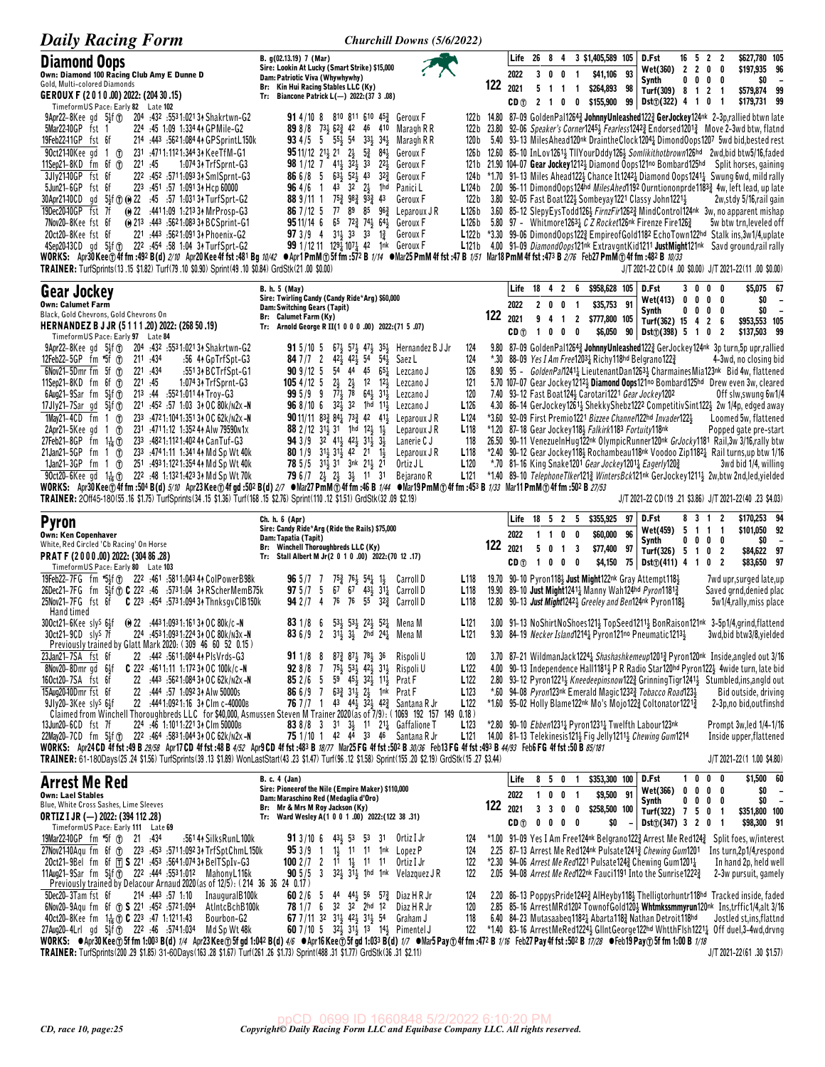| <b>Daily Racing Form</b>                                                                                                                                                                                                                                                                                                                                                                                                                                                                                                                                                                                                                                                                                                                                                                                                                                                                                                                                                                                                                                                          | Churchill Downs (5/6/2022)                                                                                                                                                                                                                                                                                                                                                                                                                                                                                                                                                                                                                                                                                                                                                                                           |                                                                                                         |                                        |                                                            |                                                             |                                               |          |                                                                                                                                                                                                                               |          |                                  |                                                                                                                                                                                                                                                                                                                                                                                                                                                                                                                                                                                                                                                                                                                                                                                                                                                                                                                                                                                                                                                                                                                                                                                                      |
|-----------------------------------------------------------------------------------------------------------------------------------------------------------------------------------------------------------------------------------------------------------------------------------------------------------------------------------------------------------------------------------------------------------------------------------------------------------------------------------------------------------------------------------------------------------------------------------------------------------------------------------------------------------------------------------------------------------------------------------------------------------------------------------------------------------------------------------------------------------------------------------------------------------------------------------------------------------------------------------------------------------------------------------------------------------------------------------|----------------------------------------------------------------------------------------------------------------------------------------------------------------------------------------------------------------------------------------------------------------------------------------------------------------------------------------------------------------------------------------------------------------------------------------------------------------------------------------------------------------------------------------------------------------------------------------------------------------------------------------------------------------------------------------------------------------------------------------------------------------------------------------------------------------------|---------------------------------------------------------------------------------------------------------|----------------------------------------|------------------------------------------------------------|-------------------------------------------------------------|-----------------------------------------------|----------|-------------------------------------------------------------------------------------------------------------------------------------------------------------------------------------------------------------------------------|----------|----------------------------------|------------------------------------------------------------------------------------------------------------------------------------------------------------------------------------------------------------------------------------------------------------------------------------------------------------------------------------------------------------------------------------------------------------------------------------------------------------------------------------------------------------------------------------------------------------------------------------------------------------------------------------------------------------------------------------------------------------------------------------------------------------------------------------------------------------------------------------------------------------------------------------------------------------------------------------------------------------------------------------------------------------------------------------------------------------------------------------------------------------------------------------------------------------------------------------------------------|
| <b>Diamond Oops</b><br>Own: Diamond 100 Racing Club Amy E Dunne D<br>Gold, Multi-colored Diamonds                                                                                                                                                                                                                                                                                                                                                                                                                                                                                                                                                                                                                                                                                                                                                                                                                                                                                                                                                                                 | B. g(02.13.19) 7 (Mar)<br>Sire: Lookin At Lucky (Smart Strike) \$15,000<br>Dam: Patriotic Viva (Whywhywhy)<br>Br: Kin Hui Racing Stables LLC (Ky)                                                                                                                                                                                                                                                                                                                                                                                                                                                                                                                                                                                                                                                                    |                                                                                                         | Life<br>2022<br>122<br>2021            | - 26<br>84<br>3 0 0<br>$5$ 1 1                             | $\overline{\mathbf{1}}$<br>$\mathbf{1}$                     | 3 \$1,405,589 105<br>\$41,106<br>\$264,893 98 | 93       | D.Fst<br>Wet(360) 2 2 0 0<br>Synth<br>Turf(309) 8 1 2 1                                                                                                                                                                       |          | $16 \t5 \t2 \t2$<br>$0\ 0\ 0\ 0$ | \$627,780 105<br>\$197.935 96<br>\$O<br>$\overline{\phantom{a}}$<br>\$579,874 99                                                                                                                                                                                                                                                                                                                                                                                                                                                                                                                                                                                                                                                                                                                                                                                                                                                                                                                                                                                                                                                                                                                     |
| GEROUX F (2010.00) 2022: (204 30.15)<br>Timeform US Pace: Early 82 Late 102                                                                                                                                                                                                                                                                                                                                                                                                                                                                                                                                                                                                                                                                                                                                                                                                                                                                                                                                                                                                       | Tr: Biancone Patrick L(-) 2022: (37 3 .08)                                                                                                                                                                                                                                                                                                                                                                                                                                                                                                                                                                                                                                                                                                                                                                           |                                                                                                         | CD (T)                                 |                                                            |                                                             | 2 1 0 0 \$155,900                             |          | $99$ Dst $\textcircled{1}(322)$ 4 1 0                                                                                                                                                                                         |          | $\mathbf{1}$                     | \$179,731 99                                                                                                                                                                                                                                                                                                                                                                                                                                                                                                                                                                                                                                                                                                                                                                                                                                                                                                                                                                                                                                                                                                                                                                                         |
| $9$ Apr22-8Kee gd $5\frac{1}{2}$ f $\sigma$<br>204 .432 .5531:021 3↑ Shakrtwn-G2<br>5Mar22-10GP fst 1<br>224 .45 1.09 1.334 44 GPMile-G2<br>19Feb2241GP fst 6f<br>214 :443 :5621:084 44 GPSprintL150k<br>90ct21-10Kee gd 1 T<br>231 .4711.1121.344 34 KeeTfM-G1<br>11Sep21-8KD fm $6f$ $\odot$<br>221.45<br>1:074 34 TrfSprnt-G3<br>3Jly2140GP fst 6f<br>222 :452 :5711:093 34 SmlSprnt-G3<br>5Jun21-6GP fst 6f<br>223 :451 :57 1:091 34 Hcp 60000<br>30Apr2140CD gd 5 <sup>1</sup> <sub>2</sub> f to (e) 22 :45 :57 1:031 34 TurfSprt-G2<br>19Dec20-10GP fst 7f<br>@ 22 :4411:09 1:213 34 MrProsp-G3<br>7Nov20-8Kee fst 6f<br>(e) 213 :443 :5621:0833 + BCSprint-G1<br>221 :443 :5621:091 34 Phoenix-G2<br>20ct20-8Kee fst 6f<br>4Sep2043CD gd 54f To 222 :454 :58 1:04 34 TurfSprt-G2<br>WORKS: Apr30Kee⊕4f fm :492 B(d) 2/10 Apr20Kee4f fst :481 Bg 10/42 ●Apr1PmM⊕5f fm :572 B 1/14 ●Mar25 PmM 4f fst :47 B 1/51 Mar18 PmM 4f fst :473 B 2/76 Feb27 PmM⊕4f fm :482 B 10/33<br>TRAINER: TurfSprints(13.15 \$1.82) Turf(79.10 \$0.90) Sprint(49.10 \$0.84) GrdStk(21.00 \$0.00) | <b>91</b> 4/10 8 810 811 610 45 $\frac{3}{4}$ Geroux F<br>89 8/8 73 62 42 46<br>410 Maragh R R<br>93 4/5 5 55 54 33 34 34<br>Maragh R R<br>95 11/12 $21\frac{1}{2}$ $21$ $2\frac{1}{2}$ $5\frac{3}{4}$<br>841<br>Geroux F<br><b>98</b> 1/12 7 41 <sup>1</sup> / <sub>3</sub> 32 <sup>1</sup> / <sub>3</sub> 33<br>$22\frac{1}{2}$<br>Geroux F<br>86 6/8 5 63 $\frac{1}{2}$ 52 $\frac{1}{2}$ 43<br>$3^{2^{3}}$<br>Geroux F<br>43 32 $2\frac{1}{2}$<br>1hd<br>Panici L<br>$964/6$ 1<br>88 9/11 1 75 3 98 3 93 3 43<br>Geroux F<br>86 7/12 5 77 89 85 96  Leparoux J R<br>95 11/14 6 65 72 $\frac{3}{4}$ 74 $\frac{1}{2}$ 64 $\frac{1}{2}$<br>Geroux F<br><b>97</b> 3/9 4 3 <sup>1</sup> / <sub>2</sub> 3 <sup>3</sup> 3 <sup>3</sup> 1 <sup>3</sup> / <sub>4</sub><br>Geroux F<br>99 1/12 11 1291 1071 42 1nk Geroux F | 122 b<br>122 b<br>120 b<br>124 b<br>L124b<br>122 b<br>L126 b<br>L126 b<br>L122b<br>L121b                |                                        |                                                            |                                                             |                                               |          | 3.80 92-05 Fast Boat $122\frac{1}{2}$ Sombeyay 1221 Classy John 1221 $\frac{1}{2}$<br>5.80 97 - Whitmore1263 $_{\frac{1}{2}}$ C Z Rocket126 <sup>nk</sup> Firenze Fire126 $_{\frac{3}{2}}$                                    |          |                                  | 14.80 87–09 GoldenPal1264 $\frac{3}{4}$ JohnnyUnleashed122 $\frac{3}{4}$ GerJockey124 <sup>nk</sup> 2–3p,rallied btwn late<br>23.80 92-06 Speaker's Corner1245 $\frac{1}{2}$ Fearless1242 $\frac{3}{4}$ Endorsed1201 $\frac{3}{4}$ Move 2-3wd btw, flatnd<br>5.40 93-13 MilesAhead120nk DraintheClock1204 <sub>2</sub> DimondOops1207 5wd bid,bested rest<br>126b 12.60 85-10 InLov1261 <sub>3</sub> TIIYourDddy126} Somlikithotbrown126hd 2wd,bid btw5/16,faded<br>121b 21.90 104-07 Gear Jockey12123 Diamond Oops121no Bombard125hd Split horses, gaining<br>$*1.70$ 91–13 Miles Ahead122 $\frac{1}{2}$ Chance It1242 $\frac{1}{4}$ Diamond Oops1241 $\frac{1}{4}$ Swung 6wd, mild rally<br>2.00 96-11 DimondOops124hd MilesAhed1192 Ourntiononprde11833 4w, left lead, up late<br>2w,stdy 5/16,rail gain<br>3.60 85-12 SlepyEysTodd126 <sup>1</sup> FirnzFir1262 <sup>2</sup> MindControl124 <sup>nk</sup> 3w, no apparent mishap<br>5w btw trn, leveled off<br>*3.30 99-06 DimondOops1223 EmpireofGold1182 EchoTown122hd Stalk ins,3w1/4,uplate<br>4.00 91-09 DiamondOops121nk ExtravgntKid1211 JustMight121nk Savd ground,rail rally<br>J/T 2021-22 CD(4 .00 \$0.00) J/T 2021-22(11 .00 \$0.00) |
| <b>Gear Jockey</b>                                                                                                                                                                                                                                                                                                                                                                                                                                                                                                                                                                                                                                                                                                                                                                                                                                                                                                                                                                                                                                                                | B. h. 5 (May)<br>Sire: Twirling Candy (Candy Ride*Arg) \$60,000                                                                                                                                                                                                                                                                                                                                                                                                                                                                                                                                                                                                                                                                                                                                                      |                                                                                                         | Life                                   | 18 4 2                                                     | 6                                                           | \$958,628 105                                 |          | D.Fst<br>Wet(413)                                                                                                                                                                                                             | 0<br>0   | 3000<br>0<br>0                   | \$5,075 67<br>\$0<br>$\overline{\phantom{a}}$                                                                                                                                                                                                                                                                                                                                                                                                                                                                                                                                                                                                                                                                                                                                                                                                                                                                                                                                                                                                                                                                                                                                                        |
| <b>Own: Calumet Farm</b><br>Black, Gold Chevrons, Gold Chevrons On<br>HERNANDEZ B J JR (5 1 1 1 .20) 2022: (268 50 .19)                                                                                                                                                                                                                                                                                                                                                                                                                                                                                                                                                                                                                                                                                                                                                                                                                                                                                                                                                           | Dam: Switching Gears (Tapit)<br>Br: Calumet Farm (Ky)<br>Tr: Arnold George R II(1 0 0 0 .00) 2022:(71 5 .07)                                                                                                                                                                                                                                                                                                                                                                                                                                                                                                                                                                                                                                                                                                         |                                                                                                         | 2022<br>122<br>2021                    | 2 0 0<br>9<br>4                                            | $\overline{\mathbf{1}}$<br>$\overline{2}$<br>$\overline{1}$ | \$35,753 91<br>\$777,800 105                  |          | Synth<br>Turf(362) 15 4                                                                                                                                                                                                       | 00       | 0<br>0<br>$\overline{2}$<br>- 6  | \$0<br>$\overline{\phantom{a}}$<br>\$953,553 105                                                                                                                                                                                                                                                                                                                                                                                                                                                                                                                                                                                                                                                                                                                                                                                                                                                                                                                                                                                                                                                                                                                                                     |
| TimeformUS Pace: Early 97 Late 84<br>9Apr22-8Kee gd 5 <sup>1</sup> 53f (1) 204 .432 .5531:0213 A Shakrtwn-G2<br>12Feb22-5GP fm *5f (T)<br>211 :434<br>:56 44 GpTrfSpt-G3<br>$6$ Nov21-5Dmr fm 5f $1$<br>221 .434<br>:551 34 BCTrfSpt-G1<br>11Sep21-8KD fm 6f 1<br>221 .45<br>1:074 34 TrfSprnt-G3<br>213 :44 :5521:0114 + Troy-G3<br>$6$ Aug21-9Sar fm $5\frac{1}{2}$ f (r)<br>221 :452 :57 1:03 34 OC 80k/n2x-N<br>17Jly21-7Sar gd $5\frac{1}{2}$ f $\textcircled{1}$                                                                                                                                                                                                                                                                                                                                                                                                                                                                                                                                                                                                            | $67\frac{1}{2}$ 57 $\frac{1}{2}$ 47 $\frac{1}{2}$ 35 $\frac{1}{2}$ Hernandez B J Jr<br>91 5/10 5<br>$42\frac{1}{2}$ $42\frac{1}{2}$ 54<br>847/72<br>$54\frac{1}{2}$ Saez L<br>$90 \frac{9}{12}$ 5<br>54 44 45<br>$65\frac{1}{4}$ Lezcano J<br>$2\frac{1}{2}$<br>$2\frac{1}{2}$<br>$12 \t12\frac{1}{2}$<br>1054/125<br>Lezcano J<br>77 <sup>1</sup> <sub>3</sub> 78 64 <sup>1</sup> <sub>2</sub> 31 <sup>1</sup> <sub>2</sub> Lezcano J<br>995/99<br>96 8/10 6 32 32 1hd 11 Lezcano J                                                                                                                                                                                                                                                                                                                                 | 124<br>124<br>126<br>121<br>120<br>L <sub>126</sub>                                                     | CD <sub>1</sub>                        | 10                                                         | 0<br>$\overline{\phantom{a}}$                               | \$6,050                                       |          | 90 Dst <sub>①</sub> (398) 5 1 0<br>*.30 88-09 Yes I Am Free12031 Richy118hd Belgrano1223<br>7.40 93-12 Fast Boat 124 Carotari 1221 Gear Jockey 1202                                                                           |          | 2                                | \$137,503 99<br>9.80 87-09 GoldenPal12643 JohnnyUnleashed1223 GerJockey124nk 3p turn,5p upr,rallied<br>4-3wd. no closing bid<br>8.90 95 - GoldenPa/1241 <sup>1</sup> LieutenantDan1263 <sup>1</sup> CharmainesMia123 <sup>nk</sup> Bid 4w, flattened<br>5.70 107-07 Gear Jockey1212} Diamond Oops121no Bombard125hd Drew even 3w, cleared<br>Off slw, swung 6w1/4<br>4.30 86–14 GerJockey1261 <sup>1</sup> / <sub>2</sub> ShekkyShebz1222 CompetitivSint122 <sup>1</sup> / <sub>2</sub> 2w 1/4p, edged away                                                                                                                                                                                                                                                                                                                                                                                                                                                                                                                                                                                                                                                                                          |
| $1$ May21-4CD fm<br>1 (f)<br>233 :4721:1041:3513+0C62k/N2x-N<br>$2$ Apr21-5Kee gd 1 $1$<br>231 :4711:12 1:352 44 Alw 79590N1x<br>27Feb21-8GP $\bar{f}$ m 1 <sup>1</sup> <sub>16</sub> <u></u><br>233 :4821:1121:4024 CanTuf-G3<br>21Jan21-5GP fm 1 1<br>233 :4741:11 1:341 44 Md Sp Wt 40k<br>251 :4931:1221:354 44 Md Sp Wt 40k<br>1Jan21-3GP fm 1 $\circled{r}$<br>90ct20-6Kee gd $1\frac{1}{16}$ (f) 222 :48 1:1321:423 34 Md Sp Wt 70k<br>WORKS: Apr30Kee @4f fm :504 B(d) 5/10 Apr23Kee @4f gd :502 B(d) 2/7 War27PmM@4f fm :46 B 1/44 War19PmM@4f fm :453 B 1/33 Mar11PmM@4f fm :502 B 27/53<br>TRAINER: 20ff45-180(55.16 \$1.75) TurfSprints (34.15 \$1.36) Turf (168.15 \$2.76) Sprint (110.12 \$1.51) GrdStk (32.09 \$2.19)                                                                                                                                                                                                                                                                                                                                              | 90 11/11 833 841 733 42 413 Leparoux JR<br>88 2/12 313 31 1hd 123 13 Leparoux JR<br>94 3/9 32 413 423 313 33<br>Lanerie C J<br>80 1/9 31 31 42 21 1<br>Leparoux J R<br>78 5/5 312 31 3nk 213 21<br>Ortiz J L<br>79 6 /7 2 3 2 3 1 3 1<br>Bejarano R                                                                                                                                                                                                                                                                                                                                                                                                                                                                                                                                                                  | L <sub>124</sub><br>L <sub>118</sub><br>118<br>L <sub>118</sub><br>L <sub>120</sub><br>L <sub>121</sub> |                                        | *1.20 87–18 Gear Jockey 118 Falkirk 118 Fortuity 118nk     |                                                             |                                               |          | *3.60 92-09 First Premio1221 Bizzee Channe/122hd Invader122}<br>*.70 81-16 King Snake1201 Gear Jockey12011 Eagerly1203                                                                                                        |          |                                  | Loomed 5w, flattened<br>Popped gate pre-start<br>26.50 90-11 VenezuelnHug122nk OlympicRunner120nk GrJocky1181 Rail,3w 3/16,rally btw<br>*2.40 90-12 Gear Jockey118} Rochambeau118 <sup>nk</sup> Voodoo Zip1182} Rail turns,up btw 1/16<br>3wd bid 1/4, willing<br>*1.40 89-10 Telephone Tiker1213 Winters Bck121nk GerJockey12113 2w, btw 2nd, led, yielded<br>J/T 2021-22 CD (19 .21 \$3.86) J/T 2021-22 (40 .23 \$4.03)                                                                                                                                                                                                                                                                                                                                                                                                                                                                                                                                                                                                                                                                                                                                                                            |
| <b>Pyron</b>                                                                                                                                                                                                                                                                                                                                                                                                                                                                                                                                                                                                                                                                                                                                                                                                                                                                                                                                                                                                                                                                      | Ch. h. 6 (Apr)                                                                                                                                                                                                                                                                                                                                                                                                                                                                                                                                                                                                                                                                                                                                                                                                       |                                                                                                         | Life                                   | 18 5 2 5                                                   |                                                             | \$355,925 97                                  |          | D.Fst                                                                                                                                                                                                                         | 8<br>- 3 | $\mathbf{1}$<br>2                | \$170,253 94                                                                                                                                                                                                                                                                                                                                                                                                                                                                                                                                                                                                                                                                                                                                                                                                                                                                                                                                                                                                                                                                                                                                                                                         |
| <b>Own: Ken Copenhaver</b><br>White, Red Circled 'Cb Racing' On Horse<br>PRAT F (2000.00) 2022: (304 86.28)                                                                                                                                                                                                                                                                                                                                                                                                                                                                                                                                                                                                                                                                                                                                                                                                                                                                                                                                                                       | Sire: Candy Ride*Arg (Ride the Rails) \$75,000<br>Dam: Tapatia (Tapit)<br>Br: Winchell Thoroughbreds LLC (Ky)<br>Tr: Stall Albert M Jr(2 0 1 0 .00) 2022:(70 12 .17)                                                                                                                                                                                                                                                                                                                                                                                                                                                                                                                                                                                                                                                 |                                                                                                         | 2022<br>122<br>2021                    | 1 1 0 0<br>50                                              | $1\quad 3$                                                  | \$60,000<br>\$77,400                          | 96<br>97 | Wet(459)<br>Synth<br>Turf(326) 5 1 0 2                                                                                                                                                                                        |          | 5 1 1 1<br>$0\ 0\ 0\ 0$          | \$101,050 92<br>\$0<br>$\overline{\phantom{a}}$<br>\$84,622 97                                                                                                                                                                                                                                                                                                                                                                                                                                                                                                                                                                                                                                                                                                                                                                                                                                                                                                                                                                                                                                                                                                                                       |
| TimeformUS Pace: Early 80 Late 103<br>19Feb22-7FG fm *54f (r) 222 :461 :5811:043 44 ColPowerB98k<br>26Dec21-7FG fm 5}f n C 222 :46 :5731:04 34 RScherMemB75k<br>25Nov21-7FG fst 6f   C 223 :454 :5731:09434 ThnksgvCIB150k                                                                                                                                                                                                                                                                                                                                                                                                                                                                                                                                                                                                                                                                                                                                                                                                                                                        | 965/77<br>$75\frac{3}{4}$ 76 $\frac{1}{2}$ 54 $\frac{1}{4}$ 1 $\frac{1}{2}$<br>Carroll D<br>975/75<br>67<br>$67$ $43\frac{1}{2}$ $31\frac{1}{4}$ Carroll D<br>76<br>76 55<br><b>94</b> 2/7 4<br>$3^{2^{3}}_{2}$<br>Carroll D                                                                                                                                                                                                                                                                                                                                                                                                                                                                                                                                                                                         | L <sub>118</sub><br>L <sub>118</sub><br>L <sub>118</sub>                                                | CD (f)                                 | 1000                                                       |                                                             | \$4,150                                       | 75       | Dist(D(411) 4 1 0 2)<br>19.70 90-10 Pyron118} Just Might122nk Gray Attempt118}<br>19.90 89-10 Just Might1241 <sub>4</sub> Manny Wah124hd Pyron1181 <sub>4</sub><br>12.80 90-13 Just Might12423 Greeley and Ben124nk Pyron1183 |          |                                  | \$83,650 97<br>7wd upr, surged late, up<br>Saved grnd, denied plac<br>5w1/4,rally, miss place                                                                                                                                                                                                                                                                                                                                                                                                                                                                                                                                                                                                                                                                                                                                                                                                                                                                                                                                                                                                                                                                                                        |
| Hand timed<br>300ct21-6Kee sly <sup>s</sup> 6}f (0 22 :443 1:093 1:161 34 OC 80k/c-N<br>$30ct21 - 9CD$ slys /t<br>224 :453 1:093 1:224 34 OC 80k/N3x -N                                                                                                                                                                                                                                                                                                                                                                                                                                                                                                                                                                                                                                                                                                                                                                                                                                                                                                                           | 831/86<br>531 531 221 521 Mena M<br><b>83</b> 6/9 2 3 <sup>11</sup> / <sub>2</sub> 3 <sup>1</sup> / <sub>2</sub> 2 <sup>hd</sup> 2 <sup>4</sup> / <sub>4</sub> Mena M                                                                                                                                                                                                                                                                                                                                                                                                                                                                                                                                                                                                                                                | L <sub>121</sub><br>L121                                                                                |                                        |                                                            |                                                             |                                               |          | 9.30 84-19 <i>Necker Island</i> 121 <sup>4</sup> Pyron 121 <sup>no</sup> Pneumatic 121 <sup>3</sup> 2                                                                                                                         |          |                                  | 3.00 91-13 NoShirtNoShoes121} TopSeed1211} BonRaison121nk 3-5p1/4,grind,flattend<br>3wd,bid btw3/8,yielded                                                                                                                                                                                                                                                                                                                                                                                                                                                                                                                                                                                                                                                                                                                                                                                                                                                                                                                                                                                                                                                                                           |
| Previously trained by Glatt Mark 2020: (309 46 60 52 0.15)<br>23Jan21-7SA fst 6f<br>22 :442 :5611:084 44 PlsVrds-G3<br>8Nov20-8Dmr gd 6}f<br>C 222 :4611:11 1:172 34 OC 100k/c-N<br>160ct20-7SA fst 6f<br>22 :443 :5621:084 34 OC 62k/n2x-N<br>15Aug2040Dmr fst 6f<br>22<br>:444 :57 1:092 34 Alw 50000s                                                                                                                                                                                                                                                                                                                                                                                                                                                                                                                                                                                                                                                                                                                                                                          | <b>91</b> 1/8 8 87 $\frac{3}{4}$ 87 $\frac{1}{2}$ 78 $\frac{1}{2}$ 36<br>Rispoli U<br>75 <sup>1</sup> / <sub>2</sub> 53 <sup>1</sup> / <sub>2</sub> 42 <sup>1</sup> / <sub>2</sub> 31 <sup>1</sup> / <sub>2</sub> Rispoli U<br>928/87<br>85 2/6 5 59 45 32 11 Prat F<br>86 6/9 7 633 313 23 1nk Prat F                                                                                                                                                                                                                                                                                                                                                                                                                                                                                                               | 120<br>L122<br>L <sub>122</sub><br>L <sub>123</sub>                                                     |                                        |                                                            |                                                             |                                               |          | *.60 94-08 Pyron123nk Emerald Magic12323 Tobacco Road1233                                                                                                                                                                     |          |                                  | 3.70 87-21 WildmanJack1224 Shashashkemeup1201 Pyron120nk Inside, angled out 3/16<br>4.00 90-13 Independence Hall11813 P R Radio Star120hd Pyron1223 4wide turn, late bid<br>2.80 93-12 Pyron1221 <sup>1</sup> Kneedeepinsnow122 <sup>3</sup> GrinningTigr1241 <sup>1</sup> Stumbled, ins, angld out<br>Bid outside, driving                                                                                                                                                                                                                                                                                                                                                                                                                                                                                                                                                                                                                                                                                                                                                                                                                                                                          |
| 9JIv20-3Kee slv <sup>S</sup> 64f<br>22 :4441:0921:16 34 Clm c-40000B<br>Claimed from Winchell Thoroughbreds LLC for \$40,000, Asmussen Steven M Trainer 2020(as of 7/9): (1069 192 157 149 0.18)<br>224 :46 1:1011:221 34 Clm 50000B<br>13Jun20-6CD fst 7f                                                                                                                                                                                                                                                                                                                                                                                                                                                                                                                                                                                                                                                                                                                                                                                                                        | <b>76</b> 7 / 7 1 43 $44\frac{1}{2}$ 3 <sup>2</sup> / <sub>2</sub> 42 <sup>3</sup> Santana R Jr<br>83 8/8 3 31 3 <sup>1</sup> 11 21 <sup>1</sup> Gaffalione T                                                                                                                                                                                                                                                                                                                                                                                                                                                                                                                                                                                                                                                        | L122<br>L <sub>123</sub>                                                                                |                                        |                                                            |                                                             |                                               |          | *1.60 95-02 Holly Blame122nk Mo's Mojo1223 Coltonator12213<br>*2.80 90-10 Ebben12311 Pyron12311 Twelfth Labour123nk                                                                                                           |          |                                  | 2-3p, no bid, outfinshd<br>Prompt 3w, led 1/4-1/16                                                                                                                                                                                                                                                                                                                                                                                                                                                                                                                                                                                                                                                                                                                                                                                                                                                                                                                                                                                                                                                                                                                                                   |
| 22May20-7CD fm 53f(1) 222 :464 :5831:0443 + 0C 62k/n2x - N<br>WORKS: Apr24CD 4f fst:49 B 29/58 Apr17CD 4f fst:48 B 4/52 Apr9CD 4f fst:483 B 18/77 Mar25 FG 4f fst:502 B 30/36 Feb13 FG 4f fst:493 B 44/93 Feb6 FG 4f fst:50 B 85/181                                                                                                                                                                                                                                                                                                                                                                                                                                                                                                                                                                                                                                                                                                                                                                                                                                              | 75 1/10 1 42 44 33 46 Santana R Jr                                                                                                                                                                                                                                                                                                                                                                                                                                                                                                                                                                                                                                                                                                                                                                                   | L121                                                                                                    |                                        |                                                            |                                                             |                                               |          | 14.00 81-13 Telekinesis121} Fig Jelly1211} Chewing Gum1214                                                                                                                                                                    |          |                                  | Inside upper, flattened                                                                                                                                                                                                                                                                                                                                                                                                                                                                                                                                                                                                                                                                                                                                                                                                                                                                                                                                                                                                                                                                                                                                                                              |
| TRAINER: 61-180Days(25.24 \$1.56) TurfSprints(39.13 \$1.89) WonLastStart(43.23 \$1.47) Turf(96.12 \$1.58) Sprint(155.20 \$2.19) GrdStk(15.27 \$3.44)<br><b>Arrest Me Red</b>                                                                                                                                                                                                                                                                                                                                                                                                                                                                                                                                                                                                                                                                                                                                                                                                                                                                                                      | <b>B. c. 4 (Jan)</b>                                                                                                                                                                                                                                                                                                                                                                                                                                                                                                                                                                                                                                                                                                                                                                                                 |                                                                                                         | Life                                   | 8<br>50                                                    | $\mathbf{1}$                                                | \$353,300 100                                 |          | D.Fst                                                                                                                                                                                                                         | 0<br>1   | 0<br>0                           | J/T 2021-22(1 1.00 \$4.80)<br>\$1,500 60                                                                                                                                                                                                                                                                                                                                                                                                                                                                                                                                                                                                                                                                                                                                                                                                                                                                                                                                                                                                                                                                                                                                                             |
| <b>Own: Lael Stables</b><br>Blue, White Cross Sashes, Lime Sleeves<br>ORTIZ I JR (-) 2022: (394 112 .28)<br>Timeform US Pace: Early 111 Late 69                                                                                                                                                                                                                                                                                                                                                                                                                                                                                                                                                                                                                                                                                                                                                                                                                                                                                                                                   | Sire: Pioneerof the Nile (Empire Maker) \$110,000<br>Dam: Maraschino Red (Medaglia d'Oro)<br>Br: Mr & Mrs M Roy Jackson (Ky)<br>Tr: Ward Wesley A(1 0 0 1 .00) 2022: (122 38 .31)                                                                                                                                                                                                                                                                                                                                                                                                                                                                                                                                                                                                                                    |                                                                                                         | 2022<br>122<br>2021<br>CD <sub>①</sub> | $\mathbf{1}$<br>3 <sup>3</sup><br>$0\quad 0\quad 0\quad 0$ | $0 \t0 \t1$<br>$0\quad 0$                                   | \$9,500 91<br>\$258,500 100<br>\$0            |          | Wet(366) 0 0 0 0<br>Synth<br>Turf(322) 7 5 0 1<br>Dist([347) 3 2 0 1                                                                                                                                                          |          | $0\quad 0\quad 0\quad 0$         | \$0<br>$\overline{\phantom{a}}$<br>\$0<br>$\overline{\phantom{a}}$<br>\$351,800 100<br>\$98,300 91                                                                                                                                                                                                                                                                                                                                                                                                                                                                                                                                                                                                                                                                                                                                                                                                                                                                                                                                                                                                                                                                                                   |
| 19Mar22-10GP fm *5f 1 21 :434<br>:561 44 SilksRunL 100k<br>27Nov2140Aqu fm 6f (r) 223 :453 :5711:092 34 TrfSptChmL150k<br>20ct21-9Bel fm 6f $\overline{r}$ S 221 :453 :5641:07434 BelTSpIv-G3<br>11Aug21-9Sar fm 5}f (1) 222 :444 :5531:012 MahonyL116k<br>Previously trained by Delacour Arnaud 2020 (as of 12/5): (214 36 36 24 0.17)                                                                                                                                                                                                                                                                                                                                                                                                                                                                                                                                                                                                                                                                                                                                           | <b>91</b> 3/10 6 $43\frac{1}{2}$ 53 53 31 Ortiz I Jr<br>$953/9$ 1 1 1 1 1 1 1 1 mk Lopez P<br>100 2/7 2 11 1 <sup>1</sup> / <sub>2</sub> 11 11 Ortiz I Jr<br>$32\frac{1}{2}$ $31\frac{1}{2}$ 1hd 1nk Velazquez JR<br>905/53                                                                                                                                                                                                                                                                                                                                                                                                                                                                                                                                                                                          | 124<br>124<br>122<br>122                                                                                |                                        |                                                            |                                                             |                                               |          | 2.25 87-13 Arrest Me Red124nk Pulsate12413 Chewing Gum1201<br>*2.30 94-06 Arrest Me Red1221 Pulsate1243 Chewing Gum12011<br>2.05 94-08 Arrest Me Red122nk Fauci1191 Into the Sunrise1222 <sub>2</sub>                         |          |                                  | *1.00 91-09 Yes I Am Free124nk Belgrano1223 Arrest Me Red1243 Split foes, w/interest<br>Ins turn,2p1/4,respond<br>In hand 2p, held well<br>2-3w pursuit, gamely                                                                                                                                                                                                                                                                                                                                                                                                                                                                                                                                                                                                                                                                                                                                                                                                                                                                                                                                                                                                                                      |
| 5Dec20-3Tam fst 6f<br>1.10 57 1.10<br>InauguralB100k<br>6Nov20-9Aqu fm 6f (7) S 221 :452 :5721:094<br>AtIntcBchB100k<br>40ct20-8Kee fm $1\frac{1}{16}$ (b) C 223 :47 1:1211:43<br>Bourbon-G2<br>27Aug20-4Lrl gd 54f (r) 222 :46 :5741:034 Md Sp Wt 48k<br>WORKS: @Apr30 Kee @ 5f fm 1:003 B(d) 1/4 Apr23 Kee @ 5f gd 1:042 B(d) 4/6 @Apr16 Kee @ 5f gd 1:033 B(d) 1/7 @Mar5 Pay@4f fm :472 B 1/16 Feb27 Pay 4f fst :502 B 17/28 @Feb19 Pay @5f fm 1:00 B 1/18<br>TRAINER: TurfSprints (200 .29 \$1.85) 31-60Days (163 .28 \$1.67) Turf (261 .26 \$1.73) Sprint (488 .31 \$1.77) GrdStk (36 .31 \$2.11)                                                                                                                                                                                                                                                                                                                                                                                                                                                                            | 60 2/6 5 44 44 56 57 Phiaz H R Jr<br>78 1/7 6 32 32 2hd 12 Diaz H R Jr<br>67 7/11 32 313 423 313 54 Graham J<br>60 7/10 5 32} 31} 13 14} Pimentel J                                                                                                                                                                                                                                                                                                                                                                                                                                                                                                                                                                                                                                                                  | 124<br>120<br>118<br>122                                                                                |                                        |                                                            |                                                             |                                               |          | 6.40 84-23 Mutasaabeg1182 $\frac{1}{4}$ Abarta118 $\frac{3}{4}$ Nathan Detroit118hd                                                                                                                                           |          |                                  | 2.20 86-13 PoppysPride12423 AlHeyby1183 Thelligtorhuntr118hd Tracked inside, faded<br>2.85 85-16 ArrestMRd1202 TownofGold1203 Whtmkssmmyrun120nk Ins,trffic1/4,alt 3/16<br>Jostled st,ins,flattnd<br>*1.40 83-16 ArrestMeRed12243 GlintGeorge122hd WhtthFish12213 Off duel, 3-4wd, drvng<br>$J/T 2021 - 22(61.30$ \$1.57)                                                                                                                                                                                                                                                                                                                                                                                                                                                                                                                                                                                                                                                                                                                                                                                                                                                                            |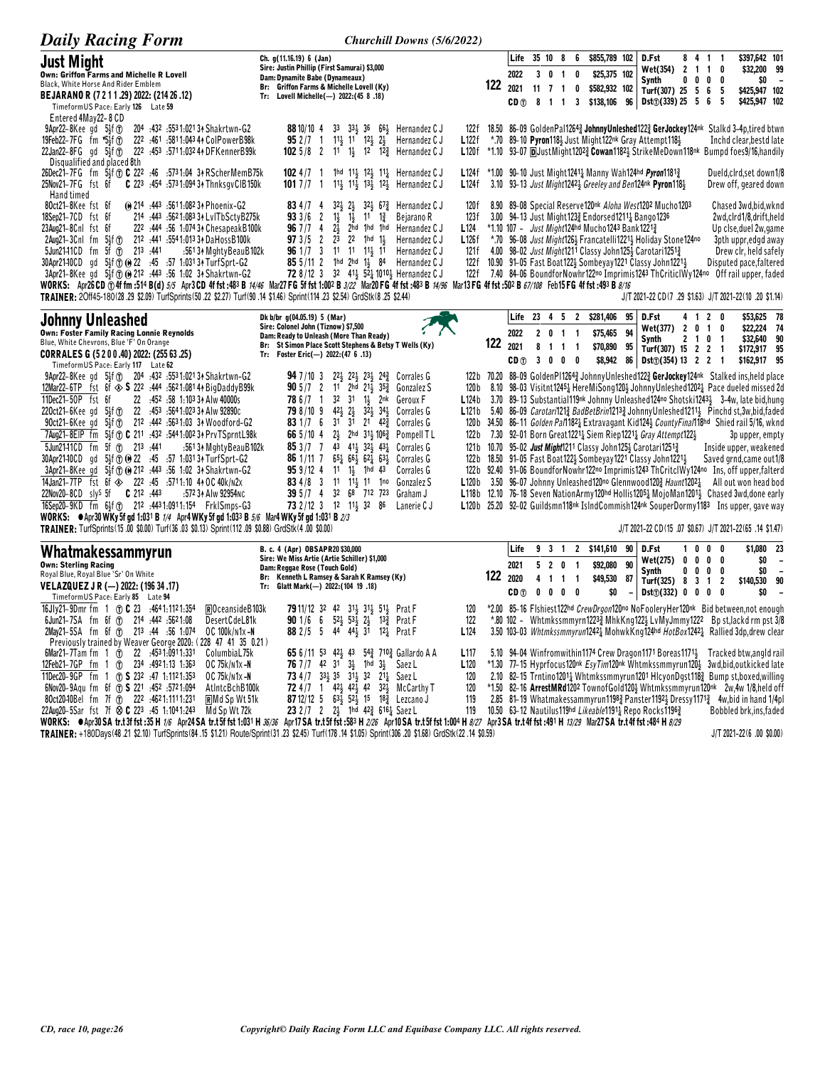| <b>Daily Racing Form</b>                                                                                                                                                                                                                                                                                                                                                                                                                                                                                                                                                                                                                                                                                                                                                                                                        |                                                                                                                                                                                                                                                                                                                                                                                                                              | Churchill Downs (5/6/2022)                                                                                                          |                                         |                                                         |                                                                                                       |                                                                                                                         |          |                                                                                                                                                                                                                                                                                                                                                                                                                                                                                                                                                                                   |                                                |                                          |                                           |                                                                                                                                                     |                                            |
|---------------------------------------------------------------------------------------------------------------------------------------------------------------------------------------------------------------------------------------------------------------------------------------------------------------------------------------------------------------------------------------------------------------------------------------------------------------------------------------------------------------------------------------------------------------------------------------------------------------------------------------------------------------------------------------------------------------------------------------------------------------------------------------------------------------------------------|------------------------------------------------------------------------------------------------------------------------------------------------------------------------------------------------------------------------------------------------------------------------------------------------------------------------------------------------------------------------------------------------------------------------------|-------------------------------------------------------------------------------------------------------------------------------------|-----------------------------------------|---------------------------------------------------------|-------------------------------------------------------------------------------------------------------|-------------------------------------------------------------------------------------------------------------------------|----------|-----------------------------------------------------------------------------------------------------------------------------------------------------------------------------------------------------------------------------------------------------------------------------------------------------------------------------------------------------------------------------------------------------------------------------------------------------------------------------------------------------------------------------------------------------------------------------------|------------------------------------------------|------------------------------------------|-------------------------------------------|-----------------------------------------------------------------------------------------------------------------------------------------------------|--------------------------------------------|
| Just Might<br>Own: Griffon Farms and Michelle R Lovell<br>Black, White Horse And Rider Emblem                                                                                                                                                                                                                                                                                                                                                                                                                                                                                                                                                                                                                                                                                                                                   | Ch. g(11.16.19) 6 (Jan)<br>Sire: Justin Phillip (First Samurai) \$3,000<br>Dam: Dynamite Babe (Dynameaux)<br>Br: Griffon Farms & Michelle Lovell (Ky)                                                                                                                                                                                                                                                                        | 122                                                                                                                                 | 2022                                    | Life 35 10 8<br>3<br>0                                  | 6<br>0<br>-1                                                                                          | \$855,789 102<br>\$25,375 102                                                                                           |          | D.Fst<br>Wet(354)<br>Synth                                                                                                                                                                                                                                                                                                                                                                                                                                                                                                                                                        | 8 4 1 1<br>2 <sub>1</sub><br>0<br>0            | $\overline{\mathbf{1}}$<br>0             | 0<br>0                                    | \$397,642 101<br>\$32,200 99<br>SO.                                                                                                                 |                                            |
| BEJARANO R (7 2 1 1 .29) 2022: (214 26 .12)<br>TimeformUS Pace: Early 126 Late 59<br>Entered 4May22-8 CD                                                                                                                                                                                                                                                                                                                                                                                                                                                                                                                                                                                                                                                                                                                        | Tr: Lovell Michelle(-) 2022: (45 8 .18)                                                                                                                                                                                                                                                                                                                                                                                      |                                                                                                                                     | 2021<br>CD <sub>①</sub>                 | 11<br>8<br>$\mathbf{1}$                                 | 7 <sub>1</sub><br>0<br>3<br>$\overline{1}$                                                            | \$582,932 102<br>\$138,106                                                                                              | 96       | Turf(307) 25 5 6<br>$Dist(\hat{U})$ (339) 25 5 6                                                                                                                                                                                                                                                                                                                                                                                                                                                                                                                                  |                                                |                                          | -5<br>5                                   | \$425,947 102<br>\$425,947 102                                                                                                                      |                                            |
| 204 :432 :5531:02134 Shakrtwn-G2<br>$9$ Apr22-8Kee gd $5\frac{1}{2}$ f $\textcircled{r}$<br>222 :461 :5811:043 44 ColPowerB98k<br>19Feb22-7FG fm *5}f(T)<br>222 :453 :5711:032 44 DFKennerB99k<br>$22$ Jan22-8FG gd $5\frac{1}{2}$ f $\textcircled{1}$<br>Disqualified and placed 8th                                                                                                                                                                                                                                                                                                                                                                                                                                                                                                                                           | 33 334 36<br>6 <sup>61</sup> <sub>2</sub> Hernandez C J<br>88 10/10 4<br>$11\frac{1}{2}$ 11 $12\frac{1}{2}$<br>$2\frac{1}{2}$<br>$952/7 \quad 1$<br><b>102</b> 5/8 2 11 1<br>12 12 <sup>3</sup> Hernandez C J                                                                                                                                                                                                                | 122f<br>Hernandez C J<br>L122f<br>*.70<br>L120f                                                                                     |                                         |                                                         |                                                                                                       |                                                                                                                         |          | 18.50 86-09 GoldenPal12643 JohnnyUnleshed1223 GerJockey124nk Stalkd 3-4p,tired btwn<br>89-10 Pyron118} Just Might122nk Gray Attempt118}<br>*1.10 93-07 DJustMight12023 Cowan11821 StrikeMeDown118nk Bumpd foes9/16, handily                                                                                                                                                                                                                                                                                                                                                       |                                                |                                          |                                           | Inchd clear, bestd late                                                                                                                             |                                            |
| 26Dec21-7FG fm 5\lf n C 222 :46 :5731:04 3ARScherMemB75k<br>C 223 :454 :573 1:094 34 ThnksgvCIB150k<br>25Nov21-7FG fst 6f<br>Hand timed                                                                                                                                                                                                                                                                                                                                                                                                                                                                                                                                                                                                                                                                                         | 1hd 11} 12} 11} Hernandez C J<br>$1024/7$ 1<br>11} 11} 13} 12} Hernandez C J<br>101 $7/7$ 1                                                                                                                                                                                                                                                                                                                                  | L <sub>124f</sub><br>L124f                                                                                                          |                                         |                                                         |                                                                                                       |                                                                                                                         |          | *1.00 90–10 Just Might1241 <sub>2</sub> Manny Wah124hd Pyron1181 <sub>2</sub><br>3.10 93-13 Just Might12423 Greeley and Ben124nk Pyron1183                                                                                                                                                                                                                                                                                                                                                                                                                                        |                                                |                                          |                                           | Dueld, cird, set down1/8<br>Drew off, geared down                                                                                                   |                                            |
| 0 214 :443 :5611:082 34 Phoenix-G2<br>80ct21-8Kee fst 6f<br>18Sep21-7CD fst 6f<br>214 :443 :5621:083 34 LvITbSctyB275k<br>23Aug21-8Cnl fst 6f<br>222 :444 :56 1:074 34 Chesapeak B100k<br>2Aug21-3Cnl fm<br>$5\frac{1}{2}$ f $\circled$<br>212 :441 :5541:013 34 DaHossB100k<br>$5f$ (f)<br>213 :441<br>5Jun2141CD fm<br>:561 34 MghtyBeauB102k<br>5}f ① 0 22 :45 :57 1:031 34 TurfSprt-G2<br>30Apr21-10CD gd<br>3Apr21-8Kee gd 5 <sup>3</sup> f 10 (0) 212 :443 :56 1:02 3 <sup>A</sup> Shakrtwn-G2<br>WORKS: Apr26CD ①4f fm :514 B(d) 5/5 Apr3CD 4f fst :483 B 74/46 Mar27 FG 5f fst 1:002 B 3/22 Mar20 FG 4f fst :483 B 74/96 Mar13 FG 4f fst :502 B 67/108 Feb15 FG 4f fst :493 B 8/16<br>TRAINER: 20ff45-180(28 .29 \$2.09) TurfSprints (50 .22 \$2.27) Turf (90 .14 \$1.46) Sprint (114 .23 \$2.54) GrdStk (8 .25 \$2.44) | $2\frac{1}{2}$<br>$32\frac{1}{2}$ 67 $\frac{3}{4}$<br>834/74<br>$32\frac{1}{2}$<br>$1\frac{1}{2}$<br>$11 \t 1\frac{3}{4}$<br>933/6<br>$\overline{2}$<br>$1\frac{1}{2}$<br>96 7 / 7<br>$2\frac{1}{2}$<br>2hd 1hd 1hd Hernandez C J<br>4<br>$\overline{c}$<br>2 <sup>3</sup><br>$2^2$ 1hd $1\frac{1}{2}$<br>973/5<br>96 1/7 3 11 11 11 11 11<br>85 5/11 2 1hd 2hd 11 84 Hernandez CJ<br>72 8/12 3 32 413 52 1010 Hernandez C J | Hernandez C J<br>120f<br>Bejarano R<br>123f<br>L <sub>124</sub><br>Hernandez C J<br>L126f<br>Hernandez C J<br>121 f<br>122f<br>122f |                                         |                                                         |                                                                                                       | 3.00 94-13 Just Might1233 Endorsed1211 Bango1236<br>*1.10 107 - <i>Just Might</i> 124hd Mucho1243 Bank1221 <sup>3</sup> |          | 8.90 89-08 Special Reserve120nk Aloha West1202 Mucho1203<br>*.70 96-08 Just Might1264 Francatelli12214 Holiday Stone124no<br>4.00 98-02 Just Might1211 Classy John1254 Carotari12513<br>10.90 91-05 Fast Boat 122} Sombeyay 1221 Classy John 1221}<br>7.40 84-06 BoundforNowhr122no Imprimis1243 ThCriticlWy124no Off rail upper, faded<br>J/T 2021-22 CD(7 .29 \$1.63) J/T 2021-22(10 .20 \$1.14)                                                                                                                                                                                |                                                |                                          |                                           | Chased 3wd, bid, wknd<br>2wd.clrd1/8.drift.held<br>Up clse, duel 2w, game<br>3pth uppr,edgd away<br>Drew clr, held safely<br>Disputed pace,faltered |                                            |
| Johnny Unleashed<br><b>Own: Foster Family Racing Lonnie Reynolds</b><br>Blue, White Chevrons, Blue 'F' On Orange                                                                                                                                                                                                                                                                                                                                                                                                                                                                                                                                                                                                                                                                                                                | Dk b/br q(04.05.19) 5 (Mar)<br>Sire: Colonel John (Tiznow) \$7,500<br>Dam: Ready to Unleash (More Than Ready)<br>St Simon Place Scott Stephens & Betsy T Wells (Ky)<br>Br:                                                                                                                                                                                                                                                   | 122                                                                                                                                 | Life<br>2022<br>2021                    | 23 4 5<br>2 <sub>0</sub><br>8                           | $\overline{2}$<br>$\overline{1}$<br>$\overline{\mathbf{1}}$                                           | \$281,406<br>\$75,465                                                                                                   | 95<br>94 | D.Fst<br>Wet(377)<br>Synth                                                                                                                                                                                                                                                                                                                                                                                                                                                                                                                                                        | 4 1 2<br>2 <sub>0</sub><br>$2 \quad 1 \quad 0$ | $\overline{1}$                           | 0<br>0<br>$\overline{1}$                  | \$53,625 78<br>\$22,224 74<br>\$32,640 90                                                                                                           |                                            |
| CORRALES G (5200.40) 2022: (255 63.25)<br>Timeform US Pace: Early 117 Late 62                                                                                                                                                                                                                                                                                                                                                                                                                                                                                                                                                                                                                                                                                                                                                   | Tr: Foster Eric(-) 2022:(47 6 .13)                                                                                                                                                                                                                                                                                                                                                                                           |                                                                                                                                     | CD <sub>1</sub>                         | $\mathbf{1}$<br>$\mathbf{0}$<br>$\overline{\mathbf{3}}$ | $\overline{1}$<br>$\overline{\mathbf{1}}$<br>0<br>0                                                   | \$70,890 95<br>\$8,942                                                                                                  | 86       | Turf(307) 15 2 2<br>$Dist()$ (354) 13 2 2                                                                                                                                                                                                                                                                                                                                                                                                                                                                                                                                         |                                                |                                          | $\overline{1}$<br>$\overline{\mathbf{1}}$ | \$172,917 95<br>\$162,917 95                                                                                                                        |                                            |
| 9Apr22-8Kee gd 5 <sup>1</sup> 53f (r) 204 :432 :5531:0213 A Shakrtwn-G2<br>12Mar22-6TP fst 6f $\textcircled{S}$ 222 :444 :5621:0814 BigDaddyB99k<br>11Dec21-50P fst 6f<br>22 :452 :58 1:103 34 Alw 40000s                                                                                                                                                                                                                                                                                                                                                                                                                                                                                                                                                                                                                       | $22\frac{1}{2}$ $22\frac{1}{2}$ $23\frac{1}{2}$ $24\frac{3}{4}$ Corrales G<br><b>94</b> $7/10$ 3<br><b>90</b> 5/7 2<br>11 2hd $21\frac{1}{2}$ $35\frac{3}{4}$<br>78 6 / 7 1<br>32 31<br>$1\frac{1}{2}$<br>2nk                                                                                                                                                                                                                | 122 b<br>Gonzalez S<br>120 b<br><b>L124b</b><br>Geroux F                                                                            |                                         |                                                         |                                                                                                       |                                                                                                                         |          | 70.20 88-09 GoldenPl12643 JohnnyUnleshed1223 GerJockey124nk Stalked ins, held place<br>8.10 98-03 Visitnt12454 HereMiSong1204 JohnnyUnleshed12024 Pace dueled missed 2d<br>3.70 89-13 Substantial119nk Johnny Unleashed124no Shotski12434 3-4w, late bid, hung                                                                                                                                                                                                                                                                                                                    |                                                |                                          |                                           |                                                                                                                                                     |                                            |
| 22 :453 :564 1:023 34 Alw 92890c<br>$220ct21 - 6$ Kee gd $5\frac{1}{2}$ f $\textcircled{r}$<br>$90ct21-6$ Kee gd $5\frac{1}{2}$ f $\circledR$<br>212 :442 :5631:03 34 Woodford-G2<br>7Aug21-8EIP fm 5}f T C 211 :432 :544 1:002 34 Prv TSprntL98k                                                                                                                                                                                                                                                                                                                                                                                                                                                                                                                                                                               | $32\frac{1}{2}$<br>798/109<br>$42\frac{1}{2}$<br>$2\frac{1}{2}$<br>$34\frac{1}{2}$<br>31<br>21<br>83 $1/7$ 6<br>31<br>$42\frac{3}{4}$<br>$2\frac{1}{2}$<br>2hd 311 1063<br>66 $5/10$ 4                                                                                                                                                                                                                                       | L121b<br>Corrales G<br>Corrales G<br>120 b<br>Pompell TL<br>122 <sub>b</sub>                                                        |                                         |                                                         |                                                                                                       |                                                                                                                         |          | 5.40 86-09 <i>Carotari</i> 121 <sup>3</sup> BadBetBrin 1213 <sup>3</sup> Johnny Unleshed 1211 <sup>1</sup> Pinchd st, 3w, bid, faded<br>34.50 86-11 Golden Pal1182 <sub>4</sub> Extravagant Kid124 <sub>2</sub> CountyFinal118hd Shied rail 5/16, wknd<br>7.30 92-01 Born Great12214 Siem Riep12214 Gray Attempt1221                                                                                                                                                                                                                                                              |                                                |                                          |                                           | 3p upper, empty                                                                                                                                     |                                            |
| 5Jun2141CD fm 5f 1 213 :441<br>:561 34 MghtyBeauB102k<br>5}f ① (0 22 :45 :57 1:031 34 TurfSprt-G2<br>30Apr21-10CD qd<br>3Apr21-8Kee gd 5 <sup>1</sup> / <sub>2</sub> f 10 (0 212 : 443 : 56 1:02 3 <sup>4</sup> Shakrtwn-G2                                                                                                                                                                                                                                                                                                                                                                                                                                                                                                                                                                                                     | 853/77<br>43 413 323 431<br>$65\frac{1}{4}$ $66\frac{1}{2}$ $62\frac{1}{4}$ $63\frac{1}{2}$<br>86 1/11 7<br>959/124<br>$1\frac{1}{2}$<br>1hd<br>11<br>43                                                                                                                                                                                                                                                                     | Corrales G<br>121 b<br>Corrales G<br>122 b<br>Corrales G<br>122 b                                                                   |                                         |                                                         |                                                                                                       |                                                                                                                         |          | 10.70 95-02 Just Might1211 Classy John1254 Carotari12513<br>18.50 91-05 Fast Boat 122 5 Sombeyay 1221 Classy John 1221 }<br>92.40 91-06 BoundforNowhr122no Imprimis1243 ThCritclWy124no Ins, off upper,falterd                                                                                                                                                                                                                                                                                                                                                                    |                                                |                                          |                                           | Inside upper, weakened<br>Saved grnd, came out 1/8                                                                                                  |                                            |
| 14Jan21-7TP fst 6f $\otimes$ 222 :45 :5711:10 44 OC 40k/n2x<br>22Nov20-8CD sly <sup>s</sup> 5f <b>C</b> 212 :443<br>:572 34 Alw 92954NC<br>16Sep20-9KD fm 6\$f (7) 212 :4431:0911:154 FrkISmps-G3                                                                                                                                                                                                                                                                                                                                                                                                                                                                                                                                                                                                                               | 834/83<br>$11 \t11\frac{1}{2} \t11 \t1n0$<br>32 68 712 723<br>395/74<br>73 2/12 3 12 11 32 86                                                                                                                                                                                                                                                                                                                                | Gonzalez S<br>L120 <sub>b</sub><br>Graham J<br>L118b<br>Lanerie C J<br>L120 <sub>b</sub>                                            |                                         |                                                         |                                                                                                       |                                                                                                                         |          | 3.50 96-07 Johnny Unleashed120no Glennwood1203 Haunt12021<br>12.10 76-18 Seven NationArmy120hd Hollis12051 MojoMan12011 Chased 3wd, done early<br>25.20 92-02 Guildsmn118 <sup>nk</sup> IslndCommish124 <sup>nk</sup> SouperDormy1183 Ins upper, gave way                                                                                                                                                                                                                                                                                                                         |                                                |                                          |                                           | All out won head bod                                                                                                                                |                                            |
| <b>WORKS:</b> $\bullet$ Apr30 WKy 5f gd 1:031 B 1/4 Apr4 WKy 5f gd 1:033 B 5/6 Mar4 WKy 5f gd 1:031 B 2/3<br>TRAINER: TurfSprints(15.00 \$0.00) Turf(36.03 \$0.13) Sprint(112.09 \$0.88) GrdStk(4.00 \$0.00)                                                                                                                                                                                                                                                                                                                                                                                                                                                                                                                                                                                                                    |                                                                                                                                                                                                                                                                                                                                                                                                                              |                                                                                                                                     |                                         |                                                         |                                                                                                       |                                                                                                                         |          | J/T 2021-22 CD (15 .07 \$0.67) J/T 2021-22 (65 .14 \$1.47)                                                                                                                                                                                                                                                                                                                                                                                                                                                                                                                        |                                                |                                          |                                           |                                                                                                                                                     |                                            |
| Whatmakessammyrun<br><b>Own: Sterling Racing</b><br>Royal Blue, Royal Blue 'Sr' On White<br>VELAZQUEZ J R (-) 2022: (196 34 .17)<br>TimeformUS Pace: Early 85 Late 94                                                                                                                                                                                                                                                                                                                                                                                                                                                                                                                                                                                                                                                           | B. c. 4 (Apr) OBSAPR20\$30,000<br>Sire: We Miss Artie (Artie Schiller) \$1,000<br>Dam: Reggae Rose (Touch Gold)<br>Br: Kenneth L Ramsey & Sarah K Ramsey (Ky)<br>Glatt Mark(-) 2022: (104 19 .18)<br>Tr:                                                                                                                                                                                                                     | 122                                                                                                                                 | Life<br>2021<br>2020<br>CD <sub>1</sub> | 9 3 1<br>520<br>4<br>$\mathbf{1}$<br>$\mathbf 0$<br>0   | $\overline{2}$<br>$\overline{\mathbf{1}}$<br>$\overline{1}$<br>$\overline{\phantom{a}}$<br>$0\quad 0$ | \$141,610 90<br>\$92,080<br>\$49,530<br>\$0                                                                             | 90<br>87 | D.Fst<br>Wet(275)<br>Synth<br>Turf(325)<br>$Dist()$ (332) 0 0                                                                                                                                                                                                                                                                                                                                                                                                                                                                                                                     | 100<br>0 <sub>0</sub><br>0<br>0<br>8<br>3      | $\mathbf{0}$<br>0<br>$\overline{1}$<br>0 | 0<br>0<br>0<br>$\overline{2}$<br>0        | \$1,080 23<br>\$0<br>\$0<br>\$140,530 90<br>\$O                                                                                                     | $\overline{\phantom{a}}$<br>$\overline{a}$ |
| 16Jly21-9Dmr fm 1 (1) C 23 :4641:1121:354<br>$\mathbb{R}$ Oceanside B103k<br>6Jun21-7SA fm 6f 1 214 :442 :5621:08<br>DesertCdeL81k<br>2May21-5SA fm 6f (r) 213 :44 :56 1:074<br>OC 100k/n1x-N<br>Previously trained by Weaver George 2020: (228 47 41 35 0.21)                                                                                                                                                                                                                                                                                                                                                                                                                                                                                                                                                                  | <b>79</b> 11/12 32 42 313 313 513 Prat F<br>901/66<br>$52\frac{1}{2}$ $53\frac{1}{2}$ $2\frac{1}{2}$<br>Prat F<br>$13\frac{3}{4}$<br>3 <sup>1</sup><br>882/55<br>44 44 }<br>$12\frac{1}{4}$<br>Prat F                                                                                                                                                                                                                        | 120<br>122<br>L <sub>124</sub>                                                                                                      |                                         |                                                         |                                                                                                       |                                                                                                                         |          | *2.00 85-16 Flshiest122hd CrewDrgon120no NoFooleryHer120nk Bid between,not enough<br>*.80 102 - Whtmkssmmyrn1223} MhkKng122} LvMyJmmy1222 Bp st, lackd rm pst 3/8<br>3.50 103-03 Whtmkssmmyrun12424 MohwkKng124hd HotBox12424 Rallied 3dp, drew clear                                                                                                                                                                                                                                                                                                                             |                                                |                                          |                                           |                                                                                                                                                     |                                            |
| 6Mar21–7Tam fm $1 \text{ T}$<br>22 :4531:0911:331<br>ColumbiaL75k<br>12Feb21-7GP fm 1 $1$<br>234 :4921:13 1:363<br>OC 75k/n1x-N<br>11Dec20-9GP fm 1 (f) <b>S</b> 232 :47 1:1121:353<br>OC 75k/N1x-N<br>6Nov20-9Agu fm 6f (r) S 221 :452 :5721:094<br>AtIntcBchB100k<br>80ct2040Bel fm 7f (f) 222 :4621:1111:231<br><b>RMd Sp Wt 51k</b><br>22Aug20-5Sar fst 7f $\otimes$ C 223 :45 1:1041:243<br>Md Sp Wt 72k                                                                                                                                                                                                                                                                                                                                                                                                                   | 54 <sup>3</sup> 710 <sup>3</sup> Gallardo A A<br>65 6/11 53 42 $\frac{1}{2}$ 43<br><b>76</b> 7/7 42 31<br>$3\frac{1}{2}$<br>1hd<br>$3\frac{1}{2}$<br>Saez L<br>73 4/7 331 35 311 32 211 Saez L<br>$42\frac{1}{2}$<br>$42\frac{1}{2}$<br>42<br>$32\frac{1}{2}$<br><b>72</b> 4/7 1<br>631 521 15 182 Lezcano J<br>87 12/12 5<br>23 2 /7 2 2 1hd 42 3 616 3 Saez L                                                              | L <sub>117</sub><br>L <sub>120</sub><br>120<br>McCarthy T<br>120<br>119<br>119                                                      |                                         |                                                         |                                                                                                       |                                                                                                                         |          | 5.10 94-04 Winfromwithin 1174 Crew Dragon 1171 Boreas 1171 Fracked btw, angld rail<br>*1.30 77-15 Hyprfocus120nk EsyTim120nk Whtmkssmmyrun120} 3wd,bid,outkicked late<br>2.10 82-15 Trntino1201 <sub>4</sub> Whtmkssmmyrun1201 HlcyonDgst118 <sub>4</sub> Bump st, boxed, willing<br>*1.50 82-16 ArrestMRd1202 TownofGold120} Whtmkssmmyrun120nk 2w,4w 1/8,held off<br>2.85 81-19 Whatmakessammyrun1198 <sub>4</sub> Panster1192 <sub>2</sub> Dressy1171 <sub>4</sub> 4w, bid in hand 1/4pl<br>10.50 63-12 Nautilus 119hd Likeable 1191 <sup>1</sup> Repo Rocks 1196 <sup>3</sup> |                                                |                                          |                                           | Bobbled brk, ins, faded                                                                                                                             |                                            |

WORKS:  $\bullet$ Apr30 SA tr.35 H 1/6 Apr24 SA tr.35 ft 1:031 H 36/36 Apr17 SA tr.35 fst :583 H 2/26 Apr10 SA tr.35 fst :1004 H 8/27 Apr3 SA tr.44 fst :491 H 13/29 Mar27 SA tr.44 fst :484 H 8/29<br>TRAINER: +180Days(48.21 \$2.10) Tu

J/T 2021-22(6 .00 \$0.00)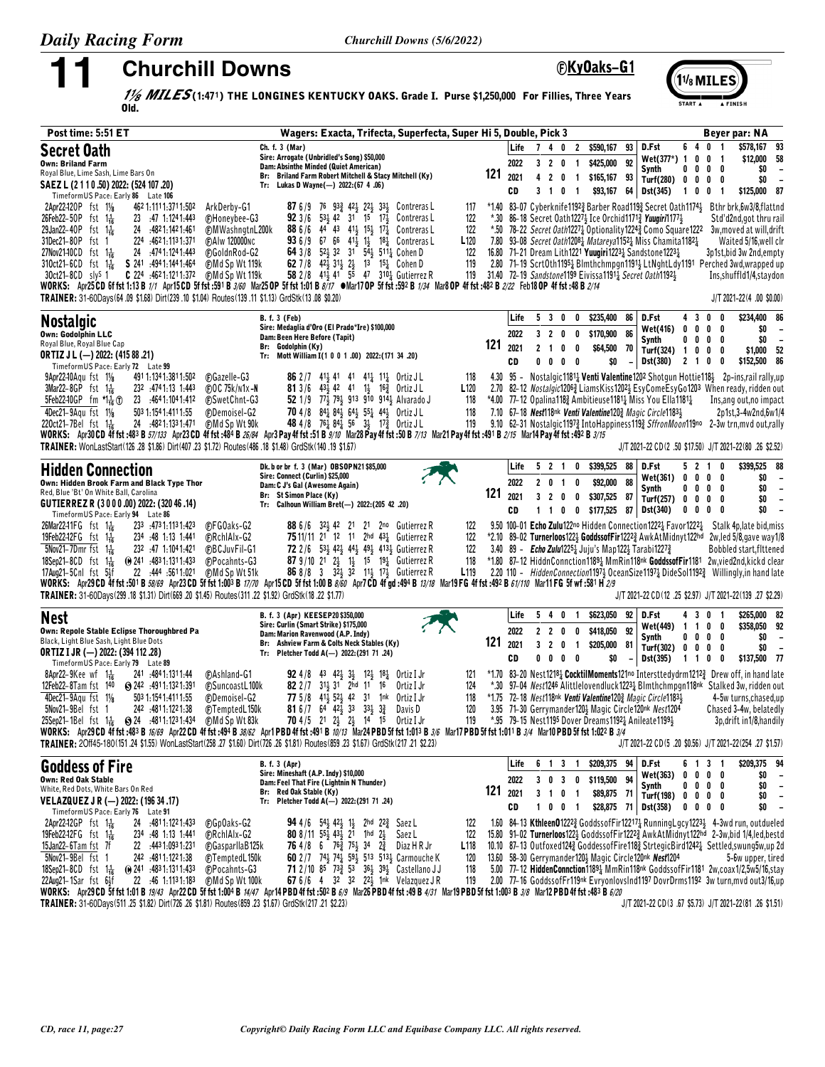# **Churchill Downs**

**EKyOaks-G1** 



 $\frac{1}{8}$  MILES(1:471) THE LONGINES KENTUCKY OAKS. Grade I. Purse \$1,250,000 For Fillies, Three Years Old.

| Post time: 5:51 ET                                                                                                                                                                                                                                                                                                                                                                                                                                                                                                                    | Wagers: Exacta, Trifecta, Superfecta, Super Hi 5, Double, Pick 3                                                                                                                                                                                                                                                                                                                                                                                                                                                                                                                                                                                                                                                                                                                                                                                                                                                             | Beyer par: NA                                                                                                                                                                                                                                                                                                                                                                                                                                                                                                                                                                                                                                                                                                                                                                                 |
|---------------------------------------------------------------------------------------------------------------------------------------------------------------------------------------------------------------------------------------------------------------------------------------------------------------------------------------------------------------------------------------------------------------------------------------------------------------------------------------------------------------------------------------|------------------------------------------------------------------------------------------------------------------------------------------------------------------------------------------------------------------------------------------------------------------------------------------------------------------------------------------------------------------------------------------------------------------------------------------------------------------------------------------------------------------------------------------------------------------------------------------------------------------------------------------------------------------------------------------------------------------------------------------------------------------------------------------------------------------------------------------------------------------------------------------------------------------------------|-----------------------------------------------------------------------------------------------------------------------------------------------------------------------------------------------------------------------------------------------------------------------------------------------------------------------------------------------------------------------------------------------------------------------------------------------------------------------------------------------------------------------------------------------------------------------------------------------------------------------------------------------------------------------------------------------------------------------------------------------------------------------------------------------|
| <b>Secret Oath</b><br><b>Own: Briland Farm</b><br>Royal Blue, Lime Sash, Lime Bars On<br>SAEZ L (2 1 1 0 .50) 2022: (524 107 .20)<br>TimeformUS Pace: Early 86 Late 106                                                                                                                                                                                                                                                                                                                                                               | Ch. f. 3 (Mar)<br>Sire: Arrogate (Unbridled's Song) \$50,000<br>Dam: Absinthe Minded (Quiet American)<br>Br: Briland Farm Robert Mitchell & Stacy Mitchell (Ky)<br>Tr: Lukas D Wayne(-) 2022: (67 4 .06)                                                                                                                                                                                                                                                                                                                                                                                                                                                                                                                                                                                                                                                                                                                     | \$578,167 93<br>640<br>D.Fst<br>Life<br>7 4 0 2 \$590,167<br>93<br>$\overline{1}$<br>\$12,000 58<br>Wet(377*) 1<br>$0 \t0 \t1$<br>92<br>2022<br>\$425,000<br>3 2 0<br>$\overline{1}$<br>0<br>\$0<br>Synth<br>0<br>00<br>121<br>2021<br>2 <sub>0</sub><br>$\overline{1}$<br>\$165,167 93<br>4<br>\$0<br>Turf(280)<br>0<br>$0\quad 0\quad 0$<br>CD<br>3 1 0 1<br>\$93,167<br>64<br>Dst(345)<br>\$125,000 87<br>$\mathbf{1}$<br>0<br>0<br>$\overline{1}$                                                                                                                                                                                                                                                                                                                                         |
| 2Apr22-120P fst 11/8<br>462 1:111 1:371 1:502<br>23 :47 1:1241:443<br>26Feb22-50P fst 1 <sup>1</sup> <sub>16</sub><br>29Jan22-40P fst 1 <sup>1</sup> / <sub>16</sub><br>24 :4821:1421:461<br>224 :4621:1131:371<br>31Dec21-80P fst 1<br>24 .4741:1241:443<br>27Nov2140CD fst 1 $\frac{1}{16}$<br>S 241 494 1:144 1:464<br>$310ct21-6CD$ fst $1\frac{1}{16}$<br><b>C</b> 224 :4621:1211:372 (F)Md Sp Wt 119k<br>$30ct21-8CD$ slys 1<br>TRAINER: 31-60Days(64.09 \$1.68) Dirt(239.10 \$1.04) Routes(139.11 \$1.13) GrdStk(13.08 \$0.20) | ArkDerby-G1<br><b>87</b> 6/9 76 93 <sup>3</sup> 42 <sup>1</sup> / <sub>2</sub> 22 <sup>1</sup> / <sub>3</sub> 33 <sup>1</sup> / <sub>2</sub> Contreras L<br><b>92</b> 3/6 53 $\frac{1}{2}$ 42 31 15 17 $\frac{1}{2}$ Contreras L<br><b>CHoneybee-G3</b><br><b>FMWashngtnL200k</b><br><b>88</b> 6/6 44 43 41 <sup>1</sup> / <sub>3</sub> 15 <sup>1</sup> / <sub>3</sub> Contreras L<br><b>93</b> 6/9 67 66 41 <sup>1</sup> / <sub>2</sub> 1 <sup>8</sup> <sup>1</sup> / <sub>2</sub> Contreras L<br>(F) A I w 120000 N C<br>64 3/8 523 32 31 543 5112 Cohen D<br><b>@GoldnRod-G2</b><br>62 7/8 42 $\frac{1}{2}$ 31 $\frac{1}{2}$ 2 $\frac{1}{2}$ 13 15 $\frac{1}{4}$ Cohen D<br><b>CMd Sp Wt 119k</b><br>58 2/8 413 41 55 47 310 3 Gutierrez R<br>WORKS: Apr25CD 6f fst 1:13 B 1/1 Apr15CD 5f fst :591 B 3/60 Mar25 OP 5f fst 1:01 B 8/17 . Mar17 OP 5f fst :592 B 1/34 Mar8 OP 4f fst :482 B 2/22 Feb18 OP 4f fst :48 B 2/14 | *1.40 83-07 Cyberknife1192} Barber Road119} Secret Oath1174} Bthr brk, 6w3/8, flattnd<br>117<br>122<br>*.30 86-18 Secret Oath1227 Ice Orchid1171 <i>Vuugiri</i> 1177 }<br>Std'd2nd,got thru rail<br>122<br>*.50 78-22 Secret Oath12271 Optionality12242 Como Square1222 3w, moved at will, drift<br>L <sub>120</sub><br>7.80 93–08 <i>Secret Oath</i> 120 <sup>8</sup> <sub>4</sub> <i>Matareya</i> 1152 <sub>4</sub> Miss Chamita1182 <sub>4</sub><br>Waited 5/16, well clr<br>122<br>16.80 71-21 Dream Lith1221 Yuugiri12231 Sandstone12231<br>3p1st, bid 3w 2nd, empty<br>119<br>2.80 71-19 ScrtOth11952 Blmthchmpgn11913 LtNghtLdy1191 Perched 3wd, wrapped up<br>119<br>31.40 72-19 Sandstone1199 Eivissa11914 Secret Oath11921<br>Ins, shuffld1/4, staydon<br>J/T 2021-22(4 .00 \$0.00) |
| <b>Nostalgic</b><br><b>Own: Godolphin LLC</b><br>Royal Blue, Royal Blue Cap<br><b>ORTIZ J L (-) 2022: (415 88 .21)</b><br>TimeformUS Pace: Early 72 Late 99                                                                                                                                                                                                                                                                                                                                                                           | <b>B.</b> f. 3 (Feb)<br>Sire: Medaglia d'Oro (El Prado*Ire) \$100,000<br>Dam: Been Here Before (Tapit)<br>Br: Godolphin (Ky)<br>Tr: Mott William I(1 0 0 1 .00) 2022: (171 34 .20)                                                                                                                                                                                                                                                                                                                                                                                                                                                                                                                                                                                                                                                                                                                                           | D.Fst<br>\$234,400 86<br>Life<br>5 3<br>$0$ \$235,400<br>86<br>4 3 0<br>0<br>0<br>\$0<br><b>Wet(416)</b><br>$\mathbf{0}$<br>$0\quad 0\quad 0$<br>86<br>2022<br>3 2 0<br>0 \$170,900<br>\$0<br>Synth<br>0<br>$0\quad 0\quad 0$<br>121<br>2021<br>\$64,500<br>2 <sub>1</sub><br>0<br>0<br>70<br>\$1,000 52<br>Turf(324)<br>$\overline{1}$<br>$0\quad 0$<br>0<br>\$0<br>Dst(380)<br>\$152,500 86<br>CD<br>0<br>$0\quad 0$<br>0<br>$2 \t1 \t0$<br>0<br>$\overline{\phantom{a}}$                                                                                                                                                                                                                                                                                                                   |
| 9Apr2240Aqu fst 11/8<br>491 1:134 1:381 1:502<br>$3$ Mar22-8GP fst 1 $\frac{1}{16}$<br>232 4741.13 1.443<br>5Feb22-10GP fm *1+6 1<br>23 :4641:1041:412<br>4Dec21-9Aqu fst 11/8<br>503 1:154 1:411 1:55<br>220ct21-7Bel fst 116<br>24 :4821:1331:471<br>TRAINER: WonLastStart(126 .28 \$1.86) Dirt(407 .23 \$1.72) Routes(486 .18 \$1.48) GrdStk(140 .19 \$1.67)                                                                                                                                                                       | <b>CGazelle-G3</b><br><b>86</b> 2/7 41 <sup>1</sup> / <sub>2</sub> 41 41 41 <sup>1</sup> / <sub>2</sub> 11 <sup>1</sup> / <sub>2</sub> Ortiz JL<br><b>@OC 75k/n1x-N</b><br><b>81</b> 3/6 43 42 41 1 $\frac{1}{2}$ 16 $\frac{3}{4}$ Ortiz JL<br>52 1/9 77 <sub>2</sub> 79 <sub>2</sub> 913 910 914 <sub>2</sub> Alvarado J<br>©SwetChnt-G3<br>70 4/8 841 841 641 551 441 Ortiz JL<br><b>@Demoisel-G2</b><br>48 4/8 761 841 56 31 173 Ortiz JL<br>(F)Md Sp Wt 90k<br>WORKS: Apr30 CD 4f fst :483 B 57/133 Apr23 CD 4f fst :484 B 26/84 Apr3 Pay 4f fst :51 B 9/10 Mar28 Pay 4f fst :50 B 7/13 Mar21 Pay 4f fst :491 B 2/15 Mar14 Pay 4f fst :493 B 3/15                                                                                                                                                                                                                                                                        | 4.30 95 - Nostalgic11814 Venti Valentine1202 Shotgun Hottie1184 2p-ins,rail rally,up<br>118<br>2.70 82-12 Nostalgic12063 LiamsKiss12023 EsyComeEsyGo1203 When ready, ridden out<br>L120<br>*4.00 77–12 Opalina118} Ambitieuse1181} Miss You Ella1181}<br>118<br>Ins, ang out, no impact<br>7.10 67-18 Nest118nk Venti Valentine1203 Magic Circle11831<br>118<br>2p1st,3-4w2nd,6w1/4<br>119<br>9.10 62-31 Nostalgic11973 IntoHappiness1193 SffronMoon119no 2-3w trn, mvd out, rally<br>J/T 2021-22 CD(2 .50 \$17.50) J/T 2021-22(80 .26 \$2.52)                                                                                                                                                                                                                                                |
| <b>Hidden Connection</b><br>Own: Hidden Brook Farm and Black Type Thor<br>Red, Blue 'Bt' On White Ball, Carolina<br>GUTIERREZ R (3000.00) 2022: (320 46.14)<br>TimeformUS Pace: Early 94 Late 86                                                                                                                                                                                                                                                                                                                                      | Dk. b or br f. 3 (Mar) OBSOPN21 \$85,000<br>Sire: Connect (Curlin) \$25,000<br>Dam: C J's Gal (Awesome Again)<br>Br: St Simon Place (Ky)<br>Tr: Calhoun William Bret(-) 2022:(205 42 .20)                                                                                                                                                                                                                                                                                                                                                                                                                                                                                                                                                                                                                                                                                                                                    | \$399,525<br>88<br>\$399,525 88<br>5 2 1<br>$\mathbf 0$<br>D.Fst<br>5 2 1 0<br>  Life<br>\$0<br>Wet(361)<br>0<br>$0\quad 0\quad 0$<br>2022<br>\$92,000<br>88<br>$2 \t0 \t1$<br>0<br>\$0<br>Synth<br>0<br>$0\quad 0\quad 0$<br>121<br>2021<br>\$307,525<br>$\mathbf{3}$<br>2 <sub>0</sub><br>0<br>87<br>\$0<br>Turf(257) $0 \t 0 \t 0 \t 0$<br>\$177,525<br>87<br>Dst(340)<br>\$0<br>CD<br>0<br>0<br>$0\ 0\ 0\ 0$<br>$1\quad1$                                                                                                                                                                                                                                                                                                                                                                 |
| $26$ Mar2241FG fst 1 $\frac{1}{16}$<br>233 4731.1131.423<br>19Feb22-12FG fst 1 <sup>1</sup> <sub>16</sub><br>234 :48 1:13 1:441<br>$5$ Nov21-7Dmr fst 1 $\frac{1}{16}$<br>232 :47 1:104 1:421<br>18Sep21-8CD fst 1 <sup>1</sup> / <sub>16</sub><br>(a) $241 : 4831 : 1311 : 433$<br>17Aug21-5Cnl fst 5½<br>5611.021 <b>44</b> 4 .561<br>TRAINER: 31-60Days(299.18 \$1.31) Dirt(669.20 \$1.45) Routes(311.22 \$1.92) GrdStk(18.22 \$1.77)                                                                                              | <b>C</b> FGOaks-G2<br>88 6/6 32} 42 21 21 2no Gutierrez R<br><b>CRchIAIx-G2</b><br>75 11/11 21 12 11 2hd 431 Gutierrez R<br><b>CBCJuvFil-G1</b><br>72 2/6 533 423 443 493 4133 Gutierrez R<br>87 9/10 21 2 <sup>1</sup> / <sub>2</sub> 1 <sup>1</sup> / <sub>2</sub> 1 <sup>5</sup> 1 <sup>9</sup> <sup>1</sup> / <sub>4</sub> Gutierrez R<br><b>C</b> Pocahnts-G3<br>86 8/8 3 32 32 11 17 Gutierrez R<br>(F)Md Sp Wt 51k<br>WORKS: Apr29CD 4f fst:501 B 58/69 Apr23CD 5f fst 1:003 B 17/70 Apr15CD 5f fst 1:00 B 8/60 Apr7 CD 4f gd:494 B 13/18 Mar19FG 4f fst:492 B 61/110 Mar11 FG 5f wf:581 H 2/9                                                                                                                                                                                                                                                                                                                        | 9.50 100-01 Echo Zulu122no Hidden Connection12224 Favor12221 Stalk 4p, late bid, miss<br>122<br>122<br>*2.10 89-02 Turnerloos1223 GoddssofFir12223 AwkAtMidnyt122hd 2w,led 5/8, gave way1/8<br>122<br>3.40 89 - Echo Zulu1225 <sup>1</sup> Juju's Map122 <sup>1</sup> Tarabi1227 <sup>2</sup><br>Bobbled start, fittened<br>118<br>*1.80 87-12 Hiddn Connction 1189 mm Rin 118 <sup>nk</sup> GoddssofFir 118 <sup>1</sup> 2w, vied 2nd, kickd clear<br>L <sub>119</sub><br>2.20 110 - HiddenConnection11974 OceanSize11974 DideSol11923 Willingly, in hand late<br>J/T 2021-22 CD(12 .25 \$2.97) J/T 2021-22(139 .27 \$2.29)                                                                                                                                                                  |
| <b>Nest</b><br>Own: Repole Stable Eclipse Thoroughbred Pa<br>Black, Light Blue Sash, Light Blue Dots<br><b>ORTIZ I JR (-) 2022: (394 112 .28)</b><br>Timeform US Pace: Early 79 Late 89                                                                                                                                                                                                                                                                                                                                               | B. f. 3 (Apr) KEESEP20 \$350,000<br>Sire: Curlin (Smart Strike) \$175,000<br>Dam: Marion Ravenwood (A.P. Indy)<br>Br: Ashview Farm & Colts Neck Stables (Ky)<br>Tr: Pletcher Todd A(-) 2022: (291 71 .24)                                                                                                                                                                                                                                                                                                                                                                                                                                                                                                                                                                                                                                                                                                                    | \$623,050 92<br>\$265,000 82<br>Life<br>5 4 0<br>$\mathbf{1}$<br>D.Fst<br>301<br>4<br>1 1 0 0<br>\$358,050 92<br>Wet(449)<br>92<br>2022<br>220<br>0 \$418,050<br>\$0<br>Synth<br>0<br>$0\quad 0\quad 0$<br>121<br>2021<br>320<br>\$205,000<br>$\mathbf{1}$<br>81<br>\$0<br>Turf(302) 0<br>$0\quad 0$<br>0<br>CD<br>\$0<br>Dst(395)<br>\$137,500 77<br>$0\ 0\ 0\ 0$<br>1 1 0<br>0<br>$\overline{\phantom{a}}$                                                                                                                                                                                                                                                                                                                                                                                  |
| 8Apr22-9Kee wf 1 <sup>1</sup> <sub>16</sub><br>241 .484 1.131 1.44<br>12Feb22-8Tam fst 140<br>● 242 :4911:1321:391<br>4Dec21-9Agu fst 11/8<br>503 1:154 1:411 1:55<br>242 :4811:1221:38<br>5Nov21-9Bel fst 1<br>25Sep21-1Bel fst $1\frac{1}{16}$<br>34 :4811:1231:434                                                                                                                                                                                                                                                                 | <b>FAshland-G1</b><br><b>92</b> 4/8 43 42 <sup>1</sup> / <sub>2</sub> 3 <sup>1</sup> / <sub>2</sub> 12 <sup>1</sup> / <sub>2</sub> 18 <sup>1</sup> / <sub>4</sub><br>Ortiz I Jr<br><b>C</b> SuncoastL100k<br>82 2 / 7 31 31 2hd 11 16<br>Ortiz I Jr<br>(F)Demoisel-G2<br>77 5/8 413 523 42 31 1nk<br>Ortiz I Jr<br>81 6/7 64 421 33 331 33<br>©TemptedL150k<br>Davis D<br><b>CMd Sp Wt 83k</b><br><b>70</b> 4/5 21 23 23 14 15<br>Ortiz I Jr<br>WORKS: Apr29CD 4f fst :483 B 16/69 Apr22CD 4f fst :494 B 38/62 Apr1PBD 4f fst :491 B 10/13 Mar24 PBD 5f fst 1:013 B 3/6 Mar17 PBD 5f fst 1:011 B 3/4 Mar10 PBD 5f fst 1:022 B 3/4<br>TRAINER: 20ff45-180(151.24 \$1.55) WonLastStart(258.27 \$1.60) Dirt(726.26 \$1.81) Routes(859.23 \$1.67) GrdStk(217.21 \$2.23)                                                                                                                                                          | $*1.70$ 83-20 Nest1218 <sub>2</sub> Cocktil Moments121 <sup>no</sup> Intersttedydrm1212 <sub>3</sub> Drew off, in hand late<br>121<br>124<br>*.30 97-04 Nest1246 Alittlelovendluck12231 Blmthchmpgn118nk Stalked 3w, ridden out<br>*1.75 72–18 Nest118nk Venti Valentine1203 Magic Circle11834<br>118<br>4-5w turns, chased, up<br>120<br>3.95 71-30 Gerrymander1201 Magic Circle120nk Nest1204<br>Chased 3-4w, belatedly<br>119<br>*.95 79-15 Nest1195 Dover Dreams11921 Anileate11991<br>3p, drift in 1/8, handily<br>J/T 2021-22 CD(5 .20 \$0.56) J/T 2021-22(254 .27 \$1.57)                                                                                                                                                                                                              |
| <b>Goddess of Fire</b><br><b>Own: Red Oak Stable</b><br>White, Red Dots, White Bars On Red<br>VELAZQUEZ J R (-) 2022: (196 34 .17)<br>Timeform US Pace: Early 76 Late 91                                                                                                                                                                                                                                                                                                                                                              | <b>B.</b> f. 3 (Apr)<br>Sire: Mineshaft (A.P. Indy) \$10,000<br>Dam: Feel That Fire (Lightnin N Thunder)<br>Br: Red Oak Stable (Ky)<br>Tr: Pletcher Todd A(-) 2022:(291 71 .24)                                                                                                                                                                                                                                                                                                                                                                                                                                                                                                                                                                                                                                                                                                                                              | 6 1 3 1 \$209,375 94<br>\$209,375 94<br>Life<br>D.Fst<br>6 1 3 1<br>Wet(363) 0<br>$0\quad 0\quad 0$<br>\$0<br>94<br>3 0 3 0 \$119,500<br>2022<br>\$0<br>$0\,0\,0\,0$<br>Synth<br>121<br>2021<br>3 1 0 1<br>\$89,875 71<br>Turf(198) 0 0 0 0<br>\$0<br>$0\quad 0\quad 0\quad 0$<br>\$0<br>CD<br>1 0 0 1<br>$$28,875$ 71 Dst(358)                                                                                                                                                                                                                                                                                                                                                                                                                                                               |
| 2Apr22-12GP fst $1\frac{1}{16}$<br>24 .4811.1221.433<br>19Feb22-12FG $f$ st $1\frac{1}{16}$<br>234 :48 1:13 1:441<br>15Jan22-6Tam fst 7f<br>22 :4431:0931:231<br>5Nov21-9Bel fst 1<br>242 4811:1221:38<br>0 241 :483 1:131 1:433<br>18Sep21-8CD fst 116<br>22Aug21-1Sar fst 64f<br>22 :46 1:1131:183<br>TRAINER: 31-60Days(511.25 \$1.82) Dirt(726.26 \$1.81) Routes(859.23 \$1.67) GrdStk(217.21 \$2.23)                                                                                                                             | <b>CGpOaks-G2</b><br><b>94</b> 4/6 54 $\frac{1}{2}$ 42 $\frac{1}{2}$ 1 $\frac{1}{2}$ 2hd 22 $\frac{3}{4}$ Saez L<br>80 8/11 $55\frac{1}{2}$ 43 <sub>2</sub> 21 1hd 2 <sub>2</sub><br><b>C</b> RchIAIx-G2<br>Saez L<br><b>CGasparllaB125k</b><br><b>76</b> 4/8 6 76 $\frac{3}{4}$ 75 $\frac{1}{2}$ 34 2 $\frac{3}{4}$<br>Diaz H R Jr<br><b>@TemptedL150k</b><br>60 2/7 74} 74} 59} 513 513} Carmouche K<br>71 2/10 85 733 53 364 394 Castellano JJ<br>(F)Pocahnts-G3<br>67 6/6 4 32 32 $22\frac{1}{2}$ 1nk Velazquez JR<br><b>CMd Sp Wt 100k</b><br>WORKS: Apr29 CD 5f fst 1:01 B 19/43 Apr22 CD 5f fst 1:004 B 14/47 Apr14 PBD 4f fst :502 B 6/9 Mar26 PBD 4f fst :49 B 4/31 Mar19 PBD 5f fst 1:003 B 3/8 Mar12 PBD 4f fst :483 B 6/20                                                                                                                                                                                       | 1.60 84-13 Kthleen01222 $\frac{3}{4}$ GoddssofFir12217 $\frac{1}{4}$ RunningLgcy1223 $\frac{1}{2}$ 4-3wd run, outdueled<br>122<br>15.80 91-02 Turnerloos1223 GoddssofFir12223 AwkAtMidnyt122hd 2-3w,bid 1/4,led,bestd<br>122<br>10.10 87-13 Outfoxed1243 GoddessofFire1183 StrtegicBird12421 Settled, swung5w, up 2d<br>L118<br>13.60 58-30 Gerrymander120} Magic Circle120nk Nest1204<br>5-6w upper, tired<br>120<br>5.00 77-12 HiddenConnction11891 MmRin118nk GoddssofFir1181 2w.coax1/2.5w5/16.stay<br>118<br>2.00 77-16 GoddssofFr119nk EvryonlovsInd1197 DovrDrms1192 3w turn, mvd out3/16,up<br>119<br>J/T 2021-22 CD(3 .67 \$5.73) J/T 2021-22(81 .26 \$1.51)                                                                                                                         |
|                                                                                                                                                                                                                                                                                                                                                                                                                                                                                                                                       |                                                                                                                                                                                                                                                                                                                                                                                                                                                                                                                                                                                                                                                                                                                                                                                                                                                                                                                              |                                                                                                                                                                                                                                                                                                                                                                                                                                                                                                                                                                                                                                                                                                                                                                                               |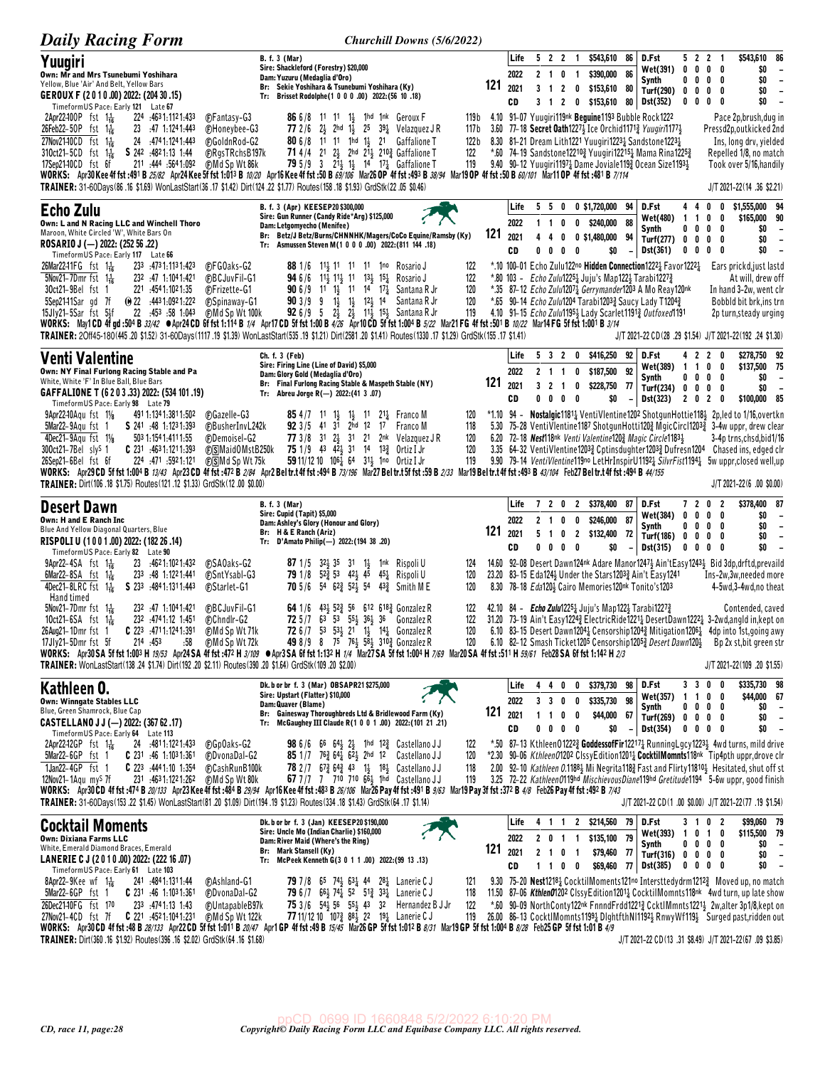| <b>Daily Racing Form</b>                                                                                                                                                                                                                                                                                        | Churchill Downs (5/6/2022)                                                                                                                                                                                                                                                                                                                                                                                                                                                                                                                                                                                                                                                                                                                                                                                                                                                                                                                                                                                                                 |                                       |                            |                                        |                                            |                                                                                          |                          |                                                                                                                                                                                                                                                                                                                                                                                     |                                             |                                                                                     |                                                                                                                                                                                                                                                                                                                                                                                                                                    |
|-----------------------------------------------------------------------------------------------------------------------------------------------------------------------------------------------------------------------------------------------------------------------------------------------------------------|--------------------------------------------------------------------------------------------------------------------------------------------------------------------------------------------------------------------------------------------------------------------------------------------------------------------------------------------------------------------------------------------------------------------------------------------------------------------------------------------------------------------------------------------------------------------------------------------------------------------------------------------------------------------------------------------------------------------------------------------------------------------------------------------------------------------------------------------------------------------------------------------------------------------------------------------------------------------------------------------------------------------------------------------|---------------------------------------|----------------------------|----------------------------------------|--------------------------------------------|------------------------------------------------------------------------------------------|--------------------------|-------------------------------------------------------------------------------------------------------------------------------------------------------------------------------------------------------------------------------------------------------------------------------------------------------------------------------------------------------------------------------------|---------------------------------------------|-------------------------------------------------------------------------------------|------------------------------------------------------------------------------------------------------------------------------------------------------------------------------------------------------------------------------------------------------------------------------------------------------------------------------------------------------------------------------------------------------------------------------------|
| Yuugiri<br>Own: Mr and Mrs Tsunebumi Yoshihara<br>Yellow, Blue 'Air' And Belt, Yellow Bars<br>GEROUX F (2010.00) 2022: (204 30.15)<br>TimeformUS Pace: Early 121 Late 67                                                                                                                                        | <b>B.</b> f. 3 (Mar)<br>Sire: Shackleford (Forestry) \$20,000<br>Dam: Yuzuru (Medaglia d'Oro)<br>Br: Sekie Yoshihara & Tsunebumi Yoshihara (Ky)<br>Tr: Brisset Rodolphe(1 0 0 0 .00) 2022: (56 10 .18)                                                                                                                                                                                                                                                                                                                                                                                                                                                                                                                                                                                                                                                                                                                                                                                                                                     | 121                                   | Life<br>2022<br>2021<br>CD | 522<br>2 1 0                           | $\overline{1}$<br>$\overline{1}$           | \$543,610<br>\$390,000<br>3 1 2 0 \$153,610 80                                           | 86<br>86                 | D.Fst<br>Wet(391)<br>Synth<br>Turf(290)<br>3 1 2 0 \$153,610 80 Dst(352)                                                                                                                                                                                                                                                                                                            | $0\quad 0$<br>$0\quad 0$                    | 5 2 2 1<br>$0\quad 0$<br>$0\quad 0$<br>$0\,0\,0\,0$<br>$0\ 0\ 0\ 0$                 | \$543,610 86<br>\$0<br>$\overline{\phantom{a}}$<br>\$0<br>$\overline{\phantom{a}}$<br>\$0<br>$\overline{\phantom{a}}$<br>\$0<br>$\overline{\phantom{a}}$                                                                                                                                                                                                                                                                           |
| 224 :4631:1121:433<br>2Apr22-100P fst 1 $\frac{1}{16}$<br>26Feb22-50P fst $1\frac{1}{16}$<br>23 .47 1:124 1:443<br>27Nov21-10CD fst 1 <sup>1</sup> / <sub>16</sub><br>24 .4741.1241.443<br>S 242 :4821:13 1:44<br>$310ct21 - 5CD$ fst $1\frac{1}{16}$<br>17Sep2140CD fst 6f<br>211 :444 :564 1:092              | <b>C</b> Fantasy-G3<br>86 6/8 11 11 11, 1hd 1nk Geroux F<br>77 2/6 $2\frac{1}{2}$ 2hd $1\frac{1}{2}$ 25 $39\frac{1}{4}$ Velazquez JR<br><b>CHoneybee-G3</b><br>FGoldnRod-G2<br>80 6/8 11 11 1hd 11 21 Gaffalione T<br>71 4/4 21 23 2hd 213 2103 Gaffalione T<br><b>CRgsTRchsB197k</b><br><b>79</b> 5/9 3 2 <sup>1</sup> / <sub>2</sub> 1 <sup>1</sup> / <sub>2</sub> 1 <sup>4</sup> 1 <sup>7</sup> / <sub>4</sub> Gaffalione T<br>(F)Md Sp Wt 86k<br>WORKS: Apr30Kee4f fst:491 B 25/82 Apr24Kee5f fst 1:013 B 10/20 Apr16Kee4f fst:50 B 69/106 Mar26 OP 4f fst :493 B 38/94 Mar19 OP 4f fst :50 B 60/101 Mar11 OP 4f fst :481 B 7/114<br>TRAINER: 31-60Days(86 .16 \$1.69) WonLastStart(36 .17 \$1.42) Dirt(124 .22 \$1.77) Routes(158 .18 \$1.93) GrdStk(22 .05 \$0.46)                                                                                                                                                                                                                                                                   | 119 b<br>117 b<br>122 b<br>122<br>119 |                            |                                        |                                            |                                                                                          |                          | 4.10 91-07 Yuugiri119nk Beguine1193 Bubble Rock1222<br>3.60 77-18 Secret Oath12274 Ice Orchid11713 Yuugiri11774<br>8.30 81-21 Dream Lith1221 Yuugiri12231 Sandstone12231<br>*.60 74-19 Sandstone122103 Yuugiri122151 Mama Rina12253<br>9.40 90-12 Yuugiri11971 Dame Joviale1193 Ocean Size11931                                                                                     |                                             |                                                                                     | Pace 2p, brush, dug in<br>Pressd2p, outkicked 2nd<br>Ins, long drv, yielded<br>Repelled 1/8, no match<br>Took over 5/16, handily<br>J/T 2021-22 (14 .36 \$2.21)                                                                                                                                                                                                                                                                    |
| <b>Echo Zulu</b><br>Own: L and N Racing LLC and Winchell Thoro<br>Maroon, White Circled 'W', White Bars On<br>ROSARIO J (--) 2022: (252 56 .22)<br>TimeformUS Pace: Early 117 Late 66                                                                                                                           | B. f. 3 (Apr) KEESEP20 \$300,000<br>Sire: Gun Runner (Candy Ride*Arg) \$125,000<br>Dam: Letgomyecho (Menifee)<br>Br: Betz/J Betz/Burns/CHNNHK/Magers/CoCo Equine/Ramsby (Ky)<br>Tr: Asmussen Steven M(1 0 0 0 .00) 2022: (811 144 .18)                                                                                                                                                                                                                                                                                                                                                                                                                                                                                                                                                                                                                                                                                                                                                                                                     | 121                                   | Life<br>2022<br>2021<br>CD | 5<br>$1\quad1$<br>4<br>4<br>$0\quad 0$ | 0<br>$\mathbf 0$<br>0<br>0<br>- 0          | 5 0 0 \$1,720,000 94<br>\$240,000 88<br>0 \$1,480,000 94<br>\$0                          |                          | D.Fst<br>Wet(480)<br>Synth<br>Turf(277) 0 0<br><b>Dst(361)</b>                                                                                                                                                                                                                                                                                                                      | 44<br>$1\quad1$<br>$0\quad 0$<br>$0\quad 0$ | 0<br>0<br>$\pmb{0}$<br>0<br>0<br>0<br>$0\quad 0$<br>$0\quad 0$                      | \$1,555,000 94<br>\$165,000 90<br>\$0<br>$\overline{\phantom{a}}$<br>\$0<br>$\overline{\phantom{a}}$<br>\$0<br>$\overline{\phantom{a}}$                                                                                                                                                                                                                                                                                            |
| 26Mar2241FG fst 1 <sup>1</sup> / <sub>16</sub><br>233 4731.1131.423<br>$\frac{1}{2}$ 5Nov21-7Dmr fst 1 <sup>1</sup> <sub>16</sub><br>232 .47 1:104 1:421<br>30ct21-9Bel fst 1<br>221 :454 1:102 1:35<br>5Sep2141Sar gd 7f<br>$\omega$ 22 $\cdot$ 4431:0921:222<br>22 :453 :58 1:043<br>$15Jly21-5Sar$ fst $5Jf$ | <b>C</b> FGOaks-G2<br>88 1/6 11 11 11 11 1 10 Rosario J<br><b>CBCJuvFil-G1</b><br><b>94</b> 6/6 11 <sup>1</sup> / <sub>3</sub> 11 <sup>1</sup> / <sub>3</sub> 1 <sup>1</sup> 1 <sup>3</sup> / <sub>3</sub> 1 <sup>5</sup> / <sub>4</sub> Rosario J<br><b>90</b> 6/9 11 1 <sup>1</sup> / <sub>2</sub> 11 14 17 <sup>1</sup> / <sub>4</sub> Santana R Jr<br>(F)Frizette-G1<br><b>90</b> 3/9 9 1 <sup>1</sup> / <sub>2</sub> 1 <sup>1</sup> / <sub>2</sub> 1 <sup>2</sup> / <sub>2</sub> 1 <sup>4</sup> Santana R Jr<br><b>C</b> Spinaway-G1<br>(F)Md Sp Wt 100k<br><b>92</b> 6/9 5 2 <sup>1</sup> / <sub>2</sub> 2 <sup>1</sup> / <sub>2</sub> 1 <sup>1</sup> / <sub>2</sub> 1 <sup>5</sup> / <sub>2</sub> Santana R Jr<br>WORKS: May1CD 4fgd:504B33/42 ●Apr24CD 6ffst1:114B1/4 Apr17CD 5ffst1:00B4/26 Apr10CD 5ffst1:004B5/22 Mar21FG 4ffst:501B10/22 Mar14FG 5ffst1:001B3/14<br>TRAINER: 20ff45-180(445.20 \$1.52) 31-60Days(1117.19 \$1.39) WonLastStart(535.19 \$1.21) Dirt(2581.20 \$1.41) Routes(1330.17 \$1.29) GrdStk(155.17 \$1.41) | 122<br>122<br>120<br>120<br>119       |                            |                                        |                                            |                                                                                          |                          | *.10 100-01 Echo Zulu122no Hidden Connection12221 Favor12221<br>*.80 103 - Echo Zulu12251 Juju's Map1221 Tarabi12271<br>*.35 87-12 Echo Zulu1207 $\frac{1}{4}$ Gerrymander1203 A Mo Reay120nk<br>*.65 90-14 <i>Echo Zulu</i> 1204 Tarabi1203 <sub>2</sub> Saucy Lady T1204 <sub>2</sub> *.65<br>4.10 91-15 $Echo Zulu1195\frac{1}{2}$ Lady Scarlet 1191 $\frac{3}{2}$ Outfoxed 1191 |                                             |                                                                                     | Ears prickd, just lastd<br>At will, drew off<br>In hand 3-2w, went clr<br>Bobbld bit brk, ins trn<br>2p turn, steady urging<br>J/T 2021-22 CD(28 .29 \$1.54) J/T 2021-22(192 .24 \$1.30)                                                                                                                                                                                                                                           |
| Venti Valentine<br>Own: NY Final Furlong Racing Stable and Pa                                                                                                                                                                                                                                                   | Ch. f. 3 (Feb)<br>Sire: Firing Line (Line of David) \$5,000<br>Dam: Glory Gold (Medaglia d'Oro)                                                                                                                                                                                                                                                                                                                                                                                                                                                                                                                                                                                                                                                                                                                                                                                                                                                                                                                                            |                                       | Life<br>2022               | $2 \t1 \t1$                            | 0                                          | 5 3 2 0 \$416,250 92<br>\$187,500 92                                                     |                          | D.Fst<br>Wet(389)<br>Synth                                                                                                                                                                                                                                                                                                                                                          | 1 1 0<br>$0\quad 0$                         | 4 2 2 0<br>0<br>$\mathbf{0}$<br>0                                                   | \$278,750 92<br>\$137,500 75<br>\$0<br>$\overline{\phantom{a}}$                                                                                                                                                                                                                                                                                                                                                                    |
| White, White 'F' In Blue Ball, Blue Bars<br>GAFFALIONE T (6 2 0 3 .33) 2022: (534 101 .19)<br>TimeformUS Pace: Early 98 Late 79                                                                                                                                                                                 | Br: Final Furlong Racing Stable & Maspeth Stable (NY)<br>Tr: Abreu Jorge R(-) 2022:(41 3 .07)                                                                                                                                                                                                                                                                                                                                                                                                                                                                                                                                                                                                                                                                                                                                                                                                                                                                                                                                              | 121                                   | 2021<br>CD                 | 3 <sub>2</sub><br>0<br>0               | $\overline{\mathbf{1}}$<br>0<br>$0\quad 0$ | \$228,750 77<br>\$0                                                                      | $\overline{\phantom{a}}$ | Turf(234) 0 0<br>Dst(323)                                                                                                                                                                                                                                                                                                                                                           | 2020                                        | $0\quad 0$                                                                          | \$0<br>$\overline{\phantom{a}}$<br>\$100,000 85                                                                                                                                                                                                                                                                                                                                                                                    |
| 9Apr22-10Agu fst 11/8<br>491 1:134 1:381 1:502<br>5Mar22-9Aqu fst 1<br>S 241 :48 1:1231:393<br>4Dec21-9Agu fst 11/8                                                                                                                                                                                             | <b>85</b> 4/7 11 1 <sup>2</sup> 1 <sup>2</sup> 1 <sup>2</sup> 1 <sup>2</sup> 1 <sup>2</sup> Franco M<br><b>CGazelle-G3</b><br>92 3/5 41 31 2hd 12 17 Franco M<br><b>@BusherInvL242k</b>                                                                                                                                                                                                                                                                                                                                                                                                                                                                                                                                                                                                                                                                                                                                                                                                                                                    | 120<br>118                            |                            |                                        |                                            |                                                                                          |                          |                                                                                                                                                                                                                                                                                                                                                                                     |                                             |                                                                                     | *1.10 94 - Nostalgic1181 } VentiVlentine1202 ShotqunHottie118 3 2p, led to 1/16, overtkn<br>5.30 75-28 VentiVlentine1187 ShotgunHotti120½ MgicCircl1203½ 3-4w uppr, drew clear                                                                                                                                                                                                                                                     |
| 503 1:154 1:411 1:55<br>$300ct21 - 7Bel$ sly <sup>s</sup> 1<br>$C$ 231 $.4631:1211:393$<br>224 471 5921.121<br>26Sep21-6Bel fst 6f                                                                                                                                                                              | (F)Demoisel-G2<br>77 3/8 31 24 31 21 2nk Velazquez JR<br>75 1/9 43 42 31 14 13 Prtiz I Jr<br><b>DSMaidOMstB250k</b><br>59 11/12 10 $10^{61}$ 64 $3^{11}$ 1no Ortiz I Jr<br>⊕∏SMd Sp Wt 75k<br>WORKS: Apr29 CD 5f fst 1:004 B 13/43 Apr23 CD 4f fst :472 B 2/84 Apr2 Beltr.t 4f fst :494 B 73/196 Mar27 Beltr.t 5f fst :59 B 2/33 Mar19 Beltr.t 4f fst :493 B 43/104 Feb27 Beltr.t 4f fst :494 B 44/155                                                                                                                                                                                                                                                                                                                                                                                                                                                                                                                                                                                                                                     | 120<br>120<br>119                     |                            |                                        |                                            |                                                                                          |                          | 6.20 72-18 Nest118nk Venti Valentine1203 Magic Circle11831                                                                                                                                                                                                                                                                                                                          |                                             |                                                                                     | 3-4p trns, chsd, bid1/16<br>3.35 64-32 VentiVlentine12033 Cptinsdughter12033 Dufresn1204 Chased ins, edged clr<br>9.90 79-14 VentiVlentine119no LetHrInspirU1192 <sub>4</sub> SilvrFist1194 <sub>4</sub> 5w uppr, closed well, up                                                                                                                                                                                                  |
|                                                                                                                                                                                                                                                                                                                 |                                                                                                                                                                                                                                                                                                                                                                                                                                                                                                                                                                                                                                                                                                                                                                                                                                                                                                                                                                                                                                            |                                       |                            |                                        |                                            |                                                                                          |                          |                                                                                                                                                                                                                                                                                                                                                                                     |                                             |                                                                                     |                                                                                                                                                                                                                                                                                                                                                                                                                                    |
| TRAINER: Dirt(106 .18 \$1.75) Routes(121 .12 \$1.33) GrdStk(12 .00 \$0.00)                                                                                                                                                                                                                                      |                                                                                                                                                                                                                                                                                                                                                                                                                                                                                                                                                                                                                                                                                                                                                                                                                                                                                                                                                                                                                                            |                                       |                            |                                        |                                            |                                                                                          |                          |                                                                                                                                                                                                                                                                                                                                                                                     |                                             |                                                                                     | $J/T 2021 - 22(6.00$ \$0.00)                                                                                                                                                                                                                                                                                                                                                                                                       |
| <b>Desert Dawn</b><br>Own: H and E Ranch Inc<br>Blue And Yellow Diagonal Quarters, Blue<br>RISPOLI U (1001.00) 2022: (182 26 .14)                                                                                                                                                                               | <b>B.</b> f. 3 (Mar)<br>Sire: Cupid (Tapit) \$5,000<br>Dam: Ashley's Glory (Honour and Glory)<br>Br: H & E Ranch (Ariz)<br>Tr: D'Amato Philip(-) 2022: (194 38 .20)                                                                                                                                                                                                                                                                                                                                                                                                                                                                                                                                                                                                                                                                                                                                                                                                                                                                        | 121                                   | Life<br>2022<br>2021<br>CD | 5 <sub>1</sub><br>$0\quad 0$           | $0\quad 0$                                 | 7 2 0 2 \$378,400 87<br>2 1 0 0 \$246,000<br>0 2 \$132,400 72<br>\$0                     | 87                       | D.Fst<br>Wet(384)<br>Synth<br>Turf(186)<br><b>Dst(315)</b>                                                                                                                                                                                                                                                                                                                          |                                             | 7 2 0 2<br>$0\,0\,0\,0$<br>$0\ 0\ 0\ 0$<br>$0\quad 0\quad 0\quad 0$<br>$0\ 0\ 0\ 0$ | \$378,400 87<br>\$0<br>$\overline{\phantom{a}}$<br>\$0<br>$\overline{\phantom{a}}$<br>\$0<br>$\overline{\phantom{a}}$<br>\$0<br>$\overline{\phantom{a}}$                                                                                                                                                                                                                                                                           |
| TimeformUS Pace: Early 82 Late 90<br>$9$ Apr22-4SA fst 1 <sup>1</sup> / <sub>16</sub><br>23 4621:1021:432<br>6Mar22-8SA fst $1\frac{1}{16}$<br>233 .48 1:1221.441<br>4Dec21-8LRC fst 1 <sup>1</sup> / <sub>16</sub><br>S 233 4841.1311.443                                                                      | <b>C</b> SAOaks-G2<br>87 1/5 32 35 31 1 1 1nk Rispoli U<br>79 1/8 52 53 42 45 45 Rispoli U<br><b>C</b> SntYsabl-G3<br><b>70</b> 5/6 54 62 <sup>3</sup> 52 <sup>1</sup> 54 43 <sup>3</sup> Smith M E<br><b><i>C</i></b> Starlet-G1                                                                                                                                                                                                                                                                                                                                                                                                                                                                                                                                                                                                                                                                                                                                                                                                          | 124<br>120<br>120                     |                            |                                        |                                            |                                                                                          |                          | 23.20 83-15 Eda1243 Under the Stars12033 Ain't Easy1241<br>8.30 78-18 Eda120} Cairo Memories120nk Tonito's1203                                                                                                                                                                                                                                                                      |                                             |                                                                                     | 14.60 92-08 Desert Dawn124nk Adare Manor12473 Ain'tEasy12433 Bid 3dp, drftd, prevaild<br>Ins-2w,3w,needed more<br>4-5wd,3-4wd,no theat                                                                                                                                                                                                                                                                                             |
| Hand timed<br>232 :47 1:1041:421<br>$5$ Nov21-7Dmr fst $1\frac{1}{16}$<br>10ct21-6SA fst 1 $\frac{1}{16}$<br>232 4741.12 1.451<br>26Aug21-1Dmr fst 1<br>17Jly21-5Dmr fst 5f 214 :453<br>TRAINER: WonLastStart(138 .24 \$1.74) Dirt(192 .20 \$2.11) Routes(390 .20 \$1.64) GrdStk(109 .20 \$2.00)                | <b>C</b> BCJuvFil-G1<br>64 1/6 43 52 56 612 618 3 Gonzalez R<br>72 5/7 63 53 551 361 36 Gonzalez R<br><b>Chndlr-G2</b><br>72 6/7 53 531 21 11 141 Gonzalez R<br>49 8/9 8 75 76 $\frac{1}{2}$ 5 <sup>8</sup> $\frac{1}{2}$ 310 $\frac{3}{4}$ Gonzalez R<br>WORKS: Apr30SA 5f fst 1:003 H 19/53 Apr24SA 4f fst :472 H 3/109 @Apr3SA 6f fst 1:132 H 1/4 Mar27 SA 5f fst 1:004 H 7/69 Mar20SA 4f fst :511 H 59/61 Feb28 SA 6f fst 1:142 H 2/3                                                                                                                                                                                                                                                                                                                                                                                                                                                                                                                                                                                                  | 122<br>122<br>120                     |                            |                                        |                                            | 42.10 84 - Echo Zulu1225 <sup>1</sup> Juju's Map122 <sup>1</sup> Tarabi1227 <sup>2</sup> |                          |                                                                                                                                                                                                                                                                                                                                                                                     |                                             |                                                                                     | Contended, caved<br>31.20 73-19 Ain't Easy12243 ElectricRide12211 DesertDawn12221 3-2wd, angld in, kept on<br>6.10 83-15 Desert Dawn1204 $\frac{1}{4}$ Censorship1204 $\frac{3}{4}$ Mitigation1206 $\frac{1}{4}$ 4dp into 1st, going awy<br>120 6.10 82-12 Smash Ticket1205 Censorship12053 Desert Dawn1203 Bp 2x st, bit green str<br>J/T 2021-22(109 .20 \$1.55)                                                                 |
| Kathleen O.                                                                                                                                                                                                                                                                                                     | Dk. b or br f. 3 (Mar) OBSAPR21 \$275,000<br>Sire: Upstart (Flatter) \$10,000                                                                                                                                                                                                                                                                                                                                                                                                                                                                                                                                                                                                                                                                                                                                                                                                                                                                                                                                                              |                                       | Life                       | 440                                    | 0                                          | \$379,730 98 D.Fst                                                                       |                          | Wet(357) 1 1 0                                                                                                                                                                                                                                                                                                                                                                      |                                             | 3 3 0 0<br>0                                                                        | \$335,730 98<br>\$44,000 67                                                                                                                                                                                                                                                                                                                                                                                                        |
| <b>Own: Winngate Stables LLC</b><br>Blue, Green Shamrock, Blue Cap<br>CASTELLANO J J (-) 2022: (367 62 .17)                                                                                                                                                                                                     | Dam: Quaver (Blame)<br>Br: Gainesway Thoroughbreds Ltd & Bridlewood Farm (Ky)<br>Tr: McGaughey III Claude R(1 0 0 1 .00) 2022: (101 21 .21)                                                                                                                                                                                                                                                                                                                                                                                                                                                                                                                                                                                                                                                                                                                                                                                                                                                                                                | 121                                   | 2022<br>2021               | 3 3 0                                  | 0<br>1 1 0 0                               | \$335,730 98<br>\$44,000 67                                                              |                          | Synth<br>Turf(269) 0 0 0 0                                                                                                                                                                                                                                                                                                                                                          |                                             | $0\quad 0\quad 0\quad 0$                                                            | \$0<br>$\sim$ $-$<br>\$0<br>$\overline{\phantom{a}}$<br>$\sim$                                                                                                                                                                                                                                                                                                                                                                     |
| TimeformUS Pace: Early 64 Late 113<br>2Apr22-12GP $fst = 1\frac{1}{16}$<br>24 :4811:1221:433<br>5Mar22-6GP fst 1<br>$C$ 231 :46 1:1031:361<br>1Jan22-4GP fst 1<br><b>C</b> 223 $:4441:10$ 1:354<br>12Nov21-1Agu mys 7f<br>231 4631.1221.262                                                                     | <b>CGpOaks-G2</b><br><b>98</b> 6/6 66 64 <sup>1</sup> / <sub>2</sub> $2\frac{1}{2}$ 1hd 12 <sup>3</sup> / <sub>4</sub> Castellano JJ<br>85 1/7 763 64 62 2hd 12 Castellano JJ<br><b><i>CDvonaDal-G2</i></b><br><b>CashRunB100k</b><br>78 2/7 673 643 43 11 181 Castellano JJ<br>67 7 /7 7 710 710 661 1hd Castellano JJ<br><b>CMd Sp Wt 80k</b><br>WORKS: Apr30 CD 4f fst:474 B 20/133 Apr23 Kee 4f fst:484 B 29/94 Apr16 Kee 4f fst:483 B 26/106 Mar26 Pay 4f fst:491 B 9/63 Mar19 Pay 3f fst:372 B 4/8 Feb26 Pay 4f fst:492 B 7/43<br>TRAINER: 31-60Days(153 .22 \$1.45) WonLastStart(81 .20 \$1.09) Dirt(194 .19 \$1.23) Routes(334 .18 \$1.43) GrdStk(64 .17 \$1.14)                                                                                                                                                                                                                                                                                                                                                                   | 122<br>120<br>118<br>119              | CD                         |                                        | $0\ 0\ 0\ 0$                               | \$0                                                                                      | $\overline{a}$           | Dst(354)                                                                                                                                                                                                                                                                                                                                                                            |                                             | $0\quad 0\quad 0\quad 0$                                                            | \$0<br>*.50 87-13 Kthleen012223 GoddessofFir122171 RunningLgcy12231 4wd turns, mild drive<br>*2.30 90-06 Kthleen01202 ClssyEdition12011 CocktilMomnts118nk Tip4pth uppr, drove clr<br>2.00 92-10 Kathleen 0.11884 Mi Negrita 1183 Fast and Flirty 118104 Hesitated, shut off st<br>3.25 72-22 Kathleen0119hd MischievousDiane119hd Gretitude1194 5-6w uppr, good finish<br>J/T 2021-22 CD(1 .00 \$0.00) J/T 2021-22(77 .19 \$1.54) |
| <b>Cocktail Moments</b>                                                                                                                                                                                                                                                                                         | Dk. b or br f. 3 (Jan) KEESEP20 \$190,000<br>Sire: Uncle Mo (Indian Charlie) \$160,000                                                                                                                                                                                                                                                                                                                                                                                                                                                                                                                                                                                                                                                                                                                                                                                                                                                                                                                                                     |                                       | Life                       |                                        |                                            | 4 1 1 2 \$214,560 79 D.Fst                                                               |                          | Wet(393) 1 0 1 0                                                                                                                                                                                                                                                                                                                                                                    |                                             | 3 1 0 2                                                                             | \$99,060 79<br>\$115,500 79                                                                                                                                                                                                                                                                                                                                                                                                        |
| Own: Dixiana Farms LLC<br>White, Emerald Diamond Braces, Emerald<br>LANERIE C J (2010.00) 2022: (222 16.07)                                                                                                                                                                                                     | Dam: River Maid (Where's the Ring)<br>Br: Mark Stansell (Ky)<br>Tr: McPeek Kenneth G(3 0 1 1 .00) 2022: (99 13 .13)                                                                                                                                                                                                                                                                                                                                                                                                                                                                                                                                                                                                                                                                                                                                                                                                                                                                                                                        | 121                                   | 2022<br>2021<br>CD         |                                        | 2 0 1 1<br>2 1 0 1                         | \$135,100 79                                                                             |                          | Synth<br>\$79,460 77 Turf(316) 0 0 0 0                                                                                                                                                                                                                                                                                                                                              |                                             | $0\,$ 0 $\,$ 0 $\,$ 0<br>$0\quad 0\quad 0\quad 0$                                   | $$0 -$<br>\$0<br>$\sim$<br>\$0<br>$\sim$                                                                                                                                                                                                                                                                                                                                                                                           |
| TimeformUS Pace: Early 61 Late 103<br>8Apr22-9Kee wf $1\frac{1}{16}$<br>241 .484 1.131 1.44<br>5Mar22-6GP fst 1<br>$C$ 231 :46 1:1031:361<br>26Dec21-10FG fst 170<br>233 :4741:13 1:43<br>27Nov21-4CD fst 7f   C 221 :4521:1041:231                                                                             | (F)Ashland-G1<br><b>79</b> 7/8 65 74 <sup>1</sup> / <sub>2</sub> 63 <sup>1</sup> / <sub>4</sub> 44 28 <sup>1</sup> / <sub>4</sub> Lanerie C J<br>79 6/7 66} 74} 52 51} 33} Lanerie C J<br><b>CDvonaDal-G2</b><br>75 3/6 54 56 55 43 32 Hernandez B J Jr<br><b><i>CUntapableB97k</i></b><br>(F)Md Sp Wt 122k<br>77 11/12 10 107 <sup>3</sup> 88 <sup>1</sup> / <sub>2</sub> 22 19 <sup>1</sup> / <sub>2</sub> Lanerie C J<br>WORKS: Apr30 CD 4f fst :48 B 28/133 Apr22 CD 5f fst 1:011 B 20/47 Apr1 GP 4f fst :49 B 15/45 Mar26 GP 5f fst 1:012 B 8/31 Mar19 GP 5f fst 1:004 B 8/28 Feb25 GP 5f fst 1:01 B 4/9                                                                                                                                                                                                                                                                                                                                                                                                                              | 121<br>118<br>122<br>119              |                            | 1 1 0                                  | $\bf{0}$                                   |                                                                                          |                          | \$69,460 77 Dst(385)                                                                                                                                                                                                                                                                                                                                                                |                                             |                                                                                     | 9.30 75-20 Nest1218 2 Cocktil Moments121no Intersttedydrm1212 3 Moved up, no match<br>11.50 87–06 KthlenO1202 ClssyEdition1201 $\frac{1}{4}$ Cocktil Momnts118 <sup>nk</sup> 4wd turn, up late show<br>*.60 90-09 NorthConty122nk FnnndFrdd12213 CcktlMmnts12213 2w, alter 3p1/8, kept on<br>26.00 86-13 CocktlMomnts11991 DightfthNI11924 RnwyWf1194 Surged past,ridden out                                                       |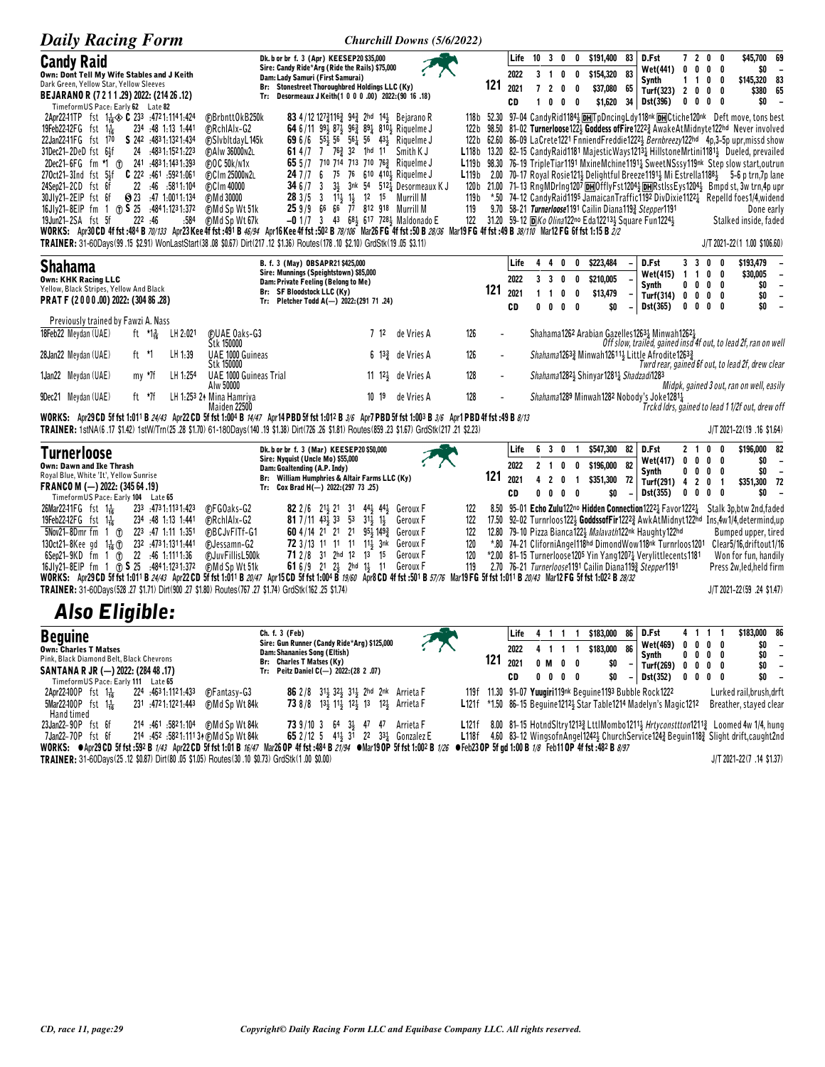| <b>Daily Racing Form</b>                                                                                                                                                                                                                                                                                                                                                                                                                                                                                                                                                                                                                                                                                                                                                                                                                                                                                                                                                                                                                                    | Churchill Downs (5/6/2022)                                                                                                                                                                                                                                                                                                                                                                                                                                                                                                                               |                                                                  |                |                                   |                                     |                                  |                                   |                                                         |                          |                                                                                                                                                                                                                                                   |                                                 |        |                                                |                                                                                                                                                                                                                                                                                                                                                                                                                                                                                                                                                                                                                                                                                                                                                                                                                                        |
|-------------------------------------------------------------------------------------------------------------------------------------------------------------------------------------------------------------------------------------------------------------------------------------------------------------------------------------------------------------------------------------------------------------------------------------------------------------------------------------------------------------------------------------------------------------------------------------------------------------------------------------------------------------------------------------------------------------------------------------------------------------------------------------------------------------------------------------------------------------------------------------------------------------------------------------------------------------------------------------------------------------------------------------------------------------|----------------------------------------------------------------------------------------------------------------------------------------------------------------------------------------------------------------------------------------------------------------------------------------------------------------------------------------------------------------------------------------------------------------------------------------------------------------------------------------------------------------------------------------------------------|------------------------------------------------------------------|----------------|-----------------------------------|-------------------------------------|----------------------------------|-----------------------------------|---------------------------------------------------------|--------------------------|---------------------------------------------------------------------------------------------------------------------------------------------------------------------------------------------------------------------------------------------------|-------------------------------------------------|--------|------------------------------------------------|----------------------------------------------------------------------------------------------------------------------------------------------------------------------------------------------------------------------------------------------------------------------------------------------------------------------------------------------------------------------------------------------------------------------------------------------------------------------------------------------------------------------------------------------------------------------------------------------------------------------------------------------------------------------------------------------------------------------------------------------------------------------------------------------------------------------------------------|
| <b>Candy Raid</b><br>Own: Dont Tell My Wife Stables and J Keith<br>Dark Green, Yellow Star, Yellow Sleeves<br>BEJARANO R (7 2 1 1 .29) 2022: (214 26 .12)<br>TimeformUS Pace: Early 62 Late 82                                                                                                                                                                                                                                                                                                                                                                                                                                                                                                                                                                                                                                                                                                                                                                                                                                                              | Dk. b or br f. 3 (Apr) KEESEP20 \$35,000<br>Sire: Candy Ride*Arg (Ride the Rails) \$75,000<br>Dam: Lady Samuri (First Samurai)<br>Br: Stonestreet Thoroughbred Holdings LLC (Ky)<br>Desormeaux J Keith(1 0 0 0 .00) 2022: (90 16 .18)<br>Tr:                                                                                                                                                                                                                                                                                                             |                                                                  | 121            | Life<br>2022<br>2021<br><b>CD</b> | $10 \t3 \t0$<br>3<br>$\overline{7}$ | $\overline{1}$<br>$\overline{2}$ | 0<br>0<br>0<br>0<br>0<br>1000     | \$191,400<br>\$154,320 83<br>\$37,080 65<br>$$1,620$ 34 | 83                       | D.Fst<br>Wet(441)<br>Synth<br>Turf(323) 2 0<br>Dst(396)                                                                                                                                                                                           | 72<br>$0\quad 0$<br>$1\quad1$<br>0 <sub>0</sub> |        | 0<br>0<br>0<br>0<br>0<br>0<br>0<br>0<br>0<br>0 | \$45.700<br>69<br>\$O<br>$\overline{\phantom{a}}$<br>\$145,320 83<br>\$380 65<br>\$0<br>$\overline{\phantom{a}}$                                                                                                                                                                                                                                                                                                                                                                                                                                                                                                                                                                                                                                                                                                                       |
| 2Apr2241TP fst 11 $\otimes$ C 233 :4721:1141:424<br>(F)Brbntt0kB250k<br>234 .48 1:13 1:441<br>19Feb2242FG fst 1 $\frac{1}{16}$<br><b>C</b> RchIAIx-G2<br>$$242 \quad 4831.1321.434$<br>(F)SlybltdayL145k<br>22Jan2241FG fst 170<br>31Dec21-2DeD fst 64f<br>24 :4831:1521:223<br><b>CAIw 36000N2L</b><br>2Dec21-6FG fm *1 (f) 241 :4831:1431:393<br>(F) O C 50k/n1x<br>270ct21-3Ind fst 5 <sup>1</sup> <sub>2</sub> f <b>C</b> 222 :461 :5921:061<br>(F)C1m 25000N2L<br>22 :46 :5811:104<br>24Sep21-2CD fst 6f<br>(F)C1m 40000<br>30Jly21-2EIP fst 6f<br>● 23 .47 1:0011:134<br>(F) M d 30000<br>16Jly21-8EIP fm 1 ① S 25 :4841:1231:372<br><b>CMd Sp Wt 51k</b><br>19Jun21-2SA fst 5f<br>222 :46<br>:584<br><b>CMd Sp Wt 67k</b><br>WORKS: Apr30CD 4f fst :484 B 70/133 Apr23 Kee 4f fst :491 B 46/94 Apr16 Kee 4f fst :502 B 78/106 Mar26 FG 4f fst :50 B 28/36 Mar19 FG 4f fst :49 B 38/110 Mar12 FG 6f fst 1:15 B 2/2<br>TRAINER: 31-60Days (99.15 \$2.91) WonLastStart (38.08 \$0.67) Dirt (217.12 \$1.36) Routes (178.10 \$2.10) GrdStk (19.05 \$3.11) | 83 4/12 12731163 943 2hd 143 Bejarano R<br>64 6/11 99 87 96 89 89 810 Riquelme J<br>69 6/6 $55\frac{1}{2}56$<br>$56\frac{1}{4}$ 56 $43\frac{1}{2}$ Riquelme J<br>61 4/7 7 763 32 1hd 11 Smith KJ<br>65 5/7 710 714 713 710 763 Riquelme J<br>75 76 610 410 <sup>1</sup> / <sub>2</sub> Riquelme J<br>247/76<br>$3\frac{1}{2}$ 3nk 54 512 $\frac{1}{4}$ Desormeaux K J<br>346/73<br>11} 1} 12 15 Murrill M<br>283/53<br>25 9/9 66 66 77 812 918 Murrill M<br>$-0$ 1/7 3 43 6 <sup>81</sup> / <sub>3</sub> 617 728 <sup>1</sup> / <sub>3</sub> Maldonado E | 118 b<br>122 b<br>122 b<br>L118b<br>L119b<br>119 b<br>119<br>122 |                |                                   |                                     |                                  |                                   |                                                         |                          | 9.70 58-21 Turnerloose1191 Cailin Diana1193 Stepper1191<br>31.20 59-12 D Ko Olina122no Eda122133 Square Fun12243                                                                                                                                  |                                                 |        |                                                | 52.30 97-04 CandyRid11843 DHTpDncingLdy118nk DHCtiche120nk Deft move, tons best<br>98.50 81-02 Turnerloose1223 Goddess of Fire12223 Awake At Midnyte122hd Never involved<br>62.60 86-09 LaCrete1221 FnniendFreddie1222} Bernbreezy122hd 4p,3-5p upr, missd show<br>13.20 82-15 Candy Raid 1181 Majestic Ways 121 $\overline{34}$ Hillstone Mrtini 118 $\overline{12}$ Dueled, prevailed<br>L119b 98.30 76-19 TripleTiar1191 MxineMchine11911 SweetNSssy119nk Step slow start, outrun<br>2.00 70-17 Royal Rosie121} Delightful Breeze1191} Mi Estrella11881 5-6 p trn,7p lane<br>120b 21.00 71-13 RngMDrIng1207 DHOfflyFst12043 DHRstIssEys12043 Bmpd st, 3w trn,4p upr<br>*.50 74-12 Candy Raid1195 Jamaican Traffic1192 Div Dixie11221 Repelld foes1/4, widend<br>Done early<br>Stalked inside, faded<br>J/T 2021-22(1 1.00 \$106.60) |
| <b>Shahama</b>                                                                                                                                                                                                                                                                                                                                                                                                                                                                                                                                                                                                                                                                                                                                                                                                                                                                                                                                                                                                                                              | B. f. 3 (May) OBSAPR21 \$425,000<br>Sire: Munnings (Speightstown) \$85,000                                                                                                                                                                                                                                                                                                                                                                                                                                                                               |                                                                  |                | Life                              | $\overline{\mathbf{4}}$             | 40                               | 0                                 | \$223,484                                               |                          | D.Fst                                                                                                                                                                                                                                             | 3 <sup>3</sup>                                  |        | 0<br>0                                         | \$193,479                                                                                                                                                                                                                                                                                                                                                                                                                                                                                                                                                                                                                                                                                                                                                                                                                              |
| <b>Own: KHK Racing LLC</b><br>Yellow, Black Stripes, Yellow And Black                                                                                                                                                                                                                                                                                                                                                                                                                                                                                                                                                                                                                                                                                                                                                                                                                                                                                                                                                                                       | Dam: Private Feeling (Belong to Me)                                                                                                                                                                                                                                                                                                                                                                                                                                                                                                                      |                                                                  | 121            | 2022                              | 3 <sup>3</sup>                      |                                  | 0<br>0                            | \$210,005                                               |                          | <b>Wet(415)</b><br><b>Synth</b>                                                                                                                                                                                                                   | $\overline{1}$<br>$0\quad 0$                    | -1     | 0<br>0<br>0<br>0                               | \$30,005<br>\$0<br>$\blacksquare$                                                                                                                                                                                                                                                                                                                                                                                                                                                                                                                                                                                                                                                                                                                                                                                                      |
| PRAT F (2000.00) 2022: (304 86.28)                                                                                                                                                                                                                                                                                                                                                                                                                                                                                                                                                                                                                                                                                                                                                                                                                                                                                                                                                                                                                          | Br: SF Bloodstock LLC (Ky)<br>Tr: Pletcher Todd A(-) 2022:(291 71 .24)                                                                                                                                                                                                                                                                                                                                                                                                                                                                                   |                                                                  |                | 2021<br><b>CD</b>                 | $1\quad1$<br>0                      | $\mathbf{0}$                     | 0<br>0<br>0<br>0                  | \$13,479<br>\$0                                         |                          | Turf(314) 0 0<br><b>Dst(365)</b>                                                                                                                                                                                                                  | 0                                               | 0      | 0<br>0<br>0<br>0                               | \$0<br>$\overline{\phantom{a}}$<br>\$0<br>$\overline{\phantom{a}}$                                                                                                                                                                                                                                                                                                                                                                                                                                                                                                                                                                                                                                                                                                                                                                     |
| Previously trained by Fawzi A. Nass<br>18Feb22 Meydan (UAE)                                                                                                                                                                                                                                                                                                                                                                                                                                                                                                                                                                                                                                                                                                                                                                                                                                                                                                                                                                                                 | 7 <sup>12</sup><br>de Vries A                                                                                                                                                                                                                                                                                                                                                                                                                                                                                                                            | 126                                                              |                |                                   |                                     |                                  |                                   |                                                         |                          |                                                                                                                                                                                                                                                   |                                                 |        |                                                |                                                                                                                                                                                                                                                                                                                                                                                                                                                                                                                                                                                                                                                                                                                                                                                                                                        |
| <b>COUAE Oaks-G3</b><br>ft $\frac{13}{16}$<br>LH 2:021<br>Stk 150000                                                                                                                                                                                                                                                                                                                                                                                                                                                                                                                                                                                                                                                                                                                                                                                                                                                                                                                                                                                        |                                                                                                                                                                                                                                                                                                                                                                                                                                                                                                                                                          |                                                                  |                |                                   |                                     |                                  |                                   |                                                         |                          | Shahama1262 Arabian Gazelles 12631 Minwah12621                                                                                                                                                                                                    |                                                 |        |                                                | Off slow, trailed, gained insd 4f out, to lead 2f, ran on well                                                                                                                                                                                                                                                                                                                                                                                                                                                                                                                                                                                                                                                                                                                                                                         |
| 28Jan22 Meydan (UAE)<br>LH 1:39<br>UAE 1000 Guineas<br>ft *1<br>Stk 150000                                                                                                                                                                                                                                                                                                                                                                                                                                                                                                                                                                                                                                                                                                                                                                                                                                                                                                                                                                                  | 6 $13\frac{3}{4}$ de Vries A                                                                                                                                                                                                                                                                                                                                                                                                                                                                                                                             | 126                                                              | $\overline{a}$ |                                   |                                     |                                  |                                   |                                                         |                          | Shahama12633 Minwah126111 Little Afrodite12633                                                                                                                                                                                                    |                                                 |        |                                                | Twrd rear, gained 6f out, to lead 2f, drew clear                                                                                                                                                                                                                                                                                                                                                                                                                                                                                                                                                                                                                                                                                                                                                                                       |
| $my *7f$<br>LH 1:254<br>UAE 1000 Guineas Trial<br>1Jan22 Meydan (UAE)                                                                                                                                                                                                                                                                                                                                                                                                                                                                                                                                                                                                                                                                                                                                                                                                                                                                                                                                                                                       | 11 $12\frac{1}{2}$ de Vries A                                                                                                                                                                                                                                                                                                                                                                                                                                                                                                                            | 128                                                              |                |                                   |                                     |                                  |                                   | Shahama12823 Shinyar12813 Shadzadi1283                  |                          |                                                                                                                                                                                                                                                   |                                                 |        |                                                |                                                                                                                                                                                                                                                                                                                                                                                                                                                                                                                                                                                                                                                                                                                                                                                                                                        |
| Alw 50000<br>9Dec21 Meydan (UAE)<br>LH 1:253 24 Mina Hamriya<br>ft *7f                                                                                                                                                                                                                                                                                                                                                                                                                                                                                                                                                                                                                                                                                                                                                                                                                                                                                                                                                                                      | $10^{19}$<br>de Vries A                                                                                                                                                                                                                                                                                                                                                                                                                                                                                                                                  | 128                                                              |                |                                   |                                     |                                  |                                   |                                                         |                          | Shahama1289 Minwah1282 Nobody's Joke12811                                                                                                                                                                                                         |                                                 |        |                                                | Midpk, gained 3 out, ran on well, easily                                                                                                                                                                                                                                                                                                                                                                                                                                                                                                                                                                                                                                                                                                                                                                                               |
| Maiden 22500<br>WORKS: Apr29CD 5f fst 1:011 B 24/43 Apr22CD 5f fst 1:004 B 14/47 Apr14 PBD 5f fst 1:012 B 3/6 Apr7 PBD 5f fst 1:003 B 3/6 Apr1 PBD 4f fst :49 B 8/13                                                                                                                                                                                                                                                                                                                                                                                                                                                                                                                                                                                                                                                                                                                                                                                                                                                                                        |                                                                                                                                                                                                                                                                                                                                                                                                                                                                                                                                                          |                                                                  |                |                                   |                                     |                                  |                                   |                                                         |                          |                                                                                                                                                                                                                                                   |                                                 |        |                                                | Trckd Idrs, gained to lead 1 1/2f out, drew off                                                                                                                                                                                                                                                                                                                                                                                                                                                                                                                                                                                                                                                                                                                                                                                        |
| TRAINER: 1stNA(6.17 \$1.42) 1stW/Trn(25.28 \$1.70) 61-180Days(140.19 \$1.38) Dirt(726.26 \$1.81) Routes(859.23 \$1.67) GrdStk(217.21 \$2.23)                                                                                                                                                                                                                                                                                                                                                                                                                                                                                                                                                                                                                                                                                                                                                                                                                                                                                                                |                                                                                                                                                                                                                                                                                                                                                                                                                                                                                                                                                          |                                                                  |                |                                   |                                     |                                  |                                   |                                                         |                          |                                                                                                                                                                                                                                                   |                                                 |        |                                                | J/T 2021-22(19 .16 \$1.64)                                                                                                                                                                                                                                                                                                                                                                                                                                                                                                                                                                                                                                                                                                                                                                                                             |
| <b>Turnerloose</b>                                                                                                                                                                                                                                                                                                                                                                                                                                                                                                                                                                                                                                                                                                                                                                                                                                                                                                                                                                                                                                          | Dk. b or br f. 3 (Mar) KEESEP20 \$50,000<br>Sire: Nyquist (Uncle Mo) \$55,000                                                                                                                                                                                                                                                                                                                                                                                                                                                                            |                                                                  |                | Life                              |                                     | 6 3 0                            | -1                                | \$547,300                                               | 82                       | D.Fst                                                                                                                                                                                                                                             | 21                                              |        | 0<br>0                                         | \$196,000 82                                                                                                                                                                                                                                                                                                                                                                                                                                                                                                                                                                                                                                                                                                                                                                                                                           |
| <b>Own: Dawn and Ike Thrash</b><br>Royal Blue, White 'It', Yellow Sunrise                                                                                                                                                                                                                                                                                                                                                                                                                                                                                                                                                                                                                                                                                                                                                                                                                                                                                                                                                                                   | Dam: Goaltending (A.P. Indy)                                                                                                                                                                                                                                                                                                                                                                                                                                                                                                                             |                                                                  | 121            | 2022                              | 2 <sub>1</sub>                      |                                  | 0<br>0                            | \$196,000                                               | 82                       | Wet(417)<br>Synth                                                                                                                                                                                                                                 | 0<br>0                                          | 0<br>0 | 0<br>0<br>0<br>0                               | \$0<br>$\overline{\phantom{a}}$<br>\$0<br>$\sim$                                                                                                                                                                                                                                                                                                                                                                                                                                                                                                                                                                                                                                                                                                                                                                                       |
| FRANCO M (-) 2022: (345 64 .19)                                                                                                                                                                                                                                                                                                                                                                                                                                                                                                                                                                                                                                                                                                                                                                                                                                                                                                                                                                                                                             | Br: William Humphries & Altair Farms LLC (Ky)<br>Tr: Cox Brad H(-) 2022: (297 73 .25)                                                                                                                                                                                                                                                                                                                                                                                                                                                                    |                                                                  |                | 2021<br><b>CD</b>                 | 4<br>$0\quad 0$                     | $\overline{2}$                   | 0<br>$\overline{1}$<br>$0\quad 0$ | \$351,300<br>\$0                                        | - 72                     | Turf(291) 4 2<br>Dst(355)                                                                                                                                                                                                                         | 0 <sub>0</sub>                                  |        | 0<br>1<br>0<br>0                               | \$351,300 72<br>\$0                                                                                                                                                                                                                                                                                                                                                                                                                                                                                                                                                                                                                                                                                                                                                                                                                    |
| TimeformUS Pace: Early 104 Late 65<br>26Mar22-11FG $f$ st $1\frac{1}{16}$<br>233 4731.1131.423<br><b>CFGOaks-G2</b><br>19Feb22-12FG $f$ st $1\frac{1}{16}$<br>234 :48 1:13 1:441<br><b>FRchIAIx-G2</b><br>$5$ Nov21-8Dmr fm 1 $1$<br>223 47 1.11 1.351<br>(F)BCJvFITf-G1<br>232 :4731:1311:441<br>130ct21-8Kee gd $1\frac{1}{16}$ ①<br><b>EJessamn-G2</b><br>6Sep21-9KD fm 1 (f) 22 :46 1:1111:36<br><b>FJuvFillisL500k</b><br>16Jly21-8EIP fm 1 ① S 25 :4841:1231:372<br>(F)Md Sp Wt 51k<br>WORKS: Apr29CD 5f fst 1:011 B 24/43 Apr22CD 5f fst 1:011 B 20/47 Apr15CD 5f fst 1:004 B 19/60 Apr8CD 4f fst :501 B 57/76 Mar19FG 5f fst 1:011 B 20/43 Mar12FG 5f fst 1:022 B 28/32<br>TRAINER: 31-60Days(528 .27 \$1.71) Dirt(900 .27 \$1.80) Routes(767 .27 \$1.74) GrdStk(162 .25 \$1.74)                                                                                                                                                                                                                                                                    | <b>82</b> 2/6 2 <sup>11</sup> / <sub>2</sub> 2 <sup>1</sup> 3 <sup>1</sup><br>441, 441<br>Geroux F<br><b>81</b> 7/11 43 $\frac{1}{2}$ 33 53 31 $\frac{1}{2}$ 1 $\frac{1}{2}$<br>Geroux F<br>60 4/14 21 21<br>21<br>951 1493<br>Geroux F<br>72 3/13 11 11 11 11 3nk<br>Geroux F<br>71 2/8 31 2hd 12 13 15<br>Geroux F<br>61 6/9 21 23 2hd 13 11 Geroux F                                                                                                                                                                                                  | 122<br>122<br>122<br>120<br>120<br>119                           |                |                                   |                                     |                                  |                                   |                                                         |                          | 12.80 79-10 Pizza Bianca1223 Malavath122nk Haughty122hd<br>*.80 74-21 CliforniAngel118hd DimondWow118nk Turnrloos1201<br>*2.00 81-15 Turnerloose1205 Yin Yang12071 Verylittlecents1181<br>2.70 76-21 Turnerloose1191 Cailin Diana1193 Stepper1191 |                                                 |        |                                                | 8.50 95-01 Echo Zulu122no Hidden Connection1222 Favor1222 Stalk 3p, btw 2nd, faded<br>17.50 92-02 Turnrloos122} GoddssofFir1222} AwkAtMidnyt122hd Ins,4w1/4,determind,up<br>Bumped upper, tired<br>Clear5/16, driftout 1/16<br>Won for fun, handily<br>Press 2w, led, held firm<br>J/T 2021-22(59 .24 \$1.47)                                                                                                                                                                                                                                                                                                                                                                                                                                                                                                                          |
| <b>Also Eligible:</b>                                                                                                                                                                                                                                                                                                                                                                                                                                                                                                                                                                                                                                                                                                                                                                                                                                                                                                                                                                                                                                       |                                                                                                                                                                                                                                                                                                                                                                                                                                                                                                                                                          |                                                                  |                |                                   |                                     |                                  |                                   |                                                         |                          |                                                                                                                                                                                                                                                   |                                                 |        |                                                |                                                                                                                                                                                                                                                                                                                                                                                                                                                                                                                                                                                                                                                                                                                                                                                                                                        |
| <b>Beguine</b>                                                                                                                                                                                                                                                                                                                                                                                                                                                                                                                                                                                                                                                                                                                                                                                                                                                                                                                                                                                                                                              | Ch. f. 3 (Feb)<br>Sire: Gun Runner (Candy Ride*Arg) \$125,000                                                                                                                                                                                                                                                                                                                                                                                                                                                                                            |                                                                  |                | Life                              | 4                                   | $1\quad1$                        | 1                                 | \$183,000                                               | 86                       | D.Fst                                                                                                                                                                                                                                             | 41                                              |        | $\overline{1}$<br>-1                           | \$183,000<br>86                                                                                                                                                                                                                                                                                                                                                                                                                                                                                                                                                                                                                                                                                                                                                                                                                        |
| <b>Own: Charles T Matses</b><br>Pink, Black Diamond Belt, Black Chevrons                                                                                                                                                                                                                                                                                                                                                                                                                                                                                                                                                                                                                                                                                                                                                                                                                                                                                                                                                                                    | Dam: Shananies Song (Eltish)                                                                                                                                                                                                                                                                                                                                                                                                                                                                                                                             |                                                                  | 121            | 2022                              | 41                                  |                                  | -1<br>-1                          | \$183,000                                               | 86                       | Wet(469)<br>Synth                                                                                                                                                                                                                                 | 0<br>$0\quad 0$                                 | 0      | 0<br>0<br>0<br>0                               | \$0<br>$\overline{\phantom{a}}$<br>\$0<br>$\overline{\phantom{a}}$                                                                                                                                                                                                                                                                                                                                                                                                                                                                                                                                                                                                                                                                                                                                                                     |
| SANTANA R JR (-) 2022: (284 48 .17)                                                                                                                                                                                                                                                                                                                                                                                                                                                                                                                                                                                                                                                                                                                                                                                                                                                                                                                                                                                                                         | Br: Charles T Matses (Ky)<br>Tr: Peitz Daniel C(-) 2022:(28 2 .07)                                                                                                                                                                                                                                                                                                                                                                                                                                                                                       |                                                                  |                | 2021<br><b>CD</b>                 | 0 M<br>0                            | 0                                | 0<br>- 0<br>0<br>$\mathbf{0}$     | \$0<br>\$O                                              | $\overline{\phantom{a}}$ | Turf $(269)$ 0 0<br><b>Dst(352)</b>                                                                                                                                                                                                               | 0                                               | 0      | 0<br>0<br>0<br>0                               | \$0<br>$\overline{\phantom{m}}$<br>\$O                                                                                                                                                                                                                                                                                                                                                                                                                                                                                                                                                                                                                                                                                                                                                                                                 |

|                                                                                              |  |                                     |  |  |  |  |                                                                                                                                                                               |  |  |  |  |  | CD 0 0 0 0 \$0 - Dst(352) 0 0 0 0                                                                   |  |                                                                                         | SO – |
|----------------------------------------------------------------------------------------------|--|-------------------------------------|--|--|--|--|-------------------------------------------------------------------------------------------------------------------------------------------------------------------------------|--|--|--|--|--|-----------------------------------------------------------------------------------------------------|--|-----------------------------------------------------------------------------------------|------|
| TimeformUS Pace: Early 111 Late 65                                                           |  |                                     |  |  |  |  |                                                                                                                                                                               |  |  |  |  |  |                                                                                                     |  |                                                                                         |      |
| 2Apr22-100P fst 1- $\frac{1}{16}$                                                            |  | 224 .4631.1121.433 (F)Fantasy-G3    |  |  |  |  | 86 2/8 31 32 31 2hd 2nk Arrieta F                                                                                                                                             |  |  |  |  |  | 119f 11.30 91-07 Yuugiri119nk Beguine1193 Bubble Rock1222                                           |  | Lurked rail, brush, drft                                                                |      |
| 5Mar22–100P fst 1-1                                                                          |  | 231 .4721.1221.443 (F)Md Sp Wt 84k  |  |  |  |  | 73 8/8 134 114 124 13 124 Arrieta F                                                                                                                                           |  |  |  |  |  | <b>L121f</b> *1.50 86-15 Bequine1212 <sup>1</sup> / <sub>3</sub> Star Table1214 Madelyn's Magic1212 |  | Breather, stayed clear                                                                  |      |
| Hand timed                                                                                   |  |                                     |  |  |  |  |                                                                                                                                                                               |  |  |  |  |  |                                                                                                     |  |                                                                                         |      |
| 23Jan22-90P fst 6f                                                                           |  | 214 .461 .5821.104 (F) Md Sp Wt 84k |  |  |  |  | <b>73</b> 9/10 3 64 34 47 47 Arrieta F                                                                                                                                        |  |  |  |  |  |                                                                                                     |  | L121f 8.00 81-15 HotndSltry12133 LttlMombo12113 Hrtyconsttton12113 Loomed 4w 1/4, hung  |      |
| 7Jan22-70P fst 6f 214 :452 :5821:111 34 @ Md Sp Wt 84k                                       |  |                                     |  |  |  |  | 65 2/12 5 414 31 22 334 Gonzalez E                                                                                                                                            |  |  |  |  |  |                                                                                                     |  | L118f 4.60 83-12 WingsofnAngel1242} ChurchService124} Beguin118} Slight drift,caught2nd |      |
|                                                                                              |  |                                     |  |  |  |  | WORKS: @Apr29CD 5f fst:592 B 1/43 Apr22CD 5f fst 1:01 B 16/47 Mar26 OP 4f fst:484 B 21/94 @Mar19 OP 5f fst 1:002 B 1/26 @Feb23 OP 5f qd 1:00 B 1/8 Feb11 OP 4f fst:482 B 8/97 |  |  |  |  |  |                                                                                                     |  |                                                                                         |      |
| TRAINER: 31-60Days(25.12 \$0.87) Dirt(80.05 \$1.05) Routes(30.10 \$0.73) GrdStk(1.00 \$0.00) |  |                                     |  |  |  |  |                                                                                                                                                                               |  |  |  |  |  |                                                                                                     |  | J/T 2021-22(7 .14 \$1.37)                                                               |      |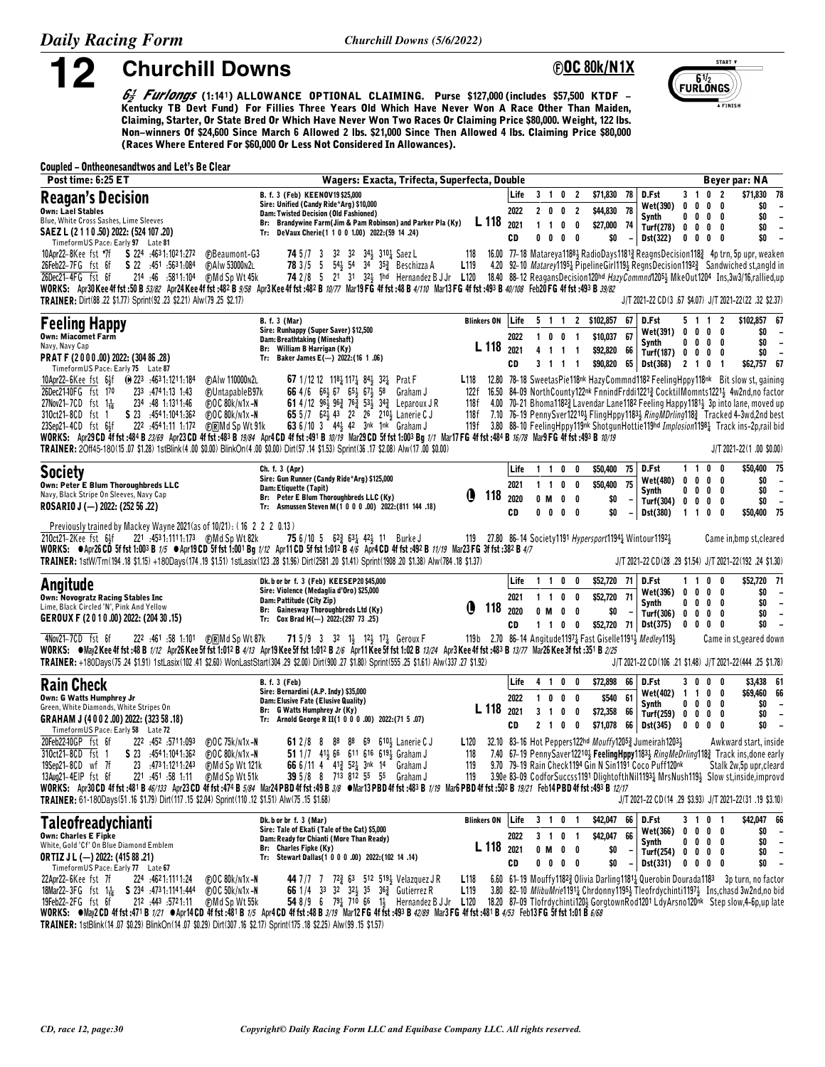12

**@OC 80k/N1X** 



 $6\frac{1}{2}$  Furlangs (1:141) ALLOWANCE OPTIONAL CLAIMING. Purse \$127,000 (includes \$57,500 KTDF – Kentucky TB Devt Fund) For Fillies Three Years Old Which Have Never Won A Race Other Than Maiden, Claiming, Starter, Or State Bred Or Which Have Never Won Two Races Or Claiming Price \$80,000. Weight, 122 lbs. Non-winners Of \$24,600 Since March 6 Allowed 2 lbs. \$21,000 Since Then Allowed 4 lbs. Claiming Price \$80,000 (Races Where Entered For \$60,000 Or Less Not Considered In Allowances).

#### **Coupled - Ontheonesandtwos and Let's Be Clear**

**Churchill Downs** 

| Post time: 6:25 ET                                                                                                                                                                                                                                                                                                                                                                                                                                                                                                                                                                                                                                                                             | Wagers: Exacta, Trifecta, Superfecta, Double                                                                                                                                                                                                                                                                                                          |                                                                                                |                            |                                    |                                                          |                                             |                                                       |    |                                                                                                                  |                                                           |                                                                          | Beyer par: NA                                                                                                                                                                                                                                                                                                                                                                                                                                                                                    |
|------------------------------------------------------------------------------------------------------------------------------------------------------------------------------------------------------------------------------------------------------------------------------------------------------------------------------------------------------------------------------------------------------------------------------------------------------------------------------------------------------------------------------------------------------------------------------------------------------------------------------------------------------------------------------------------------|-------------------------------------------------------------------------------------------------------------------------------------------------------------------------------------------------------------------------------------------------------------------------------------------------------------------------------------------------------|------------------------------------------------------------------------------------------------|----------------------------|------------------------------------|----------------------------------------------------------|---------------------------------------------|-------------------------------------------------------|----|------------------------------------------------------------------------------------------------------------------|-----------------------------------------------------------|--------------------------------------------------------------------------|--------------------------------------------------------------------------------------------------------------------------------------------------------------------------------------------------------------------------------------------------------------------------------------------------------------------------------------------------------------------------------------------------------------------------------------------------------------------------------------------------|
| <b>Reagan's Decision</b><br>Own: Lael Stables<br>Blue, White Cross Sashes, Lime Sleeves<br>SAEZ L (2 1 1 0 .50) 2022: (524 107 .20)<br>TimeformUS Pace: Early 97 Late 81                                                                                                                                                                                                                                                                                                                                                                                                                                                                                                                       | B. f. 3 (Feb) KEENOV19 \$25,000<br>Sire: Unified (Candy Ride*Arg) \$10,000<br>Dam: Twisted Decision (Old Fashioned)<br>Br: Brandywine Farm(Jim & Pam Robinson) and Parker Pla (Ky)<br>Tr: DeVaux Cherie(1 1 0 0 1.00) 2022:(59 14 .24)                                                                                                                | L 118                                                                                          | Life<br>2022<br>2021<br>CD | $1\quad1$<br>0                     | 3 1 0 2<br>2002<br>0                                     | $0\quad 0$<br>$0\quad 0$                    | \$71,830 78<br>\$44,830 78<br>\$27,000 74<br>\$0      |    | D.Fst<br>Wet(390) 0 0<br>Synth<br>Turf(278) 0 0<br>Dst(322)                                                      | $3 \quad 1$<br>$0\quad 0$                                 | 0 <sub>2</sub><br>$0\quad 0$<br>$0\quad 0$<br>$0\quad 0$<br>$0\ 0\ 0\ 0$ | \$71,830<br>78<br>\$0<br>$\overline{\phantom{a}}$<br>\$0<br>$\overline{\phantom{a}}$<br>\$0<br>$\overline{\phantom{a}}$<br>\$0<br>$\overline{\phantom{a}}$                                                                                                                                                                                                                                                                                                                                       |
| 10Apr22-8Kee fst *7f S 224 :4631:1021:272<br><b>C</b> Beaumont-G3<br>26Feb22-7FG fst 6f S 22 :451 :5631:084<br>(F)AIw 53000N2L<br>26Dec21-4FG fst 6f<br>214 .46 .5811.104 (F) Md Sp Wt 45k<br>WORKS: Apr30Kee4ffst:50B53/82 Apr24Kee4ffst:482B9/58 Apr3Kee4ffst:482B10/77 Mar19FG4ffst:48B4/110 Mar13FG4ffst:493B40/108 Feb20FG4ffst:493B3840/108<br>TRAINER: Dirt(88 .22 \$1.77) Sprint(92 .23 \$2.21) Alw(79 .25 \$2.17)                                                                                                                                                                                                                                                                     | <b>74</b> 5/7 3 32 32 34 310 $\frac{1}{4}$ Saez L<br>78 3/5 5 54 54 34 35 Beschizza A<br>74 2/8 5 21 31 32 1hd Hernandez B J Jr L120 18.40 88-12 Reagans Decision 120hd HazyCommnd1205} MkeOut1204 Ins,3w3/16,rallied,up                                                                                                                              | 118<br>L <sub>119</sub>                                                                        |                            |                                    |                                                          |                                             |                                                       |    |                                                                                                                  |                                                           |                                                                          | 16.00 77-18 Matareya11881 RadioDays11813 ReagnsDecision1183 4p trn, 5p upr, weaken<br>4.20 92-10 Matarey11951 Pipeline Girl1194 Regns Decision 1192 <sup>3</sup> Sandwiched st, angld in<br>J/T 2021-22 CD(3 .67 \$4.07) J/T 2021-22(22 .32 \$2.37)                                                                                                                                                                                                                                              |
| <b>Feeling Happy</b><br><b>Own: Miacomet Farm</b><br>Navy, Navy Cap<br>PRAT F (2000.00) 2022: (304 86.28)<br>TimeformUS Pace: Early 75 Late 87                                                                                                                                                                                                                                                                                                                                                                                                                                                                                                                                                 | <b>B.</b> f. 3 (Mar)<br>Sire: Runhappy (Super Saver) \$12,500<br>Dam: Breathtaking (Mineshaft)<br>Br: William B Harrigan (Ky)<br>Tr: Baker James E(-) 2022:(16 1.06)                                                                                                                                                                                  | <b>Blinkers ON</b><br>L 118                                                                    | Life<br>2022<br>2021<br>CD | 4                                  | 1 0 0 1<br>$1 \t1 \t1$<br>3 1 1 1                        |                                             | 5 1 1 2 \$102,857<br>\$10,037 67<br>\$92,820 66       | 67 | D.Fst<br>Wet(391)<br>Synth<br>Turf(187) $0 \t 0 \t 0 \t 0$<br>\$90,820 65 Dst(368) 2 1 0 1                       |                                                           | 5 1 1 2<br>$0\quad 0\quad 0\quad 0$<br>$0\quad 0\quad 0\quad 0$          | \$102,857 67<br>\$0<br>$\overline{\phantom{a}}$<br>\$0<br>$\overline{\phantom{a}}$<br>\$0<br>$\overline{\phantom{a}}$<br>\$62,757 67                                                                                                                                                                                                                                                                                                                                                             |
| 10Apr22-6Kee fst 6 <sup>1</sup> 5f (0) 223 :4631:1211:184<br><b>CAIw 110000N2L</b><br>26Dec21-10FG fst 170<br>233 :4741:13 1:43<br><b>FUntapableB97k</b><br>27Nov21-7CD fst $1\frac{1}{16}$<br>234 :48 1:1311:46<br><b>@OC80k/n1x-N</b><br>S 23 :4541:1041:362<br>310ct21-8CD fst 1<br>(F)OC 80k/n1x-N<br>23Sep21-4CD fst 64f<br>222 :4541:11 1:172<br>(F)RMd Sp Wt 91k<br>WORKS: Apr29CD 4f fst:484 B 23/69 Apr23CD 4f fst:483 B 19/84 Apr4CD 4f fst:491 B 10/19 Mar29CD 5f fst 1:003 Bq 1/1 Mar17 FG 4f fst:484 B 16/78 Mar9 FG 4f fst:493 B 10/19<br>TRAINER: 20ff45-180(15.07 \$1.28) 1stBlink(4.00 \$0.00) BlinkOn(4.00 \$0.00) Dirt(57.14 \$1.53) Sprint(36.17 \$2.08) Alw(17.00 \$0.00) | <b>67</b> 1/12 12 11 <sup>8</sup> <sup>1</sup> <sub>4</sub> 11 <sup>7</sup> <sup>1</sup> <sub>4</sub> 8 <sup>4</sup> <sup>1</sup> <sub>2</sub> 3 <sup>2</sup> <sup>1</sup> <sub>4</sub> Prat F<br>66 4/6 66 67 65 67 58 Graham J<br>61 4/12 963 963 763 533 343 Leparoux JR<br>65 5/7 62 43 22 26 210 Lanerie CJ<br>63 6/10 3 44} 42 3nk 1nk Graham J | L118<br>122 f<br>118f<br>118f<br>119 f                                                         |                            |                                    |                                                          |                                             |                                                       |    |                                                                                                                  |                                                           |                                                                          | 12.80 78-18 SweetasPie118nk HazyCommnd1182 FeelingHppy118nk Bit slow st, gaining<br>16.50 84-09 NorthCounty122nk FnnindFrddi1221} CocktilMomnts1221} 4w2nd,no factor<br>4.00 70-21 Bhoma1182 <sup>3</sup> Lavendar Lane1182 Feeling Happy1181 <sup>3</sup> 3p into lane, moved up<br>7.10 76-19 PennySver122103 FlingHppy11833 RingMDrling1183 Tracked 4-3wd,2nd best<br>3.80 88-10 Feeling Hppy 119nk Shotgun Hottie 119hd Implosion 1198 Track ins-2p, rail bid<br>$J/T 2021 - 22(1.00 S0.00)$ |
| <b>Society</b><br>Own: Peter E Blum Thoroughbreds LLC<br>Navy, Black Stripe On Sleeves, Navy Cap<br>ROSARIO J (-) 2022: (252 56 .22)                                                                                                                                                                                                                                                                                                                                                                                                                                                                                                                                                           | Ch. f. 3 (Apr)<br>Sire: Gun Runner (Candy Ride*Arg) \$125,000<br>Dam: Etiquette (Tapit)<br>Br: Peter E Blum Thoroughbreds LLC (Ky)<br>Tr: Asmussen Steven M(1 0 0 0 .00) 2022:(811 144 .18)                                                                                                                                                           | (1<br>118                                                                                      | Life<br>2021<br>2020<br>CD | $1\quad1$<br>$1\quad1$<br>0 M<br>0 | 0<br>0                                                   | 0<br>$0\quad 0$<br>$0\quad 0$<br>$0\quad 0$ | \$50,400 75<br>\$50,400 75<br>\$O<br>\$0              |    | D.Fst<br>Wet(480)<br>Synth<br>Turf(304) 0 0<br>Dst(380)                                                          | $0\quad 0$<br>$0\quad 0$<br>1100                          | 1 1 0 0<br>$0\quad 0$<br>$0\quad 0$<br>$0\quad 0$                        | \$50,400 75<br>\$0<br>$\overline{\phantom{a}}$<br>\$0<br>$\overline{\phantom{a}}$<br>\$0<br>$\overline{\phantom{a}}$<br>\$50,400 75                                                                                                                                                                                                                                                                                                                                                              |
| Previously trained by Mackey Wayne 2021 (as of 10/21): (16 2 2 2 0.13)<br>210ct21–2Kee fst 6샭<br>WORKS: @Apr26 CD 5f fst 1:003 B 1/5 @Apr19 CD 5f fst 1:001 Bg 1/12 Apr11 CD 5f fst 1:012 B 4/6 Apr4 CD 4f fst :492 B 11/19 Mar23 FG 3f fst :382 B 4/7<br>TRAINER: 1stW/Trn(194.18 \$1.15) +180Days(174.19 \$1.51) 1stLasix(123.28 \$1.96) Dirt(2581.20 \$1.41) Sprint(1908.20 \$1.38) Alw(784.18 \$1.37)                                                                                                                                                                                                                                                                                      | 75 6/10 5 62 $\frac{3}{4}$ 63 $\frac{1}{4}$ 42 $\frac{1}{2}$ 11 Burke J                                                                                                                                                                                                                                                                               | 119 27.80 86-14 Society1191 Hypersport1194 } Wintour1192 }                                     |                            |                                    |                                                          |                                             |                                                       |    |                                                                                                                  |                                                           |                                                                          | Came in, bmp st, cleared<br>J/T 2021-22 CD(28 .29 \$1.54) J/T 2021-22(192 .24 \$1.30)                                                                                                                                                                                                                                                                                                                                                                                                            |
| Angitude<br>Own: Novogratz Racing Stables Inc<br>Lime, Black Circled 'N', Pink And Yellow<br>GEROUX F (2010.00) 2022: (204 30 .15)                                                                                                                                                                                                                                                                                                                                                                                                                                                                                                                                                             | Dk. b or br f. 3 (Feb) KEESEP20 \$45,000<br>Sire: Violence (Medaglia d'Oro) \$25,000<br>Dam: Pattitude (City Zip)<br>Br: Gainesway Thoroughbreds Ltd (Ky)<br>Tr: Cox Brad H(-) 2022: (297 73 .25)                                                                                                                                                     | O<br>118                                                                                       | Life<br>2021<br>2020<br>CD | 0 M                                | 1100<br>1 1 0 0<br>0<br>1 1 0 0                          | 0                                           | \$52,720 71<br>\$52,720 71<br>\$0                     |    | D.Fst<br>Wet(396)<br>Synth<br>Turf(306) 0 0<br>\$52,720 71 Dst(375)                                              | $0\quad 0$<br>$0\quad 0$<br>$0\quad 0$                    | 1 1 0 0<br>$0\quad 0$<br>$0\quad 0$<br>$0\quad 0$<br>$0\quad 0$          | \$52,720 71<br>\$0<br>$\overline{\phantom{a}}$<br>\$0<br>$\overline{\phantom{a}}$<br>\$O<br>$\overline{\phantom{a}}$<br>\$0<br>$\overline{\phantom{a}}$                                                                                                                                                                                                                                                                                                                                          |
| 4Nov21-7CD fst 6f<br>222 :461 :58 1:101 (F) RMd Sp Wt 87k<br>WORKS: Whay2 Kee 4f fst :48 B 1/12 Apr26 Kee 5f fst 1:012 B 4/13 Apr19 Kee 5f fst 1:012 B 2/6 Apr11 Kee 5f fst 1:02 B 13/24 Apr3 Kee 4f fst :483 B 13/77 Mar26 Kee 3f fst :351 B 2/25<br>TRAINER: +180Days(75.24 \$1.91) 1stLasix(102.41 \$2.60) WonLastStart(304.29 \$2.00) Dirt(900.27 \$1.80) Sprint(555.25 \$1.61) Alw(337.27 \$1.92)                                                                                                                                                                                                                                                                                         | <b>71</b> 5/9 3 32 1 <sup>1</sup> / <sub>3</sub> 1 <sup>2</sup> / <sub>3</sub> 1 <sup>7</sup> / <sub>4</sub> Geroux F                                                                                                                                                                                                                                 | 119b 2.70 86-14 Angitude1197 <sub>2</sub> Fast Giselle1191 <sub>3</sub> Medley119 <sub>3</sub> |                            |                                    |                                                          |                                             |                                                       |    |                                                                                                                  |                                                           |                                                                          | Came in st, geared down<br>J/T 2021-22 CD(106 .21 \$1.48) J/T 2021-22(444 .25 \$1.78)                                                                                                                                                                                                                                                                                                                                                                                                            |
| <b>Rain Check</b><br>Own: G Watts Humphrey Jr<br>Green, White Diamonds, White Stripes On<br>GRAHAM J (4002.00) 2022: (323 58.18)<br>Timeform US Pace: Early 58 Late 72                                                                                                                                                                                                                                                                                                                                                                                                                                                                                                                         | <b>B.</b> f. 3 (Feb)<br>Sire: Bernardini (A.P. Indy) \$35,000<br>Dam: Elusive Fate (Elusive Quality)<br>Br: G Watts Humphrey Jr (Ky)<br>Tr: Arnold George R II(1 0 0 0 .00) 2022:(71 5 .07)                                                                                                                                                           | L <sub>118</sub>                                                                               | Life<br>2022<br>2021<br>CD |                                    | 4 1 0 0<br>1000<br>3 1 0 0<br>$2 \quad 1 \quad 0$        | - 0                                         | \$72,898 66<br>\$540 61<br>\$72,358 66<br>\$71,078 66 |    | D.Fst<br>Wet(402) 1 1<br>Synth<br><b>Turf(259)</b><br>Dst(345)                                                   | 3 O<br>$0\quad 0$<br>$0\,$ $0\,$ $0\,$ $0\,$<br>$0\ 0\ 0$ | $\mathbf{0}^-$<br>0<br>$\mathbf{0}$<br>0<br>$0\quad 0$<br>0              | \$3,438 61<br>\$69,460 66<br>\$0<br>$\overline{\phantom{a}}$<br>\$0<br>$\overline{\phantom{a}}$<br>\$0<br>$\overline{\phantom{a}}$                                                                                                                                                                                                                                                                                                                                                               |
| 20Feb22-10GP fst 6f<br>222 :452 :5711:093<br>$\bigoplus$ OC 75k/n1x-N<br>310ct21-8CD fst 1<br>S 23 4541:1041:362<br>$FOC$ 80 $k/N1x - N$<br>19Sep21-8CD wf 7f<br>$23 \quad 4731.1211.243$<br><b>CMd Sp Wt 121k</b><br>13Aug21-4EIP fst 6f<br>221 :451 :58 1:11<br><b>@Md Sp Wt 51k</b><br>WORKS: Apr30 CD 4f fst :431 B 46/133 Apr23 CD 4f fst :474 B 5/84 Mar24 PBD 4f fst :49 B 3/8 Mar13 PBD 4f fst :433 B 1/19 Mar6 PBD 4f fst :502 B 19/21 Feb14 PBD 4f fst :493 B 12/17<br>TRAINER: 61-180Days(51.16 \$1.79) Dirt(117.15 \$2.04) Sprint(110.12 \$1.51) Alw(75.15 \$1.68)                                                                                                                 | 88 69 610 Lanerie C J<br>61 2/8 8<br>88<br>51 1/7 412 66 611 616 6193 Graham J<br>66 6/11 4 41 <sup>3</sup> 52 <sup>1</sup> / <sub>2</sub> 3nk 14 Graham J<br>39 5/8 8 713 812 55 55 Graham J                                                                                                                                                         | L <sub>120</sub><br>118<br>119<br>119                                                          |                            |                                    |                                                          |                                             |                                                       |    | 32.10 83-16 Hot Peppers122hd Mouffy12053 Jumeirah12033<br>9.70 79-19 Rain Check1194 Gin N Sin1191 Coco Puff120nk |                                                           |                                                                          | Awkward start, inside<br>7.40 67-19 PennySaver122102 FeelingHppy11832 RingMeDrling1182 Track ins, done early<br>Stalk 2w,5p upr, cleard<br>3.90e 83-09 CodforSuccss1191 DlightofthNil11934 MrsNush1194 Slow st, inside, improvd<br>J/T 2021-22 CD (14 .29 \$3.93) J/T 2021-22 (31 .19 \$3.10)                                                                                                                                                                                                    |
| Taleofreadychianti<br><b>Own: Charles E Fipke</b><br>White, Gold 'Cf' On Blue Diamond Emblem<br><b>ORTIZ J L (-) 2022: (415 88 .21)</b><br>TimeformUS Pace: Early 77 Late 67                                                                                                                                                                                                                                                                                                                                                                                                                                                                                                                   | Dk. b or br f. 3 (Mar)<br>Sire: Tale of Ekati (Tale of the Cat) \$5,000<br>Dam: Ready for Chianti (More Than Ready)<br>Br: Charles Fipke (Ky)<br>Tr: Stewart Dallas(1 0 0 0 .00) 2022:(102 14 .14)                                                                                                                                                    | <b>Blinkers ON</b><br>L 118                                                                    | Life<br>2022<br>2021<br>CD |                                    | 3 1 0 1<br>3 1 0 1<br>$0 \t M \t 0 \t 0$<br>$0\ 0\ 0\ 0$ |                                             | \$42,047 66 D.Fst<br>\$42,047 66<br>\$0<br>\$0        |    | Wet(366)<br>Synth<br>Turf(254) $0 \t 0 \t 0 \t 0$<br><b>Dst(331)</b>                                             |                                                           | 3 1 0 1<br>$0\ 0\ 0\ 0$<br>$0\ 0\ 0\ 0$<br>$0\ 0\ 0\ 0$                  | \$42,047 66<br>\$O<br>$\overline{\phantom{a}}$<br>\$0<br>$\overline{\phantom{a}}$<br>\$0<br>$\overline{\phantom{a}}$<br>\$0<br>$\overline{\phantom{a}}$                                                                                                                                                                                                                                                                                                                                          |
| 22Apr22-6Kee fst 7f<br>224 .4621.1111.24<br><b>@OC80k/n1x-N</b><br>18Mar22-3FG $f$ st $1\frac{1}{16}$<br>S 234 4731.1141.444<br>$\bigoplus$ OC 50k/n1x-N<br>19Feb22-2FG fst 6f<br>212 :443 :5721:11<br>(F)Md Sp Wt 55k<br>WORKS: ●May2 CD 4f fst :471 B 1/21 ●Apr14 CD 4f fst :481 B 1/5 Apr4 CD 4f fst :48 B 3/19 Mar12 FG 4f fst :493 B 42/89 Mar3 FG 4f fst :481 B 4/53 Feb13 FG 5f fst 1:01 B 6/68                                                                                                                                                                                                                                                                                         | 66 1/4 33 32 32 35 36 3 Gutierrez R<br>54 8/9 6 $79\frac{1}{4}$ 710 66 1 <sup>1</sup> / <sub>3</sub> Hernandez B J Jr L120                                                                                                                                                                                                                            | L <sub>118</sub><br>L <sub>119</sub>                                                           |                            |                                    |                                                          |                                             |                                                       |    |                                                                                                                  |                                                           |                                                                          | 6.60 61-19 Mouffy11823 Olivia Darling11811 Querobin Dourada1183 3p turn, no factor<br>3.80 82-10 MlibuMrie11911 Chrdonny11951 Tleofrdychinti11971 Ins.chasd 3w2nd.no bid<br>18.20 87-09 Tlofrdychinti120\$ GorgtownRod1201 LdyArsno120nk Step slow,4-6p.up late                                                                                                                                                                                                                                  |

TRAINER: 1stBlink(14.07 \$0.29) BlinkOn(14.07 \$0.29) Dirt(307.16 \$2.17) Sprint(175.18 \$2.25) Alw(99.15 \$1.57)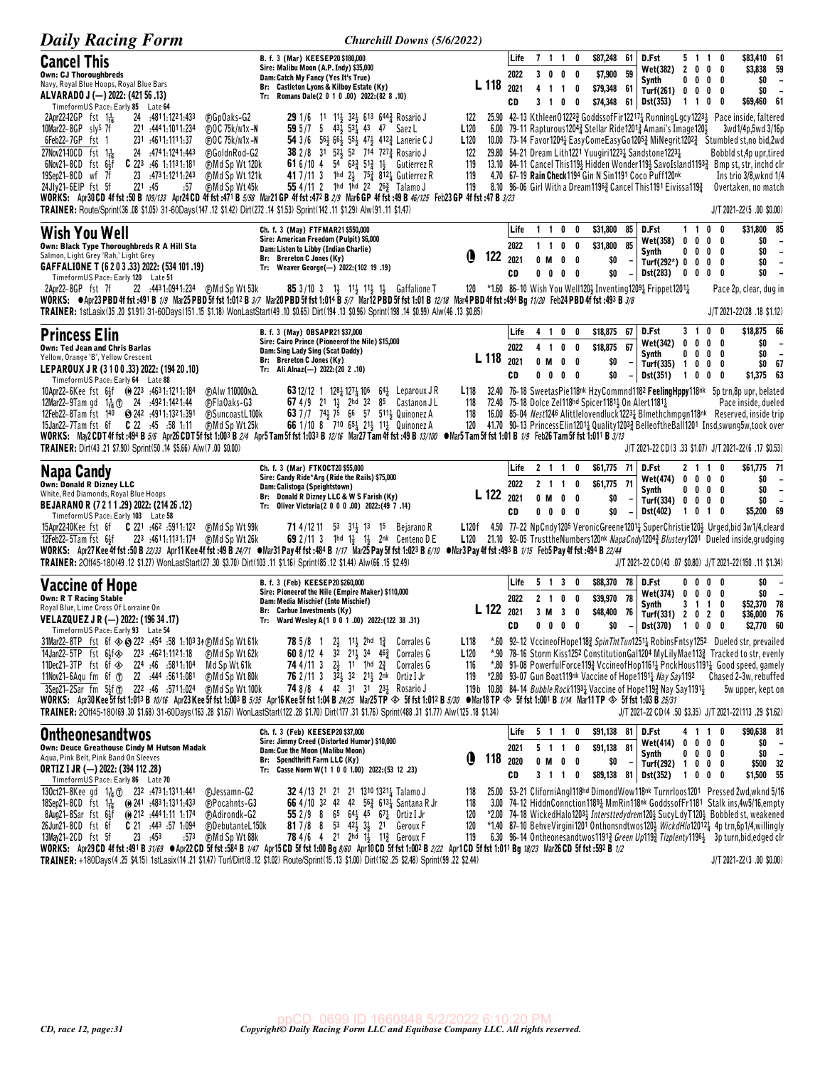| <b>Daily Racing Form</b>                                                                                                                                                                                                                                                                                                                          | Churchill Downs (5/6/2022)                                                                                                                                                     |                                                               |              |                        |                          |                                                      |                          |                                                                                                                 |                                             |                                 |                                                                                                                                                                                                                                 |
|---------------------------------------------------------------------------------------------------------------------------------------------------------------------------------------------------------------------------------------------------------------------------------------------------------------------------------------------------|--------------------------------------------------------------------------------------------------------------------------------------------------------------------------------|---------------------------------------------------------------|--------------|------------------------|--------------------------|------------------------------------------------------|--------------------------|-----------------------------------------------------------------------------------------------------------------|---------------------------------------------|---------------------------------|---------------------------------------------------------------------------------------------------------------------------------------------------------------------------------------------------------------------------------|
| <b>Cancel This</b><br><b>Own: CJ Thoroughbreds</b>                                                                                                                                                                                                                                                                                                | B. f. 3 (Mar) KEESEP20 \$180,000<br>Sire: Malibu Moon (A.P. Indy) \$35,000                                                                                                     |                                                               | Life<br>2022 | 711                    | 0<br>3 0 0 0             | \$87,248<br>\$7,900 59                               | - 61                     | D.Fst<br>Wet(382)                                                                                               | 51<br>2000                                  | 0<br>$\mathbf{1}$               | \$83,410 61<br>\$3,838 59                                                                                                                                                                                                       |
| Navy, Royal Blue Hoops, Royal Blue Bars<br>ALVARADO J (-) 2022: (421 56 .13)                                                                                                                                                                                                                                                                      | Dam: Catch My Fancy (Yes It's True)<br>Br: Castleton Lyons & Kilboy Estate (Ky)<br>Tr: Romans Dale(2 0 1 0 .00) 2022:(82 8 .10)                                                | L <sub>118</sub>                                              | 2021         |                        | 4 1 1 0                  | \$79,348 61                                          |                          | Synth<br>Turf(261)                                                                                              | 0<br>$\mathbf{0}$<br>$0\quad 0\quad 0\quad$ | 0<br>0<br>0                     | \$0<br>$\overline{\phantom{a}}$<br>\$0<br>$\overline{\phantom{a}}$                                                                                                                                                              |
| TimeformUS Pace: Early 85 Late 64<br>2Apr22-12GP fst $1\frac{1}{16}$<br>24 4811.1221.433<br><b>CGpOaks-G2</b>                                                                                                                                                                                                                                     | 29 1/6 11 11 32 613 644 Rosario J                                                                                                                                              | 122                                                           | CD           |                        | 3 1 0 0                  |                                                      |                          | \$74,348 61 Dst(353)                                                                                            | 1 1 0                                       | 0                               | \$69,460 61<br>25.90 42-13 Kthleen012223 GoddssofFir122171 RunningLgcy12234 Pace inside, faltered                                                                                                                               |
| 10Mar22-8GP sly <sup>S</sup> 7f<br>221 444 1:101 1:234<br>$\bigoplus$ OC 75k/n1x-N<br>6Feb22-7GP fst 1<br>231 .4611.1111.37                                                                                                                                                                                                                       | 59 5/7 5 43 $\frac{1}{2}$ 53 $\frac{1}{4}$ 43 47 Saez L<br>54 3/6 563 663 553 473 4123 Lanerie CJ                                                                              | L <sub>120</sub><br>6.00<br>L <sub>120</sub>                  |              |                        |                          |                                                      |                          | 79-11 Rapturous12043 Stellar Ride12013 Amani's Image12012                                                       |                                             |                                 | 3wd1/4p,5wd 3/16p                                                                                                                                                                                                               |
| $\bigoplus$ OC 75k/n1x-N<br>$27Nov2140CD$ fst $1\frac{1}{16}$<br>24 .474 1:124 1:443<br><b>@GoldnRod-G2</b>                                                                                                                                                                                                                                       | 38 2/8 31 52 52 714 727 a Rosario J                                                                                                                                            | 122                                                           |              |                        |                          |                                                      |                          | 29.80 54-21 Dream Lith1221 Yuugiri12231 Sandstone12231                                                          |                                             |                                 | 10.00 73–14 Favor1204 $\frac{1}{4}$ EasyComeEasyGo1205 $\frac{3}{4}$ MiNegrit1202 $\frac{3}{4}$ Stumbled st,no bid,2wd<br>Bobbld st, 4p upr, tired                                                                              |
| $6$ Nov21-8CD fst $6\frac{1}{2}$ f<br>$C$ 223 :46 1:1131:181<br><b>CMd Sp Wt 120k</b><br>19Sep21-8CD wf 7f<br>23 4731.1211.243<br><b>CMd Sp Wt 121k</b>                                                                                                                                                                                           | <b>61</b> 6/10 4 54 63 <sup>2</sup> / <sub>2</sub> 51 <sup>2</sup> / <sub>2</sub> 1 <sup>1</sup> / <sub>3</sub> Gutierrez R<br>41 7/11 3 1hd 2} 753 8121 Gutierrez R           | 119<br>119                                                    |              |                        |                          |                                                      |                          | 4.70 67-19 Rain Check1194 Gin N Sin1191 Coco Puff120nk                                                          |                                             |                                 | 13.10 84-11 Cancel This 1193 Hidden Wonder 1193 SavoIsland 1193 Bmp st, str, inchd clr<br>Ins trio 3/8, wknd 1/4                                                                                                                |
| 24Jly21-6EIP fst 5f<br>221 .45<br>(F)Md Sp Wt 45k<br>:57<br>WORKS: Apr30 CD 4f fst :50 B 109/133 Apr24 CD 4f fst :471 B 5/58 Mar21 GP 4f fst :472 B 2/9 Mar6 GP 4f fst :49 B 46/125 Feb23 GP 4f fst :47 B 3/23                                                                                                                                    | 55 4/11 2 1hd 1hd 22 $26\frac{3}{4}$ Talamo J                                                                                                                                  | 119                                                           |              |                        |                          |                                                      |                          | 8.10 96-06 Girl With a Dream1196 <sup>3</sup> Cancel This 1191 Eivissa 119 <sup>3</sup>                         |                                             |                                 | Overtaken, no match                                                                                                                                                                                                             |
| TRAINER: Route/Sprint(36 .08 \$1.05) 31-60Days(147 .12 \$1.42) Dirt(272 .14 \$1.53) Sprint(142 .11 \$1.29) Alw(91 .11 \$1.47)                                                                                                                                                                                                                     |                                                                                                                                                                                |                                                               |              |                        |                          |                                                      |                          | D.Fst                                                                                                           | 1 1 0                                       | 0                               | J/T 2021-22(5 .00 \$0.00)<br>\$31,800 85                                                                                                                                                                                        |
| <b>Wish You Well</b><br>Own: Black Type Thoroughbreds R A Hill Sta                                                                                                                                                                                                                                                                                | Ch. f. 3 (May) FTFMAR21 \$550,000<br>Sire: American Freedom (Pulpit) \$6,000<br>Dam: Listen to Libby (Indian Charlie)                                                          |                                                               | Life<br>2022 | $1\quad1$<br>$1\quad1$ | $0\quad 0$<br>$0\quad 0$ | \$31,800<br>\$31,800                                 | 85<br>85                 | Wet(358)                                                                                                        | 0                                           | 0 <sub>0</sub><br>0             | \$0<br>$\overline{\phantom{a}}$                                                                                                                                                                                                 |
| Salmon, Light Grey 'Rah,' Light Grey<br>GAFFALIONE T (6 2 0 3 .33) 2022: (534 101 .19)                                                                                                                                                                                                                                                            | Br: Brereton C Jones (Ky)<br>Tr: Weaver George(-) 2022: (102 19.19)                                                                                                            | Q<br>122                                                      | 2021<br>CD   | 0 M<br>$0\quad 0$      | $0\quad 0$<br>$0\quad 0$ | \$0                                                  |                          | Synth<br>Turf(292*) $0 \t 0$                                                                                    | $0\ 0\ 0$                                   | 0<br>$0\quad 0$<br>0            | \$0<br>$\overline{\phantom{a}}$<br>\$0<br>$\overline{\phantom{a}}$<br>\$0<br>$\overline{\phantom{a}}$                                                                                                                           |
| TimeformUS Pace: Early 120 Late 51<br>2Apr22-8GP fst 7f                                                                                                                                                                                                                                                                                           | <b>85</b> 3/10 3 $1\frac{1}{2}$ 11 <sup>1</sup> / <sub>2</sub> 1 <sup>1</sup> / <sub>2</sub> 1 <sup>1</sup> / <sub>2</sub> Gaffalione T                                        | 120 *1.60 86-10 Wish You Well120} Inventing1209} Frippet1201} |              |                        |                          | \$0                                                  | $\overline{\phantom{a}}$ | Dst(283)                                                                                                        | 0 <sub>0</sub><br>0                         |                                 | Pace 2p, clear, dug in                                                                                                                                                                                                          |
| WORKS: $\bullet$ Apr23 PBD 4f fst :491 B 1/9 Mar25 PBD 5f fst 1:012 B 3/7 Mar20 PBD 5f fst 1:014 B 5/7 Mar12 PBD 5f fst 1:01 B 12/18 Mar4 PBD 4f fst :494 Bg 11/20 Feb24 PBD 4f fst :493 B 3/8<br>TRAINER: 1stLasix(35.20 \$1.91) 31-60Days(151.15 \$1.18) WonLastStart(49.10 \$0.65) Dirt(194.13 \$0.96) Sprint(198.14 \$0.99) Alw(46.13 \$0.85) |                                                                                                                                                                                |                                                               |              |                        |                          |                                                      |                          |                                                                                                                 |                                             |                                 | J/T 2021-22(28 .18 \$1.12)                                                                                                                                                                                                      |
| <b>Princess Elin</b>                                                                                                                                                                                                                                                                                                                              | B. f. 3 (May) OBSAPR21 \$37,000<br>Sire: Cairo Prince (Pioneerof the Nile) \$15,000                                                                                            |                                                               | Life         | 41                     | $0\quad 0$               | \$18,875 67                                          |                          | D.Fst<br>Wet(342)                                                                                               | 3 <sub>1</sub><br>0<br>$\mathbf{0}$         | 0<br>0<br>$0\quad 0$            | \$18,875 66<br>\$0<br>$\overline{\phantom{a}}$                                                                                                                                                                                  |
| Own: Ted Jean and Chris Barlas<br>Yellow, Orange 'B', Yellow Crescent                                                                                                                                                                                                                                                                             | Dam: Sing Lady Sing (Scat Daddy)<br>Br: Brereton C Jones (Ky)                                                                                                                  | L <sub>118</sub>                                              | 2022<br>2021 | 4 1<br>$0$ M           | $0\quad 0$<br>$0\quad 0$ | \$18,875<br>\$0                                      | -67                      | Synth<br>Turf(335)                                                                                              | $0\ 0\ 0$<br>100                            | 0<br>0                          | \$0<br>$\overline{\phantom{a}}$<br>\$0 67                                                                                                                                                                                       |
| LEPAROUX JR (3100.33) 2022: (194 20.10)<br>TimeformUS Pace: Early 64 Late 88                                                                                                                                                                                                                                                                      | Tr: Ali Alnaz(-) 2022: (20 2 .10)                                                                                                                                              |                                                               | CD           |                        | $0\quad 0\quad 0\quad 0$ | \$0                                                  |                          | Dst(351)                                                                                                        | 100                                         | 0                               | \$1,375 63                                                                                                                                                                                                                      |
| 10Apr22-6Kee fst 6 <sup>1</sup> 5 (0) 223 .4631.1211.184<br>(F)AIw 110000N2L<br>12Mar22-9Tam gd $1\frac{1}{16}$ (1) 24 :4921:1421:44<br><b>C</b> Fla0aks-G3                                                                                                                                                                                       | 63 12/12 1 128 127 106 64 Leparoux JR<br>67 4/9 21 1 2hd 32 85 Castanon JL                                                                                                     | L118<br>118                                                   |              |                        |                          | 72.40 75-18 Dolce Zel118hd Spicer11813 On Alert11811 |                          |                                                                                                                 |                                             |                                 | 32.40 76-18 SweetasPie118nk HzyCommnd1182 FeelingHppy118nk 5p trn,8p upr, belated<br>Pace inside, dueled                                                                                                                        |
| 12Feb22-8Tam fst 140 6 242 :4911:1321:391<br><b>FSuncoastL100k</b><br>15Jan22-7Tam fst 6f <b>C</b> 22 :45 :58 1:11<br>®Md Sp Wt 25k                                                                                                                                                                                                               | 63 7 / 7 74 75 66 57 511 Quinonez A<br>66 1/10 8 710 651 211 111 Quinonez A                                                                                                    | 118<br>120                                                    |              |                        |                          |                                                      |                          |                                                                                                                 |                                             |                                 | 16.00 85-04 Nest1246 Alittlelovendluck12231 Blmethchmpgn118nk Reserved, inside trip<br>41.70 90-13 PrincessElin1201 <sub>4</sub> Quality1203 <sub>4</sub> BelleoftheBall1201 Insd, swung5w, took over                           |
| WORKS: May2 CDT 4f fst :494 B 5/6 Apr26 CDT 5f fst 1:003 B 2/4 Apr5 Tam 5f fst 1:033 B 12/16 Mar27 Tam 4f fst :49 B 13/100 . Mar5 Tam 5f fst 1:01 B 1/9 Feb26 Tam 5f fst 1:01 B 3/13<br>TRAINER: Dirt(43.21 \$7.90) Sprint(50.14 \$5.66) Alw(7.00 \$0.00)                                                                                         |                                                                                                                                                                                |                                                               |              |                        |                          |                                                      |                          |                                                                                                                 |                                             |                                 | J/T 2021-22 CD(3 .33 \$1.07) J/T 2021-22(6 .17 \$0.53)                                                                                                                                                                          |
| Napa Candy                                                                                                                                                                                                                                                                                                                                        | Ch. f. 3 (Mar) FTK0CT20 \$55,000<br>Sire: Candy Ride*Arg (Ride the Rails) \$75,000                                                                                             |                                                               | Life         | 2 1 1                  | 0                        | \$61,775 71                                          |                          | D.Fst<br><b>Wet(474)</b>                                                                                        | 2 1 1<br>$0\ 0\ 0\ 0$                       | 0                               | \$61,775 71<br>\$0<br>$\overline{\phantom{a}}$                                                                                                                                                                                  |
| <b>Own: Donald R Dizney LLC</b><br>White, Red Diamonds, Royal Blue Hoops                                                                                                                                                                                                                                                                          | Dam: Calistoga (Speightstown)<br>Br: Donald R Dizney LLC & W S Farish (Ky)                                                                                                     | L 122                                                         | 2022<br>2021 | 2 1 1<br>$0 \,$ M      | 0<br>$0\quad 0$          | \$61,775 71<br>\$0                                   |                          | Synth<br>Turf(334)                                                                                              | $\mathbf 0$                                 | $0\ 0\ 0\ 0$<br>$0\quad 0$<br>0 | \$0<br>$\overline{\phantom{a}}$<br>\$0<br>$\overline{\phantom{a}}$                                                                                                                                                              |
| BEJARANO R (7 2 1 1 .29) 2022: (214 26 .12)<br>TimeformUS Pace: Early 103 Late 58                                                                                                                                                                                                                                                                 | Tr: Oliver Victoria(2 0 0 0 .00) 2022: (49 7 .14)                                                                                                                              |                                                               | CD           |                        | $0\ 0\ 0\ 0$             | \$0                                                  | $\overline{\phantom{a}}$ | Dst(402)                                                                                                        | 1 0 1                                       | 0                               | \$5,200 69                                                                                                                                                                                                                      |
| 15Apr2240Kee fst 6f C 221 :462 :5911:122<br>⊕Md Sp Wt 99k<br>12Feb22-5Tam fst 6}f<br>223 .4611.1131.174 (F) Md Sp Wt 26k                                                                                                                                                                                                                          | <b>71</b> 4/12 11 53 31 13 15 Bejarano R<br>69 2/11 3 1hd 1} 1} 2nk Centeno D E                                                                                                |                                                               |              |                        |                          |                                                      |                          |                                                                                                                 |                                             |                                 | L120f 4.50 77-22 NpCndy1205 VeronicGreene12011 SuperChristie1201 Urged, bid 3w1/4, cleard<br>L120 21.10 92-05 TrusttheNumbers120nk NapaCndy12043 Blustery1201 Dueled inside, grudging                                           |
| WORKS: Apr27 Kee 4f fst :50 B 22/33 Apr11 Kee 4f fst :49 B 24/71 @Mar31 Pay 4f fst :484 B 1/17 Mar25 Pay 5f fst 1:023 B 6/10 @Mar3 Pay 4f fst :493 B 1/15 Feb5 Pay 4f fst :494 B 22/44<br>TRAINER: 20ff45-180(49.12 \$1.27) WonLastStart(27.30 \$3.70) Dirt(103.11 \$1.16) Sprint(85.12 \$1.44) Alw(66.15 \$2.49)                                 |                                                                                                                                                                                |                                                               |              |                        |                          |                                                      |                          |                                                                                                                 |                                             |                                 | J/T 2021-22 CD(43 .07 \$0.80) J/T 2021-22(150 .11 \$1.34)                                                                                                                                                                       |
| Vaccine of Hope                                                                                                                                                                                                                                                                                                                                   | B. f. 3 (Feb) KEESEP20 \$260,000<br>Sire: Pioneerof the Nile (Empire Maker) \$110,000                                                                                          |                                                               | Life         | 5                      | $1\quad 3$<br>0          | \$88,370                                             | 78                       | D.Fst<br>Wet(374)                                                                                               | 0<br>0<br>0                                 | 0<br>- 0<br>$0\quad 0\quad 0$   | \$O<br>$\overline{\phantom{a}}$<br>\$0<br>$\overline{\phantom{a}}$                                                                                                                                                              |
| <b>Own: R T Racing Stable</b><br>Royal Blue, Lime Cross Of Lorraine On                                                                                                                                                                                                                                                                            | Dam: Media Mischief (Into Mischief)<br>Br: Carhue Investments (Ky)                                                                                                             | L 122                                                         | 2022<br>2021 | 2 <sub>1</sub>         | $0\quad 0$<br>3 M 3 0    | \$39,970<br>\$48,400 76                              | 78                       | <b>Synth</b><br>Turf(331)                                                                                       | 3 1 1<br>2 <sub>0</sub>                     | 0<br>$\overline{2}$<br>0        | \$52,370 78<br>\$36,000 76                                                                                                                                                                                                      |
| VELAZQUEZ J R (-) 2022: (196 34 .17)<br>TimeformUS Pace: Early 93 Late 54                                                                                                                                                                                                                                                                         | Tr: Ward Wesley A(1 0 0 1 .00) 2022: (122 38 .31)                                                                                                                              |                                                               | CD           | $0\quad 0$             | $0\quad 0$               | \$0                                                  | $\overline{\phantom{a}}$ | Dst(370)                                                                                                        | 100                                         | 0                               | \$2,770 60                                                                                                                                                                                                                      |
| 31Mar22-8TP fst 6f $\circledast$ 8 222 :454 :58 1:103 34 @Md Sp Wt 61k<br>14Jan22-5TP fst 6}f $\otimes$ 223 :4621:1121:18<br><b>CMd Sp Wt 62k</b>                                                                                                                                                                                                 | $785/8$ 1<br>$2\frac{1}{2}$ 11 $\frac{1}{2}$ 2hd 1 $\frac{3}{4}$ Corrales G<br><b>60</b> 8/12 4 32 21 <sup>1</sup> / <sub>2</sub> 34 46 <sup>2</sup> / <sub>4</sub> Corrales G | L118<br>L <sub>120</sub>                                      |              |                        |                          |                                                      |                          |                                                                                                                 |                                             |                                 | *.60 92-12 VccineofHope1183 SpinThtTun12513 RobinsFntsy1252 Dueled str, prevailed<br>*.90 78-16 Storm Kiss1252 ConstitutionGal1204 MyLilyMae113} Tracked to str. evenly                                                         |
| 11Dec21-3TP fst 6f $\otimes$ 224 :46 :5811:104<br>Md Sp Wt 61k<br>11Nov21-6Aqu fm 6f 1 22 :444 :5611:081<br><b>CMd Sp Wt 80k</b>                                                                                                                                                                                                                  | <b>74</b> 4/11 3 $2\frac{1}{2}$ 11 1hd $2\frac{3}{4}$ Corrales G<br>76 2/11 3 32 <sup>1</sup> / <sub>2</sub> 32 2 <sup>1</sup> / <sub>2</sub> 2nk Ortiz I Jr                   | 116<br>119                                                    |              |                        |                          |                                                      |                          | *2.80 93-07 Gun Boat119nk Vaccine of Hope1191 May Say1192                                                       |                                             |                                 | *.80 91-08 PowerfulForce119} VccineofHop1161} PnckHous1191} Good speed, gamely<br>Chased 2-3w. rebuffed                                                                                                                         |
| 3Sep21-2Sar fm 5}f (f) 222 :46 :5711:024<br><b>CMd Sp Wt 100k</b><br>WORKS: Apr30Kee 5f fst 1:013 B 10/16 Apr23Kee 5f fst 1:003 B 5/35 Apr16Kee 5f fst 1:04 B 24/25 Mar25 TP $\otimes$ 5f fst 1:012 B 5/30 OMar18 TP $\otimes$ 5f fst 1:001 B 1/14 Mar11 TP $\otimes$ 5f fst 1:03 B 25/31                                                         | 74 8/8 4 42 31 31 231 Rosario J                                                                                                                                                |                                                               |              |                        |                          |                                                      |                          | 119b 10.80 84-14 <i>Bubble Rock</i> 1193 <sub>4</sub> Vaccine of Hope119 $\frac{3}{4}$ Nay Say1191 <sub>4</sub> |                                             |                                 | 5w upper, kept on                                                                                                                                                                                                               |
| TRAINER: 20ff45-180(69.30 \$1.68) 31-60Days(163.28 \$1.67) WonLastStart(122.28 \$1.70) Dirt(177.31 \$1.76) Sprint(488.31 \$1.77) Alw(125.18 \$1.34)                                                                                                                                                                                               |                                                                                                                                                                                |                                                               |              |                        |                          |                                                      |                          |                                                                                                                 |                                             |                                 | J/T 2021-22 CD (4 .50 \$3.35) J/T 2021-22 (113 .29 \$1.62)                                                                                                                                                                      |
| <b>Ontheonesandtwos</b><br>Own: Deuce Greathouse Cindy M Hutson Madak                                                                                                                                                                                                                                                                             | Ch. f. 3 (Feb) KEESEP20 \$37,000<br>Sire: Jimmy Creed (Distorted Humor) \$10,000                                                                                               |                                                               | Life<br>2021 |                        | 5 1 1 0<br>5 1 1 0       | \$91,138 81 D.Fst<br>\$91,138 81                     |                          | <b>Wet(414)</b>                                                                                                 | $0\ 0\ 0$                                   | 4 1 1 0<br>0                    | \$90,638 81<br>\$0<br>$\overline{\phantom{a}}$                                                                                                                                                                                  |
| Aqua, Pink Belt, Pink Band On Sleeves<br><b>ORTIZ I JR (-) 2022: (394 112 .28)</b>                                                                                                                                                                                                                                                                | Dam: Cue the Moon (Malibu Moon)<br>Br: Spendthrift Farm LLC (Ky)<br>Tr: Casse Norm W(1 1 0 0 1.00) 2022: (53 12 .23)                                                           | O<br>118 2020                                                 |              |                        | 0 M 0 0                  | ŞO.                                                  |                          | Synth<br>Turf(292)                                                                                              | $0\ 0\ 0$<br>1000                           | 0                               | \$0<br>$\overline{\phantom{a}}$<br>\$500 32                                                                                                                                                                                     |
| TimeformUS Pace: Early 86 Late 70<br>130ct21-8Kee gd 1 <sup>1</sup> / <sub>16</sub> (f) 232 :4731:1311:441<br><b>C</b> Jessamn-G2                                                                                                                                                                                                                 | 32 4/13 21 21 21 1310 1321 <sup>1</sup> / <sub>2</sub> Talamo J                                                                                                                | 118                                                           | CD           |                        | 3 1 1 0                  |                                                      |                          | $$89,138$ 81 Dst(352)                                                                                           | 100                                         | 0                               | \$1,500 55<br>25.00 53-21 CliforniAng1118hd DimondWow118nk Turnrloos1201 Pressed 2wd, wknd 5/16                                                                                                                                 |
| 18Sep21-8CD fst 1 $\frac{1}{16}$ (0.241 :4831:1311:433<br><b>C</b> Pocahnts-G3<br>(0 212 :4441:11 1:174<br>CAdirondk-G2<br>8Aug21-8Sar fst 6}f                                                                                                                                                                                                    | 66 4/10 32 42 42 56 $\frac{3}{4}$ 613 <sup>1</sup> / <sub>2</sub> Santana R Jr<br>55 2/9 8 65 642 45 672 Ortiz I Jr                                                            | 3.00<br>118<br>120                                            |              |                        |                          |                                                      |                          |                                                                                                                 |                                             |                                 | 74–12 HiddnConnction11891 MmRin118nk GoddssofFr1181 Stalk ins,4w5/16,empty<br>*2.00 74-18 WickedHalo12033 Intersttedydrem1203 SucyLdyT1203 Bobbled st, weakened                                                                 |
| 26Jun21-8CD fst 6f<br><b>C</b> 21 $:443 \t .57 \t 1:094$<br><b>FDebutanteL150k</b><br>23 .453<br><b>CMd Sp Wt 88k</b><br>13May21-2CD fst 5f<br>:573                                                                                                                                                                                               | 81 7/8 8 53 42 33 21 Geroux F<br><b>78</b> 4/6 4 21 $2h\bar{d}$ $1\frac{1}{2}$ 11 <sup>3</sup> Geroux F                                                                        | 120<br>119                                                    |              |                        |                          |                                                      |                          |                                                                                                                 |                                             |                                 | *1.40 87-10 BehveVirgini1201 Onthonsndtwos120} WickdHlo12012 $\frac{1}{4}$ 4p trn, 6p1/4, willingly<br>6.30 96-14 Ontheonesandtwos1191 <sup>3</sup> Green Up119 <sup>3</sup> Tizplenty1196 <sup>1</sup> 3p turn, bid, edged clr |
| WORKS: Apr29CD 4f fst :491 B 31/69 Apr22CD 5f fst :584 B 1/47 Apr15CD 5f fst 1:00 Bg 8/60 Apr10CD 5f fst 1:002 B 2/22 Apr1CD 5f fst 1:011 Bg 18/23 Mar26CD 5f fst :592 B 1/2                                                                                                                                                                      | TRAINER: +180Days(4.25 \$4.15) 1stLasix(14.21 \$1.47) Turf/Dirt(8.12 \$1.02) Route/Sprint(15.13 \$1.00) Dirt(162.25 \$2.48) Sprint(99.22 \$2.44)                               |                                                               |              |                        |                          |                                                      |                          |                                                                                                                 |                                             |                                 | $J/T 2021 - 22(3 \cdot .00 \cdot $0.00)$                                                                                                                                                                                        |

TRAINER: +180Days(4.25 \$4.15) 1stLasix(14.21 \$1.47) Turf/Dirt(8.12 \$1.02) Route/Sprint(15.13 \$1.00) Dirt(162.25 \$2.48) Sprint(99.22 \$2.44)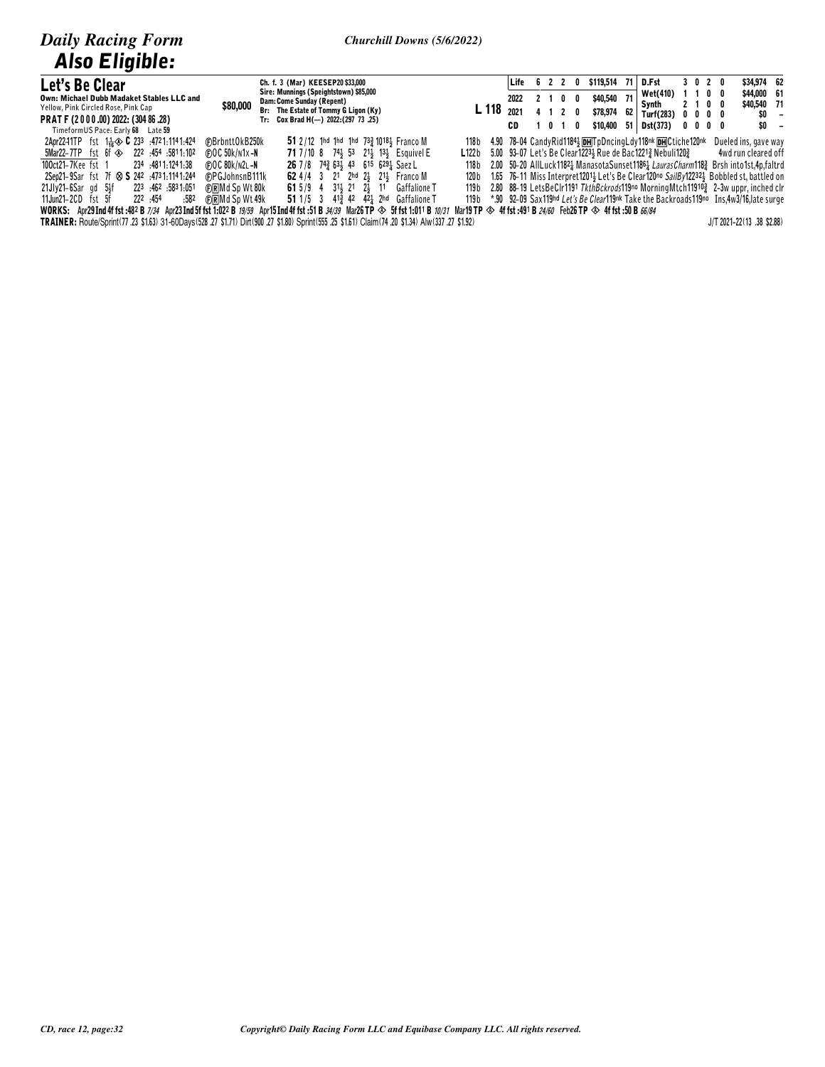| Let's Be Clear                                          | Ch. f. 3 (Mar) KEESEP20\$33,000                                                                                                                                                                                                  |                                                                                                  |      | Life 6 2 2     |            | \$119,514<br>0 |                 | 71   D.Fst                                                                                                          | 3020                          | \$34,974 62          |  |
|---------------------------------------------------------|----------------------------------------------------------------------------------------------------------------------------------------------------------------------------------------------------------------------------------|--------------------------------------------------------------------------------------------------|------|----------------|------------|----------------|-----------------|---------------------------------------------------------------------------------------------------------------------|-------------------------------|----------------------|--|
| Own: Michael Dubb Madaket Stables LLC and               | Sire: Munnings (Speightstown) \$85,000                                                                                                                                                                                           |                                                                                                  | 2022 | 2 <sub>1</sub> | $0\quad 0$ | \$40,540       | 71 <sup>1</sup> | Wet(410)                                                                                                            | 1100                          | \$44,000 61          |  |
| Yellow, Pink Circled Rose, Pink Cap                     | Dam: Come Sunday (Repent)<br>\$80,000<br>Br: The Estate of Tommy G Ligon (Ky)                                                                                                                                                    | <b>L</b> 118 $_{2021}$                                                                           |      |                |            |                |                 | Svnth                                                                                                               | 2100                          | \$40,540 71          |  |
| PRAT F (2 0 0 0 .00) 2022: (304 86 .28)                 | Tr: Cox Brad H(-) 2022: (297 73 .25)                                                                                                                                                                                             |                                                                                                  |      | 4 1 2 0        |            | \$78,974       | 62 I            | Turf(283)                                                                                                           | $0\quad 0\quad 0\quad 0\quad$ | SO –                 |  |
| TimeformUS Pace: Early 68 Late 59                       |                                                                                                                                                                                                                                  |                                                                                                  | CD.  | 1010           |            |                |                 | $$10,400$ 51 Dst(373)                                                                                               | $0\,$ 0 $\,$ 0 $\,$ 0         | SO –                 |  |
| 2Apr2241TP fst 11. 30 C 233 : 4721:1141:424             | 51 2/12 1hd 1hd 1hd 73 $\frac{3}{4}$ 1018 $\frac{1}{2}$ Franco M<br>(F)BrbnttOkB250k                                                                                                                                             | 118 b                                                                                            |      |                |            |                |                 | 4.90 78-04 CandyRid11843 DHTpDncingLdy118nk DHCtiche120nk                                                           |                               | Dueled ins, gave way |  |
| 5811.102 5Mar22-7TP fst 6f $\otimes$ 222 .454 .5811.102 | (F)OC 50k/n1x-N<br>71 7/10 8 74} 53 21} 13} Esquivel E                                                                                                                                                                           | <b>L122b</b> 5.00 93-07 Let's Be Clear12234 Rue de Bac1221 $\frac{3}{2}$ Nebuli120 $\frac{3}{2}$ |      |                |            |                |                 |                                                                                                                     |                               | 4wd run cleared off  |  |
|                                                         |                                                                                                                                                                                                                                  |                                                                                                  |      |                |            |                |                 |                                                                                                                     |                               |                      |  |
| 100ct21–7Kee fst 1<br>234 :4811:1241:38                 | 26 7/8 74 <sup>3</sup> 634 43 615 6294 Saez L<br>(F)OC 80k/n2l-N                                                                                                                                                                 | 118 b                                                                                            |      |                |            |                |                 | 2.00 50-20 AllLuck11821 ManasotaSunset11861 <i>LaurasCharm</i> 1183 Brsh into1st.4p.faltrd                          |                               |                      |  |
| 2Sep21-9Sar fst 7f $\otimes$ S 242 :4731:1141:244       | <b>@PGJohnsnB111k</b><br>62 4/4 3 21 2hd 2 $\frac{1}{2}$ 21 Franco M                                                                                                                                                             |                                                                                                  |      |                |            |                |                 | 120b 1.65 76-11 Miss Interpret1201 <sup>1</sup> Let's Be Clear120no SailBy12232 <sup>1</sup> Bobbled st, battled on |                               |                      |  |
| 223 .462 .5831.051<br>21Jlv21-6Sar gd 5¥f               | <b>61</b> 5/9 4 31 21 2 11 Gaffalione T<br>© ∩RMd Sp Wt 80k                                                                                                                                                                      | 119 b                                                                                            |      |                |            |                |                 | 2.80 88-19 LetsBeClr1191 TkthBckrods119no MorningMtch119103 2-3w uppr, inched clr                                   |                               |                      |  |
| 222 .454<br>11Jun21-2CD fst 5f<br>:582                  | 51 1/5 3 $41\frac{3}{4}$ 42 $42\frac{1}{4}$ 2hd Gaffalione T<br>(F)RMd Sp Wt 49k                                                                                                                                                 |                                                                                                  |      |                |            |                |                 | 119b *.90 92-09 Sax119hd Let's Be Clear119nk Take the Backroads119no Ins.4w3/16. late surge                         |                               |                      |  |
|                                                         | WORKS: Apr29Ind 4f fst :482 B <i>7/34</i> Apr23Ind 5f fst 1:022 B <i>19/59</i> Apr15Ind 4f fst :51 B <i>34/39</i> Mar26TP ◈ 5f fst 1:011 B <i>10/31</i> Mar19TP ◈ 4f fst :491 B <i>24/60</i> Feb26TP ◈ 4f fst :50 B <i>66/84</i> |                                                                                                  |      |                |            |                |                 |                                                                                                                     |                               |                      |  |
|                                                         |                                                                                                                                                                                                                                  |                                                                                                  |      |                |            |                |                 |                                                                                                                     |                               |                      |  |

TRAINER: Route/Sprint(77.23 \$1.63) 31-60Days(528.27 \$1.71) Dirt(900.27 \$1.80) Sprint(555.25 \$1.61) Claim(74.20 \$1.34) Alw(337.27 \$1.92)

J/T 2021-22(13 .38 \$2.88)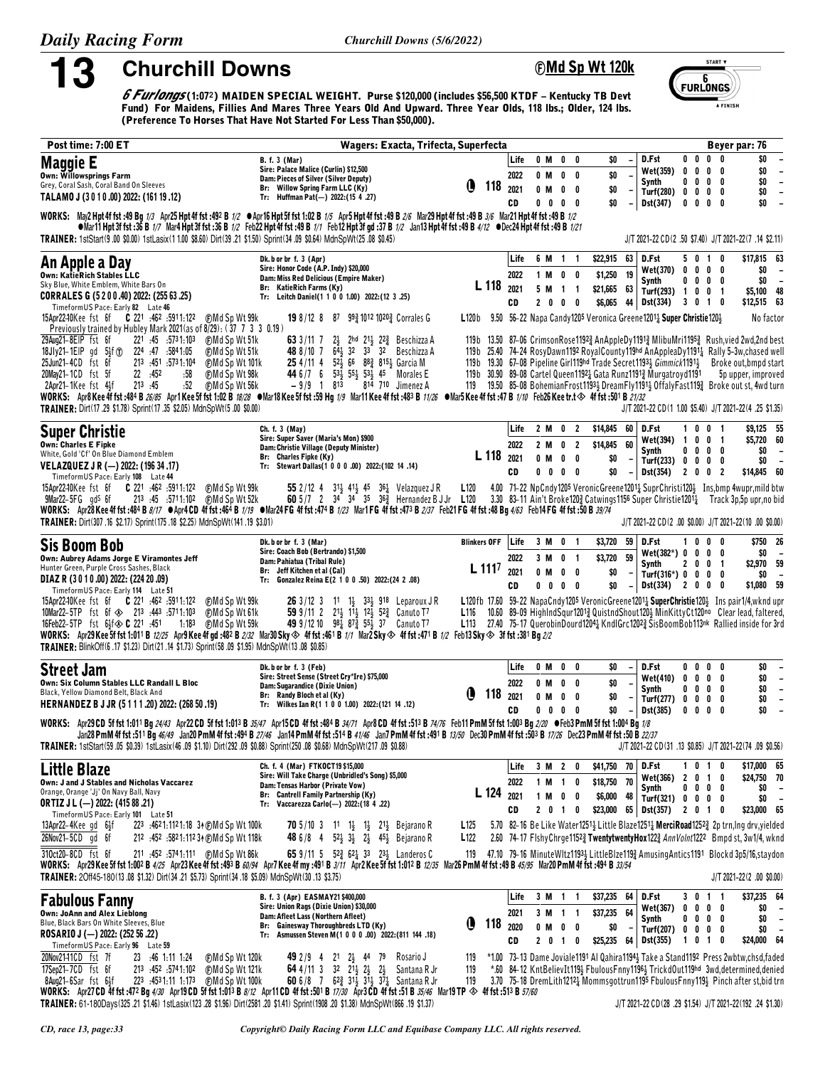13

**Churchill Downs** 

Churchill Downs (5/6/2022)



A FINISH

6 Furlongs (1:072) MAIDEN SPECIAL WEIGHT. Purse \$120,000 (includes \$56,500 KTDF – Kentucky TB Devt<br>Fund) For Maidens, Fillies And Mares Three Years Old And Upward. Three Year Olds, 118 lbs.; Older, 124 lbs. (Preference To Horses That Have Not Started For Less Than \$50,000).

| Post time: 7:00 ET                                                                                                                                                                                                                                                                                                                                          | Wagers: Exacta, Trifecta, Superfecta                                                                                                                                                               |                          |                 |                           |                                                                                                                                                                                   |                                       |                          |                          | Beyer par: 76                                                      |
|-------------------------------------------------------------------------------------------------------------------------------------------------------------------------------------------------------------------------------------------------------------------------------------------------------------------------------------------------------------|----------------------------------------------------------------------------------------------------------------------------------------------------------------------------------------------------|--------------------------|-----------------|---------------------------|-----------------------------------------------------------------------------------------------------------------------------------------------------------------------------------|---------------------------------------|--------------------------|--------------------------|--------------------------------------------------------------------|
| <b>Maggie E</b>                                                                                                                                                                                                                                                                                                                                             | <b>B.</b> f. 3 (Mar)<br>Sire: Palace Malice (Curlin) \$12,500                                                                                                                                      |                          | Life            | 0 M<br>$\mathbf 0$<br>0   | \$O                                                                                                                                                                               | D.Fst                                 | $0\quad 0$               | $0\quad 0$               | \$0                                                                |
| Own: Willowsprings Farm                                                                                                                                                                                                                                                                                                                                     | Dam: Pieces of Silver (Silver Deputy)                                                                                                                                                              |                          | 2022            | $0$ M<br>$\mathbf 0$<br>0 | \$0                                                                                                                                                                               | Wet(359) 0<br>Synth                   | 0<br>$0\quad 0$          | $0\quad 0$<br>$0\quad 0$ | \$0<br>$\overline{\phantom{a}}$<br>\$0<br>$\overline{\phantom{a}}$ |
| Grey, Coral Sash, Coral Band On Sleeves                                                                                                                                                                                                                                                                                                                     | Br: Willow Spring Farm LLC (Ky)                                                                                                                                                                    | O                        | $118$ $_{2021}$ | 0 M<br>$\mathbf 0$<br>0   | \$O                                                                                                                                                                               | Turf(280) 0                           | $\mathbf 0$              | $0\quad 0$               | \$0<br>$\overline{\phantom{a}}$                                    |
| TALAMO J (3010.00) 2022: (161 19.12)                                                                                                                                                                                                                                                                                                                        | Tr: Huffman Pat(-) 2022: (15 4 .27)                                                                                                                                                                |                          | CD              | $0\quad 0$<br>$0\quad 0$  | \$0                                                                                                                                                                               | Dst(347)                              | 0                        | $0\quad 0\quad 0$        | \$0                                                                |
| WORKS: May2 Hpt 4f fst :49 Bg 1/3 Apr25 Hpt 4f fst :492 B 1/2 $\bullet$ Apr16 Hpt 5f fst 1:02 B 1/5 Apr5 Hpt 4f fst :49 B 2/6 Mar29 Hpt 4f fst :49 B 3/6 Mar21 Hpt 4f fst :49 B 2/6 Mar21 Hpt 4f fst :49 B 3/6 Mar21 Hpt 4f fst :49<br>TRAINER: 1stStart(9.00 \$0.00) 1stLasix(1 1.00 \$8.60) Dirt(39.21 \$1.50) Sprint(34.09 \$0.64) MdnSpWt(25.08 \$0.45) | •Mar11 Hpt 3f fst :36 B 1/7 Mar4 Hpt 3f fst :36 B 1/2 Feb22 Hpt 4f fst :49 B 1/1 Feb12 Hpt 3f gd :37 B 1/2 Jan13 Hpt 4f fst :49 B 4/12 •Dec24 Hpt 4f 4f fst :49 B 1/21                             |                          |                 |                           |                                                                                                                                                                                   |                                       |                          |                          | J/T 2021-22 CD(2 .50 \$7.40) J/T 2021-22(7 .14 \$2.11)             |
|                                                                                                                                                                                                                                                                                                                                                             | Dk. b or br f. 3 (Apr)                                                                                                                                                                             |                          | Life            | 6 M 1 1                   | \$22,915<br>63                                                                                                                                                                    | D.Fst                                 | 50                       | $\mathbf{1}$<br>0        | \$17,815 63                                                        |
| An Apple a Day                                                                                                                                                                                                                                                                                                                                              | Sire: Honor Code (A.P. Indy) \$20,000                                                                                                                                                              |                          |                 |                           |                                                                                                                                                                                   | Wet(370) 0                            | $\mathbf 0$              | 0<br>0                   | \$0<br>$\overline{\phantom{a}}$                                    |
| Own: KatieRich Stables LLC<br>Sky Blue, White Emblem, White Bars On                                                                                                                                                                                                                                                                                         | Dam: Miss Red Delicious (Empire Maker)<br>Br: KatieRich Farms (Ky)                                                                                                                                 | L 118                    | 2022            | 1 M 0 0                   | 19<br>\$1,250                                                                                                                                                                     | Synth                                 | $0\,0\,0\,0$             |                          | \$0<br>$\overline{\phantom{a}}$                                    |
| CORRALES G (5 2 0 0 .40) 2022: (255 63 .25)                                                                                                                                                                                                                                                                                                                 | Tr: Leitch Daniel(1 1 0 0 1.00) 2022:(12 3 .25)                                                                                                                                                    |                          | 2021            | 5 M<br>$1\quad1$          | \$21,665<br>63                                                                                                                                                                    | Turf(293) 1 0                         |                          | 0 <sub>1</sub>           | \$5,100 48                                                         |
| TimeformUS Pace: Early 82 Late 46                                                                                                                                                                                                                                                                                                                           |                                                                                                                                                                                                    |                          | CD              | 2000                      | \$6,065                                                                                                                                                                           | 44 Dst(334)                           | 3010                     |                          | \$12,515 63                                                        |
| 15Apr2240Kee fst 6f <b>C</b> 221 :462 :5911:122<br>⊕Md Sp Wt 99k                                                                                                                                                                                                                                                                                            | <b>19</b> 8/12 8 87 99 1012 1020 Gorrales G                                                                                                                                                        |                          |                 |                           | L120b 9.50 56-22 Napa Candy1205 Veronica Greene12011 Super Christie1201                                                                                                           |                                       |                          |                          | No factor                                                          |
| Previously trained by Hubley Mark 2021 (as of 8/29): (37 7 3 3 0.19)<br>221 :45 :5731:103<br>29Aug21-8EIP fst 6f                                                                                                                                                                                                                                            |                                                                                                                                                                                                    |                          |                 |                           |                                                                                                                                                                                   |                                       |                          |                          |                                                                    |
| ⊕Md Sp Wt 51k<br>18Jly21-1EIP gd 5}f (1) 224 :47 :5841:05<br>(F)Md Sp Wt 51k                                                                                                                                                                                                                                                                                | 63 3/11 7<br>$2\frac{1}{2}$ 2 <sup>hd</sup> 2 <sup>1</sup> $\frac{1}{2}$ 2 <sup>2</sup> $\frac{3}{4}$ Beschizza A<br>48 8/10 7 64 32 33 32 Beschizza A                                             |                          |                 |                           | 119b 13.50 87-06 CrimsonRose11923 AnAppleDy11913 MlibuMri11953 Rush, vied 2wd, 2nd best<br>119b 25.40 74-24 RosyDawn1192 RoyalCounty119hd AnAppleaDy11914 Rally 5-3w, chased well |                                       |                          |                          |                                                                    |
| 213 :451 :5731:104<br>25Jun21-4CD fst 6f<br>⊕Md Sp Wt 101k                                                                                                                                                                                                                                                                                                  | 25 4/11 4 52 66 88 815 3 Garcia M                                                                                                                                                                  |                          |                 |                           | 119b 19.30 67–08 Pipeline Girl119hd Trade Secret1193 $\frac{1}{2}$ Gimmick1191 $\frac{1}{2}$                                                                                      |                                       |                          |                          | Broke out, bmpd start                                              |
| 22 :452<br>:58<br><b>CMd Sp Wt 98k</b><br>20May21-1CD fst 5f                                                                                                                                                                                                                                                                                                | 44 6 /7 6 53 55 53 45 Morales E                                                                                                                                                                    |                          |                 |                           | 119b 30.90 89-08 Cartel Queen1192 & Gata Runz1191 & Murgatroyd1191                                                                                                                |                                       |                          |                          | 5p upper, improved                                                 |
| .52<br>213 :45<br>(F)Md Sp Wt 56k<br>2Apr21-1Kee fst 4}f                                                                                                                                                                                                                                                                                                    | 814–710 – Jimenez A<br>$-9/9$ 1 813                                                                                                                                                                |                          |                 |                           | 119 19.50 85-08 BohemianFrost11934 DreamFly11914 OffalyFast1194 Broke out st, 4wd turn                                                                                            |                                       |                          |                          |                                                                    |
| WORKS: Apr8Kee4ffst:484B26/85 Apr1Kee5ffst1:02B18/28 ●Mar18Kee5ffst:59Hg1/9 Mar11Kee4ffst:483B11/26 ●Mar5Kee4ffst:47B1/10 Feb26Keetr.t ◇ 4ffst:501B21/32                                                                                                                                                                                                    |                                                                                                                                                                                                    |                          |                 |                           |                                                                                                                                                                                   |                                       |                          |                          |                                                                    |
| TRAINER: Dirt(17.29 \$1.78) Sprint(17.35 \$2.05) MdnSpWt(5.00 \$0.00)                                                                                                                                                                                                                                                                                       |                                                                                                                                                                                                    |                          |                 |                           |                                                                                                                                                                                   |                                       |                          |                          | J/T 2021-22 CD(1 1.00 \$5.40) J/T 2021-22(4 .25 \$1.35)            |
| <b>Super Christie</b>                                                                                                                                                                                                                                                                                                                                       | Ch. f. 3 (May)                                                                                                                                                                                     |                          | Life            | 2 M 0 2                   | \$14,845<br>60                                                                                                                                                                    | D.Fst                                 | 10                       | 0 <sub>1</sub>           | \$9,125 55                                                         |
| <b>Own: Charles E Fipke</b>                                                                                                                                                                                                                                                                                                                                 | Sire: Super Saver (Maria's Mon) \$900                                                                                                                                                              |                          | 2022            | 2 M<br>0 <sub>2</sub>     | \$14,845<br>60                                                                                                                                                                    | Wet(394) 1                            | $\mathbf{0}$             | 0 <sub>1</sub>           | \$5,720 60                                                         |
| White, Gold 'Cf' On Blue Diamond Emblem                                                                                                                                                                                                                                                                                                                     | Dam: Christie Village (Deputy Minister)<br>Br: Charles Fipke (Ky)                                                                                                                                  | L 118                    | 2021            | 0 M<br>$0\quad 0$         | \$0                                                                                                                                                                               | Synth                                 | $0\ 0\ 0\ 0$             |                          | \$0<br>$\overline{\phantom{a}}$<br>$\sim$                          |
| VELAZQUEZ J R (-) 2022: (196 34 .17)                                                                                                                                                                                                                                                                                                                        | Tr: Stewart Dallas(1 0 0 0 .00) 2022:(102 14 .14)                                                                                                                                                  |                          | CD              | $0\,$ 0 $\,$ 0 $\,$ 0     | \$0                                                                                                                                                                               | Turf(233) 0 0<br>Dist(354) 2 0 0      |                          | $0\quad 0$<br>- 2        | \$0<br>\$14,845 60                                                 |
| TimeformUS Pace: Early 108 Late 44                                                                                                                                                                                                                                                                                                                          |                                                                                                                                                                                                    |                          |                 |                           |                                                                                                                                                                                   |                                       |                          |                          |                                                                    |
| 15Apr2240Kee fst 6f <b>C</b> 221 :462 :5911:122<br>(F)Md Sp Wt 99k<br>$9$ Mar22-5FG $q$ d <sup>s</sup> 6f                                                                                                                                                                                                                                                   | 55 2/12 4 31 <sup>1</sup> / <sub>2</sub> 41 <sup>1</sup> / <sub>2</sub> 45 36 <sup>1</sup> / <sub>4</sub> Velazquez J R<br><b>60</b> 5/7 2 34 34 35 36 $\frac{3}{4}$ Hernandez B J Jr <b>L</b> 120 | L120                     |                 |                           | 4.00 71-22 NpCndy1205 VeronicGreene12011 SuprChristi1201 Ins.bmp 4wupr.mild btw<br>3.30 83-11 Ain't Broke1202 Catwings1156 Super Christie12011 Track 3p.5p upr.no bid             |                                       |                          |                          |                                                                    |
| WORKS: Apr28Kee4f fst:484 B 8/17 OApr4CD 4f fst:464 B 1/19 OMar24 FG 4f fst:474 B 1/23 Mar1 FG 4f fst:473 B 2/37 Feb21 FG 4f fst:48 Bg 4/63 Feb14 FG 4f fst:50 B 39/74                                                                                                                                                                                      |                                                                                                                                                                                                    |                          |                 |                           |                                                                                                                                                                                   |                                       |                          |                          |                                                                    |
| TRAINER: Dirt(307.16 \$2.17) Sprint(175.18 \$2.25) MdnSpWt(141.19 \$3.01)                                                                                                                                                                                                                                                                                   |                                                                                                                                                                                                    |                          |                 |                           |                                                                                                                                                                                   |                                       |                          |                          | J/T 2021-22 CD(2 .00 \$0.00) J/T 2021-22(10 .00 \$0.00)            |
|                                                                                                                                                                                                                                                                                                                                                             |                                                                                                                                                                                                    |                          |                 |                           |                                                                                                                                                                                   |                                       |                          |                          |                                                                    |
| <b>Sis Boom Bob</b>                                                                                                                                                                                                                                                                                                                                         | Dk. b or br f. 3 (Mar)<br>Sire: Coach Bob (Bertrando) \$1,500                                                                                                                                      | <b>Blinkers OFF</b> Life |                 | 3 M 0 1                   | \$3,720<br>59                                                                                                                                                                     | D.Fst<br>$Wet(382*) 0 0 0 0$          | 0<br>1.                  | 0<br>0                   | \$750 26<br>\$0                                                    |
| Own: Aubrey Adams Jorge E Viramontes Jeff<br>Hunter Green, Purple Cross Sashes, Black                                                                                                                                                                                                                                                                       | Dam: Pahiatua (Tribal Rule)                                                                                                                                                                        |                          | 2022            | 3 M<br>0 <sub>1</sub>     | 59<br>\$3,720                                                                                                                                                                     | Synth                                 | 2 0 0 1                  |                          | \$2,970 59                                                         |
| DIAZ R (3 0 1 0 .00) 2022: (224 20 .09)                                                                                                                                                                                                                                                                                                                     | Br: Jeff Kitchen et al (Cal)<br>Tr: Gonzalez Reina E(2 1 0 0 .50) 2022:(24 2 .08)                                                                                                                  | $L$ 111 <sup>7</sup>     | 2021            | 0 M<br>$0\quad 0$         | \$0                                                                                                                                                                               | $Turf(316*) 0 0 0 0$                  |                          |                          | \$0<br>$\overline{\phantom{a}}$                                    |
| TimeformUS Pace: Early 114 Late 51                                                                                                                                                                                                                                                                                                                          |                                                                                                                                                                                                    |                          | CD              | $0\,$ 0 $\,$ 0 $\,$ 0     | \$0                                                                                                                                                                               | $Dist(334)$ 2 0 0 0                   |                          |                          | \$1,080 59                                                         |
| 15Apr2240Kee fst 6f C 221 :462 :5911:122<br>(F)Md Sp Wt 99k                                                                                                                                                                                                                                                                                                 | 263/123<br>11 $1\frac{1}{2}$ 33 $\frac{1}{2}$ 918 Leparoux JR                                                                                                                                      |                          |                 |                           | L120fb 17.60 59-22 NapaCndy1205 Veronic Greene1201 $\frac{1}{4}$ SuperChristie120 $\frac{1}{2}$ Ins pair1/4, wknd upr                                                             |                                       |                          |                          |                                                                    |
| 10Mar22-5TP fst 6f $\diamond$ 213 :443 :5711:103<br>⊕Md Sp Wt 61k                                                                                                                                                                                                                                                                                           | 59 9/11 2 $2^{11}$ $1^{11}$ $1^{2}$ $1^{2}$ $5^{2}$ Canuto T <sup>7</sup>                                                                                                                          |                          |                 |                           | L116 10.60 89-09 Highlnd Squr12013 Quist nd Shout 1203 Min Kitty Ct120no Clear lead, faltered,                                                                                    |                                       |                          |                          |                                                                    |
| 16Feb22-5TP fst 6}f $\otimes$ C 221 :451<br>1:183 (F)Md Sp Wt 59k<br>WORKS: Apr29Kee 5f fst 1:011 B 12/25 Apr9Kee 4f gd :48 <sup>2</sup> B 2/32 Mar30Sky $\otimes$ 4f fst :461 B 1/1 Mar2Sky $\otimes$ 4f fst :471 B 1/2 Feb13Sky $\otimes$ 3f fst :381 Bg 2/2                                                                                              | 49 9/12 10 98 $\frac{1}{4}$ 87 $\frac{3}{4}$ 55 $\frac{1}{3}$ 37 Canuto T7                                                                                                                         |                          |                 |                           | L113 27.40 75-17 QuerobinDourd12042 KndlGrc12022 SisBoomBob113nk Rallied inside for 3rd                                                                                           |                                       |                          |                          |                                                                    |
| TRAINER: BlinkOff(6 .17 \$1.23) Dirt(21 .14 \$1.73) Sprint(58 .09 \$1.95) MdnSpWt(13 .08 \$0.85)                                                                                                                                                                                                                                                            |                                                                                                                                                                                                    |                          |                 |                           |                                                                                                                                                                                   |                                       |                          |                          |                                                                    |
|                                                                                                                                                                                                                                                                                                                                                             |                                                                                                                                                                                                    |                          |                 |                           |                                                                                                                                                                                   |                                       |                          |                          |                                                                    |
| Street Jam                                                                                                                                                                                                                                                                                                                                                  | Dk. b or br f. 3 (Feb)<br>Sire: Street Sense (Street Cry*Ire) \$75,000                                                                                                                             |                          | Life            | 0 M 0<br>0                | \$O                                                                                                                                                                               | D.Fst                                 | 0<br>0                   | $0\quad 0$               | \$0<br>$\overline{\phantom{a}}$                                    |
| Own: Six Column Stables LLC Randall L Bloc                                                                                                                                                                                                                                                                                                                  | Dam: Sugarandice (Dixie Union)                                                                                                                                                                     |                          | 2022            | 0 M<br>0<br>0             | \$0                                                                                                                                                                               | Wet(410) 0<br>Synth                   | 0<br>$\mathbf 0$<br>0    | $0\quad 0$<br>$0\quad 0$ | \$0<br>$\overline{\phantom{a}}$<br>\$0<br>$\overline{\phantom{a}}$ |
| Black, Yellow Diamond Belt, Black And                                                                                                                                                                                                                                                                                                                       | Br: Randy Bloch et al (Ky)                                                                                                                                                                         | Ð<br>118                 | 2021            | 0 M<br>$\mathbf 0$<br>0   | \$0                                                                                                                                                                               | Turf $(277)$ 0 0                      |                          | $0\quad 0$               | \$0<br>$\blacksquare$                                              |
| HERNANDEZ B J JR (5111.20) 2022: (268 50.19)                                                                                                                                                                                                                                                                                                                | Tr: Wilkes Ian R(1 1 0 0 1.00) 2022: (121 14 .12)                                                                                                                                                  |                          | CD              | $0\quad 0$<br>$0\quad 0$  | \$0                                                                                                                                                                               | Dst(385)                              | 0<br>0                   | 0<br>0                   | \$0                                                                |
| WORKS: Apr29CD 5f fst 1:011 Bg 24/43 Apr22CD 5f fst 1:013 B 35/47 Apr15CD 4f fst :484 B 34/71 Apr8CD 4f fst :513 B 74/76 Feb11 PmM 5f fst 1:003 Bg 2/20 • Feb3 PmM 5f fst 1:004 Bg 1/8                                                                                                                                                                      |                                                                                                                                                                                                    |                          |                 |                           |                                                                                                                                                                                   |                                       |                          |                          |                                                                    |
|                                                                                                                                                                                                                                                                                                                                                             | Jan28 PmM 4f fst :511 Bg 46/49 Jan20 PmM 4f fst :494 B 27/46 Jan14 PmM 4f fst :514 B 41/46 Jan7 PmM 4f fst :491 B 13/50 Dec30 PmM 4f fst :503 B 17/26 Dec23 PmM 4f fst :50 B 22/37                 |                          |                 |                           |                                                                                                                                                                                   |                                       |                          |                          |                                                                    |
| TRAINER: 1stStart(59.05 \$0.39) 1stLasix(46.09 \$1.10) Dirt(292.09 \$0.88) Sprint(250.08 \$0.68) MdnSpWt(217.09 \$0.88)                                                                                                                                                                                                                                     |                                                                                                                                                                                                    |                          |                 |                           |                                                                                                                                                                                   |                                       |                          |                          | J/T 2021-22 CD (31 .13 \$0.85) J/T 2021-22 (74 .09 \$0.56)         |
| Little Blaze                                                                                                                                                                                                                                                                                                                                                | Ch. f. 4 (Mar) FTKOCT19 \$15,000                                                                                                                                                                   |                          | Life            | 3 M 2 0                   | \$41,750 70                                                                                                                                                                       | D.Fst                                 | 1010                     |                          | \$17,000 65                                                        |
| Own: J and J Stables and Nicholas Vaccarez                                                                                                                                                                                                                                                                                                                  | Sire: Will Take Charge (Unbridled's Song) \$5,000<br>Dam: Tensas Harbor (Private Vow)                                                                                                              |                          | 2022            | 1 M 1 0                   | 70<br>\$18,750                                                                                                                                                                    | Wet(366) 2 0 1 0                      |                          |                          | \$24,750 70                                                        |
| Orange, Orange 'Jj' On Navy Ball, Navy                                                                                                                                                                                                                                                                                                                      | Br: Cantrell Family Partnership (Ky)                                                                                                                                                               |                          | L 124 2021      | $0\quad 0$<br>1 M         | \$6,000<br>48                                                                                                                                                                     | Synth<br>Turf(321) $0 \t 0 \t 0 \t 0$ | $0\quad 0\quad 0\quad 0$ |                          | \$0<br>$\overline{\phantom{a}}$<br>\$0<br>$\overline{\phantom{a}}$ |
| <b>ORTIZ J L (-) 2022: (415 88 .21)</b>                                                                                                                                                                                                                                                                                                                     | Tr: Vaccarezza Carlo(-) 2022: (18 4 .22)                                                                                                                                                           |                          | CD              | 2 0 1 0                   | $$23,000$ 65 Dst(357) 2 0 1 0                                                                                                                                                     |                                       |                          |                          | \$23,000 65                                                        |
| TimeformUS Pace: Early 101 Late 51                                                                                                                                                                                                                                                                                                                          | <b>70</b> 5/10 3 11 1 $\frac{1}{2}$ 1 $\frac{1}{2}$ 21 $\frac{1}{2}$ Bejarano R                                                                                                                    | L125                     |                 |                           | 5.70 82-16 Be Like Water12511 Little Blaze12511 MerciRoad12522 2p trn, Ing drv, yielded                                                                                           |                                       |                          |                          |                                                                    |
| $13$ Apr22-4Kee gd $6\frac{1}{2}f$<br>223 .4621:1121:18 34 (DMd Sp Wt 100k)<br>26Nov21-5CD gd 6f<br>212 :452 :5821:112 34 (DMd Sp Wt 118k)                                                                                                                                                                                                                  | 48 6/8 4 52 33 2 45 Bejarano R                                                                                                                                                                     | L122                     |                 |                           | 2.60 74-17 FishyChrge11523 TwentytwentyHox1223 AnnVolnt1222 Bmpd st, 3w1/4, wknd                                                                                                  |                                       |                          |                          |                                                                    |
|                                                                                                                                                                                                                                                                                                                                                             |                                                                                                                                                                                                    |                          |                 |                           |                                                                                                                                                                                   |                                       |                          |                          |                                                                    |
| 310ct20-8CD fst 6f<br>WORKS: Apr29 Kee 5f fst 1:002 B 4/25 Apr23 Kee 4f fst :493 B 60/94 Apr7 Kee 4f my :491 B 3/11 Apr2 Kee 5f fst 1:012 B 12/35 Mar26 PmM 4f fst :49 B 45/95 Mar20 PmM 4f fst :498 B 33/54                                                                                                                                                | 65 9/11 5 52 $\frac{3}{4}$ 62 $\frac{1}{4}$ 33 23 $\frac{1}{4}$ Landeros C                                                                                                                         |                          |                 |                           | 119 47.10 79-16 Minute WItz11934 Little Blze 1193 Amusing Antics 1191 Blockd 3p5/16, staydon                                                                                      |                                       |                          |                          |                                                                    |
| TRAINER: 20ff45-180(13.08 \$1.32) Dirt(34.21 \$5.73) Sprint(34.18 \$5.09) MdnSpWt(30.13 \$3.75)                                                                                                                                                                                                                                                             |                                                                                                                                                                                                    |                          |                 |                           |                                                                                                                                                                                   |                                       |                          |                          | $J/T 2021 - 22(2 .00 $0.00)$                                       |
|                                                                                                                                                                                                                                                                                                                                                             |                                                                                                                                                                                                    |                          |                 |                           |                                                                                                                                                                                   |                                       |                          |                          |                                                                    |
| <b>Fabulous Fanny</b>                                                                                                                                                                                                                                                                                                                                       | B. f. 3 (Apr) EASMAY21 \$400,000                                                                                                                                                                   |                          | Life            | 3 M 1 1                   | \$37,235 64                                                                                                                                                                       | D.Fst                                 | 3 0 1 1                  |                          | \$37,235 64                                                        |
| <b>Own: JoAnn and Alex Lieblong</b>                                                                                                                                                                                                                                                                                                                         | Sire: Union Rags (Dixie Union) \$30,000<br>Dam: Afleet Lass (Northern Afleet)                                                                                                                      |                          | 2021            | 3 M 1 1                   | \$37,235<br>64                                                                                                                                                                    | Wet(367) 0 0 0 0<br>Synth             | $0\ 0\ 0\ 0$             |                          | \$0<br>\$0<br>$\overline{\phantom{a}}$                             |
| Blue, Black Bars On White Sleeves, Blue                                                                                                                                                                                                                                                                                                                     | Br: Gainesway Thoroughbreds LTD (Ky)                                                                                                                                                               | 118<br>O                 | 2020            | 0 M 0 0                   | \$0                                                                                                                                                                               | Turf(207) 0 0 0 0                     |                          |                          | \$0<br>$\overline{\phantom{a}}$                                    |
| ROSARIO J (-) 2022: (252 56 .22)<br>TimeformUS Pace: Early 96 Late 59                                                                                                                                                                                                                                                                                       | Asmussen Steven M(1 0 0 0 .00) 2022: (811 144 .18)<br>Tr:                                                                                                                                          |                          | CD              | 2 0 1 0                   | \$25,235                                                                                                                                                                          | 64 Dst(355)                           | 1010                     |                          | \$24,000 64                                                        |
| 20Nov2141CD fst 7f<br><b>CMd Sp Wt 120k</b><br>23 :46 1:11 1:24                                                                                                                                                                                                                                                                                             | <b>49</b> 2/9 4 2 <sup>1</sup> 2 <sup>1</sup> / <sub>2</sub> 44 7 <sup>9</sup> Rosario J                                                                                                           | 119                      |                 |                           | *1.00 73-13 Dame Joviale1191 Al Qahira1194} Take a Stand1192 Press 2wbtw,chsd,faded                                                                                               |                                       |                          |                          |                                                                    |
| 17Sep21-7CD fst 6f<br>(F)Md Sp Wt 121k<br>213 452 5741.102                                                                                                                                                                                                                                                                                                  | 64 4/11 3 32 21 <sup>1</sup> / <sub>2</sub> 2 <sup>1</sup> / <sub>2</sub> 2 <sup>1</sup> / <sub>2</sub> Santana R Jr                                                                               | 119                      |                 |                           | *.60 84-12 KntBelievIt1194 FbulousFnny11964 TrickdOut119hd 3wd.determined.denied                                                                                                  |                                       |                          |                          |                                                                    |
| 8Aug21-6Sar fst 6}f                                                                                                                                                                                                                                                                                                                                         | 60 6/8 7 62 $\frac{3}{4}$ 3 <sup>1</sup> $\frac{1}{2}$ 3 <sup>7</sup> $\frac{1}{2}$ 3 <sup>7</sup> $\frac{1}{4}$ Santana R Jr                                                                      | 119                      |                 |                           | 3.70 75-18 DremLith12121 Mommsgottrun1195 FbulousFnny1191 Pinch after st, bid trn                                                                                                 |                                       |                          |                          |                                                                    |
| WORKS: Apr27 CD 4f fst :472 Bg 4/30 Apr19 CD 5f fst 1:013 B 8/12 Apr11 CD 4f fst :501 B 17/30 Apr3 CD 4f fst :51 B 35/46 Mar19 TP $\otimes$ 4f fst :513 B 57/60                                                                                                                                                                                             |                                                                                                                                                                                                    |                          |                 |                           |                                                                                                                                                                                   |                                       |                          |                          |                                                                    |
| TRAINER: 61-180Days(325.21 \$1.46) 1stLasix(123.28 \$1.96) Dirt(2581.20 \$1.41) Sprint(1908.20 \$1.38) MdnSpWt(866.19 \$1.37)                                                                                                                                                                                                                               |                                                                                                                                                                                                    |                          |                 |                           |                                                                                                                                                                                   |                                       |                          |                          | J/T 2021-22 CD(28 .29 \$1.54) J/T 2021-22(192 .24 \$1.30)          |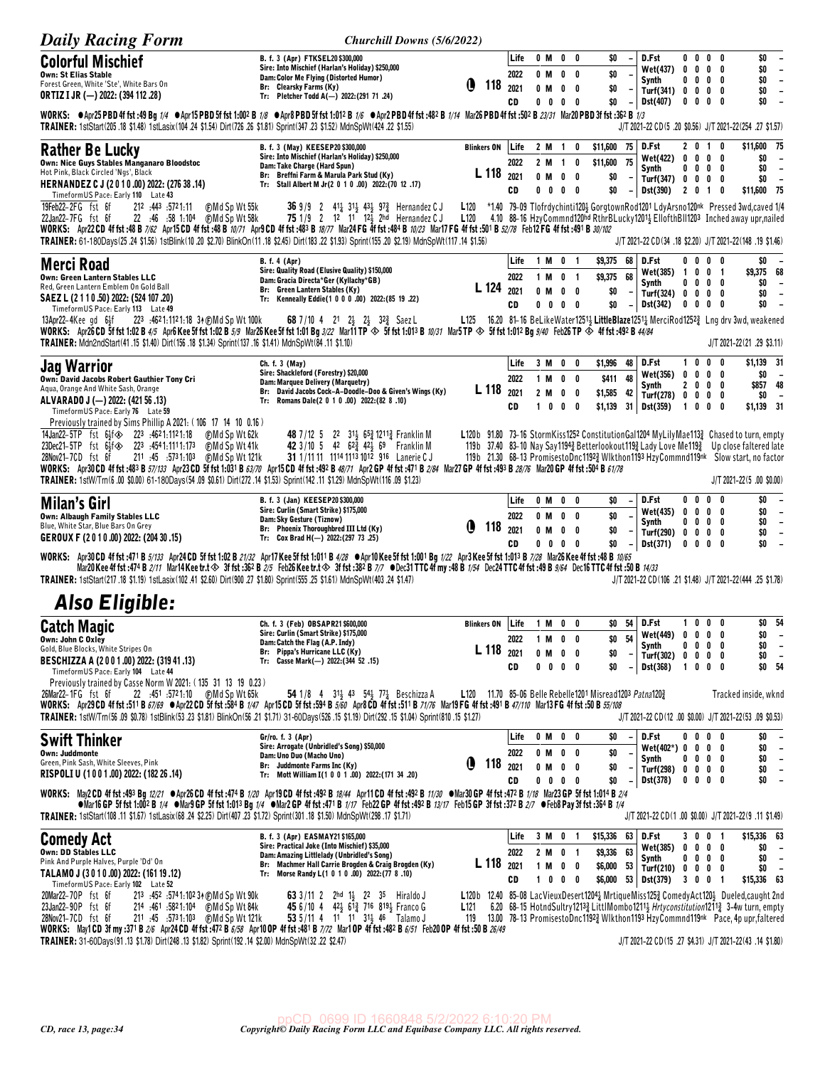| <b>Daily Racing Form</b>                                                                                                                                                                                                                                                                                                                                                                                         | Churchill Downs (5/6/2022)                                                                                                                                                                                                                                                                                                                                                                                                         |                                                          |                            |                                |                                                   |                                             |                                           |                        |                                                                        |                                                                |                  |                                                            |                                                                                                                                                                                                                                                                                                                                                                                                                         |
|------------------------------------------------------------------------------------------------------------------------------------------------------------------------------------------------------------------------------------------------------------------------------------------------------------------------------------------------------------------------------------------------------------------|------------------------------------------------------------------------------------------------------------------------------------------------------------------------------------------------------------------------------------------------------------------------------------------------------------------------------------------------------------------------------------------------------------------------------------|----------------------------------------------------------|----------------------------|--------------------------------|---------------------------------------------------|---------------------------------------------|-------------------------------------------|------------------------|------------------------------------------------------------------------|----------------------------------------------------------------|------------------|------------------------------------------------------------|-------------------------------------------------------------------------------------------------------------------------------------------------------------------------------------------------------------------------------------------------------------------------------------------------------------------------------------------------------------------------------------------------------------------------|
| <b>Colorful Mischief</b><br><b>Own: St Elias Stable</b><br>Forest Green, White 'Ste', White Bars On<br>ORTIZ I JR (-) 2022: (394 112 .28)                                                                                                                                                                                                                                                                        | B. f. 3 (Apr) FTKSEL20 \$300,000<br>Sire: Into Mischief (Harlan's Holiday) \$250,000<br>Dam: Color Me Flying (Distorted Humor)<br>Br: Clearsky Farms (Ky)<br>Tr: Pletcher Todd A(-) 2022:(291 71 .24)                                                                                                                                                                                                                              | Q<br>118                                                 | Life<br>2022<br>2021<br>CD | 0 M<br>$0$ M<br>0 M            | $\mathbf 0$<br>$0\ 0\ 0\ 0$                       | $0\quad 0$<br>0<br>$0\quad 0$               | \$O<br>\$0<br>\$0<br>\$0                  |                        | D.Fst<br><b>Wet(437)</b><br>Synth<br>Turf(341) 0 0 0 0<br>Dst(407)     | $0\quad 0$<br>$0\quad 0$<br>$0\quad 0$                         | 0<br>0           | 0<br>$0\quad 0\quad 0\quad 0$<br>0<br>$0\quad 0$           | \$0<br>$\overline{\phantom{a}}$<br>\$0<br>$\overline{\phantom{a}}$<br>\$0<br>$\overline{\phantom{a}}$<br>\$0<br>$\overline{\phantom{a}}$<br>\$0<br>$\overline{\phantom{a}}$                                                                                                                                                                                                                                             |
| WORKS: O Apr25 PBD 4f fst :49 Bg 1/4 O Apr15 PBD 5f fst 1:002 B 1/8 O Apr8 PBD 5f fst 1:012 B 1/6 O Apr2 PBD 4f fst :482 B 1/14 Mar26 PBD 4f fst :502 B 23/31 Mar20 PBD 3f fst :362 B 1/3<br>TRAINER: 1stStart(205.18 \$1.48) 1stLasix(104.24 \$1.54) Dirt(726.26 \$1.81) Sprint(347.23 \$1.52) MdnSpWt(424.22 \$1.55)                                                                                           |                                                                                                                                                                                                                                                                                                                                                                                                                                    |                                                          |                            |                                |                                                   |                                             |                                           |                        |                                                                        |                                                                |                  |                                                            | J/T 2021-22 CD(5 .20 \$0.56) J/T 2021-22(254 .27 \$1.57)                                                                                                                                                                                                                                                                                                                                                                |
| Rather Be Lucky<br>Own: Nice Guys Stables Manganaro Bloodstoc<br>Hot Pink, Black Circled 'Ngs', Black<br>HERNANDEZ C J (2010.00) 2022: (276 38 .14)<br>TimeformUS Pace: Early 110 Late 43<br>19Feb22-2FG fst 6f<br>212 :443 :5721:11<br><b>OMd Sp Wt 55k</b>                                                                                                                                                     | B. f. 3 (May) KEESEP20 \$300,000<br>Sire: Into Mischief (Harlan's Holiday) \$250,000<br>Dam: Take Charge (Hard Spun)<br>Br: Breffni Farm & Marula Park Stud (Ky)<br>Tr: Stall Albert M Jr(2 0 1 0 .00) 2022:(70 12 .17)<br><b>36</b> 9/9 2 41 <sup>1</sup> / <sub>2</sub> 31 <sup>1</sup> / <sub>3</sub> 43 <sup>1</sup> / <sub>2</sub> 97 <sup>2</sup> / <sub>2</sub> Hernandez C J                                               | <b>Blinkers ON</b><br>L 118 2021<br>L120                 | Life<br>2022<br>CD         | 2 M<br>$0$ M                   | $\overline{\mathbf{1}}$<br>2 M 1<br>$0\ 0\ 0\ 0$  | 0<br>0<br>$0\quad 0$                        | \$11,600 75<br>\$11,600<br>\$0<br>\$0     | 75<br>$-1$             | D.Fst<br><b>Wet(422)</b><br>Synth<br>Turf(347) 0 0 0 0<br>Dst(390)     | 2 0 1 0                                                        |                  | 2 0 1 0<br>$0\ 0\ 0\ 0$<br>$0\ 0\ 0\ 0$                    | \$11,600 75<br>\$0<br>$\overline{\phantom{a}}$<br>\$0<br>$\overline{\phantom{a}}$<br>\$0<br>$\overline{\phantom{a}}$<br>\$11,600 75<br>*1.40 79-09 Tlofrdychinti120} GorgtownRod1201 LdyArsno120nk Pressed 3wd, caved 1/4                                                                                                                                                                                               |
| 22 :46 :58 1:104<br>⊕Md Sp Wt 58k<br>22Jan22-7FG fst 6f<br>WORKS: Apr22 CD 4f fst :48 B 7/62 Apr15 CD 4f fst :48 B 10/71 Apr9 CD 4f fst :483 B 18/77 Mar24 FG 4f fst :484 B 10/23 Mar17 FG 4f fst :501 B 52/78 Feb12 FG 4f fst :491 B 30/102<br>TRAINER: 61-180Days(25.24 \$1.56) 1stBlink(10.20 \$2.70) BlinkOn(11.18 \$2.45) Dirt(183.22 \$1.93) Sprint(155.20 \$2.19) MdnSpWt(117.14 \$1.56)                  | <b>75</b> 1/9 2 12 11 12 <sup>1</sup> / <sub>3</sub> 2hd Hernandez CJ                                                                                                                                                                                                                                                                                                                                                              | L120                                                     |                            |                                |                                                   |                                             |                                           |                        |                                                                        |                                                                |                  |                                                            | 4.10 88-16 HzyCommnd120hd RthrBLucky1201 5 EllofthBII1203 Inched away upr, nailed<br>J/T 2021-22 CD(34 .18 \$2.20) J/T 2021-22(148 .19 \$1.46)                                                                                                                                                                                                                                                                          |
| <b>Merci Road</b><br>Own: Green Lantern Stables LLC<br>Red, Green Lantern Emblem On Gold Ball<br>SAEZ L (2 1 1 0 .50) 2022: (524 107 .20)<br>TimeformUS Pace: Early 113 Late 49                                                                                                                                                                                                                                  | <b>B.</b> f. 4 (Apr)<br>Sire: Quality Road (Elusive Quality) \$150,000<br>Dam: Gracia Directa*Ger (Kyllachy*GB)<br>Br: Green Lantern Stables (Ky)<br>Tr: Kenneally Eddie(1 0 0 0 .00) 2022:(85 19 .22)                                                                                                                                                                                                                             | L 124                                                    | Life<br>2022<br>2021<br>CD | 1 M<br>0 M<br>$0\quad 0$       | 1 M 0<br>$\mathbf 0$                              | - 1<br>0 <sub>1</sub><br>0<br>$0\quad 0$    | \$9,375 68<br>\$9,375 68<br>\$0<br>\$0    | $-1$                   | D.Fst<br>Wet(385) 1<br>Synth<br>Turf(324) 0 0<br>Dst(342)              | 00<br>$0\quad 0$<br>$\mathbf 0$                                | 0<br>0           | $0\quad 0$<br>$0 \t0 \t1$<br>0<br>$0\quad 0$<br>$0\quad 0$ | \$0<br>\$9,375 68<br>\$O<br>$\overline{\phantom{a}}$<br>\$0<br>$\overline{\phantom{a}}$<br>\$O<br>$\overline{\phantom{a}}$                                                                                                                                                                                                                                                                                              |
| 13Apr22-4Kee gd 6}f<br>223 :4621:1121:18 34 (F) Md Sp Wt 100k<br>WORKS: Apr26 CD 5f fst 1:02 B 4/5 Apr6 Kee 5f fst 1:02 B 5/9 Mar26 Kee 5f fst 1:01 Bg 3/22 Mar11 TP $\otimes$ 5f fst 1:013 B 10/31 Mar5 TP $\otimes$ 5f fst 1:012 Bg 9/40 Feb26 TP $\otimes$ 4f fst :492 B 44/84<br>TRAINER: Mdn2ndStart(41.15 \$1.40) Dirt(156.18 \$1.34) Sprint(137.16 \$1.41) MdnSpWt(84.11 \$1.10)                          | <b>68</b> 7/10 4 21 2 23 23 $32\frac{3}{4}$ Saez L                                                                                                                                                                                                                                                                                                                                                                                 | L <sub>125</sub>                                         |                            |                                |                                                   |                                             |                                           |                        |                                                                        |                                                                |                  |                                                            | 16.20 81-16 BeLikeWater12513 LittleBlaze12513 MerciRod12523 Lng drv 3wd, weakened<br>J/T 2021-22(21 .29 \$3.11)                                                                                                                                                                                                                                                                                                         |
| <b>Jag Warrior</b><br>Own: David Jacobs Robert Gauthier Tony Cri<br>Aqua, Orange And White Sash, Orange<br>ALVARADO J (-) 2022: (421 56 .13)<br>TimeformUS Pace: Early 76 Late 59                                                                                                                                                                                                                                | Ch. f. 3 (May)<br>Sire: Shackleford (Forestry) \$20,000<br>Dam: Marquee Delivery (Marquetry)<br>Br: David Jacobs Cock-A-Doodle-Doo & Given's Wings (Ky)<br>Tr: Romans Dale(2 0 1 0 .00) 2022:(82 8 .10)                                                                                                                                                                                                                            | L <sub>118</sub>                                         | Life<br>2022<br>2021<br>CD | 1 M<br>2 M<br>$1\quad 0$       | 3 M 0                                             | 0<br>$0\quad 0$<br>$0\quad 0$<br>$0\quad 0$ | \$1,996<br>\$411<br>\$1,585<br>\$1,139    | 48<br>48<br>42<br>31   | D.Fst<br>Wet(356)<br>Synth<br>Turf(278)<br>Dst(359)                    | $1\quad 0$<br>0 <sub>0</sub><br>2 <sub>0</sub><br>$\mathbf{1}$ | 0<br>0<br>0<br>0 | 0<br>0<br>$0\quad 0$<br>$0\ 0\ 0\ 0$<br>0                  | \$1,139 31<br>\$0<br>$\overline{\phantom{a}}$<br>\$857 48<br>\$0<br>$\overline{\phantom{a}}$<br>\$1,139 31                                                                                                                                                                                                                                                                                                              |
| Previously trained by Sims Phillip A 2021: (106 17 14 10 0.16)<br>14Jan22-5TP fst 6}f $\otimes$ 223 :4621:1121:18<br>⊕Md Sp Wt 62k<br>23Dec21-5TP fst 64f<br>223.4541:1111:173<br>(F)Md Sp Wt 41k<br>28Nov21-7CD fst 6f<br>                                                                                                                                                                                      | 48 7/12 5 22 31 65 1211 Franklin M<br>42 3/10 5 42 62 <sup>3</sup> 42 <sup>1</sup> / <sub>2</sub> 69 Franklin M<br>31 1/11 11 1114 1113 1012 916 Lanerie CJ                                                                                                                                                                                                                                                                        |                                                          |                            |                                |                                                   |                                             |                                           |                        |                                                                        |                                                                |                  |                                                            | L120b 91.80 73-16 StormKiss1252 ConstitutionGal1204 MyLilyMae113 <sub>2</sub> Chased to turn, empty<br>119b 37.40 83-10 Nay Say11943 Betterlookout1193 Lady Love Me1193 Up close faltered late<br>119b 21.30 68-13 PromisestoDnc11923 Wlkthon1193 HzyCommnd119nk Slow start, no factor<br>J/T 2021-22(5.00 \$0.00)                                                                                                      |
| Milan's Girl<br><b>Own: Albaugh Family Stables LLC</b><br>Blue, White Star, Blue Bars On Grey<br>GEROUX F (2010.00) 2022: (204 30.15)                                                                                                                                                                                                                                                                            | B. f. 3 (Jan) KEESEP20 \$300,000<br>Sire: Curlin (Smart Strike) \$175,000<br>Dam: Sky Gesture (Tiznow)<br>Br: Phoenix Thoroughbred III Ltd (Ky)<br>Tr: Cox Brad H(-) 2022:(297 73 .25)                                                                                                                                                                                                                                             | O<br>118                                                 | Life<br>2022<br>2021<br>CD | 0 M<br>$0$ M                   | 0 M 0<br>$0\quad 0\quad 0\quad 0$                 | 0<br>$0\quad 0$<br>$0\quad 0$               | \$0<br>\$0<br>\$0<br>\$0                  |                        | D.Fst<br>Wet(435)<br>Synth<br>Turf(290)<br>Dst(371)                    | $0\quad 0$<br>$\pmb{0}$<br>$0\quad 0$<br>0<br>$0\quad 0$       | 0<br>0<br>0      | 0<br>$0\quad 0$<br>$0\quad 0$<br>$0\quad 0$<br>$0\quad 0$  | \$0<br>$\overline{\phantom{a}}$<br>\$0<br>$\overline{\phantom{a}}$<br>\$0<br>$\overline{\phantom{a}}$<br>\$0<br>$\overline{\phantom{a}}$<br>\$0                                                                                                                                                                                                                                                                         |
| WORKS: Apr30 CD 4f fst:471 B 5/133 Apr24 CD 5f fst 1:02 B 21/32 Apr17 Kee 5f fst 1:011 B 4/28 OApr10 Kee 5f fst 1:001 Bg 1/22 Apr3 Kee 5f fst 1:013 B 7/28 Mar26 Kee 4f fst :48 B 10/65<br>TRAINER: 1stStart(217.18 \$1.19) 1stLasix(102.41 \$2.60) Dirt(900.27 \$1.80) Sprint(555.25 \$1.61) MdnSpWt(403.24 \$1.47)                                                                                             | Mar20Kee 4f fst :474 B 2/11 Mar14Kee tr.t $\otimes$ 3f fst :362 B 2/5 Feb26Kee tr.t $\otimes$ 3f fst :382 B 7/7 ODec31 TTC 4f my :48 B 1/54 Dec24 TTC 4f fst :49 B 9/64 Dec16 TTC 4f fst :50 B 14/33                                                                                                                                                                                                                               |                                                          |                            |                                |                                                   |                                             |                                           |                        |                                                                        |                                                                |                  |                                                            | J/T 2021-22 CD(106 .21 \$1.48) J/T 2021-22(444 .25 \$1.78)                                                                                                                                                                                                                                                                                                                                                              |
| <b>Also Eligible:</b>                                                                                                                                                                                                                                                                                                                                                                                            |                                                                                                                                                                                                                                                                                                                                                                                                                                    |                                                          |                            |                                |                                                   |                                             |                                           |                        |                                                                        |                                                                |                  |                                                            |                                                                                                                                                                                                                                                                                                                                                                                                                         |
| <b>Catch Magic</b><br>UWN: JOHN U UXIEY<br>Gold, Blue Blocks, White Stripes On<br>BESCHIZZA A (2001.00) 2022: (31941.13)<br>TimeformUS Pace: Early 104 Late 44                                                                                                                                                                                                                                                   | Ch. f. 3 (Feb) OBSAPR21 \$600,000<br>Sire: Curlin (Smart Strike) \$175,000<br>Dam: Catch the Flag (A.P. Indy)<br>Br: Pippa's Hurricane LLC (Ky)<br>Tr: Casse Mark(-) 2022: (344 52 .15)                                                                                                                                                                                                                                            | <b>Blinkers ON</b><br>L 118 2021                         | Life<br>2022<br>CD         | 1 M 0 0<br>1 M 0 0<br>0 M<br>0 | $\mathbf 0$<br>0                                  | 0<br>$0\quad 0$                             | \$0<br>\$0<br>\$O                         | $$0$ $\:$ $\,$ 54 $\,$ | 54 D.Fst<br>Wet(449) 0 0 0<br>Synth<br>Turf(302)<br>Dst(368)           | $\mathbf{0}$<br>$1\quad 0$                                     | 0                | 1000<br>0<br>$0\ 0\ 0\ 0$<br>$0\quad 0$<br>$0\quad 0$      | \$0 54<br>\$0<br>$\overline{\phantom{a}}$<br>\$0<br>$\overline{\phantom{a}}$<br>\$0<br>$\overline{\phantom{a}}$<br>\$0 54                                                                                                                                                                                                                                                                                               |
| Previously trained by Casse Norm W 2021: (135 31 13 19 0.23)<br>26Mar22-1FG fst 6f<br>WORKS: Apr29CD 4f fst:511 B 67/69 @Apr22CD 5f fst:584 B 1/47 Apr15CD 5f fst:594 B 5/60 Apr8CD 4f fst:511 B 71/76 Mar19FG 4f fst:491 B 47/110 Mar13FG 4f fst:50 B 55/108<br>TRAINER: 1stW/Trn(56.09 \$0.78) 1stBlink(53.23 \$1.81) BlinkOn(56.21 \$1.71) 31-60Days(526.15 \$1.19) Dirt(292.15 \$1.04) Sprint(810.15 \$1.27) | <b>54</b> 1/8 4 31 43 54 77 Beschizza A                                                                                                                                                                                                                                                                                                                                                                                            | L120 11.70 85-06 Belle Rebelle1201 Misread1203 Patna1203 |                            |                                |                                                   |                                             |                                           |                        |                                                                        |                                                                |                  |                                                            | Tracked inside, wknd<br>J/T 2021-22 CD(12 .00 \$0.00) J/T 2021-22(53 .09 \$0.53)                                                                                                                                                                                                                                                                                                                                        |
| <b>Swift Thinker</b><br><b>Own: Juddmonte</b><br>Green, Pink Sash, White Sleeves, Pink<br>RISPOLI U (1001.00) 2022: (182 26 .14)<br>WORKS: May2CD 4ffst:493 Bg 12/21 · Apr26CD 4ffst:474 B 1/20 Apr19CD 4ffst:492 B 18/44 Apr11CD 4ffst:492 B 11/30 · Mar30 GP 4ffst:472 B 1/18 Mar23 GP 5ffst 1:014 B 2/4                                                                                                       | Gr/ro. f. 3 (Apr)<br>Sire: Arrogate (Unbridled's Song) \$50,000<br>Dam: Uno Duo (Macho Uno)<br>Br: Juddmonte Farms Inc (Ky)<br>Tr: Mott William I(1 0 0 1 .00) 2022: (171 34 .20)                                                                                                                                                                                                                                                  | O<br>$118$ $_{2021}$                                     | Life<br>2022<br>CD         | 0 M                            | 0 M 0 0<br>$0 \,$ M $\,$ O $\,$ O<br>$0\ 0\ 0\ 0$ | $0\quad 0$                                  | \$O<br>\$0<br>\$0<br>\$0                  |                        | D.Fst<br>$Wet(402*) 0 0 0 0$<br>Synth<br>Turf(298) 0 0 0 0<br>Dst(378) | 00                                                             |                  | $0\quad 0$<br>$0\,$ 0 $\,$ 0 $\,$ 0<br>$0\ 0\ 0\ 0$        | \$0<br>$\overline{\phantom{a}}$<br>\$0<br>$\overline{\phantom{a}}$<br>\$0<br>$\overline{\phantom{a}}$<br>\$0<br>$\overline{\phantom{a}}$<br>\$0<br>$\overline{\phantom{a}}$                                                                                                                                                                                                                                             |
| TRAINER: 1stStart(108 .11 \$1.57) 1stLasix (68 .24 \$2.25) Dirt(407 .23 \$1.72) Sprint(301 .18 \$1.50) MdnSpWt(298 .17 \$1.71)                                                                                                                                                                                                                                                                                   | •Mar16 GP 5f fst 1:002 B 1/4 •Mar9 GP 5f fst 1:013 Bg 1/4 •Mar2 GP 4f fst :471 B 1/17 Feb22 GP 4f fst :492 B 13/17 Feb15 GP 3f fst :372 B 2/7 •Feb8 Pay 3f fst :364 B 1/4                                                                                                                                                                                                                                                          |                                                          |                            |                                |                                                   |                                             |                                           |                        |                                                                        |                                                                |                  |                                                            | J/T 2021-22 CD(1.00 \$0.00) J/T 2021-22(9.11 \$1.49)                                                                                                                                                                                                                                                                                                                                                                    |
| <b>Comedy Act</b><br><b>Own: DD Stables LLC</b><br>Pink And Purple Halves, Purple 'Dd' On<br>TALAMO J (3010.00) 2022: (161 19.12)<br>Timeform US Pace: Early 102 Late 52<br>20Mar22-70P fst 6f<br>213 :452 :5741:102 34 (DMd Sp Wt 90k)<br>23Jan22-90P fst 6f<br>214 :461 :5821:104 (DMd Sp Wt 84k)<br>28Nov21-7CD fst 6f                                                                                        | B. f. 3 (Apr) EASMAY21 \$165,000<br>Sire: Practical Joke (Into Mischief) \$35,000<br>Dam: Amazing Littlelady (Unbridled's Song)<br>Br: Machmer Hall Carrie Brogden & Craig Brogden (Ky)<br>Tr: Morse Randy L(1 0 1 0 .00) 2022: (77 8 .10)<br>63 3/11 2 2hd 1 $\frac{1}{2}$ 2 <sup>2</sup> 3 <sup>5</sup> Hiraldo J<br>45 6/10 4 42 61 <sup>3</sup> 716 819 <sup>1</sup> / <sub>2</sub> Franco G<br>53 5/11 4 11 11 31 46 Talamo J | L 118<br>L121<br>119                                     | Life<br>2022<br>2021<br>CD |                                | 3 M 0 1<br>2 M 0 1<br>1 M 0 0<br>1 0 0 0          |                                             | \$15,336<br>\$9,336<br>\$6,000<br>\$6,000 | 63  <br>63<br>53       | D.Fst<br>Wet(385)<br>Synth<br>Turf(210) 0 0 0 0<br>53 Dst(379)         | 300                                                            |                  | 3001<br>$0\ 0\ 0\ 0$<br>$0\ 0\ 0\ 0$<br>- 1                | \$15,336 63<br>\$0<br>$\overline{\phantom{a}}$<br>\$0<br>$\overline{\phantom{a}}$<br>\$0<br>$\overline{\phantom{a}}$<br>\$15,336 63<br>L120b 12.40 85-08 LacVieuxDesert1204 $1/4$ MrtiqueMiss125 $3/25$ ComedyAct120 $3/2$ Dueled, caught 2nd<br>6.20 68-15 HotndSultry12133 LittlMombo12113 Hrtyconstitution12113 3-4w turn, empty<br>13.00 78-13 PromisestoDnc11923 Wlkthon1193 HzyCommnd119nk Pace, 4p upr, faltered |
| WORKS: May1CD 3f my :371 B 2/6 Apr24CD 4f fst :472 B 6/58 Apr10 OP 4f fst :481 B 7/72 Mar1 OP 4f fst :482 B 6/51 Feb20 OP 4f fst :50 B 26/49<br>TRAINER: 31-60Days(91.13 \$1.78) Dirt(248.13 \$1.82) Sprint(192.14 \$2.00) MdnSpWt(32.22 \$2.47)                                                                                                                                                                 |                                                                                                                                                                                                                                                                                                                                                                                                                                    |                                                          |                            |                                |                                                   |                                             |                                           |                        |                                                                        |                                                                |                  |                                                            | J/T 2021-22 CD(15 .27 \$4.31) J/T 2021-22(43 .14 \$1.80)                                                                                                                                                                                                                                                                                                                                                                |